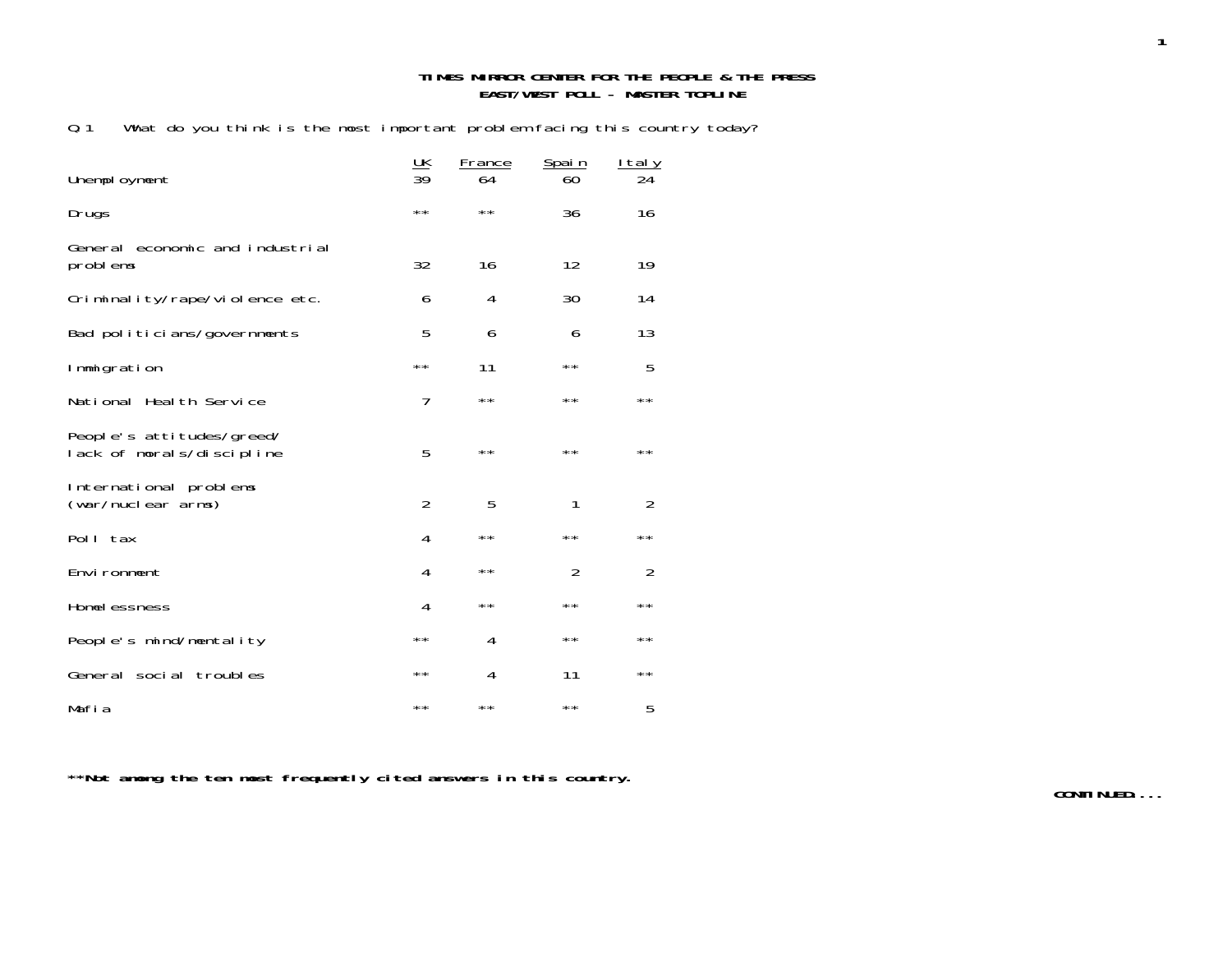#### **TIMES MIRROR CENTER FOR THE PEOPLE & THE PRESS EAST/WEST POLL - MASTER TOPLINE**

Q.1 What do you think is the most important problem facing this country today?

| Unemployment                                           | $\frac{UK}{39}$ | France<br>64 | <u>Spain</u><br>60 | <u>Italy</u><br>24 |
|--------------------------------------------------------|-----------------|--------------|--------------------|--------------------|
| Drugs                                                  | $\star\star$    | $\star\star$ | 36                 | 16                 |
| General economic and industrial<br>problems            | 32              | 16           | 12                 | 19                 |
| Criminality/rape/violence etc.                         | 6               | 4            | 30                 | 14                 |
| Bad politicians/governments                            | 5               | 6            | 6                  | 13                 |
| Immigration                                            | $\star\star$    | 11           | $\star\star$       | 5                  |
| National Health Service                                | 7               | $\star\star$ | $\star\star$       | **                 |
| People's attitudes/greed/<br>lack of morals/discipline | 5               | $\star\star$ | $\star\star$       | $\star\star$       |
| International problems<br>(war/nuclear arms)           | $\overline{2}$  | 5            | 1                  | $\mathcal{P}$      |
| Poll tax                                               | 4               | $\star\star$ | $\star\star$       | **                 |
| Environment                                            | 4               | $* *$        | $\overline{2}$     | $\overline{2}$     |
| Homel essness                                          | 4               | $\star\star$ | $\star\star$       | $\star\,\star$     |
| People's mind/mentality                                | $\star\star$    | 4            | $\star\star$       | $\star\star$       |
| General social troubles                                | $\star\star$    | 4            | 11                 | $\star\star$       |
| Mafia                                                  | $\star\star$    | $\star\star$ | $\star\star$       | 5                  |

**\*\*Not among the ten most frequently cited answers in this country.**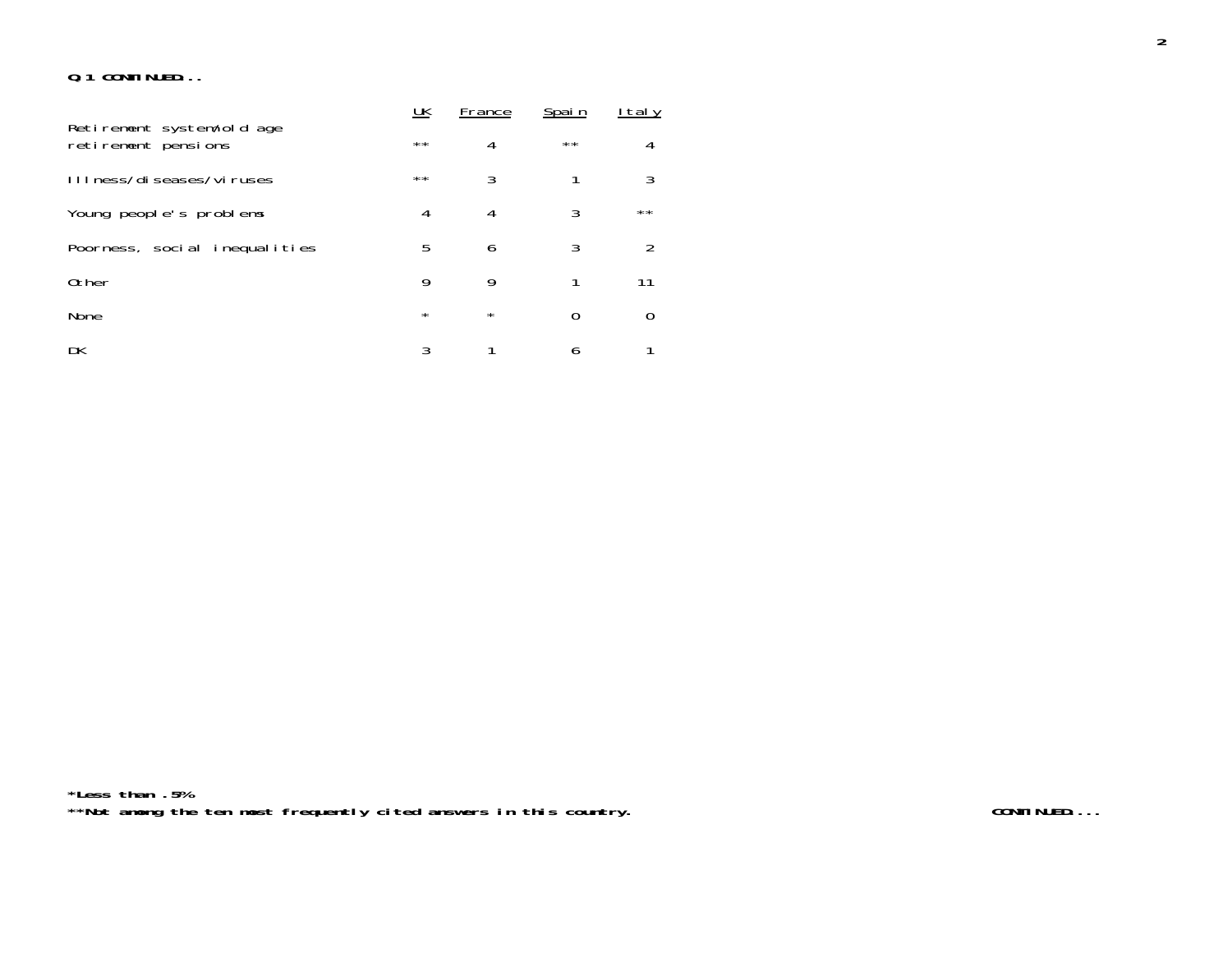#### **Q.1 CONTINUED...**

|                                                  | UK           | France  | Spain        | <u>I tal y</u> |
|--------------------------------------------------|--------------|---------|--------------|----------------|
| Retirement system/old age<br>retirement pensions | $\star\star$ | 4       | $\star\star$ | 4              |
| III ness/di seases/vi ruses                      | $***$        | 3       |              | 3              |
| Young people's problems                          | 4            | 4       | 3            | $\star\star$   |
| Poorness, social inequalities                    | 5            | 6       | 3            | 2              |
| 0ther                                            | 9            | 9       |              | 11             |
| None                                             | $\star$      | $\star$ | 0            |                |
| DK                                               | 3            |         | 6            |                |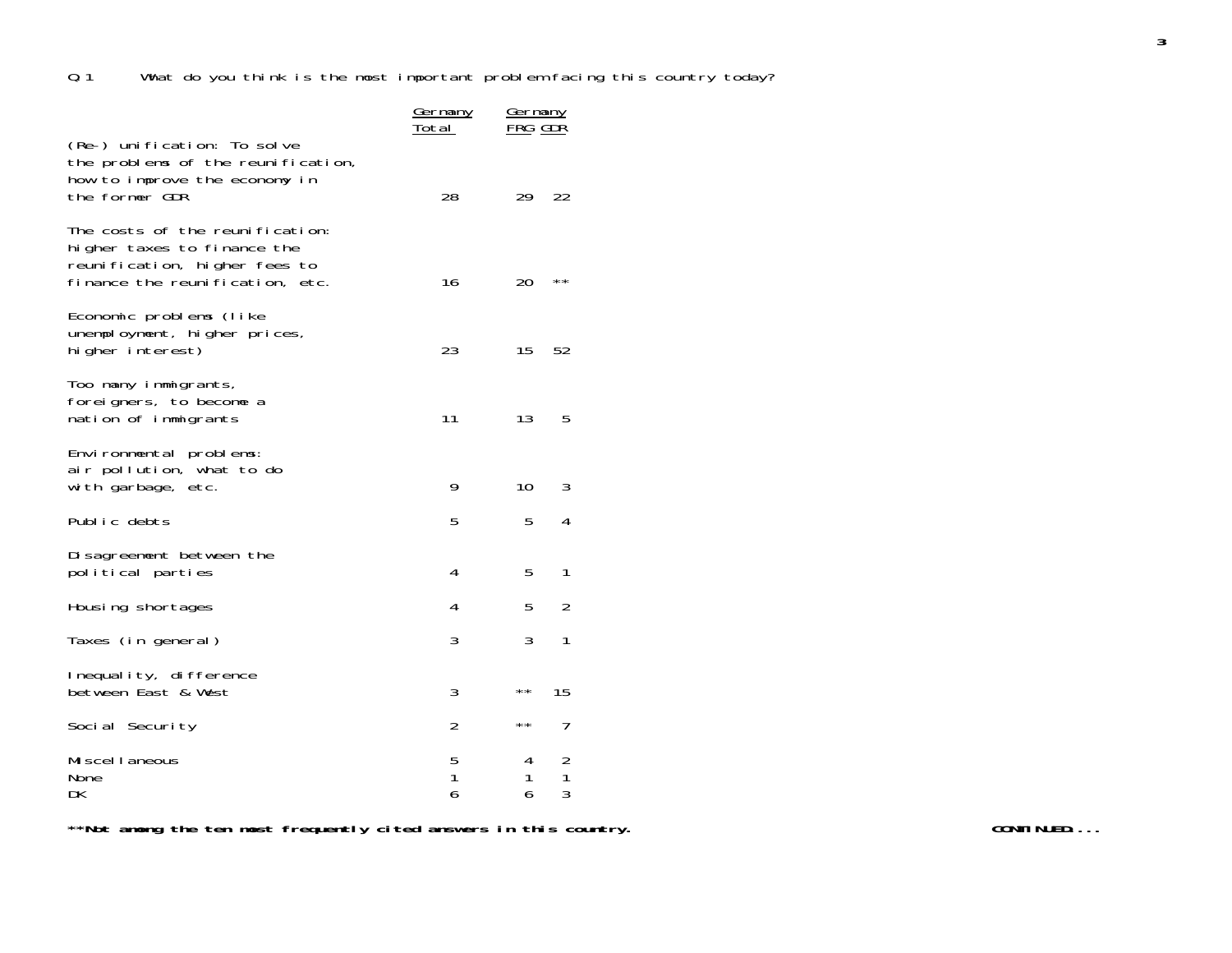|                                                                                                                                    | <u>Germany</u><br>T <u>otal</u> | <u>Germany</u><br>FRG GDR |                |  |
|------------------------------------------------------------------------------------------------------------------------------------|---------------------------------|---------------------------|----------------|--|
| (Re-) unification: To solve<br>the problems of the reunification,<br>how to improve the economy in<br>the former GDR               | 28                              | 29                        | 22             |  |
| The costs of the reunification:<br>higher taxes to finance the<br>reunification, higher fees to<br>finance the reunification, etc. | 16                              | 20                        | $\star\,\star$ |  |
| Economic problems (like<br>unemployment, higher prices,<br>higher interest)                                                        | 23                              | 15                        | 52             |  |
| Too many immigrants,<br>foreigners, to become a<br>nation of immigrants                                                            | 11                              | 13                        | 5              |  |
| Environmental problems:<br>air pollution, what to do<br>with garbage, etc.                                                         | 9                               | 10                        | 3              |  |
| Public debts                                                                                                                       | 5                               | 5                         | 4              |  |
| Disagreement between the<br>political parties                                                                                      | 4                               | 5                         | 1              |  |
| Housing shortages                                                                                                                  | 4                               | 5                         | $\overline{2}$ |  |
| Taxes (in general)                                                                                                                 | 3                               | 3                         | 1              |  |
| Inequality, difference<br>between East & West                                                                                      | 3                               | $\star\,\star$            | 15             |  |
| Social Security                                                                                                                    | $\overline{2}$                  | $\star\,\star$            | 7              |  |
| Mi scel I aneous<br>None<br>DK                                                                                                     | 5<br>1<br>6                     | 4<br>1<br>6               | 2<br>1<br>3    |  |

\*\*Not among the ten most frequently cited answers in this country.<br><u>**Example 2001 and the continued...**</u>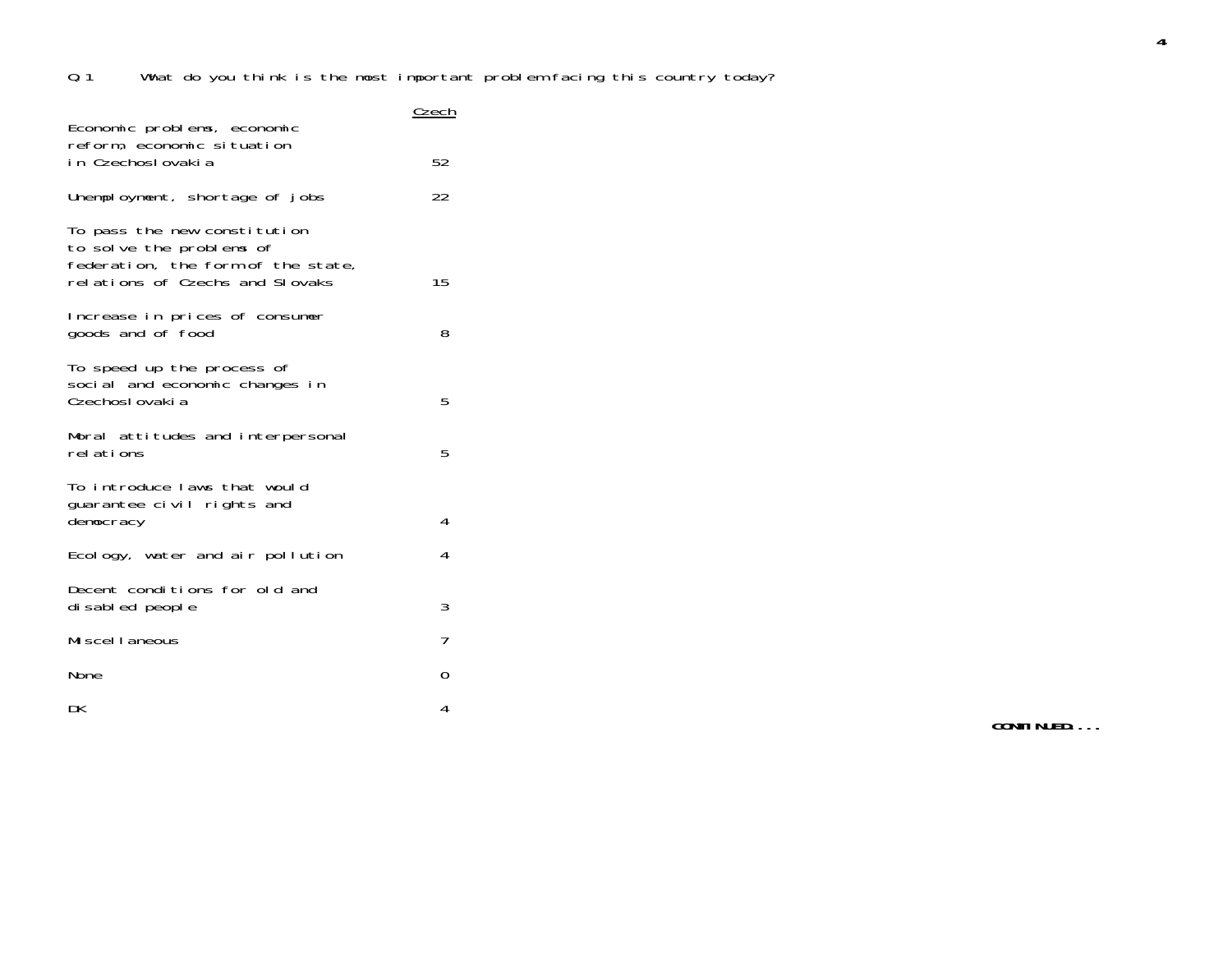|                                                                                                                                   | Czech |
|-----------------------------------------------------------------------------------------------------------------------------------|-------|
| Economic problems, economic<br>reform, economic situation<br>in Czechoslovakia                                                    | 52    |
| Unemployment, shortage of jobs                                                                                                    | 22    |
| To pass the new constitution<br>to solve the problems of<br>federation, the form of the state,<br>relations of Czechs and Slovaks | 15    |
| Increase in prices of consumer<br>goods and of food                                                                               | 8     |
| To speed up the process of<br>social and economic changes in<br>Czechoslovaki a                                                   | 5     |
| Moral attitudes and interpersonal<br>rel ations                                                                                   | 5     |
| To introduce laws that would<br>quarantee civil rights and<br>democracy                                                           | 4     |
| Ecology, water and air pollution                                                                                                  | 4     |
| Decent conditions for old and<br>di sabled people                                                                                 | 3     |
| Mi scel I aneous                                                                                                                  | 7     |
| None                                                                                                                              | 0     |
| DK                                                                                                                                | 4     |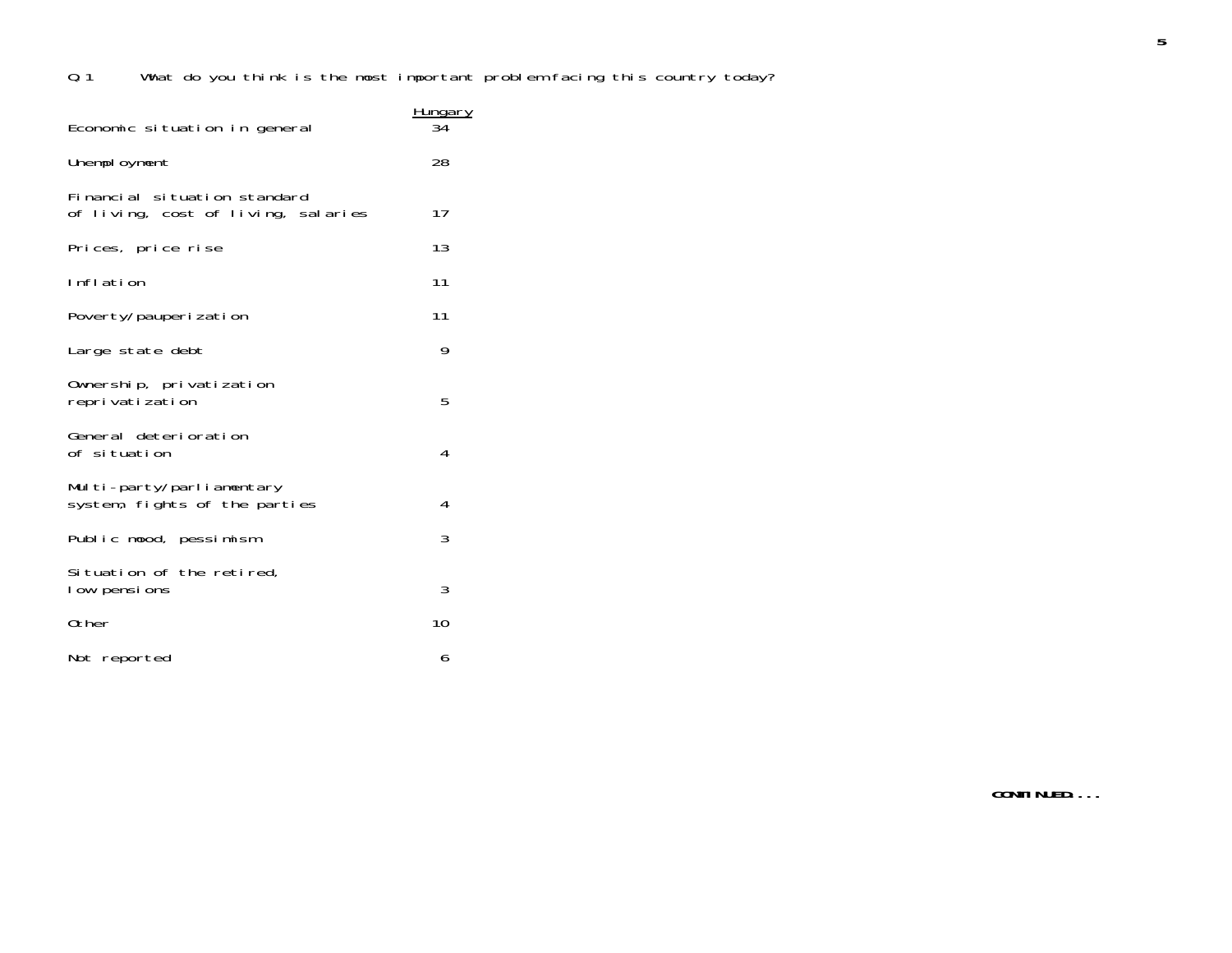|                                                                     | <u>Hungary</u> |
|---------------------------------------------------------------------|----------------|
| Economic situation in general                                       | 34             |
| Unemployment                                                        | 28             |
| Financial situation standard<br>of living, cost of living, salaries | 17             |
| Prices, price rise                                                  | 13             |
| Inflation                                                           | 11             |
| Poverty/pauperization                                               | 11             |
| Large state debt                                                    | 9              |
| Ownership, privatization<br>reprivatization                         | 5              |
| General deterioration<br>of situation                               | 4              |
| Multi-party/parliamentary<br>system, fights of the parties          | 4              |
| Public mood, pessimism                                              | 3              |
| Situation of the retired,<br>low pensions                           | 3              |
| Other                                                               | 10             |
| Not reported                                                        | 6              |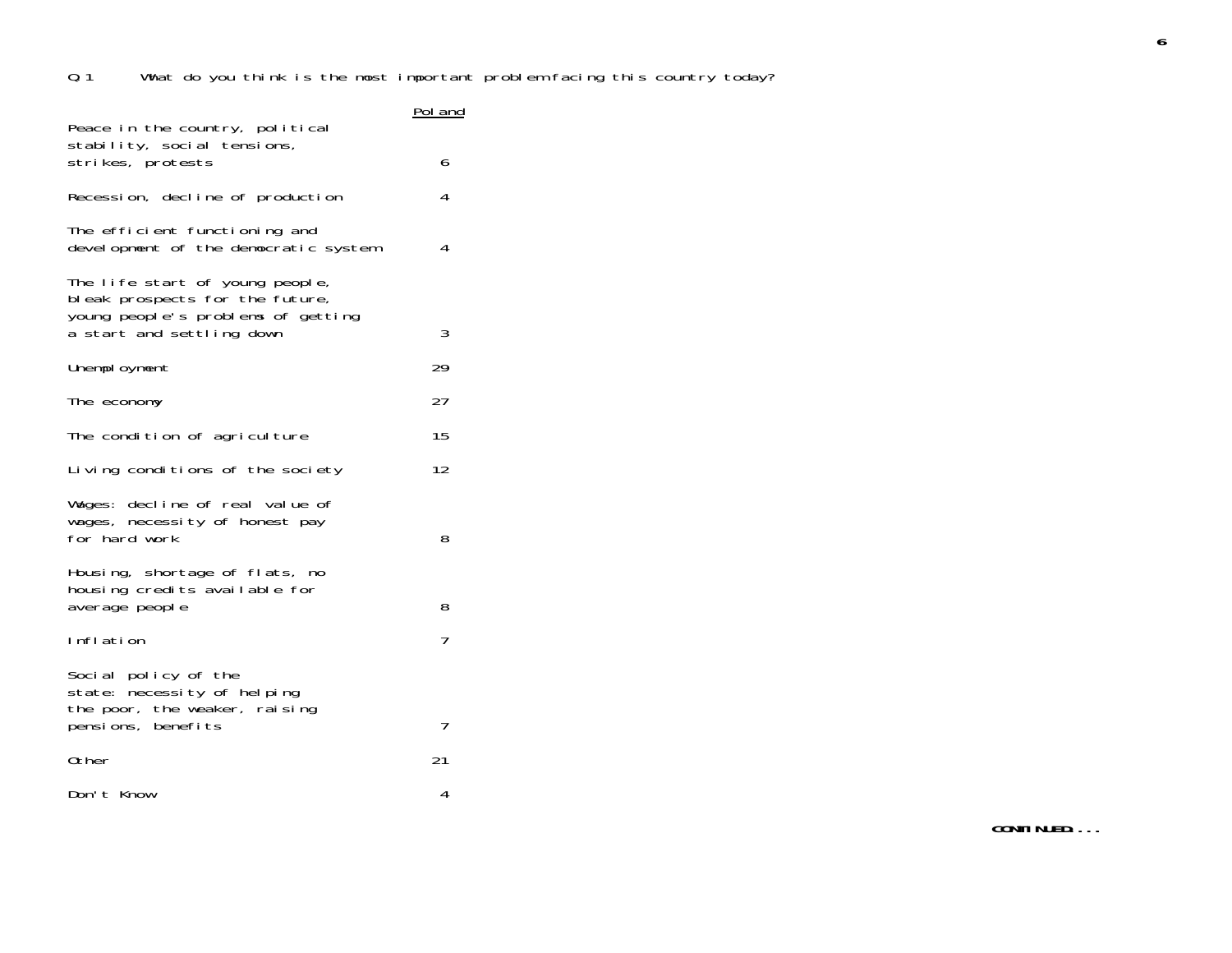| Peace in the country, political                                                                                                       | P <u>ol and</u> |
|---------------------------------------------------------------------------------------------------------------------------------------|-----------------|
| stability, social tensions,<br>strikes, protests                                                                                      | 6               |
| Recession, decline of production                                                                                                      | 4               |
| The efficient functioning and<br>development of the democratic system                                                                 | 4               |
| The life start of young people,<br>bleak prospects for the future,<br>young people's problems of getting<br>a start and settling down | 3               |
| Unemployment                                                                                                                          | 29              |
| The economy                                                                                                                           | 27              |
| The condition of agriculture                                                                                                          | 15              |
| Living conditions of the society                                                                                                      | 12              |
| Wages: decline of real value of<br>wages, necessity of honest pay<br>for hard work                                                    | 8               |
| Housing, shortage of flats, no<br>housing credits available for<br>average people                                                     | 8               |
| Inflation                                                                                                                             | 7               |
| Social policy of the<br>state: necessity of helping<br>the poor, the weaker, raising<br>pensions, benefits                            | 7               |
| 0ther                                                                                                                                 | 21              |
| Don't Know                                                                                                                            | 4               |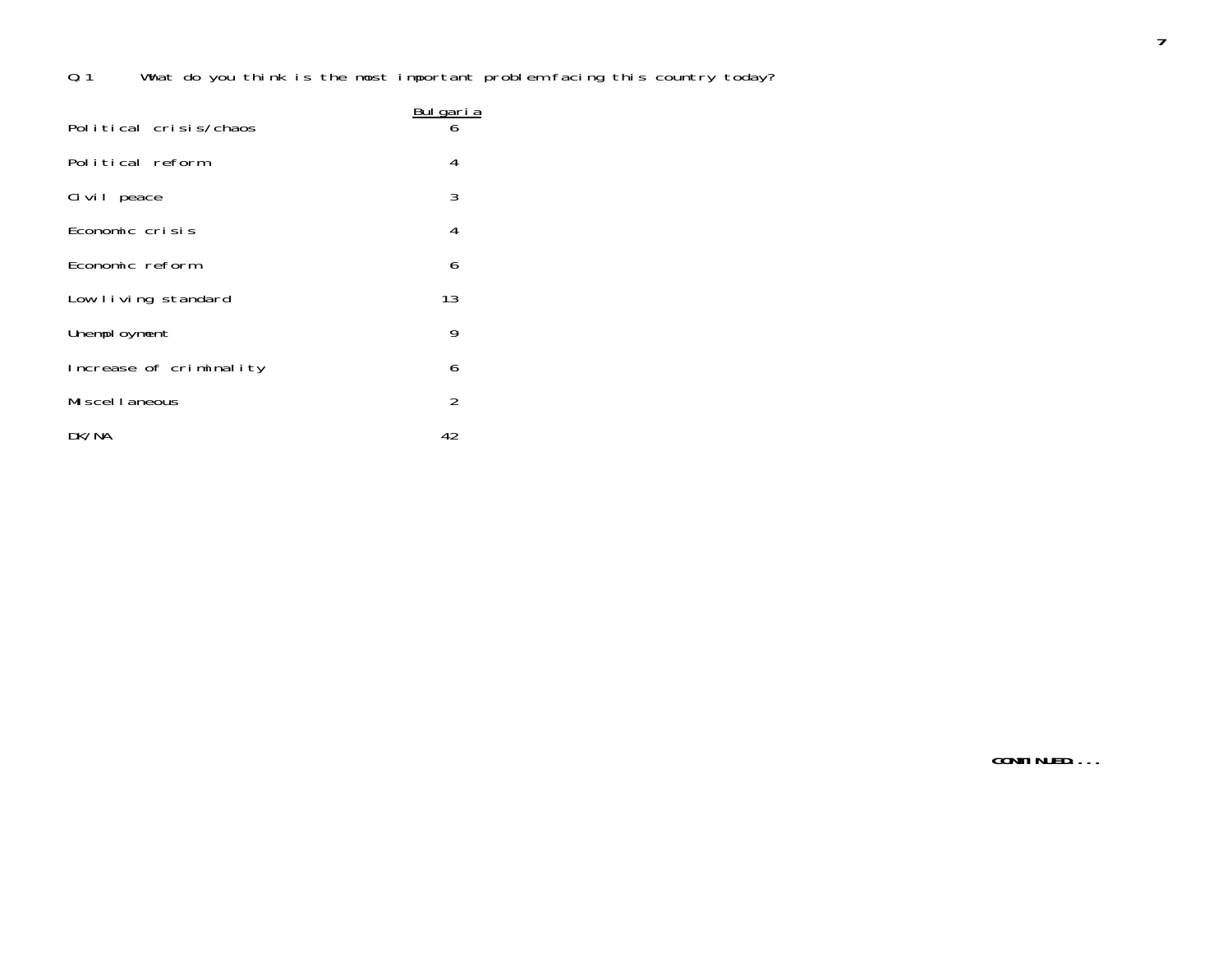| Political crisis/chaos  | Bulgaria<br>6  |
|-------------------------|----------------|
| Political reform        | 4              |
| Civil peace             | 3              |
| Economic crisis         | 4              |
| Economic reform         | 6              |
| Low living standard     | 13             |
| Unemployment            | 9              |
| Increase of criminality | 6              |
| Miscellaneous           | $\overline{2}$ |
| DK/NA                   | 42             |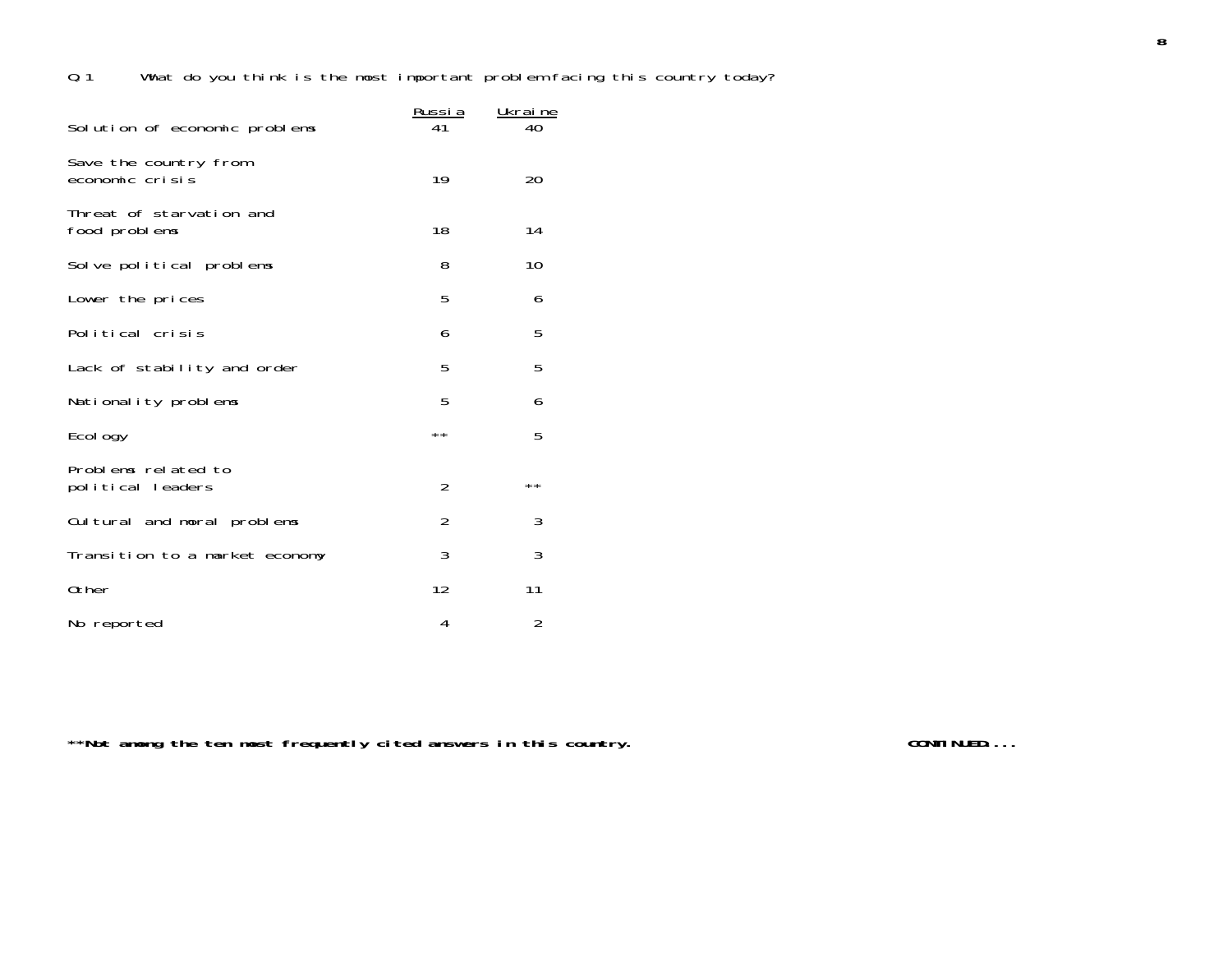|                                           | <u>Russia</u>  | Ukraine |
|-------------------------------------------|----------------|---------|
| Solution of economic problems             |                | 40      |
| Save the country from<br>economic crisis  | 19             | 20      |
| Threat of starvation and<br>food problems | 18             | 14      |
| Solve political problems                  | 8              | 10      |
| Lower the prices                          | 5              | 6       |
| Political crisis                          | 6              | 5       |
| Lack of stability and order               | 5              | 5       |
| Nationality problems                      | 5              | 6       |
| Ecol ogy                                  | **             | 5       |
| Problems related to<br>political leaders  | $\overline{2}$ | $* *$   |
| Cultural and moral problems               | $\overline{2}$ | 3       |
| Transition to a market economy            | 3              | 3       |
| 0ther                                     | 12             | 11      |
| No reported                               | 4              | 2       |

\*\*Not among the ten most frequently cited answers in this country. **The contract of the CONTINUED...**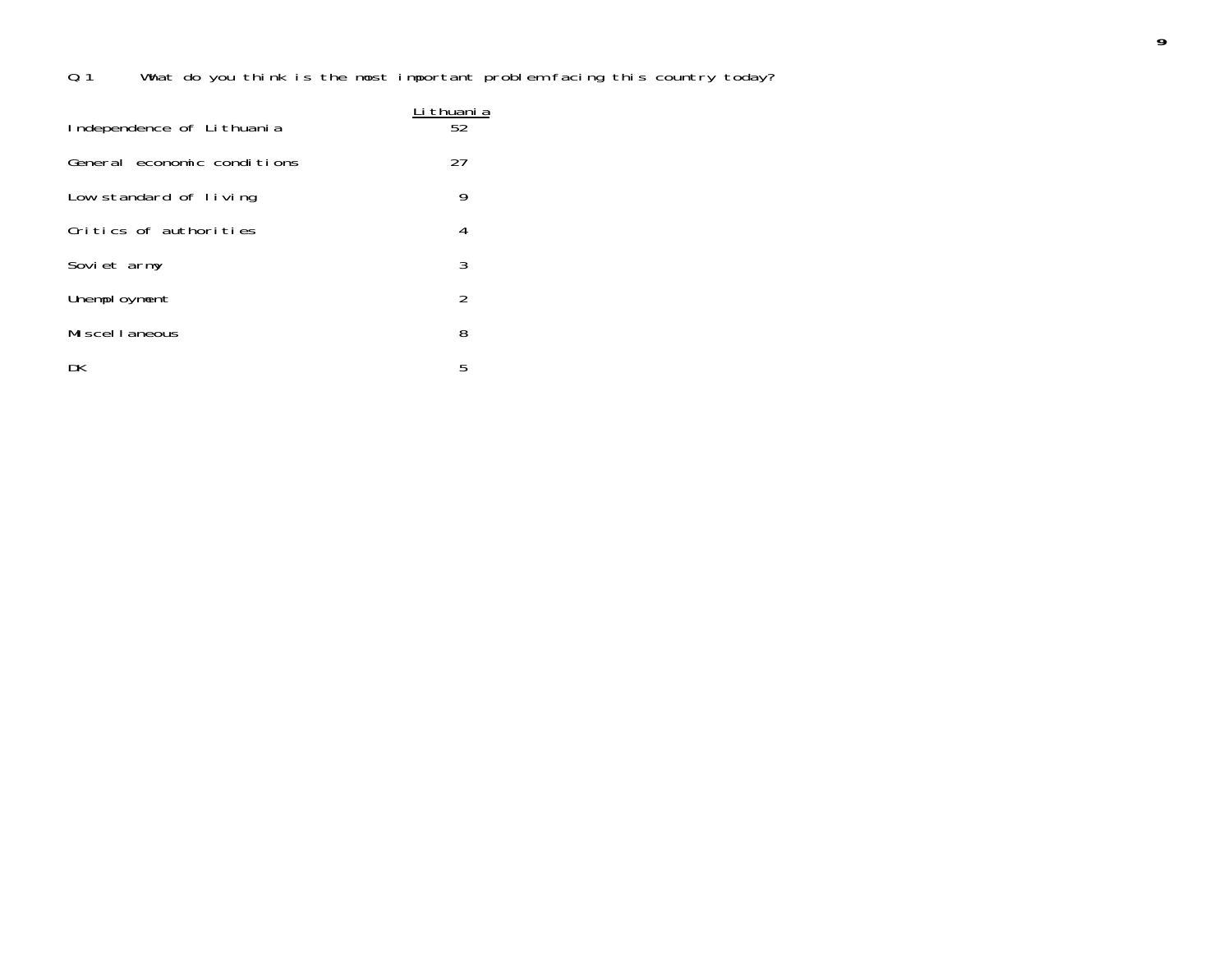| Independence of Lithuania   | ∟i thuani a<br>52 |
|-----------------------------|-------------------|
| General economic conditions | 27                |
| Low standard of living      | 9                 |
| Critics of authorities      | 4                 |
| Soviet army                 | 3                 |
| Unemployment                | 2                 |
| Mi scel I aneous            | 8                 |
| DK                          | 5                 |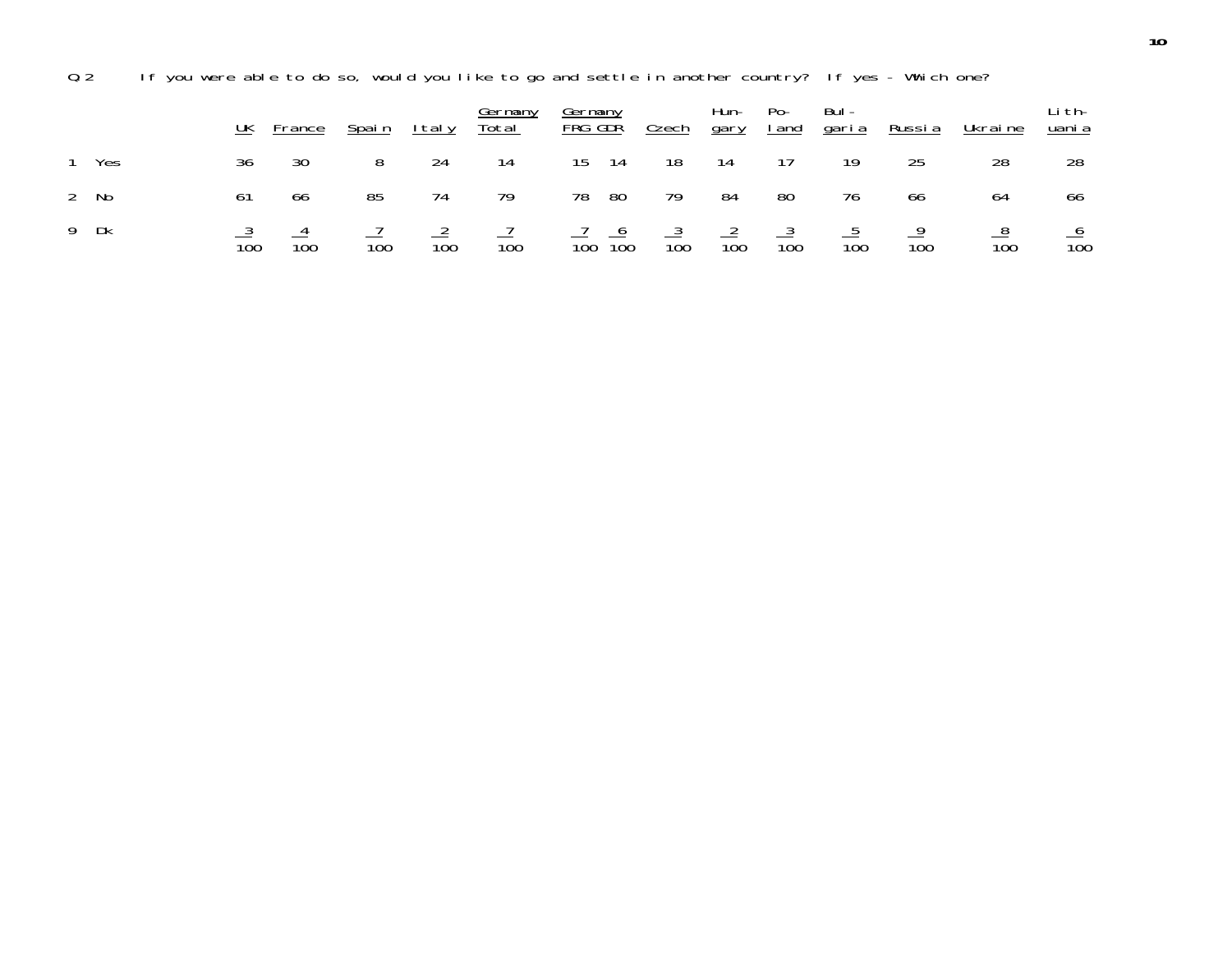Q.2 If you were able to do so, would you like to go and settle in another country? If yes - Which one?

|       | UK               | <b>France</b>   | <u>Spain</u>    | <u>Italy</u> | <u>Germany</u><br>Total         | <u>Germany</u><br>FRG GDR                                                       | <u>Czech</u> | Hun-<br><u>qary</u> | Po- | Bul -<br><u>land garia</u> | <u>Russia</u>   | <u>Ukraine</u>  | Li th-<br><u>uani a</u> |
|-------|------------------|-----------------|-----------------|--------------|---------------------------------|---------------------------------------------------------------------------------|--------------|---------------------|-----|----------------------------|-----------------|-----------------|-------------------------|
| 1 Yes | 36               | 30              |                 | 24           | -14                             | 14<br>15                                                                        | 18           | - 14                | 17  | 19                         | 25              | 28              | 28                      |
| 2 No  |                  | 66              | 85              | 74           | 79                              | - 80<br>78                                                                      | 79           | 84                  | 80  | 76                         | 66              | 64              | 66                      |
| 9 Dk  | $\overline{100}$ | $\frac{4}{100}$ | $\frac{1}{100}$ |              | $\frac{2}{100}$ $\frac{7}{100}$ | $\frac{7}{100}$ $\frac{6}{100}$ $\frac{3}{100}$ $\frac{2}{100}$ $\frac{3}{100}$ |              |                     |     | $\frac{5}{100}$            | $\frac{9}{100}$ | $\frac{8}{100}$ | $rac{6}{100}$           |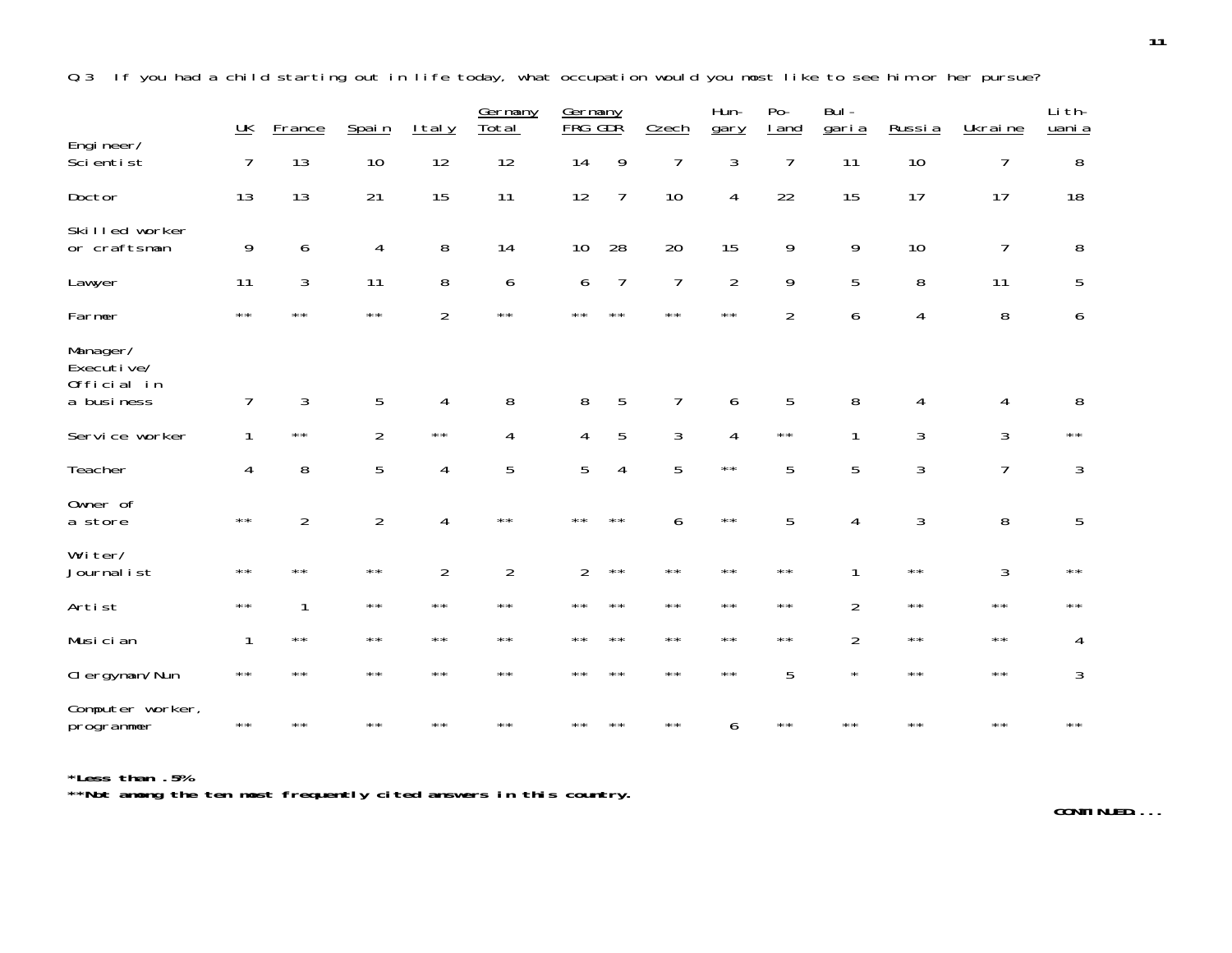Q.3 If you had a child starting out in life today, what occupation would you most like to see him or her pursue?

|                                                     | <u>UK</u>      | <b>France</b>  | Spain          | <u>Italy</u>   | Germany<br>Total | Germany<br>FRG | GDŘ            | Czech          | Hun-<br>gary   | $Po-$<br><u>I</u> and | $Bul -$<br>garia | Russia         | Ukraine        | Li th-<br>uani a |
|-----------------------------------------------------|----------------|----------------|----------------|----------------|------------------|----------------|----------------|----------------|----------------|-----------------------|------------------|----------------|----------------|------------------|
| Engineer/<br>Scientist                              | 7              | 13             | 10             | 12             | 12               | 14             | 9              | $\overline{7}$ | 3              | $\overline{7}$        | 11               | 10             | $\overline{1}$ | 8                |
| Doctor                                              | 13             | 13             | 21             | 15             | 11               | 12             | $\overline{7}$ | 10             | $\overline{4}$ | 22                    | 15               | 17             | 17             | 18               |
| Skilled worker<br>or craftsman                      | 9              | 6              | 4              | 8              | 14               | 10             | 28             | 20             | 15             | 9                     | 9                | 10             | 7              | 8                |
| Lawyer                                              | 11             | 3              | 11             | 8              | 6                | 6              | $\overline{7}$ | $\overline{7}$ | $\overline{2}$ | 9                     | 5                | 8              | 11             | 5                |
| Farmer                                              | $\star\star$   | $\star\star$   | $\star\star$   | $\overline{2}$ | $\star\star$     | $\star\star$   | $\star\star$   | $\star\star$   | $\star\star$   | $\overline{2}$        | 6                | 4              | 8              | 6                |
| Manager/<br>Executive/<br>Official in<br>a business | $\overline{7}$ | 3              | 5              | 4              | 8                | 8              | 5              | 7              | 6              | 5                     | 8                | 4              | 4              | 8                |
| Service worker                                      | 1              | $\star\star$   | $\overline{2}$ | $\star\,\star$ | 4                | $\overline{4}$ | 5              | $\mathfrak{Z}$ | $\overline{4}$ | $\star\,\star$        | 1                | 3              | 3              | $\star\star$     |
| Teacher                                             | $\overline{4}$ | 8              | 5              | $\overline{4}$ | 5                | 5              | $\overline{4}$ | 5              | $\star\star$   | 5                     | 5                | 3              | $\overline{1}$ | 3                |
| Owner of<br>a store                                 | $\star\,\star$ | $\overline{2}$ | $\overline{2}$ | $\overline{4}$ | $\star\,\star$   | $\star\star$   | $\star\star$   | 6              | $\star\,\star$ | 5                     | 4                | $\sqrt{3}$     | 8              | 5                |
| Writer/<br>Journal ist                              | $\star\star$   | $\star\star$   | $\star\star$   | $\overline{2}$ | $\overline{2}$   | $\overline{2}$ | $\star\star$   | $\star\,\star$ | $\star\star$   | $\star\star$          | 1                | $\star\,\star$ | 3              | $\star\star$     |
| Artist                                              | $\star\,\star$ | 1              | $\star\star$   | $\star\,\star$ | $\star\,\star$   | $\star\,\star$ | $\star\star$   | $\star\,\star$ | $\star\,\star$ | $\star\,\star$        | $\overline{2}$   | $\star\,\star$ | $\star\star$   | $\star\star$     |
| Musician                                            | $\mathbf{1}$   | $\star\,\star$ | $\star\star$   | $\star\,\star$ | $\star\,\star$   | $\star\,\star$ | $\star\star$   | $\star\,\star$ | $\star\,\star$ | $\star\,\star$        | $\overline{2}$   | $\star\,\star$ | $\star\star$   | 4                |
| Clergyman/Nun                                       | $\star\star$   | $\star\star$   | $\star\star$   | $\star\star$   | $\star\star$     | $\star\star$   | $* *$          | $\star\star$   | $\star\star$   | 5                     | $\star$          | $\star\star$   | $\star\star$   | 3                |
| Computer worker,<br>programmer                      | $\star\,\star$ | $\star\star$   | $\star\star$   | $\star\star$   | $\star\star$     | $\star\star$   | $\star\star$   | $\star\,\star$ | 6              | $\star\star$          | $\star\,\star$   | $\star\,\star$ | $\star\star$   | $\star\star$     |

**\*Less than .5% \*\*Not among the ten most frequently cited answers in this country.**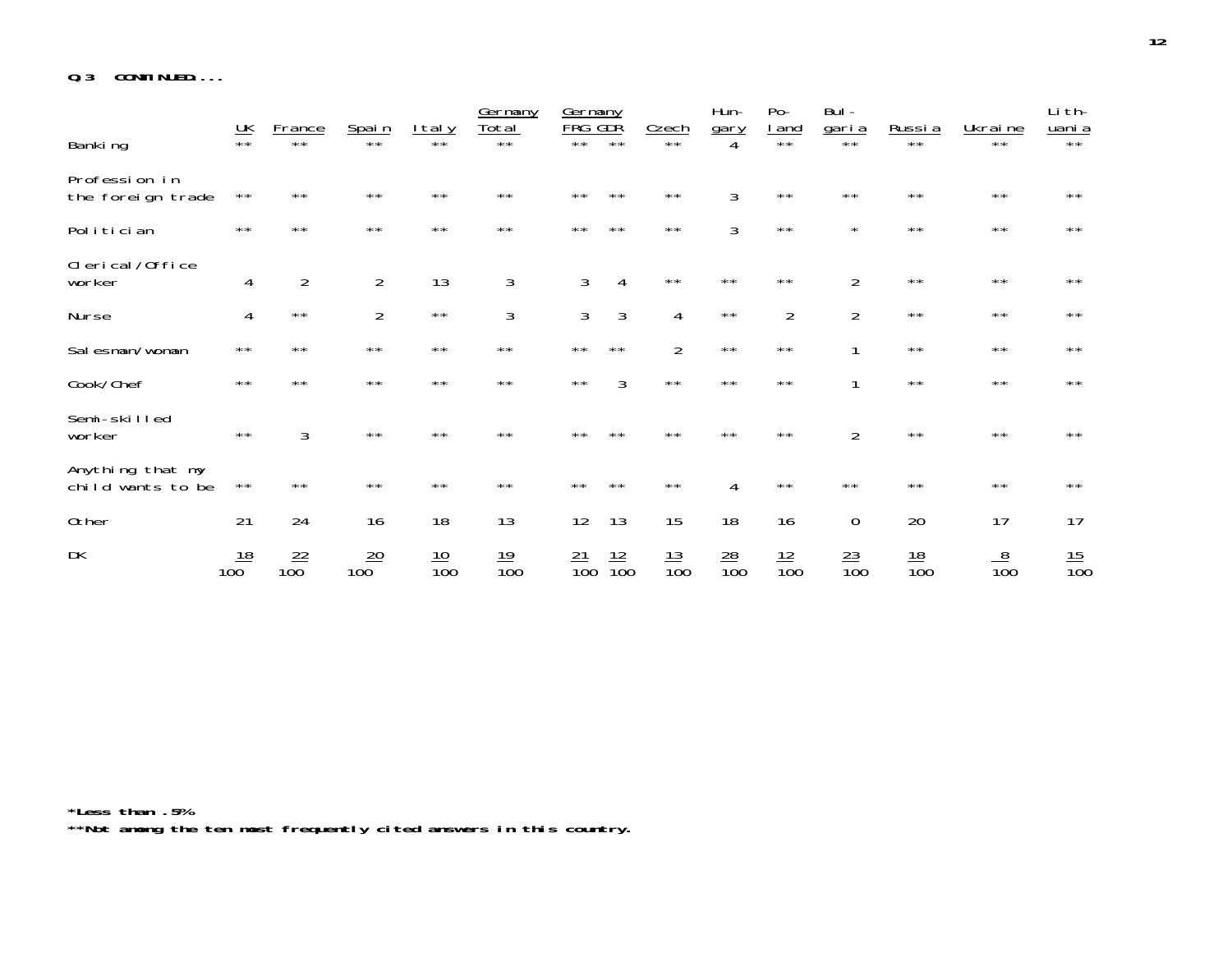**Q.3 CONTINUED....**

|                                       |                                |                       |                  |                  | Germany              | Germany<br><b>FRG</b> | <u>GDŘ</u>       |                       | Hun-             | $Po-$               | Bul -                        |                  |                  | Li th-           |
|---------------------------------------|--------------------------------|-----------------------|------------------|------------------|----------------------|-----------------------|------------------|-----------------------|------------------|---------------------|------------------------------|------------------|------------------|------------------|
| Banking                               | $\underline{\mathsf{UK}}_{**}$ | <u>France</u><br>$**$ | Spai n           | ltaly            | <u>Total</u><br>$**$ | $* *$                 | $***$            | <b>Czech</b><br>$***$ | gary             | <u>I and</u><br>$*$ | <u>garia</u><br>$\star\star$ | <u>Russia</u>    | Ukraine<br>$***$ | uani a<br>$**$   |
| Profession in<br>the foreign trade    | $\star\star$                   | $\star\star$          | $* *$            | $\star\star$     | $\star\star$         | $\star\star$          | $\star\star$     | $\star\star$          | 3                | $\star\star$        | $\star\star$                 | $\star\star$     | $\star\star$     | $\star\star$     |
| Politician                            | $\star\star$                   | $\star\star$          | $\star\star$     | $\star\star$     | $\star\star$         | $\star\star$          | $\star\star$     | $\star\star$          | 3                | $\star\star$        | $\star$                      | $\star\star$     | $\star\star$     | $\star\star$     |
| Clerical/Office<br>worker             | 4                              | $\overline{2}$        | $\overline{2}$   | 13               | 3                    | 3                     | 4                | $\star\star$          | $\star\star$     | $\star\star$        | $\overline{2}$               | $\star\star$     | $\star\star$     | $\star\star$     |
| Nurse                                 | 4                              | $\star\star$          | $\overline{2}$   | $\star\,\star$   | 3                    | 3                     | 3                | $\overline{4}$        | $\star\star$     | $\overline{2}$      | $\overline{2}$               | $\star\star$     | $\star\star$     | $\star\,\star$   |
| Salesman/woman                        | $* *$                          | $* *$                 | $\star\star$     | $\star\star$     | $\star\star$         | $\star\star$          | $\star\star$     | $\overline{2}$        | $\star\star$     | $\star\star$        |                              | $\star\star$     | $\star\star$     | $\star\star$     |
| Cook/Chef                             | $\star\star$                   | $\star\star$          | $**$             | $\star\star$     | $\star\star$         | $\star\star$          | 3                | $\star\star$          | $\star\star$     | $\star\star$        |                              | $\star\star$     | $\star\star$     | $\star\star$     |
| Semi-skilled<br>worker                | $\star\star$                   | 3                     | $\star\star$     | $\star\star$     | $\star\star$         | $***$                 | $***$            | $\star\star$          | $\star\star$     | $\star\star$        | $\overline{2}$               | $\star\star$     | $\star\star$     | $\star\star$     |
| Anything that my<br>child wants to be | $\star\star$                   | $\star\star$          | $\star\star$     | $\star\star$     | $\star\star$         | $\star\star$          | $\star\star$     | $\star\star$          | $\overline{4}$   | $\star\star$        | $\star\star$                 | $\star\star$     | $\star\star$     | $\star\star$     |
| 0ther                                 | 21                             | 24                    | 16               | 18               | 13                   | 12                    | 13               | 15                    | 18               | 16                  | $\mathbf 0$                  | 20               | 17               | 17               |
| DK                                    | <u>18</u><br>10 <sub>0</sub>   | $\frac{22}{100}$      | $\frac{20}{100}$ | $\frac{10}{100}$ | $\frac{19}{100}$     | $\frac{21}{100}$      | $\frac{12}{100}$ | $\frac{13}{100}$      | $\frac{28}{100}$ | $\frac{12}{100}$    | $\frac{23}{100}$             | $\frac{18}{100}$ | $\frac{8}{100}$  | $\frac{15}{100}$ |

**\*Less than .5% \*\*Not among the ten most frequently cited answers in this country.**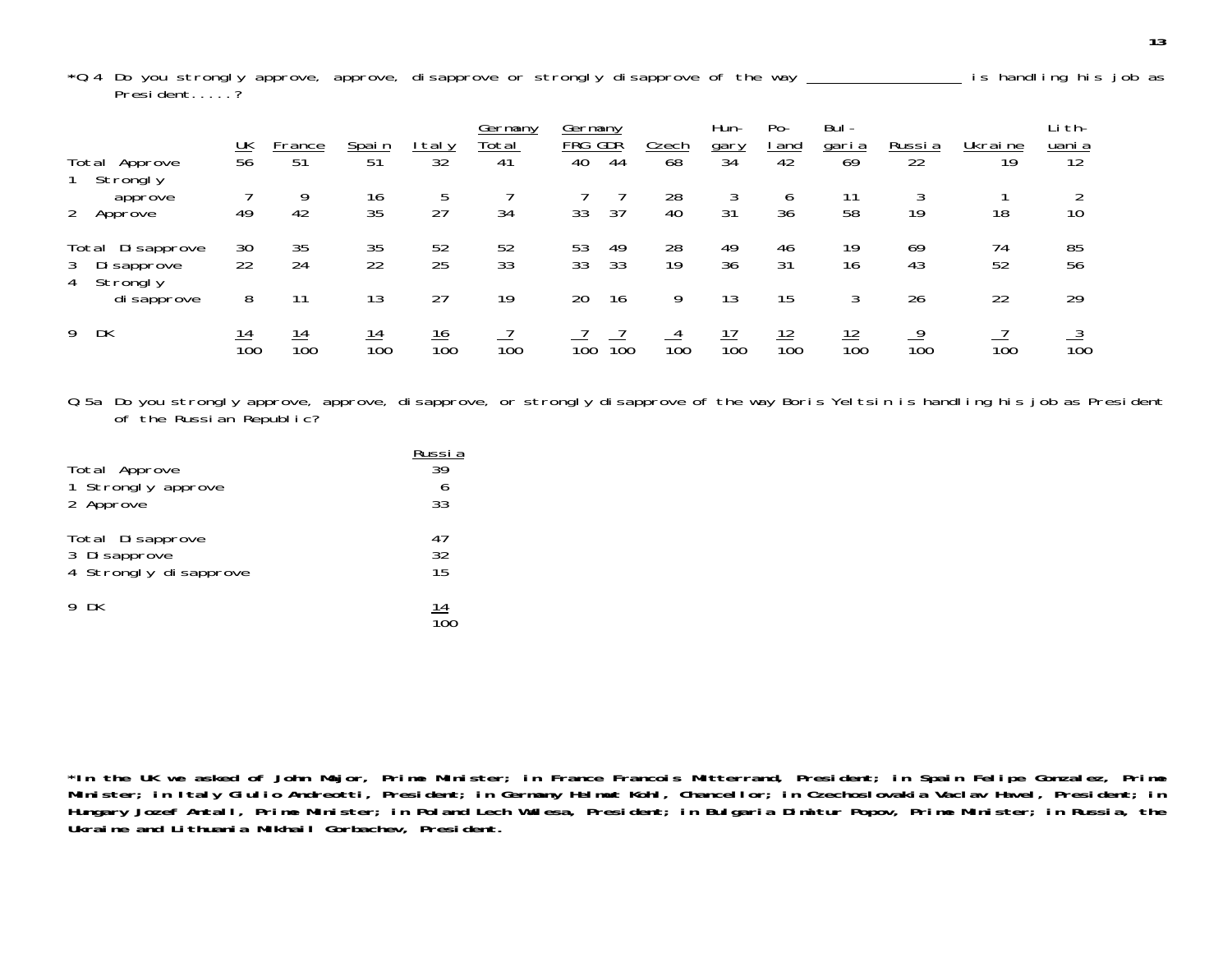\*0.4 Do you strongly approve, approve, disapprove or strongly disapprove of the way **incles and the solution** is handling his job as President.....?

|                                                       | $\frac{UK}{56}$  | France                 | <u>Spain</u>     | taly             | Germany<br><u>Total</u> | Germany<br>FRG GDR |                  | <u>Czech</u>     | Hun-<br>gary           | $Po-$<br><u>i and</u> | Bul-<br><u>garia</u> | Russia           | Ukraine  | Li th-<br><u>uani a</u> |
|-------------------------------------------------------|------------------|------------------------|------------------|------------------|-------------------------|--------------------|------------------|------------------|------------------------|-----------------------|----------------------|------------------|----------|-------------------------|
| Total Approve<br>Strongly                             |                  | 51                     | $\overline{51}$  | $\overline{32}$  | 41                      | 40                 | 44               | 68               | $\overline{34}$        | 42                    | 69                   | 22               | 19       | 12                      |
| approve<br>$\overline{2}$<br>Approve                  | 49               | 9<br>42                | 16<br>35         | 5<br>27          | 34                      | 33                 | 37               | 28<br>40         | 31                     | 6<br>36               | 58                   | 19               | 18       | 10                      |
| Total Disapprove<br>Di sapprove<br>3<br>Strongly<br>4 | 30<br>22         | 35<br>24               | 35<br>22         | 52<br>25         | 52<br>33                | 53<br>33           | 49<br>33         | 28<br>19         | 49<br>36               | 46<br>31              | 19<br>16             | 69<br>43         | 74<br>52 | 85<br>56                |
| di sapprove                                           | 8                |                        | 13               | 27               | 19                      | 20                 | 16               | 9                | 13                     | 15                    |                      | 26               | 22       | 29                      |
| DK<br>9                                               | $\frac{14}{100}$ | 14<br>$\overline{100}$ | $\frac{14}{100}$ | $\frac{16}{100}$ | $\overline{10}0$        | $\overline{10}0$   | $\overline{100}$ | $\overline{10}0$ | 17<br>$\overline{10}0$ | $\frac{12}{100}$      | $\frac{12}{100}$     | $\overline{10}0$ | 100      | $\overline{10}0$        |

Q.5a Do you strongly approve, approve, disapprove, or strongly disapprove of the way Boris Yeltsin is handling his job as President of the Russian Republic?

| Total Approve         | Russi a    |
|-----------------------|------------|
| 1 Strongly approve    | 39         |
| 2 Approve             | 33         |
| Total Disapprove      | 47         |
| 3 Di sapprove         | 32         |
| 4 Strongly disapprove | 15         |
| 9 DK                  | <u> 14</u> |

**\*In the UK we asked of John Major, Prime Minister; in France Francois Mitterrand, President; in Spain Felipe Gonzalez, Prime Minister; in Italy Giulio Andreotti, President; in Germany Helmut Kohl, Chancellor; in Czechoslovakia Vaclav Havel, President; in Hungary Jozef Antall, Prime Minister; in Poland Lech Walesa, President; in Bulgaria Dimitur Popov, Prime Minister; in Russia, the Ukraine and Lithuania Mikhail Gorbachev, President.**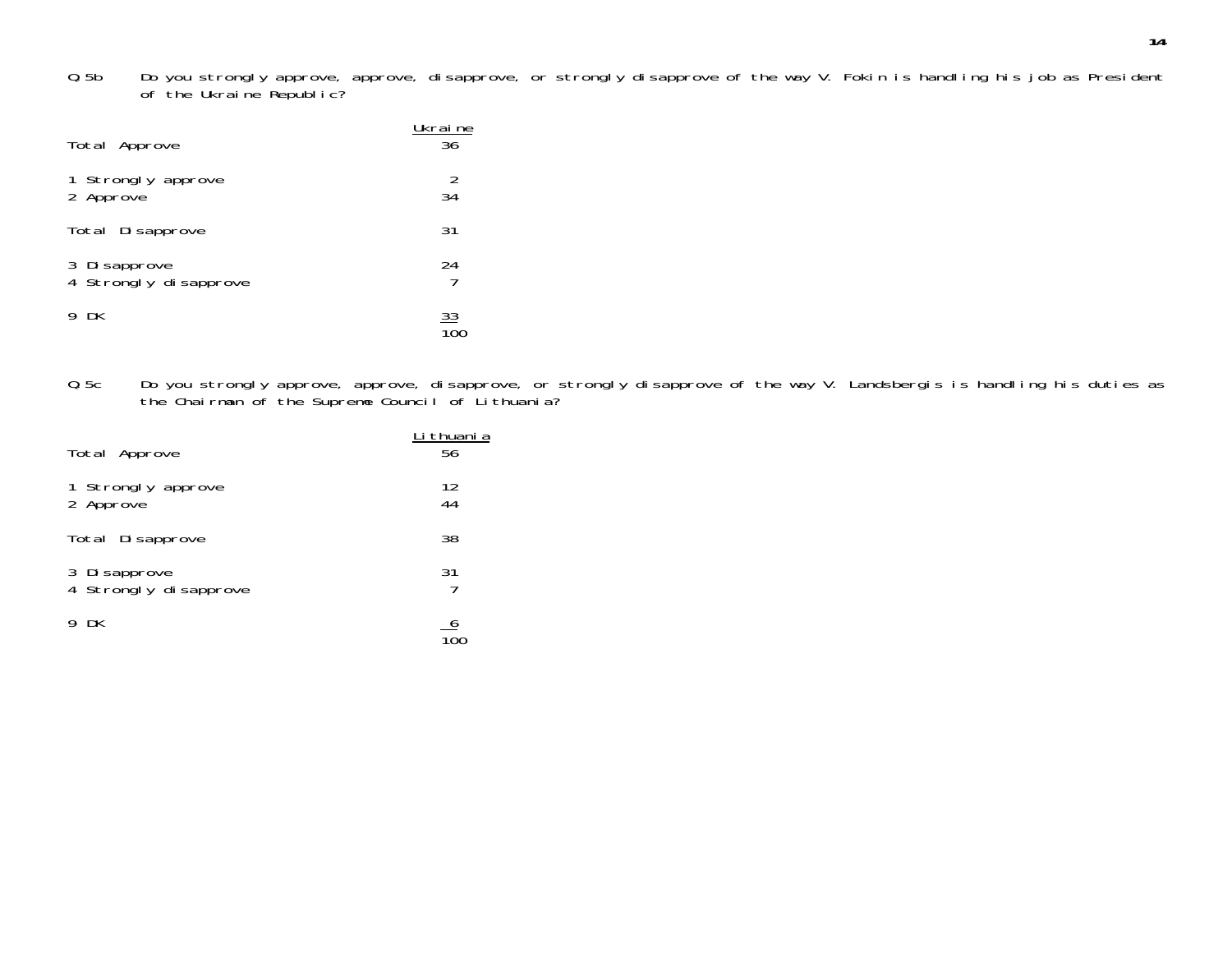Q.5b Do you strongly approve, approve, disapprove, or strongly disapprove of the way V. Fokin is handling his job as President of the Ukraine Republic?

| Total Approve                          | Ukraine<br>36 |
|----------------------------------------|---------------|
| 1 Strongly approve<br>2 Approve        | 2<br>34       |
| Total Disapprove                       | 31            |
| 3 Di sapprove<br>4 Strongly disapprove | 24            |
| - DK<br>9                              | <u>33</u>     |

Q.5c Do you strongly approve, approve, disapprove, or strongly disapprove of the way V. Landsbergis is handling his duties as the Chairman of the Supreme Council of Lithuania?

| Total Approve                          | Li thuani a<br>56 |
|----------------------------------------|-------------------|
| 1 Strongly approve<br>2 Approve        | 12<br>44          |
| Total Disapprove                       | 38                |
| 3 Di sapprove<br>4 Strongly disapprove | 31                |
| 9 DK                                   |                   |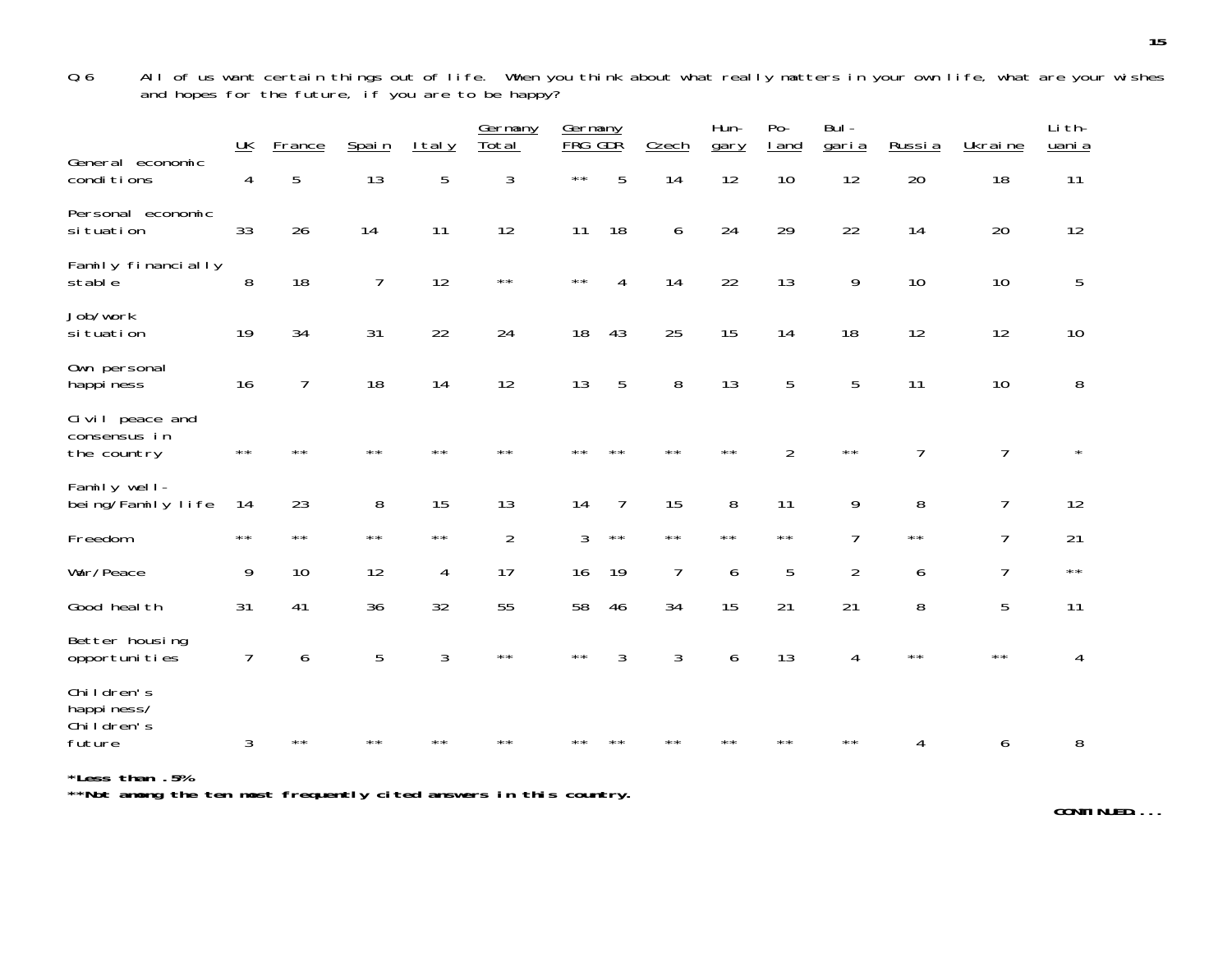Q.6 All of us want certain things out of life. When you think about what really matters in your own life, what are your wishes and hopes for the future, if you are to be happy?

|                                                  | UK             | France         | Spain          | <b>Italy</b>   | Germany<br>Total | Germany<br>FRG GDŘ |              | Czech        | Hun-<br>gary | $Po-$<br>I and | $Bul -$<br>garia | Russia         | Ukraine        | Li th-<br>uani a |
|--------------------------------------------------|----------------|----------------|----------------|----------------|------------------|--------------------|--------------|--------------|--------------|----------------|------------------|----------------|----------------|------------------|
| General economic<br>conditions                   | $\overline{4}$ | 5              | 13             | 5              | 3                | $\star\star$       | 5            | 14           | 12           | 10             | 12               | 20             | 18             | 11               |
| Personal economic<br>si tuation                  | 33             | 26             | 14             | 11             | 12               | 11                 | 18           | 6            | 24           | 29             | 22               | 14             | 20             | 12               |
| Family financially<br>stable                     | 8              | 18             | $\overline{7}$ | 12             | $\star\star$     | $\star\star$       | 4            | 14           | 22           | 13             | 9                | 10             | 10             | 5                |
| Job/work<br>si tuation                           | 19             | 34             | 31             | 22             | 24               | 18                 | 43           | 25           | 15           | 14             | 18               | 12             | 12             | 10               |
| Own personal<br>happi ness                       | 16             | $\overline{7}$ | 18             | 14             | 12               | 13                 | 5            | 8            | 13           | 5              | 5                | 11             | 10             | 8                |
| Civil peace and<br>consensus in<br>the country   | $\star\star$   | $* *$          | $* *$          | $\star\star$   | $\star\star$     | **                 | $* *$        | $* *$        | $\star\star$ | $\overline{2}$ | $\star\star$     | $\overline{7}$ | $\overline{7}$ | $\star$          |
| Family well-<br>being/Family life                | 14             | 23             | 8              | 15             | 13               | 14                 | 7            | 15           | 8            | 11             | 9                | 8              | $\overline{1}$ | 12               |
| Freedom                                          | $***$          | $\star\star$   | $\star\star$   | $\star\star$   | $\overline{2}$   | 3                  | $\star\star$ | $\star\star$ | $\star\star$ | $\star\star$   | $\overline{7}$   | $\star\star$   | $\overline{1}$ | 21               |
| War/Peace                                        | 9              | 10             | 12             | 4              | 17               | 16                 | 19           | 7            | 6            | 5              | $\overline{2}$   | 6              | $\overline{1}$ | $\star\star$     |
| Good heal th                                     | 31             | 41             | 36             | 32             | 55               | 58                 | 46           | 34           | 15           | 21             | 21               | 8              | 5              | 11               |
| Better housing<br>opportunities                  | 7              | 6              | 5              | $\mathfrak{Z}$ | $\star\,\star$   | $\star\star$       | 3            | 3            | 6            | 13             | 4                | $\star\star$   | $\star\,\star$ | 4                |
| Children's<br>happiness/<br>Children's<br>future | 3              | $\star\star$   | $\star\star$   | **             | **               | $* *$              | $**$         | $\star\star$ | $\star\star$ | $* *$          | $\star\star$     | 4              | 6              | 8                |

**\*Less than .5% \*\*Not among the ten most frequently cited answers in this country.**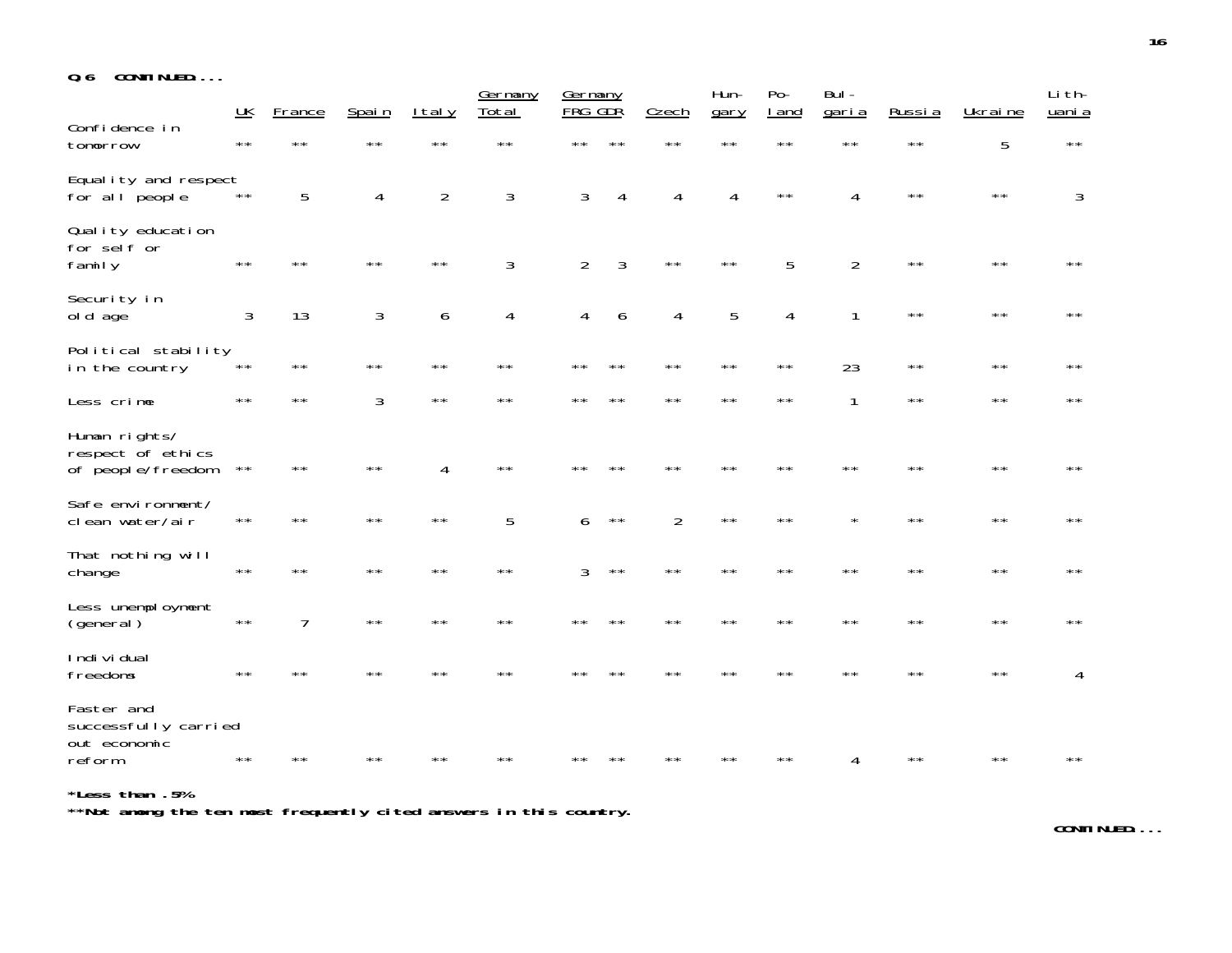| 0.6 |  | CONTINUED |  |  |  |  |
|-----|--|-----------|--|--|--|--|
|-----|--|-----------|--|--|--|--|

|                                                         | UK             | France         | Spain          | I tal y        | Germany<br>Total | Germany<br><b>FRG</b> | GDR            | Czech          | Hun-<br>gary   | $Po-$<br>I and | Bul -<br>garia | Russia         | Ukraine        | Li th-<br>uani a |
|---------------------------------------------------------|----------------|----------------|----------------|----------------|------------------|-----------------------|----------------|----------------|----------------|----------------|----------------|----------------|----------------|------------------|
| Confidence in<br>tomorrow                               | $\star\star$   | $\star\star$   | $\star\star$   | $\star\star$   | $\star\star$     | $\star\star$          | $**$           | $\star\star$   | $\star\star$   | $\star\,\star$ | $\star\star$   | $\star\,\star$ | 5              | $\star\,\star$   |
| Equality and respect<br>for all people                  | $\star\star$   | 5              | $\overline{4}$ | $\overline{2}$ | 3                | 3                     | 4              | 4              | $\overline{4}$ | $\star\star$   | 4              | $\star\star$   | $\star\,\star$ | 3                |
| Quality education<br>for self or<br>family              | $\star\star$   | $\star\star$   | $***$          | $\star\star$   | 3                | $\overline{2}$        | $\mathfrak{Z}$ | $\star\star$   | $\star\star$   | 5              | $\overline{2}$ | $\star\star$   | $\star\star$   | $***$            |
| Security in<br>old age                                  | $\mathfrak{Z}$ | 13             | 3              | 6              | $\overline{4}$   | 4                     | 6              | $\overline{4}$ | 5              | 4              | $\mathbf{1}$   | $\star\,\star$ | $\star\,\star$ | $\star\star$     |
| Political stability<br>in the country                   | $\star\,\star$ | $\star\star$   | $\star\star$   | $\star\,\star$ | $\star\star$     | $\star\star$          | $\star\star$   | $\star\star$   | $\star\star$   | $\star\,\star$ | 23             | $\star\,\star$ | $\star\star$   | $\star\star$     |
| Less crime                                              | $* *$          | $\star\star$   | 3              | $\star\,\star$ | $\star\star$     | $* *$                 | $* *$          | $**$           | $\star\star$   | $\star\star$   | 1              | $\star\star$   | $\star\star$   | **               |
| Human rights/<br>respect of ethics<br>of people/freedom | $\star\,\star$ | $\star\star$   | $\star\star$   | 4              | $\star\star$     | **                    | **             | $\star\star$   | $\star\star$   | $\star\star$   | $\star\star$   | $\star\star$   | $\star\,\star$ | $\star\star$     |
| Safe environment/<br>clean water/air                    | $\star\star$   | $\star\star$   | $\star\star$   | $\star\star$   | 5                | 6                     | $\star\star$   | $\overline{2}$ | $\star\,\star$ | $\star\star$   |                | $\star\star$   | $\star\star$   | $\star\star$     |
| That nothing will<br>change                             | $\star\star$   | $\star\star$   | $\star\star$   | $\star\star$   | $\star\star$     | 3                     | $\star\,\star$ | $\star\star$   | $\star\star$   | $\star\star$   | $* *$          | $\star\star$   | $\star\star$   | $\star\star$     |
| Less unemployment<br>(general)                          | $\star\,\star$ | $\overline{7}$ | $\star\star$   | $\star\star$   | $\star\star$     | $* *$                 | $* *$          | $**$           | $\star\star$   | $\star\star$   | $* *$          | $\star\star$   | $\star\star$   | $\star\star$     |
| Indi vi dual<br>freedoms                                | $\star\star$   | $* *$          | **             | $\star\star$   | $* *$            |                       | **             | $\star\star$   | $* *$          | $\star\star$   | $* *$          | $**$           | $\star\star$   | 4                |
| Faster and<br>successfully carried<br>out economic      |                |                |                |                |                  |                       |                |                |                |                |                |                |                |                  |
| reform                                                  |                |                |                |                |                  |                       |                |                |                |                | 4              | **             |                | $\star\,\star$   |

**\*Less than .5% \*\*Not among the ten most frequently cited answers in this country.**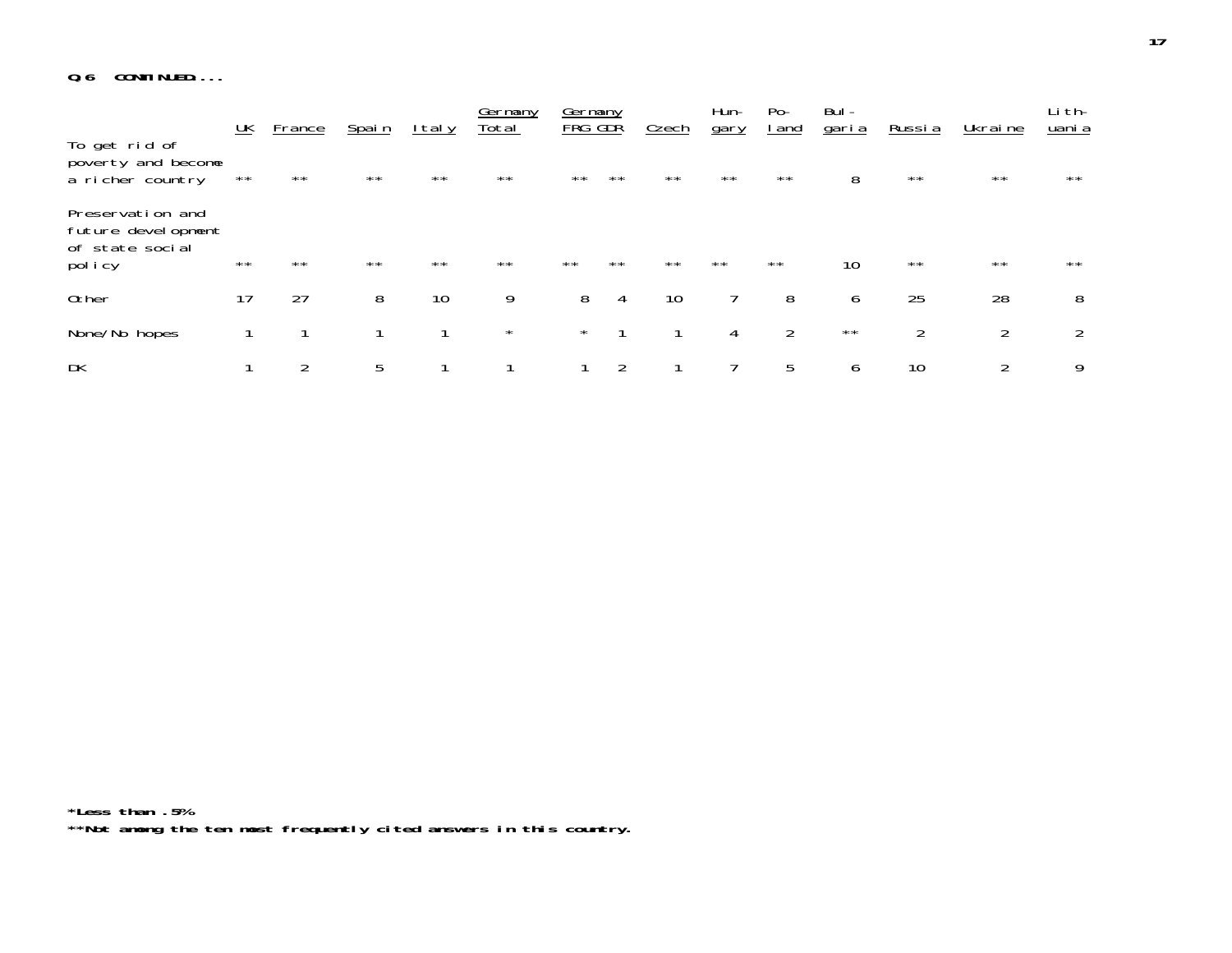#### **Q.6 CONTINUED....**

|                                                                     | <u>UК</u> | <b>France</b> | Spain        | <u>Italy</u> | Germany<br>Total | Germany<br><b>FRG GDR</b> |              | Czech        | Hun-<br>gary | $Po-$<br><u>l and</u> | Bul -<br><u>garia</u> | <u>Russia</u>  | Ukraine      | Li th-<br><u>uani a</u> |
|---------------------------------------------------------------------|-----------|---------------|--------------|--------------|------------------|---------------------------|--------------|--------------|--------------|-----------------------|-----------------------|----------------|--------------|-------------------------|
| To get rid of<br>poverty and become<br>a richer country             | $***$     | $\star\star$  | $***$        | $\star\star$ | $\star\star$     | $\star\star$              | $\star\star$ | $\star\star$ | $\star\star$ | $\star\star$          | 8                     | $\star\star$   | $\star\star$ | $\star\star$            |
| Preservation and<br>future development<br>of state social<br>policy | $***$     | $**$          | $\star\star$ | $\star\star$ | $\star\star$     | $\star\star$              | $\star\star$ | $\star\star$ | $\star\star$ | $\star\star$          | 10                    | $\star\star$   | $\star\star$ | $\star\star$            |
|                                                                     |           |               |              |              |                  |                           |              |              |              |                       |                       |                |              |                         |
| 0ther                                                               | 17        | 27            | 8            | 10           | 9                | 8                         | 4            | 10           |              | 8                     | 6                     | 25             | 28           | 8                       |
| None/No hopes                                                       |           |               |              |              | $\star$          | $\star$                   |              |              | 4            | 2                     | $\star\star$          | $\overline{2}$ | 2            | 2                       |
| DK                                                                  |           | 2             | 5            |              |                  |                           | 2            |              |              | 5                     | 6                     | 10             | 2            | 9                       |

**\*Less than .5% \*\*Not among the ten most frequently cited answers in this country.**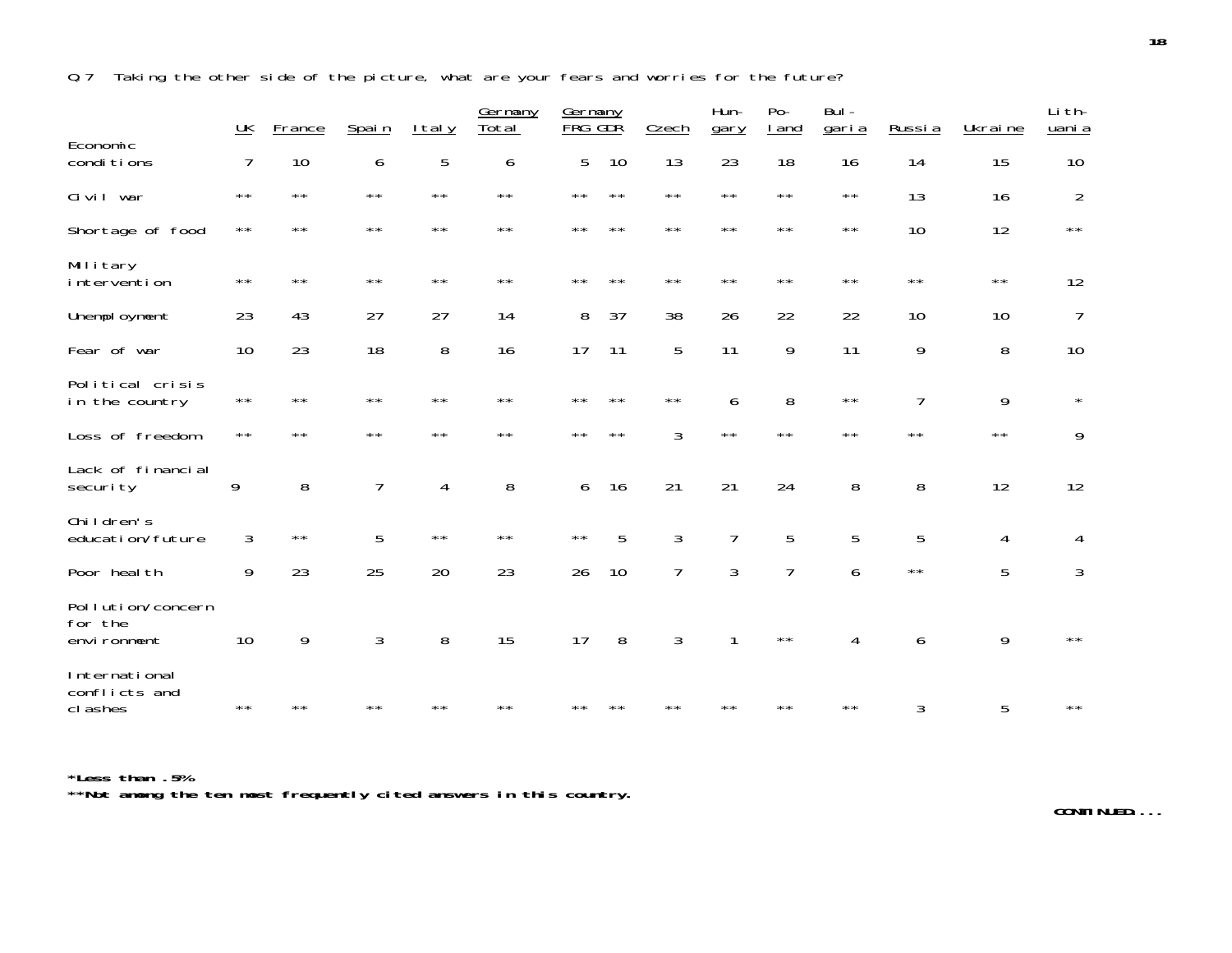Q.7 Taking the other side of the picture, what are your fears and worries for the future?

|                                             | $\underline{\mathsf{UK}}$ | France         | Spain          | <u>Italy</u>   | Germany<br>Total | Germany<br>FRG GDR |              | Czech          | Hun-<br>gary   | $Po-$<br><u>I</u> and | Bul-<br><u>garia</u> | Russia         | Ukraine      | Li th-<br>uani a |
|---------------------------------------------|---------------------------|----------------|----------------|----------------|------------------|--------------------|--------------|----------------|----------------|-----------------------|----------------------|----------------|--------------|------------------|
| Economic<br>conditions                      | 7                         | 10             | 6              | 5              | 6                | 5                  | 10           | 13             | 23             | 18                    | 16                   | 14             | 15           | 10               |
| Civil war                                   | $\star\star$              | $\star\star$   | $\star\star$   | $\star\star$   | $\star\star$     | $\star\star$       | $\star\star$ | $\star\star$   | $\star\star$   | $\star\star$          | $\star\star$         | 13             | 16           | $\overline{2}$   |
| Shortage of food                            | $\star\star$              | $\star\,\star$ | $\star\star$   | $\star\star$   | $\star\star$     | $\star\star$       | $\star\star$ | $\star\star$   | $\star\star$   | $\star\star$          | $\star\star$         | 10             | 12           | $\star\star$     |
| Military<br>intervention                    | $\star\star$              | $\star\star$   | $\star\,\star$ | $\star\star$   | $\star\star$     | $\star\star$       | $\star\star$ | $\star\star$   | $\star\star$   | $\star\star$          | $\star\star$         | $\star\,\star$ | $\star\star$ | 12               |
| Unemployment                                | 23                        | 43             | 27             | 27             | 14               | 8                  | 37           | 38             | 26             | 22                    | 22                   | 10             | 10           | 7                |
| Fear of war                                 | 10                        | 23             | 18             | 8              | 16               | 17                 | 11           | 5              | 11             | 9                     | 11                   | 9              | 8            | 10               |
| Political crisis<br>in the country          | $\star\star$              | $\star\star$   | $\star\star$   | $\star\star$   | $\star\star$     | $\star\,\star$     | $\star\star$ | $\star\,\star$ | 6              | 8                     | $\star\,\star$       | $\overline{1}$ | 9            | $\star$          |
| Loss of freedom                             | $\star\star$              | $**$           | $\star\star$   | $\star\star$   | $\star\star$     | $\star\star$       | $\star\star$ | 3              | $\star\star$   | $\star\star$          | $\star\star$         | $\star\star$   | $\star\star$ | 9                |
| Lack of financial<br>security               | 9                         | 8              | $\overline{7}$ | 4              | 8                | 6                  | 16           | 21             | 21             | 24                    | 8                    | 8              | 12           | 12               |
| Children's<br>education/future              | 3                         | $\star\,\star$ | 5              | $\star\,\star$ | $\star\star$     | $\star\star$       | 5            | 3              | $\overline{7}$ | 5                     | 5                    | 5              | 4            | 4                |
| Poor heal th                                | 9                         | 23             | 25             | 20             | 23               | 26                 | 10           | 7              | 3              | 7                     | 6                    | $\star\star$   | 5            | 3                |
| Pollution/concern<br>for the<br>environment | 10                        | 9              | $\mathfrak{Z}$ | 8              | 15               | 17                 | 8            | 3              |                | $\star\star$          | 4                    | 6              | 9            | $\star\star$     |
| International<br>conflicts and<br>cl ashes  | $**$                      | **             | $* *$          | $* *$          | $* *$            | **                 | **           | **             | **             | $\star\star$          | $\star\star$         | 3              | 5            | $\star\star$     |

**\*Less than .5% \*\*Not among the ten most frequently cited answers in this country.**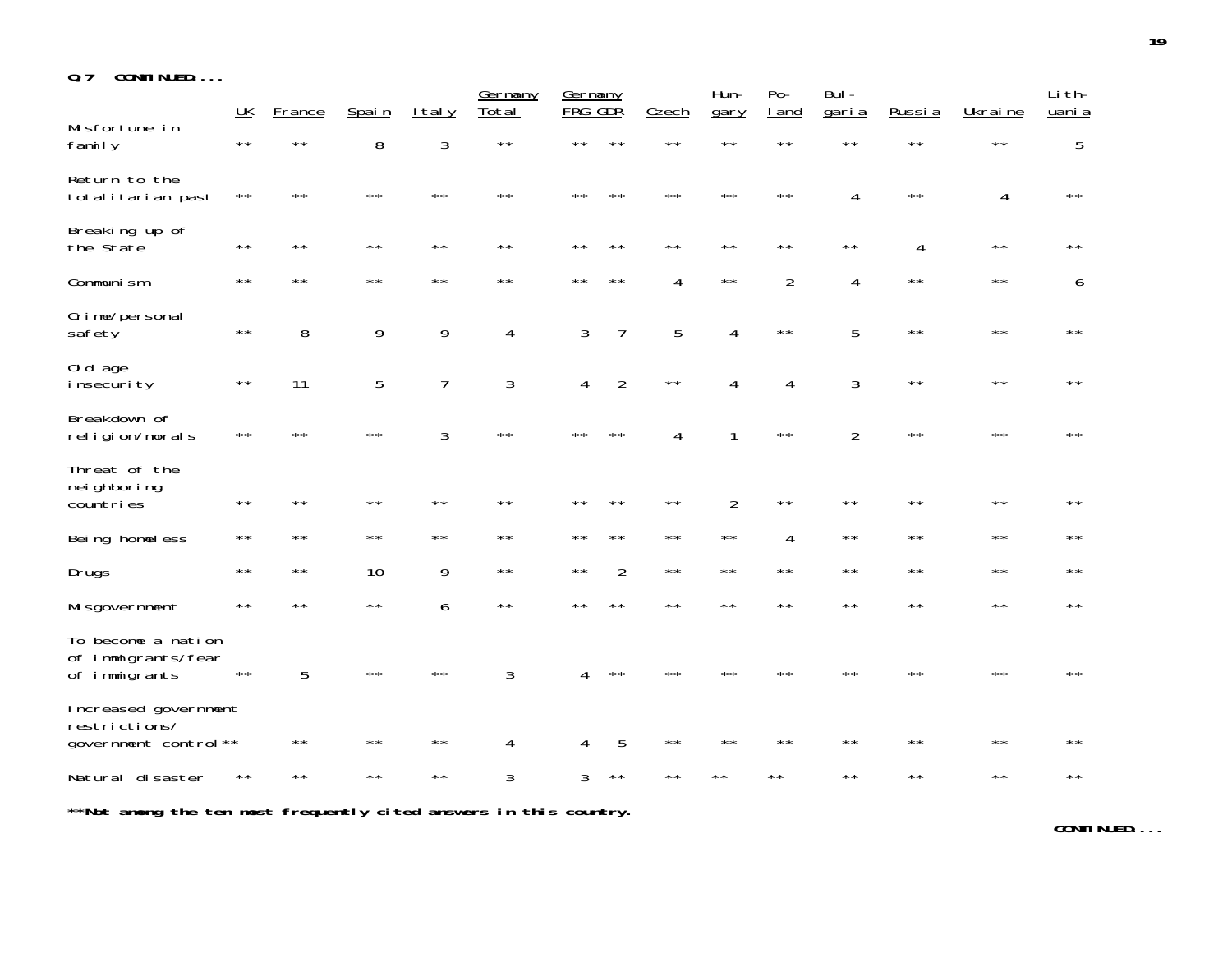| CONTINUED<br>0.7 |  |  |  |  |
|------------------|--|--|--|--|
|------------------|--|--|--|--|

|                                                               | $\underline{\mathsf{UK}}$ | France         | Spain        | <u>Italy</u>   | Germany<br>Total | Germany<br><b>FRG</b> | GDR            | Czech          | Hun-<br>gary   | $Po-$<br><u>I</u> and | Bul-<br>garia  | Russia         | Ukraine        | Li th-<br>uani a |
|---------------------------------------------------------------|---------------------------|----------------|--------------|----------------|------------------|-----------------------|----------------|----------------|----------------|-----------------------|----------------|----------------|----------------|------------------|
| Misfortune in<br>family                                       | $\star\star$              | $\star\,\star$ | 8            | 3              | $\star\,\star$   | $\star\,\star$        | $\star\star$   | $\star\,\star$ | $\star\,\star$ | $\star\,\star$        | $\star\star$   | $\star\,\star$ | $\star\,\star$ | 5                |
| Return to the<br>totalitarian past                            | $\star\,\star$            | **             | $\star\star$ | $\star\,\star$ | $* *$            | **                    | $***$          | $\star\star$   | $\star\star$   | $\star\,\star$        | 4              | $\star\star$   | 4              | $\star\,\star$   |
| Breaking up of<br>the State                                   | $\star\star$              | $\star\star$   | $\star\star$ | $\star\,\star$ | $\star\star$     | **                    | $\star\star$   | $\star\,\star$ | $\star\star$   | $\star\,\star$        | $\star\,\star$ | 4              | $\star\star$   | $\star\star$     |
| Communism                                                     | $\star\star$              | $\star\star$   | $\star\star$ | $\star\star$   | $\star\star$     | $\star\star$          | $\star\star$   | 4              | $\star\,\star$ | $\overline{2}$        | 4              | $\star\star$   | $\star\star$   | 6                |
| Crime/personal<br>safety                                      | $\star\star$              | 8              | 9            | 9              | 4                | 3                     | $\overline{7}$ | 5              | 4              | $\star\,\star$        | 5              | $\star\,\star$ | $\star\star$   | $\star\star$     |
| Old age<br><i>i</i> nsecurity                                 | $\star\star$              | 11             | 5            | 7              | 3                | 4                     | $\overline{2}$ | $\star\,\star$ | 4              | $\overline{4}$        | $\sqrt{3}$     | $\star\,\star$ | $\star\star$   | $\star\star$     |
| Breakdown of<br>religion/morals                               | $\star\star$              | $\star\star$   | $\star\star$ | 3              | $\star\star$     | $* *$                 | $***$          | 4              |                | $\star\star$          | $\overline{2}$ | $\star\star$   | $\star\star$   | $\star\star$     |
| Threat of the<br>nei ghbori ng<br>countries                   | $\star\star$              | $\star\,\star$ | $\star\star$ | $\star\,\star$ | $\star\,\star$   | **                    | $\star\star$   | $\star\,\star$ | $\overline{2}$ | $\star\,\star$        | $\star\,\star$ | $\star\star$   | $\star\star$   | $\star\star$     |
| Being homeless                                                | $\star\star$              | $\star\star$   | $\star\star$ | $\star\star$   | $\star\star$     | $\star\star$          | $\star\star$   | $\star\star$   | $\star\star$   | 4                     | $\star\,\star$ | $\star\star$   | $\star\star$   | $\star\star$     |
| Drugs                                                         | $\star\,\star$            | $\star\star$   | 10           | 9              | $\star\star$     | $\star\,\star$        | $\overline{2}$ | $\star\,\star$ | $\star\,\star$ | $\star\,\star$        | $\star\,\star$ | $\star\star$   | $\star\star$   | * *              |
| Mi sgovernment                                                | $\star\star$              | $\star\star$   | $\star\star$ | 6              | $\star\,\star$   | $* *$                 | $\star\star$   | $\star\star$   | $\star\star$   | $\star\star$          | $\star\star$   | $\star\star$   | $\star\star$   | $\star\star$     |
| To become a nation<br>of immigrants/fear<br>of immigrants     | $\star\star$              | 5              | $\star\star$ | $\star\,\star$ | 3                | 4                     | $***$          | * *            | **             | **                    | **             | $\star\star$   | $\star\star$   | $\star\star$     |
| Increased government<br>restrictions/<br>government control** |                           | $\star\star$   | $\star\star$ | $\star\star$   | 4                | 4                     | 5              | $\star\,\star$ | $\star\star$   | $\star\star$          | $\star\star$   | $\star\star$   | $\star\star$   | $\star\star$     |
| Natural disaster                                              | $\star\star$              | **             | $\star\star$ | $\star\,\star$ | 3                | 3                     | $\star\,\star$ | **             | * *            | $\star\,\star$        | $\star\star$   | $\star\star$   | $\star\star$   | $\star\,\star$   |

**\*\*Not among the ten most frequently cited answers in this country.**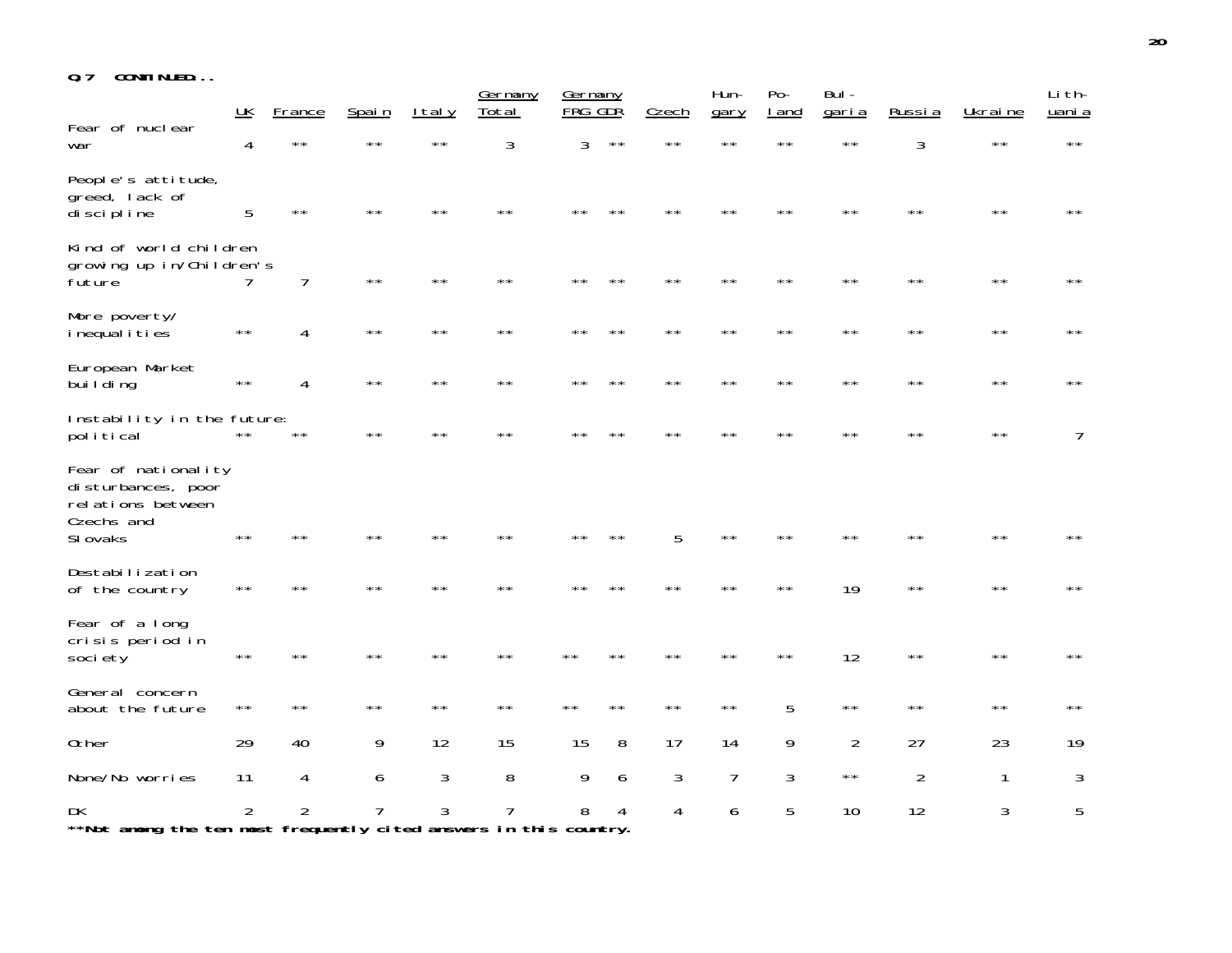| 0.7 |  | CONTINUED |  |  |  |
|-----|--|-----------|--|--|--|
|-----|--|-----------|--|--|--|

|                                                                                          | UK             | France         | Spain        | I tal y      | Germany<br>Total | <b>Germany</b><br>FRG GDR |                | Czech          | Hun-<br>gary   | $Po-$<br>I and | Bul -<br>garia | Russia         | Ukraine      | Li th-<br>uani a |
|------------------------------------------------------------------------------------------|----------------|----------------|--------------|--------------|------------------|---------------------------|----------------|----------------|----------------|----------------|----------------|----------------|--------------|------------------|
| Fear of nuclear<br>war                                                                   | 4              | $\star\star$   |              | **           | 3                | 3                         | $\star\star$   | $\star\,\star$ | $\star\,\star$ | $\star\star$   | $* *$          | 3              | $* *$        | $\star\,\star$   |
| People's attitude,<br>greed, lack of<br>discipline                                       | 5              | $\star\star$   |              |              |                  |                           |                |                |                |                |                |                | $* *$        | $\star\,\star$   |
| Kind of world children<br>growing up in/Children's<br>future                             |                | 7              | $\star\star$ | $\star\star$ | $\star\star$     | **                        | $**$           | $\star\star$   | $\star\star$   | $\star\star$   | $\star\,\star$ | $\star\star$   | $\star\star$ | $\star\,\star$   |
| More poverty/<br><i>i</i> nequal <i>i</i> ties                                           | $\star\,\star$ | 4              | $* *$        | $\star\star$ | $\star\,\star$   |                           | $**$           | $**$           | $\star\,\star$ | $* *$          | $**$           | $\star\star$   | $\star\star$ | $\star\,\star$   |
| European Market<br>bui I di ng                                                           | $\star\star$   | 4              | $\star\star$ | $\star\star$ | $* *$            |                           | $* *$          | $**$           | $**$           | $\star\star$   | $* *$          | $* *$          | $\star\star$ | $\star\,\star$   |
| Instability in the future:<br>political                                                  | $\star\star$   | $\star\,\star$ | $**$         | **           |                  |                           |                |                | **             | * *            |                | **             | $\star\star$ | 7                |
| Fear of nationality<br>disturbances, poor<br>relations between<br>Czechs and<br>SI ovaks | $**$           |                |              | **           | **               |                           |                | 5              | $\star\star$   | **             |                | $* *$          | $* *$        | $\star\,\star$   |
| Destabilization<br>of the country                                                        | $\star\star$   | $**$           | **           | **           | $**$             |                           | **             | $**$           | $* *$          | $\star\,\star$ | 19             | $\star\star$   | $\star\star$ | **               |
| Fear of a long<br>crisis period in<br>society                                            | $\star\star$   | **             | **           | **           | **               |                           | **             | * *            | $\star\,\star$ | * *            | 12             | $\star\,\star$ | $* *$        | $\star\,\star$   |
| General concern<br>about the future                                                      | $\star\,\star$ | $**$           | $\star\star$ | $\star\star$ | $\star\,\star$   | $* *$                     | $\star\,\star$ | $\star\star$   | $\star\,\star$ | 5              | $\star\star$   | $\star\star$   | $\star\star$ | $\star\,\star$   |
| 0ther                                                                                    | 29             | 40             | 9            | 12           | 15               | 15                        | 8              | 17             | 14             | 9              | $\overline{2}$ | 27             | 23           | 19               |
| None/No worries                                                                          | 11             | 4              | 6            | 3            | 8                | 9                         | 6              | 3              | $\overline{7}$ | 3              | $\star\,\star$ | $\overline{2}$ | 1            | 3                |
| DK<br>**Not among the ten most frequently cited answers in this country.                 | 2              | $\overline{2}$ |              | 3            |                  | 8                         |                | 4              | 6              | 5              | 10             | 12             | 3            | 5                |

**20**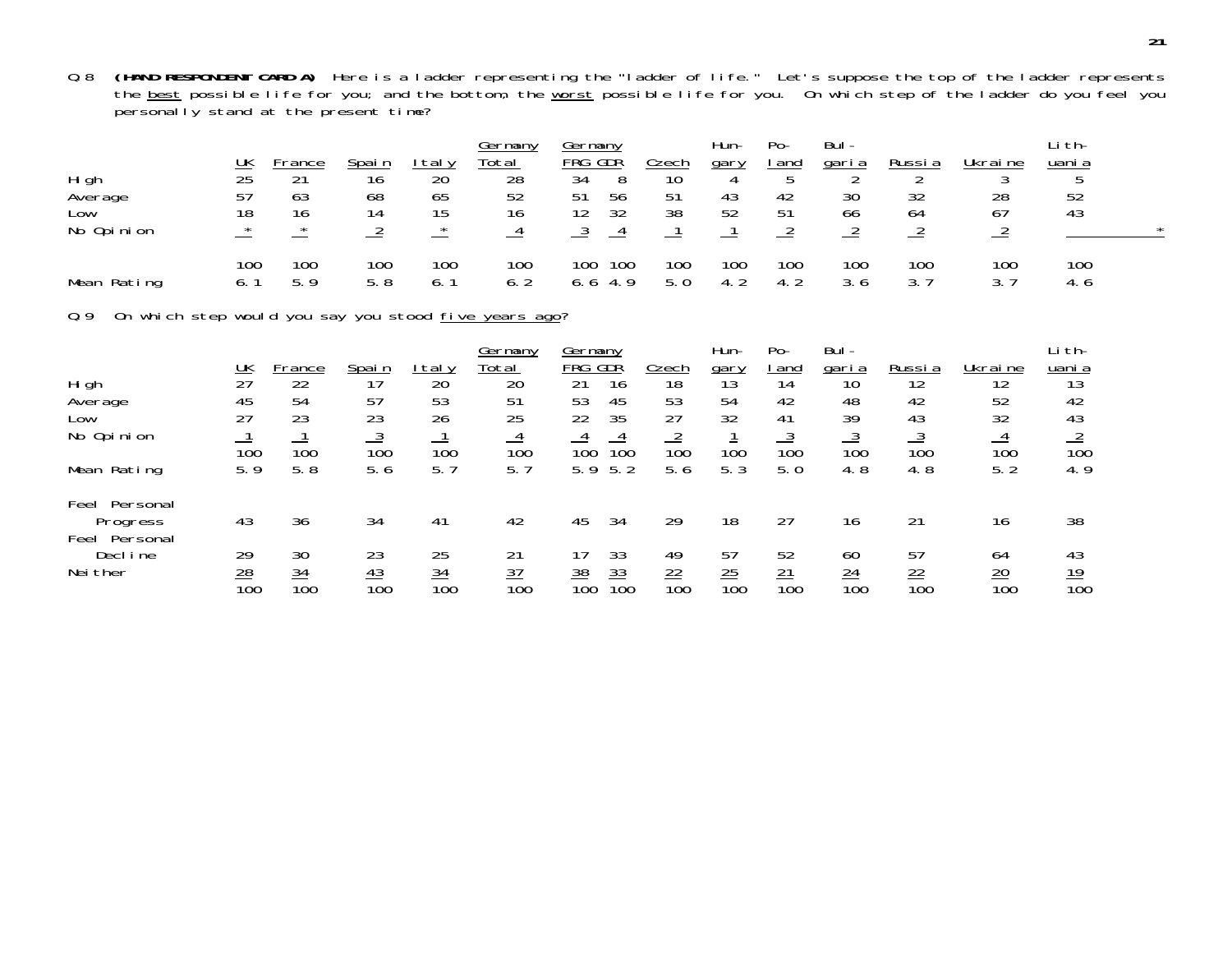Q.8 **(HAND RESPONDENT CARD A)** Here is a ladder representing the "ladder of life." Let's suppose the top of the ladder represents the <u>best</u> possible life for you; and the bottom, the <u>worst</u> possible life for you. On which step of the ladder do you feel you personally stand at the present time?

|             |                 |              |              |                 | Germany         | jermanv          |     |                 | Hun- | $Po-$ | Bul-  |        |         | .i th- |  |
|-------------|-----------------|--------------|--------------|-----------------|-----------------|------------------|-----|-----------------|------|-------|-------|--------|---------|--------|--|
|             | <u> UК</u>      | rance        | <u>Spain</u> | taly            | Total           | FRG GDR          |     | Czech           | gary | l and | garia | Russia | Ukraine | uani a |  |
| Hi gh       | $\overline{25}$ | $\mathbf{A}$ | 16           | $\overline{20}$ | $\overline{28}$ | 34               |     | 10 <sup>1</sup> |      |       |       |        |         |        |  |
| Average     | 57              | 63           | 68           | 65              | 52              | 51               | 56  | 51              | 43   | 42    | 30    | 32     | 28      | 52     |  |
| Low         | 18              | 16           |              | 15              | 16              | 12               | 32  | 38              | 52   | 51    | 66    | 64     | 67      | 43     |  |
| No Opinion  | $\star$         | $\star$      |              | $\star$         |                 |                  |     |                 |      |       |       |        |         |        |  |
|             | 100             | 100          | 100          | 100             | 100             | 100 <sub>1</sub> | 100 | 100             | 100  | 100   | 100   | 100    | 100     | 100    |  |
| Mean Rating |                 | 59           | 5.8          |                 | 6.7             | 6 h              |     | 5. 0            |      |       | 3.6   |        |         | 4. O   |  |

Q.9 On which step would you say you stood five years ago?

|                              |                  |                                    |                  |                  | Germany                            | Germany                              |                  | Hun-             | $Po-$                        | Bul-                  |                  |                      | Li th-           |
|------------------------------|------------------|------------------------------------|------------------|------------------|------------------------------------|--------------------------------------|------------------|------------------|------------------------------|-----------------------|------------------|----------------------|------------------|
|                              | <u> UК</u>       | -rance                             | <u>Spain</u>     | taly             | Total                              | FRG<br>GDR                           | <u>Czech</u>     | gary             | and                          | <u>garia</u>          | Russi a          | Ukraine              | uani a           |
| Hi gh                        | 27               | 22                                 | 17               | 20               | 20                                 | 21<br>16                             | 18               | 13               | 14                           | 10                    | 12               | 12                   | 13               |
| Average                      | 45               | 54                                 | 57               | 53               | 51                                 | 45<br>53                             | 53               | 54               | 42                           | 48                    | 42               | 52                   | 42               |
| Low                          | 27               | 23                                 | 23               | 26               | 25                                 | 35<br>22                             | 27               | 32               | 41                           | 39                    | 43               | 32                   | 43               |
| No Opinion                   | 100              | 100                                | $\frac{3}{100}$  | 100              | $\frac{4}{1}$<br>100               | 100<br>100                           | $\frac{2}{100}$  | 100              | <u>ب</u><br>$\overline{100}$ | <u>_ა</u><br>100      | <u>_ა</u><br>100 | $\frac{4}{1}$<br>100 | $\overline{100}$ |
| Mean Rating                  | 5.9              | 5.8                                | 5.6              | 5. 7             | 5.7                                | 5.2<br>5.9                           | 5.6              | 5.3              | 5.0                          | 4.8                   | 4.8              | 5.2                  | 4.9              |
| Feel<br>Personal             |                  |                                    |                  |                  |                                    |                                      |                  |                  |                              |                       |                  |                      |                  |
| Progress<br>Feel<br>Personal | 43               | 36                                 | 34               | 41               | 42                                 | 45<br>34                             | 29               | 18               | 27                           | 16                    | 21               | 16                   | 38               |
| Decl ine                     | 29               | 30                                 | 23               | 25               | 21                                 | 33                                   | 49               | 57               | 52                           | 60                    | 57               | 64                   | 43               |
| Nei ther                     | $\frac{28}{100}$ | $\frac{34}{5}$<br>$\overline{100}$ | $\frac{43}{100}$ | $\frac{34}{100}$ | $\frac{37}{2}$<br>$\overline{10}0$ | $\frac{33}{100}$<br>$\frac{38}{100}$ | $\frac{22}{100}$ | $\frac{25}{100}$ | $\frac{21}{100}$             | $\frac{24}{5}$<br>100 | $\frac{22}{100}$ | $\frac{20}{100}$     | $\frac{19}{100}$ |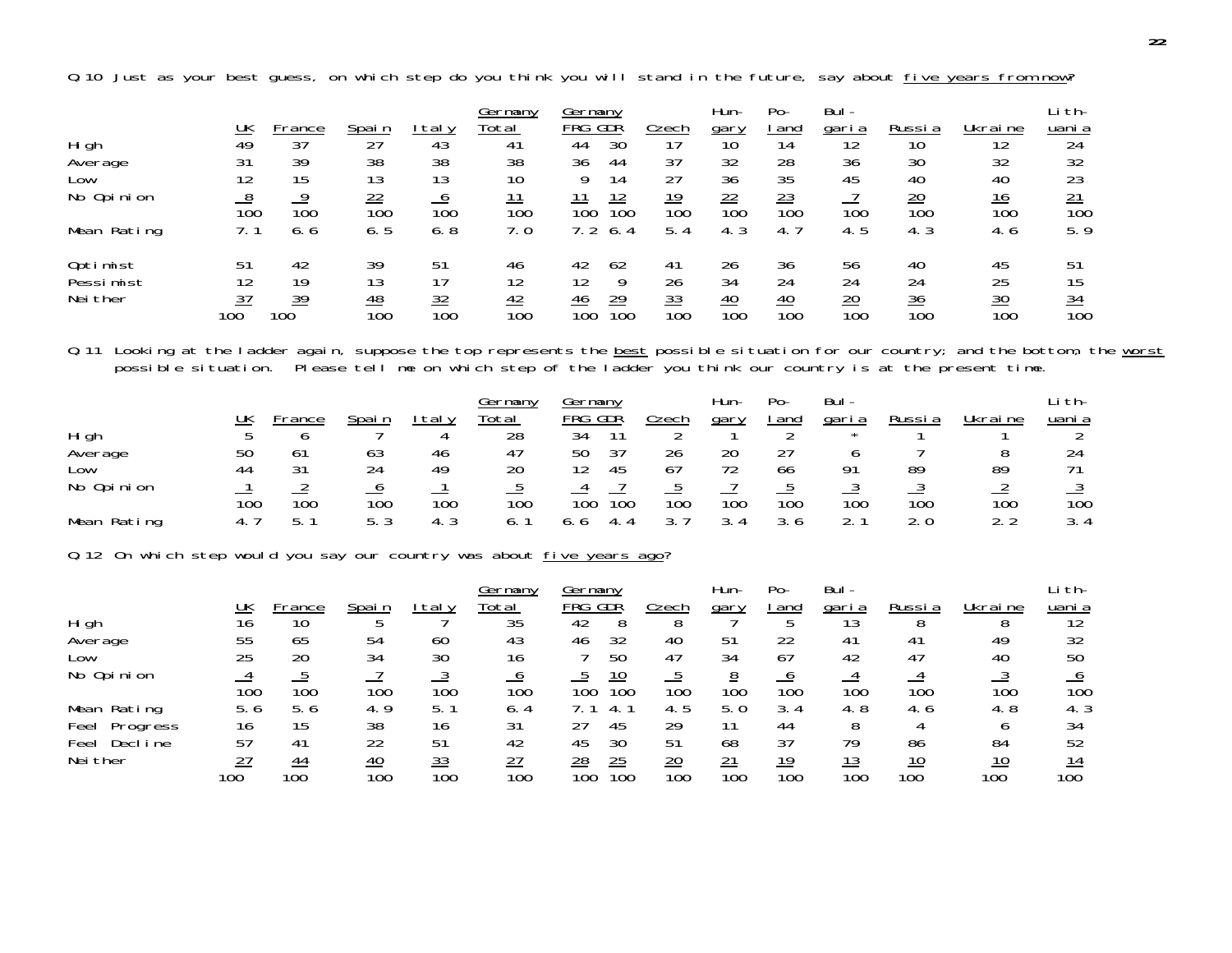Germany Germany Hun- Po- Bul- Lith- $\frac{UK}{49}$ <u>K France Spain Italy Total - FRG-GDR Czech gary land garia Russia Ukraine uania</u> High 49 37 27 43 41 44 30 17 10 14 12 10 12 24 Average 31 39 38 38 38 36 44 37 32 28 36 30 32 32 Low 12 15 13 13 10 9 14 27 36 35 45 40 40 23No Opinion 8 9 22 6 11 11 12 19 22 23 7 20 16 21 100 100 100 100 100 100 100 100 100 100 100 100 100 100Mean Rating 7.1 6.6 6.5 6.8 7.0 7.2 6.4 5.4 4.3 4.7 4.5 4.3 4.6 5.9 Optimist 51 42 39 51 46 42 62 41 26 36 56 40 45 51 Pessimist 12 19 13 17 12 12 9 26 34 24 24 24 25 15 $\frac{15}{\frac{34}{100}}$ Neither  $\frac{37}{100}$  39 48 32 42 46 29 33 40 40 20 36 30 34 100 100 100 100 100 100 100 100 100 100 100 100 100 100

Q.11 Looking at the ladder again, suppose the top represents the <u>best</u> possible situation for our country; and the bottom, the <u>worst</u> possible situation. Please tell me on which step of the ladder you think our country is at the present time.

|             |     |       |        |      | Germany           | vermany                |            | Hun-   | $Po-$      | Bul -  |        |          | †th−          |
|-------------|-----|-------|--------|------|-------------------|------------------------|------------|--------|------------|--------|--------|----------|---------------|
|             | UK  | rance | Spai n | taly | <sup>r</sup> otal | FRG<br>GDŘ             | .<br>Czech | gary   | and        | garia  | Russia | Ukrai ne | uani a        |
| Hi gh       |     |       |        |      | 28                | 34                     |            |        |            |        |        |          |               |
| Average     | 50  | 61    | 63     | 46   | 47                | 27<br>50               | 26         | 20     |            |        |        |          |               |
| LOW         | 44  | ີາ    | 24     | 49   | 20                | 45                     | 67         | 72     | 66         | 01     | 89     | 89       |               |
| No Opinion  |     |       |        |      |                   |                        |            |        |            |        |        |          |               |
|             | 100 | 100   | 100    | 100  | 100               | 100<br>10 <sub>C</sub> | 100        | 100    | 100        | 100    | 100    | 100      | 100           |
| Mean Rating |     |       | 53     | ົ່   |                   | 4.                     |            | $\sim$ | 3 ん<br>J.U | $\sim$ | 2.0    |          | $\sim$<br>3.4 |

Q.12 On which step would you say our country was about five years ago?

|                  |     |       |                  |                  | Germany         | Germany                             |                  | Hun-              | $Po-$ | Bul-  |         |         | i th-  |
|------------------|-----|-------|------------------|------------------|-----------------|-------------------------------------|------------------|-------------------|-------|-------|---------|---------|--------|
|                  | UK  | rance | Spain            | taly             | Total           | =RG<br>GDŘ                          | Czech            | gary              | and   | garia | Russi a | Ukraine | uani a |
| Hi gh            | 16  | 10    |                  |                  | 35              | 42                                  |                  |                   |       |       |         |         | 12     |
| Average          | 55  | 65    | 54               | 60               | 43              | 32<br>46                            | 40               | 51                | 22    | 4 I   | 41      | 49      | 32     |
| Low              | 25  | 20    | 34               | 30               | 16              | 50                                  | 47               | 34                | 67    | 42    | 47      | 40      | 50     |
| No Opinion       |     |       |                  |                  |                 | <u> 10</u>                          |                  | <u>8</u>          |       |       |         |         |        |
|                  | 100 | 100   | 100              | 100              | 100             | 100<br>10 <sub>C</sub>              | 100              | 100               | 100   | 100   | 100     | 100     | 100    |
| Mean Rating      | b.6 | 5.6   | 4.9              |                  | 6.4             |                                     | 4.5              | 5. 0              | 3.4   | 4.8   | 4.6     | 4.8     | 4. 3   |
| Feel<br>Progress | 16  | 15    | 38               | 16               | 31              | 45<br>27                            | 29               |                   | 44    |       |         |         | 34     |
| Decl ine<br>Feel | 57  | 41    | 22               | 51               | 42              | 45<br>30                            | 51               | 68                | 37    | 79    | 86      | 84      | 52     |
| Nei ther         | דר  | 44    | 40               | 33               | $\overline{27}$ | 25<br>$\frac{28}{2}$                | $\overline{20}$  | 21                | 19    |       | 10      |         |        |
|                  | 100 | 100   | $\overline{10}0$ | $\overline{10}0$ | 100             | $\overline{10}0$<br>10 <sub>C</sub> | $\overline{10}0$ | $\overline{10}$ C | 100   | 100   | 100     | 100     | 100    |

Q.10 Just as your best guess, on which step do you think you will stand in the future, say about five years from now?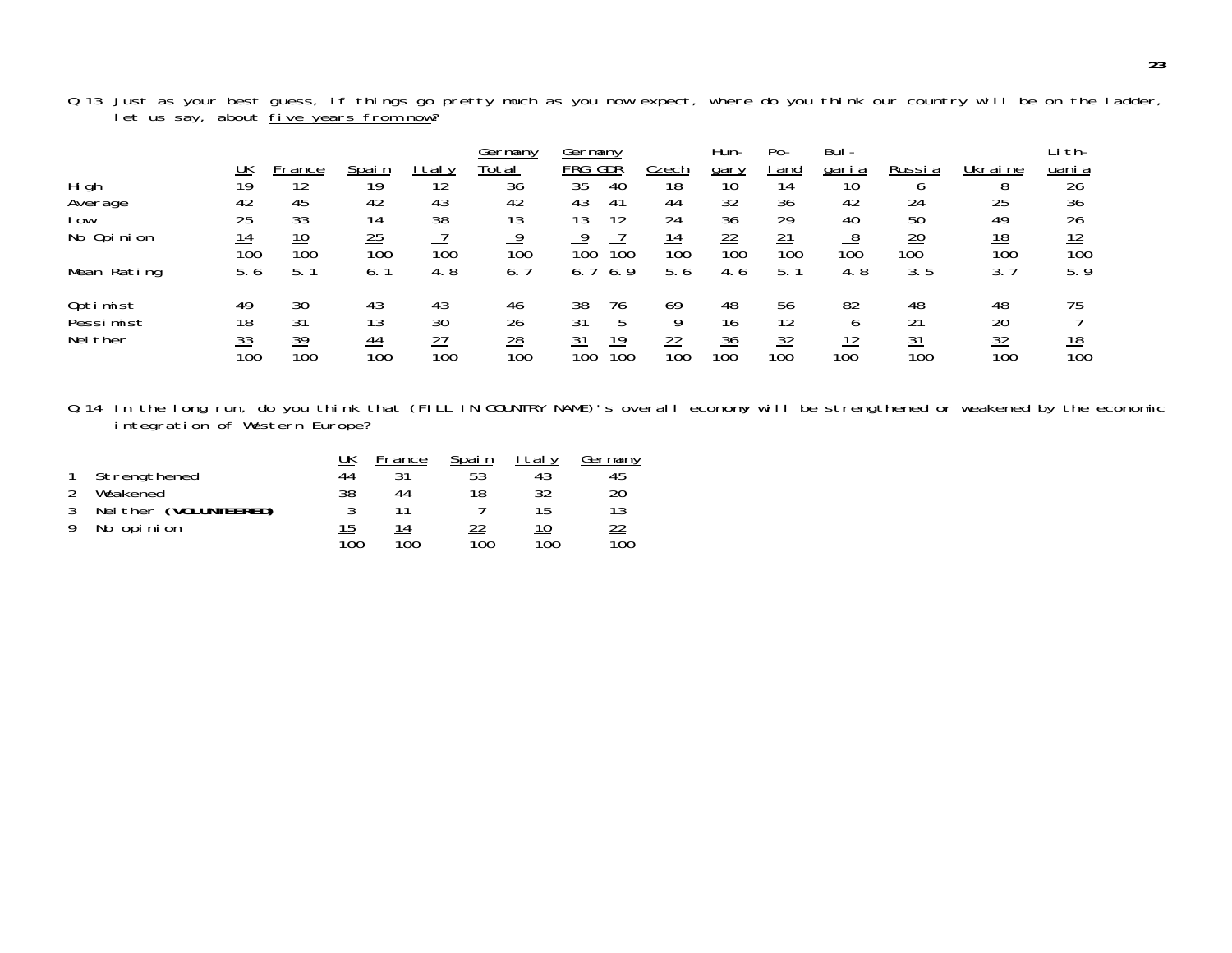|             | <u>UК</u>        | -rance           | <u>Spain</u>     | taly             | Germany<br>Total | Germany<br>GDR<br>FRG                | .<br>Czech       | Hun-<br><u>gary</u>    | $Po-$<br>and     | Bul-<br><u>garia</u> | Russia                        | Ukraine          | i th-<br>uani a        |
|-------------|------------------|------------------|------------------|------------------|------------------|--------------------------------------|------------------|------------------------|------------------|----------------------|-------------------------------|------------------|------------------------|
| Hi gh       | 19               | 12               | 19               | 12               | $\overline{36}$  | $\overline{35}$<br>40                | $\overline{18}$  | $\overline{10}$        | 14               | 10                   |                               |                  | $\overline{26}$        |
| Average     | 42               | 45               | 42               | 43               | 42               | 43<br>41                             | 44               | 32                     | 36               | 42                   | 24                            | 25               | 36                     |
| Low         | 25               | 33               | 14               | 38               | 13               | 13<br>12                             | 24               | 36                     | 29               | 40                   | 50                            | 49               | 26                     |
| No Opinion  | <u>14</u><br>100 | <u>10</u><br>100 | 25<br>100        | 100              | 100              | 100<br>100                           | 14<br>100        | 22<br>$\overline{100}$ | 21<br>100        | 100                  | $\overline{20}$<br>100        | <u>18</u><br>100 | 12<br>$\overline{10}0$ |
| Mean Rating | 5.6              | 5.               | 6.               | 4.8              | 6.               | 6.9<br>6. .                          | 5.6              | 4.6                    | 5.               | 4.8                  | 3.5                           | 3.7              | 5.9                    |
| Optimist    | 49               | 30               | 43               | 43               | 46               | 38<br>76                             | 69               | 48                     | 56               | 82                   | 48                            | 48               | 75                     |
| Pessimist   | 18               | 31               | 13               | 30               | 26               | 31                                   | 9                | 16                     | 12               |                      | 21                            | 20               |                        |
| Nei ther    | $\frac{33}{100}$ | <u>39</u><br>100 | $\frac{44}{100}$ | $\frac{27}{100}$ | $\frac{28}{100}$ | $\frac{31}{100}$<br>$\frac{19}{100}$ | $\frac{22}{100}$ | $\frac{36}{100}$       | $\frac{32}{100}$ | <u> 12</u><br>100    | <u>31</u><br>$\overline{10}0$ | $\frac{32}{100}$ | $\frac{18}{100}$       |

Q.13 Just as your best guess, if things go pretty much as you now expect, where do you think our country will be on the ladder, let us say, about <u>five years from now</u>?

Q.14 In the long run, do you think that (FILL IN COUNTRY NAME)'s overall economy will be strengthened or weakened by the economic integration of Western Europe?

|                       | UK  | France | Spai n | l tal v | Germany          |
|-----------------------|-----|--------|--------|---------|------------------|
| Strengthened          | 44  |        | 53     |         | 45               |
| Weakened              | 38  | 44     | 18     | 32      | 20               |
| Neither (VOLUNTEERED) |     |        |        | 15      | 12               |
| No opinion            | 15  | 14     |        |         | <u>22</u>        |
|                       | 100 | 100    | 100    | 100     | $\overline{100}$ |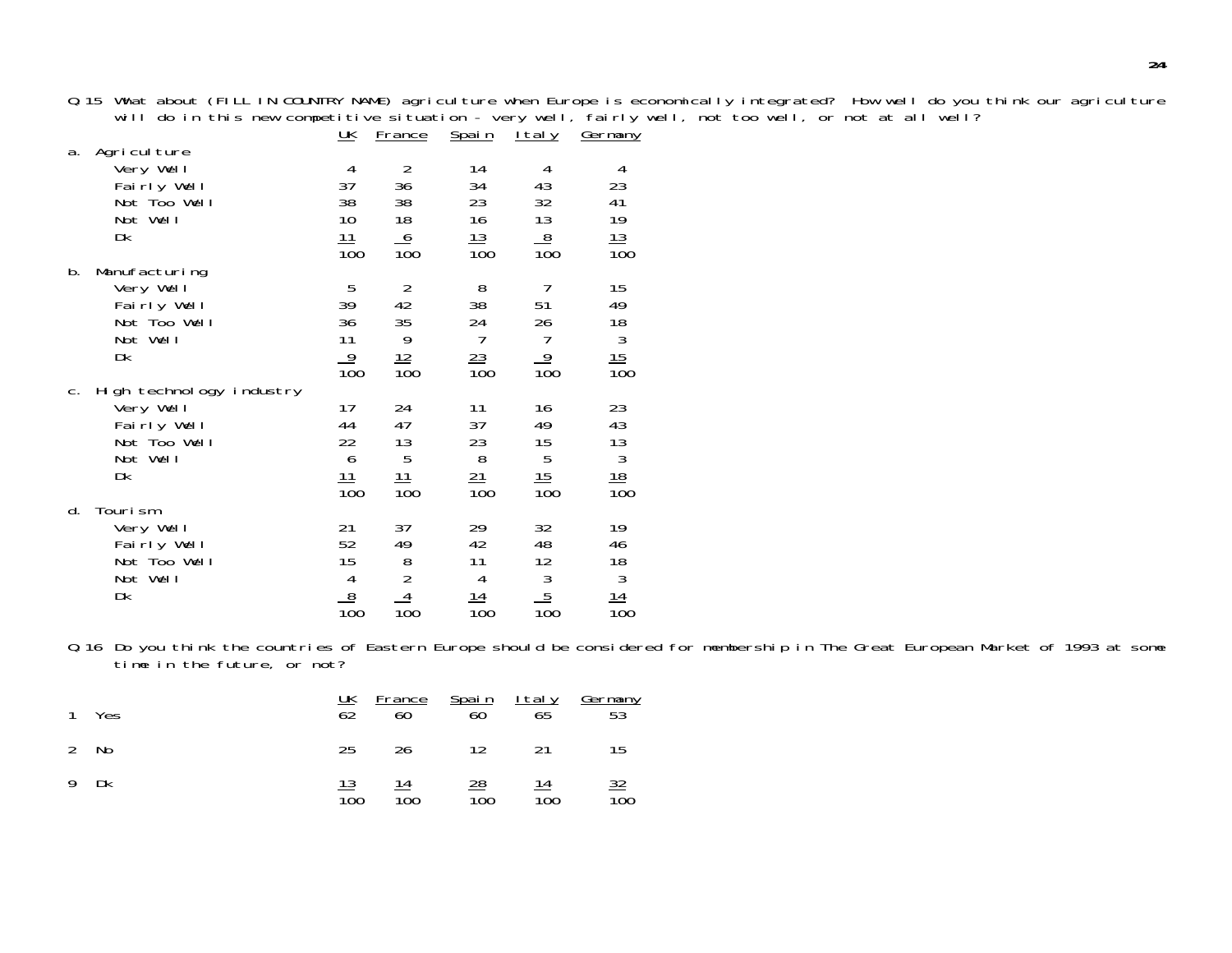Q.15 What about (FILL IN COUNTRY NAME) agriculture when Europe is economically integrated? How well do you think our agriculture<br>will do in this new competitive situation - very well, fairly well, not too well, or not at a

|             |                                                                                        | <u> UК</u>                                                               | <u>France</u>                                         | <u>Spain</u>                                                       | <u>Italy</u>                                                                                        | Germany                                                                                        |
|-------------|----------------------------------------------------------------------------------------|--------------------------------------------------------------------------|-------------------------------------------------------|--------------------------------------------------------------------|-----------------------------------------------------------------------------------------------------|------------------------------------------------------------------------------------------------|
| a.          | Agriculture<br>Very Well<br>Fairly Well<br>Not Too Well<br>Not Well<br>Dk              | 4<br>37<br>38<br>10<br>11<br>100                                         | $\overline{2}$<br>36<br>38<br>18<br>$\frac{6}{100}$   | 14<br>34<br>23<br>16<br>13<br>100                                  | 4<br>43<br>32<br>13<br>$\frac{8}{100}$                                                              | 4<br>23<br>41<br>19<br>$\frac{13}{100}$                                                        |
| b.          | Manufacturing<br>Very Well<br>Fairly Well<br>Not Too Well<br>Not Well<br>Dk            | 5<br>39<br>36<br>11<br>$\frac{9}{100}$                                   | $\overline{2}$<br>42<br>35<br>9<br><u> 12</u><br>100  | 8<br>38<br>24<br>$\overline{7}$<br>23<br>100                       | $\overline{7}$<br>51<br>26<br>$\overline{1}$<br>$\frac{9}{100}$                                     | 15<br>49<br>$\frac{18}{3}$<br>$\frac{15}{100}$                                                 |
| $C_{\cdot}$ | High technology industry<br>Very Well<br>Fairly Well<br>Not Too Well<br>Not Well<br>Dk | 17<br>44<br>22<br>6<br><u> 11</u><br>$\overline{10}0$                    | 24<br>47<br>13<br>5<br><u> 11</u><br>$\overline{10}0$ | 11<br>37<br>23<br>8<br>21<br>$\overline{10}0$                      | 16<br>49<br>15<br>5<br>15<br>$\overline{10}0$                                                       | 23<br>43<br>$\begin{array}{c}\n 13 \\  3 \\  \underline{18} \\  \underline{10}0\n \end{array}$ |
| d.          | Tourism<br>Very Well<br>Fairly Well<br>Not Too Well<br>Not Well<br>Dk                  | 21<br>52<br>15<br>$\begin{array}{c}\n4 \\ 8 \\ \hline\n100\n\end{array}$ | 37<br>49<br>$\frac{8}{2}$<br>$\frac{4}{100}$          | 29<br>42<br>11<br>$\overline{4}$<br><u> 14</u><br>$\overline{10}0$ | 32<br>48<br>$\begin{array}{c}\n 12 \\  \hline\n 3 \\  \underline{5} \\  \hline\n 100\n \end{array}$ | 19<br>46<br>$\frac{18}{3}$<br>$\frac{14}{100}$                                                 |

Q.16 Do you think the countries of Eastern Europe should be considered for membership in The Great European Market of 1993 at some time in the future, or not?

| 1 Yes |                  |                  |                                        |                                    | $\frac{UK}{62}$ France Spain Italy Germany<br>62 60 60 65 53 |
|-------|------------------|------------------|----------------------------------------|------------------------------------|--------------------------------------------------------------|
| 2 No  |                  | 25 26 12 21      |                                        |                                    | 15                                                           |
| 9 Dk  | $\overline{10}0$ | $\overline{100}$ | $\frac{14}{28}$ 28<br>$\overline{100}$ | $\frac{14}{1}$<br>$\overline{100}$ | <u>32</u><br>$\overline{100}$                                |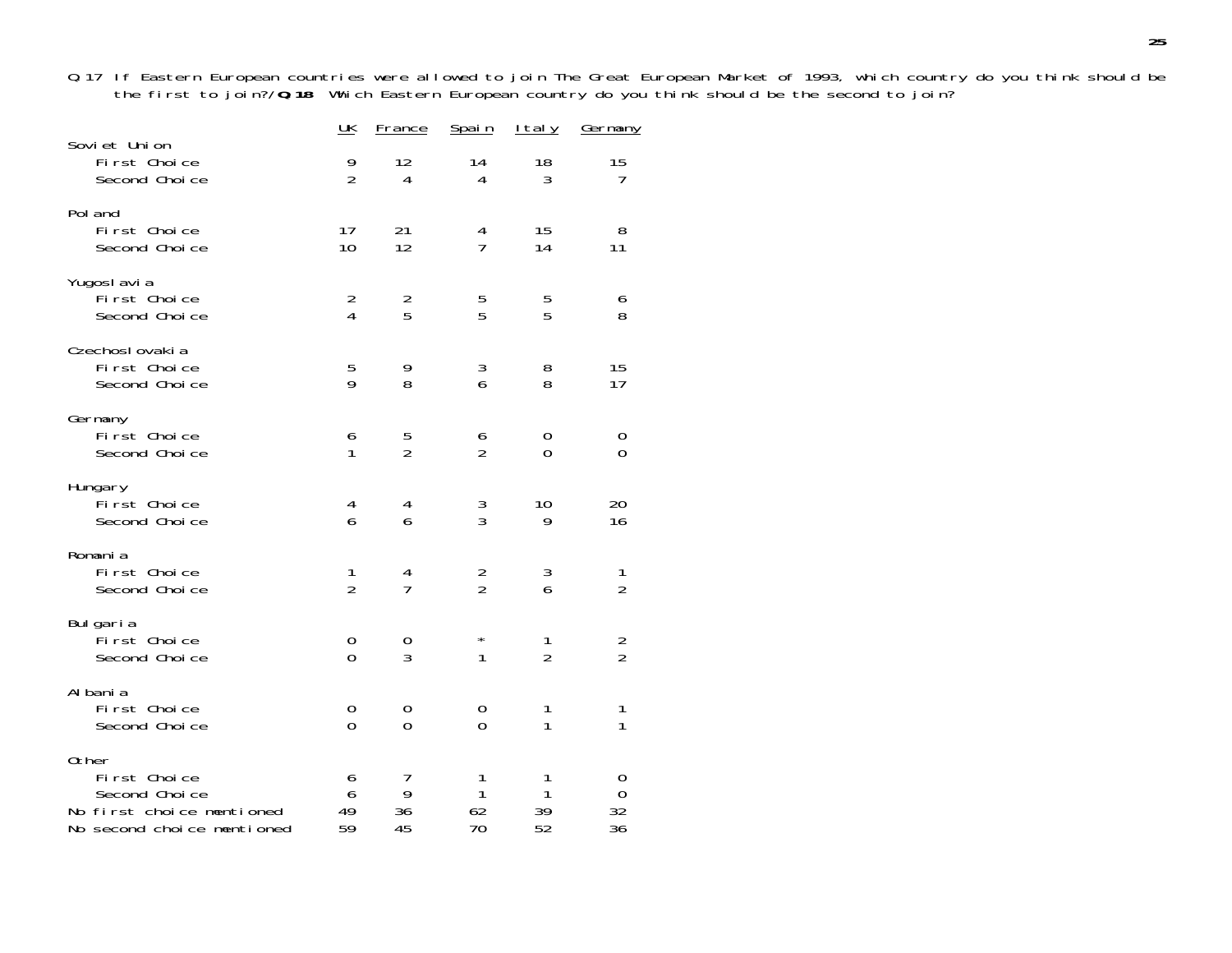Q.17 If Eastern European countries were allowed to join The Great European Market of 1993, which country do you think should be the first to join?/**Q.18** Which Eastern European country do you think should be the second to join?

|                                                                                                   | $\underline{\mathsf{UK}}$          | <b>France</b>        | Spain               | <u>Italy</u>        | <u>Germany</u>      |
|---------------------------------------------------------------------------------------------------|------------------------------------|----------------------|---------------------|---------------------|---------------------|
| Soviet Union<br>First Choice<br>Second Choice                                                     | 9<br>$\overline{2}$                | 12<br>$\overline{4}$ | 14<br>4             | 18<br>3             | 15<br>7             |
| Pol and<br>First Choice<br>Second Choice                                                          | 17<br>10                           | 21<br>12             | 4<br>$\overline{1}$ | 15<br>14            | 8<br>11             |
| Yugoslavia<br>First Choice<br>Second Choice                                                       | $\overline{2}$<br>$\overline{4}$   | $\frac{2}{5}$        | 5<br>5              | 5<br>5              | 6<br>8              |
| Czechoslovakia<br>First Choice<br>Second Choice                                                   | 5<br>9                             | 9<br>8               | 3<br>6              | 8<br>8              | 15<br>17            |
| Germany<br>First Choice<br>Second Choice                                                          | 6<br>1                             | 5<br>$\overline{2}$  | 6<br>$\overline{2}$ | 0<br>$\Omega$       | 0<br>0              |
| Hungary<br>First Choice<br>Second Choice                                                          | 4<br>6                             | 4<br>6               | $\frac{3}{3}$       | 10<br>9             | 20<br>16            |
| Romania<br>First Choice<br>Second Choice                                                          | 1<br>$\overline{2}$                | 4<br>7               | $\frac{2}{2}$       | $\frac{3}{6}$       | 1<br>$\overline{2}$ |
| Bulgaria<br>First Choice<br>Second Choice                                                         | $\boldsymbol{0}$<br>$\overline{0}$ | 0<br>3               | $\star$<br>1        | 1<br>$\overline{2}$ | $\frac{2}{2}$       |
| Al bani a<br>First Choice<br>Second Choice                                                        | 0<br>$\overline{0}$                | 0<br>0               | 0<br>$\overline{0}$ | 1<br>1              | 1<br>$\mathbf{1}$   |
| 0ther<br>First Choice<br>Second Choice<br>No first choice mentioned<br>No second choice mentioned | 6<br>6<br>49<br>59                 | 7<br>9<br>36<br>45   | 1<br>1<br>62<br>70  | 1<br>1<br>39<br>52  | 0<br>0<br>32<br>36  |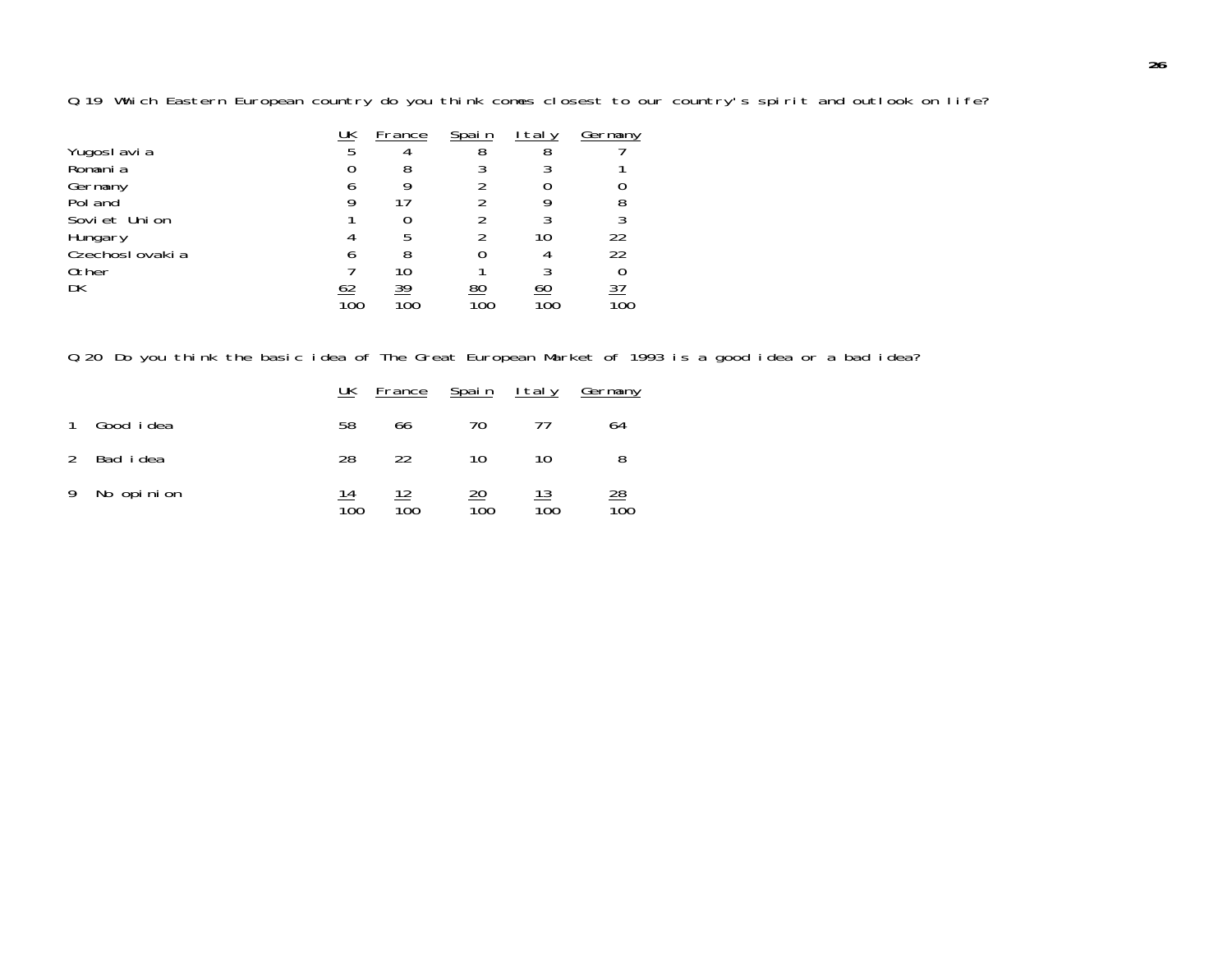Q.19 Which Eastern European country do you think comes closest to our country's spirit and outlook on life?

| 22        |
|-----------|
| 22        |
|           |
| <u>37</u> |
| INC       |
|           |

Q.20 Do you think the basic idea of The Great European Market of 1993 is a good idea or a bad idea?

|               |                   | UK        | France    | <u>Spain Italy</u>     |           | Germany                |
|---------------|-------------------|-----------|-----------|------------------------|-----------|------------------------|
|               | Good <i>i</i> dea | 58        | 66        | 70                     |           | 64                     |
| $\mathcal{L}$ | Bad idea          | 28        | 22        | 10                     | 10        |                        |
|               | 9 No opinion      | 14<br>100 | 12<br>100 | $\overline{20}$<br>100 | 13<br>100 | $\overline{28}$<br>100 |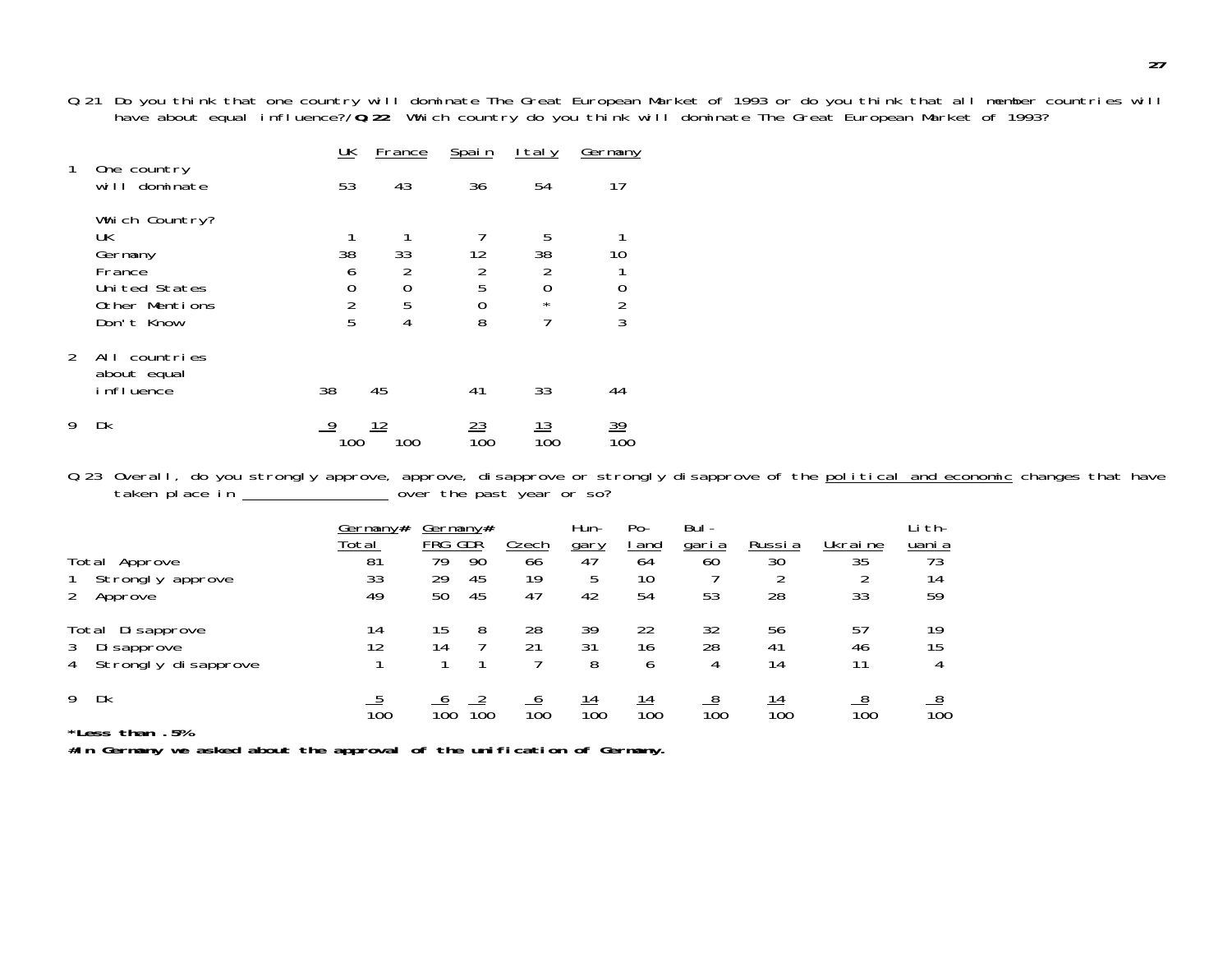Q.21 Do you think that one country will dominate The Great European Market of 1993 or do you think that all member countries will have about equal influence?/**Q.22** Which country do you think will dominate The Great European Market of 1993?

|               |                                                                                             | $\underline{\mathsf{UK}}$                | France                              | Spain                               | ltaly                                                       | Germany                  |
|---------------|---------------------------------------------------------------------------------------------|------------------------------------------|-------------------------------------|-------------------------------------|-------------------------------------------------------------|--------------------------|
| 1             | One country<br>will dominate                                                                | 53                                       | 43                                  | 36                                  | 54                                                          | 17                       |
|               | Which Country?<br>UK<br>Germany<br>France<br>Uni ted States<br>Other Mentions<br>Don't Know | 1<br>38<br>6<br>0<br>$\overline{2}$<br>5 | 33<br>$\overline{2}$<br>0<br>5<br>4 | 12<br>$\overline{2}$<br>5<br>0<br>8 | 5<br>38<br>$\overline{2}$<br>$\overline{0}$<br>$\star$<br>7 | 10<br>0<br>$\frac{2}{3}$ |
| $\mathcal{P}$ | All countries<br>about equal<br>influence                                                   | 38                                       | 45                                  | 41                                  | 33                                                          | 44                       |
| 9             | Dk                                                                                          | 9<br>100                                 | 12<br>100                           | 23<br>100                           | 13<br>100                                                   | <u>39</u><br>100         |

Q.23 Overall, do you strongly approve, approve, disapprove or strongly disapprove of the political and economic changes that have taken place in  $\frac{3}{2}$   $\frac{3}{2}$   $\frac{1}{2}$  over the past year or so?

|                                       | Germany#         | Germany#         |     |                  | Hun-             | Po-              | Bul-             |        |               | Li th-           |
|---------------------------------------|------------------|------------------|-----|------------------|------------------|------------------|------------------|--------|---------------|------------------|
|                                       | Total            | FRG GDŘ          |     | <b>Czech</b>     | gary             | <u>l and</u>     | <u>garia</u>     | Russia | Ukraine       | uani a           |
| Total Approve                         | 81               | 79               | 90  | 66               | 47               | 64               | 60               | 30     | 35            | 73               |
| Strongly approve                      | 33               | 29               | 45  | 19               | 5                | 10               |                  |        |               | 14               |
| Approve                               | 49               | 50               | 45  | 47               | 42               | 54               | 53               | 28     | 33            | 59               |
| Di sapprove<br>Total                  | 14               | 15               |     | 28               | 39               | 22               | 32               | 56     | 57            | 19               |
| Di sapprove                           | 12               | 14               |     | 21               | 31               | 16               | 28               | 41     | 46            | 15               |
| Strongly disapprove<br>4              |                  |                  |     |                  | 8                | 6                | 4                | 14     | 11            | 4                |
| Dk<br>9                               |                  |                  |     |                  | <u> 14</u>       | <u>14</u>        |                  |        |               |                  |
| Metrosofie al II-lea de la Co<br>r or | $\overline{10}0$ | $\overline{10}0$ | 100 | $\overline{10}0$ | $\overline{10}0$ | $\overline{10}0$ | $\overline{10}0$ | 100    | $100^{\circ}$ | $\overline{10}0$ |

**\*Less than .5%**

**#In Germany we asked about the approval of the unification of Germany.**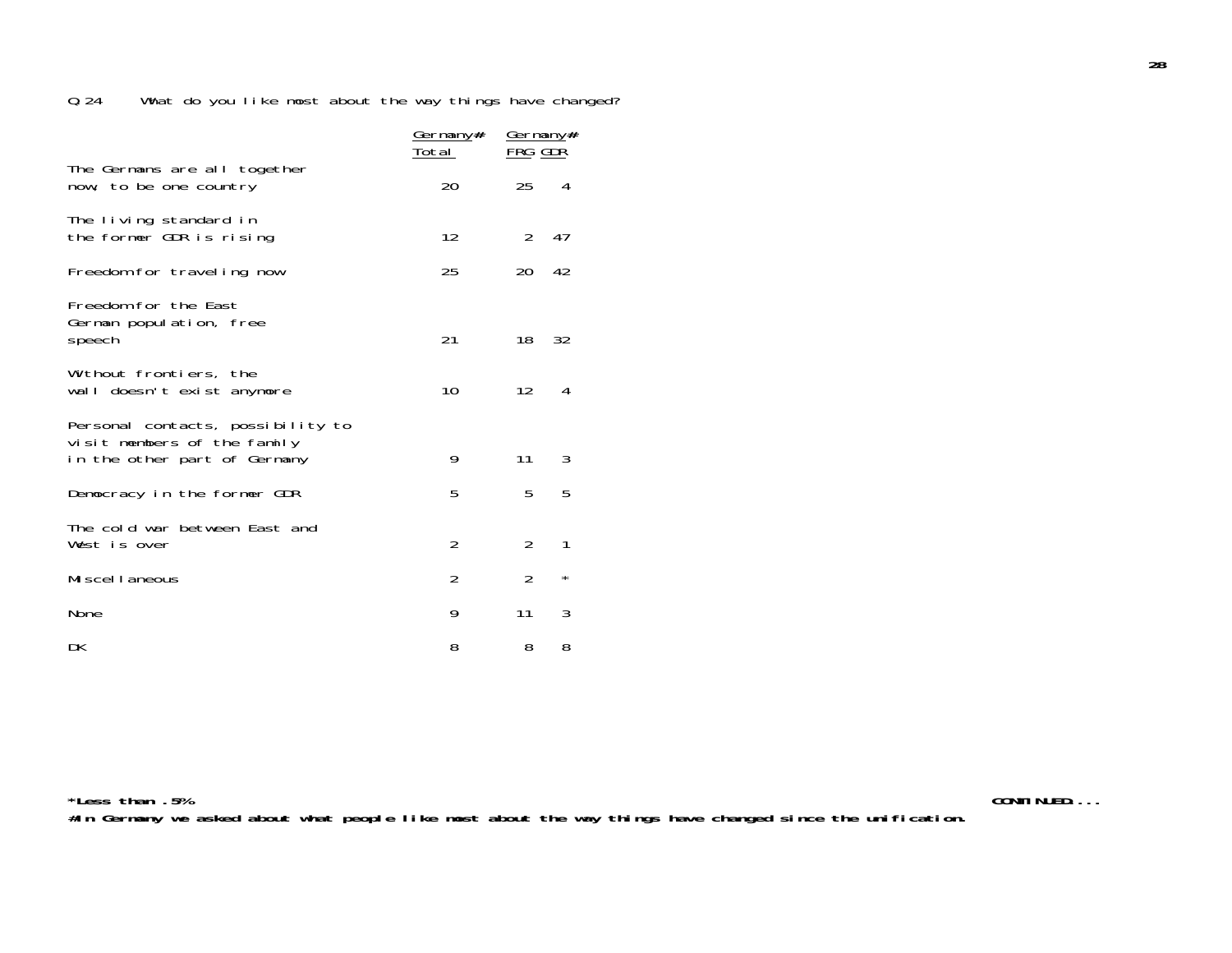|                                                                                                  | <u>Germany#</u><br><u>Total</u> | <u>Germany#</u><br><u>FRG GDR</u> |          |  |
|--------------------------------------------------------------------------------------------------|---------------------------------|-----------------------------------|----------|--|
| The Germans are all together<br>now, to be one country                                           | 20                              | 25                                | 4        |  |
| The living standard in<br>the former GDR is rising                                               | 12                              | 2                                 | 47       |  |
| Freedom for traveling now                                                                        | 25                              | 20                                | 42       |  |
| Freedom for the East<br>German population, free<br>speech                                        | 21                              | 18                                | 32       |  |
| Without frontiers, the<br>wall doesn't exist anymore                                             | 10                              | $12 \overline{ }$                 | 4        |  |
| Personal contacts, possibility to<br>visit members of the family<br>in the other part of Germany | 9                               | 11                                | 3        |  |
| Democracy in the former GDR                                                                      | 5                               | 5                                 | 5        |  |
| The cold war between East and<br>West is over                                                    | $\overline{2}$                  | 2                                 | 1        |  |
| Miscellaneous                                                                                    | $\overline{2}$                  | $\overline{2}$                    | $^\star$ |  |
| None                                                                                             | 9                               | 11                                | 3        |  |
| DK                                                                                               | 8                               | 8                                 | 8        |  |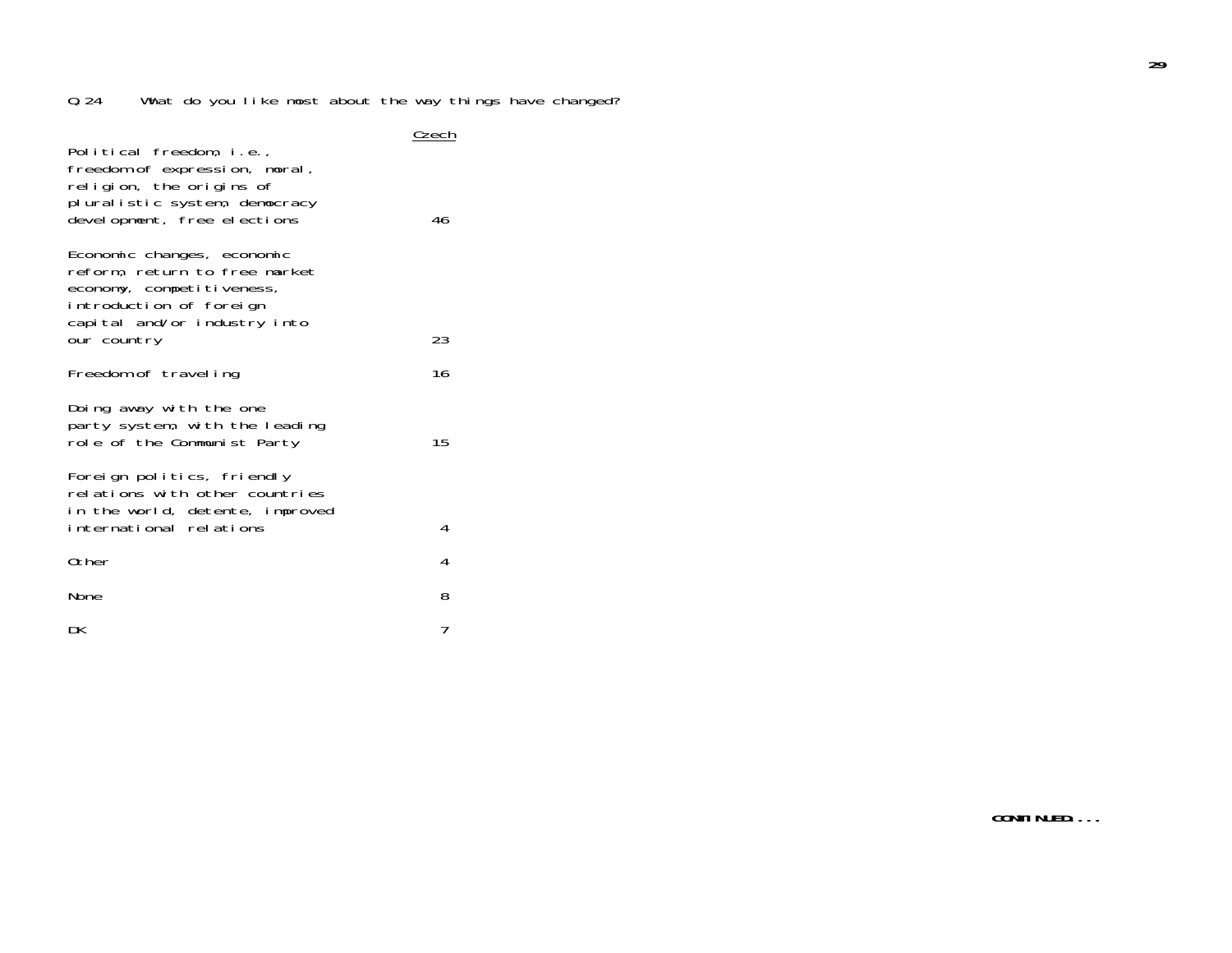| Political freedom, i.e.,<br>freedom of expression, moral,<br>religion, the origins of<br>pluralistic system, democracy<br>development, free elections              | Czech<br>46 |
|--------------------------------------------------------------------------------------------------------------------------------------------------------------------|-------------|
| Economic changes, economic<br>reform, return to free market<br>economy, competitiveness,<br>introduction of foreign<br>capital and/or industry into<br>our country | 23          |
| Freedom of traveling                                                                                                                                               | 16          |
| Doing away with the one<br>party system, with the leading<br>role of the Communist Party                                                                           | 15          |
| Foreign politics, friendly<br>relations with other countries<br>in the world, detente, improved<br>international relations                                         | 4           |
| 0ther                                                                                                                                                              | 4           |
| None                                                                                                                                                               | 8           |
| DK                                                                                                                                                                 | 7           |

**29**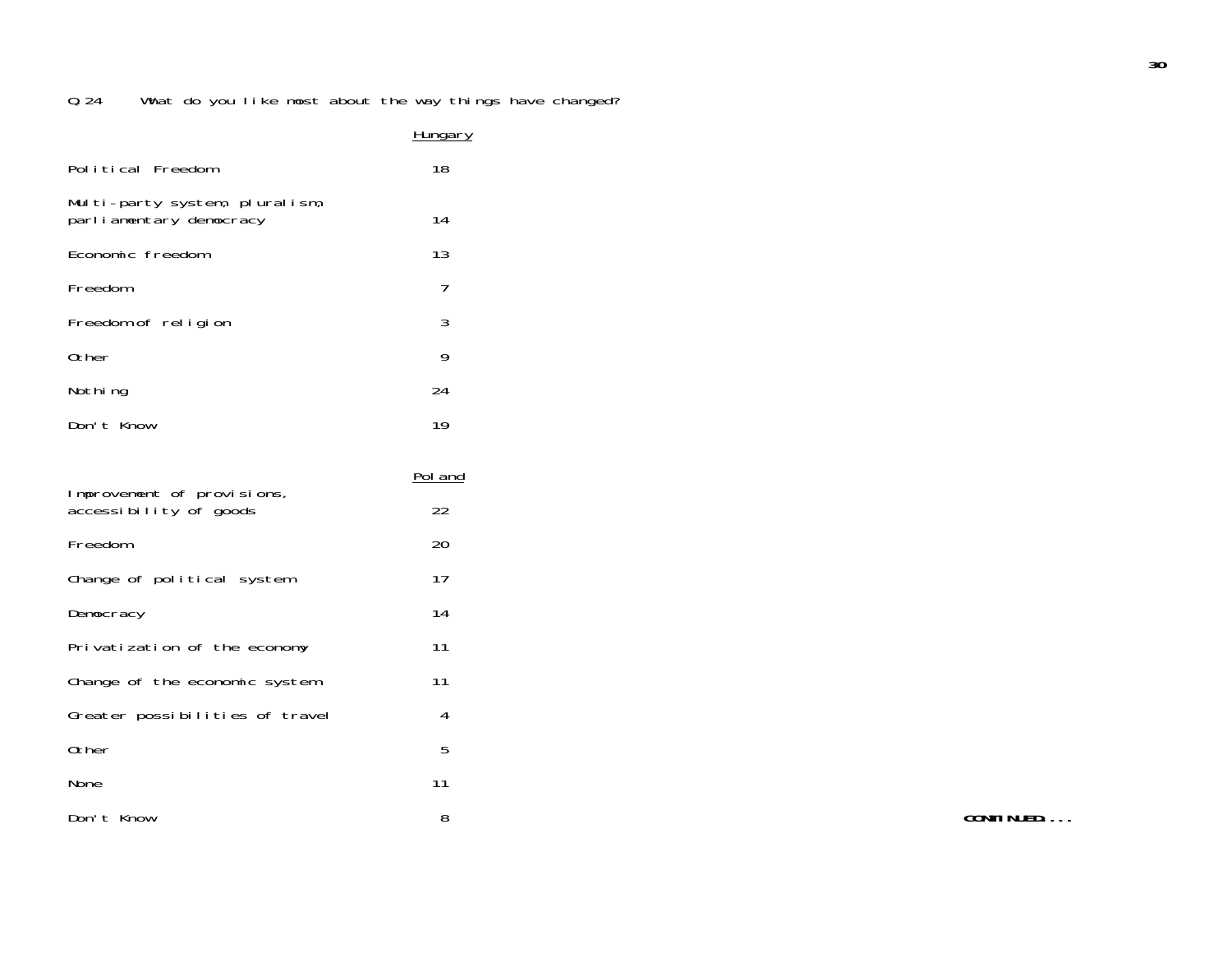|                                                           | <b>Hungary</b> |
|-----------------------------------------------------------|----------------|
| Political Freedom                                         | 18             |
| Multi-party system, pluralism,<br>parliamentary democracy | 14             |
| Economic freedom                                          | 13             |
| Freedom                                                   | $\overline{7}$ |
| Freedom of religion                                       | 3              |
| Other                                                     | 9              |
| Nothing                                                   | 24             |
| Don't Know                                                | 19             |
|                                                           |                |
| Improvement of provisions,<br>accessibility of goods      | Pol and<br>22  |
| Freedom                                                   | 20             |
| Change of political system                                | 17             |
| Democracy                                                 | 14             |
| Privatization of the economy                              | 11             |
| Change of the economic system                             | 11             |
| Greater possibilities of travel                           | 4              |
| Other                                                     | 5              |

Don't Know 8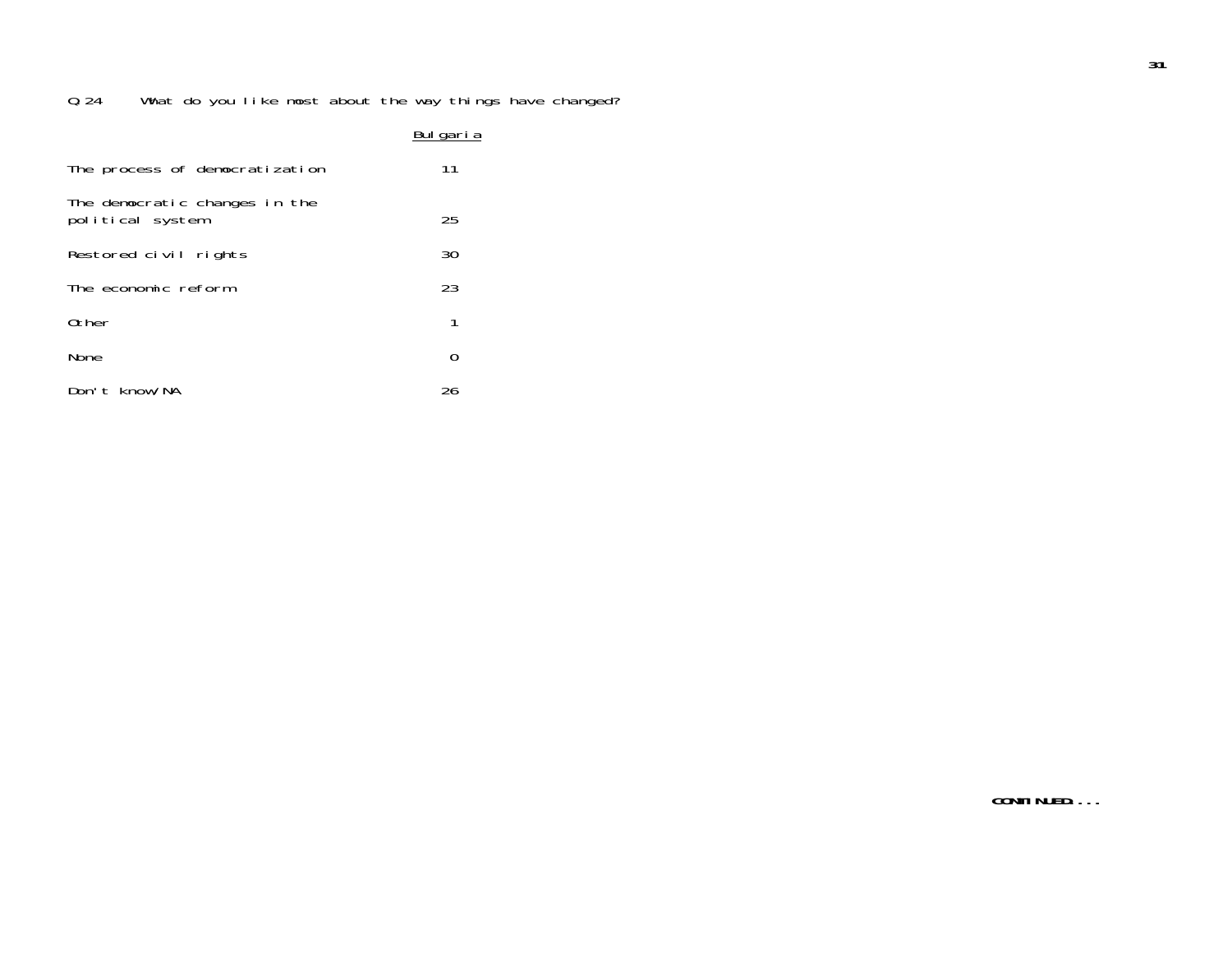## Bulgaria

| The process of democratization                    | 11 |
|---------------------------------------------------|----|
| The democratic changes in the<br>political system | 25 |
| Restored civil rights                             | 30 |
| The economic reform                               | 23 |
| Other                                             | 1  |
| <b>None</b>                                       | 0  |
| Don't know/NA                                     | 26 |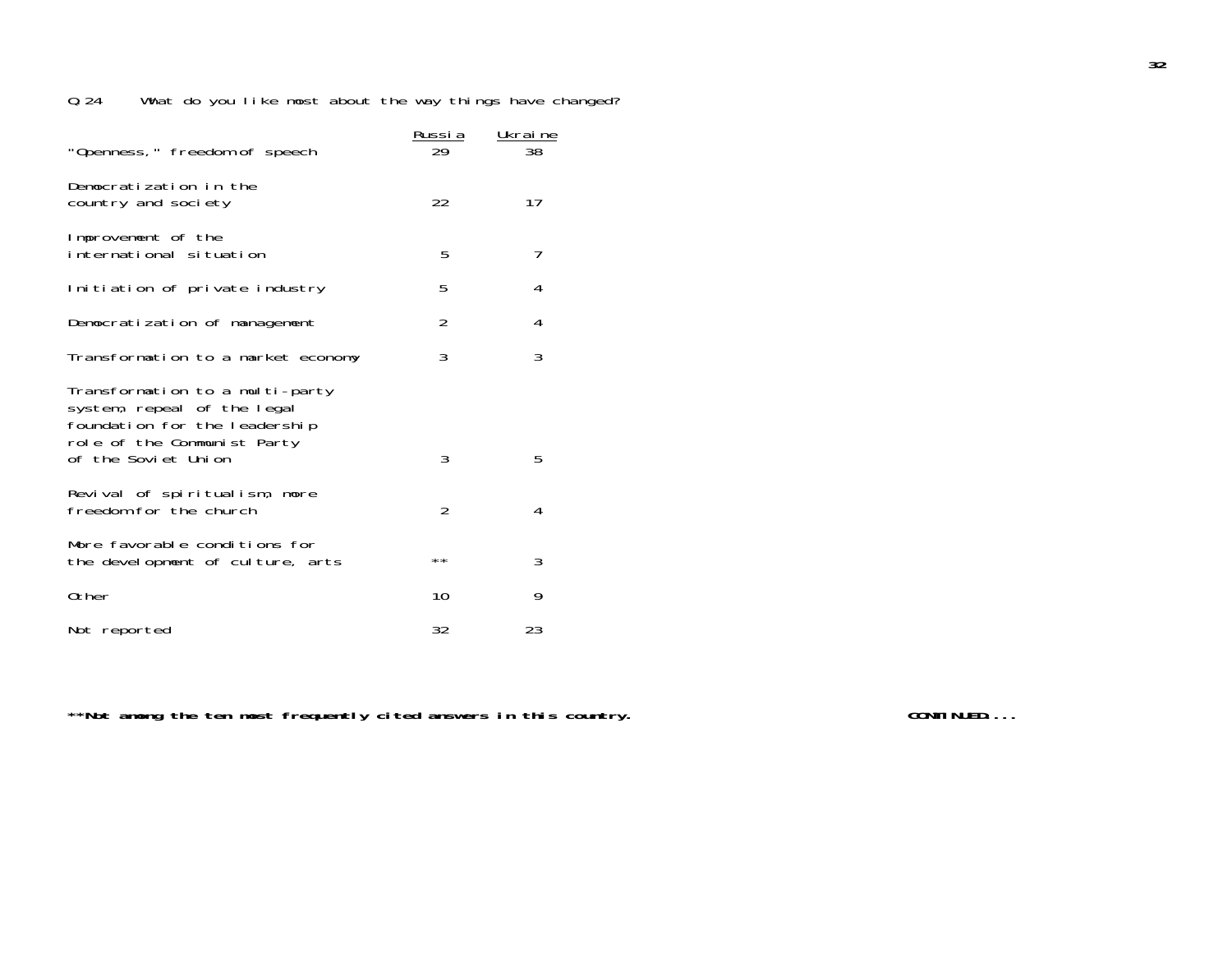|                                                                                                                                | <u>Russi a</u> | Ukraine |
|--------------------------------------------------------------------------------------------------------------------------------|----------------|---------|
| "Openness," freedom of speech                                                                                                  | 29             | 38      |
| Democratization in the<br>country and society                                                                                  | 22             | 17      |
| Improvement of the<br>international situation                                                                                  | 5              | 7       |
| Initiation of private industry                                                                                                 | 5              | 4       |
| Democratization of management                                                                                                  | $\overline{2}$ | 4       |
| Transformation to a market economy                                                                                             | 3              | 3       |
| Transformation to a multi-party<br>system, repeal of the legal<br>foundation for the leadership<br>role of the Communist Party | 3              |         |
| of the Soviet Union                                                                                                            |                | 5       |
| Revival of spiritualism, more<br>freedom for the church                                                                        | $\overline{2}$ | 4       |
| More favorable conditions for<br>the development of culture, arts                                                              | $* *$          | 3       |
| Other                                                                                                                          | 10             | 9       |
| Not reported                                                                                                                   | 32             | 23      |

\*\*Not among the ten most frequently cited answers in this country. **The contract of the CONTINUED...**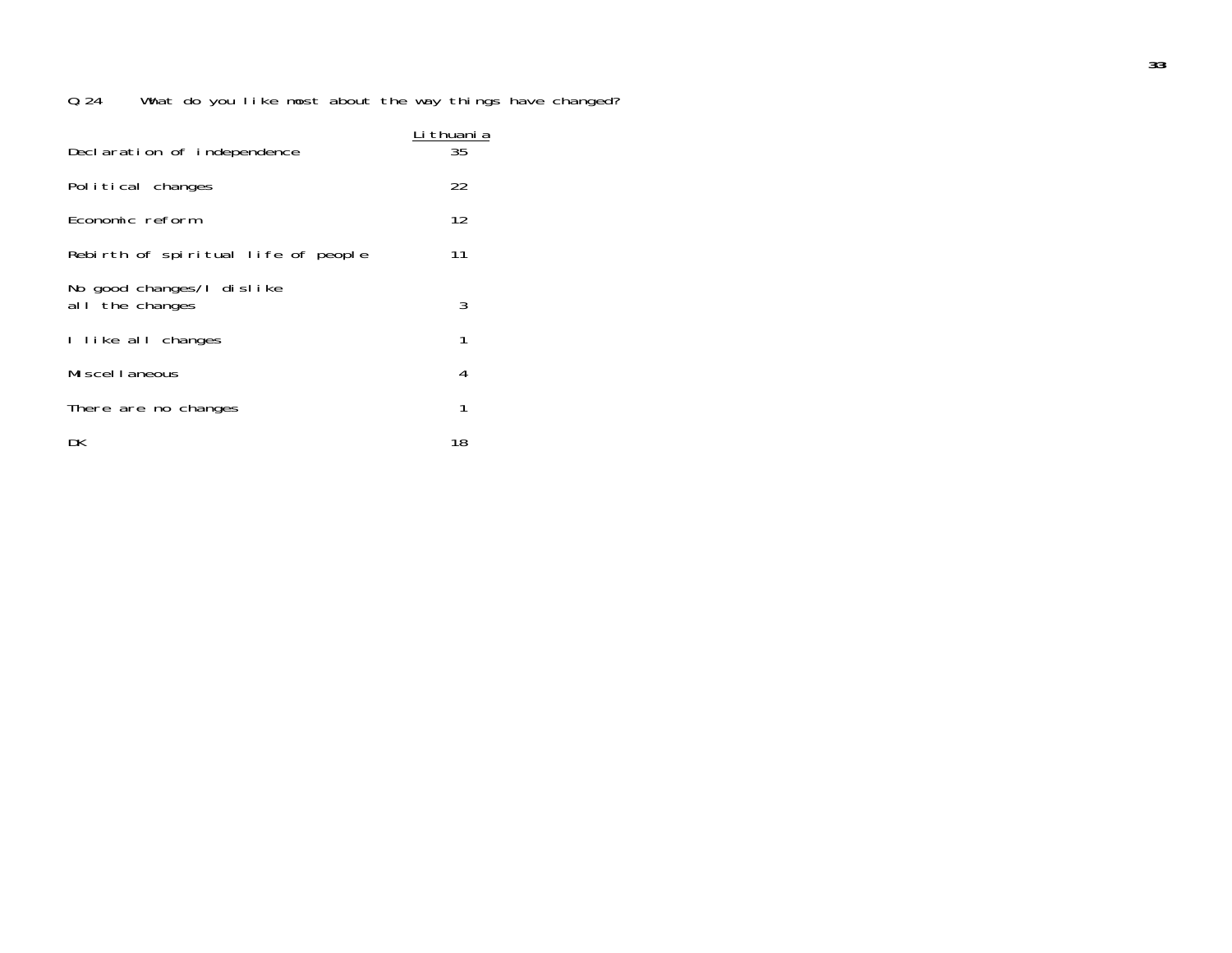| Declaration of independence                   | <u>Li thuani</u> a<br>35 |
|-----------------------------------------------|--------------------------|
| Political changes                             | 22                       |
| Economic reform                               | 12                       |
| Rebirth of spiritual life of people           | 11                       |
| No good changes/I dislike<br>al I the changes | 3                        |
| I like all changes                            | 1                        |
| Miscellaneous                                 | 4                        |
| There are no changes                          | 1                        |
| DK                                            | 18                       |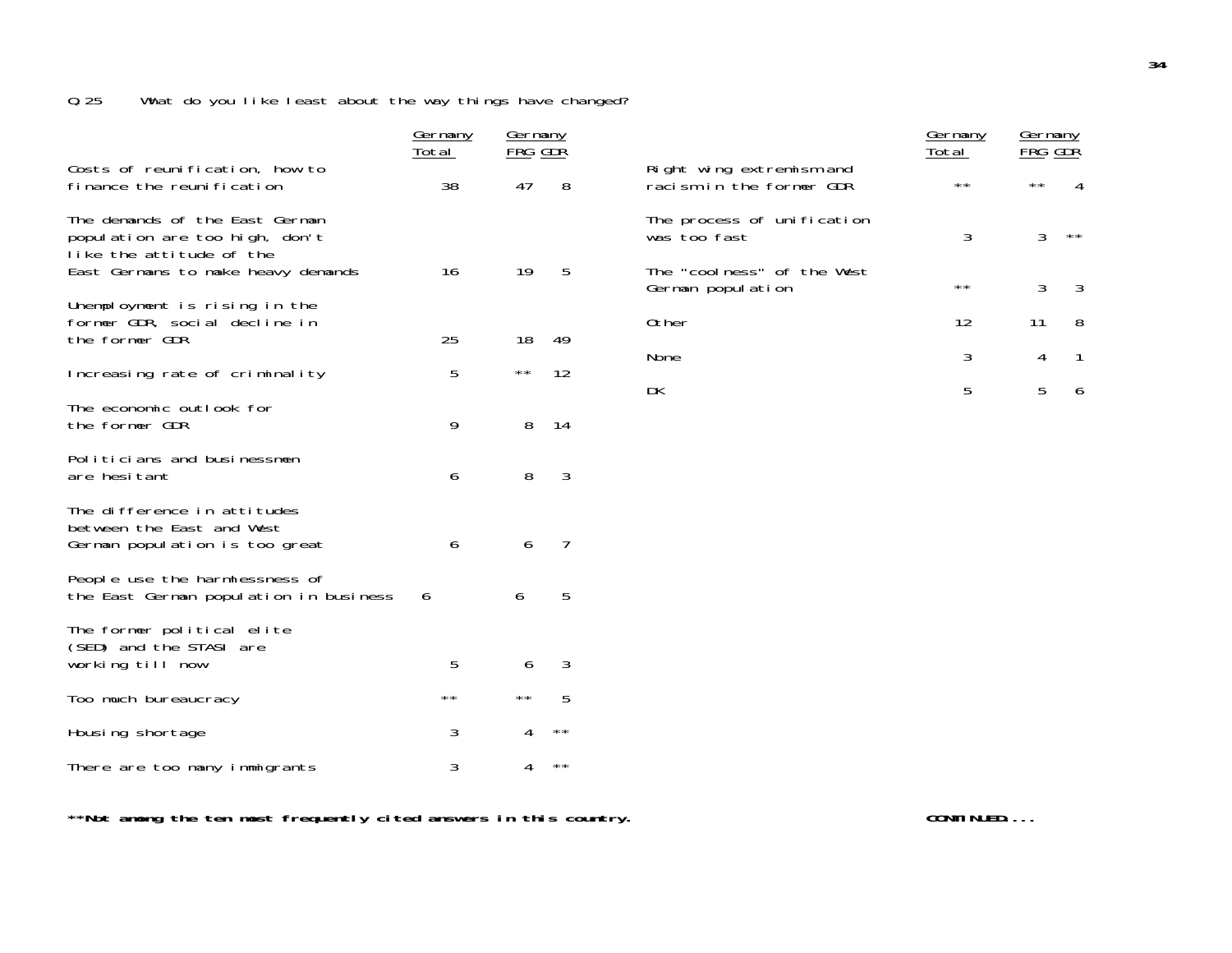|                                                                                              | <u>Germany</u><br>Total | <u>Germany</u><br>FRG GDR |                 |                                                      | <u>Germany</u><br>Total | Germany<br>FRG GDŘ |              |
|----------------------------------------------------------------------------------------------|-------------------------|---------------------------|-----------------|------------------------------------------------------|-------------------------|--------------------|--------------|
| Costs of reunification, how to<br>finance the reunification                                  | 38                      | 47                        | 8               | Right wing extremism and<br>racism in the former GDR | $\star\star$            | $\star\star$       |              |
| The demands of the East German<br>population are too high, don't<br>like the attitude of the |                         |                           |                 | The process of unification<br>was too fast           | 3                       | 3                  | $\star\star$ |
| East Germans to make heavy demands                                                           | 16                      | 19                        | 5               | The "coolness" of the West<br>German population      | $\star\star$            | 3                  | 3            |
| Unemployment is rising in the<br>former GDR, social decline in<br>the former GDR             | 25                      | 18                        | 49              | 0ther                                                | 12                      | 11                 | 8            |
| Increasing rate of criminality                                                               | 5                       | $\star\star$              | 12              | None                                                 | 3                       | 4                  | $\mathbf{1}$ |
| The economic outlook for<br>the former GDR                                                   | 9                       | 8                         | 14              | DK                                                   | 5                       | 5                  | 6            |
| Politicians and businessmen<br>are hesitant                                                  | 6                       | 8                         | $\mathfrak{Z}$  |                                                      |                         |                    |              |
| The difference in attitudes<br>between the East and West<br>German population is too great   | 6                       | 6                         | 7               |                                                      |                         |                    |              |
| People use the harmlessness of<br>the East German population in business                     | 6                       | 6                         | $5\phantom{.0}$ |                                                      |                         |                    |              |
| The former political elite<br>(SED) and the STASI are<br>working till now                    | 5                       | 6                         | 3               |                                                      |                         |                    |              |
| Too much bureaucracy                                                                         | $\star\,\star$          | $\star\star$              | $\overline{5}$  |                                                      |                         |                    |              |
| Housing shortage                                                                             | 3                       | 4                         | $***$           |                                                      |                         |                    |              |
| There are too many immigrants                                                                | 3                       | 4                         | $***$           |                                                      |                         |                    |              |

\*\*Not among the ten most frequently cited answers in this country. **The contract of the CONTINUED...**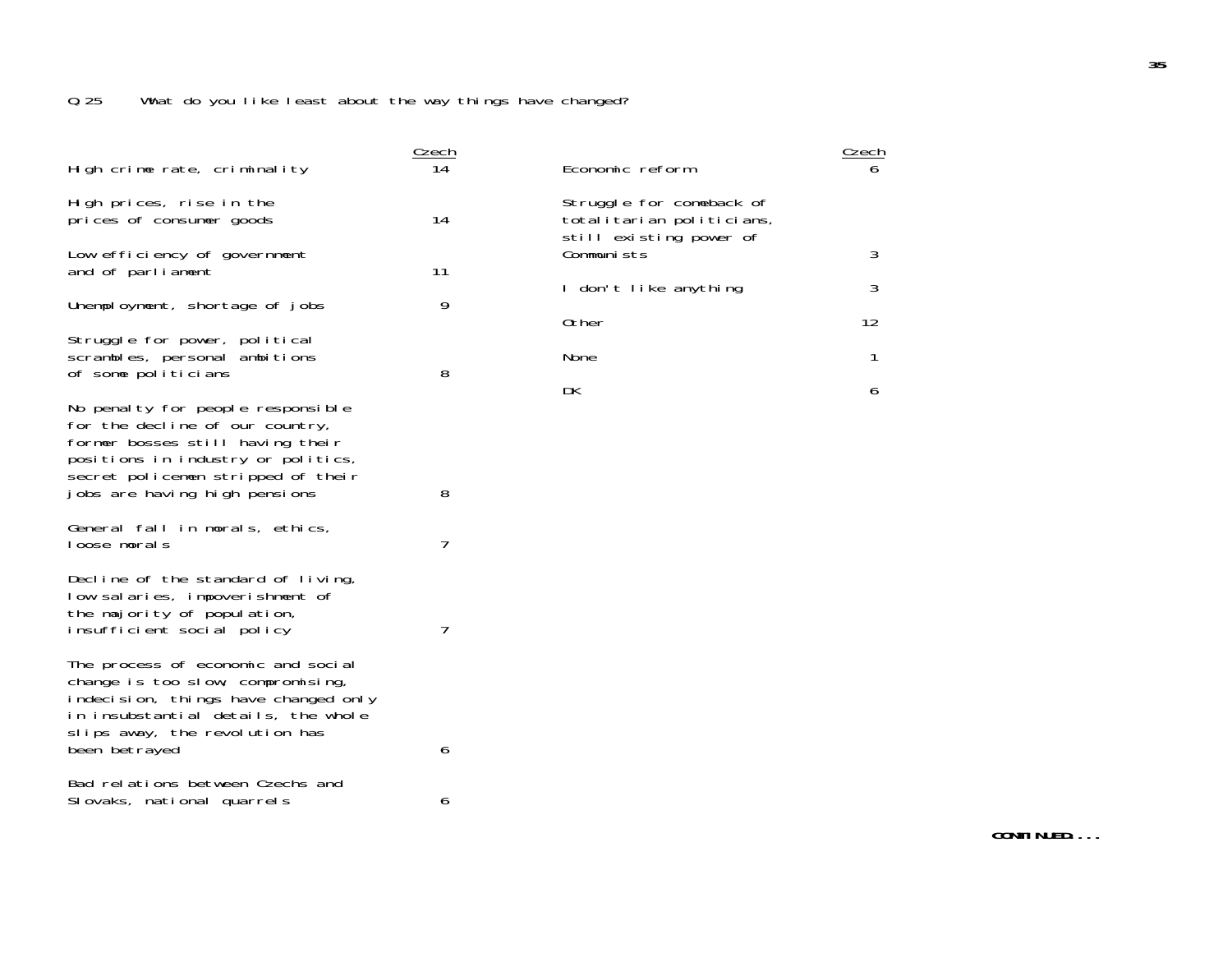| High crime rate, criminality                                                                                                                                                                                          | Czech<br>14 | Economic reform                                                                  | Czech<br>6        |
|-----------------------------------------------------------------------------------------------------------------------------------------------------------------------------------------------------------------------|-------------|----------------------------------------------------------------------------------|-------------------|
| High prices, rise in the<br>prices of consumer goods                                                                                                                                                                  | 14          | Struggle for comeback of<br>totalitarian politicians,<br>still existing power of |                   |
| Low efficiency of government<br>and of parliament                                                                                                                                                                     | 11          | Communists                                                                       | 3                 |
| Unemployment, shortage of jobs                                                                                                                                                                                        | 9           | I don't like anything<br>0ther                                                   | 3<br>12           |
| Struggle for power, political<br>scrambles, personal ambitions<br>of some politicians                                                                                                                                 | 8           | <b>None</b><br>DK                                                                | $\mathbf{1}$<br>6 |
| No penalty for people responsible<br>for the decline of our country,<br>former bosses still having their<br>positions in industry or politics,<br>secret policemen stripped of their<br>jobs are having high pensions | 8           |                                                                                  |                   |
| General fall in morals, ethics,<br>loose morals                                                                                                                                                                       | 7           |                                                                                  |                   |
| Decline of the standard of living,<br>low salaries, impoverishment of<br>the majority of population,<br>insufficient social policy                                                                                    | 7           |                                                                                  |                   |
| The process of economic and social<br>change is too slow, compromising,<br>indecision, things have changed only<br>in insubstantial details, the whole<br>slips away, the revolution has<br>been betrayed             | 6           |                                                                                  |                   |
| Bad relations between Czechs and<br>Slovaks, national quarrels                                                                                                                                                        | 6           |                                                                                  |                   |
|                                                                                                                                                                                                                       |             |                                                                                  |                   |

**CONTINUED....**

 $\frac{Czech}{6}$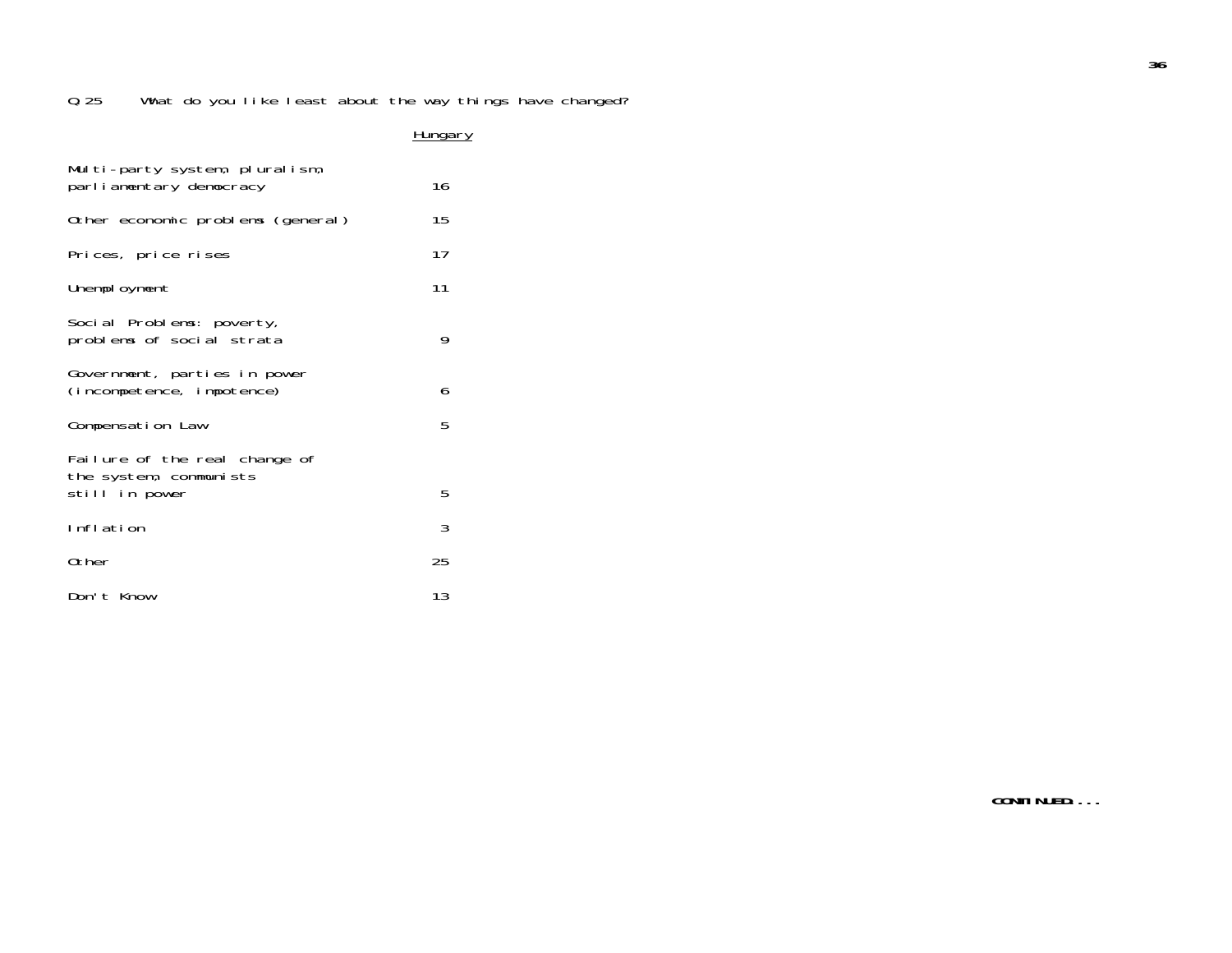#### **Hungary**

| Multi-party system, pluralism,<br>parliamentary democracy | 16 |
|-----------------------------------------------------------|----|
| Other economic problems (general)                         | 15 |
| Prices, price rises                                       | 17 |
| Unemployment                                              | 11 |
| Social Problems: poverty,<br>problems of social strata    | 9  |
| Government, parties in power<br>(incompetence, impotence) | 6  |
| Compensation Law                                          | 5  |
| Failure of the real change of<br>the system, communists   |    |
| still in power                                            | 5  |
| Inflation                                                 | 3  |
| Other                                                     | 25 |
| Don't Know                                                | 13 |

**36**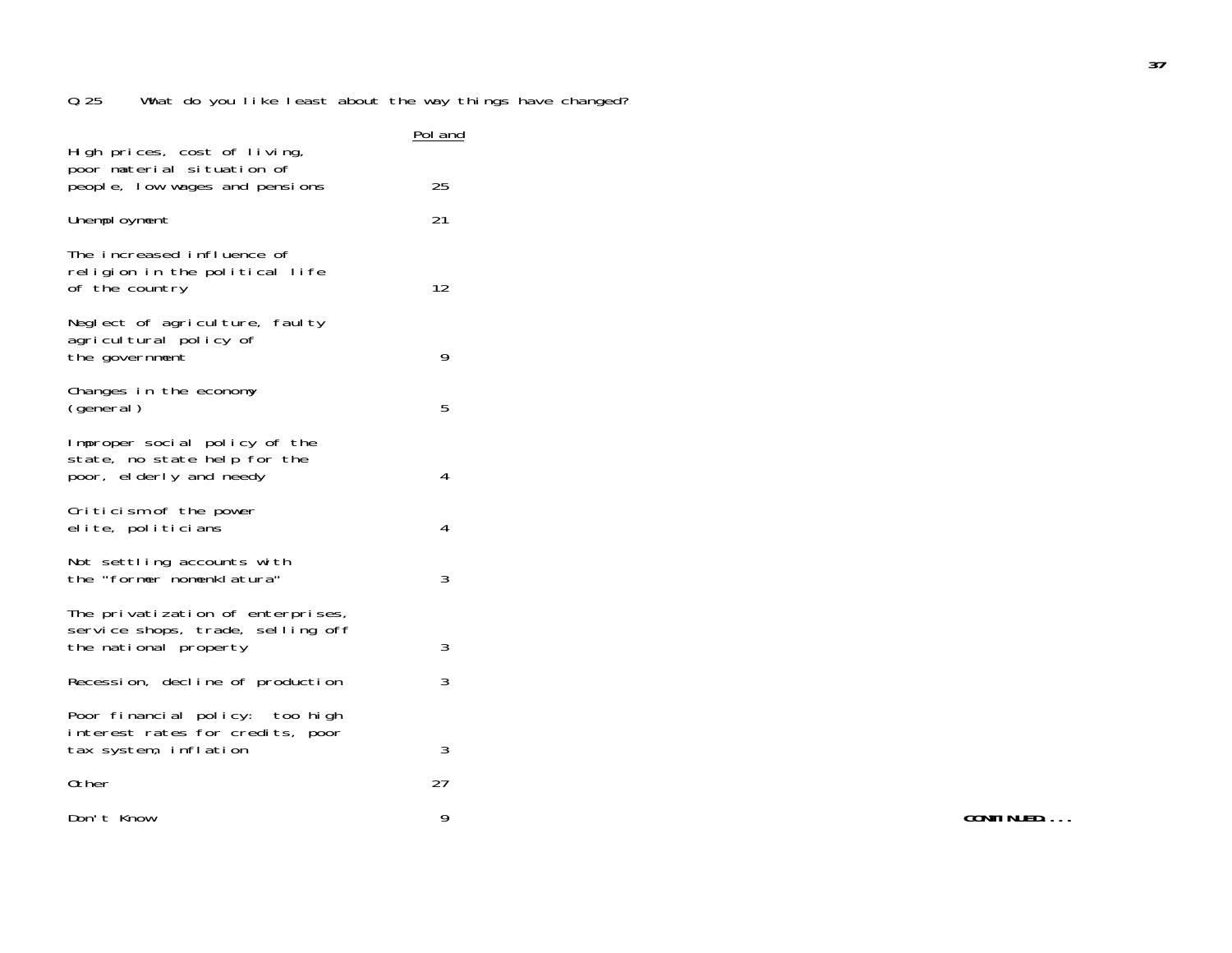| High prices, cost of living,                                                                    | <u>Pol and</u> |
|-------------------------------------------------------------------------------------------------|----------------|
| poor material situation of<br>people, low wages and pensions                                    | 25             |
| Unemployment                                                                                    | 21             |
| The increased influence of<br>religion in the political life<br>of the country                  | 12             |
| Neglect of agriculture, faulty<br>agricultural policy of<br>the government                      | 9              |
| Changes in the economy<br>(general)                                                             | 5              |
| Improper social policy of the<br>state, no state help for the<br>poor, elderly and needy        | 4              |
| Criticism of the power<br>elite, politicians                                                    | 4              |
| Not settling accounts with<br>the "former nomenklatura"                                         | 3              |
| The privatization of enterprises,<br>service shops, trade, selling off<br>the national property | 3              |
| Recession, decline of production                                                                | 3              |
| Poor financial policy: too high<br>interest rates for credits, poor<br>tax system, inflation    | 3              |
| 0ther                                                                                           | 27             |
| Don't Know                                                                                      | 9              |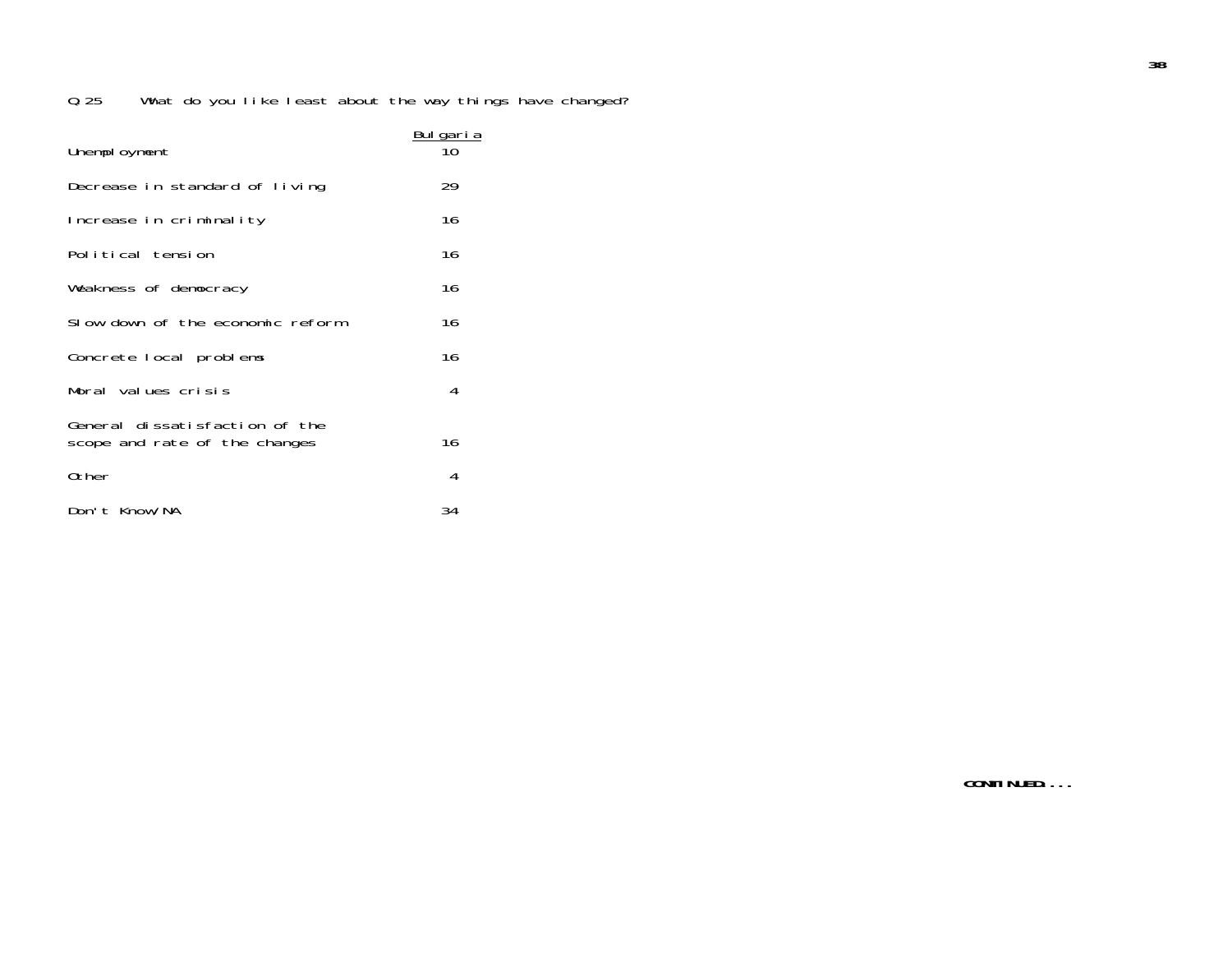| Unemployment                                                    | <u>Bulgaria</u> |
|-----------------------------------------------------------------|-----------------|
| Decrease in standard of living                                  | 29              |
| Increase in criminality                                         | 16              |
| Political tension                                               | 16              |
| Weakness of democracy                                           | 16              |
| Slow down of the economic reform                                | 16              |
| Concrete local problems                                         | 16              |
| Moral values crisis                                             | 4               |
| General dissatisfaction of the<br>scope and rate of the changes | 16              |
| Other                                                           | 4               |
| Don't Know/NA                                                   | 34              |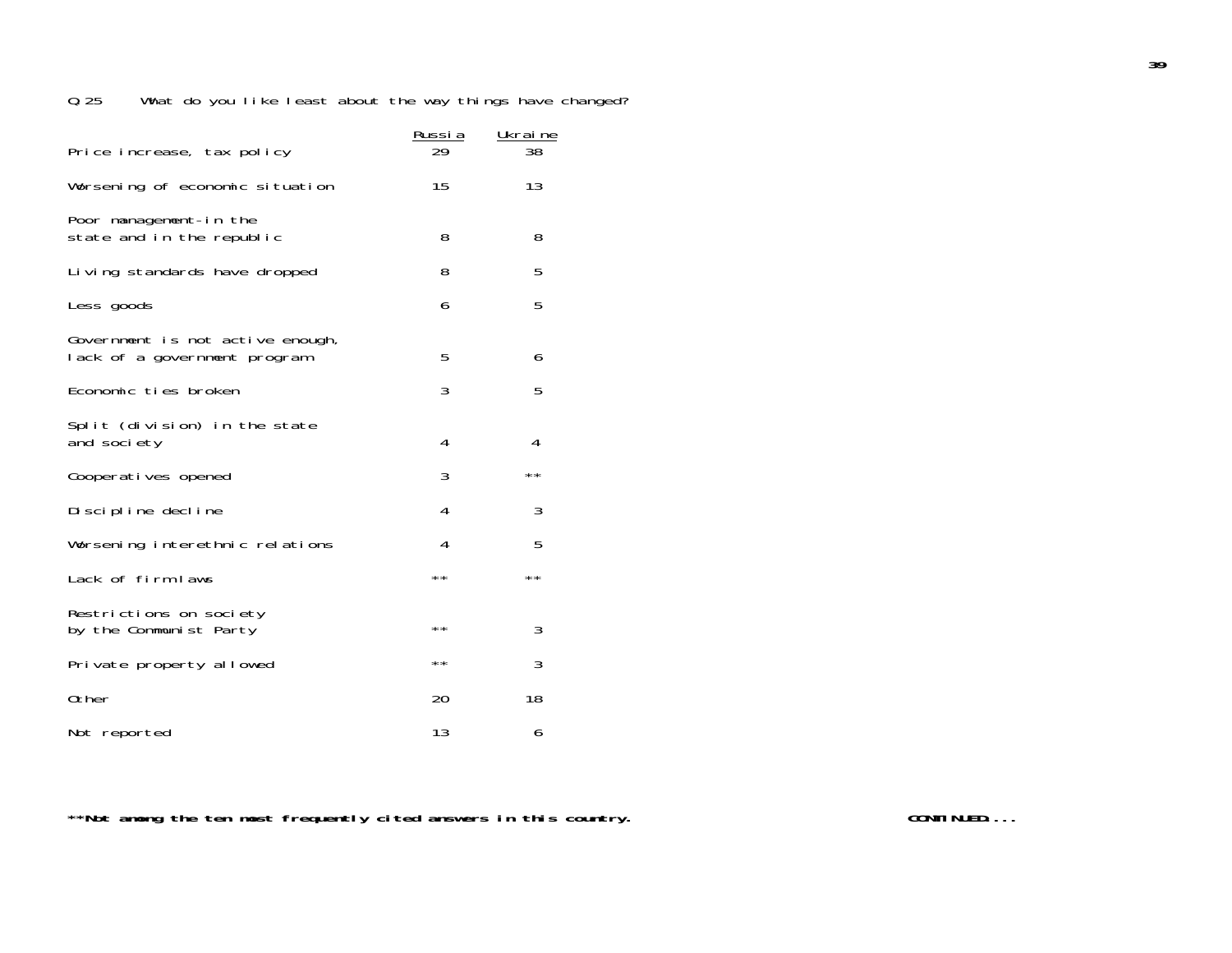|                                                                  | <u>Russia</u> | Ukraine        |
|------------------------------------------------------------------|---------------|----------------|
| Price increase, tax policy                                       | 29            | 38             |
| Worsening of economic situation                                  | 15            | 13             |
| Poor management-in the<br>state and in the republic              | 8             | 8              |
| Living standards have dropped                                    | 8             | 5              |
| Less goods                                                       | 6             | 5              |
| Government is not active enough,<br>lack of a government program | 5             | 6              |
| Economic ties broken                                             | 3             | 5              |
| Split (division) in the state<br>and society                     | 4             | 4              |
| Cooperatives opened                                              | 3             | $\star\,\star$ |
| Discipline decline                                               | 4             | 3              |
| Worsening interethnic relations                                  | 4             | 5              |
| Lack of firm laws                                                | $\star\star$  | $\star\star$   |
| Restrictions on society<br>by the Communist Party                | **            | 3              |
| Private property allowed                                         | **            | 3              |
| 0ther                                                            | 20            | 18             |
| Not reported                                                     | 13            | 6              |

\*\*Not among the ten most frequently cited answers in this country. **The contract of the contract of the contract of the contract of the contract of the contract of the contract of the contract of the contract of the contra**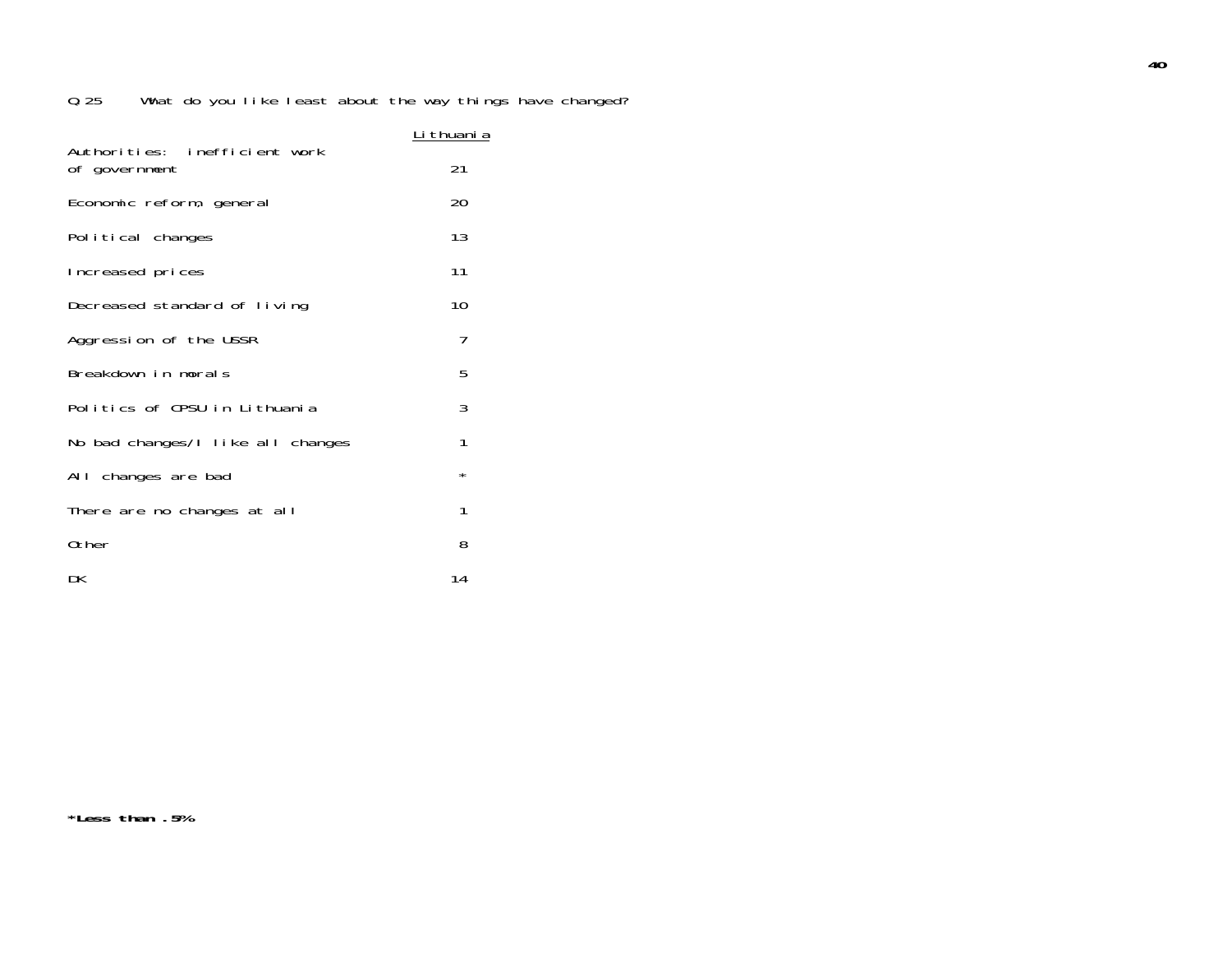|                                                | <u>Li thuani a</u> |
|------------------------------------------------|--------------------|
| Authorities: inefficient work<br>of government | 21                 |
| Economic reform, general                       | 20                 |
| Political changes                              | 13                 |
| Increased prices                               | 11                 |
| Decreased standard of living                   | 10                 |
| Aggression of the USSR                         | 7                  |
| Breakdown in morals                            | 5                  |
| Politics of CPSU in Lithuania                  | 3                  |
| No bad changes/I like all changes              | 1                  |
| All changes are bad                            | $^\star$           |
| There are no changes at all                    | 1                  |
| 0ther                                          | 8                  |
| DK                                             | 14                 |

**\*Less than .5%**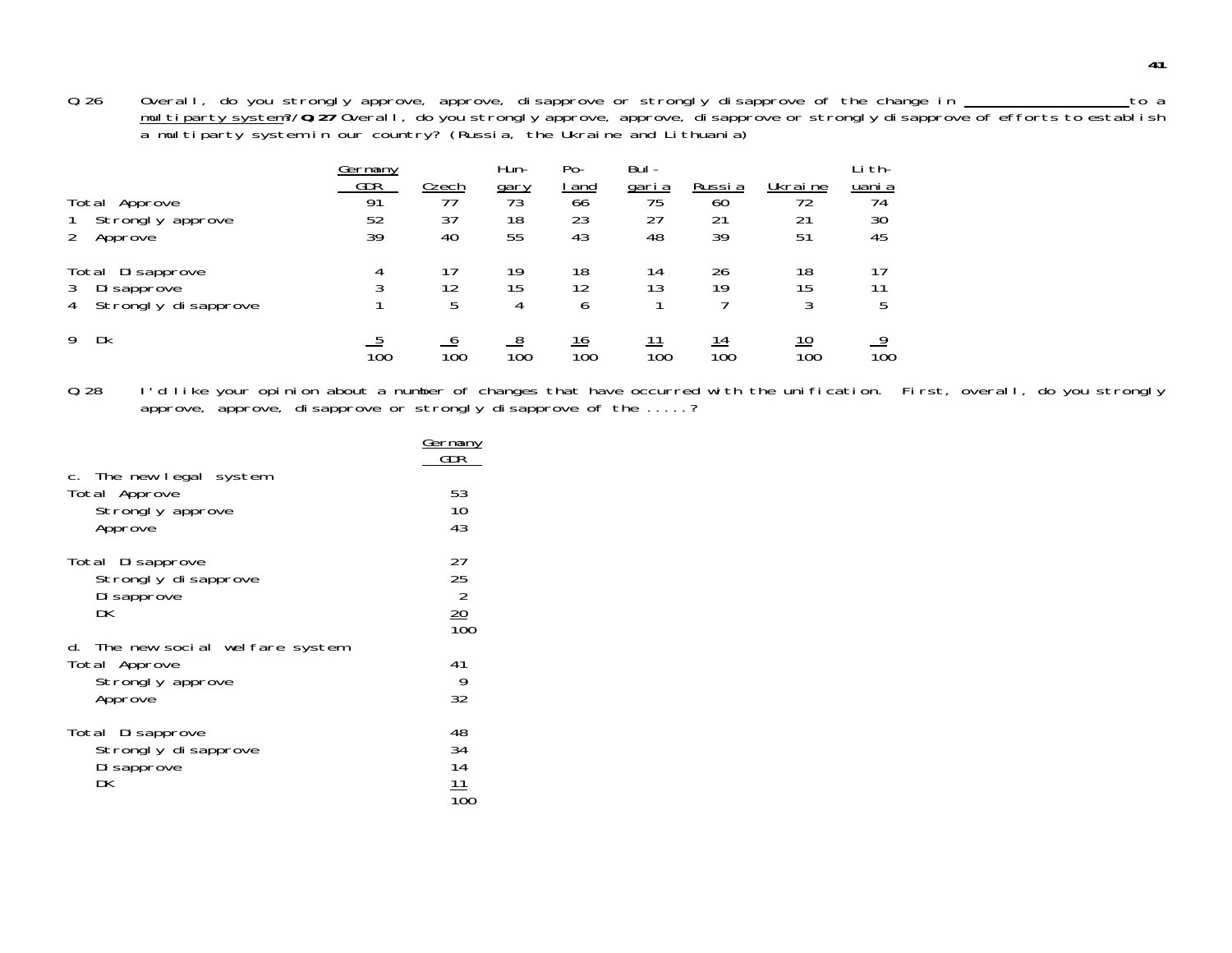Q.26 Overall, do you strongly approve, approve, disapprove or strongly disapprove of the change in \_\_\_\_\_\_\_\_\_\_\_\_\_\_\_\_to a m<u>ultiparty system</u>?/**Q.27** Overall, do you strongly approve, approve, disapprove or strongly disapprove of efforts to establish<br>a multiparty system in our country? (Russia, the Ukraine and Lithuania)

| Germany |            | Hun-         | $Po-$                   | Bul-               |                    |                   | -i th-        |
|---------|------------|--------------|-------------------------|--------------------|--------------------|-------------------|---------------|
|         |            |              |                         |                    |                    |                   | <u>uani a</u> |
| 91      | 77         |              |                         |                    | 60                 | 72                | 74            |
| 52      | 37         | 18           | 23                      | 27                 | 21                 | 21                | 30            |
| 39      | 40         | 55           | 43                      | 48                 | 39                 | 51                | 45            |
| 4       | 17         | 19           | 18                      | 14                 | 26                 | 18                |               |
| ς       | 12         |              | 12                      | 13                 | 19                 | 15                |               |
|         | 5          | 4            | b                       |                    |                    | 3                 | b             |
| 100     | 100        | 100          | <u> 16</u><br>100       | $100^{\circ}$      | 14<br>100          | <u> 10</u><br>100 | 100           |
|         | <b>GDR</b> | <u>Czech</u> | $\frac{gary}{73}$<br>15 | <u>  and</u><br>66 | <u>garia</u><br>75 | Russia            | Ukraine       |

Q.28 I'd like your opinion about a number of changes that have occurred with the unification. First, overall, do you strongly approve, approve, disapprove or strongly disapprove of the .....?

|                                                                                  | <u>Germany</u><br>GDR                          |
|----------------------------------------------------------------------------------|------------------------------------------------|
| c. The new legal system<br>Total Approve<br>Strongly approve<br>Approve          | 53<br>10<br>43                                 |
| Total Disapprove<br>Strongly disapprove<br>Di sapprove<br>DK                     | 27<br>25<br>$\overline{2}$<br>$\frac{20}{100}$ |
| d. The new social welfare system<br>Total Approve<br>Strongly approve<br>Approve | 41<br>9<br>32                                  |
| Total Disapprove<br>Strongly disapprove<br>Di sapprove<br>DK                     | 48<br>34<br>14<br>11                           |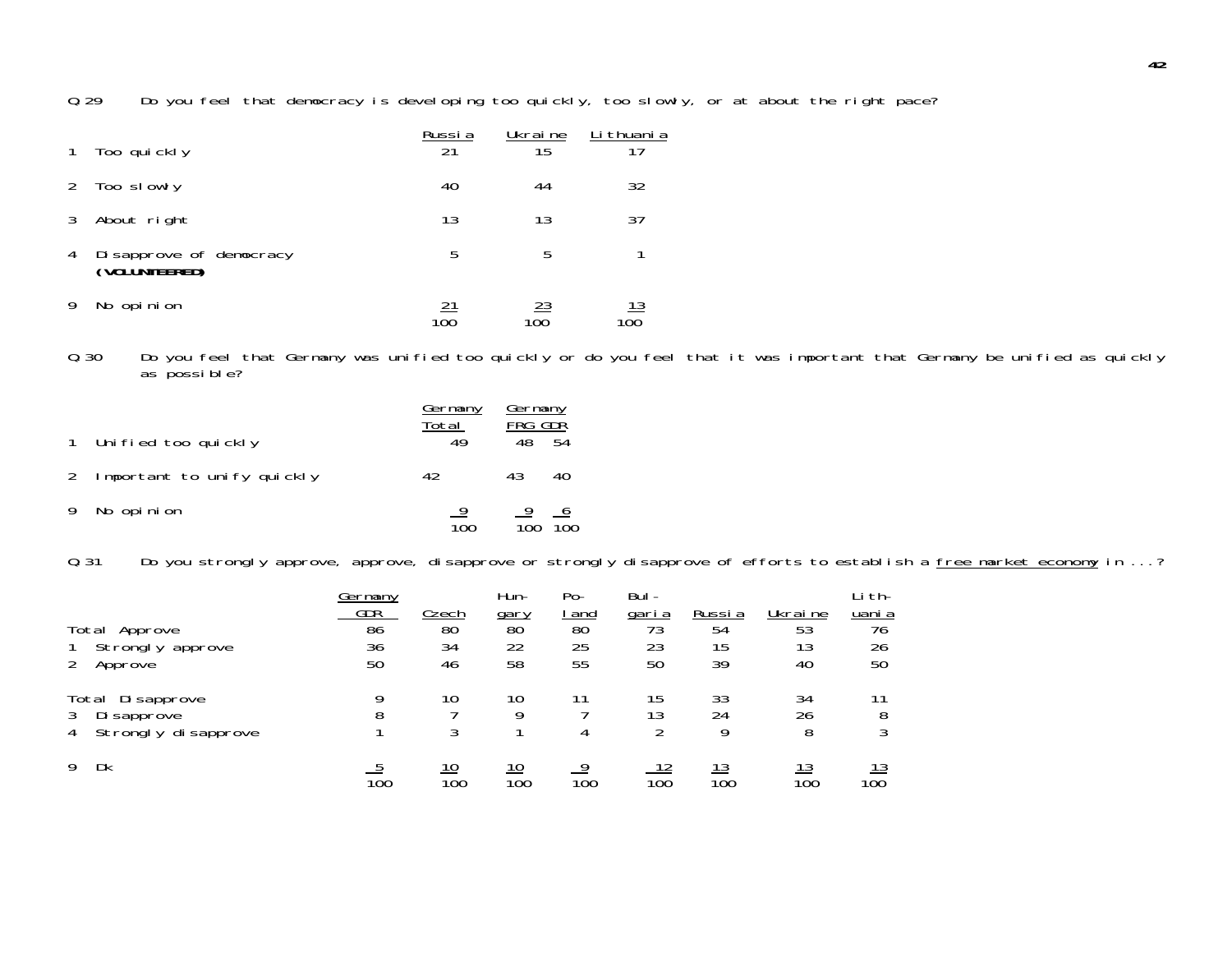Q.29 Do you feel that democracy is developing too quickly, too slowly, or at about the right pace?

|   | Too quickly                              | Russia<br>21 | Ukraine<br>15 | Li thuani a<br>17 |
|---|------------------------------------------|--------------|---------------|-------------------|
| 2 | Too slowly                               | 40           | 44            | 32                |
|   | About right                              | 13           | 13            | 37                |
| 4 | Disapprove of democracy<br>(VOLUNTEERED) | 5            | 5             |                   |
|   | No opinion                               | 100          | <u> 23</u>    | <u> 13</u><br>100 |

Q.30 Do you feel that Germany was unified too quickly or do you feel that it was important that Germany be unified as quickly as possible?

|   | 1 Unified too quickly        | <u>Germany</u><br>Total<br>49 | <b>Germany</b><br>FRG GDR<br>48 | .54             |
|---|------------------------------|-------------------------------|---------------------------------|-----------------|
|   | 2 Important to unify quickly | 42                            | 43                              | 40              |
| 9 | No opinion                   | $\overline{100}$              | $\frac{9}{100}$                 | $\frac{6}{100}$ |

Q.31 Do you strongly approve, approve, disapprove or strongly disapprove of efforts to establish a free market economy in ...?

|   |                      | Germany |           | Hun-      | $Po-$      | Bul-         |           |                   | Li th-    |
|---|----------------------|---------|-----------|-----------|------------|--------------|-----------|-------------------|-----------|
|   |                      | GDR     | Czech     | gary      | <u>and</u> | <u>garia</u> | Russi a   | Ukraine           | uani a    |
|   | Total<br>Approve     | 86      | 80        | 80        | 80         | 73           | 54        | 53                | 76        |
|   | Strongly approve     | 36      | 34        | 22        | 25         | 23           | 15        | 13                | 26        |
| 2 | Approve              | 50      | 46        | 58        | 55         | 50           | 39        | 40                | 50        |
|   | Di sapprove<br>Total | q       | 10        | 10        |            | 15           | 33        | 34                |           |
| 3 | Di sapprove          | 8       |           | Q         |            | 13           | 24        | 26                | 8         |
| 4 | Strongly disapprove  |         | 3         |           | 4          |              | Q         | 8                 | 3         |
| 9 | Dk                   | 100     | 10<br>100 | 10<br>100 | o<br>100   | 100          | 13<br>100 | <u> 13</u><br>100 | 13<br>100 |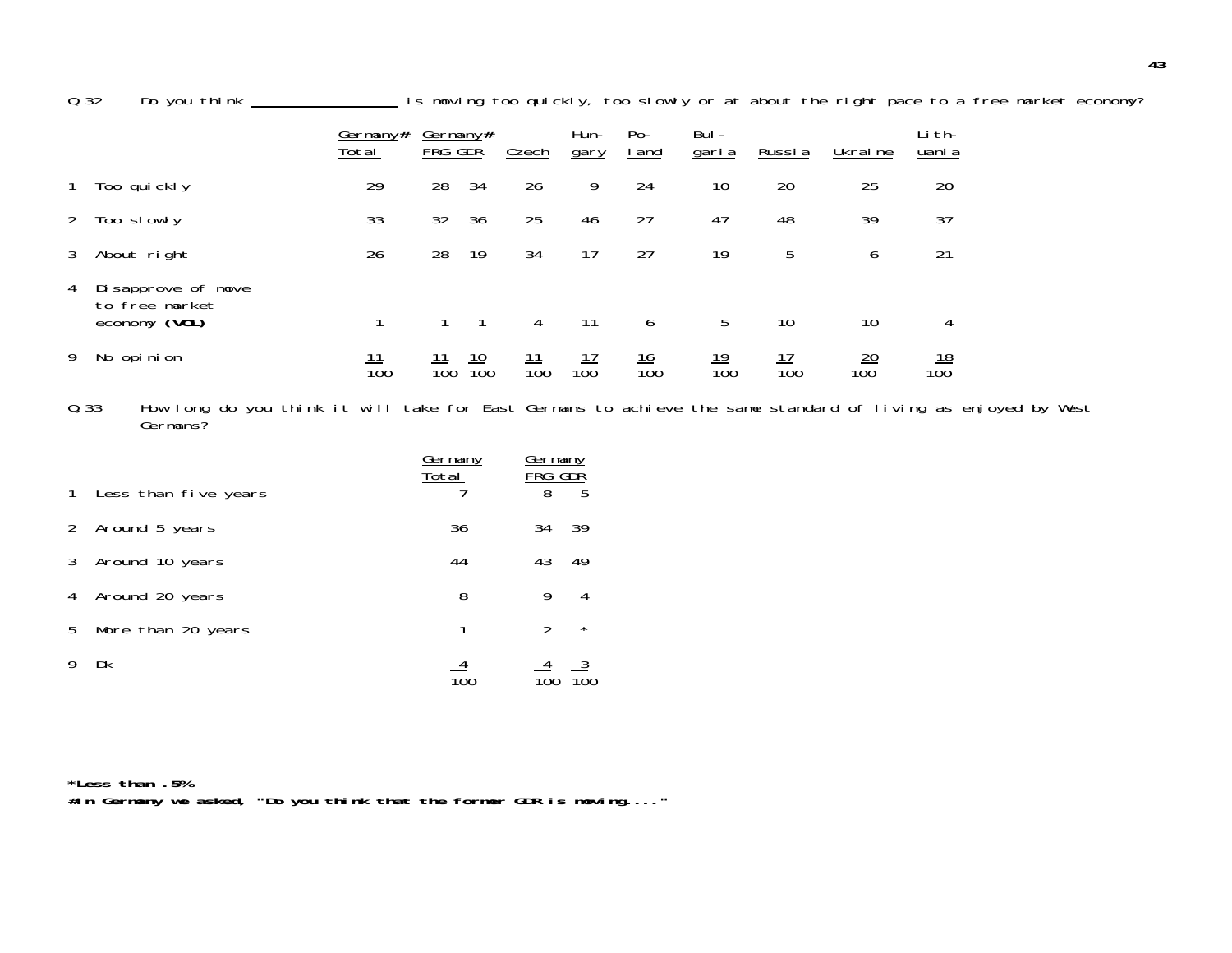0.32 Do you think \_\_\_\_\_\_\_\_\_\_\_\_\_\_\_\_ is moving too quickly, too slowly or at about the right pace to a free market economy?

|              |                                                       | Germany#<br>Total | Germany#<br>FRG GDŘ |                   | Czech             | Hun-<br>gary      | $Po-$<br><u>  and</u> | Bul -<br><u>garia</u> | Russia            | Ukraine               | Li th-<br>uani a  |
|--------------|-------------------------------------------------------|-------------------|---------------------|-------------------|-------------------|-------------------|-----------------------|-----------------------|-------------------|-----------------------|-------------------|
| $\mathbf{1}$ | Too quickly                                           | 29                | 28                  | 34                | 26                | 9                 | 24                    | 10                    | 20                | 25                    | 20                |
| 2            | Too slowly                                            | 33                | 32                  | 36                | 25                | 46                | 27                    | 47                    | 48                | 39                    | 37                |
| 3            | About right                                           | 26                | 28                  | 19                | 34                | 17                | 27                    | 19                    | 5                 | 6                     | 21                |
| 4            | Disapprove of move<br>to free market<br>economy (VOL) |                   |                     |                   | 4                 | 11                | 6                     | 5                     | 10                | 10                    | 4                 |
| 9            | No opinion                                            | 100               | 100                 | <u> 10</u><br>100 | <u> 11</u><br>100 | <u> 17</u><br>100 | <u> 16</u><br>100     | <u> 19</u><br>100     | <u> 17</u><br>100 | $\frac{20}{2}$<br>100 | <u> 18</u><br>100 |

Q.33 How long do you think it will take for East Germans to achieve the same standard of living as enjoyed by West Germans?

|              |                      | Germany<br>Total | Germany<br>FRG GDR |         |
|--------------|----------------------|------------------|--------------------|---------|
| $\mathbf{1}$ | Less than five years |                  | 8                  | 5       |
| 2            | Around 5 years       | 36               | 34                 | 39      |
| 3            | Around 10 years      | 44               | 43                 | 49      |
| 4            | Around 20 years      | 8                | 9                  | 4       |
| 5            | More than 20 years   | 1                | $\mathcal{P}$      | $\star$ |
|              | Dk                   |                  |                    |         |

**\*Less than .5%#In Germany we asked, "Do you think that the former GDR is moving...."**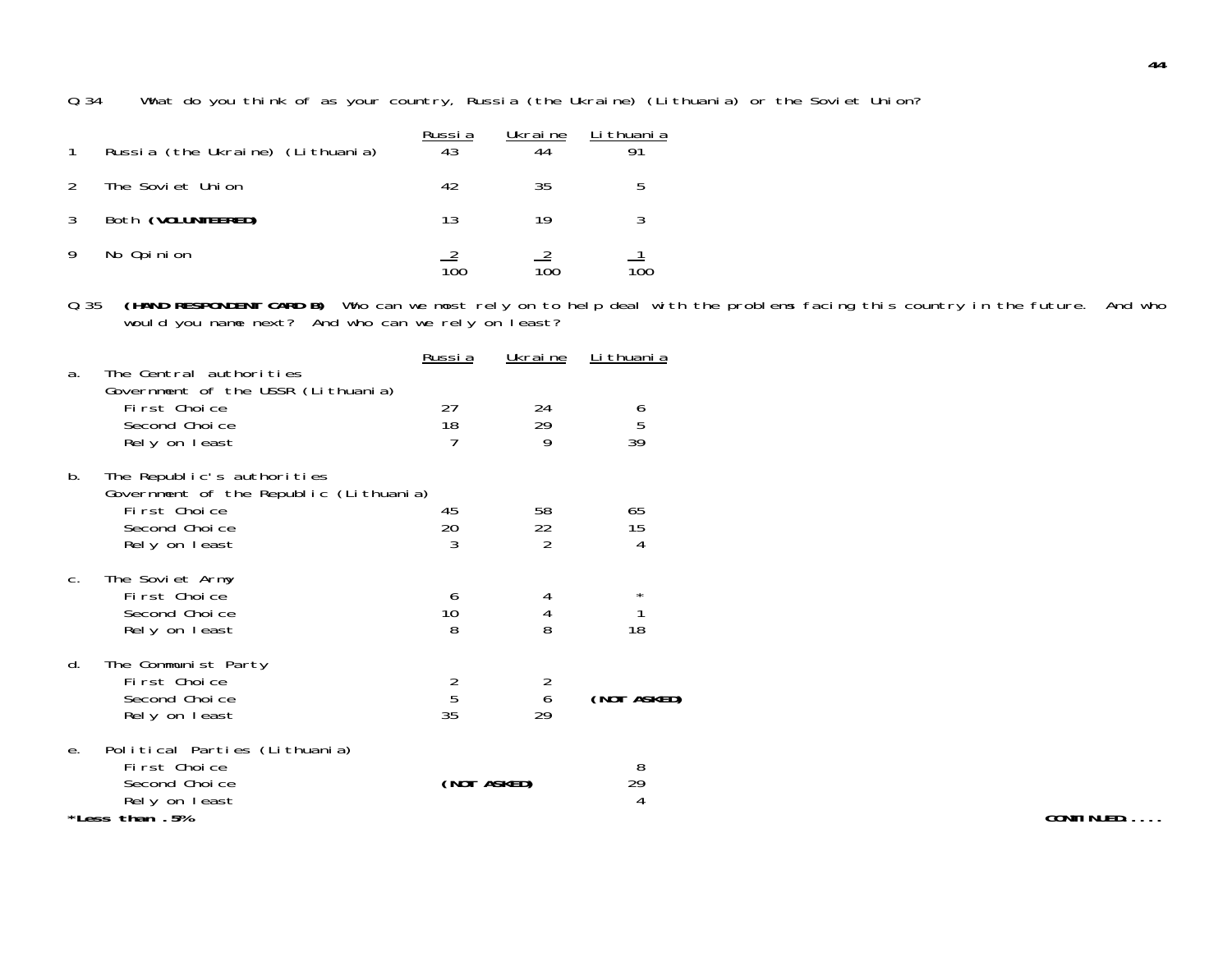Q.34 What do you think of as your country, Russia (the Ukraine) (Lithuania) or the Soviet Union?

| Russia (the Ukraine) (Lithuania) | Russia<br>43 | Ukraine<br>44 | Li thuani a |
|----------------------------------|--------------|---------------|-------------|
| The Soviet Union                 | 42           | 35            | b           |
| Both (VOLUNTEERED)               | 13           | 19            |             |
| No Opinion                       | 100          | 100           | 100         |

Q.35 **(HAND RESPONDENT CARD B)** Who can we most rely on to help deal with the problems facing this country in the future. And who would you name next? And who can we rely on least?

| Russia              | <u>Ukraine</u>                              | <u>Li thuani a</u>                          |
|---------------------|---------------------------------------------|---------------------------------------------|
| 27<br>18<br>7       | 24<br>29<br>9                               | $\begin{array}{c} 6 \\ 5 \\ 39 \end{array}$ |
| 45<br>20<br>3       | 58<br>22<br>$\overline{2}$                  | 65<br>15<br>4                               |
| 6<br>10<br>8        | 4<br>4<br>8                                 | *<br>1<br>18                                |
| $\frac{2}{5}$<br>35 | $\begin{array}{c} 2 \\ 6 \end{array}$<br>29 | (NOT ASKED)                                 |
|                     |                                             | 8<br>29<br>$\overline{4}$                   |
|                     | Government of the Republic (Lithuania)      | (NOT ASKED)                                 |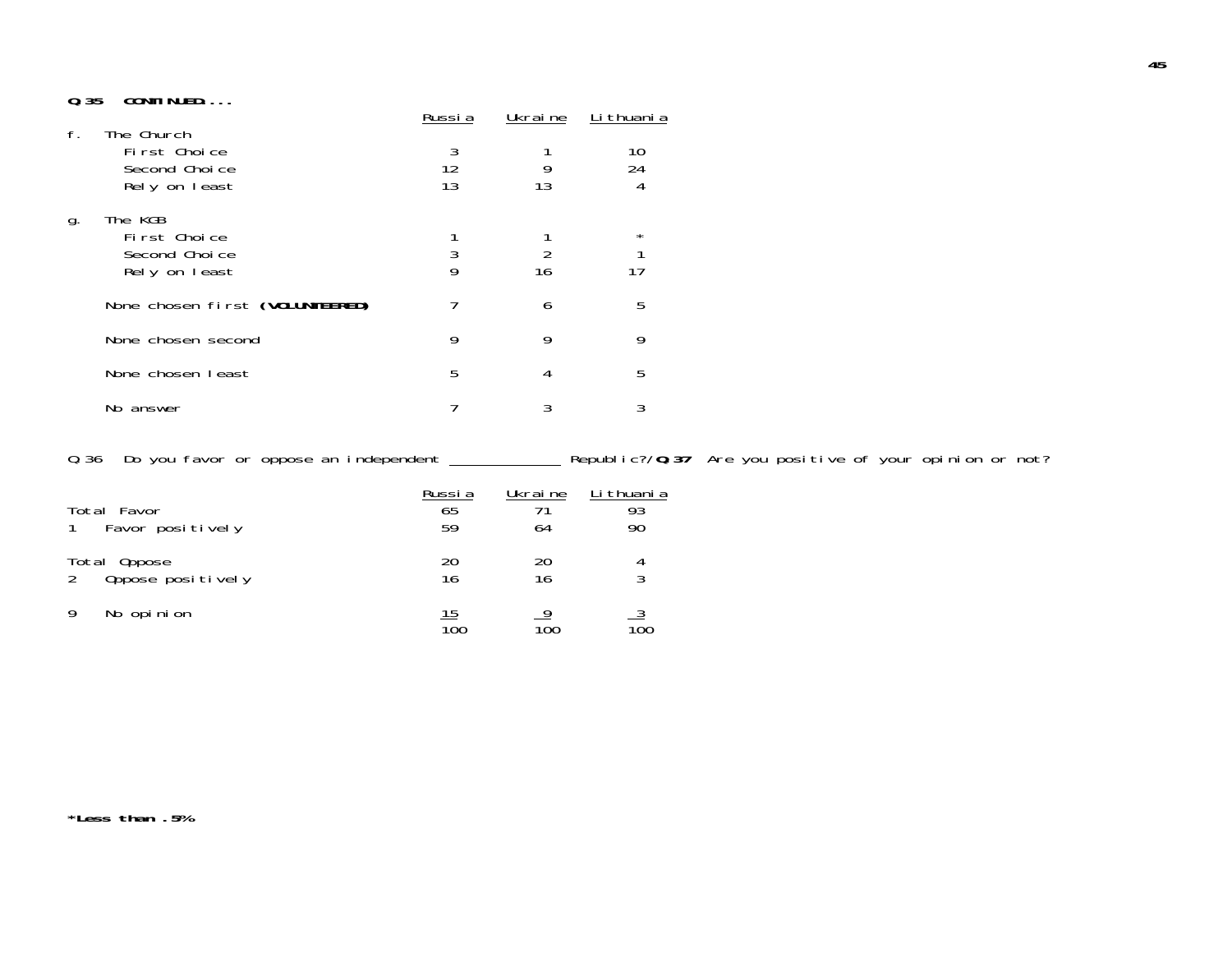### **Q.35 CONTINUED....**

|    |                                                              | Russi a       | Ukrai ne | Li thuani a   |
|----|--------------------------------------------------------------|---------------|----------|---------------|
| f. | The Church<br>First Choice<br>Second Choice<br>Rely on least | 3<br>12<br>13 | 13       | 10<br>24<br>4 |
| g. | The KGB<br>First Choice<br>Second Choice<br>Rely on least    | 3<br>9        | 16       | $^\star$      |
|    | None chosen first (VOLUNTEERED)                              |               | 6        | 5             |
|    | None chosen second                                           | 9             | 9        | 9             |
|    | None chosen least                                            | 5             | 4        | 5             |
|    | No answer                                                    |               | 3        | 3             |

Q.36 Do you favor or oppose an independent \_\_\_\_\_\_\_\_\_\_\_\_\_\_ Republic?/Q.37 Are you positive of your opinion or not?

| Total Favor<br>Favor positively   | Russia<br>65<br>59 | Ukraine<br>64 | Li thuani a<br>93<br>90 |
|-----------------------------------|--------------------|---------------|-------------------------|
| Total Oppose<br>Oppose positively | 20<br>16           | 20<br>16      |                         |
| No opinion                        | 15<br>100          | 100           | 100                     |

**\*Less than .5%**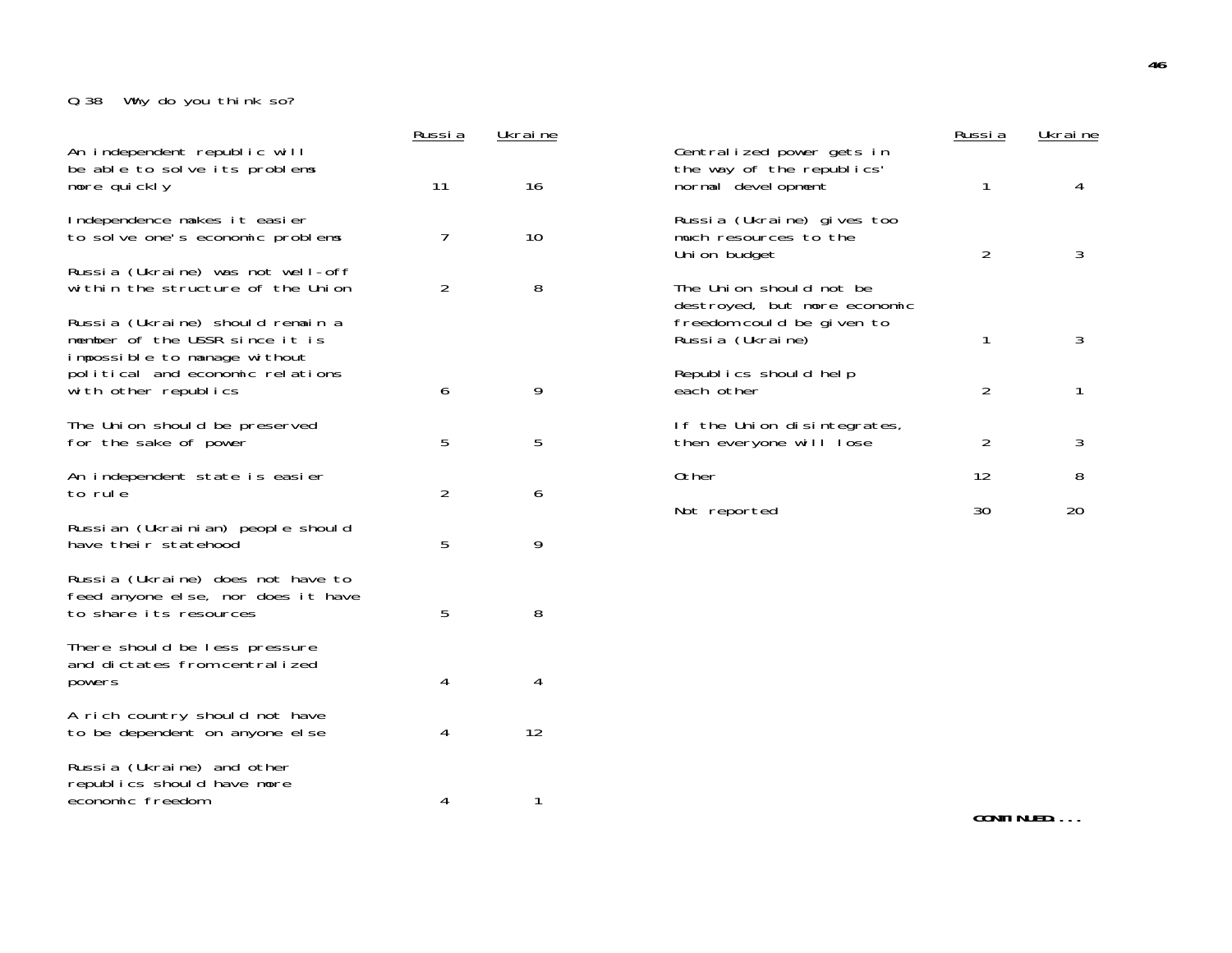# Q.38 Why do you think so?

|                                                                                                    | Russia         | Ukraine |                                                                               | <u>Russia</u>  | Ukraine |
|----------------------------------------------------------------------------------------------------|----------------|---------|-------------------------------------------------------------------------------|----------------|---------|
| An independent republic will<br>be able to solve its problems<br>more quickly                      | 11             | 16      | Centralized power gets in<br>the way of the republics'<br>normal devel opment | 1              | 4       |
| Independence makes it easier<br>to solve one's economic problems                                   | 7              | 10      | Russia (Ukraine) gives too<br>much resources to the<br>Union budget           | $\overline{2}$ | 3       |
| Russia (Ukraine) was not well-off<br>within the structure of the Union                             | $\overline{2}$ | 8       | The Union should not be<br>destroyed, but more economic                       |                |         |
| Russia (Ukraine) should remain a<br>member of the USSR since it is<br>impossible to manage without |                |         | freedom could be given to<br>Russia (Ukraine)                                 | 1              | 3       |
| political and economic relations<br>with other republics                                           | 6              | 9       | Republics should help<br>each other                                           | $\overline{2}$ | 1       |
| The Union should be preserved<br>for the sake of power                                             | 5              | 5       | If the Union disintegrates,<br>then everyone will lose                        | $\overline{2}$ | 3       |
| An independent state is easier<br>to rule                                                          | $\overline{2}$ | 6       | 0ther                                                                         | 12             | 8       |
| Russian (Ukrainian) people should<br>have their statehood                                          | 5              | 9       | Not reported                                                                  | 30             | 20      |
| Russia (Ukraine) does not have to<br>feed anyone else, nor does it have<br>to share its resources  | 5              | 8       |                                                                               |                |         |
| There should be less pressure<br>and dictates from centralized<br>powers                           | 4              | 4       |                                                                               |                |         |
| A rich country should not have<br>to be dependent on anyone else                                   | 4              | 12      |                                                                               |                |         |
| Russia (Ukraine) and other<br>republics should have more<br>economic freedom                       | 4              | 1       |                                                                               |                |         |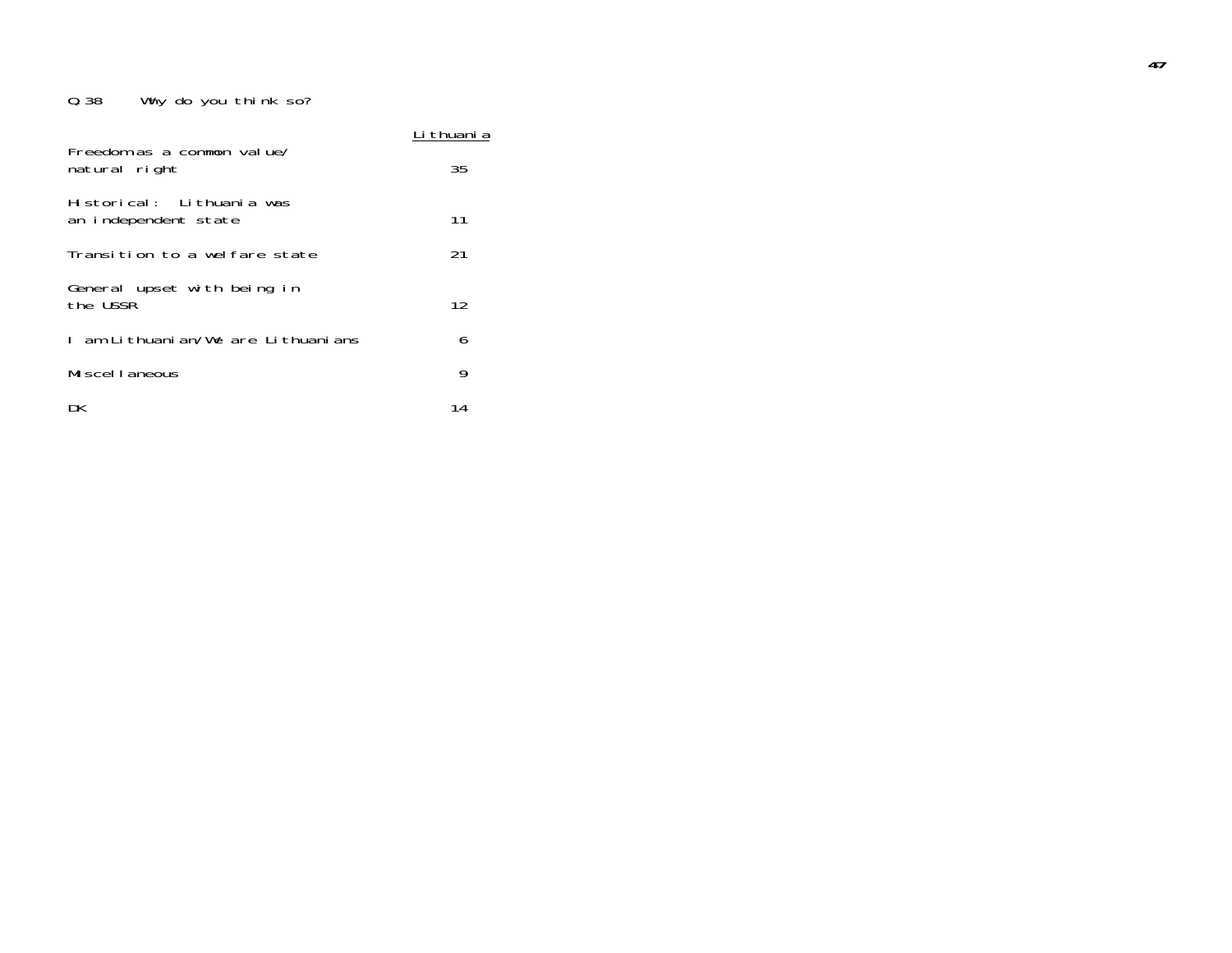# Q.38 Why do you think so?

|                                                   | thuani a |
|---------------------------------------------------|----------|
| Freedom as a common value/<br>natural right       | 35       |
| Historical: Lithuania was<br>an independent state | 11       |
| Transition to a welfare state                     | 21       |
| General upset with being in<br>the USSR           | 12       |
| l am Lithuanian/We are Lithuanians                | 6        |
| Miscellaneous                                     | 9        |
| DK                                                | 14       |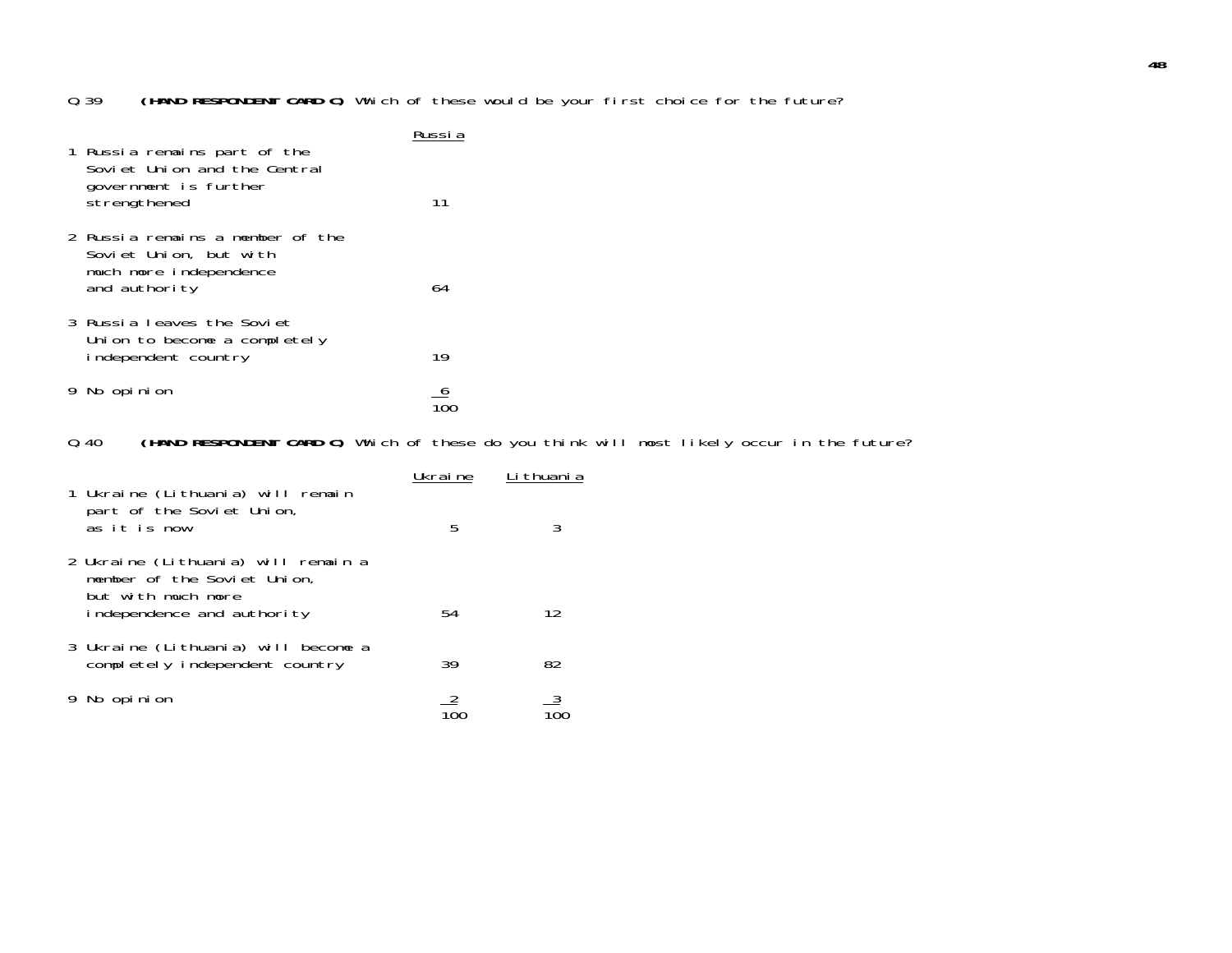#### Q.39**(HAND RESPONDENT CARD C)** Which of these would be your first choice for the future?

| 1 Russia remains part of the<br>Soviet Union and the Central                                          | דווכלו |
|-------------------------------------------------------------------------------------------------------|--------|
| government is further<br>strengthened                                                                 | 11     |
| 2 Russia remains a member of the<br>Soviet Union, but with<br>much more independence<br>and authority | 64     |
| 3 Russia Leaves the Soviet<br>Union to become a completely<br>independent country                     | 19     |
| 9 No opinion                                                                                          |        |

#### Q.40**(HAND RESPONDENT CARD C)** Which of these do you think will most likely occur in the future?

|                                           | 1 Ukraine (Lithuania) will remain                                                                                      | Ukraine | Li thuani a |
|-------------------------------------------|------------------------------------------------------------------------------------------------------------------------|---------|-------------|
| part of the Soviet Union,<br>as it is now |                                                                                                                        | 5       |             |
|                                           | 2 Ukraine (Lithuania) will remain a<br>member of the Soviet Union,<br>but with much more<br>independence and authority | 54      | 12          |
|                                           | 3 Ukraine (Lithuania) will become a<br>completely independent country                                                  | 39      | 82          |
|                                           | No opinion                                                                                                             |         |             |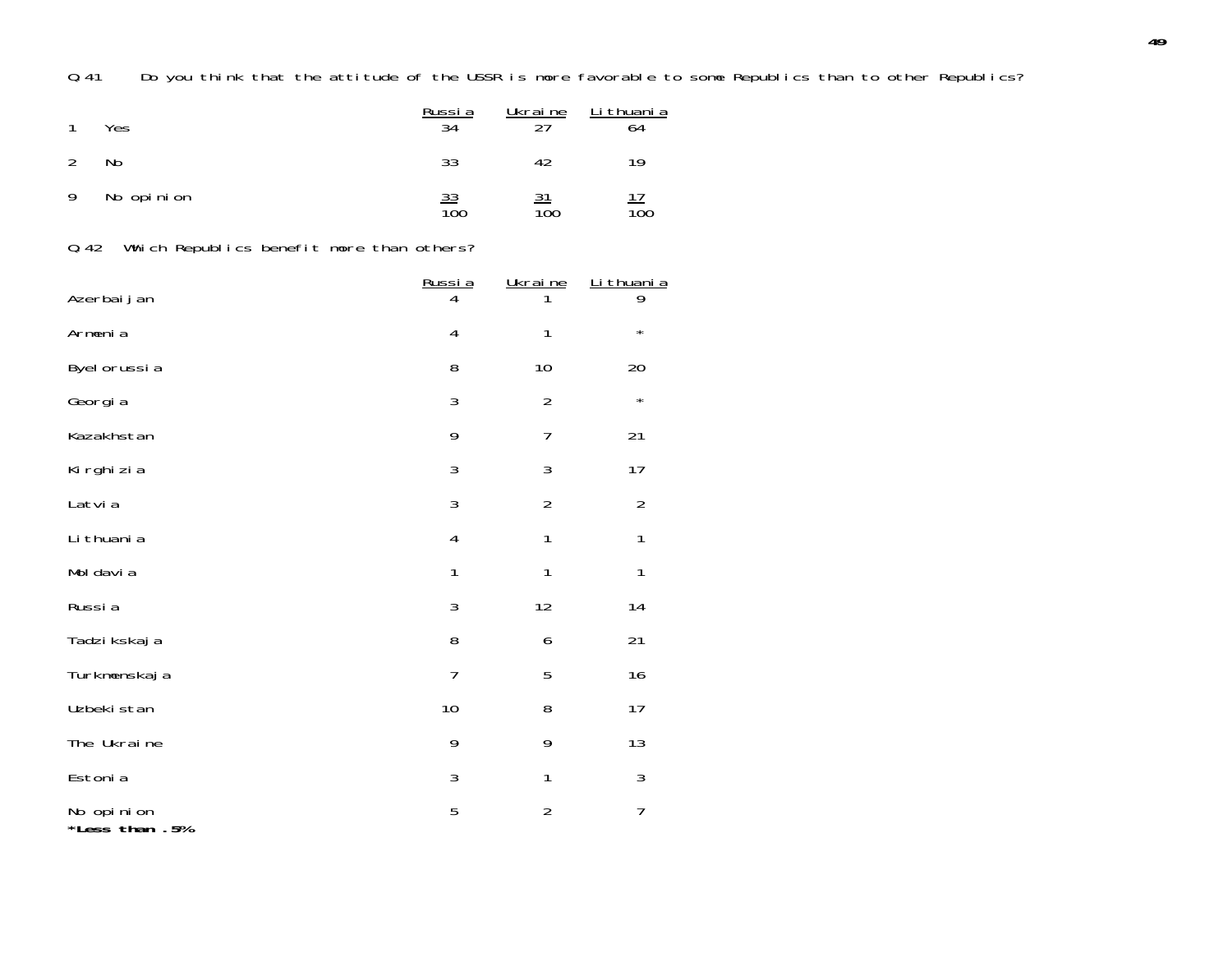Q.41 Do you think that the attitude of the USSR is more favorable to some Republics than to other Republics?

|    | Yes        | Russia<br>34                  | <u>Ukraine</u><br>つフ | Li thuani a<br>64 |
|----|------------|-------------------------------|----------------------|-------------------|
|    | No         | 33                            | 42                   | 19                |
| -9 | No opinion | <u>33</u><br>$\overline{10}0$ | 21<br>100            | 100               |

Q.42 Which Republics benefit more than others?

| Azerbaijan                   | Russia         | Ukraine        | Li thuani a<br>9 |
|------------------------------|----------------|----------------|------------------|
| Armenia                      | 4              | 1              | $\star$          |
| Byel orussia                 | 8              | 10             | 20               |
| Georgia                      | 3              | $\overline{2}$ | $\star$          |
| Kazakhstan                   | 9              | $\overline{7}$ | 21               |
| Ki rghi zi a                 | 3              | 3              | 17               |
| Latvia                       | 3              | $\overline{2}$ | $\overline{2}$   |
| Li thuani a                  | 4              | 1              | $\mathbf{1}$     |
| Mol davi a                   | $\mathbf{1}$   | 1              | $\mathbf{1}$     |
| Russia                       | 3              | 12             | 14               |
| Tadzi kskaj a                | 8              | 6              | 21               |
| Turkmenskaj a                | $\overline{7}$ | 5              | 16               |
| Uzbeki stan                  | 10             | 8              | 17               |
| The Ukraine                  | 9              | 9              | 13               |
| Estonia                      | 3              | 1              | 3                |
| No opinion<br>*Less than .5% | 5              | $\overline{2}$ | $\overline{7}$   |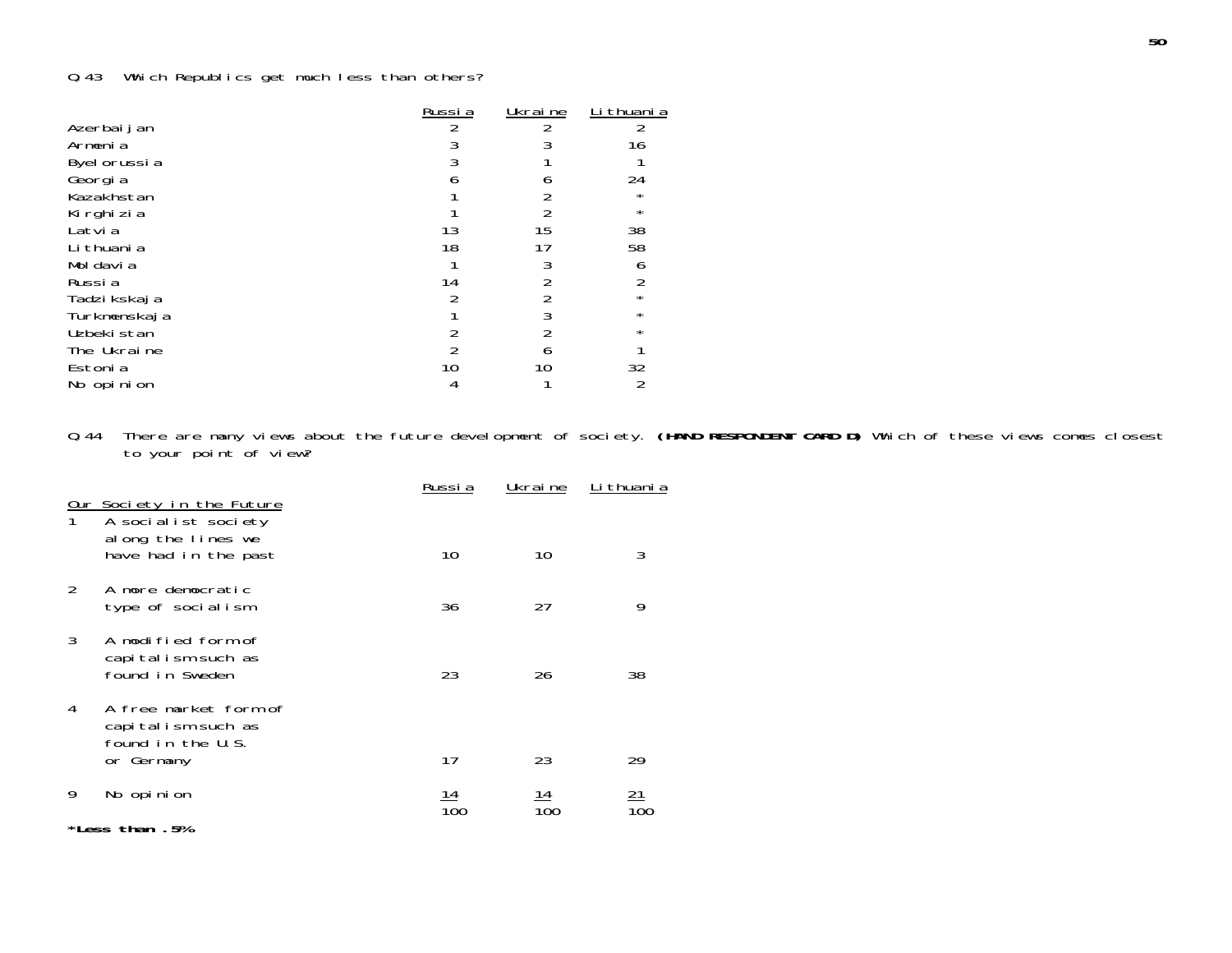# Q.43 Which Republics get much less than others?

| Russi a | Ukrai ne | Li thuani a |
|---------|----------|-------------|
|         |          |             |
|         |          | 16          |
|         |          |             |
|         |          | 24          |
|         |          |             |
|         |          | $\star$     |
| 13      | 15       | 38          |
| 18      |          | 58          |
|         |          |             |
| 14      |          |             |
|         |          | $\star$     |
|         |          | $\star$     |
|         |          | $\star$     |
|         |          |             |
| 10      |          | 32          |
|         |          |             |
|         |          |             |

Q.44 There are many views about the future development of society. **(HAND RESPONDENT CARD D)** Which of these views comes closest to your point of view?

|               | Our Society in the Future                                                      | Russi a    | Ukrai ne | Li thuani a |  |  |
|---------------|--------------------------------------------------------------------------------|------------|----------|-------------|--|--|
|               | A socialist society<br>along the lines we<br>have had in the past              | 10         | 10       | 3           |  |  |
| $\mathcal{P}$ | A more democratic<br>type of socialism                                         | 36         | 27       | 9           |  |  |
| 3             | A modified form of<br>capitalism such as<br>found in Sweden                    | 23         | 26       | 38          |  |  |
| 4             | A free market form of<br>capitalism such as<br>found in the U.S.<br>or Germany | 17         | 23       | 29          |  |  |
| 9             | No opinion                                                                     | <u> 14</u> |          | 21          |  |  |
|               | 100<br>100<br>*Less than .5%                                                   |            |          |             |  |  |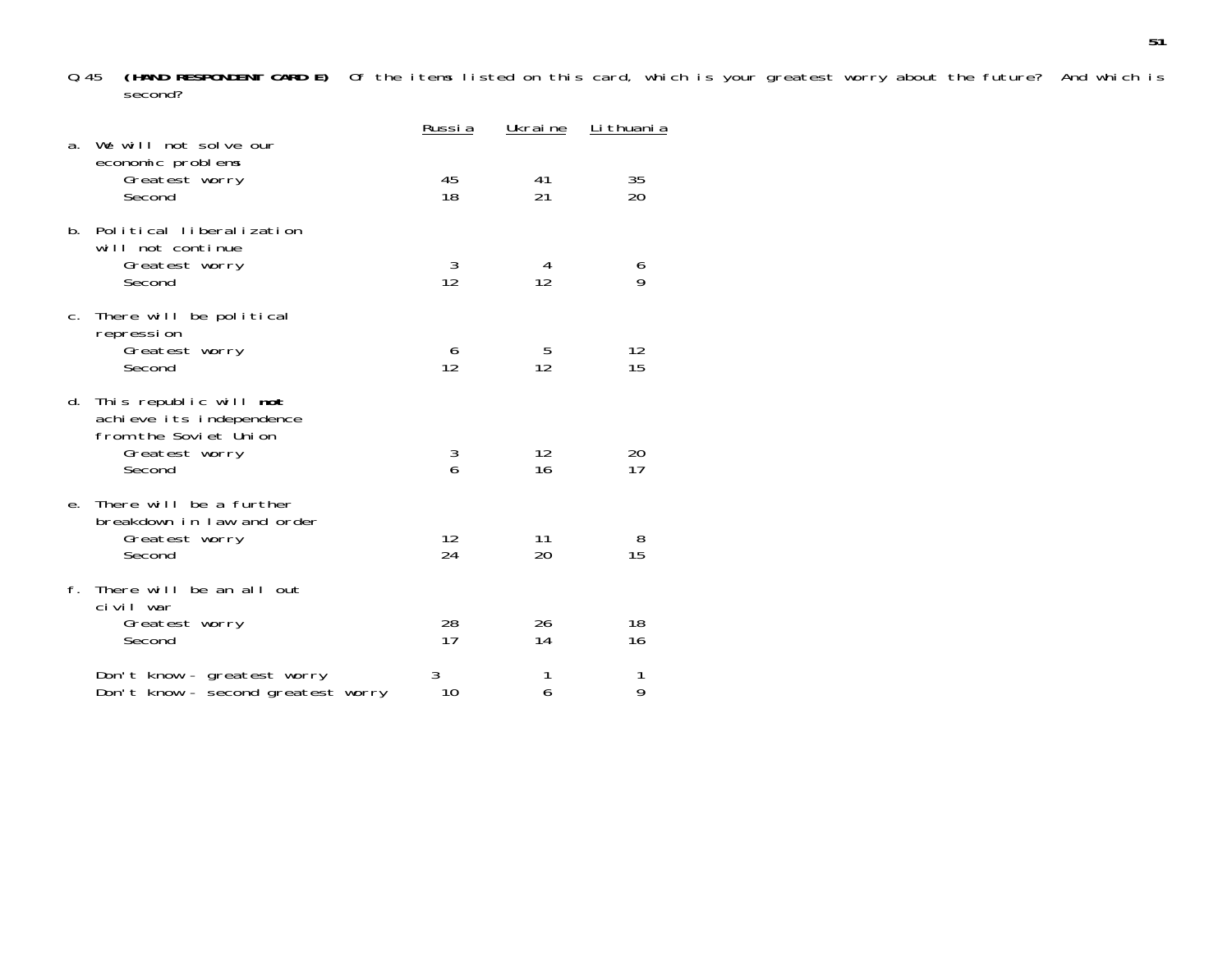Q.45 **(HAND RESPONDENT CARD E)** Of the items listed on this card, which is your greatest worry about the future? And which is second?

| а.          | We will not solve our                                                                                             | <u>Russia</u> | Ukraine  | <u>Li thuani a</u> |
|-------------|-------------------------------------------------------------------------------------------------------------------|---------------|----------|--------------------|
|             | economic problems<br>Greatest worry<br>Second                                                                     | 45<br>18      | 41<br>21 | 35<br>20           |
| $h_{\rm m}$ | Political liberalization<br>will not continue<br>Greatest worry<br>Second                                         | 3<br>12       | 4<br>12  | 6<br>9             |
|             | c. There will be political<br>repression<br>Greatest worry<br>Second                                              | 6<br>12       | 5<br>12  | 12<br>15           |
|             | d. This republic will <b>not</b><br>achieve its independence<br>from the Soviet Union<br>Greatest worry<br>Second | 3<br>6        | 12<br>16 | 20<br>17           |
|             | e. There will be a further<br>breakdown in law and order<br>Greatest worry<br>Second                              | 12<br>24      | 11<br>20 | 8<br>15            |
| f.          | There will be an all out<br>civil war<br>Greatest worry<br>Second                                                 | 28<br>17      | 26<br>14 | 18<br>16           |
|             | Don't know - greatest worry<br>Don't know - second greatest worry                                                 | 3<br>10       | 1<br>6   | 1<br>9             |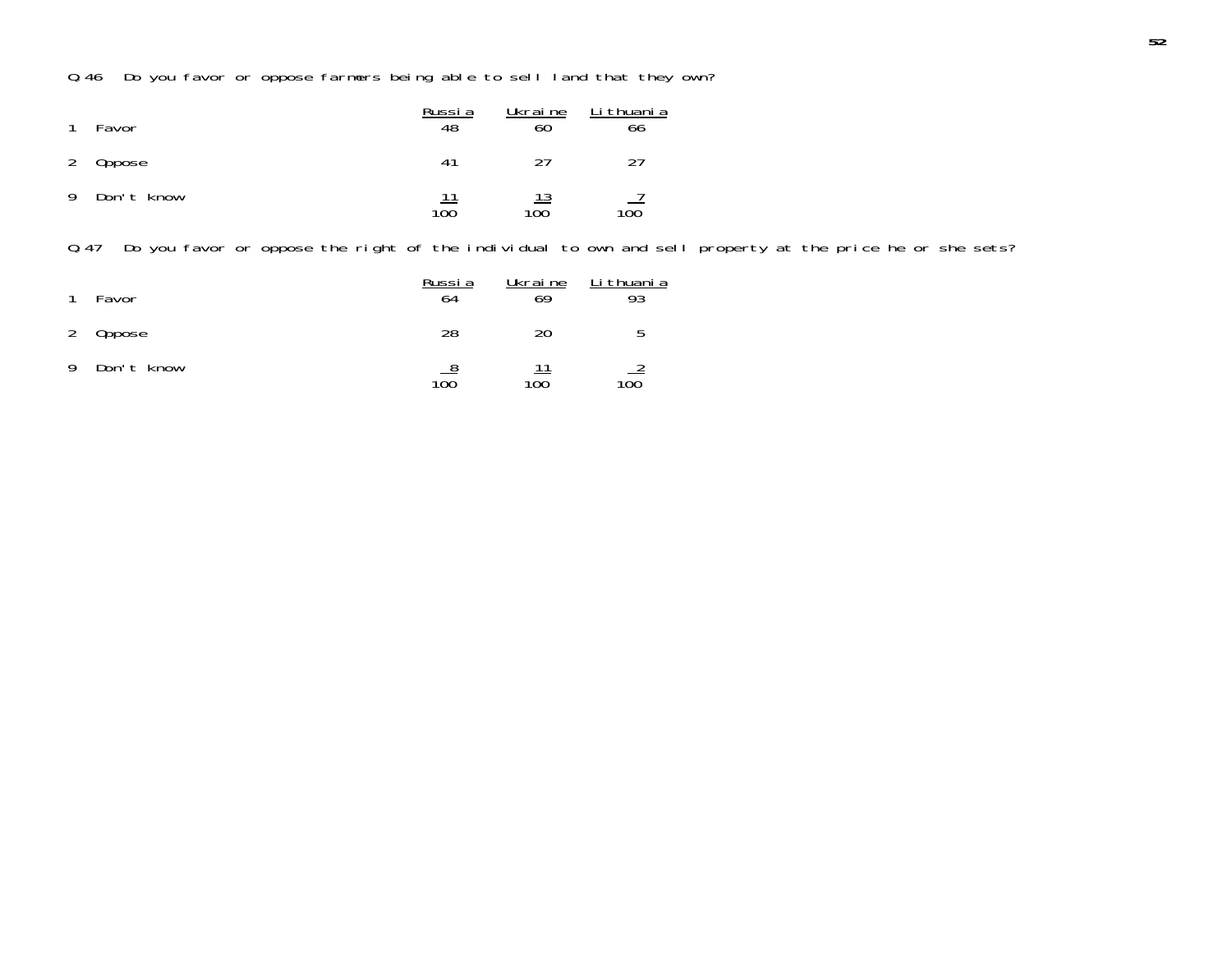Q.46 Do you favor or oppose farmers being able to sell land that they own?

| $\mathbf{1}$ | Favor      | Russi a<br>48 | Ukrai ne  | Li thuani a<br>66 |
|--------------|------------|---------------|-----------|-------------------|
|              | 2 Oppose   | 41            | 27        | วา                |
| -9           | Don't know | 100           | 13<br>100 | 100               |

Q.47 Do you favor or oppose the right of the individual to own and sell property at the price he or she sets?

| $\mathbf{1}$ | Favor      | Russia<br>64 | Ukrai ne<br>69 | Li thuani a<br>93 |
|--------------|------------|--------------|----------------|-------------------|
| 2            | Oppose     | 28           | 20             | n                 |
| 9            | Don't know | 8<br>100     | 100            | 100               |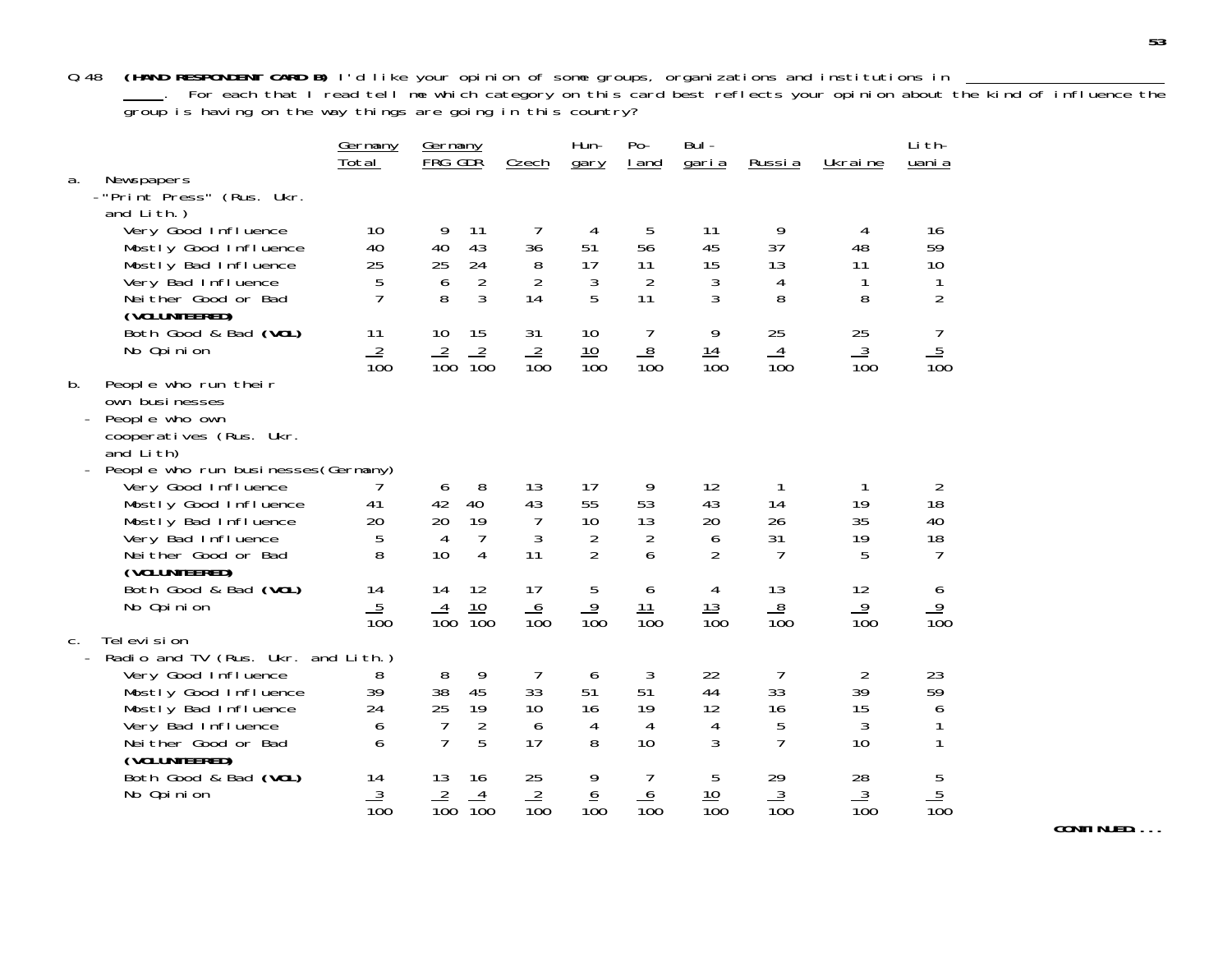Q.48 **(HAND RESPONDENT CARD B)** I'd like your opinion of some groups, organizations and institutions in . For each that I read tell me which category on this card best reflects your opinion about the kind of influence the group is having on the way things are going in this country?

|                |                                               | <u>Germany</u><br>Total | Germany<br>FRG GDR                  | Czech           | Hun-<br>gary     | $Po-$<br>I and   | Bul-<br><u>garia</u> | Russia          | Ukraine         | Li th-<br>uani a |
|----------------|-----------------------------------------------|-------------------------|-------------------------------------|-----------------|------------------|------------------|----------------------|-----------------|-----------------|------------------|
| a.             | Newspapers                                    |                         |                                     |                 |                  |                  |                      |                 |                 |                  |
|                | -"Print Press" (Rus. Ukr.                     |                         |                                     |                 |                  |                  |                      |                 |                 |                  |
|                | and Lith.)                                    |                         |                                     |                 |                  |                  |                      |                 |                 |                  |
|                | Very Good Influence                           | 10                      | 9<br>11                             | 7               | 4                | 5                | 11                   | 9               | 4               | 16               |
|                | Mostly Good Influence                         | 40                      | 40<br>43                            | 36              | 51               | 56               | 45                   | 37              | 48              | 59               |
|                | Mostly Bad Influence                          | 25                      | 25<br>24                            | 8               | 17               | 11               | 15                   | 13              | 11              | 10               |
|                | Very Bad Influence                            | 5                       | $\overline{2}$<br>6                 | $\overline{2}$  | 3                | $\overline{2}$   | $\mathfrak{Z}$       | 4               | 1               | 1                |
|                | Neither Good or Bad                           | $\overline{7}$          | 3<br>8                              | 14              | 5                | 11               | 3                    | 8               | 8               | $\overline{2}$   |
|                | (VOLUNTEERED)                                 |                         |                                     |                 |                  |                  |                      |                 |                 |                  |
|                | Both Good & Bad (VOL)                         | 11                      | 10<br>15                            | 31              | 10               | 7                | 9                    | 25              | 25              | 7                |
|                | No Opinion                                    | $\frac{2}{100}$         | $\frac{2}{100}$<br>$\frac{2}{100}$  | $\frac{2}{100}$ | $\frac{10}{100}$ | $\frac{8}{100}$  | $\frac{14}{100}$     | $\frac{4}{100}$ | $\frac{3}{100}$ | $\frac{5}{100}$  |
|                |                                               |                         |                                     |                 |                  |                  |                      |                 |                 |                  |
| b.             | People who run their                          |                         |                                     |                 |                  |                  |                      |                 |                 |                  |
|                | own businesses                                |                         |                                     |                 |                  |                  |                      |                 |                 |                  |
|                | People who own                                |                         |                                     |                 |                  |                  |                      |                 |                 |                  |
|                | cooperatives (Rus. Ukr.                       |                         |                                     |                 |                  |                  |                      |                 |                 |                  |
|                | and Lith)                                     |                         |                                     |                 |                  |                  |                      |                 |                 |                  |
|                | People who run businesses (Germany)           |                         |                                     |                 |                  |                  |                      |                 |                 |                  |
|                | Very Good Influence                           |                         | 8<br>6<br>40<br>42                  | 13<br>43        | 17<br>55         | 9<br>53          | 12<br>43             | 1<br>14         | -1<br>19        | 2<br>18          |
|                | Mostly Good Influence<br>Mostly Bad Influence | 41<br>20                | 19<br>20                            | $\overline{7}$  | 10               | 13               | 20                   | 26              | 35              | 40               |
|                | Very Bad Influence                            | 5                       | $\overline{7}$<br>4                 | $\mathfrak{Z}$  | 2                | $\overline{2}$   | 6                    | 31              | 19              | 18               |
|                | Neither Good or Bad                           | 8                       | 10<br>$\overline{4}$                | 11              | $\overline{2}$   | 6                | $\overline{2}$       | $\overline{7}$  | 5               | $\overline{7}$   |
|                | (VOLUNTEERED)                                 |                         |                                     |                 |                  |                  |                      |                 |                 |                  |
|                | Both Good & Bad (VOL)                         | 14                      | 14<br>12                            | 17              | 5                | 6                | $\overline{4}$       | 13              | 12              |                  |
|                | No Opinion                                    |                         |                                     |                 |                  |                  |                      |                 |                 |                  |
|                |                                               | $\frac{5}{100}$         | $\frac{10}{100}$<br>$\frac{4}{100}$ | $\frac{6}{100}$ | $\frac{9}{100}$  | $\frac{11}{100}$ | $\frac{13}{100}$     | $\frac{8}{100}$ | $\frac{9}{100}$ | $\frac{6}{100}$  |
| $\mathsf{C}$ . | Tel evi si on                                 |                         |                                     |                 |                  |                  |                      |                 |                 |                  |
|                | Radio and TV (Rus. Ukr. and Lith.)            |                         |                                     |                 |                  |                  |                      |                 |                 |                  |
|                | Very Good Influence                           | 8                       | 9<br>8                              | $\overline{7}$  | 6                | $\mathfrak{Z}$   | 22                   | $\overline{7}$  | $\overline{2}$  | 23               |
|                | Mostly Good Influence                         | 39                      | 38<br>45                            | 33              | 51               | 51               | 44                   | 33              | 39              | 59               |
|                | Mostly Bad Influence                          | 24                      | 25<br>19                            | 10              | 16               | 19               | 12                   | 16              | 15              | 6                |
|                | Very Bad Influence                            | 6                       | $\overline{2}$<br>7                 | 6               | 4                | 4                | 4                    | 5               | 3               | 1                |
|                | Neither Good or Bad                           | 6                       | $\overline{7}$<br>5                 | 17              | 8                | 10               | 3                    | $\overline{7}$  | 10              | 1                |
|                | (VOLUNTEERED)                                 |                         |                                     |                 |                  |                  |                      |                 |                 |                  |
|                | Both Good & Bad (VOL)                         | 14                      | 13<br>16                            | 25              | 9                | 7                | 5                    | 29              | 28              |                  |
|                | No Opinion                                    | $\frac{3}{100}$         | $\frac{2}{100}$<br>$\overline{4}$   | $\frac{2}{100}$ | $\frac{6}{100}$  | $\frac{6}{100}$  | 10                   | $\frac{3}{100}$ | $\frac{3}{100}$ | $\frac{5}{100}$  |
|                |                                               |                         | $\overline{10}0$                    |                 |                  |                  | $\overline{100}$     |                 |                 |                  |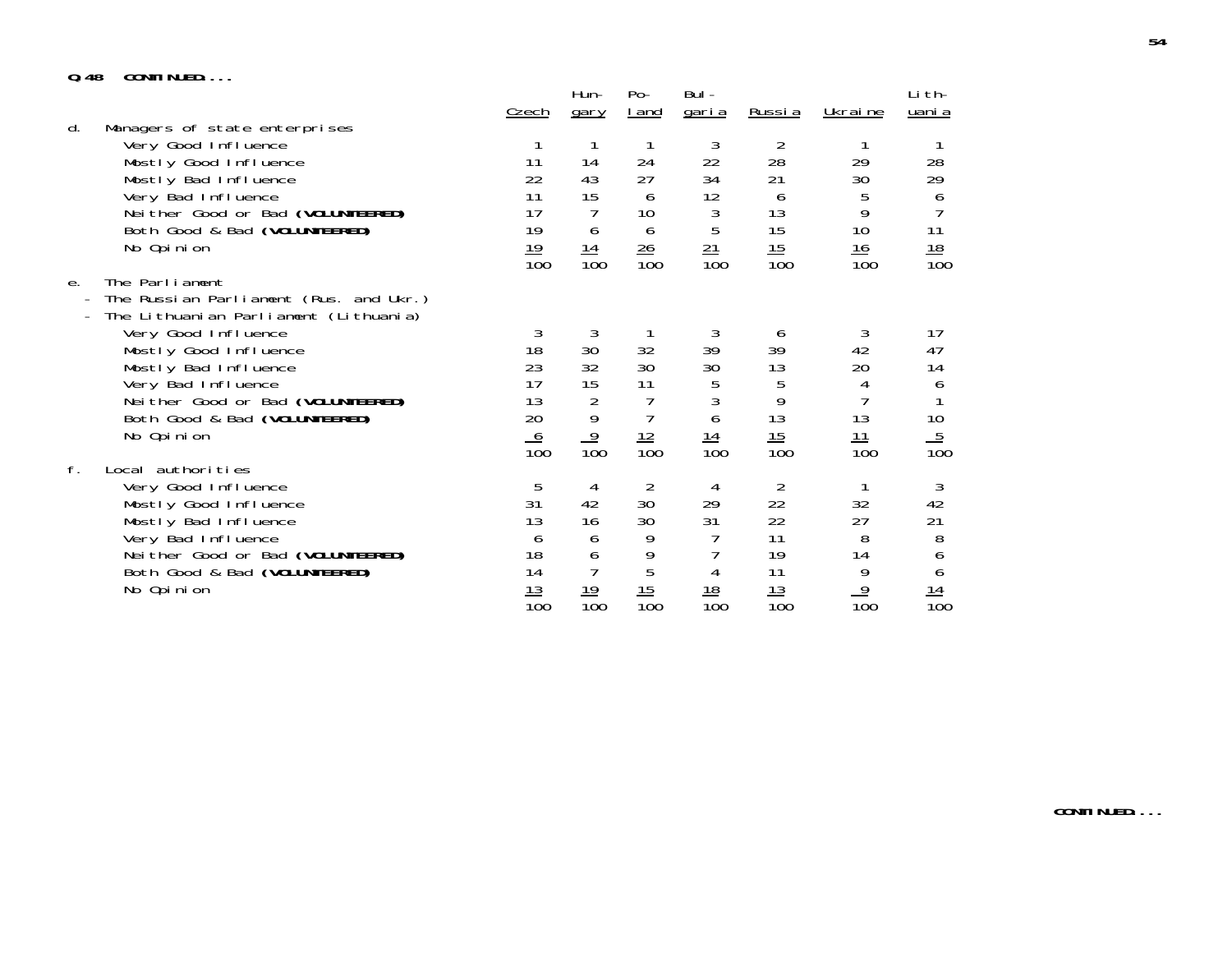## **Q.48 CONTINUED....**

| v. 40 | UUII II I ULLU.                                                                                                                                                                                                                                                                     | <u>Czech</u>                                                     | Hun-<br>gary                                          | $Po-$<br><u>I</u> and                                          | Bul -<br><u>garia</u>                                   | <u>Russia</u>                                                    | Ukraine                                                        | Li th-<br>uani a                                                  |
|-------|-------------------------------------------------------------------------------------------------------------------------------------------------------------------------------------------------------------------------------------------------------------------------------------|------------------------------------------------------------------|-------------------------------------------------------|----------------------------------------------------------------|---------------------------------------------------------|------------------------------------------------------------------|----------------------------------------------------------------|-------------------------------------------------------------------|
| d.    | Managers of state enterprises<br>Very Good Influence<br>Mostly Good Influence<br>Mostly Bad Influence<br>Very Bad Influence<br>Neither Good or Bad (VOLUNTEERED)<br>Both Good & Bad (VOLUNTEERED)<br>No Opinion                                                                     | 11<br>22<br>11<br>17<br>19<br>19<br>$\overline{10}0$             | 14<br>43<br>15<br>6<br><u> 14</u><br>$\overline{100}$ | 24<br>27<br>6<br>10<br>6<br>$\frac{26}{5}$<br>$\overline{100}$ | 3<br>22<br>34<br>12<br>3<br>5<br>21<br>$\overline{10}0$ | 2<br>28<br>21<br>6<br>13<br>15<br>15<br>$\overline{100}$         | 29<br>30<br>5<br>9<br>10<br><u> 16</u><br>100                  | 28<br>29<br>6<br>11<br>$\frac{18}{100}$                           |
| e.    | The Parliament<br>The Russian Parliament (Rus. and Ukr.)<br>The Lithuanian Parliament (Lithuania)<br>Very Good Influence<br>Mostly Good Influence<br>Mostly Bad Influence<br>Very Bad Influence<br>Neither Good or Bad (VOLUNTEERED)<br>Both Good & Bad (VOLUNTEERED)<br>No Opinion | 3<br>18<br>23<br>17<br>13<br>20<br>$\frac{6}{100}$               | 3<br>30<br>32<br>15<br>2<br>9<br>$\frac{9}{100}$      | 32<br>30<br>11<br>$\overline{7}$<br>$\frac{12}{100}$           | 3<br>39<br>30<br>5<br>3<br>6<br>$\frac{14}{100}$        | 6<br>39<br>13<br>5<br>9<br>13<br>$\frac{15}{100}$                | 3<br>42<br>20<br>4<br>13<br>$\frac{11}{100}$                   | 17<br>47<br>14<br>6<br>10<br>$\frac{5}{100}$                      |
| f.    | Local authorities<br>Very Good Influence<br>Mostly Good Influence<br>Mostly Bad Influence<br>Very Bad Influence<br>Neither Good or Bad (VOLUNTEERED)<br>Both Good & Bad (VOLUNTEERED)<br>No Opinion                                                                                 | 5<br>31<br>13<br>6<br>18<br>14<br><u> 13</u><br>$\overline{10}0$ | 4<br>42<br>16<br>6<br>6<br>$\frac{19}{100}$           | 2<br>30<br>30<br>9<br>9<br>5<br>$\frac{15}{100}$               | 4<br>29<br>31<br>4<br>$\frac{18}{100}$                  | $\overline{2}$<br>22<br>22<br>11<br>19<br>11<br>$\frac{13}{100}$ | 32<br>27<br>8<br>14<br>9<br>$\overline{9}$<br>$\overline{10}0$ | 3<br>42<br>21<br>8<br>6<br>6<br>$\frac{14}{}$<br>$\overline{10}0$ |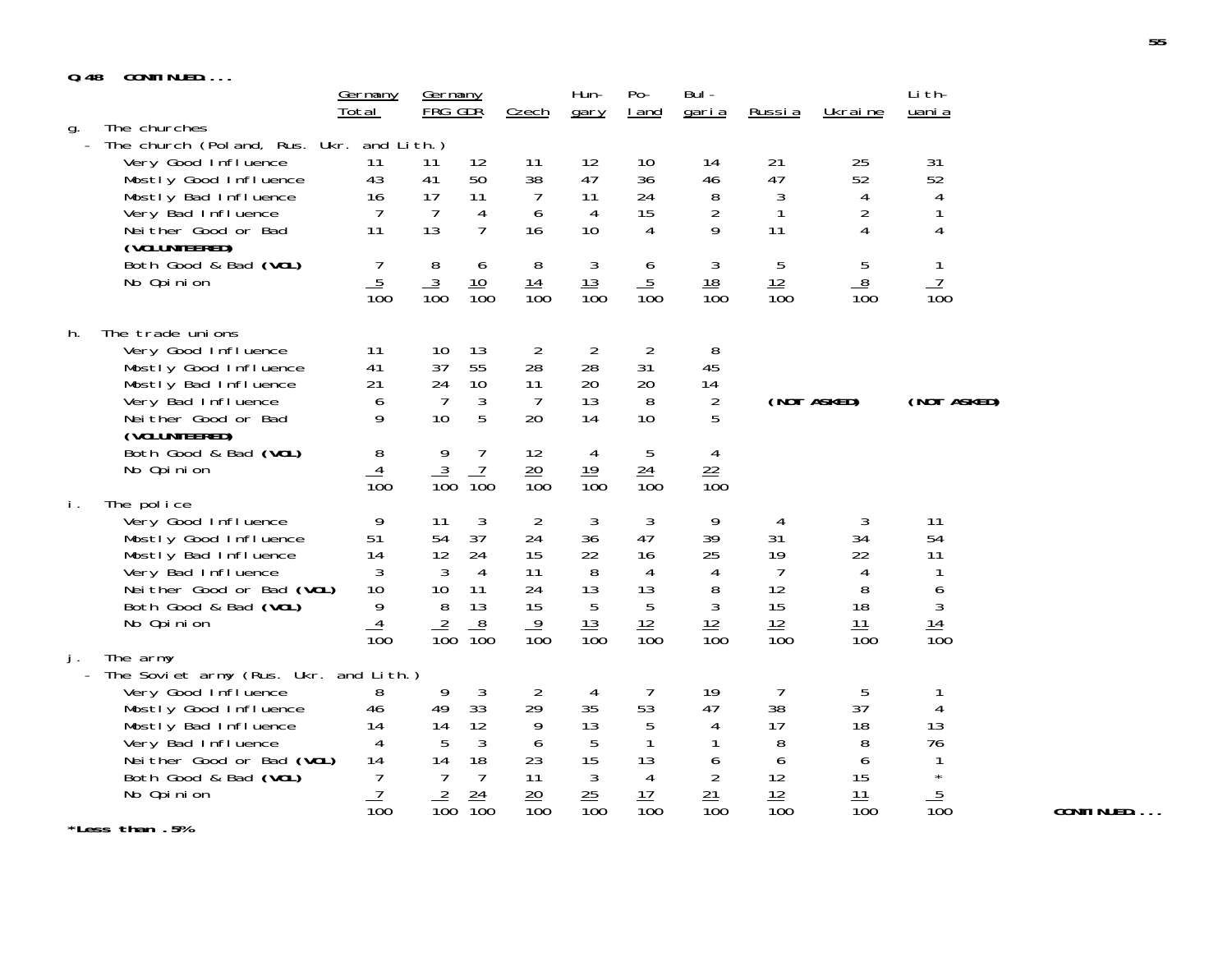# **Q.48 CONTINUED....**

|          |                                                                                                                                                                                                         | <u>Germany</u><br>Total                                             | <u>Germany</u><br>FRG GDR                                        | Czech                                                                                                | Hun-<br>gary                                                                                                              | $Po-$<br>I and                                                       | Bul -<br><u>garia</u>                                         | Russia                                                          | Ukraine                                                 | Li th-<br>uani a                                           |
|----------|---------------------------------------------------------------------------------------------------------------------------------------------------------------------------------------------------------|---------------------------------------------------------------------|------------------------------------------------------------------|------------------------------------------------------------------------------------------------------|---------------------------------------------------------------------------------------------------------------------------|----------------------------------------------------------------------|---------------------------------------------------------------|-----------------------------------------------------------------|---------------------------------------------------------|------------------------------------------------------------|
| g.       | The churches<br>The church (Poland, Rus. Ukr. and Lith.)<br>Very Good Influence<br>Mostly Good Influence<br>Mostly Bad Influence<br>Very Bad Influence<br>Neither Good or Bad<br>(VOLUNTEERED)          | 11<br>43<br>16<br>7<br>11                                           | 11<br>41<br>17<br>$\overline{7}$<br>13                           | 12<br>11<br>38<br>50<br>11<br>4<br>$\overline{7}$<br>16                                              | 12<br>47<br>11<br>$\overline{7}$<br>6<br>4<br>10                                                                          | 10<br>36<br>24<br>15<br>$\overline{4}$                               | 14<br>46<br>8<br>$\overline{2}$<br>9                          | 21<br>47<br>3<br>$\mathbf{1}$<br>11                             | 25<br>52<br>$\overline{4}$<br>$\overline{2}$<br>4       | 31<br>52<br>4<br>1<br>4                                    |
|          | Both Good & Bad (VOL)<br>No Opinion                                                                                                                                                                     | 7<br>$\frac{5}{100}$                                                | 8<br>$\frac{3}{100}$                                             | 6<br><u> 10</u><br>$\overline{10}0$                                                                  | $\mathfrak{Z}$<br>8<br>$\frac{13}{100}$<br>$\frac{14}{100}$                                                               | 6<br>$\frac{5}{100}$                                                 | $\mathfrak{Z}$<br><u> 18</u><br>$\overline{10}0$              | 5<br>$\frac{12}{100}$                                           | 5<br>8<br>$\overline{100}$                              | 1<br>$\frac{7}{100}$                                       |
| h.       | The trade unions<br>Very Good Influence<br>Mostly Good Influence<br>Mostly Bad Influence<br>Very Bad Influence<br>Neither Good or Bad                                                                   | 11<br>41<br>21<br>6<br>9                                            | 10<br>37<br>24<br>7<br>10                                        | 13<br>55<br>28<br>10<br>11<br>3<br>5<br>20                                                           | 2<br>2<br>28<br>20<br>13<br>7<br>14                                                                                       | $\overline{2}$<br>31<br>20<br>8<br>10                                | 8<br>45<br>14<br>2<br>5                                       |                                                                 | (NOT ASKED)                                             | (NOT ASKED)                                                |
|          | (VOLUNTEERED)<br>Both Good & Bad (VOL)<br>No Opinion                                                                                                                                                    | 8<br>4<br>$\overline{10}0$                                          | 9<br>$\frac{3}{100}$                                             | 7<br>12<br>7<br>$\overline{10}0$                                                                     | 4<br>$\frac{20}{100}$<br>19<br>$\overline{10}0$                                                                           | 5<br>$\frac{24}{100}$                                                | 4<br>$\frac{22}{100}$                                         |                                                                 |                                                         |                                                            |
| İ.<br>j. | The police<br>Very Good Influence<br>Mostly Good Influence<br>Mostly Bad Influence<br>Very Bad Influence<br>Neither Good or Bad (VOL)<br>Both Good & Bad (VOL)<br>No Opinion<br>The army                | 9<br>51<br>14<br>3<br>10<br>9<br>$\overline{4}$<br>$\overline{100}$ | 11<br>54<br>12<br>$\mathbf{3}$<br>10<br>$8\,$<br>$\frac{2}{100}$ | 3<br>37<br>24<br>24<br>15<br>$\overline{4}$<br>11<br>24<br>11<br>13<br>15<br>8<br>$\overline{10}0$   | $\overline{2}$<br>3<br>36<br>22<br>8<br>13<br>5<br>$\frac{13}{100}$<br>$\frac{9}{100}$                                    | 3<br>47<br>16<br>4<br>13<br>$\overline{5}$<br>12<br>$\overline{100}$ | 9<br>39<br>25<br>4<br>8<br>$\mathfrak{Z}$<br>$\frac{12}{100}$ | 4<br>31<br>19<br>$\overline{7}$<br>12<br>15<br>$\frac{12}{100}$ | 3<br>34<br>22<br>4<br>8<br>18<br>11<br>$\overline{10}0$ | 11<br>54<br>11<br>1<br>6<br>$\sqrt{3}$<br>$\frac{14}{100}$ |
|          | The Soviet army (Rus. Ukr. and Lith.)<br>Very Good Influence<br>Mostly Good Influence<br>Mostly Bad Influence<br>Very Bad Influence<br>Neither Good or Bad (VOL)<br>Both Good & Bad (VOL)<br>No Opinion | 8<br>46<br>14<br>4<br>14<br>7<br>$\overline{1}$                     | 9<br>49<br>14<br>5<br>14<br>$\overline{7}$<br>$\overline{2}$     | $\mathbf{3}$<br>33<br>29<br>12<br>$\mathbf{3}$<br>18<br>23<br>$\overline{7}$<br>11<br>$\frac{24}{5}$ | $\overline{2}$<br>$\overline{4}$<br>35<br>9<br>13<br>5<br>6<br>15<br>$\mathfrak{Z}$<br>$\frac{25}{5}$<br>$\frac{20}{100}$ | 7<br>53<br>5<br>1<br>13<br>$\overline{4}$<br>17                      | 19<br>47<br>4<br>1<br>6<br>$\overline{2}$<br>21               | 7<br>38<br>17<br>8<br>6<br>12<br>12                             | 5<br>37<br>18<br>8<br>6<br>15<br>11                     | 1<br>4<br>13<br>76<br>1<br>$\star$<br>$\frac{5}{100}$      |
|          | *Less than .5%                                                                                                                                                                                          | $\overline{100}$                                                    | $\overline{10}0$                                                 | $\overline{10}0$                                                                                     | $\overline{100}$                                                                                                          | $\overline{10}0$                                                     | $\overline{10}0$                                              | $\overline{100}$                                                | $\overline{100}$                                        |                                                            |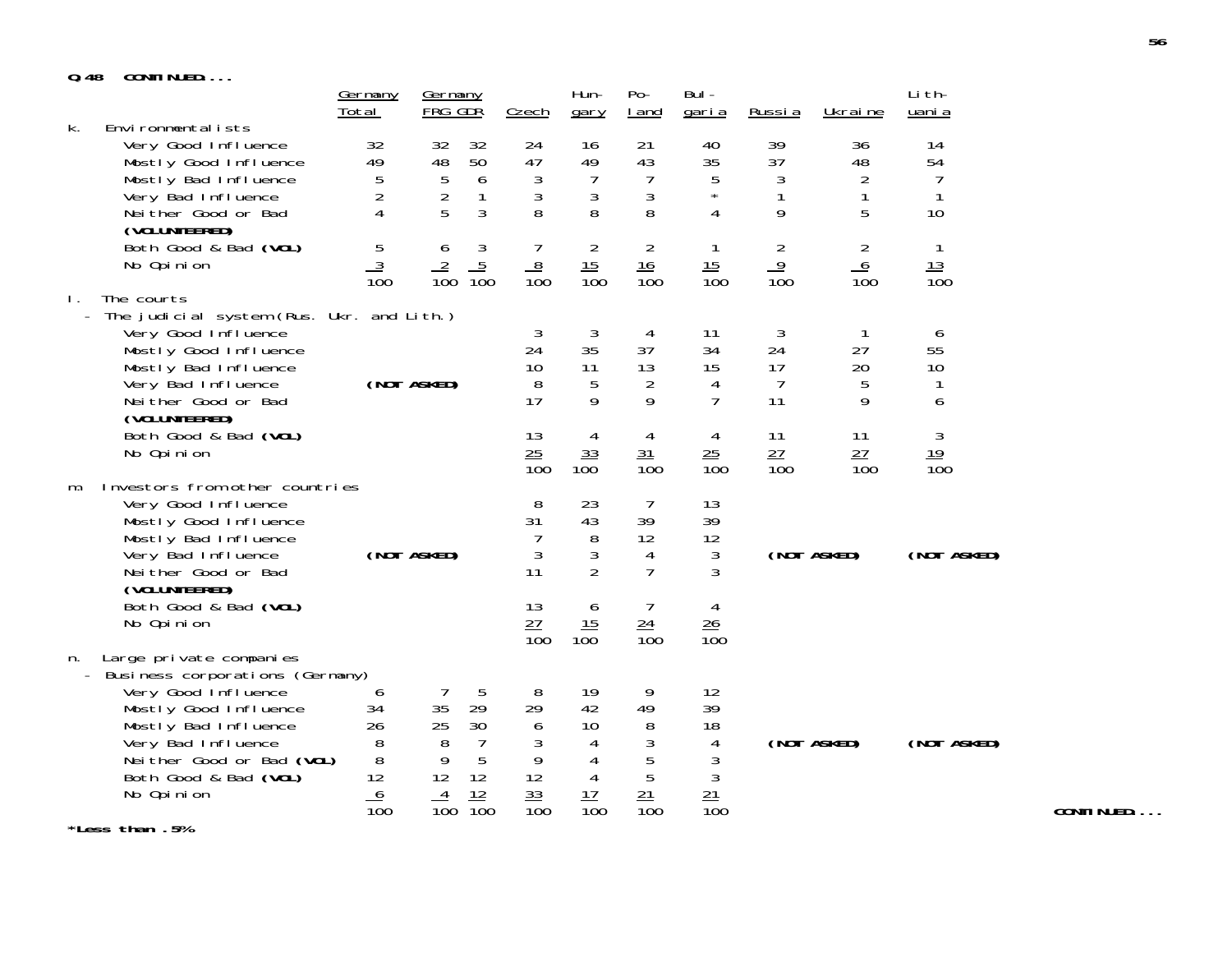## **Q.48 CONTINUED....**

| u. 40        | <b>UUINTINUED</b>                                                  |                     |                    |                      |                        |                     |                        |                        |                   |                   |                    |
|--------------|--------------------------------------------------------------------|---------------------|--------------------|----------------------|------------------------|---------------------|------------------------|------------------------|-------------------|-------------------|--------------------|
|              |                                                                    | Germany<br>Total    | Germany<br>FRG GDR |                      | Czech                  | Hun-<br>gary        | $Po-$<br>I and         | Bul-<br><u>garia</u>   | Russia            | Ukraine           | Li th-<br>uani a   |
| k.           | Environmentalists                                                  |                     |                    |                      |                        |                     |                        |                        |                   |                   |                    |
|              | Very Good Influence                                                | 32                  | 32                 | 32                   | 24                     | 16                  | 21                     | 40                     | 39                | 36                | 14                 |
|              | Mostly Good Influence                                              | 49                  | 48                 | 50                   | 47                     | 49                  | 43                     | 35                     | 37                | 48                | 54                 |
|              | Mostly Bad Influence                                               | 5                   | $\sqrt{5}$         | 6                    | $\mathfrak{Z}$         | $\overline{7}$      | $\overline{7}$         | 5<br>$\star$           | 3                 | $\overline{2}$    | 7                  |
|              | Very Bad Influence<br>Neither Good or Bad                          | $\overline{c}$<br>4 | $\frac{2}{5}$      | $\mathbf{1}$<br>3    | $\mathfrak{Z}$<br>8    | $\mathfrak{Z}$<br>8 | $\mathfrak{Z}$<br>8    | 4                      | $\mathbf{1}$<br>9 | $\mathbf{1}$<br>5 | $\mathbf{1}$<br>10 |
|              | (VOLUNTEERED)                                                      |                     |                    |                      |                        |                     |                        |                        |                   |                   |                    |
|              | Both Good & Bad (VOL)                                              | 5                   | 6                  |                      | $\overline{7}$         | $\overline{2}$      | $\overline{2}$         | $\mathbf{1}$           | $\overline{2}$    | $\overline{2}$    | $\mathbf{1}$       |
|              | No Opinion                                                         | $\overline{3}$      | $\overline{2}$     | $\frac{3}{100}$      | 8                      | $\frac{15}{100}$    | 16                     | 15                     | $\frac{9}{100}$   | $6\overline{6}$   | 13                 |
|              |                                                                    | $\overline{100}$    | $\overline{10}0$   |                      | $\overline{10}0$       |                     | $\overline{10}0$       | $\overline{100}$       |                   | $\overline{100}$  | $\overline{100}$   |
| $\mathbf{L}$ | The courts                                                         |                     |                    |                      |                        |                     |                        |                        |                   |                   |                    |
|              | - The judicial system (Rus. Ukr. and Lith.)<br>Very Good Influence |                     |                    |                      | 3                      | 3                   | 4                      | 11                     | 3                 | $\mathbf{1}$      | 6                  |
|              | Mostly Good Influence                                              |                     |                    |                      | 24                     | 35                  | 37                     | 34                     | 24                | 27                | 55                 |
|              | Mostly Bad Influence                                               |                     |                    |                      | 10                     | 11                  | 13                     | 15                     | 17                | 20                | 10                 |
|              | Very Bad Influence                                                 |                     | (NOT ASKED)        |                      | 8                      | 5                   | $\overline{2}$         | 4                      | $\overline{7}$    | 5                 | $\mathbf{1}$       |
|              | Neither Good or Bad<br>(VOLUNTEERED)                               |                     |                    |                      | 17                     | 9                   | 9                      | $\overline{7}$         | 11                | 9                 | 6                  |
|              | Both Good & Bad (VOL)                                              |                     |                    |                      | 13                     | 4                   | 4                      | 4                      | 11                | 11                | 3                  |
|              | No Opinion                                                         |                     |                    |                      | 25                     | 33                  | 31                     | 25                     | 27                | 27                | 19                 |
|              |                                                                    |                     |                    |                      | $\overline{100}$       | 100                 | $\overline{10}0$       | $\overline{10}0$       | $\overline{10}0$  | $\overline{10}0$  | $\overline{100}$   |
| m.           | Investors from other countries                                     |                     |                    |                      |                        |                     |                        |                        |                   |                   |                    |
|              | Very Good Influence<br>Mostly Good Influence                       |                     |                    |                      | 8<br>31                | 23<br>43            | $\overline{7}$<br>39   | 13<br>39               |                   |                   |                    |
|              | Mostly Bad Influence                                               |                     |                    |                      | 7                      | 8                   | 12                     | 12                     |                   |                   |                    |
|              | Very Bad Influence                                                 |                     | (NOT ASKED)        |                      | $\mathfrak{Z}$         | 3                   | $\overline{4}$         | 3                      |                   | (NOT ASKED)       | (NOT ASKED)        |
|              | Neither Good or Bad                                                |                     |                    |                      | 11                     | $\overline{2}$      | $\overline{7}$         | 3                      |                   |                   |                    |
|              | (VOLUNTEERED)                                                      |                     |                    |                      |                        |                     |                        |                        |                   |                   |                    |
|              | Both Good & Bad (VOL)                                              |                     |                    |                      | 13                     | 6                   | 7                      | 4                      |                   |                   |                    |
|              | No Opinion                                                         |                     |                    |                      | 27<br>$\overline{10}0$ | 15<br>100           | 24<br>$\overline{100}$ | 26<br>$\overline{100}$ |                   |                   |                    |
| n.           | Large private companies                                            |                     |                    |                      |                        |                     |                        |                        |                   |                   |                    |
|              | - Business corporations (Germany)                                  |                     |                    |                      |                        |                     |                        |                        |                   |                   |                    |
|              | Very Good Influence                                                | 6                   | 7                  | 5                    | 8                      | 19                  | 9                      | 12                     |                   |                   |                    |
|              | Mostly Good Influence                                              | 34                  | 35                 | 29                   | 29                     | 42                  | 49                     | 39                     |                   |                   |                    |
|              | Mostly Bad Influence<br>Very Bad Influence                         | 26<br>8             | 25<br>8            | 30<br>$\overline{7}$ | 6<br>3                 | 10<br>4             | 8<br>3                 | 18<br>4                |                   | (NOT ASKED)       | (NOT ASKED)        |
|              | Neither Good or Bad (VOL)                                          | 8                   | $\overline{9}$     | 5                    | 9                      | 4                   | 5                      | 3                      |                   |                   |                    |
|              | Both Good & Bad (VOL)                                              | 12                  | 12                 | 12                   | 12                     | $\overline{4}$      | $\overline{5}$         | $\sqrt{3}$             |                   |                   |                    |
|              | No Opinion                                                         | 6                   | 4                  | 12                   | 33                     | 17                  | 21                     | $\frac{21}{100}$       |                   |                   |                    |
|              |                                                                    | $\overline{100}$    | $\overline{100}$   | $\overline{10}0$     | $\overline{100}$       | $\overline{100}$    | $\overline{10}0$       |                        |                   |                   |                    |
|              | *Less than .5%                                                     |                     |                    |                      |                        |                     |                        |                        |                   |                   |                    |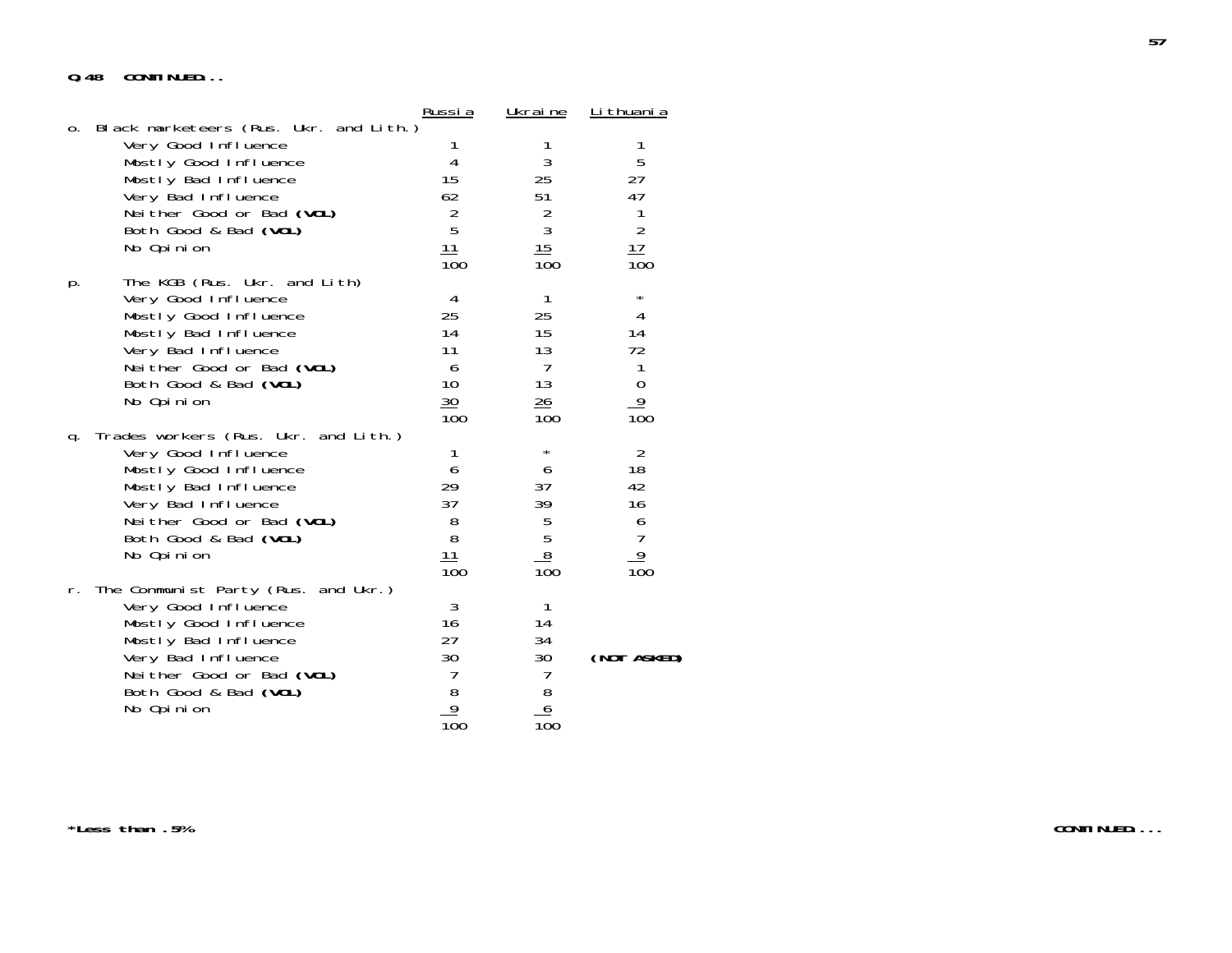# **Q.48 CONTINUED...**

|    |                                                                                                                                                                                                          | Russi a                                                             | <u>Ukraine</u>                                                       | <u>Li thuani a</u>                                                                           |
|----|----------------------------------------------------------------------------------------------------------------------------------------------------------------------------------------------------------|---------------------------------------------------------------------|----------------------------------------------------------------------|----------------------------------------------------------------------------------------------|
| 0. | Black marketeers (Rus. Ukr. and Lith.)<br>Very Good Influence<br>Mostly Good Influence<br>Mostly Bad Influence<br>Very Bad Influence<br>Neither Good or Bad (VOL)<br>Both Good & Bad (VOL)<br>No Opinion | 1<br>4<br>15<br>62<br>$\overline{2}$<br>5<br>$\frac{11}{100}$       | 1<br>$\sqrt{3}$<br>25<br>51<br>$\frac{2}{3}$<br>$\frac{15}{100}$     | 1<br>5<br>27<br>47<br>$\begin{array}{c} 1 \\ 2 \end{array}$<br>17<br>100                     |
| p. | The KGB (Rus. Ukr. and Lith)<br>Very Good Influence<br>Mostly Good Influence<br>Mostly Bad Influence<br>Very Bad Influence<br>Neither Good or Bad (VOL)<br>Both Good & Bad (VOL)<br>No Opinion           | 4<br>25<br>14<br>11<br>6<br>10 <sup>°</sup><br>30<br>100            | 1<br>25<br>15<br>13<br>$\overline{7}$<br>13<br>$\frac{26}{5}$<br>100 | $^\star$<br>4<br>14<br>72<br>$\mathbf{1}$<br>$\frac{0}{9}$<br>$\overline{10}0$               |
| q. | Trades workers (Rus. Ukr. and Lith.)<br>Very Good Influence<br>Mostly Good Influence<br>Mostly Bad Influence<br>Very Bad Influence<br>Neither Good or Bad (VOL)<br>Both Good & Bad (VOL)<br>No Opinion   | 1<br>6<br>29<br>37<br>8<br>8<br>11<br>100                           | $\star$<br>6<br>37<br>39<br>$\frac{5}{5}$<br>100                     | $\overline{2}$<br>18<br>42<br>16<br>$\begin{array}{c} 6 \\ 7 \end{array}$<br>$\frac{9}{100}$ |
| r. | The Communist Party (Rus. and Ukr.)<br>Very Good Influence<br>Mostly Good Influence<br>Mostly Bad Influence<br>Very Bad Influence<br>Neither Good or Bad (VOL)<br>Both Good & Bad (VOL)<br>No Opinion    | 3<br>16<br>27<br>30<br>7<br>8<br>$\overline{9}$<br>$\overline{10}0$ | 1<br>14<br>34<br>30<br>7<br>$\frac{8}{100}$                          | (NOT ASKED)                                                                                  |

**\*Less than .5%**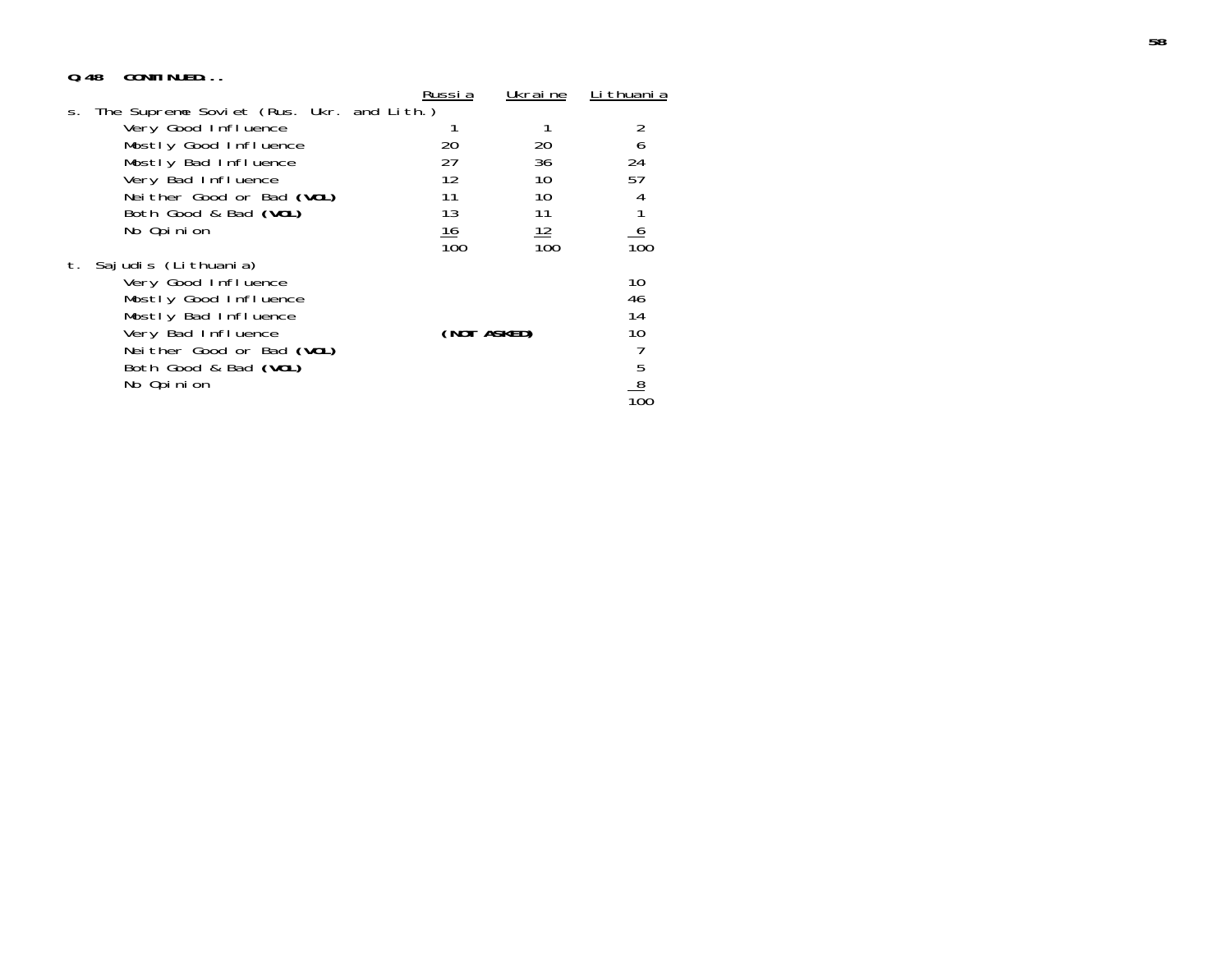## **Q.48 CONTINUED...**

|         |                                          | Russi a     | Ukrai ne         | <u>Li thuani a</u> |
|---------|------------------------------------------|-------------|------------------|--------------------|
| $S_{+}$ | The Supreme Soviet (Rus. Ukr. and Lith.) |             |                  |                    |
|         | Very Good Influence                      |             |                  |                    |
|         | Mostly Good Influence                    | 20          | 20               | 6                  |
|         | Mostly Bad Influence                     | 27          | 36               | 24                 |
|         | Very Bad Influence                       | 12          | 10               | 57                 |
|         | Neither Good or Bad (VOL)                | 11          | 10               |                    |
|         | Both Good & Bad (VOL)                    | 13          | 11               |                    |
|         | No Opinion                               | <u> 16</u>  | 12               | <u>6</u>           |
|         |                                          | 100         | $\overline{10}0$ | $\overline{10}0$   |
| t.      | Sajudis (Lithuania)                      |             |                  |                    |
|         | Very Good Influence                      |             |                  | 10                 |
|         | Mostly Good Influence                    |             |                  | 46                 |
|         | Mostly Bad Influence                     |             |                  | 14                 |
|         | Very Bad Influence                       | (NOT ASKED) |                  | 10                 |
|         | Neither Good or Bad (VOL)                |             |                  |                    |
|         | Both Good & Bad (VOL)                    |             |                  |                    |
|         | No Opinion                               |             |                  | $\frac{5}{8}$      |
|         |                                          |             |                  |                    |
|         |                                          |             |                  |                    |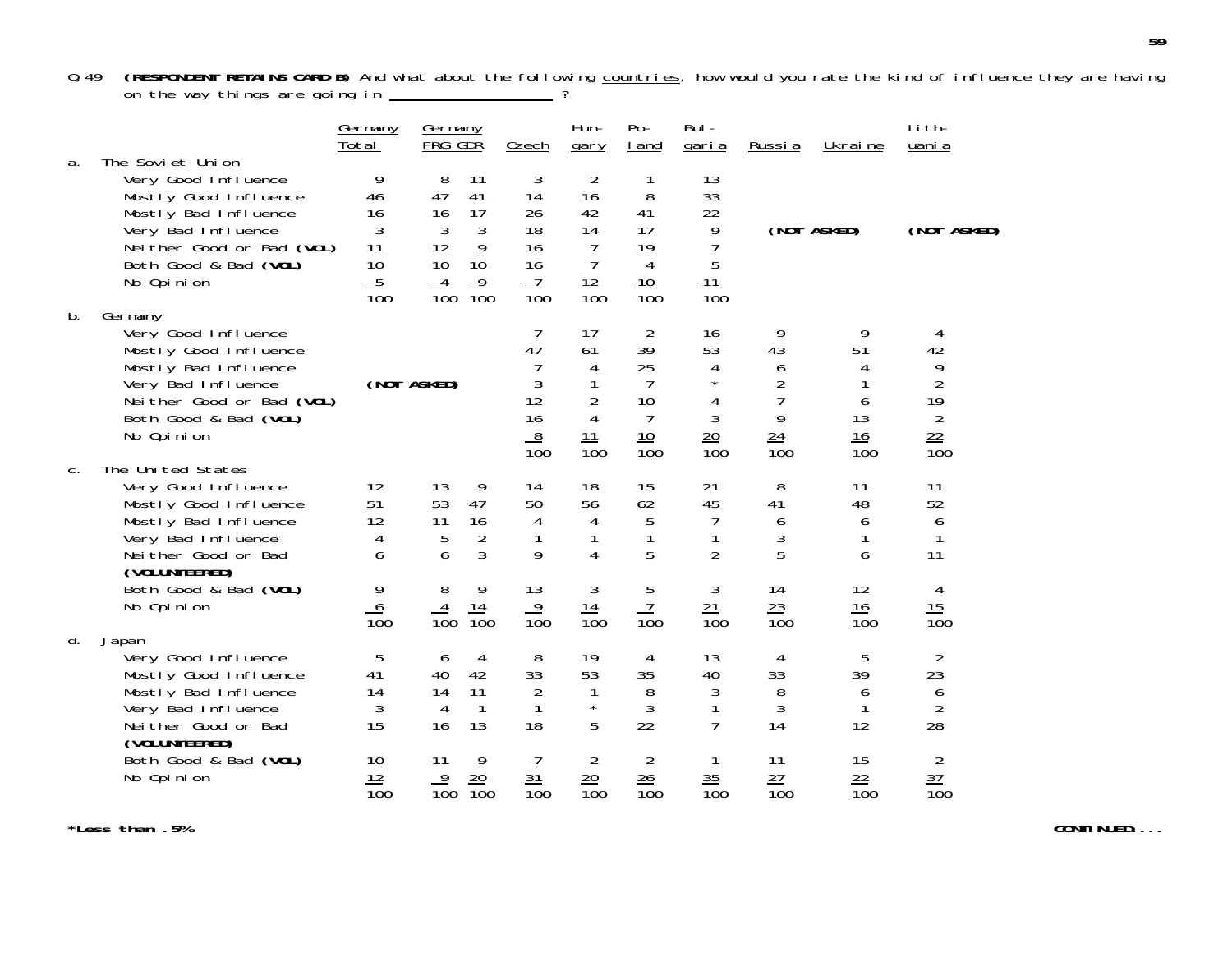Q.49 **(RESPONDENT RETAINS CARD B)** And what about the following countries, how would you rate the kind of influence they are having on the way things are going in  $\begin{array}{ccc} \text{---} & \text{?} \end{array}$ 

|    |                                                                                                                                                                                    | <u>Germany</u><br>Total                                              | <u>Germany</u><br>FRG GDR                                                                                          | Czech                                                                 | Hun-<br>gary                                                                             | $Po-$<br>I and                                                                    | Bul-<br><u>garia</u>                                                               | Russia                                                                    | Ukraine                                                | Li th-<br>uani a                                                           |
|----|------------------------------------------------------------------------------------------------------------------------------------------------------------------------------------|----------------------------------------------------------------------|--------------------------------------------------------------------------------------------------------------------|-----------------------------------------------------------------------|------------------------------------------------------------------------------------------|-----------------------------------------------------------------------------------|------------------------------------------------------------------------------------|---------------------------------------------------------------------------|--------------------------------------------------------|----------------------------------------------------------------------------|
| a. | The Soviet Union<br>Very Good Influence<br>Mostly Good Influence<br>Mostly Bad Influence<br>Very Bad Influence<br>Neither Good or Bad (VOL)<br>Both Good & Bad (VOL)<br>No Opinion | 9<br>46<br>16<br>3<br>11<br>10<br>$\overline{5}$<br>$\overline{10}0$ | 8<br>11<br>47<br>41<br>17<br>16<br>3<br>3<br>12<br>9<br>10<br>10<br>9<br>4<br>$\overline{10}0$<br>$\overline{10}0$ | 3<br>14<br>26<br>18<br>16<br>16<br>$\overline{1}$<br>$\overline{10}0$ | $\overline{2}$<br>16<br>42<br>14<br>$\overline{7}$<br>$\overline{7}$<br>$\frac{12}{100}$ | 1<br>8<br>41<br>17<br>19<br>$\overline{4}$<br>10<br>$\overline{100}$              | 13<br>33<br>22<br>9<br>$\overline{7}$<br>5<br>11<br>$\overline{10}0$               |                                                                           | (NOT ASKED)                                            | (NOT ASKED)                                                                |
| b. | Germany<br>Very Good Influence<br>Mostly Good Influence<br>Mostly Bad Influence<br>Very Bad Influence<br>Neither Good or Bad (VOL)<br>Both Good & Bad (VOL)<br>No Opinion          |                                                                      | (NOT ASKED)                                                                                                        | 7<br>47<br>7<br>3<br>12<br>16<br>$\frac{8}{2}$<br>$\overline{100}$    | 17<br>61<br>4<br>1<br>$\overline{2}$<br>4<br>11<br>$\overline{10}0$                      | 2<br>39<br>25<br>$\overline{7}$<br>10<br>$\overline{7}$<br>10<br>$\overline{10}0$ | 16<br>53<br>4<br>$\star$<br>$\sqrt{4}$<br>$\mathfrak{Z}$<br>20<br>$\overline{100}$ | 9<br>43<br>6<br>$\overline{2}$<br>$\overline{7}$<br>9<br>$\frac{24}{100}$ | 9<br>51<br>4<br>1<br>6<br>13<br>16<br>$\overline{100}$ | 4<br>42<br>9<br>$\overline{2}$<br>19<br>$\overline{2}$<br>$\frac{22}{100}$ |
| C. | The United States<br>Very Good Influence<br>Mostly Good Influence<br>Mostly Bad Influence<br>Very Bad Influence<br>Neither Good or Bad<br>(VOLUNTEERED)<br>Both Good & Bad (VOL)   | 12<br>51<br>12<br>4<br>6<br>9                                        | 9<br>13<br>47<br>53<br>16<br>11<br>$\overline{2}$<br>5<br>3<br>6<br>8<br>9                                         | 14<br>50<br>4<br>1<br>9<br>13                                         | 18<br>56<br>4<br>1<br>4<br>3                                                             | 15<br>62<br>5<br>1<br>5<br>5                                                      | 21<br>45<br>7<br>$\mathbf{1}$<br>$\overline{2}$<br>$\mathfrak{Z}$                  | 8<br>41<br>6<br>3<br>5<br>14                                              | 11<br>48<br>6<br>1<br>6<br>12                          | 11<br>52<br>6<br>1<br>11<br>4                                              |
|    | No Opinion                                                                                                                                                                         | $\frac{6}{100}$                                                      | 14<br>$\overline{10}0$<br>$\overline{100}$                                                                         | $\frac{9}{100}$                                                       | <u> 14</u><br>$\overline{10}0$                                                           | $\overline{7}$<br>$\overline{10}0$                                                | $\frac{21}{100}$                                                                   | $\frac{23}{100}$                                                          | 16<br>100                                              | $\frac{15}{100}$                                                           |
| d. | Japan<br>Very Good Influence<br>Mostly Good Influence<br>Mostly Bad Influence<br>Very Bad Influence<br>Neither Good or Bad<br>(VOLUNTEERED)                                        | 5<br>41<br>14<br>3<br>15                                             | 4<br>6<br>42<br>40<br>14<br>11<br>4<br>$\mathbf{1}$<br>13<br>16                                                    | 8<br>33<br>2<br>$\mathbf{1}$<br>18                                    | 19<br>53<br>1<br>$\star$<br>5                                                            | 4<br>35<br>8<br>$\sqrt{3}$<br>22                                                  | 13<br>40<br>3<br>1<br>$\overline{7}$                                               | 4<br>33<br>$8\,$<br>$\mathfrak{Z}$<br>14                                  | 5<br>39<br>6<br>1<br>12                                | $\overline{2}$<br>23<br>$\begin{array}{c} 6 \\ 2 \end{array}$<br>28        |
|    | Both Good & Bad (VOL)<br>No Opinion                                                                                                                                                | 10<br>12<br>$\overline{10}0$                                         | 9<br>11<br>20<br>9<br>$\overline{10}0$<br>$\overline{10}0$                                                         | $\overline{7}$<br>31<br>$\overline{10}0$                              | $\overline{2}$<br>20<br>$\overline{10}0$                                                 | $\overline{2}$<br>26<br>$\overline{100}$                                          | 1<br>35<br>$\overline{10}0$                                                        | 11<br>27<br>$\overline{10}0$                                              | 15<br>$\frac{22}{100}$                                 | $\overline{2}$<br>$\overline{37}$<br>$\overline{10}0$                      |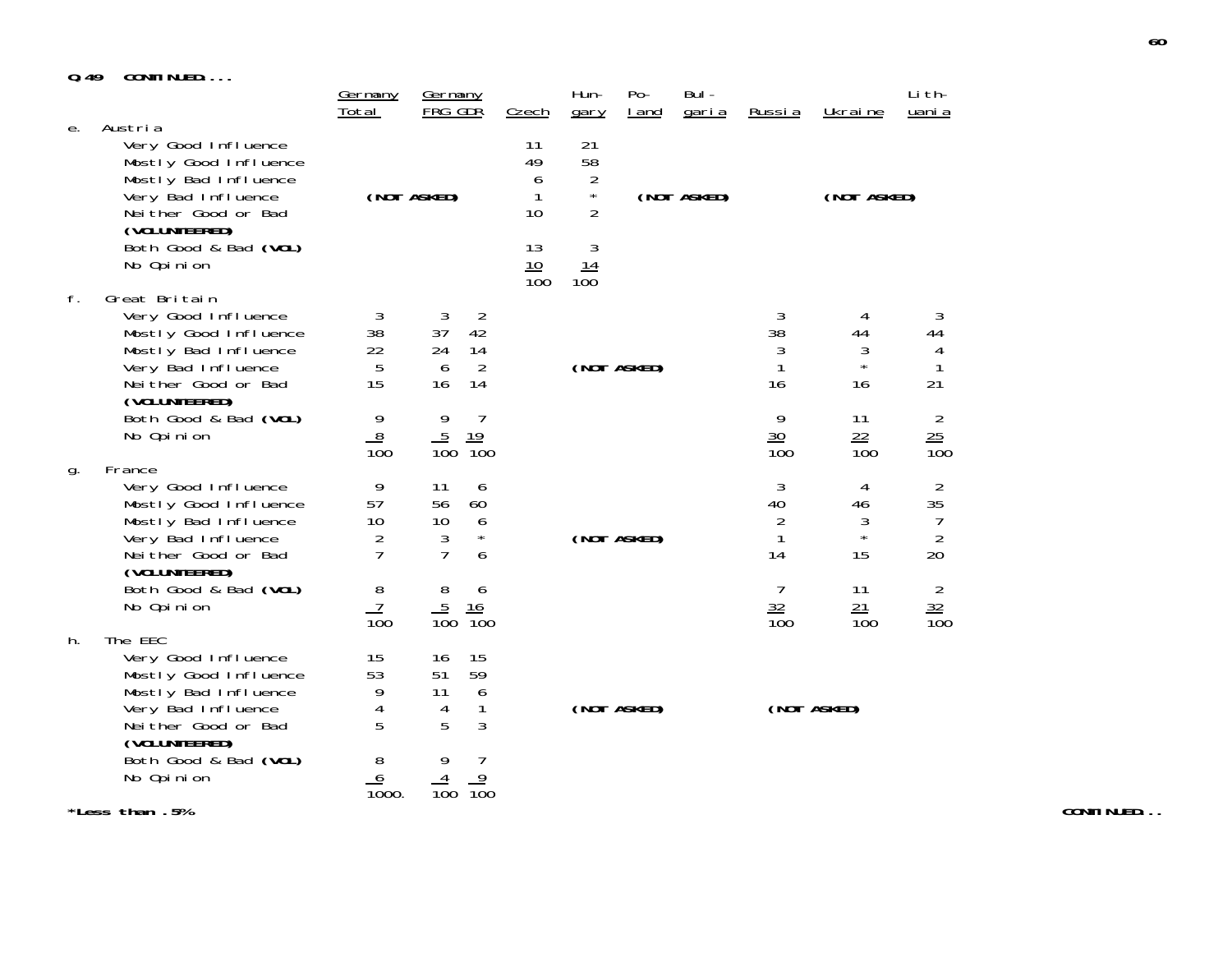# **Q.49 CONTINUED....**

|    | <b>UUIVI IIVULU</b>                                                                                                                                 | Germany                                           | Germany                                                                |                              | Hun-                                                    | $Po-$       | Bul -        |                                      |                               | Li th-                                      |
|----|-----------------------------------------------------------------------------------------------------------------------------------------------------|---------------------------------------------------|------------------------------------------------------------------------|------------------------------|---------------------------------------------------------|-------------|--------------|--------------------------------------|-------------------------------|---------------------------------------------|
|    |                                                                                                                                                     | Total                                             | FRG GDR                                                                | <b>Czech</b>                 | gary                                                    | I and       | <u>garia</u> | Russia                               | Ukraine                       | uani a                                      |
| е. | Austria<br>Very Good Influence<br>Mostly Good Influence<br>Mostly Bad Influence<br>Very Bad Influence<br>Neither Good or Bad<br>(VOLUNTEERED)       |                                                   | (NOT ASKED)                                                            | 11<br>49<br>6<br>1<br>10     | 21<br>58<br>$\overline{2}$<br>$\star$<br>$\overline{2}$ |             | (NOT ASKED)  |                                      | (NOT ASKED)                   |                                             |
|    | Both Good & Bad (VOL)<br>No Opinion                                                                                                                 |                                                   |                                                                        | 13<br>10<br>$\overline{10}0$ | 3<br>$\frac{14}{100}$                                   |             |              |                                      |                               |                                             |
| f. | Great Britain<br>Very Good Influence<br>Mostly Good Influence<br>Mostly Bad Influence<br>Very Bad Influence<br>Neither Good or Bad<br>(VOLUNTEERED) | 3<br>38<br>22<br>$\mathbf 5$<br>15                | 3<br>2<br>42<br>37<br>24<br>14<br>$\overline{2}$<br>6<br>16<br>14      |                              |                                                         | (NOT ASKED) |              | 3<br>38<br>3<br>1<br>16              | 4<br>44<br>3<br>$\star$<br>16 | 3<br>44<br>4<br>$\mathbf{1}$<br>21          |
|    | Both Good & Bad (VOL)<br>No Opinion                                                                                                                 | 9<br>8<br>$\overline{10}0$                        | 9<br>$\overline{7}$<br>$\frac{5}{100}$<br>19<br>$\overline{100}$       |                              |                                                         |             |              | 9<br>30<br>$\overline{10}0$          | 11<br>22<br>100               | $\overline{2}$<br>$\frac{25}{100}$          |
| g. | France<br>Very Good Influence<br>Mostly Good Influence<br>Mostly Bad Influence<br>Very Bad Influence<br>Neither Good or Bad<br>(VOLUNTEERED)        | 9<br>57<br>10<br>$\overline{2}$<br>$\overline{7}$ | 11<br>6<br>56<br>60<br>10<br>6<br>$\star$<br>3<br>$\overline{7}$<br>6  |                              |                                                         | (NOT ASKED) |              | 3<br>40<br>$\overline{2}$<br>1<br>14 | 4<br>46<br>3<br>$\star$<br>15 | $\overline{2}$<br>35<br>$\frac{7}{2}$<br>20 |
|    | Both Good & Bad (VOL)<br>No Opinion                                                                                                                 | 8<br>$\overline{7}$<br>$\overline{100}$           | 8<br>6<br>$\overline{5}$<br>16<br>$\overline{100}$<br>$\overline{100}$ |                              |                                                         |             |              | $\overline{7}$<br>32<br>100          | 11<br>21<br>$\overline{100}$  | $\overline{2}$<br>$\frac{32}{100}$          |
| h. | The EEC<br>Very Good Influence<br>Mostly Good Influence<br>Mostly Bad Influence<br>Very Bad Influence<br>Neither Good or Bad<br>(VOLUNTEERED)       | 15<br>53<br>9<br>4<br>5                           | 15<br>16<br>59<br>51<br>6<br>11<br>$\mathbf{1}$<br>4<br>3<br>5         |                              |                                                         | (NOT ASKED) |              |                                      | (NOT ASKED)                   |                                             |
|    | Both Good & Bad (VOL)<br>No Opinion                                                                                                                 | 8<br>6<br>$\overline{10}00.$                      | 7<br>9<br>$\overline{9}$<br>4<br>$\overline{100}$<br>$\overline{10}0$  |                              |                                                         |             |              |                                      |                               |                                             |

**\*Less than .5%**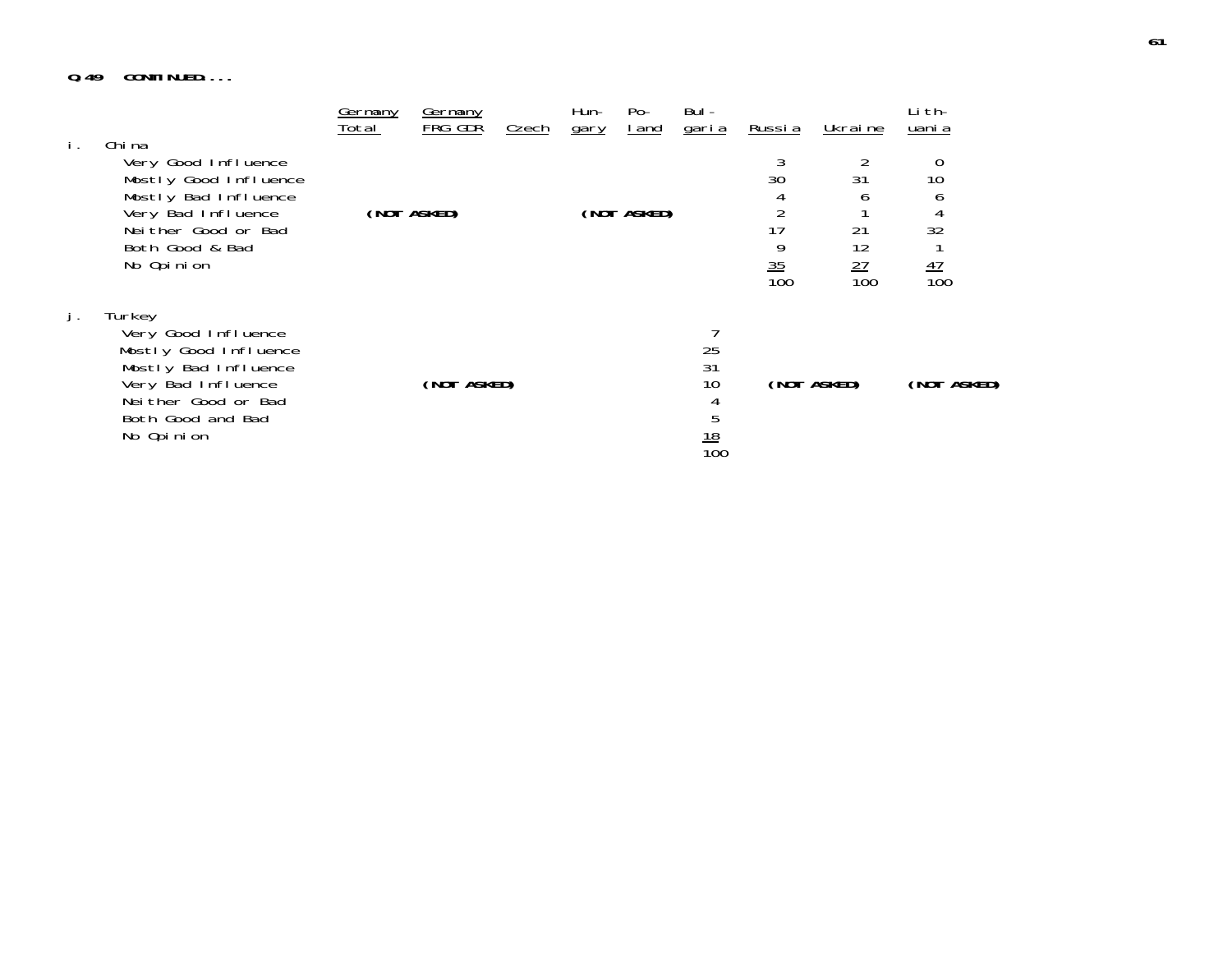# **Q.49 CONTINUED....**

| i. | Chi na                                                                                                                                                         | Germany<br>Total | <u>Germany</u><br>FRG GDR | Czech | Hun-<br>gary | Po-<br><u>l and</u> | Bul -<br><u>garia</u>                        | <u>Russia</u>                | <u>Ukraine</u>                          | Li th-<br>uani a                            |  |
|----|----------------------------------------------------------------------------------------------------------------------------------------------------------------|------------------|---------------------------|-------|--------------|---------------------|----------------------------------------------|------------------------------|-----------------------------------------|---------------------------------------------|--|
|    | Very Good Influence<br>Mostly Good Influence<br>Mostly Bad Influence<br>Very Bad Influence<br>Neither Good or Bad<br>Both Good & Bad<br>No Opinion             |                  | (NOT ASKED)               |       |              | (NOT ASKED)         |                                              | 30<br>17<br>$\frac{35}{100}$ | 31<br>h<br>21<br>12<br>$\frac{27}{100}$ | 0<br>10<br>b<br>4<br>32<br>$\frac{47}{100}$ |  |
| j. | Turkey<br>Very Good Influence<br>Mostly Good Influence<br>Mostly Bad Influence<br>Very Bad Influence<br>Neither Good or Bad<br>Both Good and Bad<br>No Opinion |                  | (NOT ASKED)               |       |              |                     | 25<br>31<br>10<br>4<br>5<br>$\frac{18}{100}$ |                              | (NOT ASKED)                             | (NOT ASKED)                                 |  |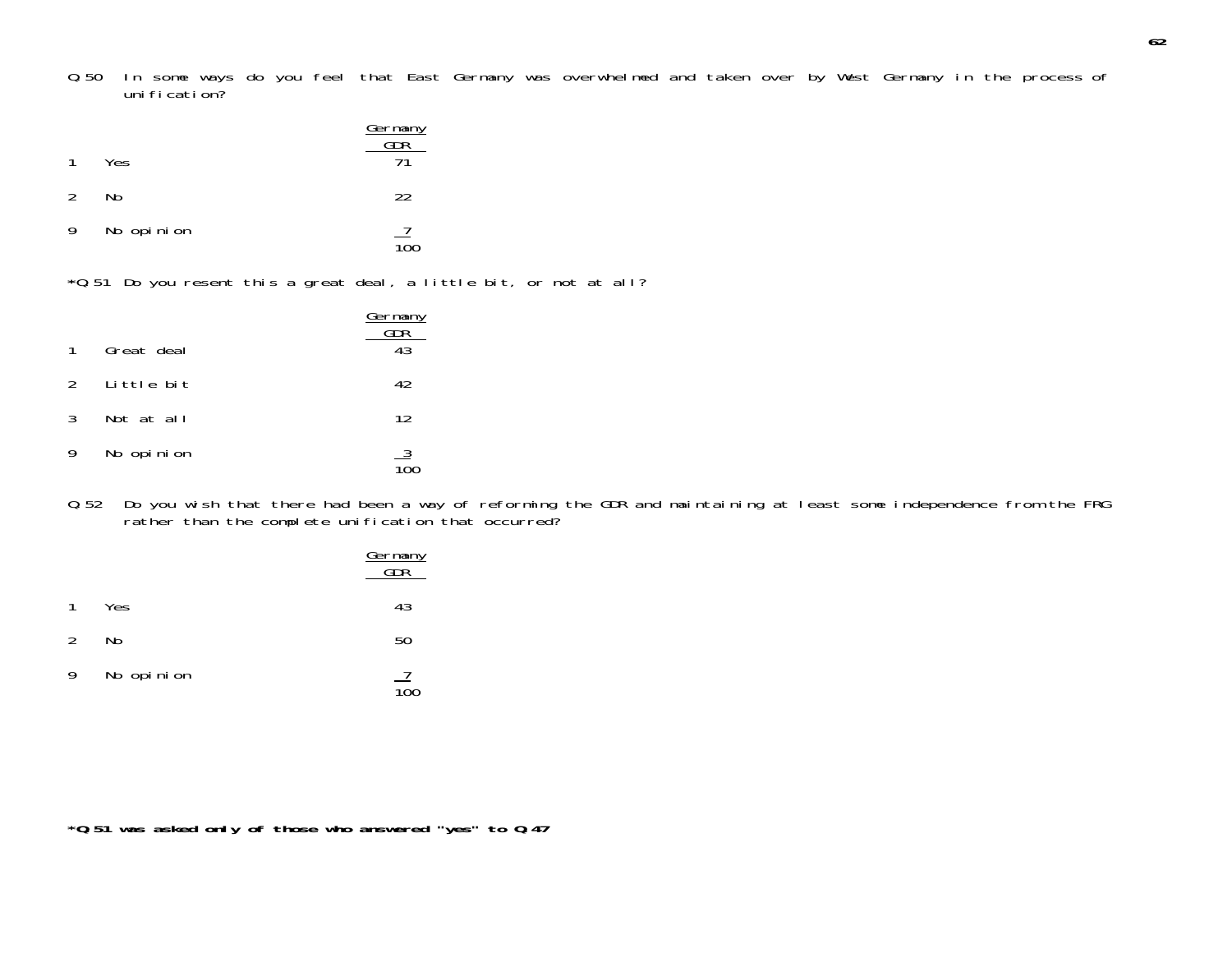Q.50 In some ways do you feel that East Germany was overwhelmed and taken over by West Germany in the process of uni fi cati on?

| $\mathbf{1}$ | Yes        | Germany<br>GDR |
|--------------|------------|----------------|
| 2            | No         | 22             |
| 9            | No opinion |                |

- 100
- **\***Q.51 Do you resent this a great deal, a little bit, or not at all?

|              |              | <u>Germany</u><br>GDR |
|--------------|--------------|-----------------------|
| $\mathbf{1}$ | Great deal   | 43                    |
|              | 2 Little bit | 42                    |
| 3            | Not at all   | 12                    |
| 9            | No opinion   |                       |

Q.52 Do you wish that there had been a way of reforming the GDR and maintaining at least some independence from the FRG rather than the complete unification that occurred?

|               |            | Germany<br>GDR |
|---------------|------------|----------------|
| $\mathbf{1}$  | Yes        | 43             |
| $\mathcal{L}$ | No         | 50             |
| 9             | No opinion |                |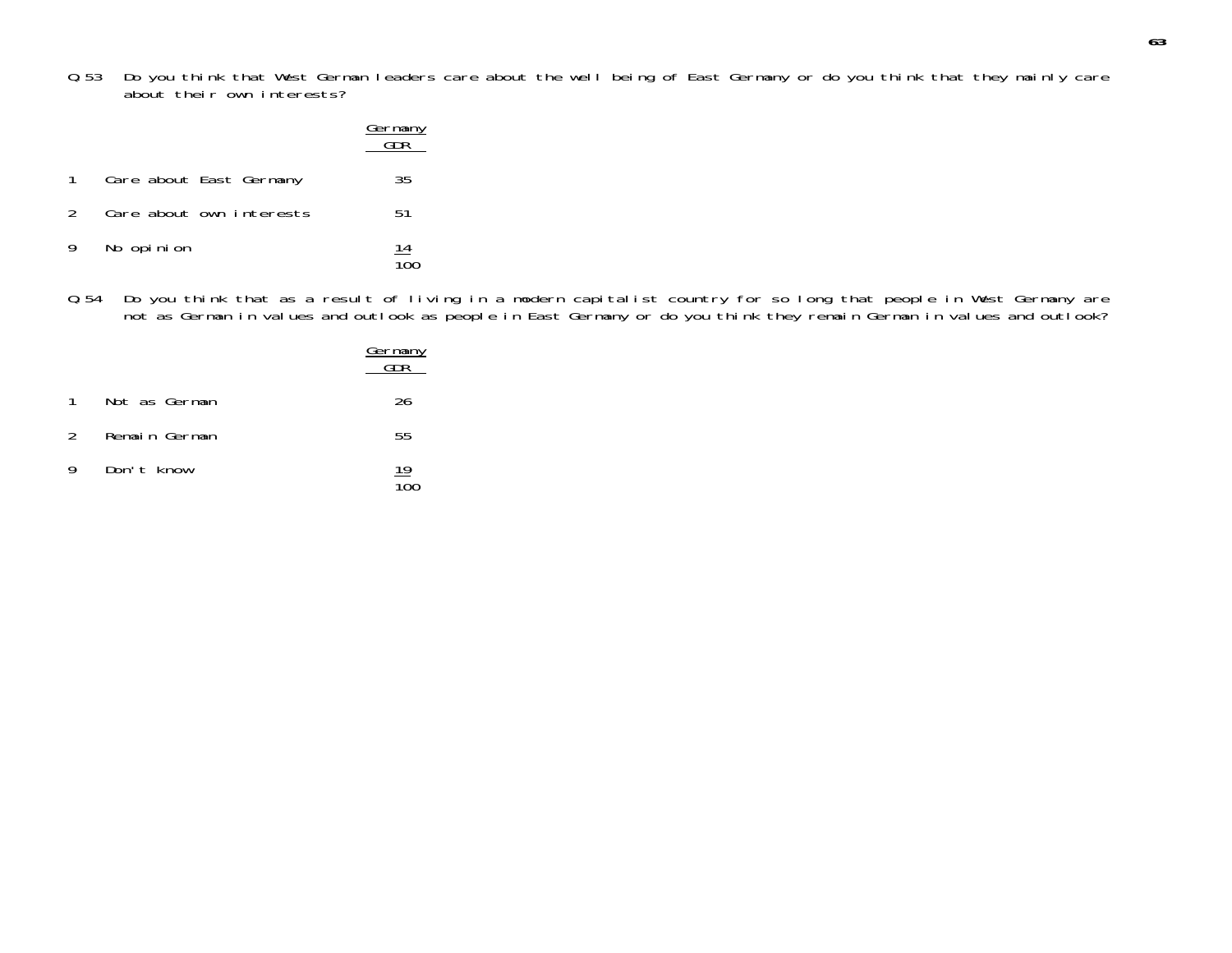Q.53 Do you think that West German leaders care about the well being of East Germany or do you think that they mainly care about their own interests?

|              |                          | <u>Germany</u><br>GDR |
|--------------|--------------------------|-----------------------|
| $\mathbf{1}$ | Care about East Germany  | 35                    |
| 2            | Care about own interests | 51                    |
| 9            | No opinion               | $\frac{14}{100}$      |

Q.54 Do you think that as a result of living in a modern capitalist country for so long that people in West Germany are not as German in values and outlook as people in East Germany or do you think they remain German in values and outlook?

|               |               | <u>Germany</u>  |
|---------------|---------------|-----------------|
| $\mathbf{1}$  | Not as German | 26              |
| $\mathcal{P}$ | Remain German | 55              |
| 9             | Don't know    | $\frac{19}{10}$ |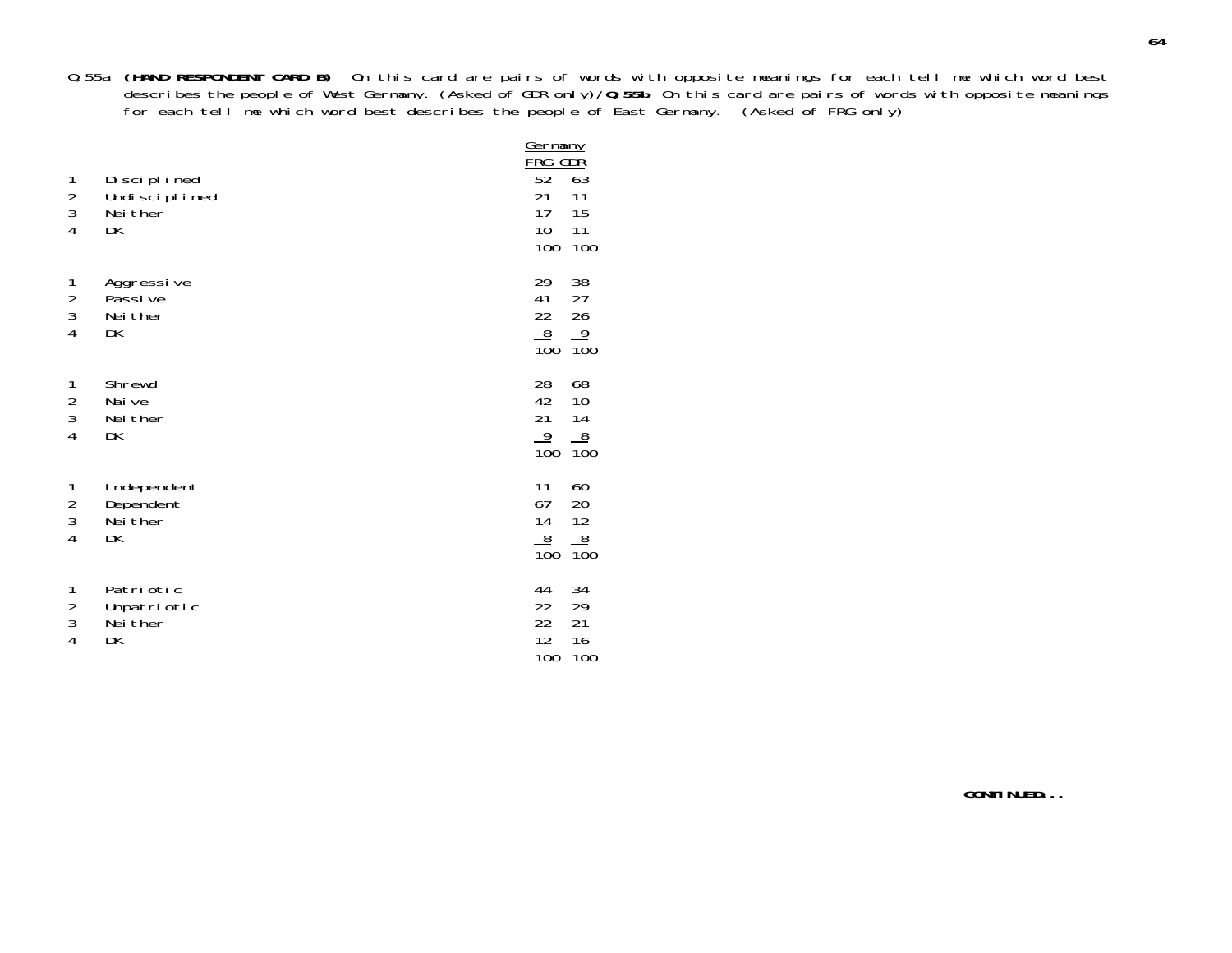Q.55a **(HAND RESPONDENT CARD B)** On this card are pairs of words with opposite meanings for each tell me which word best describes the people of West Germany. (Asked of GDR only)/**Q.55b** On this card are pairs of words with opposite meanings for each tell me which word best describes the people of East Germany. (Asked of FRG only)

| 1<br>$\frac{2}{3}$<br>$\overline{4}$                         | Disciplined<br>Undi sci pl i ned<br>Nei ther<br>DK | Germany<br><u>FRG GDŘ</u><br>52<br>21<br>17<br><u> 10</u><br>$\overline{100}$ | $\overline{63}$<br>11<br>15<br>11<br>$\overline{1}00$ |
|--------------------------------------------------------------|----------------------------------------------------|-------------------------------------------------------------------------------|-------------------------------------------------------|
| 1<br>$\frac{2}{3}$<br>$\overline{4}$                         | Aggressive<br>Passi ve<br>Nei ther<br>DK           | 29<br>41<br>22<br>$\frac{8}{100}$                                             | 38<br>27<br>26<br>$\frac{9}{100}$                     |
| $\begin{array}{c} 1 \\ 2 \\ 3 \end{array}$<br>$\overline{4}$ | Shrewd<br>Nai ve<br>Nei ther<br>DK                 | 28<br>42<br>21<br>$\frac{9}{100}$                                             | 68<br>10<br>14<br>$\frac{8}{100}$                     |
| 1<br>$\frac{2}{3}$<br>$\overline{4}$                         | Independent<br>Dependent<br>Nei ther<br>DK         | 11<br>67<br>14<br>8<br>$\overline{10}0$                                       | 60<br>20<br>12<br>$\frac{8}{100}$                     |
| 1<br>$\frac{2}{3}$<br>$\overline{4}$                         | Patriotic<br>Unpatriotic<br>Nei ther<br>DK         | 44<br>22<br>$\overline{22}$<br>12<br>$\overline{10}0$                         | 34<br>29<br>21<br>$\frac{16}{100}$                    |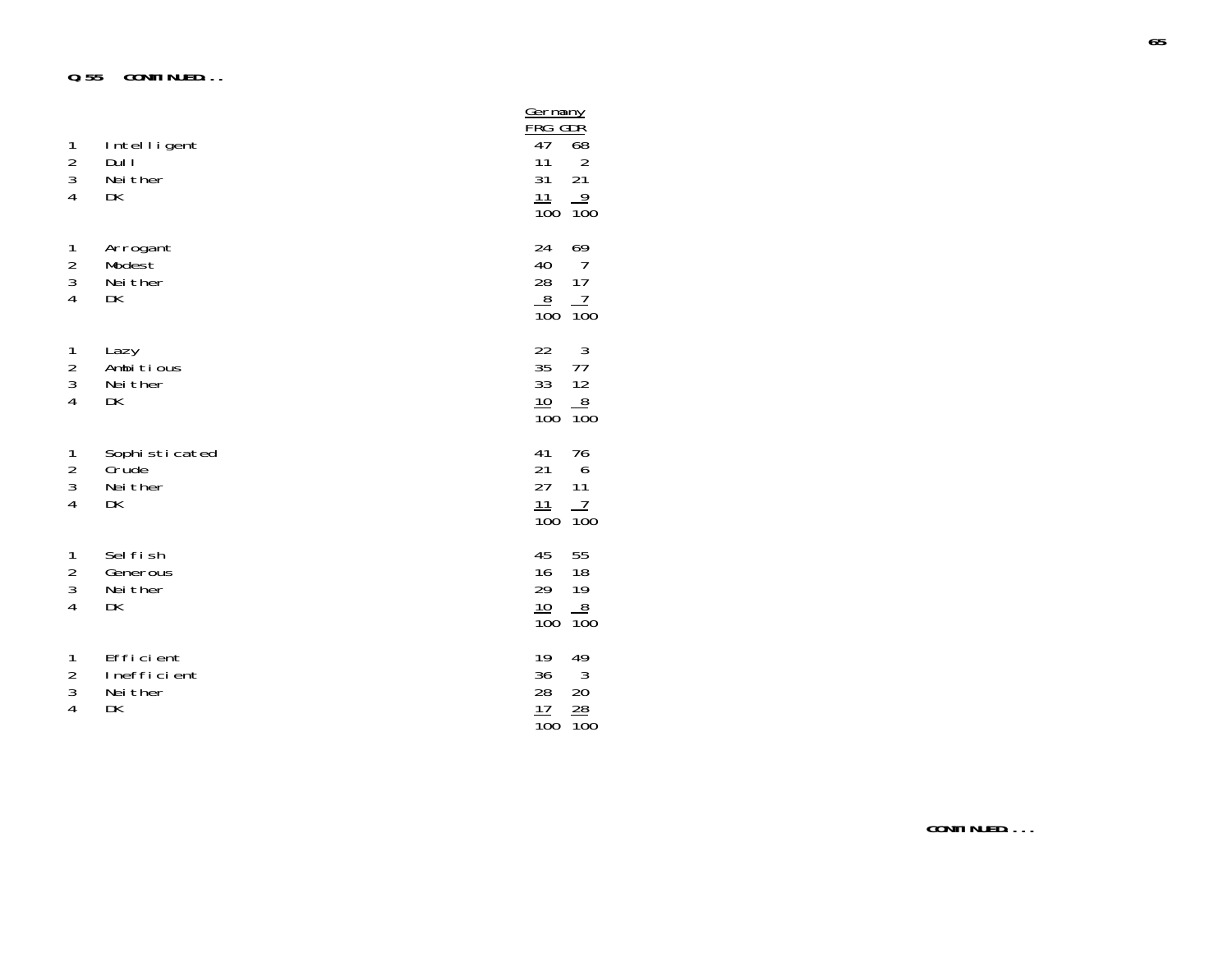| 1<br>$\frac{2}{3}$<br>$\overline{4}$                         | Intelligent<br>Dul I<br>Nei ther<br>DK     | Germany<br>FRG GDR<br>47<br>11<br>31<br>11<br>$\overline{10}0$ | 68<br>$\frac{2}{21}$<br>$\frac{9}{100}$                          |
|--------------------------------------------------------------|--------------------------------------------|----------------------------------------------------------------|------------------------------------------------------------------|
| $\mathbf{1}$<br>$\frac{2}{3}$<br>$\overline{4}$              | Arrogant<br>Modest<br>Nei ther<br>DK       | 24<br>40<br>28<br>8<br>$\overline{10}0$                        | 69<br>$\overline{7}$<br>17<br>$\overline{1}$<br>$\overline{10}0$ |
| $\begin{array}{c} 1 \\ 2 \\ 3 \end{array}$<br>$\overline{4}$ | Lazy<br>Ambitious<br>Nei ther<br>DK        | 22<br>35<br>33<br>10<br>$\overline{10}0$                       | 3<br>77<br>$\frac{12}{100}$                                      |
| 1<br>$\frac{2}{3}$<br>$\overline{4}$                         | Sophisticated<br>Crude<br>Nei ther<br>DK   | 41<br>21<br>27<br>11<br>$\overline{10}0$                       | 76<br>6<br>11<br>7<br>$\overline{10}0$                           |
| $\mathbf{1}$<br>$\frac{2}{3}$<br>$\overline{4}$              | Sel fi sh<br>Generous<br>Nei ther<br>DK    | 45<br>16<br>29<br>10<br>$\overline{100}$                       | 55<br>18<br>19<br>$\overline{8}$<br>$\overline{100}$             |
| 1<br>$\frac{2}{3}$<br>$\overline{4}$                         | Efficient<br>Inefficient<br>Nei ther<br>DK | 19<br>36<br>28<br>$\frac{17}{1}$<br>$\overline{10}0$           | 49<br>$\frac{3}{20}$<br>$\frac{28}{1}$<br>$\overline{100}$       |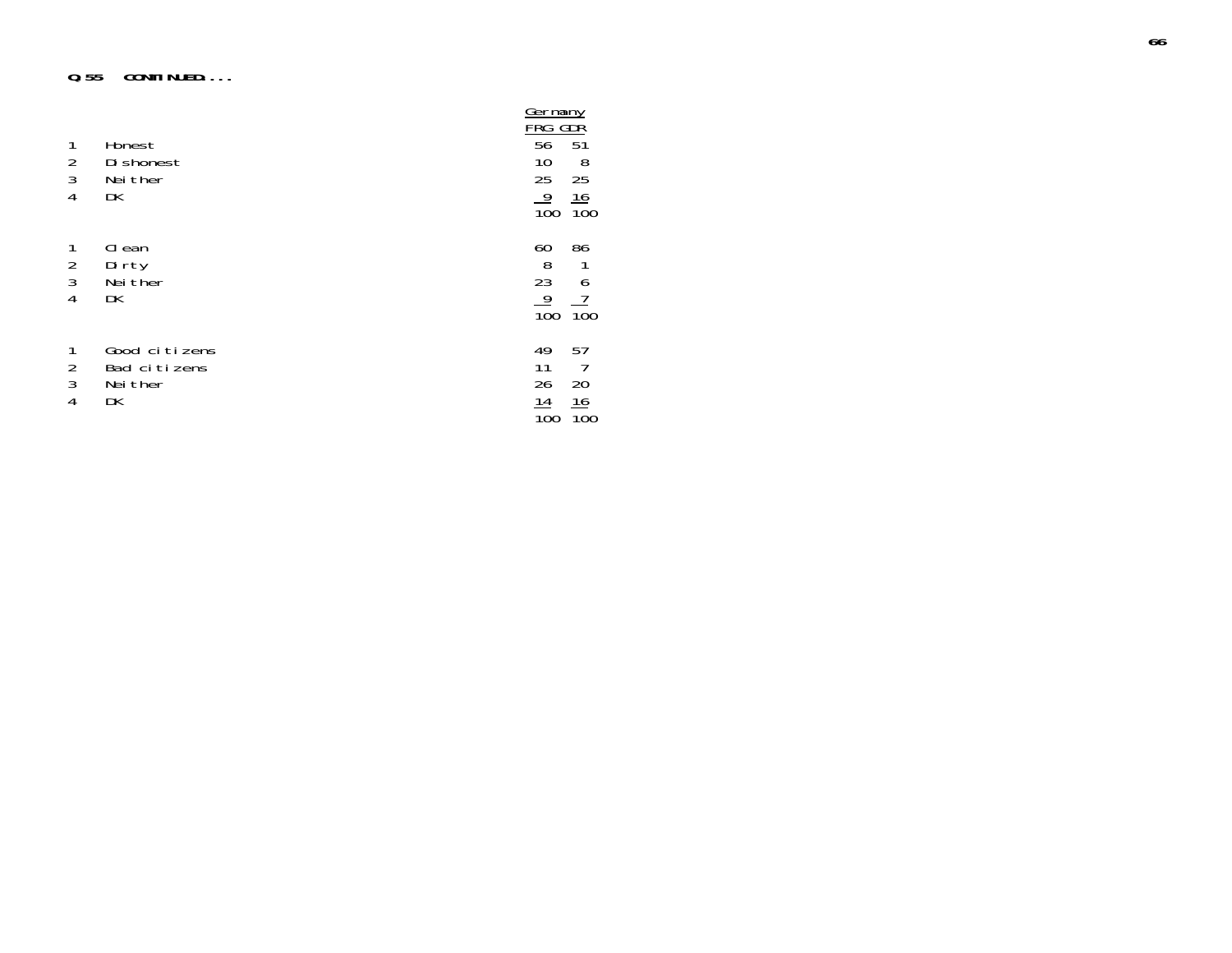### **Q.55 CONTINUED....**

| $\mathbf{1}$                     | Honest                                    | Germany<br>FRG<br>56  | GDR<br>51              |
|----------------------------------|-------------------------------------------|-----------------------|------------------------|
| $\frac{2}{3}$                    | Di shonest<br>Nei ther                    | 10<br>25              | 8<br>25                |
| 4                                | DK                                        | 9<br>$\overline{10}0$ | 16<br>$\overline{10}0$ |
| 1<br>$\frac{2}{3}$<br>4          | CI ean<br>Dirty<br>Nei ther<br>DK         | 60<br>8<br>23<br>9    | 86<br>6                |
|                                  |                                           | 100                   | 100                    |
| $\overline{2}$<br>$\mathfrak{Z}$ | Good citizens<br>Bad citizens<br>Nei ther | 49<br>11<br>26        | 57<br>20               |
| 4                                | DK                                        | 14<br>100             | 16<br>100              |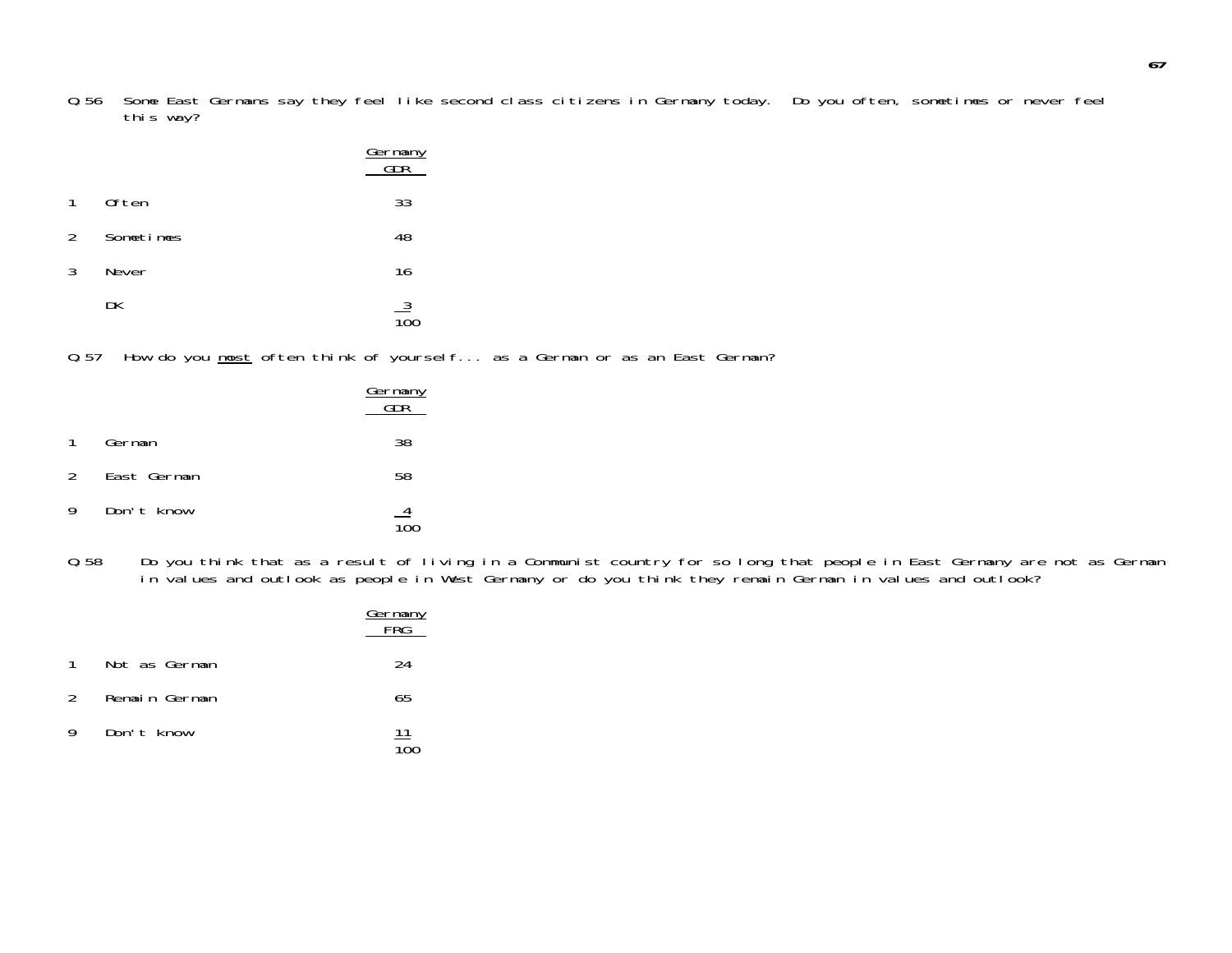Q.56 Some East Germans say they feel like second class citizens in Germany today. Do you often, sometimes or never feel this way?

|              |           | Germany<br>GDR  |
|--------------|-----------|-----------------|
| $\mathbf{1}$ | 0ften     | 33              |
| 2            | Sometimes | 48              |
| 3            | Never     | 16              |
|              | DK        | $\frac{3}{100}$ |

Q.57 How do you most often think of yourself... as a German or as an East German?

|               |             | <u>Germany</u><br>$\overline{CDR}$ |
|---------------|-------------|------------------------------------|
| $\mathbf{1}$  | German      | 38                                 |
| $\mathcal{P}$ | East German | 58                                 |
| 9             | Don't know  |                                    |

Q.58 Do you think that as a result of living in a Communist country for so long that people in East Germany are not as German in values and outlook as people in West Germany or do you think they remain German in values and outlook?

|               |               | Germany<br>FRG |
|---------------|---------------|----------------|
| $\mathbf{1}$  | Not as German | 24             |
| $\mathcal{P}$ | Remain German | 65             |
| 9             | Don't know    | <u> 11</u>     |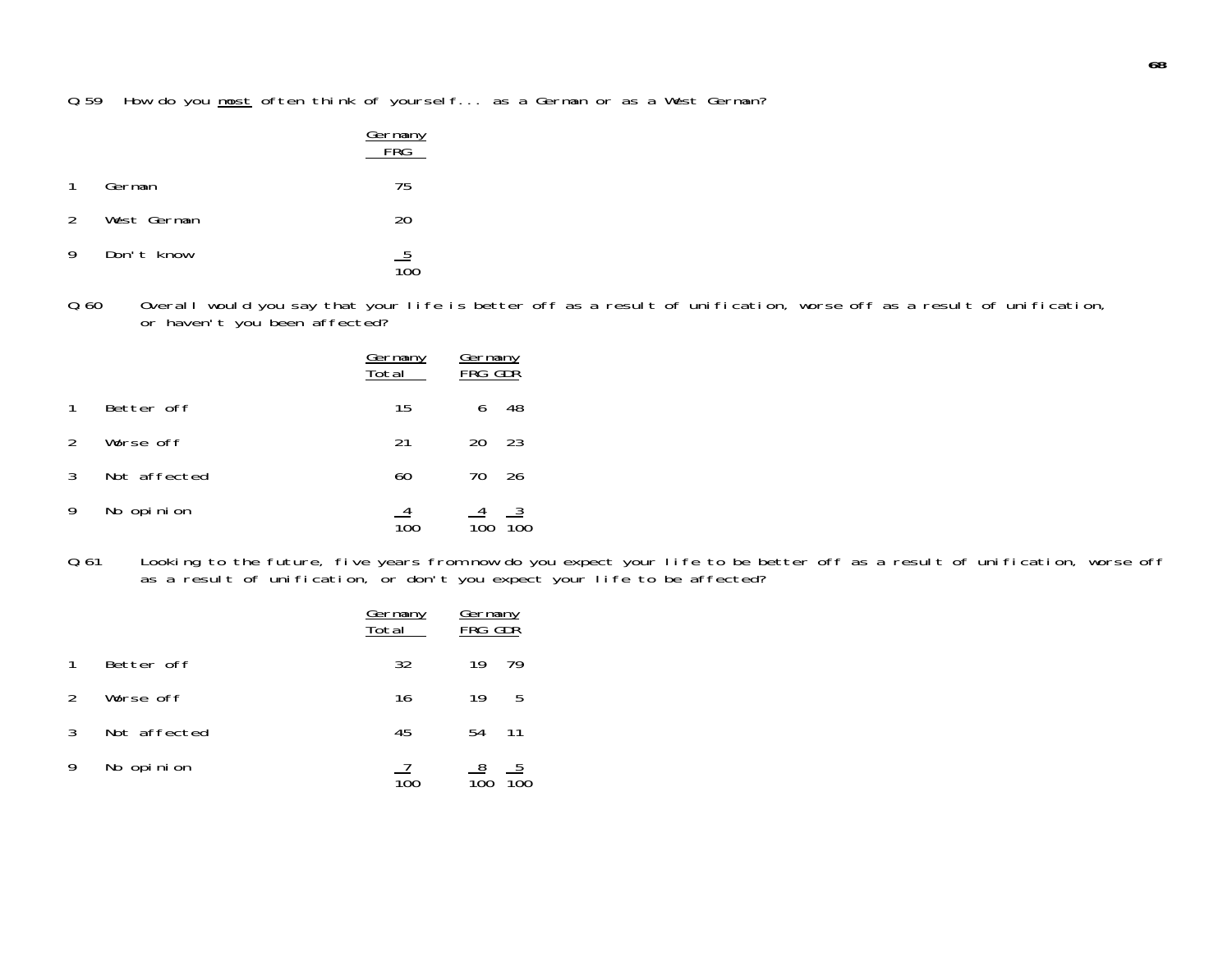Q.59 How do you most often think of yourself... as a German or as a West German?

|               |             | Germany<br>FRG |
|---------------|-------------|----------------|
| $\mathbf{1}$  | German      | 75             |
| $\mathcal{P}$ | West German | 20             |
| 9             | Don't know  | $\frac{5}{10}$ |

Q.60 Overall would you say that your life is better off as a result of unification, worse off as a result of unification, or haven't you been affected?

|               |              | <u>Germany</u><br>Total | <u>Germany</u><br>FRG GDR |           |
|---------------|--------------|-------------------------|---------------------------|-----------|
|               | Better off   | 15                      | 6                         | 48        |
| $\mathcal{P}$ | Worse off    | 21                      | 20                        | 23        |
| 3             | Not affected | 60                      | 70                        | 26        |
| 9             | No opinion   |                         | $\frac{4}{100}$           | _3<br>100 |

Q.61 Looking to the future, five years from now do you expect your life to be better off as a result of unification, worse off as a result of unification, or don't you expect your life to be affected?

|               |              | <u>Germany</u><br>Total | Germany<br>FRG GDR |                 |
|---------------|--------------|-------------------------|--------------------|-----------------|
|               | Better off   | 32                      | 19                 | 79              |
| $\mathcal{L}$ | Worse off    | 16                      | 19                 | -5              |
| 3             | Not affected | 45                      | 54                 | 11              |
| 9             | No opinion   |                         | $\frac{8}{100}$    | $\frac{5}{100}$ |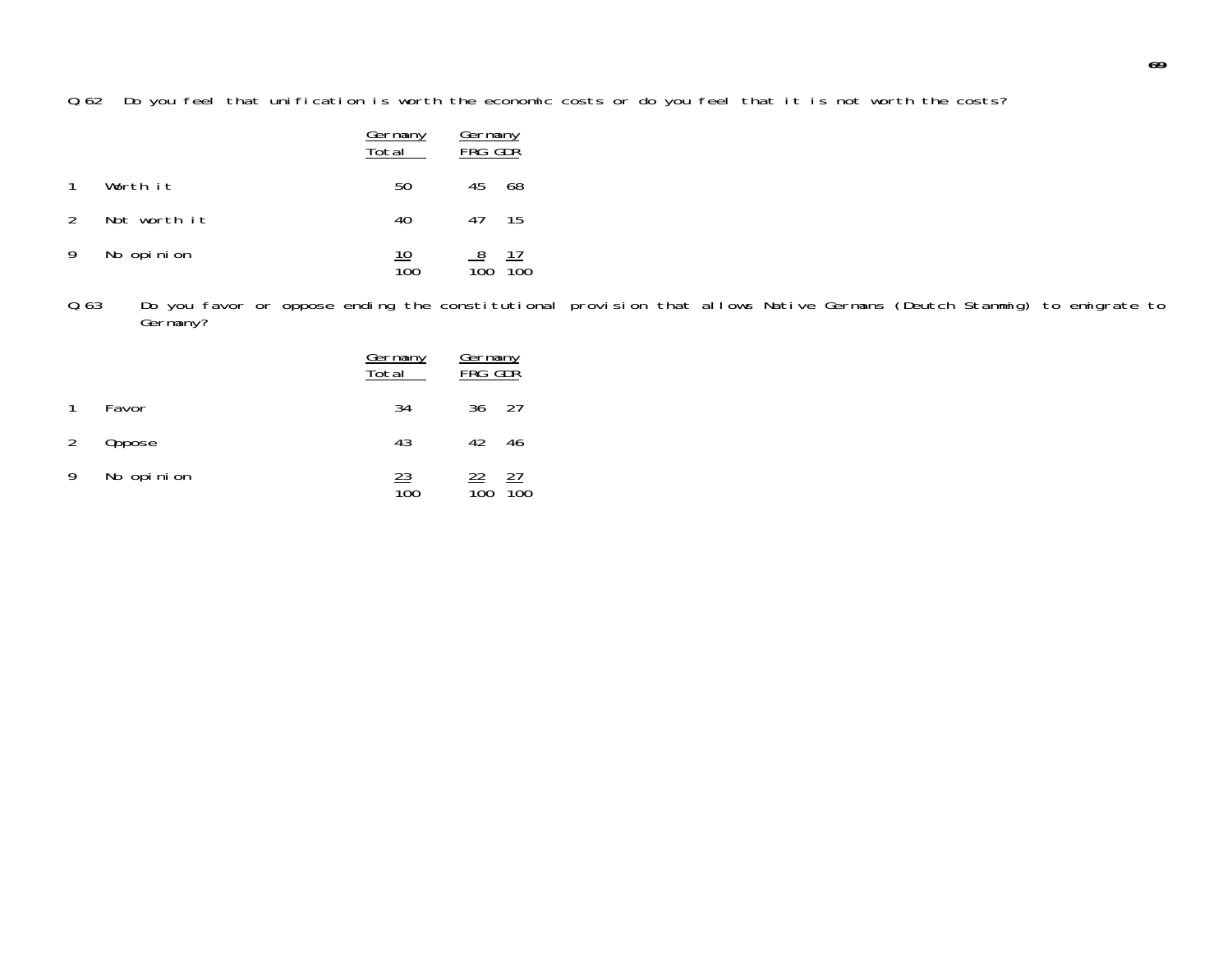Q.62 Do you feel that unification is worth the economic costs or do you feel that it is not worth the costs?

|                |              | <u>Germany</u><br>Total        | Germany<br>FRG GDR                  |
|----------------|--------------|--------------------------------|-------------------------------------|
|                | Worth it     | 50                             | 45<br>68                            |
| $\overline{2}$ | Not worth it | 40                             | 47 15                               |
| 9              | No opinion   | <u> 10</u><br>$\overline{100}$ | $\frac{8}{100}$<br>$\frac{17}{100}$ |

Q.63 Do you favor or oppose ending the constitutional provision that allows Native Germans (Deutch Stammig) to emigrate to Germany?

|   |            | <u>Germany</u><br>Total | <u>Germany</u><br>FRG GDR     |                               |
|---|------------|-------------------------|-------------------------------|-------------------------------|
| 1 | Favor      | 34                      | 36 27                         |                               |
| 2 | Oppose     | 43                      | 42                            | 46                            |
| 9 | No opinion | $\frac{23}{100}$        | <u>22</u><br>$\overline{10}0$ | <u>27</u><br>$\overline{10}0$ |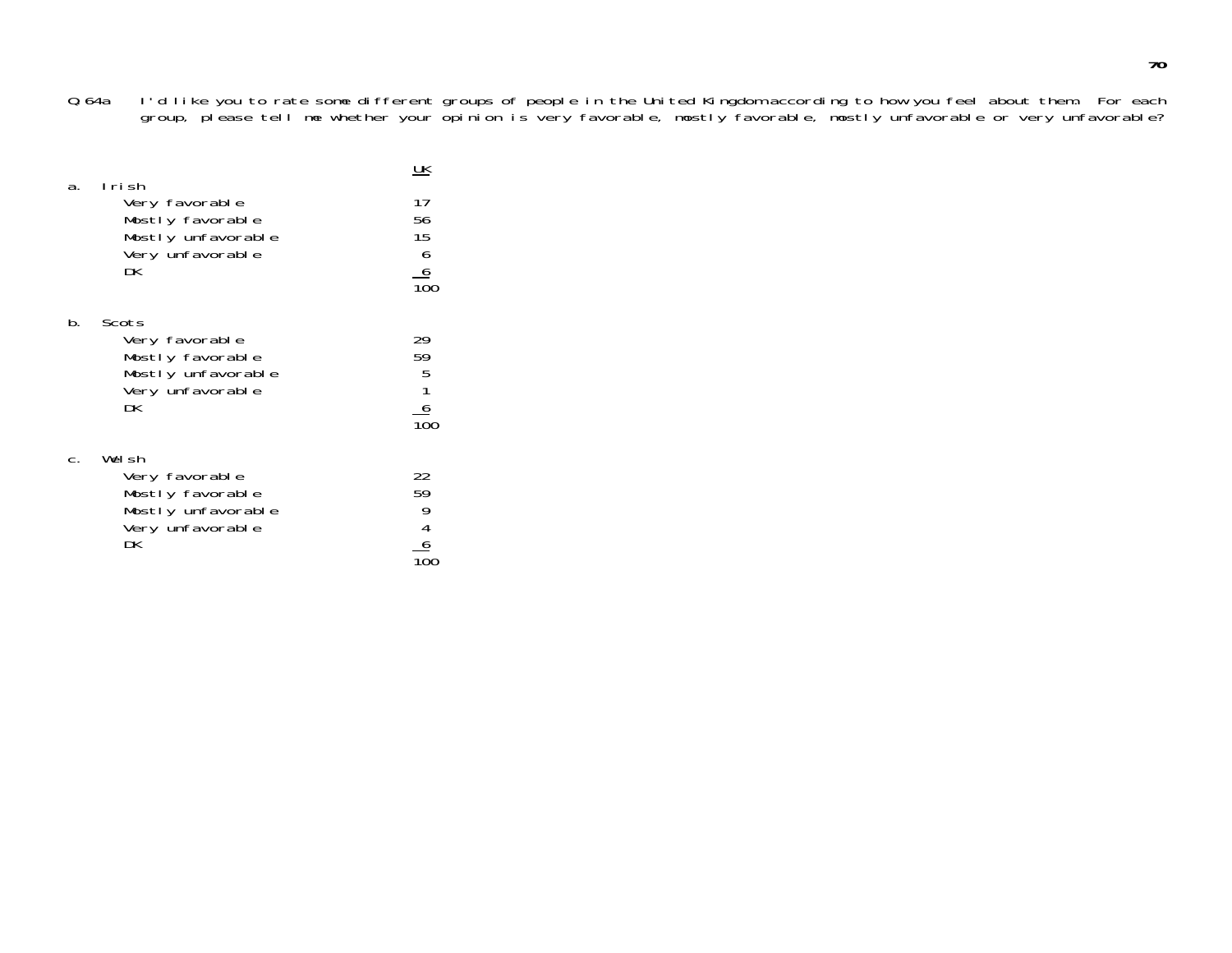Q.64a I'd like you to rate some different groups of people in the United Kingdom according to how you feel about them. For each group, please tell me whether your opinion is very favorable, mostly favorable, mostly unfavorable or very unfavorable?

|    | lrish                                                                                       | <u> UК</u>                                                               |
|----|---------------------------------------------------------------------------------------------|--------------------------------------------------------------------------|
| а. | Very favorable<br>Mostly favorable<br>Mostly unfavorable<br>Very unfavorable<br>DK.         | 17<br>56<br>15<br>$\begin{array}{c}\n6 \\ 6 \\ \hline\n100\n\end{array}$ |
| b. | Scots<br>Very favorable<br>Mostly favorable<br>Mostly unfavorable<br>Very unfavorable<br>DК | 29<br>59<br>$\frac{5}{1}$<br>$\frac{6}{100}$                             |
|    | Welsh<br>Very favorable<br>Mostly favorable<br>Mostly unfavorable<br>Very unfavorable<br>DK | 22<br>59<br>$\begin{array}{c} 9 \\ 4 \\ 6 \end{array}$                   |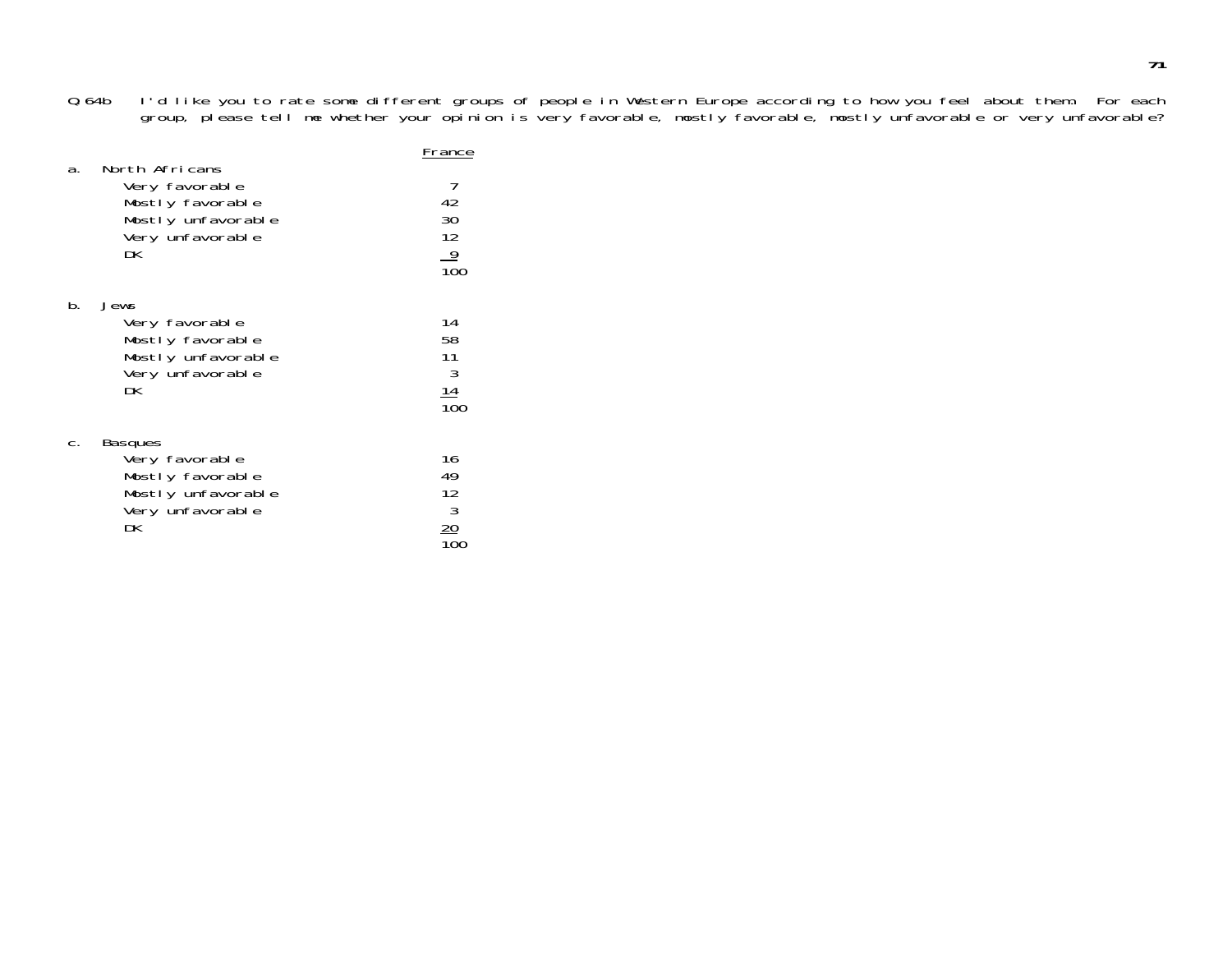Q.64b I'd like you to rate some different groups of people in Western Europe according to how you feel about them. For each group, please tell me whether your opinion is very favorable, mostly favorable, mostly unfavorable or very unfavorable?

|    | North Africans                                                                                        | France                                       |
|----|-------------------------------------------------------------------------------------------------------|----------------------------------------------|
| a. | Very favorable<br>Mostly favorable<br>Mostly unfavorable<br>Very unfavorable<br>DK                    | 7<br>42<br>30<br>12<br>$\frac{9}{100}$       |
| b. | Jews<br>Very favorable<br>Mostly favorable<br>Mostly unfavorable<br>Very unfavorable<br>DK            | 14<br>58<br>11<br>3<br>14<br>10 <sup>c</sup> |
|    | <b>Basques</b><br>Very favorable<br>Mostly favorable<br>Mostly unfavorable<br>Very unfavorable<br>DK. | 16<br>49<br>12<br>$\mathbf{3}$               |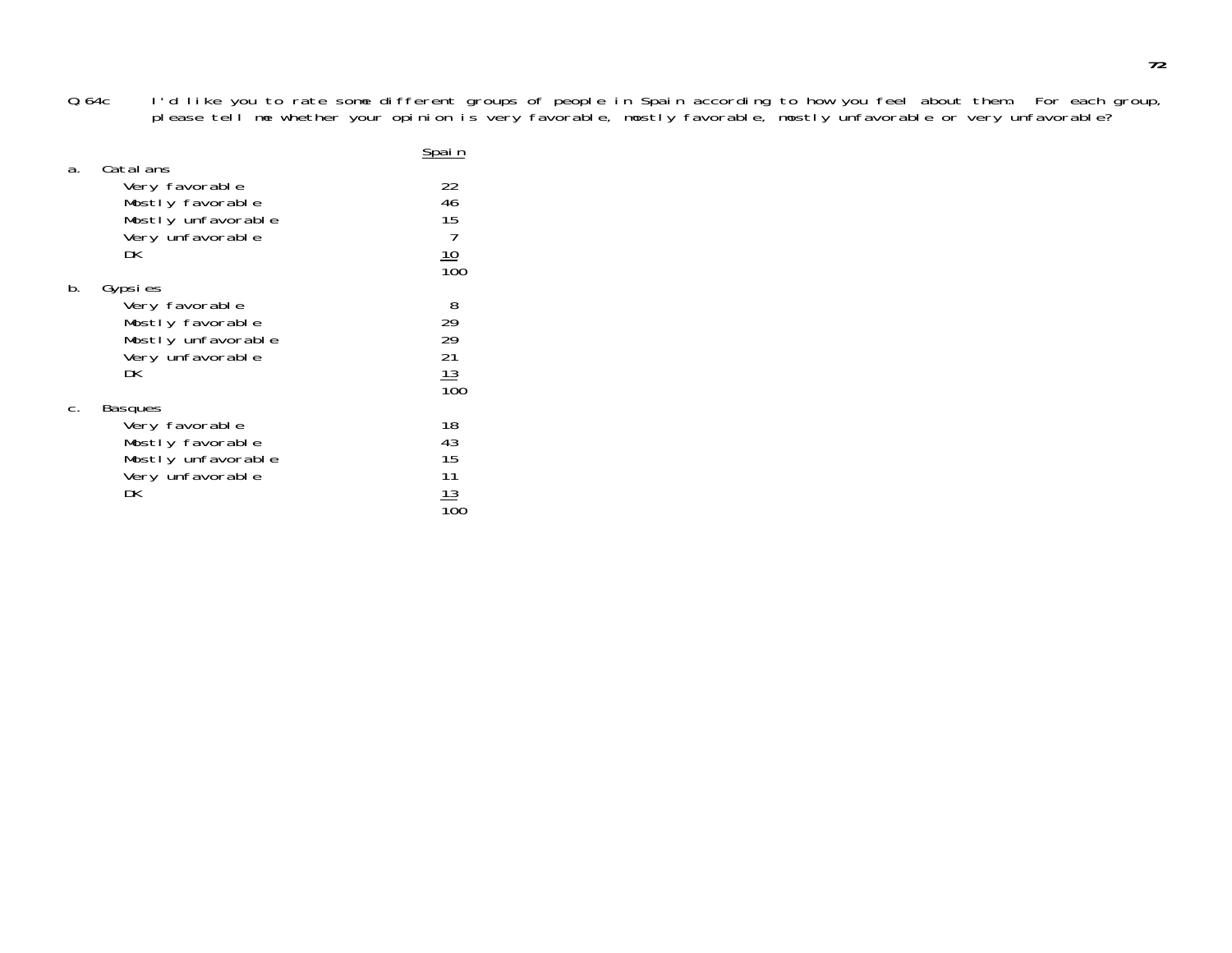Q.64c I'd like you to rate some different groups of people in Spain according to how you feel about them. For each group, please tell me whether your opinion is very favorable, mostly favorable, mostly unfavorable or very unfavorable?

|    | Catal ans                                                                                            | Spai n                                  |
|----|------------------------------------------------------------------------------------------------------|-----------------------------------------|
| а. | Very favorable<br>Mostly favorable<br>Mostly unfavorable<br>Very unfavorable<br>DK                   | 22<br>46<br>15<br>7<br>$\frac{10}{100}$ |
| b. | Gypsies<br>Very favorable<br>Mostly favorable<br>Mostly unfavorable<br>Very unfavorable<br>DК        | 8<br>29<br>29<br>21<br>$\frac{13}{100}$ |
| С. | <b>Basques</b><br>Very favorable<br>Mostly favorable<br>Mostly unfavorable<br>Very unfavorable<br>DK | 18<br>43<br>15<br>11<br>13              |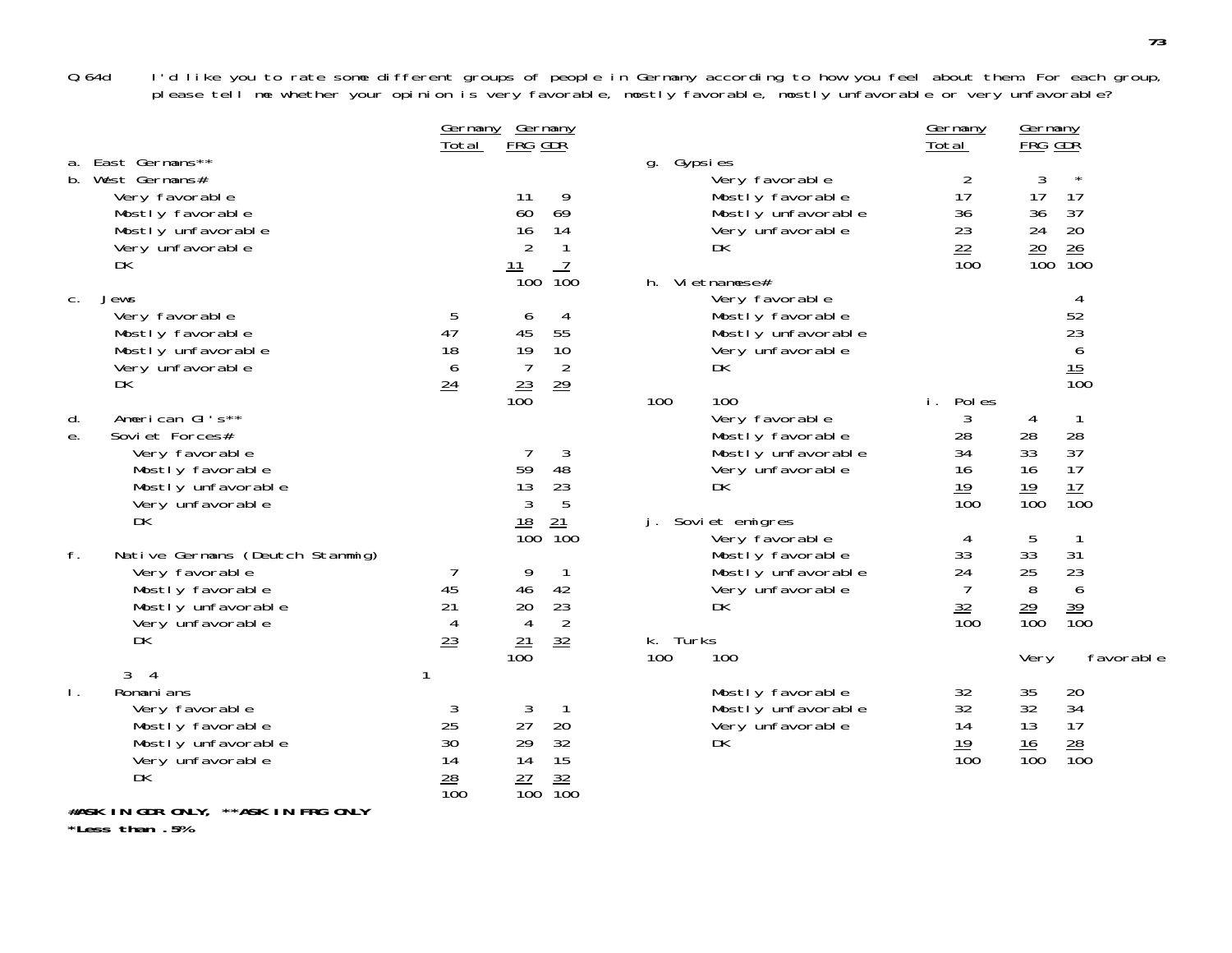Q.64d I'd like you to rate some different groups of people in Germany according to how you feel about them. For each group, please tell me whether your opinion is very favorable, mostly favorable, mostly unfavorable or very unfavorable?

|                |                                                                                                                             | <u>Germany</u><br>Total                 | <u>Germany</u><br>FRG GDR                                                                                               |                                                                                                                    | Germany<br>Total                                        | <u>Germany</u><br>FRG GDŘ                      |                                                                |
|----------------|-----------------------------------------------------------------------------------------------------------------------------|-----------------------------------------|-------------------------------------------------------------------------------------------------------------------------|--------------------------------------------------------------------------------------------------------------------|---------------------------------------------------------|------------------------------------------------|----------------------------------------------------------------|
|                | a. East Germans**<br>b. West Germans#<br>Very favorable<br>Mostly favorable<br>Mostly unfavorable<br>Very unfavorable<br>DK |                                         | 9<br>11<br>69<br>60<br>14<br>16<br>$\overline{2}$<br>1<br>7<br><u> 11</u>                                               | Gypsies<br>g.<br>Very favorable<br>Mostly favorable<br>Mostly unfavorable<br>Very unfavorable<br>DK                | 2<br>17<br>36<br>23<br>22<br>$\overline{100}$           | 3<br>17<br>36<br>24<br>$\frac{20}{100}$        | $^{\star}$<br>17<br>37<br>20<br>26<br>$\overline{10}0$         |
| C.             | Jews<br>Very favorable<br>Mostly favorable<br>Mostly unfavorable<br>Very unfavorable<br>DK                                  | 5<br>47<br>18<br>6<br>24                | $\overline{100}$<br>$\overline{1}00$<br>6<br>4<br>45<br>55<br>19<br>10<br>$\overline{2}$<br>7<br>$\frac{23}{100}$<br>29 | h. Vietnamese#<br>Very favorable<br>Mostly favorable<br>Mostly unfavorable<br>Very unfavorable<br>DK               |                                                         |                                                | 4<br>52<br>23<br>6<br>$\frac{15}{100}$                         |
| d.<br>е.       | American GI's**<br>Soviet Forces#<br>Very favorable<br>Mostly favorable<br>Mostly unfavorable<br>Very unfavorable<br>DK     |                                         | 3<br>7<br>48<br>59<br>23<br>13<br>$\mathfrak{Z}$<br>5<br>$\frac{18}{100}$<br>$\frac{21}{100}$                           | 100<br>100<br>Very favorable<br>Mostly favorable<br>Mostly unfavorable<br>Very unfavorable<br>DK<br>Soviet emigres | Pol es<br>i.<br>3<br>28<br>34<br>16<br>$\frac{19}{100}$ | 4<br>28<br>33<br>16<br>$\frac{19}{100}$        | $\overline{1}$<br>28<br>37<br>17<br>$\frac{17}{100}$           |
| $f_{.}$        | Native Germans (Deutch Stammig)<br>Very favorable<br>Mostly favorable<br>Mostly unfavorable<br>Very unfavorable<br>DK       | 45<br>21<br>4<br>23                     | 9<br>1<br>46<br>42<br>23<br>20<br>$\overline{2}$<br>$\overline{4}$<br>32<br>$\frac{21}{100}$                            | Very favorable<br>Mostly favorable<br>Mostly unfavorable<br>Very unfavorable<br>DK<br>k. Turks<br>100<br>100       | 4<br>33<br>24<br>7<br>$\frac{32}{100}$                  | 5<br>33<br>25<br>8<br>$\frac{29}{100}$<br>Very | $\mathbf{1}$<br>31<br>23<br>6<br>$\frac{39}{100}$<br>favorable |
| $\mathsf{L}$ . | 3<br>- 4<br>Romani ans<br>Very favorable<br>Mostly favorable<br>Mostly unfavorable<br>Very unfavorable<br>DK                | 3<br>25<br>30<br>14<br>$\frac{28}{100}$ | 3<br>27<br>20<br>29<br>32<br>15<br>14<br>$\frac{32}{100}$<br>$\frac{27}{100}$                                           | Mostly favorable<br>Mostly unfavorable<br>Very unfavorable<br>DK                                                   | 32<br>32<br>14<br>$\frac{19}{100}$                      | 35<br>32<br>13<br>16<br>$\overline{100}$       | 20<br>34<br>17<br>28<br>$\overline{10}0$                       |
|                | #ASK IN GDR ONLY, **ASK IN FRG ONLY                                                                                         |                                         |                                                                                                                         |                                                                                                                    |                                                         |                                                |                                                                |

**\*Less than .5%**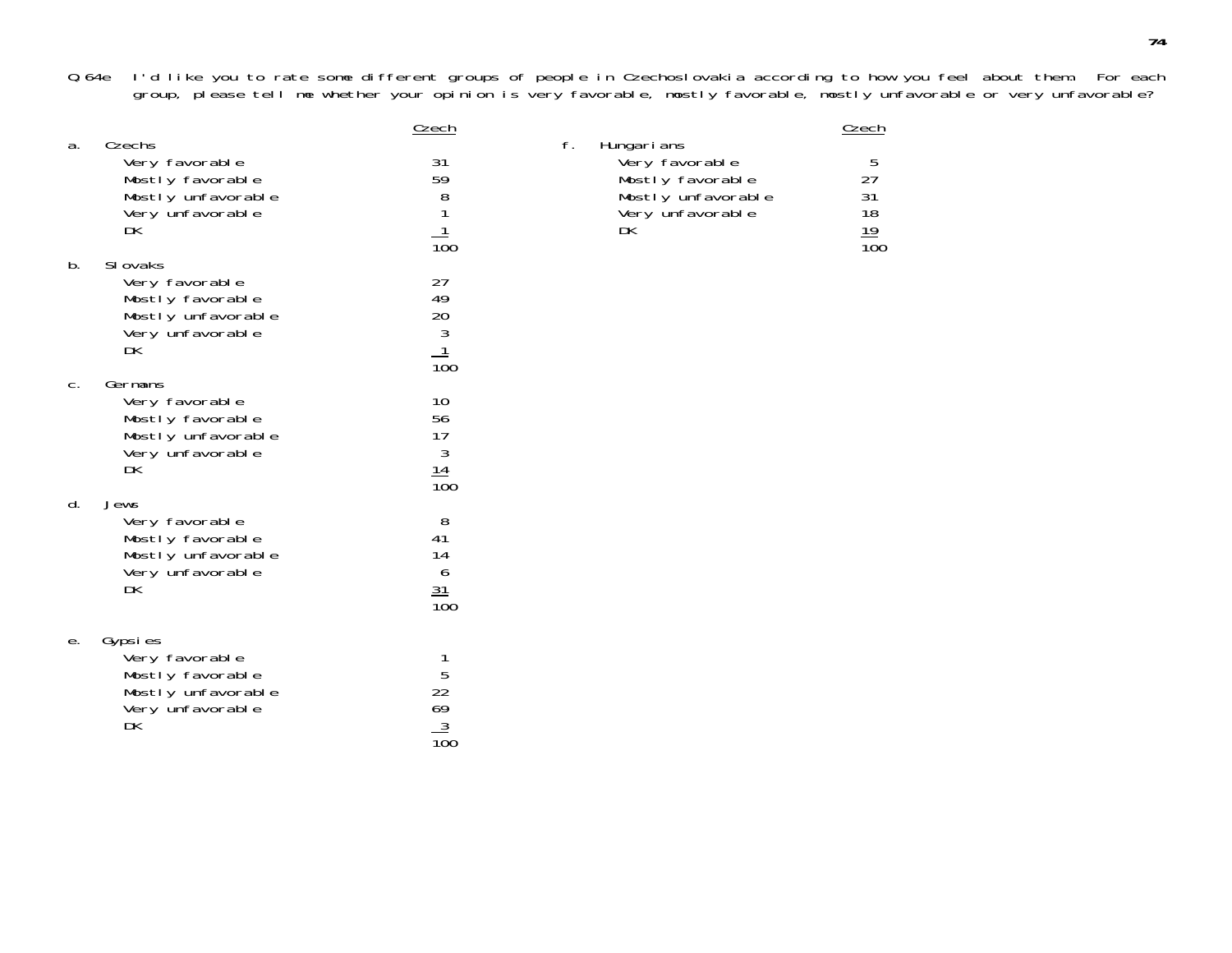Q.64e I'd like you to rate some different groups of people in Czechoslovakia according to how you feel about them. For each group, please tell me whether your opinion is very favorable, mostly favorable, mostly unfavorable or very unfavorable?

|    | Czechs                                                                                         | Czech                                                | f.                                                                                               | Czech                                   |
|----|------------------------------------------------------------------------------------------------|------------------------------------------------------|--------------------------------------------------------------------------------------------------|-----------------------------------------|
| a. | Very favorable<br>Mostly favorable<br>Mostly unfavorable<br>Very unfavorable<br>DK             | 31<br>59<br>8<br>$\overline{10}0$                    | Hungarians<br>Very favorable<br>Mostly favorable<br>Mostly unfavorable<br>Very unfavorable<br>DK | 5<br>27<br>31<br>18<br>$\frac{19}{100}$ |
| b. | SI ovaks<br>Very favorable<br>Mostly favorable<br>Mostly unfavorable<br>Very unfavorable<br>DK | 27<br>49<br>20<br>3<br>1<br>$\overline{100}$         |                                                                                                  |                                         |
| C. | Germans<br>Very favorable<br>Mostly favorable<br>Mostly unfavorable<br>Very unfavorable<br>DK  | 10<br>56<br>17<br>$\mathfrak{Z}$<br>$\frac{14}{100}$ |                                                                                                  |                                         |
| d. | Jews<br>Very favorable<br>Mostly favorable<br>Mostly unfavorable<br>Very unfavorable<br>DK     | 8<br>41<br>14<br>6<br>$\frac{31}{100}$               |                                                                                                  |                                         |
| е. | Gypsies<br>Very favorable<br>Mostly favorable<br>Mostly unfavorable<br>Very unfavorable<br>DK  | 1<br>5<br>22<br>69<br>$\frac{3}{100}$                |                                                                                                  |                                         |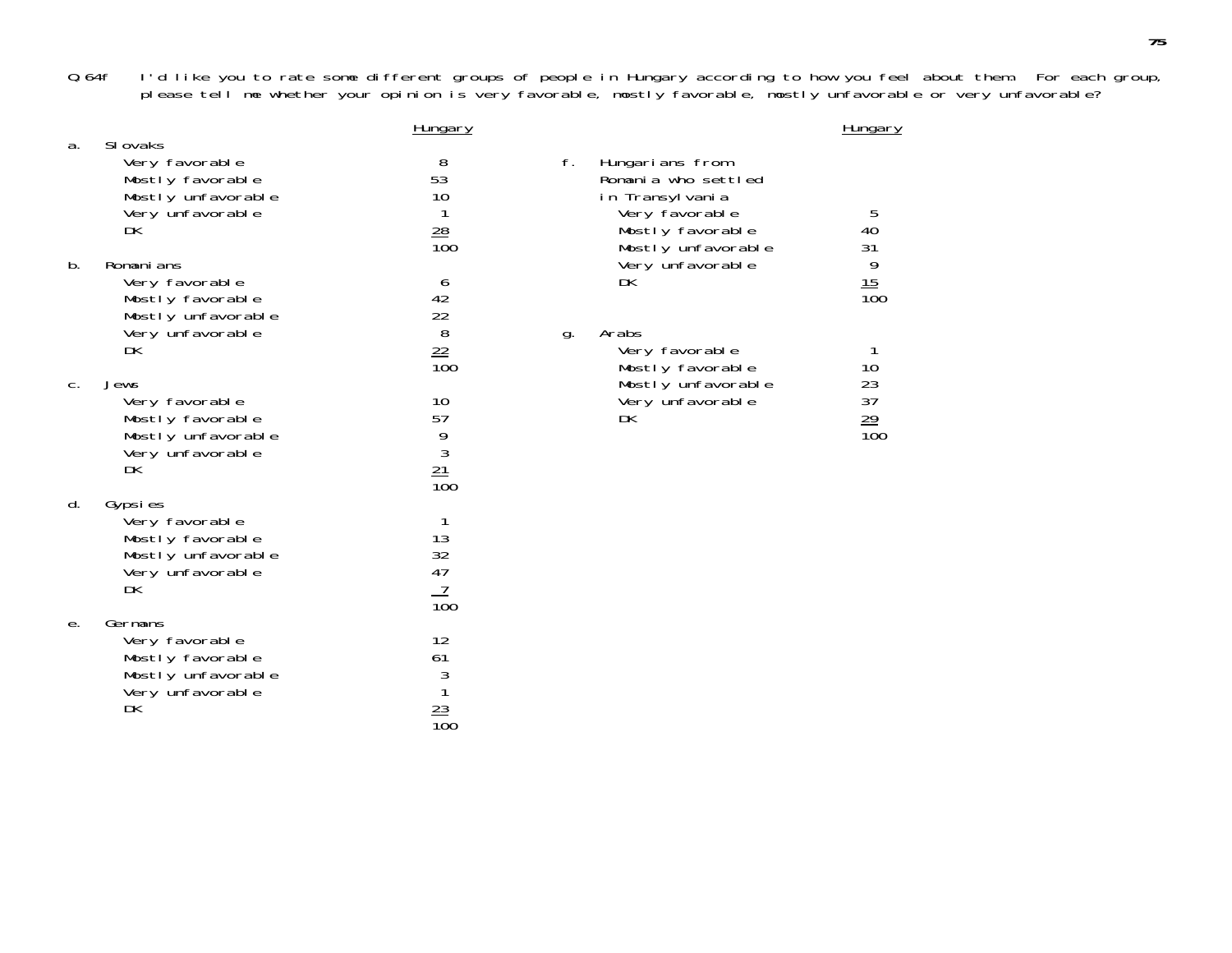Q.64f I'd like you to rate some different groups of people in Hungary according to how you feel about them. For each group, please tell me whether your opinion is very favorable, mostly favorable, mostly unfavorable or very unfavorable?

|    |                                                                                                  | <b>Hungary</b>                                      |    |                                                                                                                       | Hungary                             |
|----|--------------------------------------------------------------------------------------------------|-----------------------------------------------------|----|-----------------------------------------------------------------------------------------------------------------------|-------------------------------------|
| a. | SI ovaks<br>Very favorable<br>Mostly favorable<br>Mostly unfavorable<br>Very unfavorable<br>DK   | 8<br>53<br>10<br>$\frac{28}{100}$                   | f. | Hungarians from<br>Romania who settled<br>in Transylvania<br>Very favorable<br>Mostly favorable<br>Mostly unfavorable | 5<br>40<br>31                       |
| b. | Romani ans<br>Very favorable<br>Mostly favorable<br>Mostly unfavorable<br>Very unfavorable<br>DK | 6<br>42<br>22<br>8<br>$\frac{22}{100}$              | g. | Very unfavorable<br>DK<br>Arabs<br>Very favorable<br>Mostly favorable                                                 | 9<br>$\frac{15}{100}$<br>10         |
| С. | Jews<br>Very favorable<br>Mostly favorable<br>Mostly unfavorable<br>Very unfavorable<br>DK       | 10<br>57<br>9<br>$\overline{3}$<br>$\frac{21}{100}$ |    | Mostly unfavorable<br>Very unfavorable<br>DK                                                                          | $\frac{23}{37}$<br>$\frac{29}{100}$ |
| d. | Gypsies<br>Very favorable<br>Mostly favorable<br>Mostly unfavorable<br>Very unfavorable<br>DK    | 13<br>32<br>47<br>$\overline{100}$                  |    |                                                                                                                       |                                     |
| е. | Germans<br>Very favorable<br>Mostly favorable<br>Mostly unfavorable<br>Very unfavorable<br>DK    | 12<br>61<br>3<br>$\mathbf{1}$<br>$\frac{23}{100}$   |    |                                                                                                                       |                                     |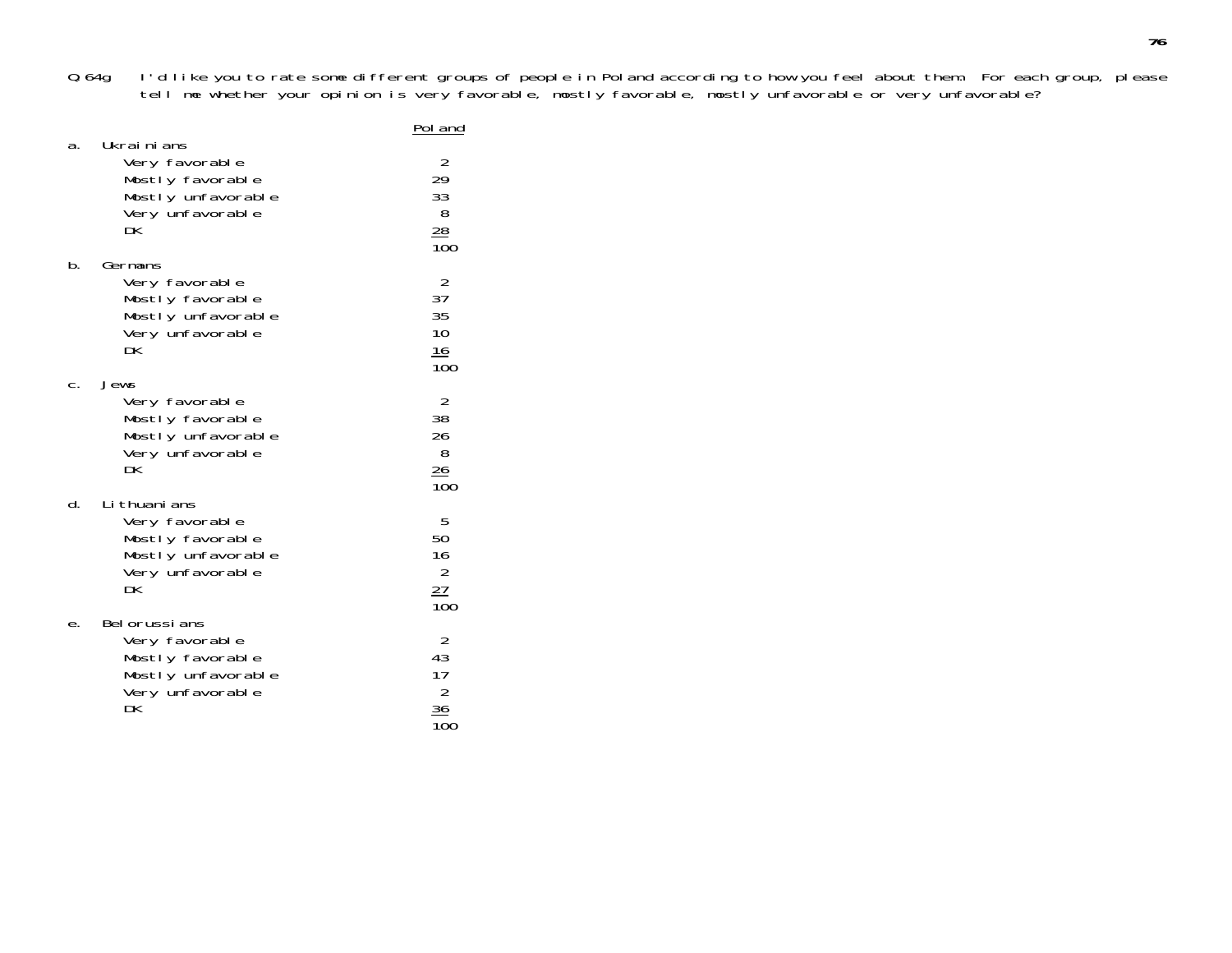Q.64g I'd like you to rate some different groups of people in Poland according to how you feel about them. For each group, please tell me whether your opinion is very favorable, mostly favorable, mostly unfavorable or very unfavorable?

|    | Ukrainians                                                                                           | Pol and                                                               |
|----|------------------------------------------------------------------------------------------------------|-----------------------------------------------------------------------|
| а. | Very favorable<br>Mostly favorable<br>Mostly unfavorable<br>Very unfavorable<br>DK                   | 2<br>29<br>33<br>8<br>$\frac{28}{100}$                                |
| b. | Germans<br>Very favorable<br>Mostly favorable<br>Mostly unfavorable<br>Very unfavorable<br>DK        | $\frac{2}{37}$<br>35<br>10<br>$\frac{16}{100}$                        |
| C. | Jews<br>Very favorable<br>Mostly favorable<br>Mostly unfavorable<br>Very unfavorable<br>DК           | $\begin{array}{c} 2 \\ 38 \end{array}$<br>26<br>8<br>$\frac{26}{100}$ |
| d. | Li thuani ans<br>Very favorable<br>Mostly favorable<br>Mostly unfavorable<br>Very unfavorable<br>DK  | 5<br>50<br>16<br>$\overline{2}$<br>$\frac{27}{100}$                   |
| е. | Bel orussi ans<br>Very favorable<br>Mostly favorable<br>Mostly unfavorable<br>Very unfavorable<br>DK | $\overline{2}$<br>43<br>17<br>$\overline{c}$<br>36                    |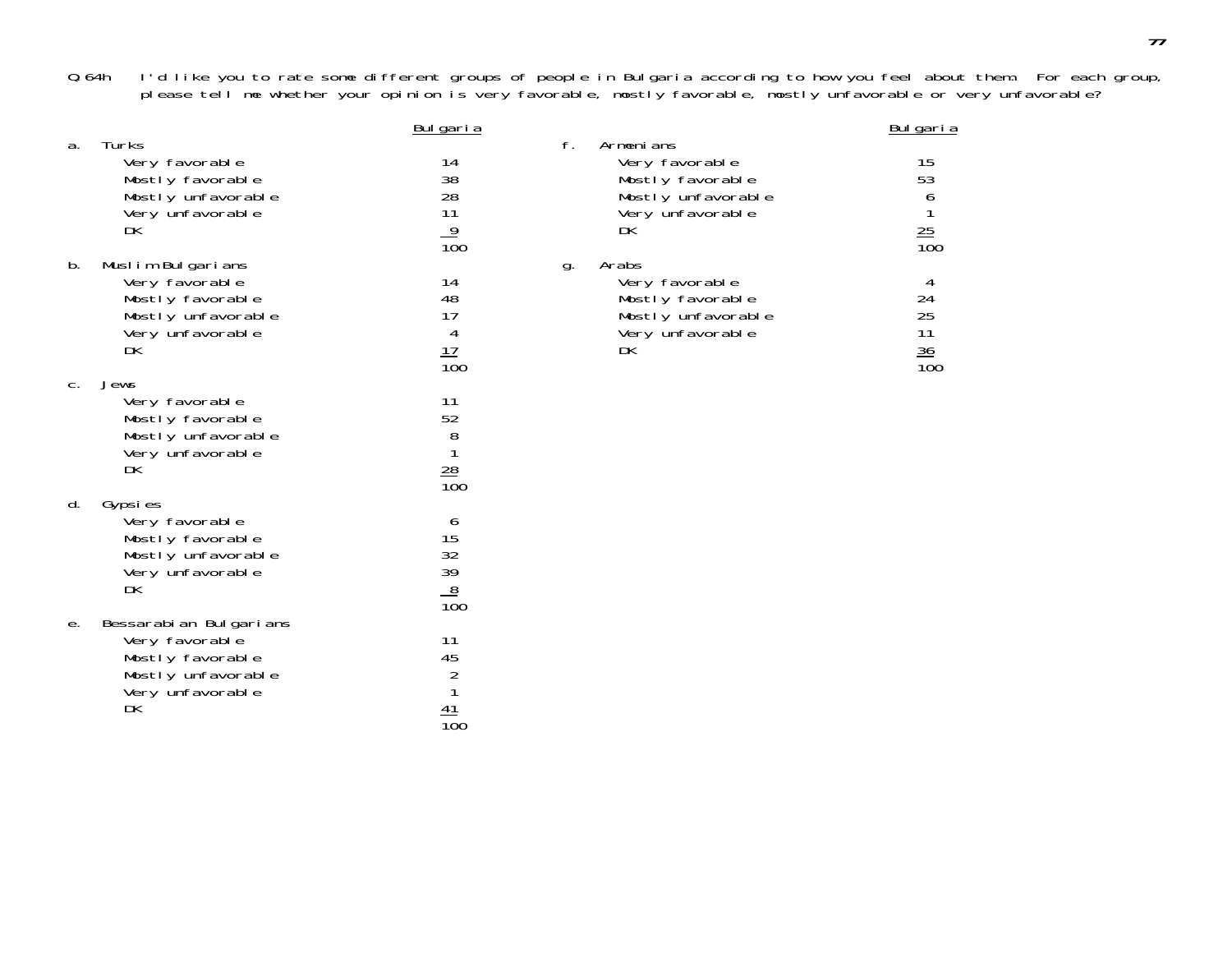Q.64h I'd like you to rate some different groups of people in Bulgaria according to how you feel about them. For each group, please tell me whether your opinion is very favorable, mostly favorable, mostly unfavorable or very unfavorable?

|    |                                                                                                              | Bulgaria                                                  |    |                                                                                                 | Bulgaria                                |
|----|--------------------------------------------------------------------------------------------------------------|-----------------------------------------------------------|----|-------------------------------------------------------------------------------------------------|-----------------------------------------|
| a. | Turks<br>Very favorable<br>Mostly favorable<br>Mostly unfavorable<br>Very unfavorable<br>DK                  | 14<br>38<br>28<br>11<br>$\frac{9}{100}$                   | f. | Armenians<br>Very favorable<br>Mostly favorable<br>Mostly unfavorable<br>Very unfavorable<br>DK | 15<br>53<br>$6$<br>$1$<br>$25$<br>$100$ |
| b. | Muslim Bulgarians<br>Very favorable<br>Mostly favorable<br>Mostly unfavorable<br>Very unfavorable<br>DK      | 14<br>48<br>17<br>4<br>$\frac{17}{100}$                   | g. | Arabs<br>Very favorable<br>Mostly favorable<br>Mostly unfavorable<br>Very unfavorable<br>DK     | 4<br>24<br>25<br>11<br>$\frac{36}{100}$ |
| C. | Jews<br>Very favorable<br>Mostly favorable<br>Mostly unfavorable<br>Very unfavorable<br>DK                   | 11<br>52<br>8<br>$\frac{28}{100}$                         |    |                                                                                                 |                                         |
| d. | Gypsies<br>Very favorable<br>Mostly favorable<br>Mostly unfavorable<br>Very unfavorable<br>DK                | 6<br>15<br>32<br>39<br>$\frac{8}{100}$                    |    |                                                                                                 |                                         |
| е. | Bessarabian Bulgarians<br>Very favorable<br>Mostly favorable<br>Mostly unfavorable<br>Very unfavorable<br>DK | 11<br>45<br>$\overline{2}$<br>1<br>41<br>$\overline{10}0$ |    |                                                                                                 |                                         |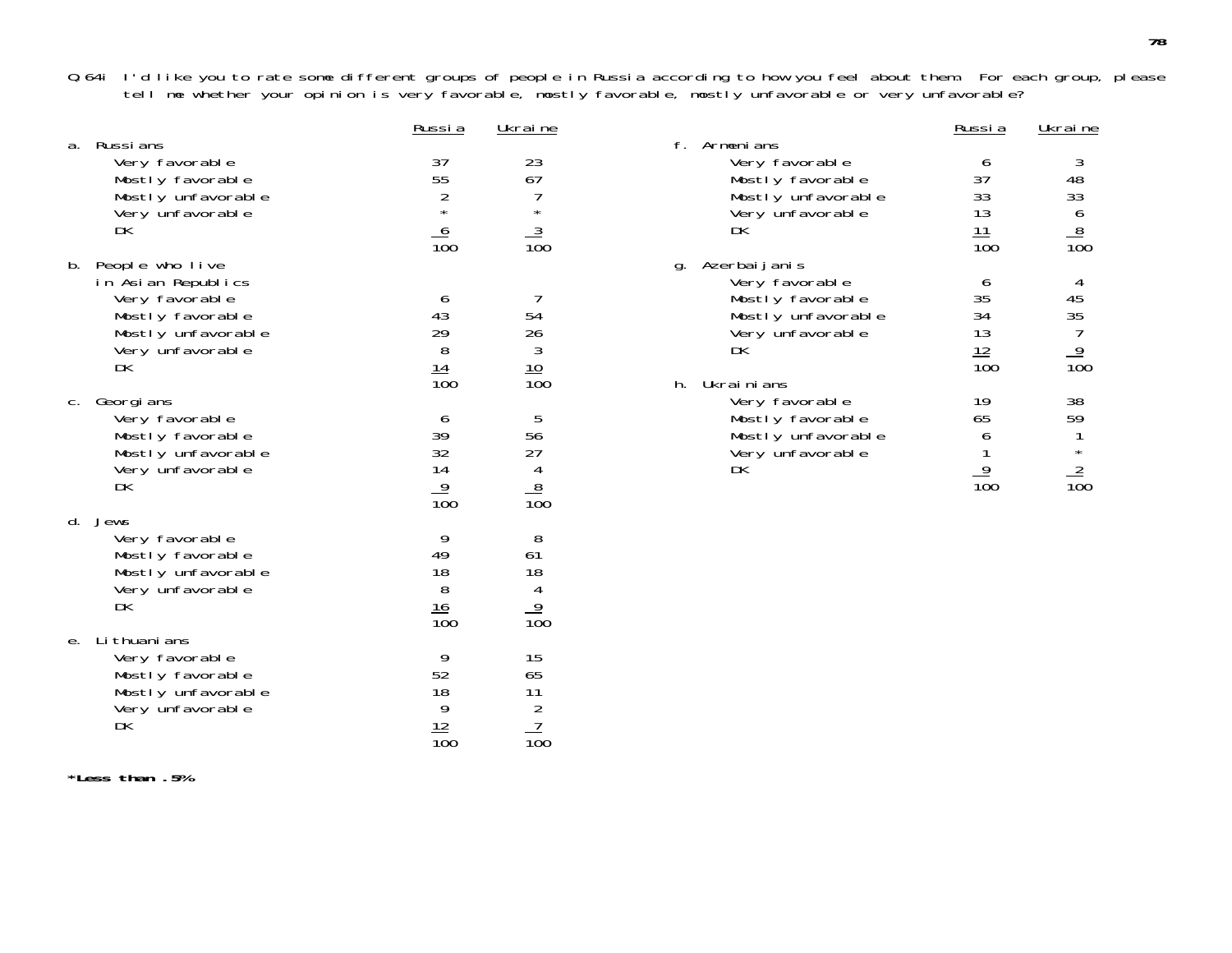Q.64i I'd like you to rate some different groups of people in Russia according to how you feel about them. For each group, please tell me whether your opinion is very favorable, mostly favorable, mostly unfavorable or very unfavorable?

|    |                                                                                                                             | Russia                                                   | Ukraine                                                                |                                                                                                                           | Russia                                              | Ukraine                                                                 |
|----|-----------------------------------------------------------------------------------------------------------------------------|----------------------------------------------------------|------------------------------------------------------------------------|---------------------------------------------------------------------------------------------------------------------------|-----------------------------------------------------|-------------------------------------------------------------------------|
|    | a. Russians<br>Very favorable<br>Mostly favorable<br>Mostly unfavorable<br>Very unfavorable<br>DK                           | 37<br>55<br>$\overline{c}$<br>$\star$<br>$\frac{6}{100}$ | 23<br>67<br>$\star$<br>$\frac{3}{100}$                                 | f. Armenians<br>Very favorable<br>Mostly favorable<br>Mostly unfavorable<br>Very unfavorable<br>DK                        | 6<br>37<br>33<br>13<br>$\frac{11}{100}$             | 3<br>48<br>33<br>$\begin{array}{c}\n6 \\ 8 \\ \hline\n100\n\end{array}$ |
| b. | People who live<br>in Asian Republics<br>Very favorable<br>Mostly favorable<br>Mostly unfavorable<br>Very unfavorable<br>DK | 6<br>43<br>29<br>8<br>$\frac{14}{100}$                   | -7<br>$\begin{array}{c} 54 \\ 26 \\ 3 \end{array}$<br>$\frac{10}{100}$ | g. Azerbaijanis<br>Very favorable<br>Mostly favorable<br>Mostly unfavorable<br>Very unfavorable<br>DK<br>Ukrainians<br>h. | 6<br>35<br>34<br>13<br>$\frac{12}{100}$             | 4<br>45<br>35<br>7<br>$\frac{9}{100}$                                   |
| C. | Georgi ans<br>Very favorable<br>Mostly favorable<br>Mostly unfavorable<br>Very unfavorable<br>DK                            | 6<br>39<br>32<br>14<br>$\frac{9}{100}$                   | 5<br>56<br>27<br>4<br>$\frac{8}{100}$                                  | Very favorable<br>Mostly favorable<br>Mostly unfavorable<br>Very unfavorable<br>DK                                        | 19<br>65<br>6<br>$\overline{9}$<br>$\overline{10}0$ | 38<br>59<br>$\star$<br>$\frac{2}{100}$                                  |
|    | d. Jews<br>Very favorable<br>Mostly favorable<br>Mostly unfavorable<br>Very unfavorable<br>DK                               | 9<br>49<br>18<br>8<br>$\frac{16}{100}$                   | 8<br>61<br>18<br>$\overline{4}$<br>$\overline{9}$<br>$\overline{100}$  |                                                                                                                           |                                                     |                                                                         |
|    | e. Lithuanians<br>Very favorable<br>Mostly favorable<br>Mostly unfavorable<br>Very unfavorable<br>DK                        | 9<br>52<br>18<br>9<br>$\frac{12}{100}$                   | 15<br>65<br>$\frac{11}{2}$<br>$\frac{7}{100}$                          |                                                                                                                           |                                                     |                                                                         |

**\*Less than .5%**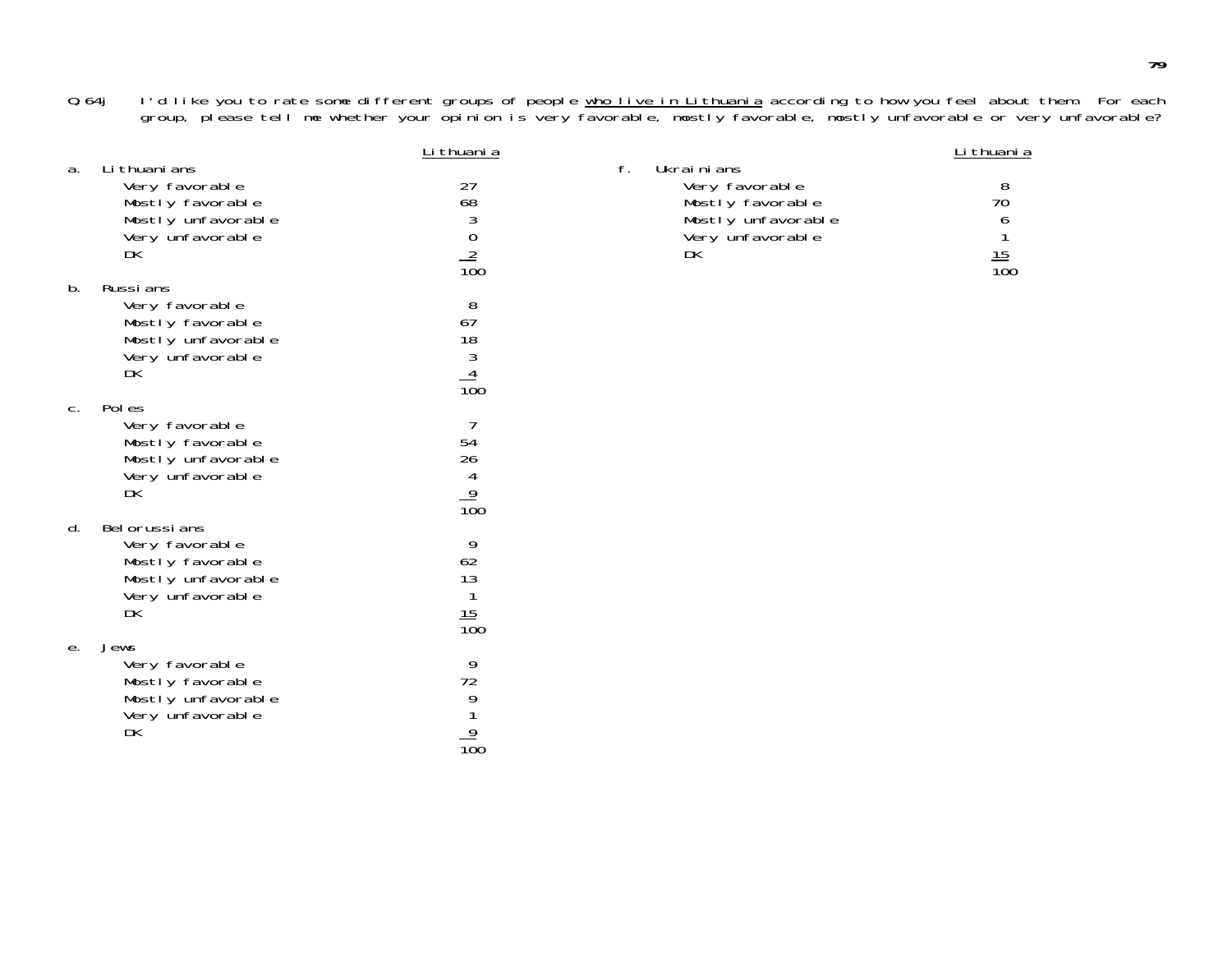Q.64j l'd like you to rate some different groups of people <u>who live in Lithuania</u> according to how you feel about them. For each group, please tell me whether your opinion is very favorable, mostly favorable, mostly unfavorable or very unfavorable?

|                |                                                                                                      | Li thuani a                                       |    |                                                                                                  | Li thuani a                      |
|----------------|------------------------------------------------------------------------------------------------------|---------------------------------------------------|----|--------------------------------------------------------------------------------------------------|----------------------------------|
| a.             | Li thuani ans<br>Very favorable<br>Mostly favorable<br>Mostly unfavorable<br>Very unfavorable<br>DK  | 27<br>$\frac{68}{3}$<br>$\frac{2}{100}$           | f. | Ukrainians<br>Very favorable<br>Mostly favorable<br>Mostly unfavorable<br>Very unfavorable<br>DK | 8<br>70<br>6<br>$\frac{15}{100}$ |
| b.             | Russi ans<br>Very favorable<br>Mostly favorable<br>Mostly unfavorable<br>Very unfavorable<br>DK      | 8<br>67<br>$\frac{18}{3}$<br>$\frac{4}{100}$      |    |                                                                                                  |                                  |
| C <sub>1</sub> | Pol es<br>Very favorable<br>Mostly favorable<br>Mostly unfavorable<br>Very unfavorable<br>DK         | 54<br>26<br>$\frac{4}{100}$                       |    |                                                                                                  |                                  |
| d.             | Bel orussi ans<br>Very favorable<br>Mostly favorable<br>Mostly unfavorable<br>Very unfavorable<br>DK | 9<br>62<br>13<br>$\mathbf{1}$<br>$\frac{15}{100}$ |    |                                                                                                  |                                  |
| е.             | Jews<br>Very favorable<br>Mostly favorable<br>Mostly unfavorable<br>Very unfavorable<br>DK           | 9<br>72<br>9<br>$\frac{9}{100}$                   |    |                                                                                                  |                                  |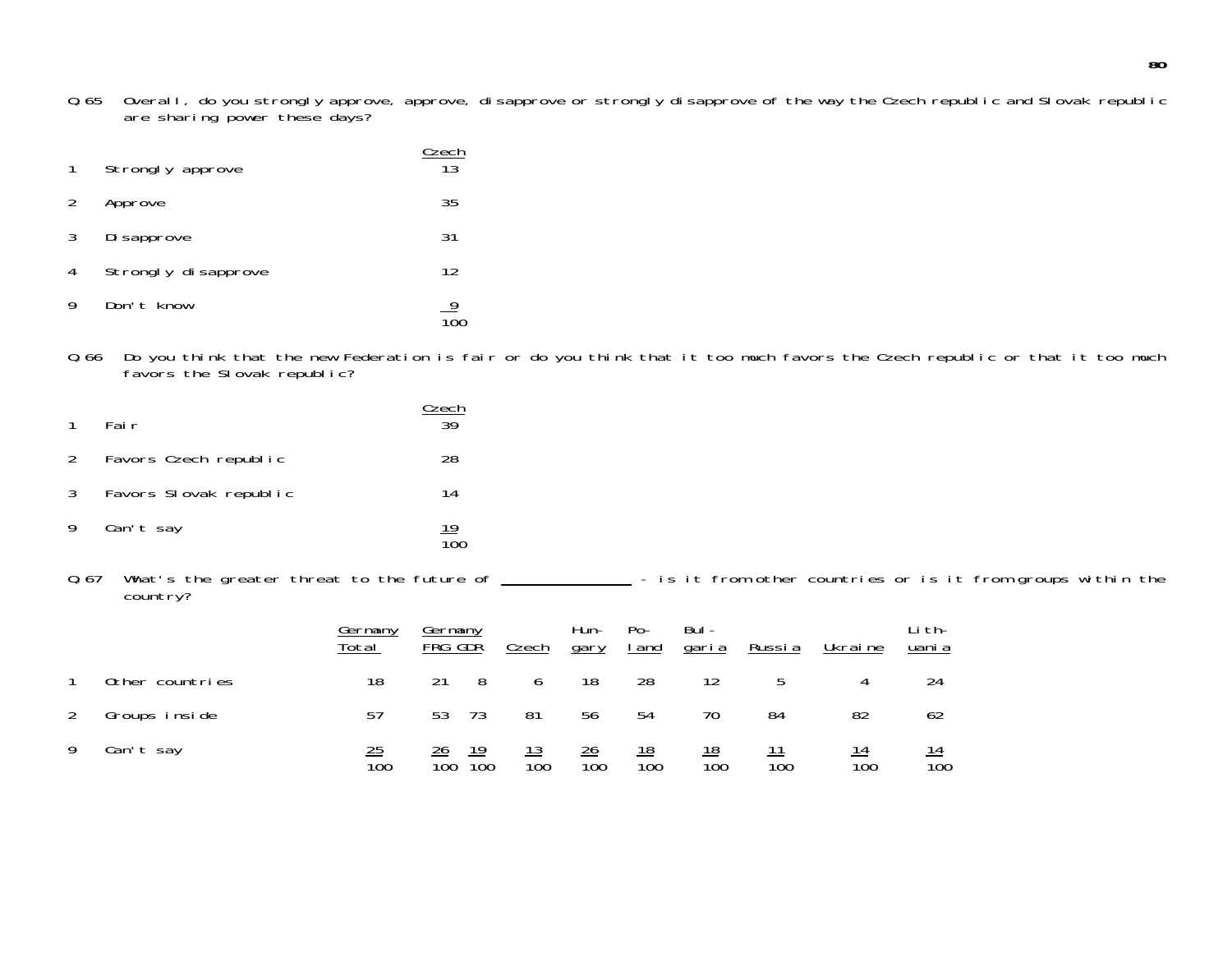Q.65 Overall, do you strongly approve, approve, disapprove or strongly disapprove of the way the Czech republic and Slovak republic are sharing power these days?

| $\mathbf{1}$ | Strongly approve    | Czech<br>$\overline{13}$ |
|--------------|---------------------|--------------------------|
| 2            | Approve             | 35                       |
| 3            | Di sapprove         | 31                       |
| 4            | Strongly disapprove | 12                       |
| 9            | Don't know          |                          |

Q.66 Do you think that the new Federation is fair or do you think that it too much favors the Czech republic or that it too muc h favors the Slovak republic?

| $\overline{1}$ | Fair                   | Czech<br>3d      |
|----------------|------------------------|------------------|
| 2              | Favors Czech republic  | 28               |
| 3 <sup>1</sup> | Favors Slovak republic | 14               |
| 9              | Can't say              | $\frac{19}{100}$ |

Q.67 What's the greater threat to the future of - is it from other countries or is it from groups within the country?

|   |                 | Germany<br>Total | Germany<br>FRG GDR     |                  | Czech                          | Hun-<br>gary                       | $Po-$<br>I and                 | Bul-<br>garia    | Russia           | Ukrai ne                      | Li th-<br>uani a |
|---|-----------------|------------------|------------------------|------------------|--------------------------------|------------------------------------|--------------------------------|------------------|------------------|-------------------------------|------------------|
|   | Other countries | 18               | 21                     | 8                | 6                              | 18                                 | 28                             | 12               | 5                | 4                             | 24               |
| 2 | Groups inside   | 57               | 53                     | -73              | 81                             | 56                                 | 54                             | 70               | 84               | 82                            | 62               |
| 9 | Can't say       | $\frac{25}{100}$ | 26<br>$\overline{100}$ | $\overline{10}0$ | <u> 13</u><br>$\overline{10}0$ | $\frac{26}{5}$<br>$\overline{100}$ | <u> 18</u><br>$\overline{10}0$ | $\frac{18}{100}$ | $\overline{10}0$ | <u>14</u><br>$\overline{100}$ | $\frac{14}{100}$ |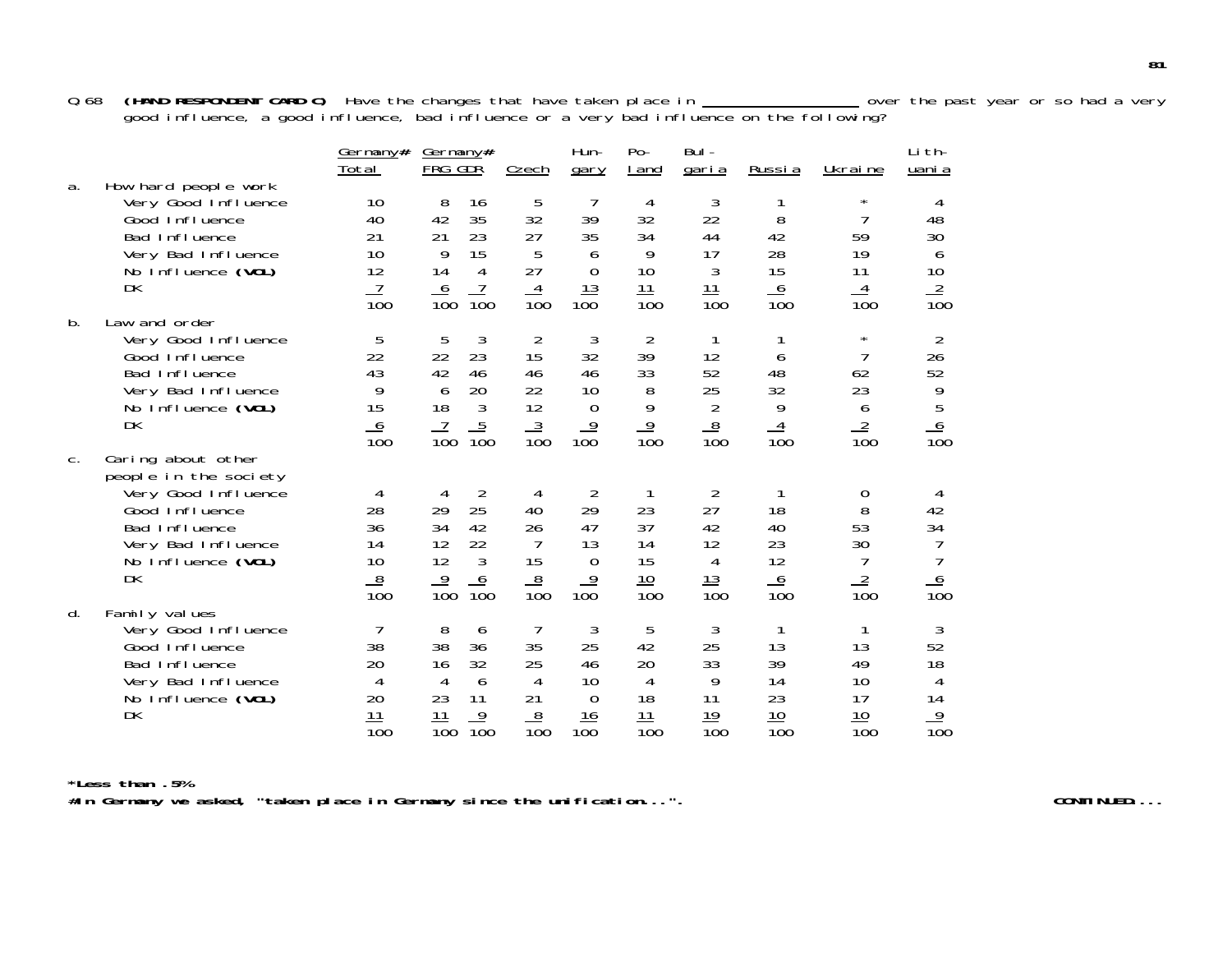0.68 **(HAND RESPONDENT CARD C)** Have the changes that have taken place in \_\_\_\_\_\_\_\_\_\_\_\_\_\_\_\_\_\_\_\_ over the past year or so had a very good influence, a good influence, bad influence or a very bad influence on the following?

|       |                                                                                                                                                         | Germany#<br>Total                                        | Germany#<br>FRG GDR                                                                                                  | Czech                                                    | Hun-<br>gary                                                                | $Po-$<br>I and                                     | Bul-<br><u>garia</u>                               | Russia                                   | Ukraine                                                  | Lith-<br>uani a                                         |
|-------|---------------------------------------------------------------------------------------------------------------------------------------------------------|----------------------------------------------------------|----------------------------------------------------------------------------------------------------------------------|----------------------------------------------------------|-----------------------------------------------------------------------------|----------------------------------------------------|----------------------------------------------------|------------------------------------------|----------------------------------------------------------|---------------------------------------------------------|
| a.    | How hard people work<br>Very Good Influence<br>Good Influence<br>Bad Influence<br>Very Bad Influence<br>No Influence (VOL)<br>DK                        | 10<br>40<br>21<br>10<br>12<br>$\overline{10}0$           | 8<br>16<br>35<br>42<br>21<br>23<br>9<br>15<br>14<br>4<br><u>6</u><br>100<br>$\overline{100}$                         | 5<br>32<br>27<br>5<br>27<br>4<br>$\overline{100}$        | 7<br>39<br>35<br>6<br>$\mathbf 0$<br>13<br>100                              | 4<br>32<br>34<br>9<br>10<br>$\frac{11}{100}$       | 3<br>22<br>44<br>17<br>3<br>$\frac{11}{100}$       | 8<br>42<br>28<br>15<br>$\frac{6}{100}$   | $^\star$<br>7<br>59<br>19<br>11<br>4<br>$\overline{10}0$ | 4<br>48<br>30<br>6<br>10<br>$\frac{2}{100}$             |
| b.    | Law and order<br>Very Good Influence<br>Good Influence<br>Bad Influence<br>Very Bad Influence<br>No Influence (VOL)<br><b>DK</b>                        | 5<br>22<br>43<br>9<br>15<br><u>6</u><br>$\overline{100}$ | 3<br>5<br>23<br>22<br>42<br>46<br>20<br>6<br>18<br>3<br>$\frac{5}{100}$<br>$\frac{7}{100}$                           | 2<br>15<br>46<br>22<br>12<br>$\frac{3}{100}$             | 3<br>32<br>46<br>10<br>$\overline{0}$<br>$\frac{9}{100}$                    | 2<br>39<br>33<br>8<br>9<br>$\frac{9}{100}$         | 12<br>52<br>25<br>2<br>$\frac{8}{100}$             | 6<br>48<br>32<br>9<br>$\frac{4}{100}$    | $^\star$<br>7<br>62<br>23<br>6<br>$\frac{2}{100}$        | $\overline{2}$<br>26<br>52<br>9<br>5<br>$\frac{6}{100}$ |
| $C$ . | Caring about other<br>people in the society<br>Very Good Influence<br>Good Influence<br>Bad Influence<br>Very Bad Influence<br>No Influence (VOL)<br>DK | 4<br>28<br>36<br>14<br>10<br>$\frac{8}{100}$             | $\overline{2}$<br>4<br>25<br>29<br>34<br>42<br>12<br>22<br>12<br>3<br>$\frac{9}{100}$<br>6<br>$\overline{10}0$       | 4<br>40<br>26<br>$\overline{7}$<br>15<br>$\frac{8}{100}$ | $\overline{2}$<br>29<br>47<br>13<br>$\overline{0}$<br>$\overline{9}$<br>100 | 1<br>23<br>37<br>14<br>15<br>$\frac{10}{100}$      | 2<br>27<br>42<br>12<br>4<br>$\frac{13}{100}$       | 18<br>40<br>23<br>12<br>$\frac{6}{100}$  | 0<br>8<br>53<br>30<br>7<br>$\frac{2}{100}$               | 4<br>42<br>34<br><u>6</u><br>$\overline{10}0$           |
| d.    | Family values<br>Very Good Influence<br>Good Influence<br>Bad Influence<br>Very Bad Influence<br>No Influence (VOL)<br>DK                               | 7<br>38<br>20<br>4<br>20<br>11<br>$\overline{10}0$       | 8<br>6<br>38<br>36<br>32<br>16<br>6<br>4<br>23<br>11<br>11<br>$\overline{9}$<br>$\overline{10}0$<br>$\overline{10}0$ | 7<br>35<br>25<br>4<br>21<br>8<br>$\overline{10}0$        | 3<br>25<br>46<br>10<br>$\overline{0}$<br>16<br>100                          | 5<br>42<br>20<br>4<br>18<br>11<br>$\overline{10}0$ | 3<br>25<br>33<br>9<br>11<br>19<br>$\overline{10}0$ | 13<br>39<br>14<br>23<br>$\frac{10}{100}$ | 13<br>49<br>10<br>17<br>10<br>$\overline{10}0$           | 3<br>52<br>18<br>4<br>14<br>9<br>$\overline{10}0$       |

**\*Less than .5%#In Germany we asked, "taken place in Germany since the unification...". CONTINUED....**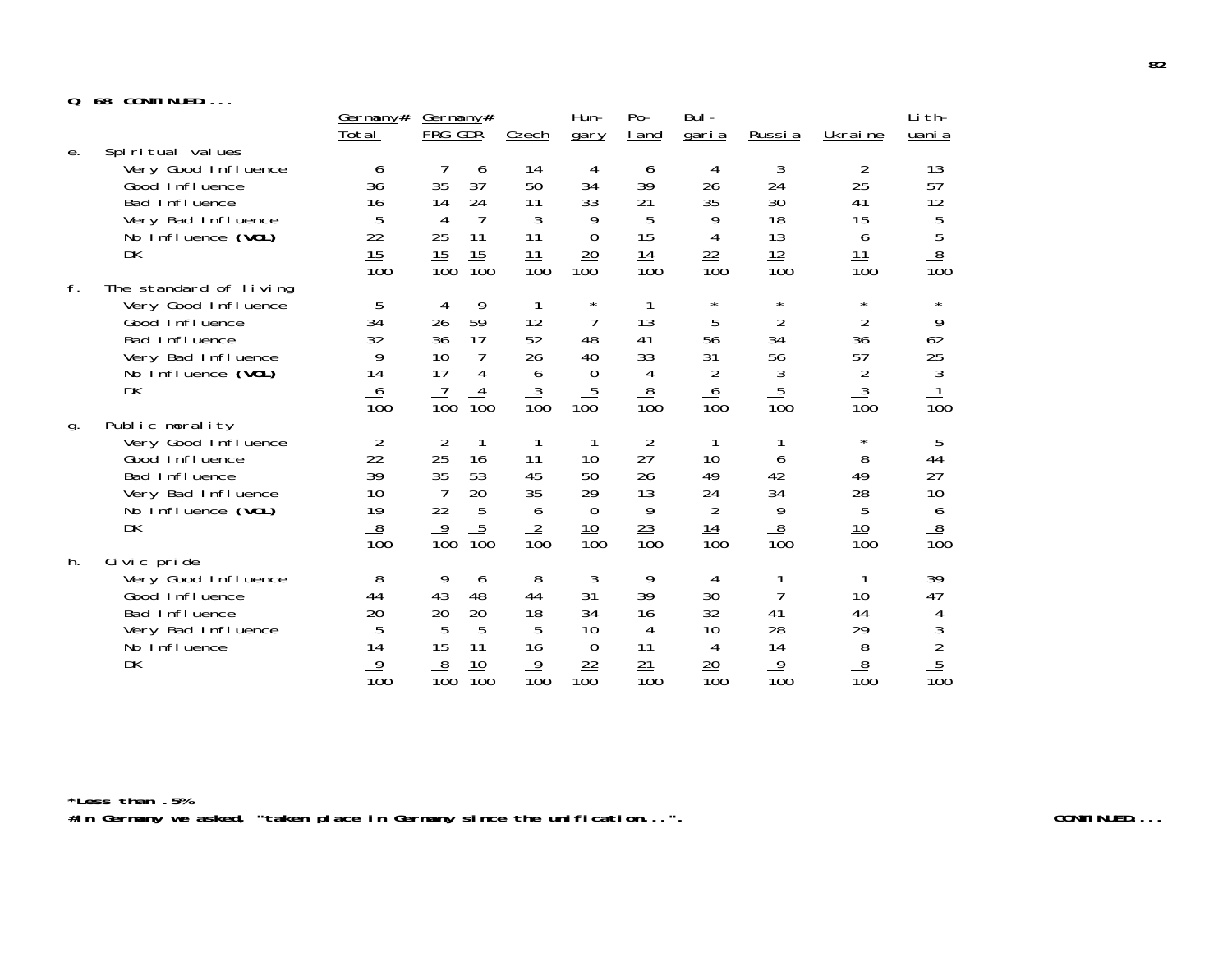## **Q. 68 CONTINUED....**

| u. | <b>UU</b><br><b>UUILINULU</b>                                                                                                             |                                                           |                                                                                                                  |                                               |                                                                |                                                           |                                                               |                                                               |                                                                            |                                                    |
|----|-------------------------------------------------------------------------------------------------------------------------------------------|-----------------------------------------------------------|------------------------------------------------------------------------------------------------------------------|-----------------------------------------------|----------------------------------------------------------------|-----------------------------------------------------------|---------------------------------------------------------------|---------------------------------------------------------------|----------------------------------------------------------------------------|----------------------------------------------------|
|    |                                                                                                                                           | Germany#<br>Total                                         | Germany#<br>FRG GDR                                                                                              | <b>Czech</b>                                  | Hun-<br>gary                                                   | $Po-$<br><u>I</u> and                                     | Bul-<br><u>garia</u>                                          | <u>Russia</u>                                                 | Ukraine                                                                    | Li th-<br><u>uani a</u>                            |
| е. | Spiritual values<br>Very Good Influence<br>Good Influence<br>Bad Influence<br>Very Bad Influence<br>No Influence (VOL)<br>DK              | 6<br>36<br>16<br>5<br>22<br>15<br>$\overline{10}0$        | 6<br>35<br>37<br>24<br>14<br>$\overline{7}$<br>4<br>25<br>11<br>15<br>15<br>$\overline{100}$<br>$\overline{100}$ | 14<br>50<br>11<br>3<br>11<br>$\frac{11}{100}$ | 4<br>34<br>33<br>9<br>$\overline{0}$<br>20<br>100              | 6<br>39<br>21<br>5<br>15<br>14<br>$\overline{10}0$        | 4<br>26<br>35<br>9<br>4<br>$\frac{22}{100}$                   | 3<br>24<br>30<br>18<br>13<br>$\frac{12}{100}$                 | 2<br>25<br>41<br>15<br>6<br><u> 11</u><br>$\overline{100}$                 | 13<br>57<br>12<br>$\frac{5}{5}$<br>$\frac{8}{100}$ |
| f. | The standard of living<br>Very Good Influence<br>Good Influence<br>Bad Influence<br>Very Bad Influence<br>No Influence (VOL)<br><b>DK</b> | 5<br>34<br>32<br>9<br>14<br>6<br>$\overline{10}0$         | 9<br>4<br>59<br>26<br>36<br>17<br>10<br>7<br>17<br>4<br>4<br>$\overline{10}0$<br>$\overline{10}0$                | 12<br>52<br>26<br>6<br>$\frac{3}{100}$        | $^\star$<br>7<br>48<br>40<br>$\boldsymbol{0}$<br>$rac{5}{100}$ | 13<br>41<br>33<br>4<br>$\frac{8}{100}$                    | $\star$<br>5<br>56<br>31<br>$\overline{2}$<br>$\frac{6}{100}$ | $\star$<br>$\overline{2}$<br>34<br>56<br>3<br>$\frac{5}{100}$ | $\star$<br>$\overline{2}$<br>36<br>57<br>$\overline{2}$<br>$\frac{3}{100}$ | $\star$<br>9<br>62<br>25<br>3<br>$\overline{10}0$  |
| g. | Public morality<br>Very Good Influence<br>Good Influence<br>Bad Influence<br>Very Bad Influence<br>No Influence (VOL)<br><b>DK</b>        | $\overline{2}$<br>22<br>39<br>10<br>19<br>$\frac{8}{100}$ | $\overline{2}$<br>25<br>16<br>35<br>53<br>$\overline{7}$<br>20<br>22<br>5<br>$\frac{5}{100}$<br>$\frac{9}{100}$  | 11<br>45<br>35<br>6<br>$\frac{2}{100}$        | 10<br>50<br>29<br>$\boldsymbol{0}$<br>$\frac{10}{100}$         | $\overline{2}$<br>27<br>26<br>13<br>9<br>$\frac{23}{100}$ | 10<br>49<br>24<br>$\overline{2}$<br>$\frac{14}{100}$          | 6<br>42<br>34<br>9<br>$\frac{8}{100}$                         | $^\star$<br>8<br>49<br>28<br>5<br>$\frac{10}{100}$                         | 5<br>44<br>27<br>10<br>6<br>$\frac{8}{100}$        |
| h. | Civic pride<br>Very Good Influence<br>Good Influence<br>Bad Influence<br>Very Bad Influence<br>No Influence<br>DK                         | 8<br>44<br>20<br>5<br>14<br>$\frac{9}{100}$               | 9<br>6<br>43<br>48<br>20<br>20<br>5<br>5<br>15<br>11<br>8<br>10<br>$\overline{10}0$<br>$\overline{10}0$          | 8<br>44<br>18<br>5<br>16<br>$\frac{9}{100}$   | 3<br>31<br>34<br>10<br>$\overline{0}$<br>22<br>100             | 9<br>39<br>16<br>4<br>11<br>21<br>$\overline{10}0$        | 4<br>30<br>32<br>10<br>4<br>$\frac{20}{100}$                  | 7<br>41<br>28<br>14<br>$\frac{9}{100}$                        | 10<br>44<br>29<br>8<br>$\frac{8}{100}$                                     | 39<br>47<br>4<br>$rac{3}{2}$<br>$rac{5}{100}$      |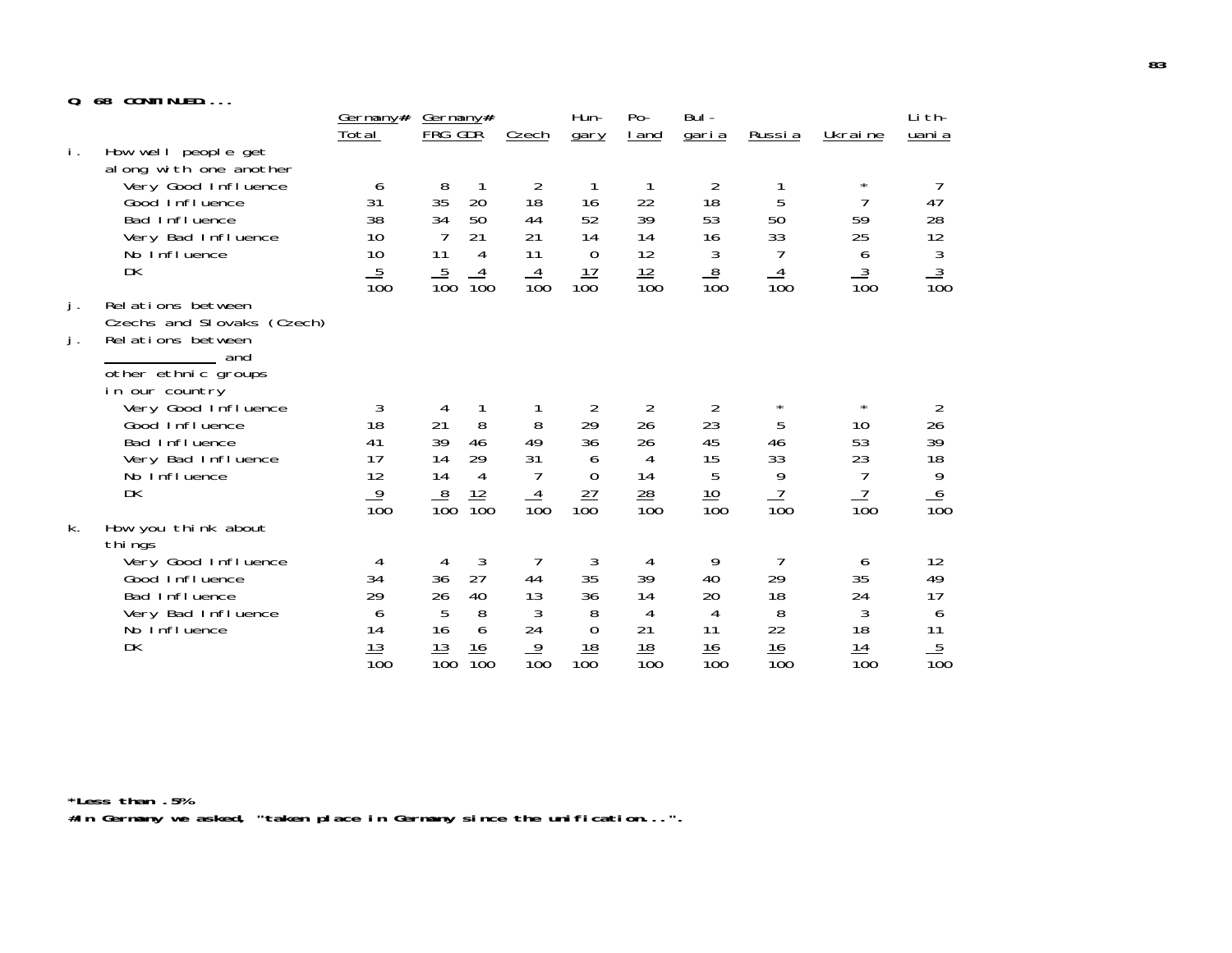## **Q. 68 CONTINUED....**

| u. | <b>08 GUNILINUED</b>                            |                          |                                                       |                  |                     |                       |                      |                  |                      |                  |
|----|-------------------------------------------------|--------------------------|-------------------------------------------------------|------------------|---------------------|-----------------------|----------------------|------------------|----------------------|------------------|
|    |                                                 | <u>Germany#</u><br>Total | <u>Germany#</u><br>FRG GDR                            | Czech            | Hun-<br>gary        | $Po-$<br><u>I</u> and | Bul-<br><u>garia</u> | <u>Russia</u>    | Ukraine              | Li th-<br>uani a |
| i. | How well people get<br>al ong with one another  |                          |                                                       |                  |                     |                       |                      |                  |                      |                  |
|    | Very Good Influence                             | 6                        | 8                                                     | 2                |                     |                       | $\overline{2}$       |                  | $^\star$             |                  |
|    | Good Influence<br>Bad Influence                 | 31<br>38                 | 35<br>20<br>34<br>50                                  | 18<br>44         | 16<br>52            | 22<br>39              | 18<br>53             | 5<br>50          | 7<br>59              | 47<br>28         |
|    | Very Bad Influence                              | 10                       | 21                                                    | 21               | 14                  | 14                    | 16                   | 33               | 25                   | 12               |
|    | No Influence                                    | 10                       | 11<br>4                                               | 11               | $\mathbf 0$         | 12                    | $\sqrt{3}$           |                  | 6                    |                  |
|    | DK                                              | $\frac{5}{100}$          | $\frac{5}{100}$<br>$\overline{4}$<br>$\overline{100}$ | $\frac{4}{100}$  | $\frac{17}{100}$    | $\frac{12}{100}$      | $\frac{8}{100}$      | $\frac{4}{100}$  | $\frac{3}{100}$      | $\frac{3}{100}$  |
| j. | Relations between                               |                          |                                                       |                  |                     |                       |                      |                  |                      |                  |
| j. | Czechs and Slovaks (Czech)<br>Relations between |                          |                                                       |                  |                     |                       |                      |                  |                      |                  |
|    | and                                             |                          |                                                       |                  |                     |                       |                      |                  |                      |                  |
|    | other ethnic groups                             |                          |                                                       |                  |                     |                       |                      |                  |                      |                  |
|    | in our country<br>Very Good Influence           | 3                        | 4                                                     |                  | $\overline{2}$      | $\overline{2}$        | 2                    | $^\star$         | $\star$              | $\overline{2}$   |
|    | Good Influence                                  | 18                       | 8<br>21                                               | 8                | 29                  | 26                    | 23                   | 5                | 10                   | 26               |
|    | Bad Influence                                   | 41                       | 39<br>46                                              | 49               | 36                  | 26                    | 45                   | 46               | 53                   | 39               |
|    | Very Bad Influence<br>No Influence              | 17<br>12                 | 14<br>29<br>14<br>4                                   | 31<br>7          | 6<br>$\overline{0}$ | 4<br>14               | 15<br>5              | 33<br>9          | 23<br>$\overline{1}$ | 18<br>9          |
|    | <b>DK</b>                                       | $\overline{9}$           |                                                       |                  |                     | $\frac{28}{2}$        |                      | $\frac{7}{100}$  | $\frac{7}{100}$      |                  |
|    |                                                 | $\overline{10}0$         | $\frac{12}{100}$<br>$\frac{8}{100}$                   | $\frac{4}{100}$  | $\frac{27}{100}$    | $\overline{100}$      | $\frac{10}{100}$     |                  |                      | $\frac{6}{100}$  |
| k. | How you think about<br>thi ngs                  |                          |                                                       |                  |                     |                       |                      |                  |                      |                  |
|    | Very Good Influence                             | 4                        | $\mathfrak{Z}$<br>4                                   |                  | 3                   | 4                     | 9                    | 7                | 6                    | 12               |
|    | Good Influence<br>Bad Influence                 | 34<br>29                 | 27<br>36<br>26                                        | 44<br>13         | 35<br>36            | 39<br>14              | 40<br>20             | 29<br>18         | 35<br>24             | 49<br>17         |
|    | Very Bad Influence                              | 6                        | 40<br>5<br>8                                          | 3                | 8                   | 4                     | 4                    | 8                | 3                    | 6                |
|    | No Influence                                    | 14                       | 16<br>6                                               | 24               | $\mathbf 0$         | 21                    | 11                   | 22               | 18                   | 11               |
|    | DK                                              | 13                       | 13<br>16                                              | $\overline{9}$   | $\frac{18}{100}$    | 18                    | 16                   | 16               | 14                   | $\frac{5}{100}$  |
|    |                                                 | $\overline{10}0$         | $\overline{10}0$<br>$\overline{10}0$                  | $\overline{10}0$ |                     | $\overline{10}0$      | $\overline{10}0$     | $\overline{10}0$ | $\overline{10}0$     |                  |

**\*Less than .5% #In Germany we asked, "taken place in Germany since the unification...".**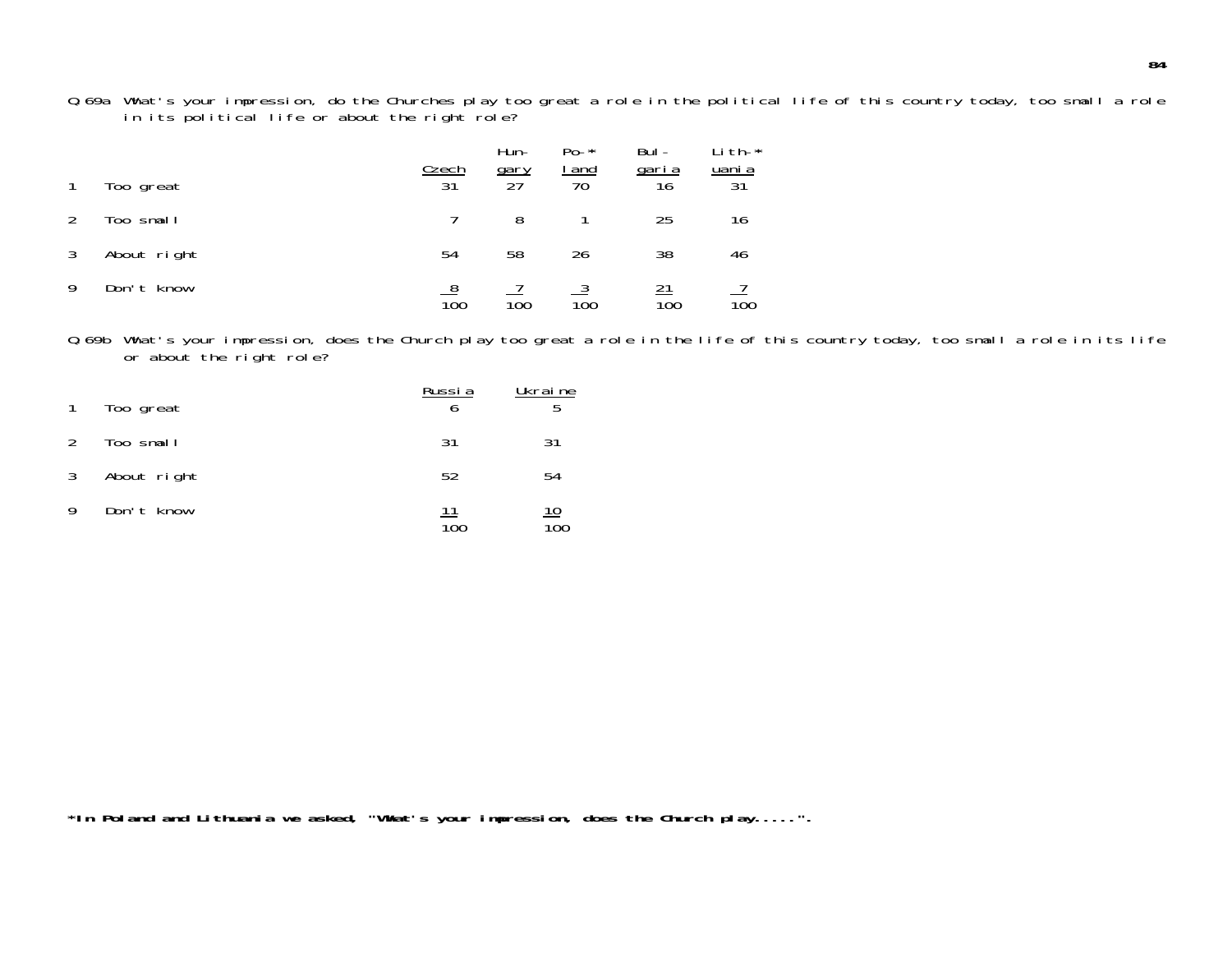Q.69a What's your impression, do the Churches play too great a role in the political life of this country today, too small a rol e in its political life or about the right role?

|   | Too great   | <b>Czech</b><br>31 | Hun-<br><u>gary</u><br>27 | $Po - *$<br><u>I and</u><br>$\overline{70}$ | Bul-<br><u>garia</u><br>16 | Li th-*<br><u>uani a</u><br>$3\overline{1}$ |
|---|-------------|--------------------|---------------------------|---------------------------------------------|----------------------------|---------------------------------------------|
|   | Too small   |                    | 8                         |                                             | 25                         | 16                                          |
| 3 | About right | 54                 | 58                        | 26                                          | 38                         | 46                                          |
| 9 | Don't know  | $\overline{10}0$   | 100                       | 100                                         | 100                        | 100                                         |

Q.69b What's your impression, does the Church play too great a role in the life of this country today, too small a role in its life or about the right role?

| $\mathbf{1}$ | Too great   | Russia    | Ukraine<br>5 |
|--------------|-------------|-----------|--------------|
| 2            | Too small   | -31       | 31           |
| $\mathbf{3}$ | About right | 52        | 54           |
| 9            | Don't know  | 11<br>100 | <u> 10</u>   |

**\*In Poland and Lithuania we asked, "What's your impression, does the Church play.....".**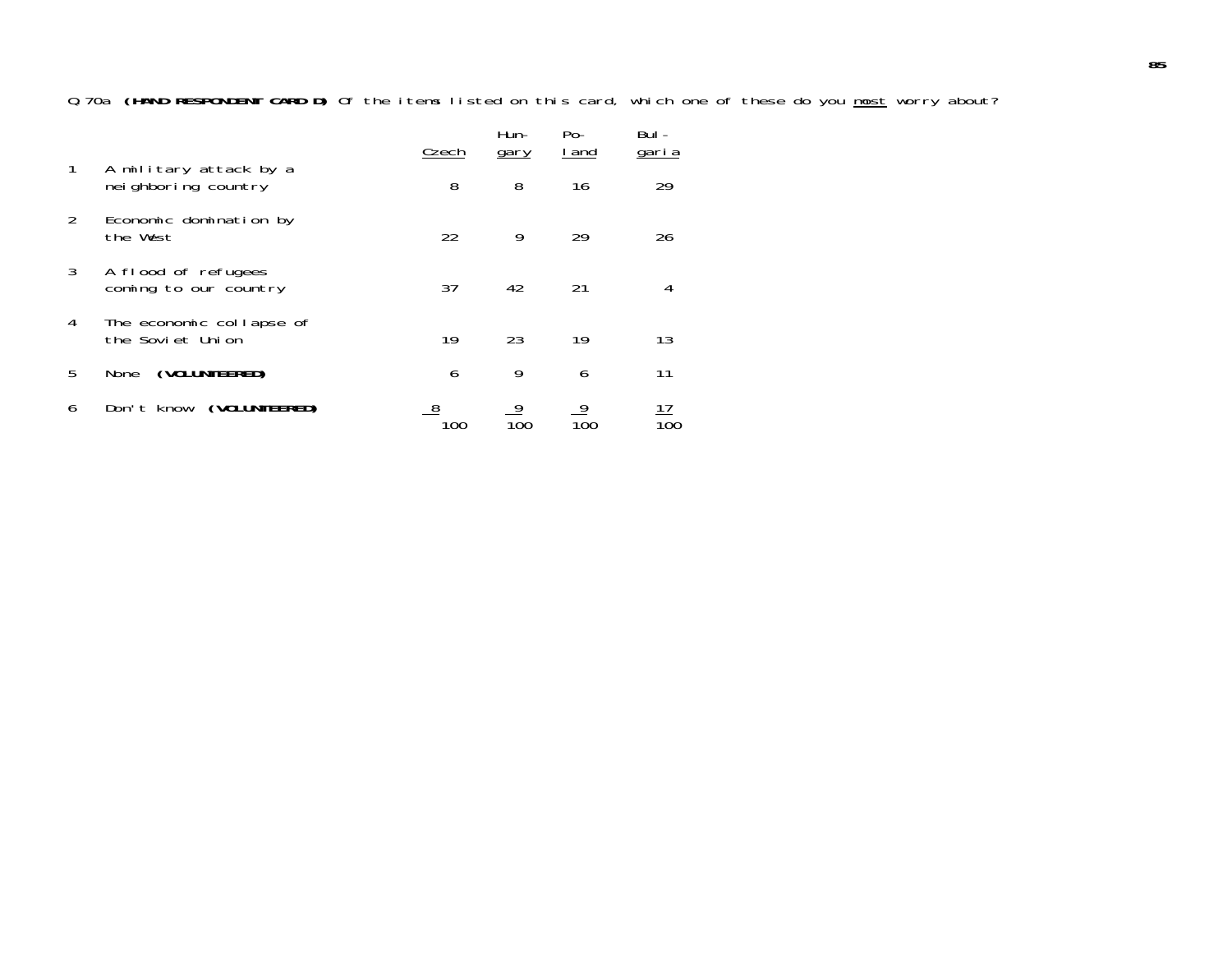Q.70a **(HAND RESPONDENT CARD D)** Of the items listed on this card, which one of these do you most worry about?

|               |                                                | Czech | Hun-<br>gary | $Po-$<br>I and | Bul -<br>garia |
|---------------|------------------------------------------------|-------|--------------|----------------|----------------|
| 1             | A military attack by a<br>nei ghboring country | 8     | 8            | 16             | 29             |
| $\mathcal{P}$ | Economic domination by<br>the West             | 22    | 9            | 29             | 26             |
| 3             | A flood of refugees<br>coming to our country   | 37    | 42           | 21             | 4              |
| 4             | The economic collapse of<br>the Soviet Union   | 19    | 23           | 19             | 13             |
| 5             | (VOLUNTEERED)<br>None                          | 6     | 9            | 6              | 11             |
| 6             | (VOLUNTEERED)<br>Don't know                    | 100   | 9<br>100     | 9<br>100       | 17<br>100      |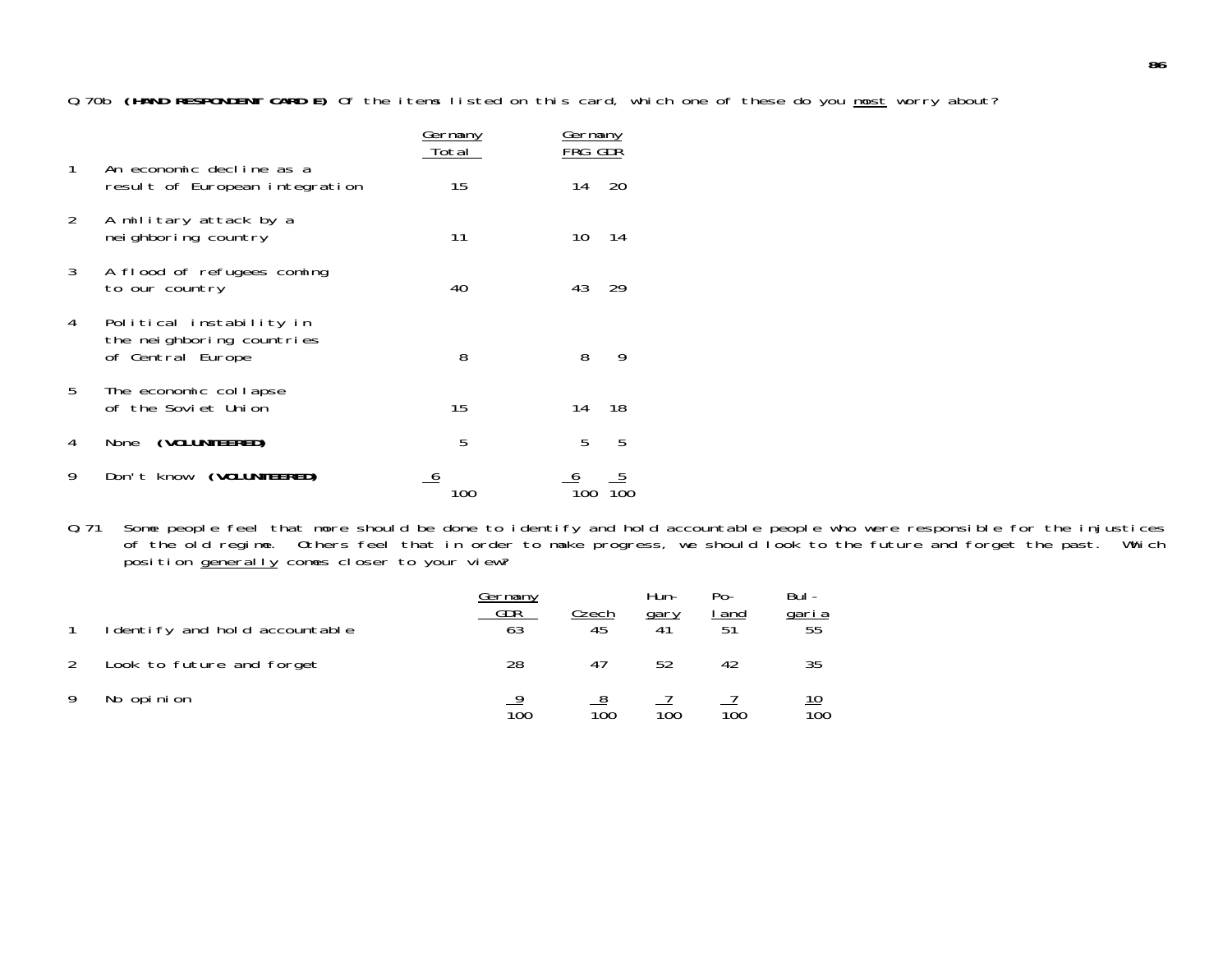Q.70b **(HAND RESPONDENT CARD E)** Of the items listed on this card, which one of these do you most worry about?

|               |                                                                            | <u>Germany</u><br>Total | <u>Germany</u><br>FRG GDR |
|---------------|----------------------------------------------------------------------------|-------------------------|---------------------------|
| 1             | An economic decline as a<br>result of European integration                 | 15                      | 20<br>14                  |
| $\mathcal{P}$ | A military attack by a<br>nei ghboring country                             | 11                      | 10<br>14                  |
| 3             | A flood of refugees coming<br>to our country                               | 40                      | 43<br>29                  |
| 4             | Political instability in<br>the neighboring countries<br>of Central Europe | 8                       | 8<br>9                    |
| 5             | The economic collapse<br>of the Soviet Union                               | 15                      | 18<br>14                  |
| 4             | (VOLUNTEERED)<br>None                                                      | 5                       | 5<br>5                    |
| 9             | Don't know (VOLUNTEERED)                                                   | Œ                       |                           |

Q.71 Some people feel that more should be done to identify and hold accountable people who were responsible for the injustices of the old regime. Others feel that in order to make progress, we should look to the future and forget the past. Which position <u>generally</u> comes closer to your view?

| I dentify and hold accountable | Germany<br>GDR | Czech            | Hun-<br>gary     | $Po-$<br>and<br>51 | Bul -<br>garia<br>55           |
|--------------------------------|----------------|------------------|------------------|--------------------|--------------------------------|
| Look to future and forget      | 28             | 41               | 52               | 42                 | 35                             |
| No opinion                     | 100            | $\overline{10}0$ | $\overline{10}0$ | 100                | <u> 10</u><br>$\overline{10}0$ |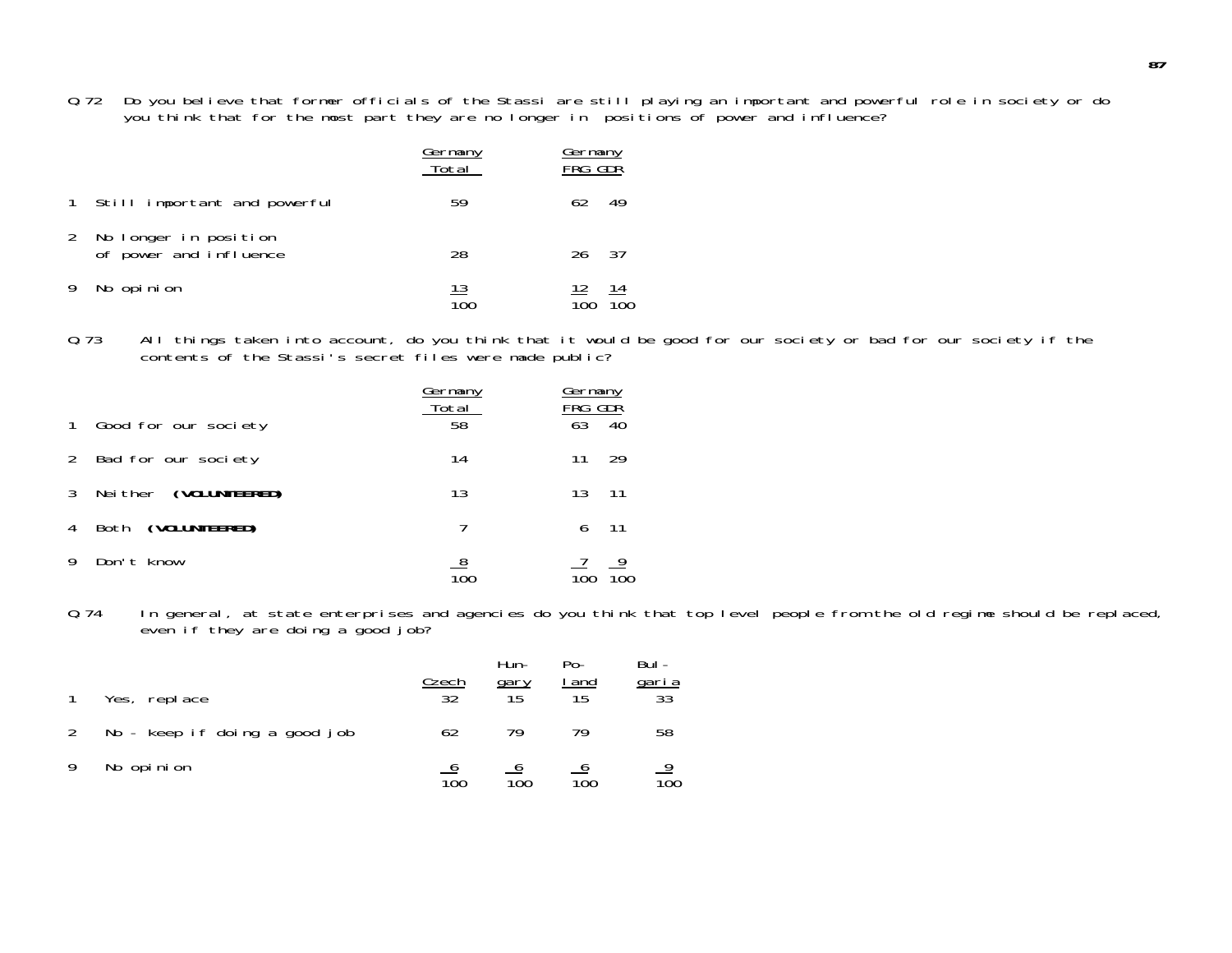Q.72 Do you believe that former officials of the Stassi are still playing an important and powerful role in society or do you think that for the most part they are no longer in positions of power and influence?

|   |                                                 | Germany<br>Total  | Germany<br>FRG GDR |
|---|-------------------------------------------------|-------------------|--------------------|
|   | 1 Still important and powerful                  | 59                | 62<br>49           |
| 2 | No longer in position<br>of power and influence | 28                | -37<br>26          |
|   | No opinion                                      | <u> 13</u><br>100 | 12<br>14<br>100    |

Q.73 All things taken into account, do you think that it would be good for our society or bad for our society if the contents of the Stassi's secret files were made public?

|              |                       | Germany<br>Total | Germany<br>FRG I<br>GDŘ |
|--------------|-----------------------|------------------|-------------------------|
| $\mathbf{1}$ | Good for our society  | 58               | 63<br>40                |
| 2            | Bad for our society   | 14               | 29<br>11                |
| 3            | Neither (VOLUNTEERED) | 13               | 13<br>-11               |
| 4            | Both (VOLUNTEERED)    | 7                | 6<br>-11                |
|              | Don't know            |                  |                         |

Q.74 In general, at state enterprises and agencies do you think that top level people from the old regime should be replaced, even if they are doing a good job?

|   | Yes, replace                  | <u>Czech</u><br>32 | Hun-<br><u>gary</u> | $P_{\Omega}$<br><u>l and</u><br>$\overline{15}$ | Bul-<br>$\frac{\text{gari}\,a}{33}$ |
|---|-------------------------------|--------------------|---------------------|-------------------------------------------------|-------------------------------------|
| 2 | No – keep if doing a good job | 62                 | 79                  |                                                 | 58                                  |
| 9 | No opinion                    | 100                | 100                 | 100                                             | $\overline{10}0$                    |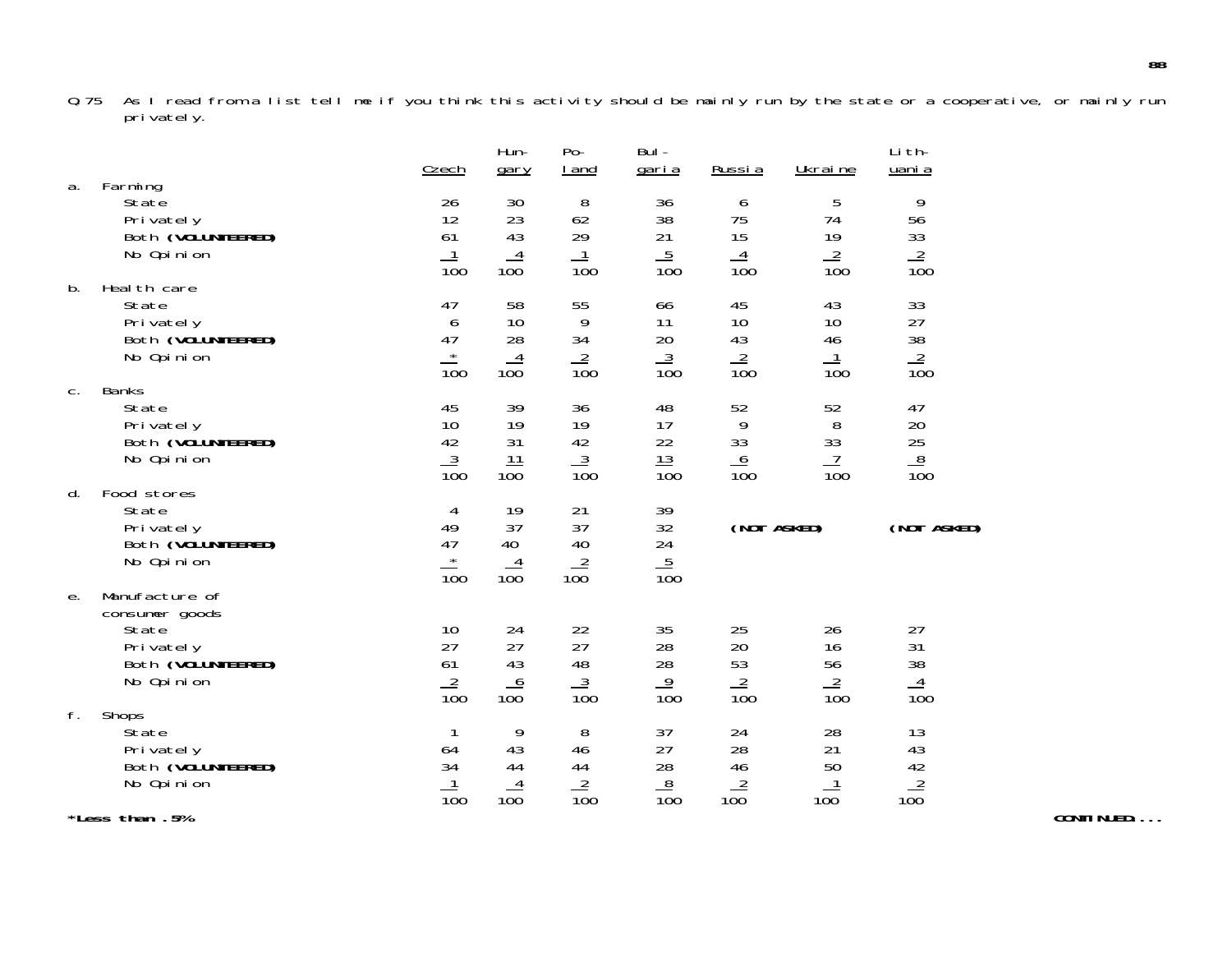Q.75 As I read from a list tell me if you think this activity should be mainly run by the state or a cooperative, or mainly run privately.

| a. | Farming                                                                                    | Czech                                                        | Hun-<br>gary                            | Po-<br>I and                                      | Bul-<br><u>garia</u>                                 | <u>Russia</u>                       | Ukraine                                                 | Li th-<br>uani a                               |  |
|----|--------------------------------------------------------------------------------------------|--------------------------------------------------------------|-----------------------------------------|---------------------------------------------------|------------------------------------------------------|-------------------------------------|---------------------------------------------------------|------------------------------------------------|--|
|    | State<br>Privately<br>Both (VOLUNTEERED)<br>No Opinion                                     | 26<br>12<br>61<br>$\overline{1}$<br>$\overline{10}0$         | 30<br>23<br>43<br>$\overline{4}$<br>100 | 8<br>62<br>29<br>$\mathbf{1}$<br>$\overline{10}0$ | 36<br>38<br>21<br>$\overline{5}$<br>$\overline{100}$ | 6<br>75<br>15<br>$\frac{4}{100}$    | 5<br>74<br>19<br>$\frac{2}{100}$                        | 9<br>56<br>$\frac{33}{100}$                    |  |
| b. | Heal th care<br>State<br>Privately<br>Both (VOLUNTEERED)<br>No Opinion                     | 47<br>6<br>47<br>$\star$<br>$\overline{100}$                 | 58<br>$10$<br>28<br>$\frac{4}{100}$     | 55<br>9<br>34<br>$\frac{2}{100}$                  | 66<br>11<br>20<br>$\frac{3}{100}$                    | 45<br>$10$<br>43<br>$\frac{2}{100}$ | 43<br>10<br>46<br>$\overline{1}$<br>$\overline{10}0$    | 33<br>$27\,$<br>$\frac{38}{100}$               |  |
| C. | <b>Banks</b><br>State<br>Privately<br>Both (VOLUNTEERED)<br>No Opinion                     | 45<br>10<br>42<br>$\frac{3}{100}$                            | 39<br>19<br>31<br>11<br>100             | 36<br>19<br>42<br>$\frac{3}{100}$                 | 48<br>17<br>22<br>$\frac{13}{100}$                   | 52<br>9<br>33<br>$\frac{6}{100}$    | 52<br>$8\,$<br>33<br>$\overline{1}$<br>$\overline{10}0$ | 47<br>20<br>$\frac{25}{25}$<br>$\frac{8}{100}$ |  |
| d. | Food stores<br>State<br>Privately<br>Both (VOLUNTEERED)<br>No Opinion                      | 4<br>49<br>47<br>$\star$<br>$\overline{100}$                 | 19<br>37<br>40<br>$\frac{4}{100}$       | 21<br>37<br>40<br>$\frac{2}{100}$                 | 39<br>32<br>24<br>$\frac{5}{100}$                    | (NOT ASKED)                         |                                                         | (NOT ASKED)                                    |  |
| е. | Manufacture of<br>consumer goods<br>State<br>Privately<br>Both (VOLUNTEERED)<br>No Opinion | 10<br>27<br>61<br>$\frac{2}{100}$                            | 24<br>27<br>43<br>$\frac{6}{100}$       | 22<br>27<br>48<br>$\frac{3}{100}$                 | 35<br>28<br>28<br>$\frac{9}{100}$                    | 25<br>20<br>53<br>$\frac{2}{100}$   | 26<br>16<br>56<br>$\frac{2}{100}$                       | 27<br>31<br>38<br>$\frac{4}{100}$              |  |
| f. | Shops<br><b>State</b><br>Privately<br>Both (VOLUNTEERED)<br>No Opinion                     | $\mathbf{1}$<br>64<br>34<br>$\mathbf{1}$<br>$\overline{10}0$ | 9<br>43<br>44<br>$\frac{4}{100}$        | 8<br>46<br>44<br>$\frac{2}{100}$                  | 37<br>27<br>28<br>8<br>$\overline{100}$              | 24<br>28<br>46<br>$\frac{2}{100}$   | 28<br>21<br>50<br>100                                   | 13<br>43<br>$rac{42}{100}$                     |  |
|    | *Less than .5%                                                                             |                                                              |                                         |                                                   |                                                      |                                     |                                                         |                                                |  |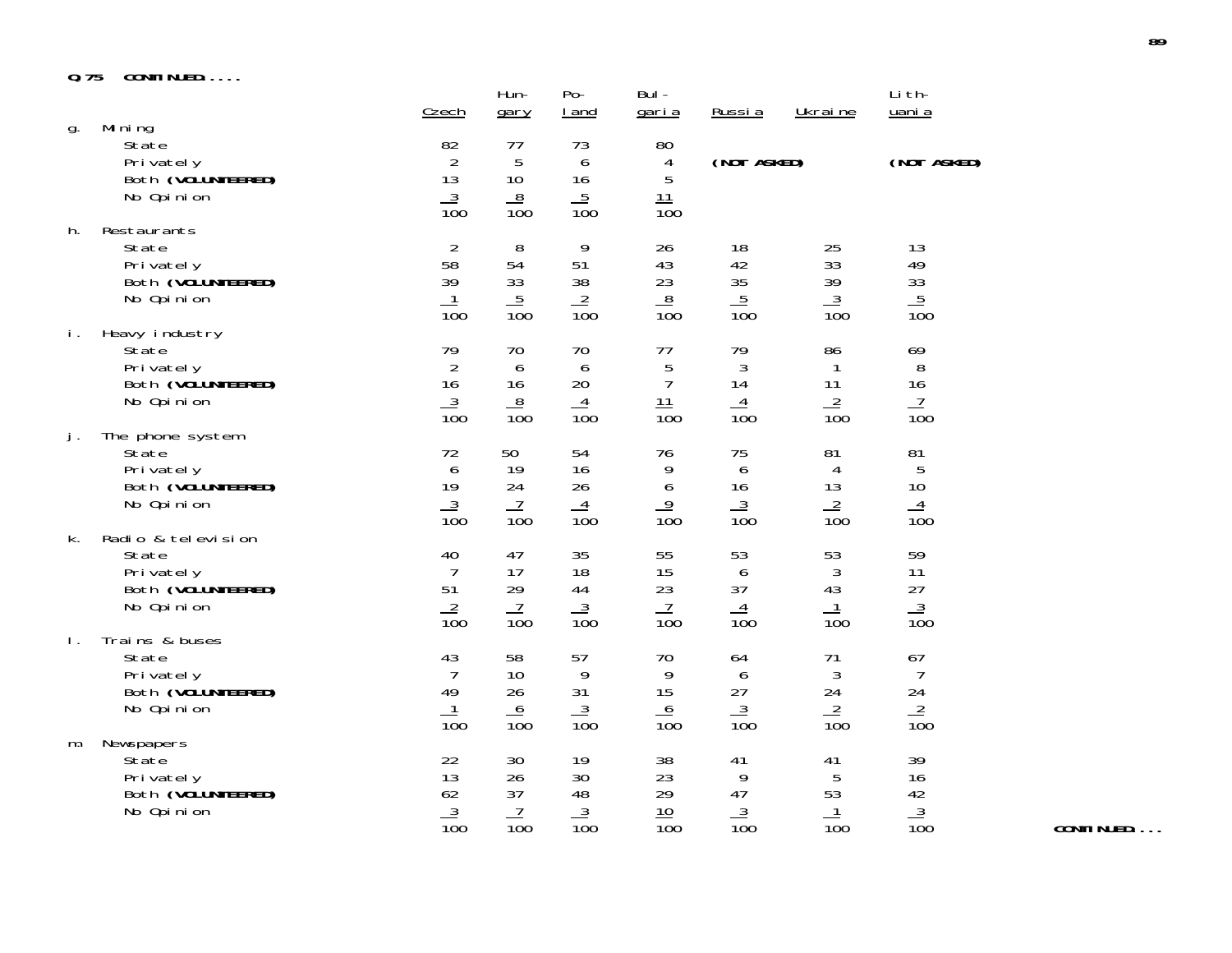#### **Q.75 CONTINUED.....**

|                |                                                                              | Czech                                                          | Hun-<br>gary                                         | $Po-$<br>I and                    | $Bul -$<br><u>garia</u>                              | Russia                                               | Ukraine                                                    | Li th-<br>uani a                                        |
|----------------|------------------------------------------------------------------------------|----------------------------------------------------------------|------------------------------------------------------|-----------------------------------|------------------------------------------------------|------------------------------------------------------|------------------------------------------------------------|---------------------------------------------------------|
| g.             | Mi ni ng<br>State<br>Privately<br>Both (VOLUNTEERED)<br>No Opinion           | 82<br>$\overline{2}$<br>13<br>$\frac{3}{100}$                  | 77<br>5<br>10<br>$\frac{8}{100}$                     | 73<br>6<br>16<br>$\frac{5}{100}$  | 80<br>4<br>5<br>11<br>$\overline{10}0$               | (NOT ASKED)                                          |                                                            | (NOT ASKED)                                             |
| h.             | Restaurants<br>State<br>Privately<br>Both (VOLUNTEERED)<br>No Opinion        | $\overline{2}$<br>58<br>39<br>$\overline{100}$                 | 8<br>54<br>33<br>$\overline{5}$<br>$\overline{100}$  | 9<br>51<br>38<br>$\frac{2}{100}$  | 26<br>43<br>23<br>8<br>$\overline{100}$              | 18<br>42<br>35<br>$\overline{5}$<br>$\overline{100}$ | 25<br>33<br>39<br>$\frac{3}{2}$<br>$\overline{100}$        | 13<br>49<br>33<br>$\frac{5}{100}$                       |
| i.             | Heavy industry<br>State<br>Privately<br>Both (VOLUNTEERED)<br>No Opinion     | 79<br>$\overline{2}$<br>16<br>$\frac{3}{100}$                  | 70<br>6<br>16<br>$\frac{8}{100}$                     | 70<br>6<br>20<br>$\frac{4}{100}$  | 77<br>5<br>$\overline{7}$<br>11<br>$\overline{10}0$  | 79<br>3<br>14<br>$\overline{4}$<br>$\overline{10}0$  | 86<br>1<br>11<br>$\frac{2}{100}$                           | 69<br>$8\,$<br>16<br>$\overline{1}$<br>$\overline{10}0$ |
| j.             | The phone system<br>State<br>Privately<br>Both (VOLUNTEERED)<br>No Opinion   | 72<br>6<br>19<br>$\frac{3}{100}$                               | 50<br>19<br>24<br>$\frac{7}{100}$                    | 54<br>16<br>26<br>$\frac{4}{100}$ | 76<br>9<br>6<br>$\overline{9}$<br>$\overline{10}0$   | 75<br>6<br>16<br>$\overline{3}$<br>$\overline{10}0$  | 81<br>4<br>13<br>$\overline{2}$<br>$\overline{10}0$        | 81<br>5<br>10<br>$\overline{4}$<br>$\overline{10}0$     |
| k.             | Radio & television<br>State<br>Privately<br>Both (VOLUNTEERED)<br>No Opinion | 40<br>$\overline{7}$<br>51<br>$\frac{2}{100}$                  | 47<br>17<br>29<br>$\overline{1}$<br>$\overline{10}0$ | 35<br>18<br>44<br>$\frac{3}{100}$ | 55<br>15<br>23<br>$\overline{1}$<br>$\overline{10}0$ | 53<br>6<br>37<br>$\overline{4}$<br>$\overline{100}$  | 53<br>$\sqrt{3}$<br>43<br>$\mathbf{1}$<br>$\overline{100}$ | 59<br>11<br>27<br>$\frac{3}{100}$                       |
| $\mathbf{I}$ . | Trains & buses<br>State<br>Privately<br>Both (VOLUNTEERED)<br>No Opinion     | 43<br>$\overline{7}$<br>49<br>$\mathbf{1}$<br>$\overline{10}0$ | 58<br>10<br>26<br>6<br>$\overline{100}$              | 57<br>9<br>31<br>$\frac{3}{100}$  | 70<br>9<br>15<br>6<br>$\overline{100}$               | 64<br>6<br>27<br>$\overline{3}$<br>$\overline{100}$  | 71<br>3<br>24<br>$\frac{2}{100}$                           | 67<br>$\overline{7}$<br>24<br>$\frac{2}{100}$           |
| m.             | Newspapers<br>State<br>Privately<br>Both (VOLUNTEERED)<br>No Opinion         | 22<br>13<br>62<br>$\frac{3}{100}$                              | 30<br>26<br>37<br>$\overline{1}$<br>$\overline{10}0$ | 19<br>30<br>48<br>$\frac{3}{100}$ | 38<br>23<br>29<br>10<br>$\overline{10}0$             | 41<br>9<br>47<br>$\frac{3}{100}$                     | 41<br>5<br>53<br>1<br>$\overline{100}$                     | 39<br>16<br>42<br>$\frac{1}{100}$                       |

**CONTINUED....**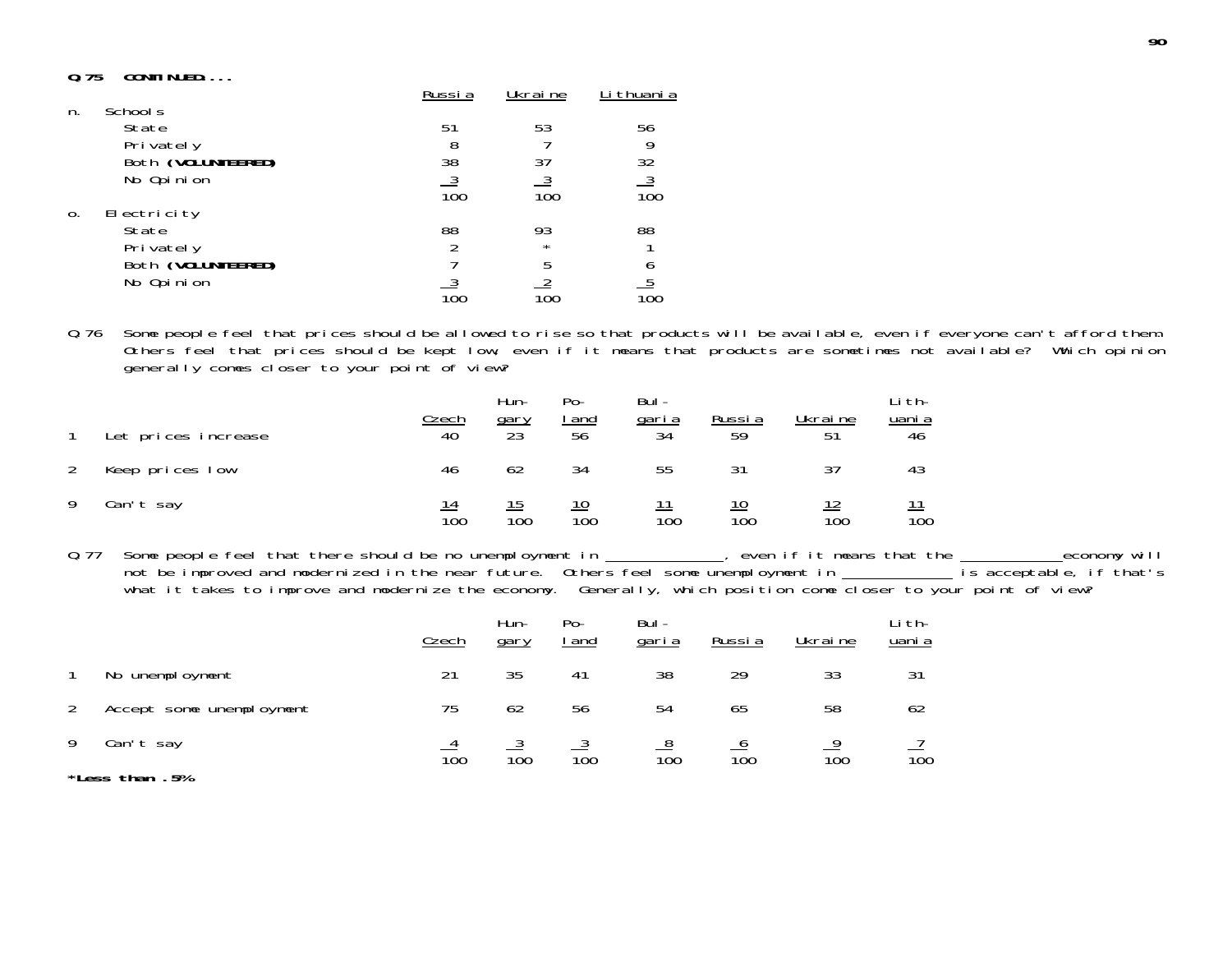## **Q.75 CONTINUED....**

|                |                    | Russi a | Ukraine | thuani a                           |
|----------------|--------------------|---------|---------|------------------------------------|
| n.             | School s           |         |         |                                    |
|                | State<br>Privately | 51<br>8 | 53      | 56                                 |
|                | Both (VOLUNTEERED) | 38      | 37      | 32                                 |
|                | No Opinion         | 100     | 100     | $\overline{3}$<br>$\overline{10}0$ |
| $\mathbf{0}$ . | Electricity        |         |         |                                    |
|                | State              | 88      | 93      | 88                                 |
|                | Privately          |         | $\star$ |                                    |
|                | Both (VOLUNTEERED) |         | 5       |                                    |
|                | No Opinion         |         |         |                                    |
|                |                    |         | 100     |                                    |

Q.76 Some people feel that prices should be allowed to rise so that products will be available, even if everyone can't afford them. Others feel that prices should be kept low, even if it means that products are sometimes not available? Which opinion generally comes closer to your point of view?

**90**

| Let prices increase | <u>Czech</u><br>40     | Hun-<br><u>gary</u><br>23 | Po-<br><u>  and</u><br>56 | Bul-<br><u>garia</u><br>34 | Russia<br>59 | Ukraine<br>51 | -i th-<br><u>uani a</u><br>46 |
|---------------------|------------------------|---------------------------|---------------------------|----------------------------|--------------|---------------|-------------------------------|
| Keep prices low     | 46                     | 62                        | 34                        | 55                         | 31           | 37            | 43                            |
| Can't say           | 14<br>$\overline{10}0$ | $\overline{10}0$          | 100                       | $\overline{10}0$           | 100          | 100           | $\overline{10}0$              |

0.77 Some people feel that there should be no unemployment in \_\_\_\_\_\_\_\_\_\_, even if it means that the \_\_\_\_\_\_\_\_\_economy will not be improved and modernized in the near future. Others feel some unemployment in **interest in the secondation** what it takes to improve and modernize the economy. Generally, which position come closer to your point of view?

|   |                          | Czech | Hun-<br>gary | Po-<br>l and | Bul-<br><u>garia</u> | Russia | Ukraine | ∟i th-<br>uani a |
|---|--------------------------|-------|--------------|--------------|----------------------|--------|---------|------------------|
|   | No unemployment          | 21    | 35           | 41           | 38                   | 29     | 33      | 31               |
|   | Accept some unemployment | 75    | 62           | 56           | 54                   | 65     | 58      | 62               |
| 9 | Can't say                | 100   |              | 100          | $\overline{10}0$     | 100    | 100     | 100              |
|   | *Less than .5%           |       | 100          |              |                      |        |         |                  |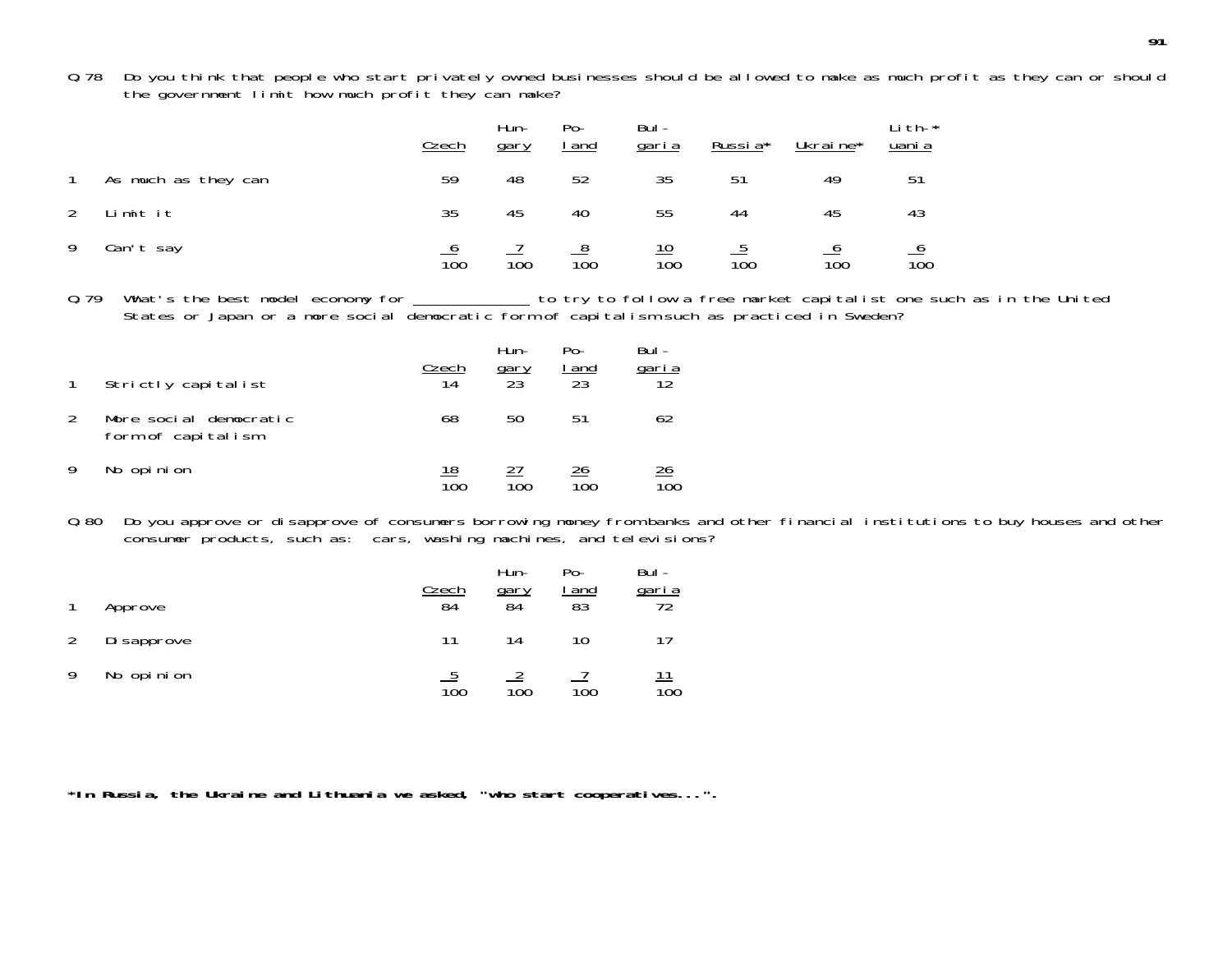Q.78 Do you think that people who start privately owned businesses should be allowed to make as much profit as they can or shoul d the government limit how much profit they can make?

|                |                     | Czech            | Hun-<br>gary | $Po-$<br><u>I and</u> | Bul-<br><u>garia</u>           | Russia* | Ukraine* | Li th- $*$<br>uani a |
|----------------|---------------------|------------------|--------------|-----------------------|--------------------------------|---------|----------|----------------------|
| $\overline{1}$ | As much as they can | 59               | 48           | 52                    | 35                             | 51      | 49       | 51                   |
| $2^{\circ}$    | Limit it            | 35               | 45           | 40                    | 55                             | 44      | 45       | 43                   |
| 9              | Can't say           | $\overline{10}0$ | 100          | $\overline{100}$      | <u> 10</u><br>$\overline{10}0$ | 100     | 100      | 100                  |

0.79 What's the best model economy for \_\_\_\_\_\_\_\_\_\_\_\_\_\_to try to follow a free market capitalist one such as in the United States or Japan or a more social democratic form of capitalism such as practiced in Sweden?

|               | Strictly capitalist                          | Czech<br>14 | Hun-<br>gary<br>23 | $Po -$<br>l and<br>23 | Bul -<br>garia<br>12 |
|---------------|----------------------------------------------|-------------|--------------------|-----------------------|----------------------|
| $\mathcal{L}$ | More social democratic<br>form of capitalism | 68          | 50                 | 51                    | 62                   |
|               | No opinion                                   | 18<br>100   | 100                | 26<br>100             | <u> 26</u>           |

Q.80 Do you approve or disapprove of consumers borrowing money from banks and other financial institutions to buy houses and other consumer products, such as: cars, washing machines, and televisions?

|   | Approve     | Czech<br>84 | Hun-<br>gary<br>84 | Po-<br>and<br>83 | Bul-<br>garia<br>72 |
|---|-------------|-------------|--------------------|------------------|---------------------|
|   | Di sapprove | 11          | 14                 | 10               | 17                  |
| Q | No opinion  | 100         | 100                | 100              | <u> 11</u><br>100   |

**\*In Russia, the Ukraine and Lithuania we asked, "who start cooperatives...".**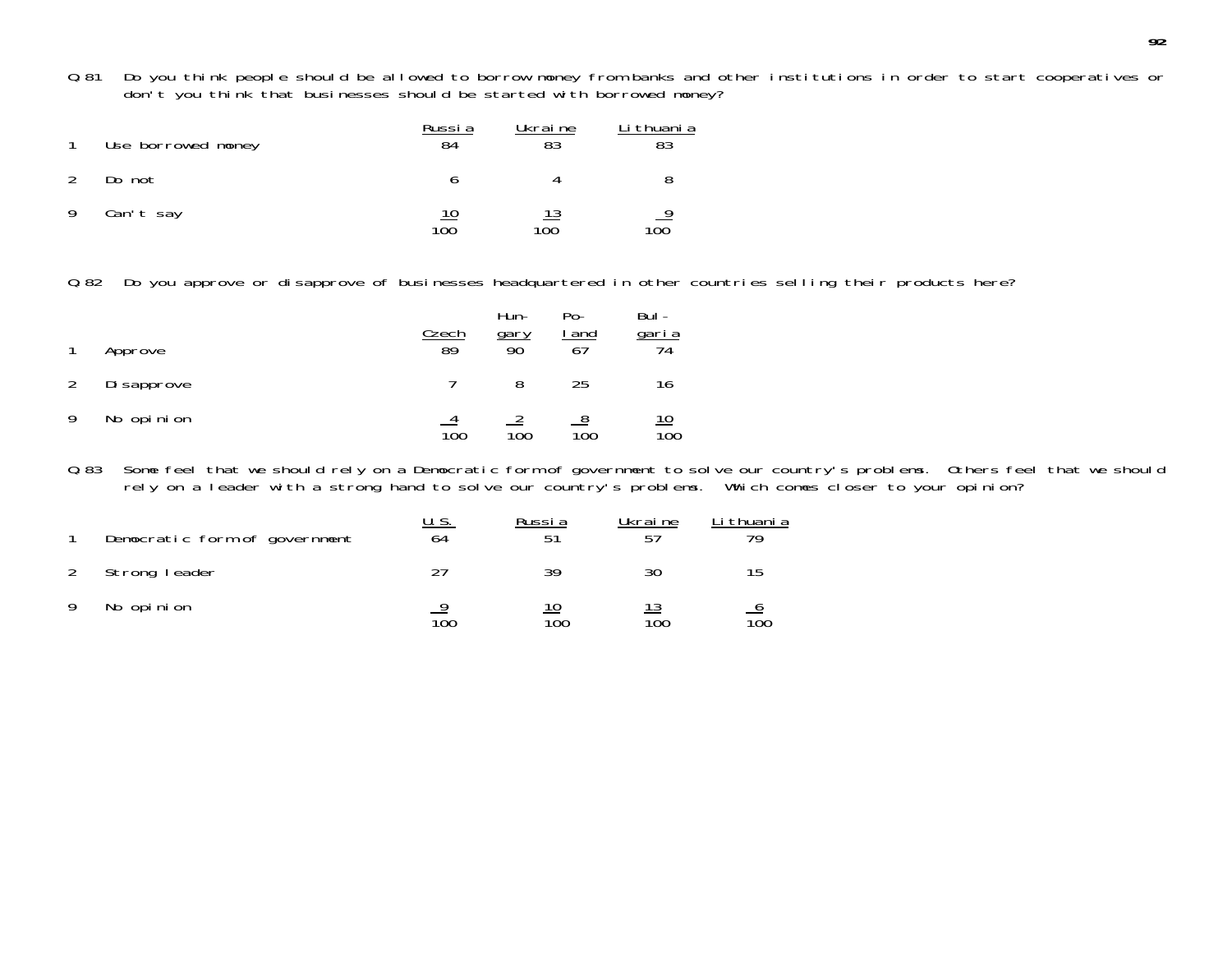Q.81 Do you think people should be allowed to borrow money from banks and other institutions in order to start cooperatives or don't you think that businesses should be started with borrowed money?

|               | Use borrowed money | Russia<br>84 | Ukraine<br>83 | Li thuani a |
|---------------|--------------------|--------------|---------------|-------------|
| $\mathcal{L}$ | Do not             |              |               |             |
| -9            | Can't say          | 100          | 100           | 9<br>100    |

Q.82 Do you approve or disapprove of businesses headquartered in other countries selling their products here?

|               | Approve     | Czech<br>89 | Hun-<br><u>gary</u><br>90 | $Po-$<br>l and<br>67 | Bul -<br>garia<br>74 |
|---------------|-------------|-------------|---------------------------|----------------------|----------------------|
| $\mathcal{P}$ | Di sapprove |             | 8                         | 25                   | 16                   |
| Q             | No opinion  | 100         | 100                       | 100                  | 10<br>100            |

Q.83 Some feel that we should rely on a Democratic form of government to solve our country's problems. Others feel that we should rely on a leader with a strong hand to solve our country's problems. Which comes closer to your opinion?

| Democratic form of government | U. S.<br>64 | Russia    | Ukraine<br>57 | Li thuani a |
|-------------------------------|-------------|-----------|---------------|-------------|
| Strong leader                 |             | 39        | 30            |             |
| No opinion                    | 100         | 10<br>100 | 100           | 100         |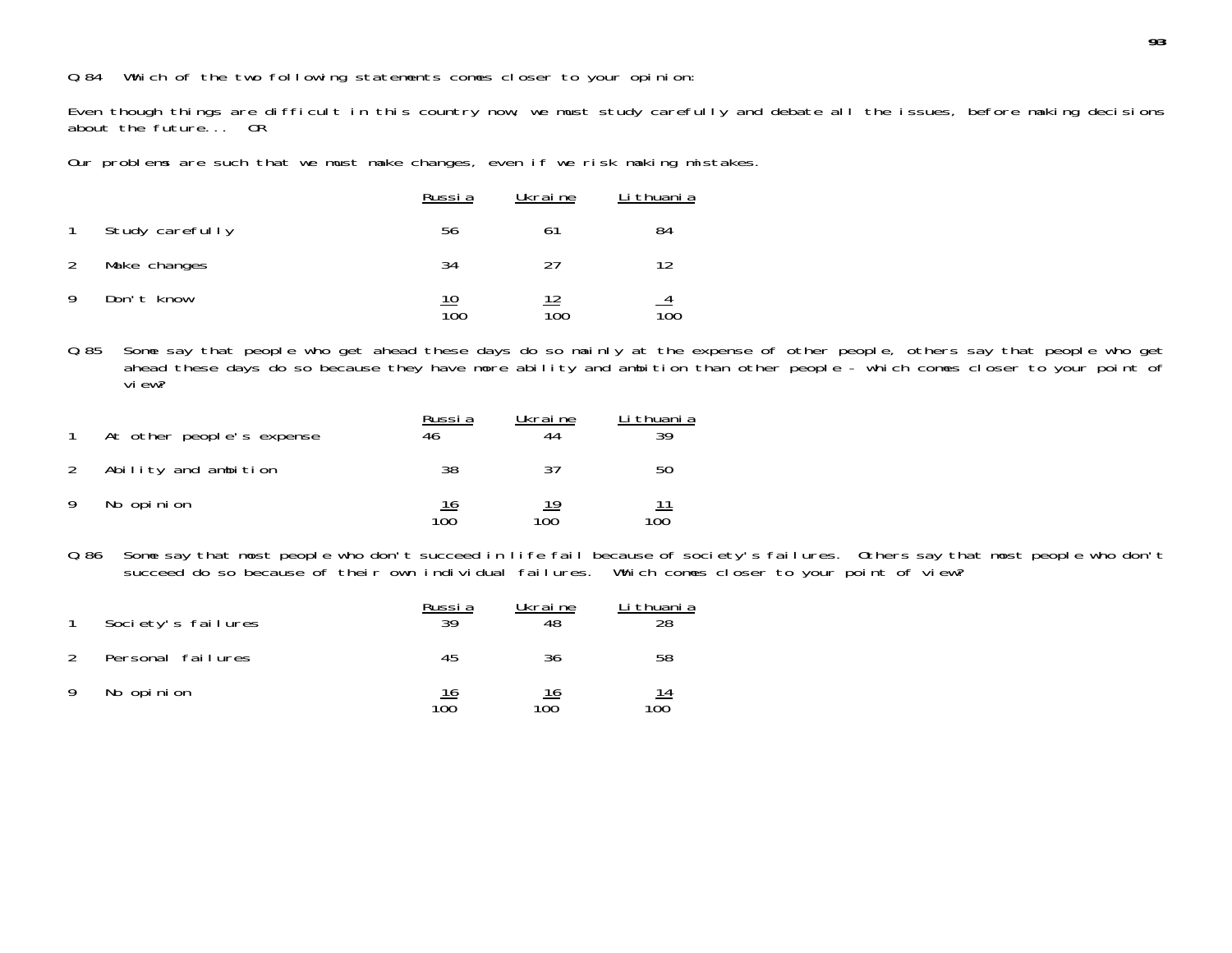## Q.84 Which of the two following statements comes closer to your opinion:

Even though things are difficult in this country now, we must study carefully and debate all the issues, before making decision s about the future... OR

Our problems are such that we must make changes, even if we risk making mistakes.

|   |                 | Russia            | Ukraine   | Li thuani a      |
|---|-----------------|-------------------|-----------|------------------|
|   | Study carefully | 56                | 61        | 84               |
|   | Make changes    | 34                | 27        |                  |
| 9 | Don't know      | <u> 10</u><br>100 | 12<br>100 | $\overline{10}0$ |

Q.85 Some say that people who get ahead these days do so mainly at the expense of other people, others say that people who get ahead these days do so because they have more ability and ambition than other people - which comes closer to your point of view?

|    | At other people's expense | Russia<br>46 | Ukraine   | Li thuani a<br>30 |
|----|---------------------------|--------------|-----------|-------------------|
| 2  | Ability and ambition      | 38           | 37        | 50                |
| -9 | No opinion                | 16<br>100    | 19<br>100 | <u> 11</u><br>100 |

Q.86 Some say that most people who don't succeed in life fail because of society's failures. Others say that most people who don't succeed do so because of their own individual failures. Which comes closer to your point of view?

|               | Society's failures | Russia<br>39      | Ukraine<br>48     | Li thuani a<br>28 |
|---------------|--------------------|-------------------|-------------------|-------------------|
| $\mathcal{L}$ | Personal failures  | 45                | 36                | 58                |
| -9            | No opinion         | <u> 16</u><br>100 | <u> 16</u><br>100 | $\frac{14}{100}$  |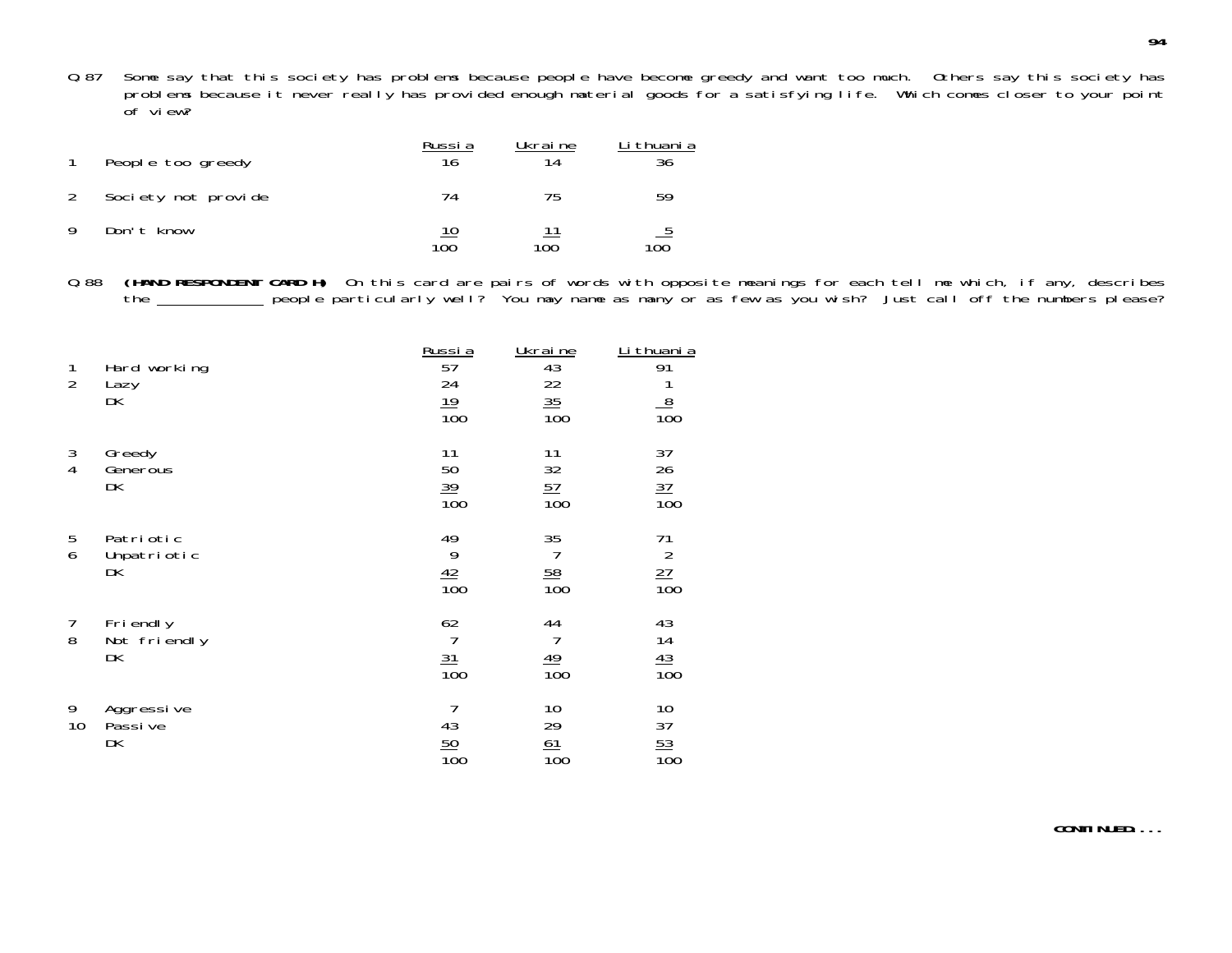Q.87 Some say that this society has problems because people have become greedy and want too much. Others say this society has problems because it never really has provided enough material goods for a satisfying life. Which comes closer to your point of view?

|   | People too greedy   | Russia<br>16 | Ukraine<br>14 | i thuani a<br>36 |
|---|---------------------|--------------|---------------|------------------|
| 2 | Society not provide | 74           | 75            | 59               |
|   | Don't know          | 10<br>100    | 100           | <u>5</u><br>100  |

Q.88 **(HAND RESPONDENT CARD H)** On this card are pairs of words with opposite meanings for each tell me which, if any, describes the \_\_\_\_\_\_\_\_\_\_ people particularly well? You may name as many or as few as you wish? Just call off the numbers please?

| 1<br>$\overline{2}$ | Hard working<br>Lazy<br>DK     | Russia<br>57<br>24<br>19<br>$\overline{100}$ | Ukraine<br>43<br>$\frac{22}{35}$<br>$\frac{35}{100}$ | Li thuani a<br>91<br>$\frac{1}{100}$      |
|---------------------|--------------------------------|----------------------------------------------|------------------------------------------------------|-------------------------------------------|
| 3<br>$\overline{4}$ | Greedy<br>Generous<br>DK       | 11<br>50<br>$\frac{39}{100}$                 | 11<br>32<br>$\frac{57}{100}$                         | 37<br>$\frac{26}{37}$<br>$\frac{37}{100}$ |
| 5<br>6              | Patriotic<br>Unpatriotic<br>DK | 49<br>9<br>$\frac{42}{100}$                  | 35<br>$\overline{7}$<br>$\frac{58}{100}$             | 71<br>$\frac{27}{100}$                    |
| $\overline{7}$<br>8 | Friendly<br>Not friendly<br>DK | 62<br>$\overline{7}$<br>$\frac{31}{100}$     | 44<br>$\overline{7}$<br>$\frac{49}{100}$             | 43<br>$\frac{14}{13}$<br>$\frac{43}{100}$ |
| 9<br>10             | Aggressive<br>Passi ve<br>DK   | 7<br>43<br>$\frac{50}{100}$                  | 10<br>29<br>61<br>$\overline{10}0$                   | 10<br>37<br>$\frac{53}{100}$              |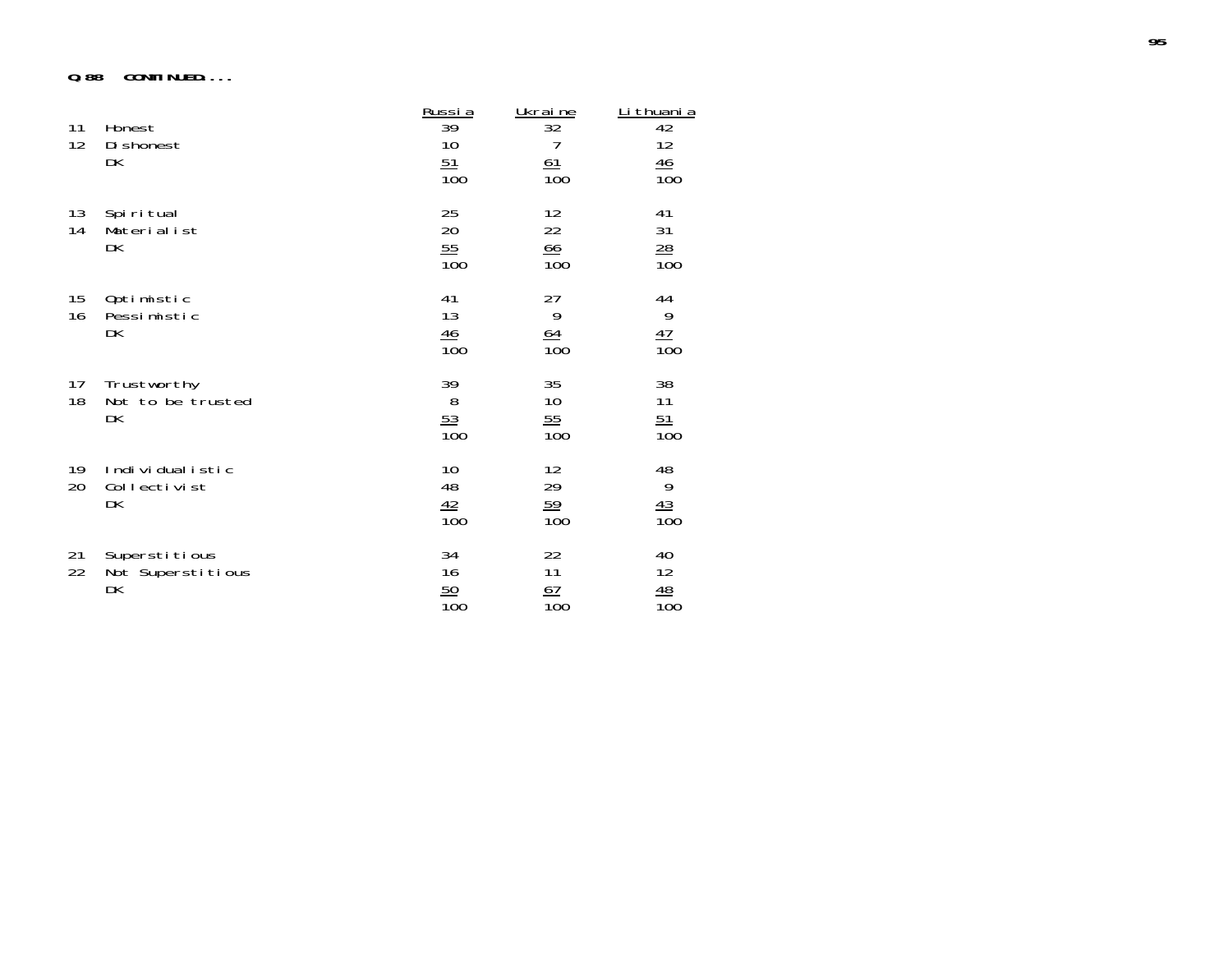#### **Q.88 CONTINUED....**

| 11<br>12 | Honest<br>Di shonest<br>DK               | Russia<br>39<br>10<br>51<br>$\overline{10}0$ | Ukraine<br>32<br>7<br>61<br>$\overline{10}0$ | Li thuani a<br>42<br>12<br>$\frac{46}{5}$<br>$\overline{100}$ |
|----------|------------------------------------------|----------------------------------------------|----------------------------------------------|---------------------------------------------------------------|
| 13<br>14 | Spiritual<br>Materialist<br>DK           | 25<br>20<br>55<br>$\overline{10}0$           | 12<br>22<br>66<br>$\overline{100}$           | 41<br>31<br>$\overline{28}$<br>$\overline{100}$               |
| 15<br>16 | Optimistic<br>Pessimistic<br>DK          | 41<br>13<br>$\frac{46}{100}$                 | 27<br>9<br>$\frac{64}{100}$                  | 44<br>$\frac{9}{100}$                                         |
| 17<br>18 | Trustworthy<br>Not to be trusted<br>DK   | 39<br>8<br>$\frac{53}{100}$                  | 35<br>10<br>55<br>$\overline{100}$           | 38<br>11<br>$\frac{51}{100}$                                  |
| 19<br>20 | Individualistic<br>Collectivist<br>DK    | 10<br>48<br>$\frac{42}{100}$                 | 12<br>29<br>59<br>$\overline{10}0$           | $\frac{48}{9}$<br>$\frac{43}{100}$                            |
| 21<br>22 | Superstitious<br>Not Superstitious<br>DK | 34<br>16<br>50<br>$\overline{10}0$           | 22<br>11<br>67<br>$\overline{10}0$           | 40<br>12<br>$\frac{48}{100}$                                  |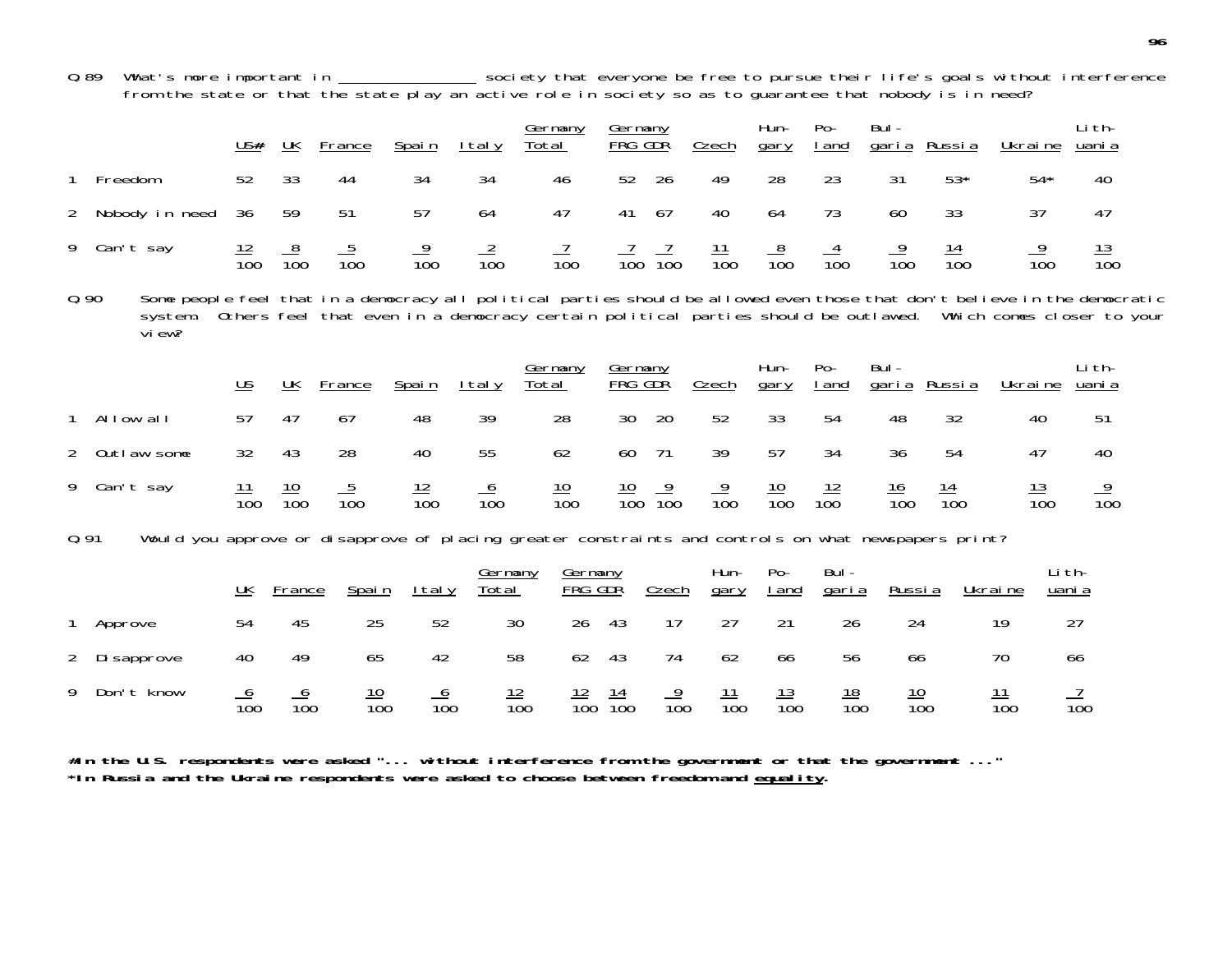Q.89 What's more important in \_\_\_\_\_\_\_\_\_\_\_\_\_\_\_\_ society that everyone be free to pursue their life's goals without interference from the state or that the state play an active role in society so as to guarantee that nobody is in need?

|                |                                                                                                                                                  | $US#$                     | UK               | France           | Spain            | I tal y                        | <u>Germany</u><br><u>Total</u>                                                     | Germany<br><u>FRG GDŘ</u> |                 | Czech            | Hun-<br>gary          | $Po-$<br>I and       | Bul-<br><u>garia</u>    | Russia           | Ukraine                    | Li th-<br>uani a |  |
|----------------|--------------------------------------------------------------------------------------------------------------------------------------------------|---------------------------|------------------|------------------|------------------|--------------------------------|------------------------------------------------------------------------------------|---------------------------|-----------------|------------------|-----------------------|----------------------|-------------------------|------------------|----------------------------|------------------|--|
|                | Freedom                                                                                                                                          | 52                        | 33               | 44               | 34               | 34                             | 46                                                                                 | 52                        | 26              | 49               | 28                    | 23                   | 31                      | $53*$            | $54*$                      | 40               |  |
| $\overline{2}$ | Nobody in need                                                                                                                                   | 36                        | 59               | 51               | 57               | 64                             | 47                                                                                 | 41                        | 67              | 40               | 64                    | 73                   | 60                      | 33               | 37                         | 47               |  |
|                | 9 Can't say                                                                                                                                      | $\frac{12}{100}$          | $\frac{8}{100}$  | $\frac{5}{100}$  | $\frac{9}{100}$  | $\frac{2}{100}$                | $\frac{7}{100}$                                                                    | $\overline{100}$          | $\frac{7}{100}$ | $\frac{11}{100}$ | $\frac{8}{100}$       | $\frac{4}{100}$      | $\frac{9}{100}$         | $\frac{14}{100}$ | $\frac{9}{100}$            | $\frac{13}{100}$ |  |
| Q.90           | Some people feel that in a democracy all political parties should be allowed even those that don't believe in the democratic<br>system.<br>view? |                           |                  |                  |                  |                                | Others feel that even in a democracy certain political parties should be outlawed. |                           |                 |                  |                       |                      |                         |                  | Which comes closer to your |                  |  |
|                |                                                                                                                                                  | $\underline{\mathsf{US}}$ | UK               | France           | Spain            | <u>Italy</u>                   | Germany<br>Total                                                                   | Germany<br>FRG GDR        |                 | Czech            | Hun-<br>gary          | $Po-$<br>I and       | $Bul -$<br><u>garia</u> | <u>Russia</u>    | Ukraine                    | Li th-<br>uani a |  |
|                | 1 Allow all                                                                                                                                      | 57                        | 47               | 67               | 48               | 39                             | 28                                                                                 | 30                        | 20              | 52               | 33                    | 54                   | 48                      | 32               | 40                         | 51               |  |
| 2              | Outlaw some                                                                                                                                      | 32                        | 43               | 28               | 40               | 55                             | 62                                                                                 | 60                        | 71              | 39               | 57                    | 34                   | 36                      | 54               | 47                         | 40               |  |
|                | 9 Can't say                                                                                                                                      | $\frac{11}{100}$          | $\frac{10}{100}$ | $\frac{5}{100}$  | $\frac{12}{100}$ | $\frac{6}{100}$                | $\frac{10}{100}$                                                                   | $\frac{10}{100}$          | $\frac{9}{100}$ | $\frac{9}{100}$  | $\frac{10}{100}$      | $\frac{12}{100}$     | $\frac{16}{100}$        | $\frac{14}{100}$ | $\frac{13}{100}$           | $\frac{9}{100}$  |  |
| 0.91           | Would you approve or disapprove of placing greater constraints and controls on what newspapers print?                                            |                           |                  |                  |                  |                                |                                                                                    |                           |                 |                  |                       |                      |                         |                  |                            |                  |  |
|                |                                                                                                                                                  | $UK$                      | France           | Spain            | <u>Italy</u>     | <b>Germany</b><br><u>Total</u> | <u>Germany</u><br>FRG GDR                                                          |                           | <b>Czech</b>    | Hun-<br>gary     | $Po-$<br><u>I</u> and | Bul-<br><u>garia</u> | <u>Russia</u>           |                  | Ukraine                    | Li th-<br>uani a |  |
|                | Approve                                                                                                                                          | 54                        | 45               | 25               | 52               | 30                             | 26                                                                                 | 43                        | 17              | 27               | 21                    | 26                   | 24                      |                  | 19                         | 27               |  |
| $\overline{2}$ | Di sapprove                                                                                                                                      | 40                        | 49               | 65               | 42               | 58                             | 62                                                                                 | 43                        | 74              | 62               | 66                    | 56                   | 66                      |                  | 70                         | 66               |  |
| 9              | Don't know                                                                                                                                       | $\frac{6}{100}$           | $\frac{6}{100}$  | $\frac{10}{100}$ | $\frac{6}{100}$  | $\frac{12}{100}$               | $\frac{12}{100}$                                                                   | $\frac{14}{100}$          | $\frac{9}{100}$ | $\frac{11}{100}$ | $\frac{13}{100}$      | $\frac{18}{100}$     |                         | $\frac{10}{100}$ | $\frac{11}{100}$           | $\overline{10}0$ |  |

**#In the U.S. respondents were asked "... without interference from the government or that the government ..." \*In Russia and the Ukraine respondents were asked to choose between freedom and equality.**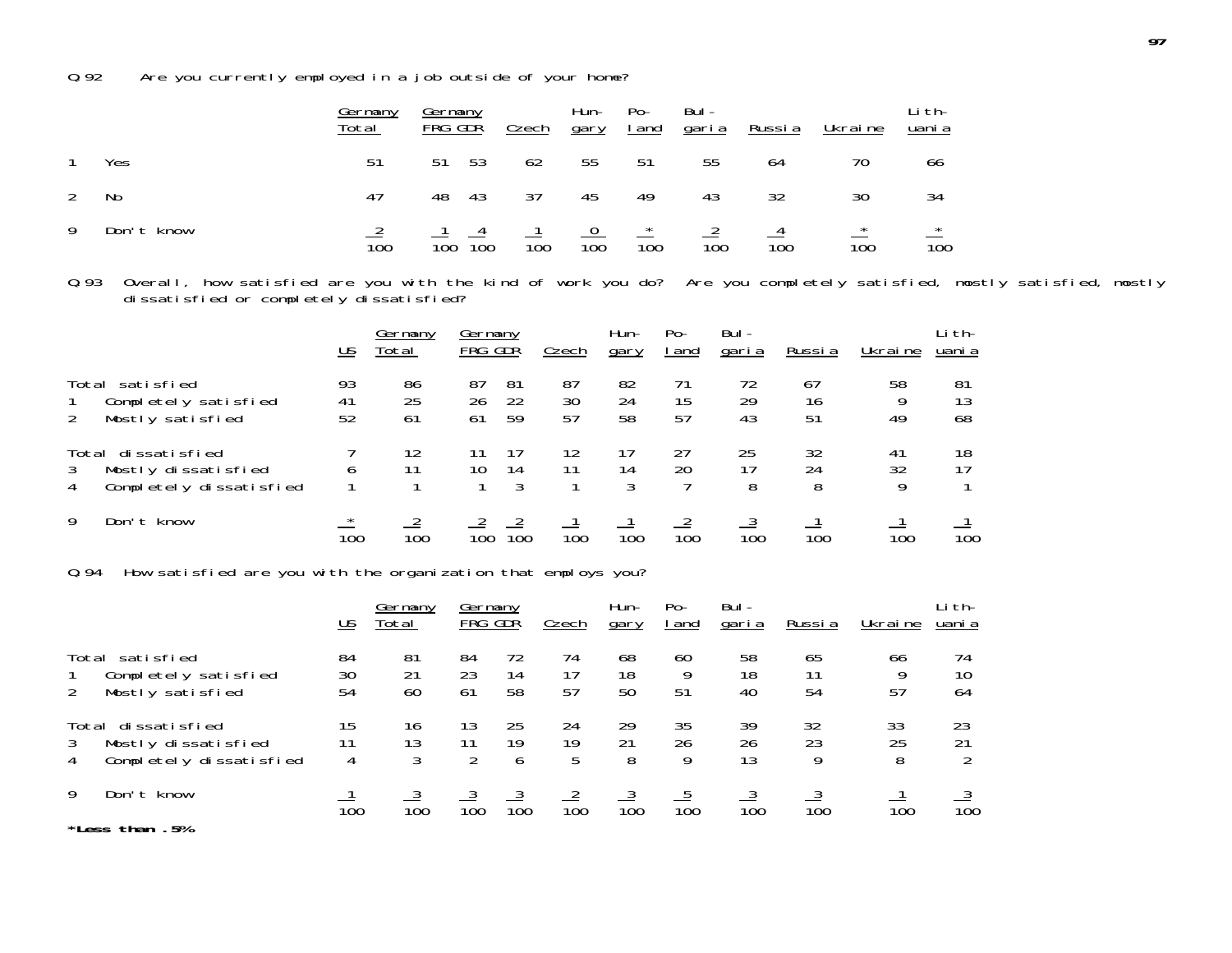Q.92 Are you currently employed in a job outside of your home?

|   |            | <u>Germany</u><br>Total | Germany<br>FRG GDR |      | Czech            | Hun-<br>gary     | $Po-$<br><u>I</u> and | Bul -<br><u>qaria</u> | <u>Russia</u>    | <u>Ukraine</u>   | Li th-<br><u>uani a</u>     |
|---|------------|-------------------------|--------------------|------|------------------|------------------|-----------------------|-----------------------|------------------|------------------|-----------------------------|
|   | Yes        | 51                      | 51                 | - 53 | 62               | 55               | 51                    | 55                    | 64               | 70               | 66                          |
| 2 | No         | 47                      | 48                 | -43  | 37               | 45               | 49                    | 43                    | 32               | 30               | 34                          |
| 9 | Don't know | $\overline{10}0$        | 100                | 100  | $\overline{10}0$ | $\overline{100}$ | 100                   | $\overline{10}0$      | $\overline{10}0$ | $\overline{100}$ | $\star$<br>$\overline{100}$ |

Q.93 Overall, how satisfied are you with the kind of work you do? Are you completely satisfied, mostly satisfied, mostly dissatisfied or completely dissatisfied?

|                                                                                | US             | Germany<br>Total | Germany<br>FRG GDŘ |                | Czech            | Hun-<br>gary     | $Po-$<br>l and   | Bul-<br>garia    | Russi a        | Ukraine       | Li th-<br>uani a |
|--------------------------------------------------------------------------------|----------------|------------------|--------------------|----------------|------------------|------------------|------------------|------------------|----------------|---------------|------------------|
| Total satisfied<br>Completely satisfied<br>Mostly satisfied                    | 93<br>41<br>52 | 86<br>25<br>61   | 87<br>26<br>61     | 81<br>22<br>59 | 87<br>30<br>57   | 82<br>24<br>58   | 71<br>15<br>57   | 72<br>29<br>43   | 67<br>16<br>51 | 58<br>49      | 81<br>13<br>68   |
| Total dissatisfied<br>Mostly dissatisfied<br>3<br>Completely dissatisfied<br>4 |                | 12               | 10                 | 14<br>3        |                  | 14<br>3          | 27<br>20         | 25<br>8          | 32<br>24<br>8  | 41<br>32<br>9 | 18<br>17         |
| 9<br>Don't know                                                                | $\star$<br>100 | $\overline{10}0$ | 100                | 100            | $\overline{10}0$ | $\overline{10}0$ | $\overline{10}0$ | $\overline{10}0$ | 100            | 100           | $\overline{10}0$ |

Q.94 How satisfied are you with the organization that employs you?

|                                                                                | US             | Germany<br>Total | Germany<br>FRG GDR |                | Czech           | Hun-<br>gary   | $Po-$<br>l and | Bul-<br><u>garia</u> | Russia         | Ukraine       | Li th-<br>uani a |
|--------------------------------------------------------------------------------|----------------|------------------|--------------------|----------------|-----------------|----------------|----------------|----------------------|----------------|---------------|------------------|
| Total satisfied<br>Completely satisfied<br>Mostly satisfied<br>2               | 84<br>30<br>54 | 81<br>21<br>60   | 84<br>23<br>61     | 72<br>14<br>58 | 74<br>17<br>57  | 68<br>18<br>50 | 60<br>9<br>51  | 58<br>18<br>40       | 65<br>11<br>54 | 66<br>9<br>57 | 74<br>10<br>64   |
| Total dissatisfied<br>Mostly dissatisfied<br>3<br>Completely dissatisfied<br>4 | 15<br>11<br>4  | 16<br>13<br>3    | 13<br>11<br>2      | 25<br>19<br>6  | 24<br>19<br>5   | 29<br>21<br>8  | 35<br>26<br>Q  | 39<br>26<br>13       | 32<br>23<br>9  | 33<br>25<br>8 | 23<br>21         |
| 9<br>Don't know<br>*Less than .5%                                              | 100            | 100              | 100                | 100            | $\frac{2}{100}$ | 100            | 100            | 100                  | 100            | 100           | $\frac{3}{100}$  |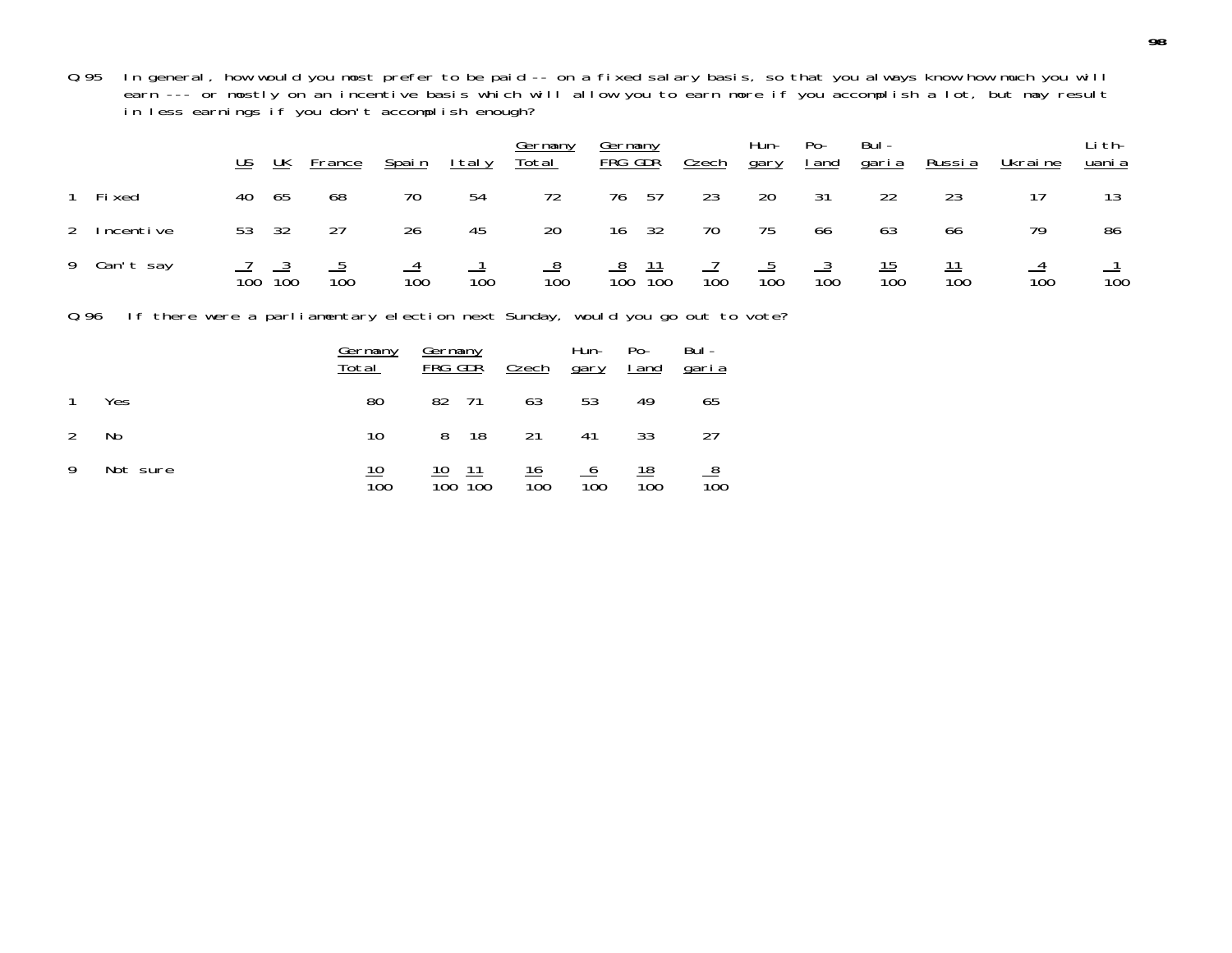Q.95 In general, how would you most prefer to be paid -- on a fixed salary basis, so that you always know how much you will earn --- or mostly on an incentive basis which will allow you to earn more if you accomplish a lot, but may result in less earnings if you don't accomplish enough?

|             | US. | UK    | <b>France</b>                                   | Spain           | <u>Italy</u>    | <u>Germany</u><br><u>Total</u> | <u>Germany</u><br><u>FRG GDR</u>                 | <u>Czech</u>    | Hun-<br><u>gary</u> | Po-<br><u>I and</u> | Bul -<br><u>garia</u> | <u>Russia</u>    | Ukrai ne        | Li th-<br>uani a |
|-------------|-----|-------|-------------------------------------------------|-----------------|-----------------|--------------------------------|--------------------------------------------------|-----------------|---------------------|---------------------|-----------------------|------------------|-----------------|------------------|
| 1 Fixed     |     | 40 65 | 68                                              | 70              | 54              | 72                             | 76 57                                            | 23              | 20                  | 31                  | 22                    | 23               |                 | 13               |
| 2 Incentive |     | 53 32 | 27                                              | 26              | 45              | 20                             | 16 32                                            | 70              | 75                  | 66                  | 63                    | 66               | 79              | 86               |
| 9 Can't say |     |       | $\frac{7}{100}$ $\frac{3}{100}$ $\frac{5}{100}$ | $\frac{4}{100}$ | $\frac{1}{100}$ |                                | $\frac{8}{100}$ $\frac{8}{100}$ $\frac{11}{100}$ | $\frac{7}{100}$ | $\frac{5}{100}$     | $\frac{3}{100}$     | $\frac{15}{100}$      | $\frac{11}{100}$ | $\frac{4}{100}$ | $\frac{1}{100}$  |

Q.96 If there were a parliamentary election next Sunday, would you go out to vote?

|                |          | <u>Germany</u><br>Total | <u>Germany</u><br>FRG GDR         | <u>Czech</u>     | Hun-<br>gary    | $Po-$<br><u>I and</u> | Bul-<br><u>qaria</u> |
|----------------|----------|-------------------------|-----------------------------------|------------------|-----------------|-----------------------|----------------------|
| $\overline{1}$ | Yes      | 80                      | 82 71                             | 63               | 53              | 49                    | 65                   |
| 2              | No       | 10                      | 8 18                              | 21               | 41              | 33                    | 27                   |
| -9             | Not sure | $\overline{10}0$        | $\frac{10}{100}$ $\frac{11}{100}$ | $\frac{16}{100}$ | $\frac{6}{100}$ | $\frac{18}{100}$      | $\frac{8}{100}$      |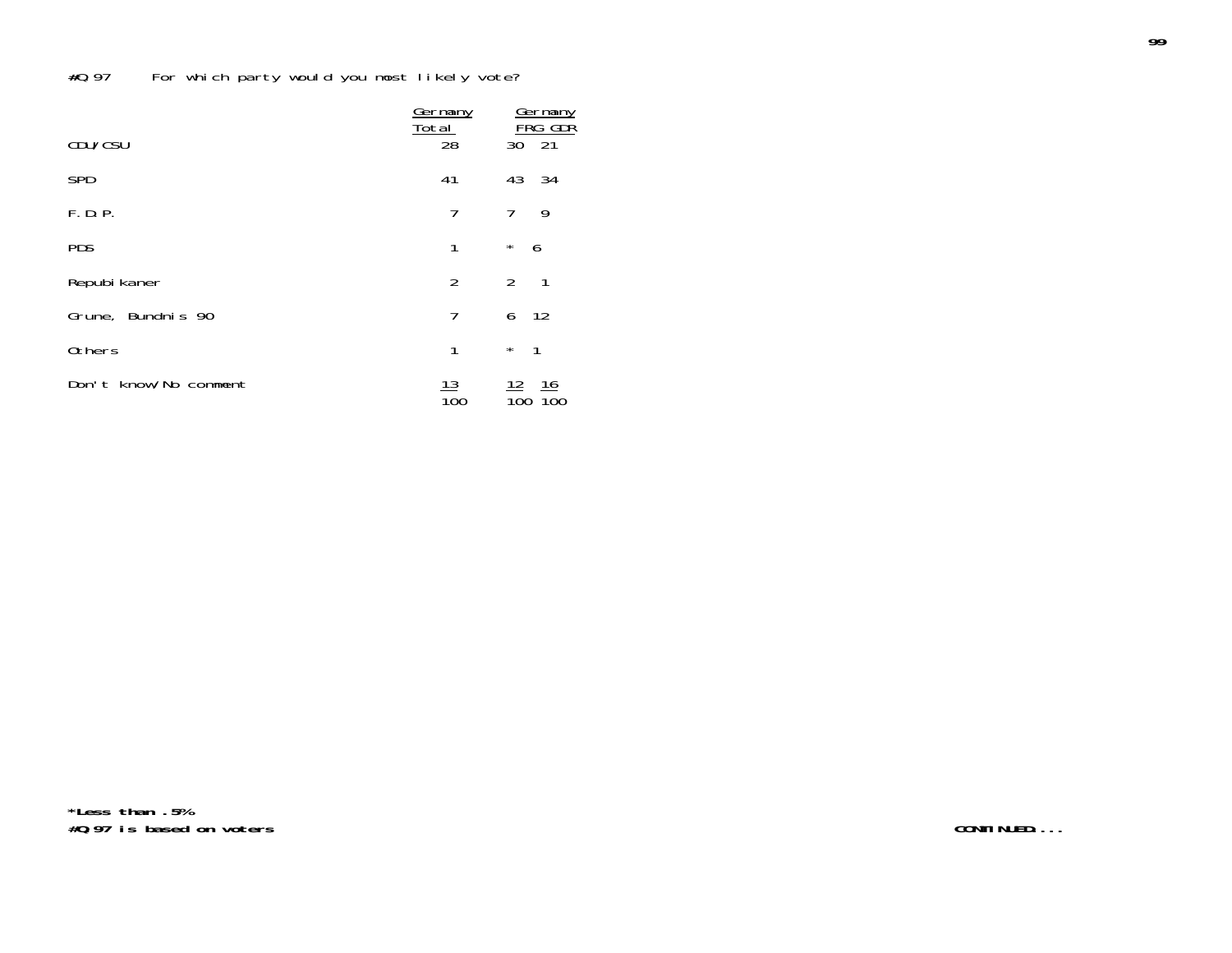|                       | Germany<br><u>Total</u> | Germany<br><b>FRG GDR</b> |
|-----------------------|-------------------------|---------------------------|
| CDU/CSU               | 28                      | 21<br>30                  |
| <b>SPD</b>            | 41                      | 43<br>34                  |
| F.D.P.                | 7                       | 7<br>9                    |
| <b>PDS</b>            | 1                       | $\star$<br>6              |
| Repubi kaner          | $\overline{2}$          | $\overline{2}$<br>1       |
| Grune, Bundnis 90     | 7                       | 6<br>-12                  |
| <b>Others</b>         | 1                       | $\star$<br>$\mathbf{1}$   |
| Don't know/No comment | 13<br>100               | 16<br>100                 |

**\*Less than .5% #Q.97 is based on voters**

**CONTINUED....**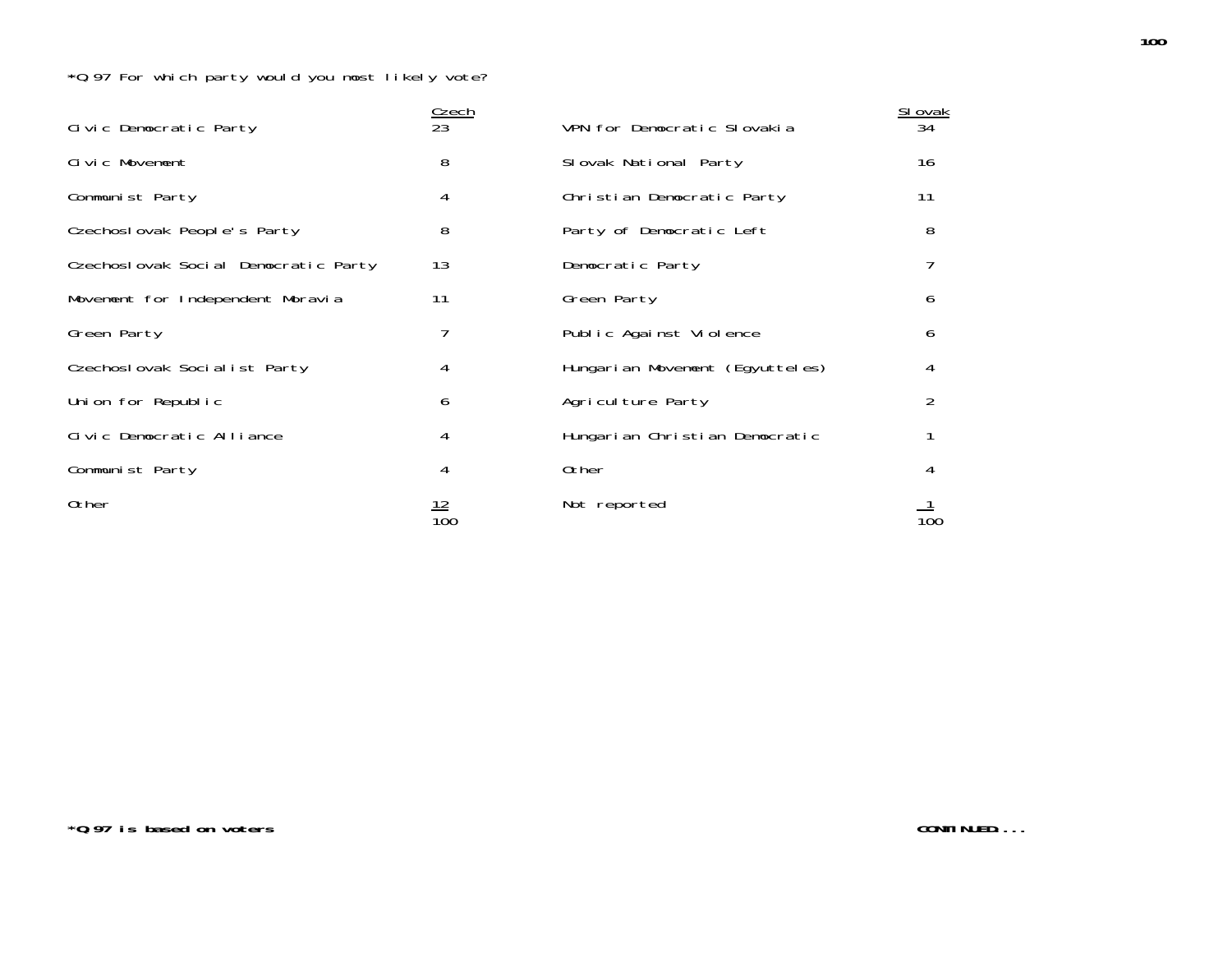| Civic Democratic Party               | <b>Czech</b><br>23             | VPN for Democratic Slovakia     | SI ovak<br>34 |
|--------------------------------------|--------------------------------|---------------------------------|---------------|
| Civic Movement                       | 8                              | Slovak National Party           | 16            |
| Communist Party                      | 4                              | Christian Democratic Party      | 11            |
| Czechoslovak People's Party          | 8                              | Party of Democratic Left        | 8             |
| Czechoslovak Social Democratic Party | 13                             | Democratic Party                |               |
| Movement for Independent Moravia     | 11                             | Green Party                     | 6             |
| Green Party                          |                                | Public Against Violence         | 6             |
| Czechoslovak Socialist Party         | 4                              | Hungarian Movement (Egyutteles) | 4             |
| Union for Republic                   | 6                              | Agriculture Party               | 2             |
| Civic Democratic Alliance            | 4                              | Hungarian Christian Democratic  |               |
| Communist Party                      | 4                              | 0ther                           | 4             |
| 0ther                                | <u> 12</u><br>$\overline{10}0$ | Not reported                    | 100           |

**\*Q.97 is based on voters**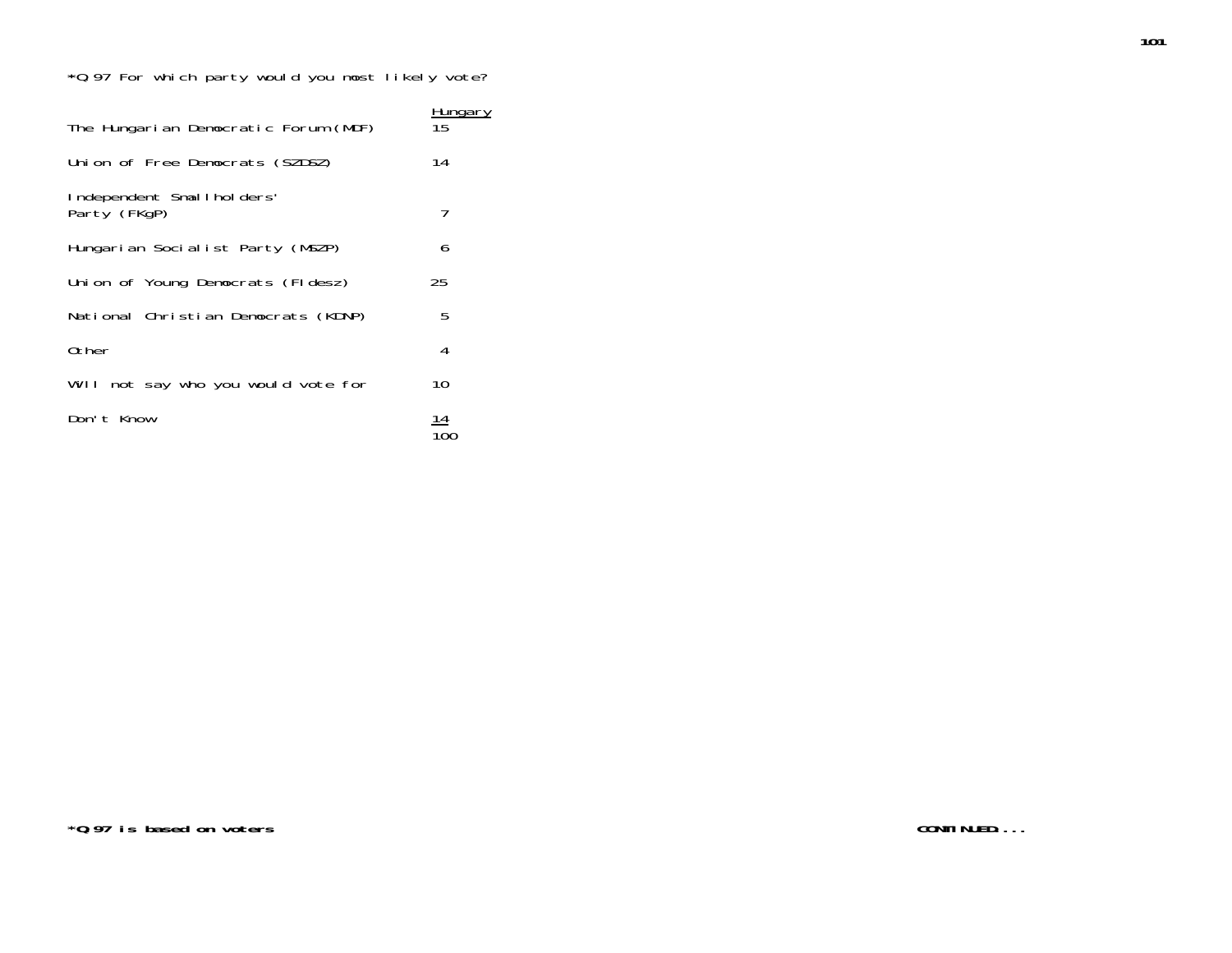| The Hungarian Democratic Forum (MDF)      | Hungary<br>15 |
|-------------------------------------------|---------------|
| Union of Free Democrats (SZDSZ)           | 14            |
| Independent Smallholders'<br>Party (FKgP) | 7             |
| Hungarian Socialist Party (MSZP)          | 6             |
| Union of Young Democrats (Fldesz)         | 25            |
| National Christian Democrats (KDNP)       | 5             |
| 0ther                                     | 4             |
| Will not say who you would vote for       | 10            |
| Don't Know                                | 14            |

**101**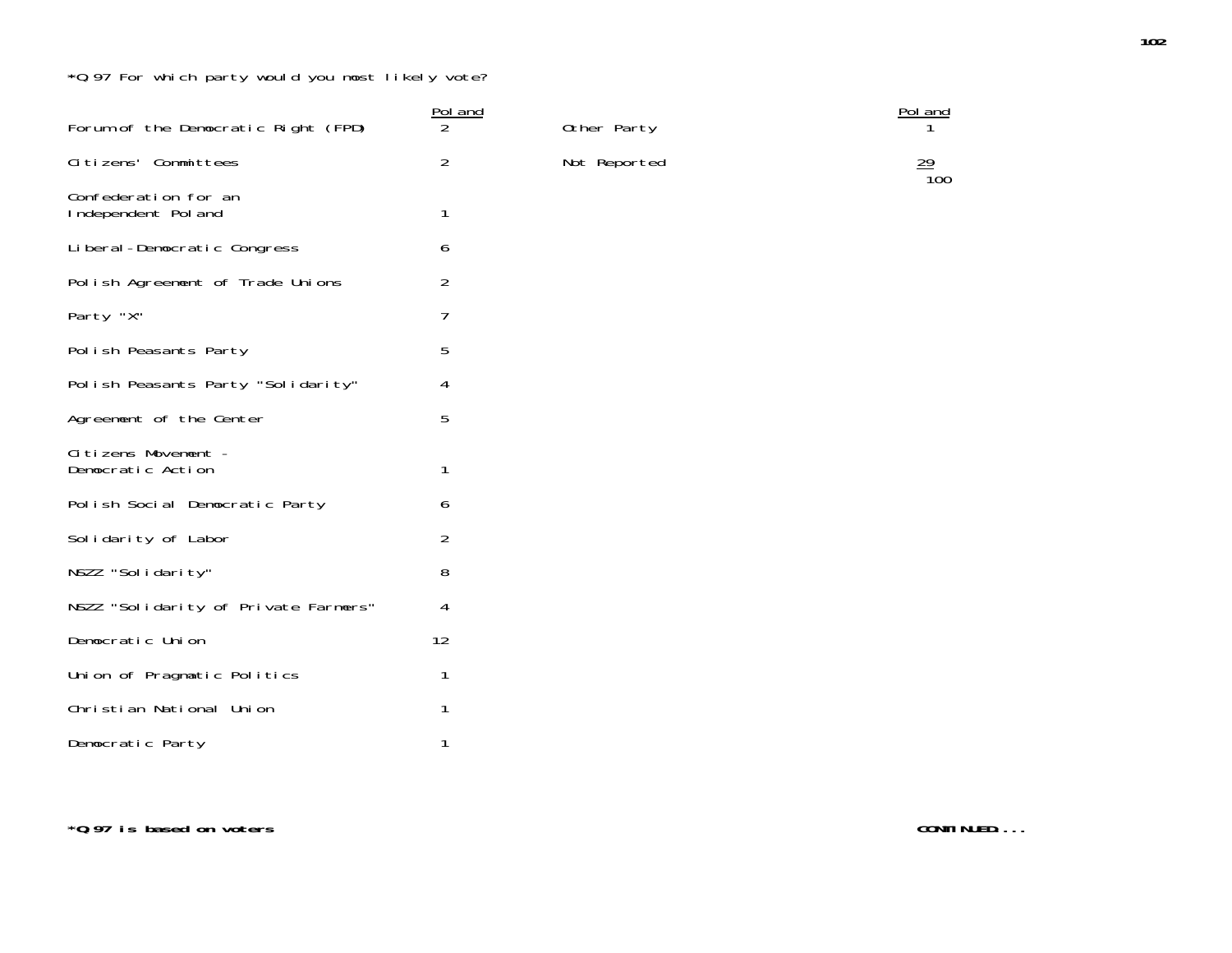| Forum of the Democratic Right (FPD)         | Pol and<br>$\overline{2}$ | Other Party  | Pol a          |
|---------------------------------------------|---------------------------|--------------|----------------|
| Citizens' Committees                        | $\overline{2}$            | Not Reported | $\frac{29}{1}$ |
| Confederation for an<br>Independent Pol and | 1                         |              |                |
| Liberal-Democratic Congress                 | 6                         |              |                |
| Polish Agreement of Trade Unions            | $\overline{2}$            |              |                |
| Party "X"                                   | 7                         |              |                |
| Polish Peasants Party                       | 5                         |              |                |
| Polish Peasants Party "Solidarity"          | 4                         |              |                |
| Agreement of the Center                     | 5                         |              |                |
| Citizens Movement -<br>Democratic Action    | 1                         |              |                |
| Polish Social Democratic Party              | 6                         |              |                |
| Solidarity of Labor                         | $\overline{2}$            |              |                |
| NSZZ "Solidarity"                           | 8                         |              |                |
| NSZZ "Solidarity of Private Farmers"        | 4                         |              |                |
| Democratic Union                            | 12                        |              |                |
| Union of Pragmatic Politics                 | 1                         |              |                |
| Christian National Union                    | 1                         |              |                |
| Democratic Party                            | 1                         |              |                |

Pol and<br>1 100

**\*Q.97 is based on voters**

**CONTINUED....**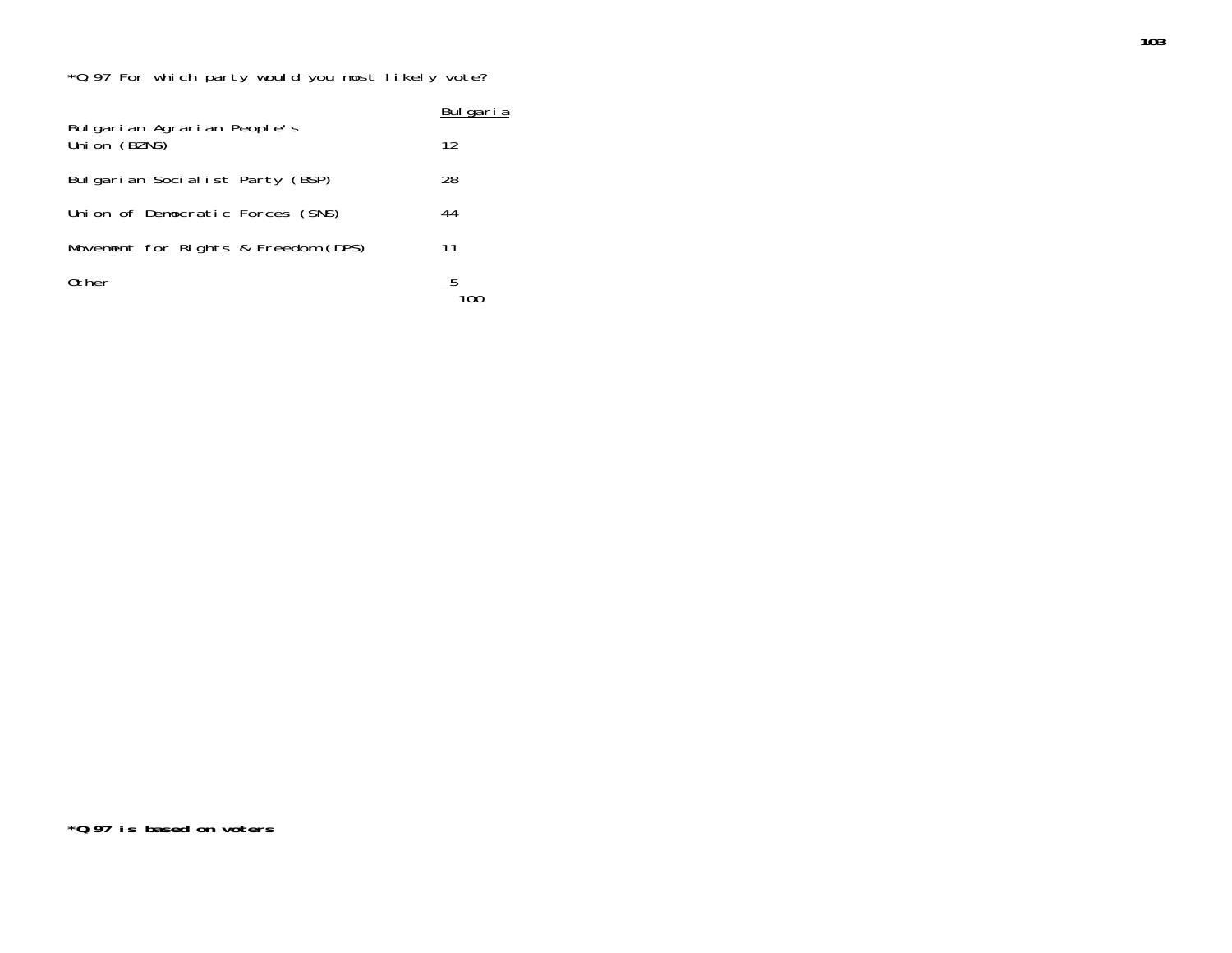|                                             | Bulgaria |  |  |  |
|---------------------------------------------|----------|--|--|--|
| Bulgarian Agrarian People's<br>Union (BZNS) | 12       |  |  |  |
| Bulgarian Socialist Party (BSP)             | 28       |  |  |  |
| Union of Democratic Forces (SNS)            | 44       |  |  |  |
| Movement for Rights & Freedom (DPS)         | 11       |  |  |  |
| Other                                       |          |  |  |  |

**103**

**\*Q.97 is based on voters**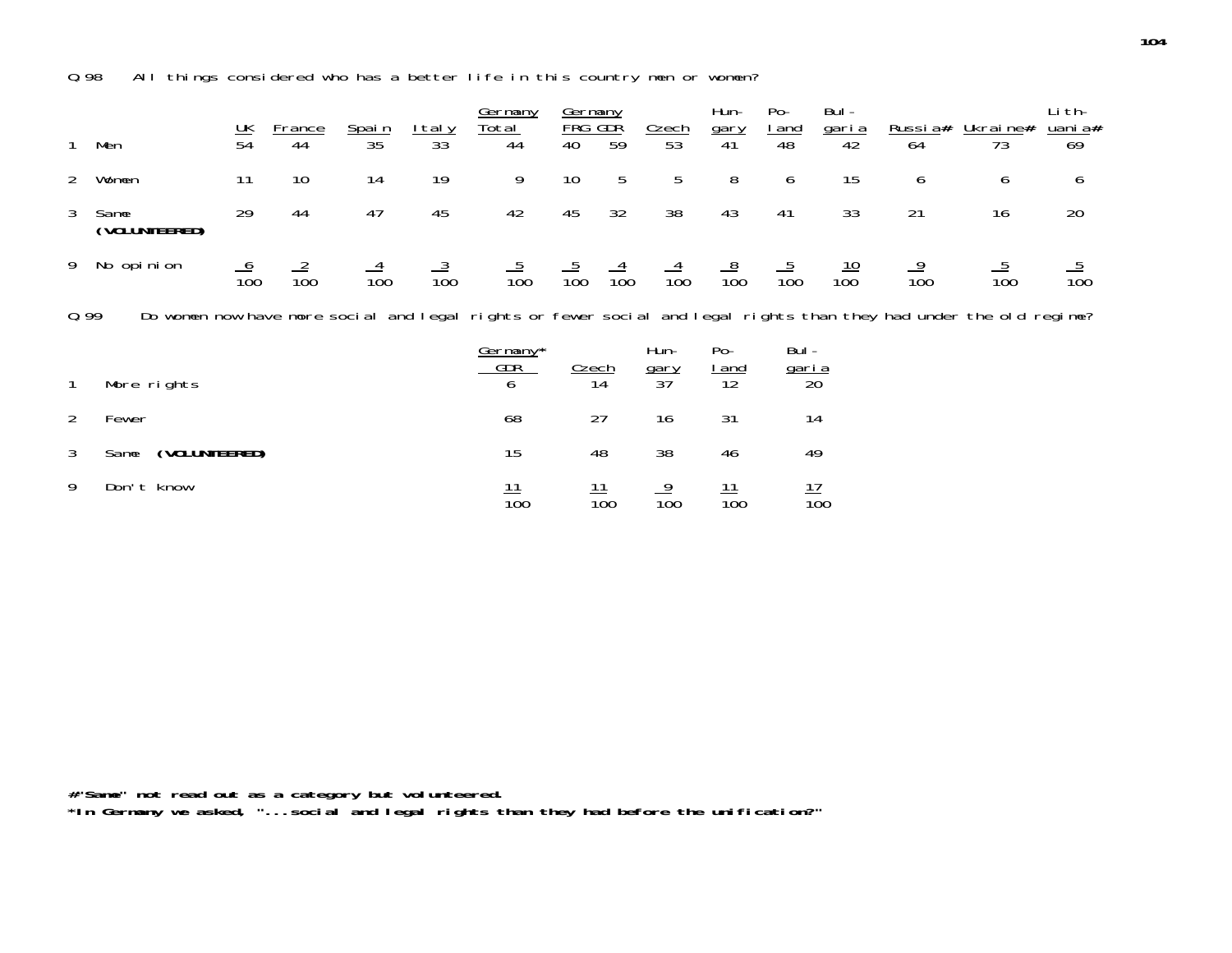Q.98 All things considered who has a better life in this country men or women?

| 1              | Men                                                                                                                 | $\frac{UK}{54}$ | <b>France</b><br>44 | Spain<br>35     | <u>Italy</u><br>33 <sup>2</sup> | Germany<br>Total<br>44      | Germany<br>FRG<br>40 | <b>GDR</b><br>59 | Czech<br>53               | Hun-<br>gary<br>41          | $Po-$<br><u>l and</u><br>48          | Bul-<br><u>garia</u><br>42 | <u>Russia#</u><br>64 | Ukraine#<br>73  | Li th-<br><u>uani a</u> #<br>69 |
|----------------|---------------------------------------------------------------------------------------------------------------------|-----------------|---------------------|-----------------|---------------------------------|-----------------------------|----------------------|------------------|---------------------------|-----------------------------|--------------------------------------|----------------------------|----------------------|-----------------|---------------------------------|
| $\mathbf{2}$   | Women                                                                                                               | 11              | 10                  | 14              | 19                              | 9                           | 10                   | 5                | 5                         | 8                           | 6                                    | 15                         | 6                    | 6               | 6                               |
| 3              | Same<br>(VOLUNTEERED)                                                                                               | 29              | 44                  | 47              | 45                              | 42                          | 45                   | 32               | 38                        | 43                          | 41                                   | 33                         | 21                   | 16              | 20                              |
| 9              | No opinion                                                                                                          | $\frac{6}{100}$ | $\frac{2}{100}$     | $\frac{4}{100}$ | $\frac{3}{100}$                 | $\frac{5}{100}$             | $\frac{5}{100}$      | $\frac{4}{100}$  | $\frac{4}{100}$           | $\frac{8}{100}$             | $\frac{5}{100}$                      | $\frac{10}{100}$           | $\frac{9}{100}$      | $\frac{5}{100}$ | $\overline{10}0$                |
| 0.99           | Do women now have more social and legal rights or fewer social and legal rights than they had under the old regime? |                 |                     |                 |                                 |                             |                      |                  |                           |                             |                                      |                            |                      |                 |                                 |
| $\mathbf{1}$   | More rights                                                                                                         |                 |                     |                 |                                 | Germany*<br><b>GDR</b><br>6 | Czech                | 14               | Hun-<br>$\frac{gary}{37}$ | $Po-$<br><u>l and</u><br>12 | Bul -<br>$\frac{\text{gari}\,a}{20}$ |                            |                      |                 |                                 |
| $\overline{2}$ | Fewer                                                                                                               |                 |                     |                 |                                 | 68                          |                      | 27               | 16                        | 31                          |                                      | 14                         |                      |                 |                                 |
| 3              | (VOLUNTEERED)<br>Same                                                                                               |                 |                     |                 |                                 | 15                          |                      | 48               | 38                        | 46                          |                                      | 49                         |                      |                 |                                 |
| 9              | Don't know                                                                                                          |                 |                     |                 |                                 | $\frac{11}{100}$            |                      | $\frac{11}{100}$ | $\frac{9}{100}$           | $\frac{11}{100}$            |                                      | $\frac{17}{100}$           |                      |                 |                                 |

**#"Same" not read out as a category but volunteered.**

**\*In Germany we asked, "...social and legal rights than they had before the unification?"**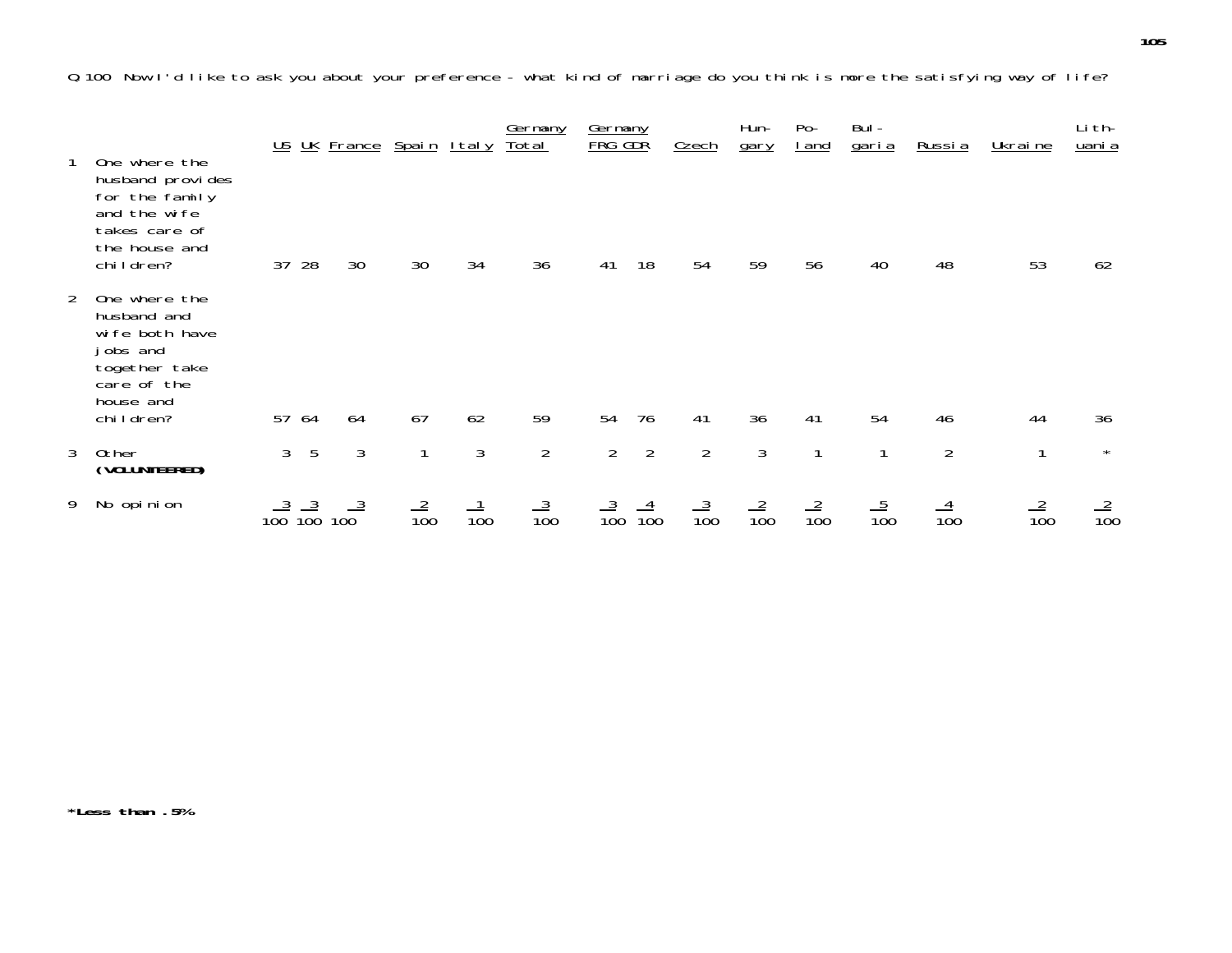Q.100 Now I'd like to ask you about your preference - what kind of marriage do you think is more the satisfying way of life?

|                |                                                                                                                      |           |                 | US UK France Spain Italy |                 |                 | Germany<br><u>Total</u> | Germany<br>FRG GDR |                 | Czech           | Hun-<br>gary    | $Po-$<br><u>I</u> and | Bul -<br><u>garia</u> | <u>Russia</u>   | Ukraine         | Li th-<br>uani a |
|----------------|----------------------------------------------------------------------------------------------------------------------|-----------|-----------------|--------------------------|-----------------|-----------------|-------------------------|--------------------|-----------------|-----------------|-----------------|-----------------------|-----------------------|-----------------|-----------------|------------------|
|                | One where the<br>husband provides<br>for the family<br>and the wife<br>takes care of<br>the house and<br>children?   | 37        | 28              | 30                       | 30              | 34              | 36                      | 41                 | 18              | 54              | 59              | 56                    | 40                    | 48              | 53              | 62               |
| $\overline{2}$ | One where the<br>husband and<br>wife both have<br>jobs and<br>together take<br>care of the<br>house and<br>children? |           | 57 64           | 64                       | 67              | 62              | 59                      | 54                 | 76              | 41              | 36              | 41                    | 54                    | 46              | 44              | 36               |
| 3              | Other<br>(VOLUNTEERED)                                                                                               | 3         | 5               | 3                        | 1               | 3               | $\overline{2}$          | $\overline{2}$     | $\overline{2}$  | $\overline{2}$  | $\mathfrak{Z}$  | $\mathbf{1}$          | $\mathbf{1}$          | $\overline{2}$  | 1               | $\star$          |
|                | 9 No opinion                                                                                                         | $100^{3}$ | $\frac{3}{100}$ | $100\frac{3}{2}$         | $\frac{2}{100}$ | $\frac{1}{100}$ | $\frac{3}{100}$         | $\frac{3}{100}$    | $\frac{4}{100}$ | $\frac{3}{100}$ | $\frac{2}{100}$ | $\frac{2}{100}$       | $\frac{5}{100}$       | $\frac{4}{100}$ | $\frac{2}{100}$ | $\frac{2}{100}$  |

**\*Less than .5%**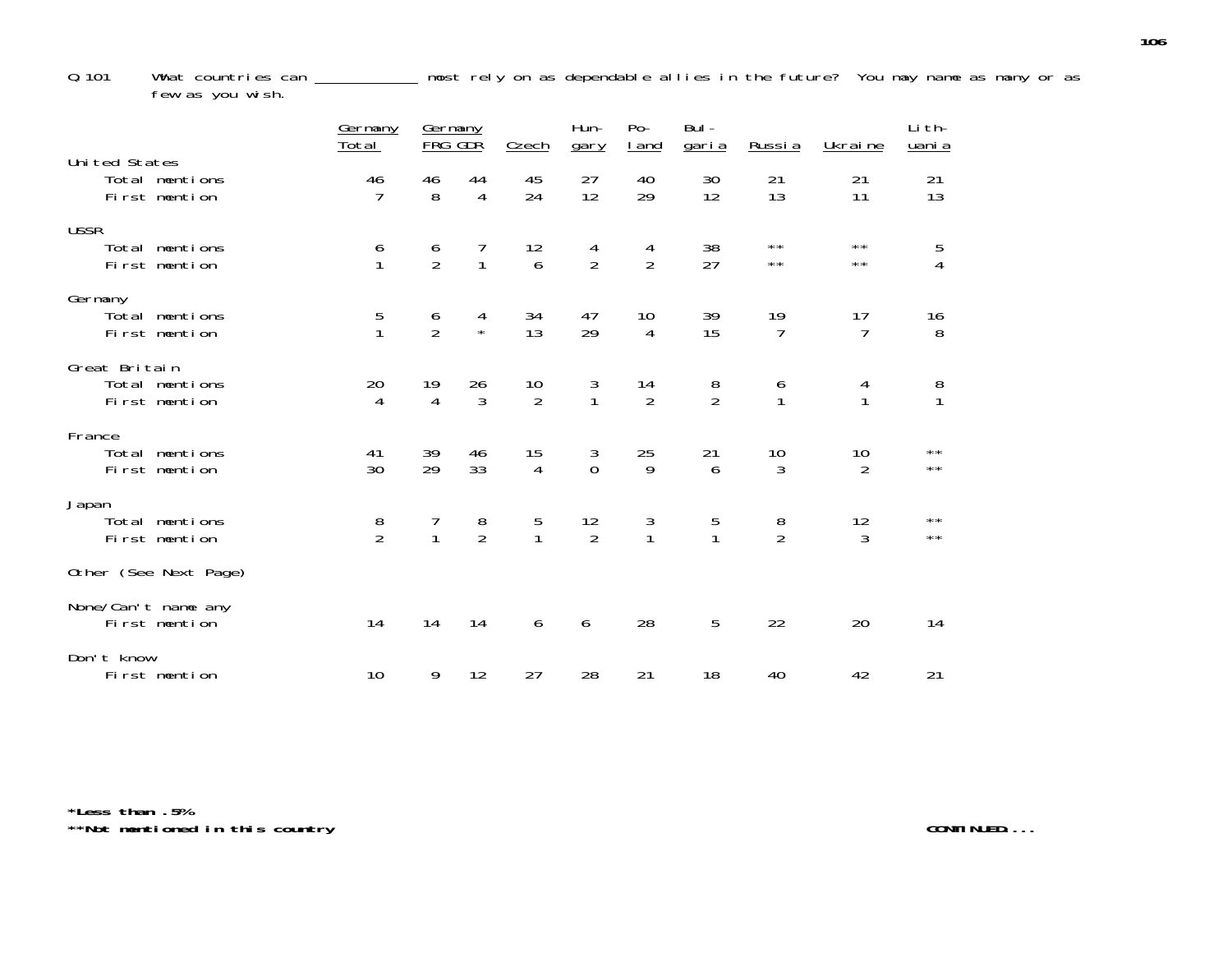Q.101 What countries can most rely on as dependable allies in the future? You may name as many or as few as you wish.

|                                                   | Germany<br>Total                      | Germany<br><b>FRG GDR</b> |                      | Czech                                  | Hun-<br>gary                           | $Po-$<br><u>I and</u>                  | Bul-<br><u>garia</u> | Russia                                 | Ukraine                                | Li th-<br>uani a                       |
|---------------------------------------------------|---------------------------------------|---------------------------|----------------------|----------------------------------------|----------------------------------------|----------------------------------------|----------------------|----------------------------------------|----------------------------------------|----------------------------------------|
| Uni ted States<br>Total mentions<br>First mention | 46<br>$\overline{7}$                  | 46<br>8                   | 44<br>$\overline{4}$ | 45<br>24                               | 27<br>12                               | 40<br>29                               | 30<br>12             | 21<br>13                               | 21<br>11                               | 21<br>13                               |
| <b>USSR</b><br>Total mentions<br>First mention    | $\begin{array}{c} 6 \\ 1 \end{array}$ | $\frac{6}{2}$             | 7<br>$\mathbf{1}$    | 12<br>$6\overline{6}$                  | 4<br>$\overline{2}$                    | 4<br>$\overline{2}$                    | 38<br>27             | $\star\star$<br>$\star\star$           | $\star\star$<br>$\star\star$           | 5<br>$\overline{4}$                    |
| Germany<br>Total mentions<br>First mention        | $\frac{5}{1}$                         | $\frac{6}{2}$             | 4<br>$\star$         | 34<br>13                               | 47<br>29                               | 10<br>$\overline{4}$                   | 39<br>15             | $\begin{array}{c} 19 \\ 7 \end{array}$ | 17<br>$\overline{7}$                   | $\begin{array}{c} 16 \\ 8 \end{array}$ |
| Great Britain<br>Total mentions<br>First mention  | 20<br>4                               | 19<br>$\overline{4}$      | 26<br>3              | $\begin{array}{c} 10 \\ 2 \end{array}$ | $\frac{3}{1}$                          | $\begin{array}{c} 14 \\ 2 \end{array}$ | $\frac{8}{2}$        | $\begin{array}{c} 6 \\ 1 \end{array}$  | $\begin{array}{c} 4 \\ 1 \end{array}$  | $\frac{8}{1}$                          |
| France<br>Total mentions<br>First mention         | 41<br>30                              | 39<br>29                  | 46<br>33             | 15<br>$\overline{4}$                   | $\begin{matrix} 3 \\ 0 \end{matrix}$   | 25<br>9                                | 21<br>6              | $\begin{array}{c} 10 \\ 3 \end{array}$ | $\begin{array}{c} 10 \\ 2 \end{array}$ | $\star\star$<br>$***$                  |
| Japan<br>Total mentions<br>First mention          | $\frac{8}{2}$                         |                           | $\frac{8}{2}$        | $\frac{5}{1}$                          | $\begin{array}{c} 12 \\ 2 \end{array}$ | $\frac{3}{1}$                          | $\frac{5}{1}$        | $\frac{8}{2}$                          | $\begin{array}{c} 12 \\ 3 \end{array}$ | $\star\star$<br>$\star\star$           |
| Other (See Next Page)                             |                                       |                           |                      |                                        |                                        |                                        |                      |                                        |                                        |                                        |
| None/Can't name any<br>First mention              | 14                                    | 14                        | 14                   | 6                                      | 6                                      | 28                                     | 5                    | 22                                     | 20                                     | 14                                     |
| Don't know<br>First mention                       | 10                                    | 9                         | 12                   | 27                                     | 28                                     | 21                                     | 18                   | 40                                     | 42                                     | 21                                     |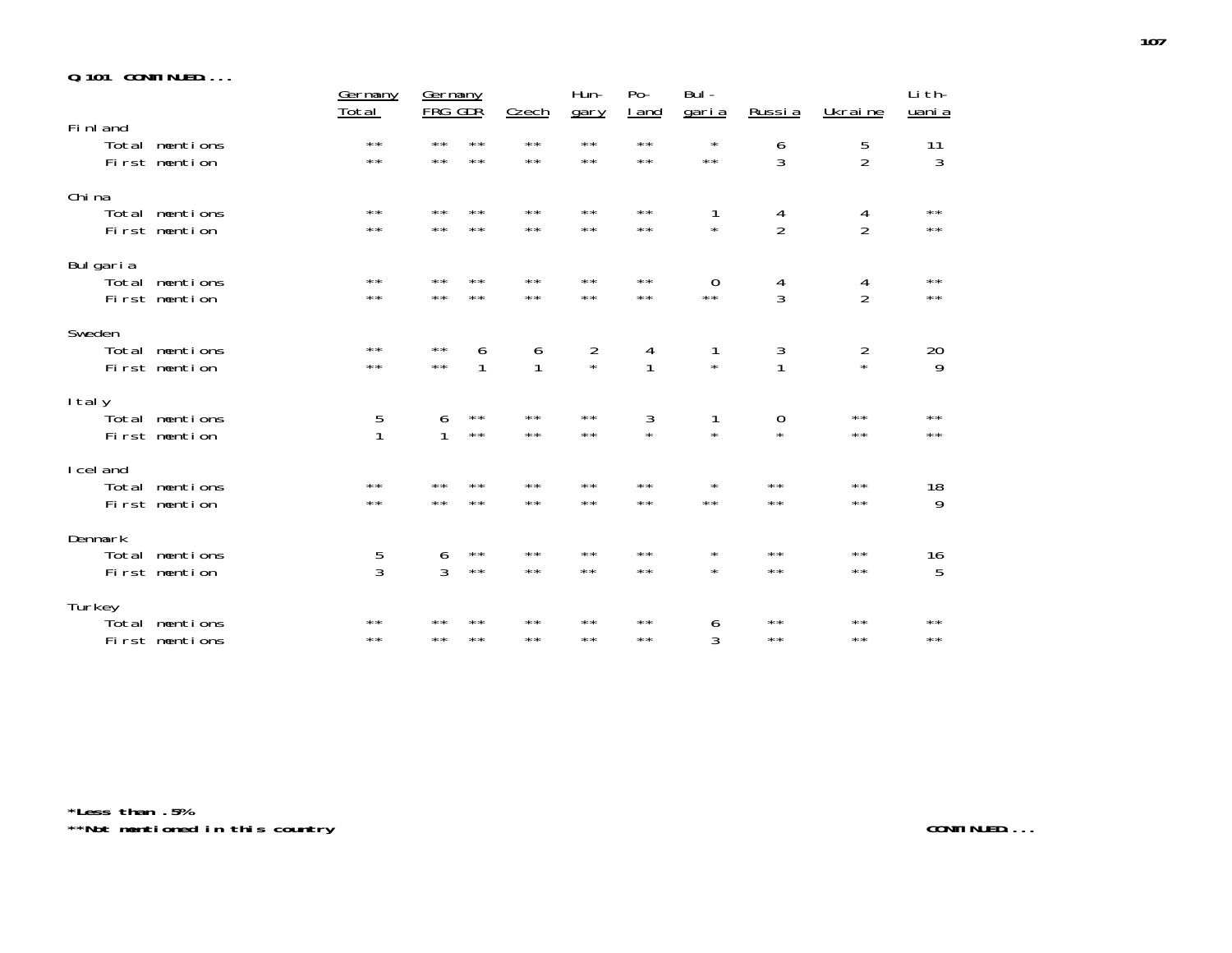|  |  | <b>Q.101 CONTINUED</b> |  |  |  |  |
|--|--|------------------------|--|--|--|--|
|--|--|------------------------|--|--|--|--|

|                                              | Germany<br><u>Total</u>      | <b>Germany</b><br>FRG GDR                                    | <b>Czech</b>                          | Hun-<br>gary                 | $Po-$<br><u>I</u> and          | Bul -<br><u>garia</u>         | <u>Russia</u>                | Ukraine                        | Li th-<br>uani a               |
|----------------------------------------------|------------------------------|--------------------------------------------------------------|---------------------------------------|------------------------------|--------------------------------|-------------------------------|------------------------------|--------------------------------|--------------------------------|
| Fi nl and<br>Total mentions<br>First mention | $\star\star$<br>$\star\star$ | $\star\star$<br>$\star\star$<br>$\star\star$<br>$\star\star$ | $\star\star$<br>$\star\star$          | $\star\star$<br>$\star\star$ | $\star\star$<br>$\star\star$   | $\star$<br>$\star\star$       | 6<br>3                       | 5<br>$\overline{2}$            | 11<br>$\mathfrak{Z}$           |
| Chi na<br>Total mentions<br>First mention    | $* *$<br>$* *$               | $\star\star$<br>$**$<br>$\star\star$<br>$**$                 | $\star\star$<br>$\star\star$          | $\star\star$<br>$\star\star$ | $\star\star$<br>$\star\star$   | 1<br>$\star$                  | 4<br>$\overline{2}$          | 4<br>$\overline{2}$            | $\star\star$<br>$\star\,\star$ |
| Bulgaria<br>Total mentions<br>First mention  | $\star\star$<br>$\star\star$ | $\star\star$<br>$**$<br>$\star\star$<br>$\star\star$         | $\star\star$<br>$\star\star$          | $\star\star$<br>$\star\star$ | $\star\star$<br>$\star\,\star$ | $\mathbf 0$<br>$\star\,\star$ | 4<br>$\overline{3}$          | 4<br>$\overline{2}$            | $\star\star$<br>$\star\,\star$ |
| Sweden<br>Total mentions<br>First mention    | $\star\star$<br>$\star\star$ | $\star\star$<br>6<br>$\star\star$<br>1                       | $\begin{array}{c} 6 \\ 1 \end{array}$ | $\frac{2}{x}$                | $\frac{4}{1}$                  | 1<br>$\star$                  | $\frac{3}{1}$                | $\frac{2}{x}$                  | 20<br>9                        |
| I tal y<br>Total mentions<br>First mention   | 5<br>$\mathbf{1}$            | $\star\star$<br>6<br>$\star\star$<br>1                       | $\star\star$<br>$\star\star$          | $\star\star$<br>$\star\star$ | 3<br>$\star$                   | 1<br>$\star$                  | $\boldsymbol{0}$<br>$\star$  | $\star\star$<br>$\star\,\star$ | $\star\star$<br>$\star\star$   |
| I cel and<br>Total mentions<br>First mention | $* *$<br>$\star\star$        | $\star\star$<br>$**$<br>$\star\star$<br>$\star\star$         | $\star\star$<br>$\star\star$          | $* *$<br>$\star\star$        | $***$<br>$\star\star$          | $\star$<br>$\star\star$       | $\star\star$<br>$\star\star$ | $\star\star$<br>$\star\star$   | 18<br>9                        |
| Denmark<br>Total mentions<br>First mention   | 5<br>3                       | $\star\star$<br>6<br>3<br>$\star\star$                       | $\star\star$<br>$\star\star$          | $\star\star$<br>$\star\star$ | $\star\star$<br>$\star\star$   | $\star$<br>$\star$            | $***$<br>$\star\star$        | $\star\star$<br>$\star\star$   | 16<br>5                        |
| Turkey<br>Total mentions<br>First mentions   | $\star\star$<br>$* *$        | $* *$<br>$* *$<br>$\star\star$<br>$**$                       | $\star\star$<br>$\star\star$          | $\star\star$<br>$\star\star$ | $\star\star$<br>$* *$          | 6<br>3                        | $\star\star$<br>$\star\star$ | $\star\star$<br>$* *$          | $\star\star$<br>$***$          |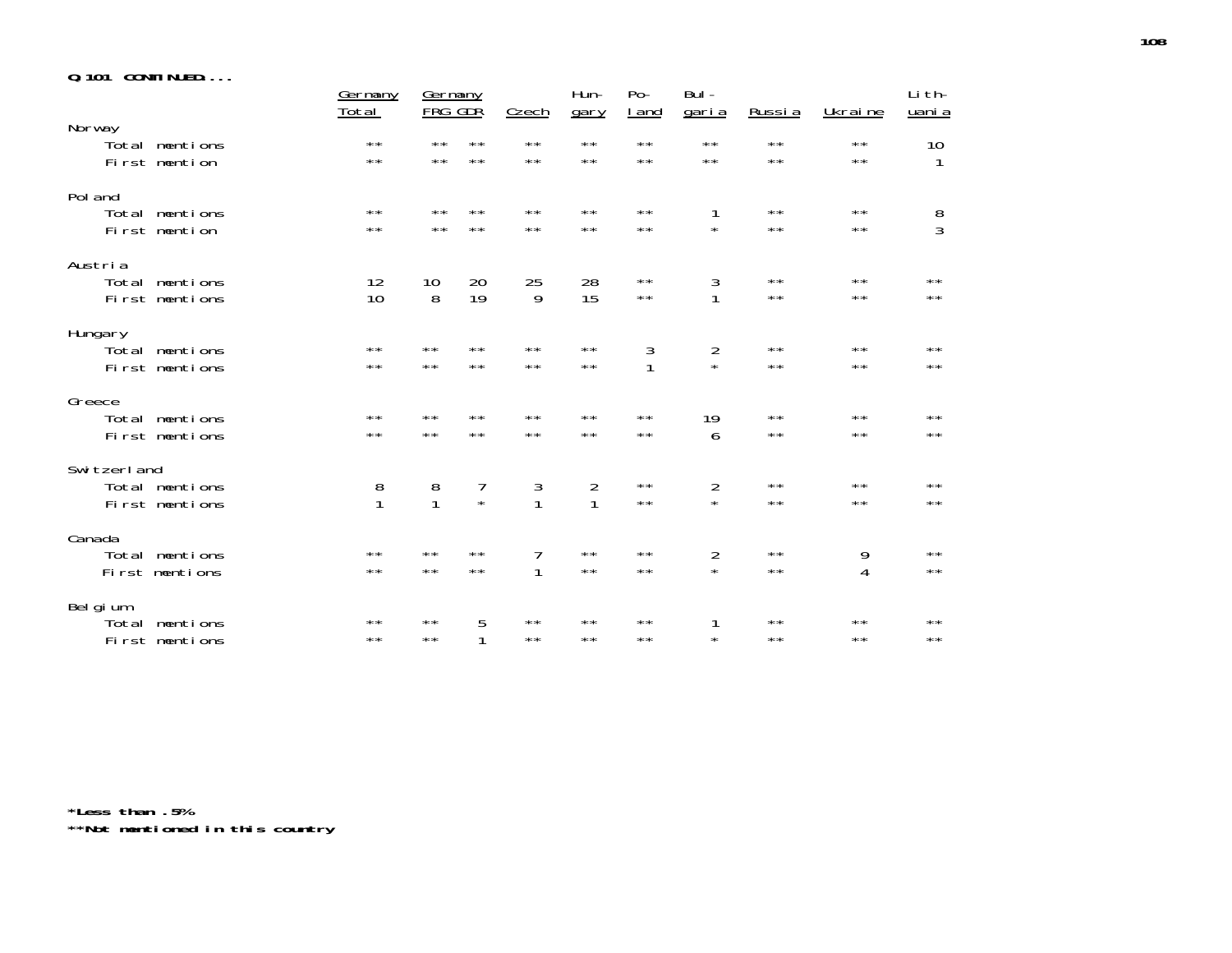|  |  | <b>Q.101 CONTINUED</b> |  |  |  |  |
|--|--|------------------------|--|--|--|--|
|--|--|------------------------|--|--|--|--|

|                                                 | Germany<br><u>Total</u>               | Germany<br><b>FRG GDR</b>             |                              | <b>Czech</b>                 | Hun-<br>gary                 | $Po-$<br><u>I and</u>        | Bul -<br><u>garia</u>        | Russia                       | Ukraine                      | Li th-<br>uani a             |
|-------------------------------------------------|---------------------------------------|---------------------------------------|------------------------------|------------------------------|------------------------------|------------------------------|------------------------------|------------------------------|------------------------------|------------------------------|
| Norway<br>Total mentions<br>First mention       | $\star\star$<br>$\star\star$          | $\star\star$<br>$\star\star$          | $\star\star$<br>$\star\star$ | $\star\star$<br>$\star\star$ | $\star\star$<br>$\star\star$ | $***$<br>$\star\star$        | $\star\star$<br>$\star\star$ | $\star\star$<br>$***$        | $\star\star$<br>$\star\star$ | 10<br>1                      |
| Pol and<br>Total mentions<br>First mention      | $\star\star$<br>$\star\star$          | $* *$<br>$\star\star$                 | $\star\star$<br>$\star\star$ | $\star\star$<br>$\star\star$ | $\star\star$<br>$***$        | $\star\star$<br>$\star\star$ | 1<br>$\star$                 | $***$<br>$***$               | $\star\star$<br>$**$         | $\frac{8}{3}$                |
| Austria<br>Total mentions<br>First mentions     | 12<br>10                              | 10<br>8                               | 20<br>19                     | 25<br>9                      | 28<br>15                     | $\star\star$<br>$\star\star$ | $\frac{3}{1}$                | $\star\star$<br>$\star\star$ | $\star\star$<br>$\star\star$ | $**$<br>$\star\star$         |
| Hungary<br>Total mentions<br>First mentions     | $***$<br>$\star\star$                 | $\star\star$<br>$* *$                 | $\star\star$<br>$**$         | $\star\star$<br>$***$        | $\star\star$<br>$\star\star$ | $\sqrt{3}$<br>$\mathbf{1}$   | $\frac{2}{x}$                | $***$<br>$\star\star$        | $\star\star$<br>$\star\star$ | $* *$<br>$\star\star$        |
| Greece<br>Total mentions<br>First mentions      | $\star\star$<br>$\star\star$          | $\star\star$<br>$\star\star$          | $***$<br>$\star\star$        | $\star\star$<br>$\star\star$ | $\star\star$<br>$\star\star$ | $\star\star$<br>$\star\star$ | 19<br>6                      | $\star\star$<br>$\star\star$ | $\star\star$<br>$\star\star$ | $***$<br>$\star\star$        |
| Switzerland<br>Total mentions<br>First mentions | $\begin{array}{c} 8 \\ 1 \end{array}$ | $\begin{array}{c} 8 \\ 1 \end{array}$ | 7<br>$\star$                 | $\frac{3}{1}$                | $\frac{2}{1}$                | $\star\star$<br>$\star\star$ | $\overline{c}$<br>$\star$    | $\star\star$<br>$\star\star$ | $* *$<br>$\star\star$        | $* *$<br>$\star\star$        |
| Canada<br>mentions<br>Total<br>First mentions   | $\star\star$<br>$\star\star$          | $\star\star$<br>$\star\star$          | $\star\star$<br>$\star\star$ | 7<br>1                       | $\star\star$<br>$\star\star$ | $\star\star$<br>$\star\star$ | $\overline{2}$<br>$\star$    | $\star\star$<br>$\star\star$ | 9<br>4                       | $\star\star$<br>$\star\star$ |
| Belgium<br>Total mentions<br>First mentions     | $\star\star$<br>$***$                 | $\star\star$<br>$\star\star$          | 5<br>1                       | $\star\star$<br>$\star\star$ | $\star\star$<br>$\star\star$ | $\star\star$<br>$\star\star$ | $\star$                      | $\star\star$<br>$***$        | $\star\star$<br>$* *$        | $\star\star$<br>$\star\star$ |

**\*Less than .5% \*\*Not mentioned in this country**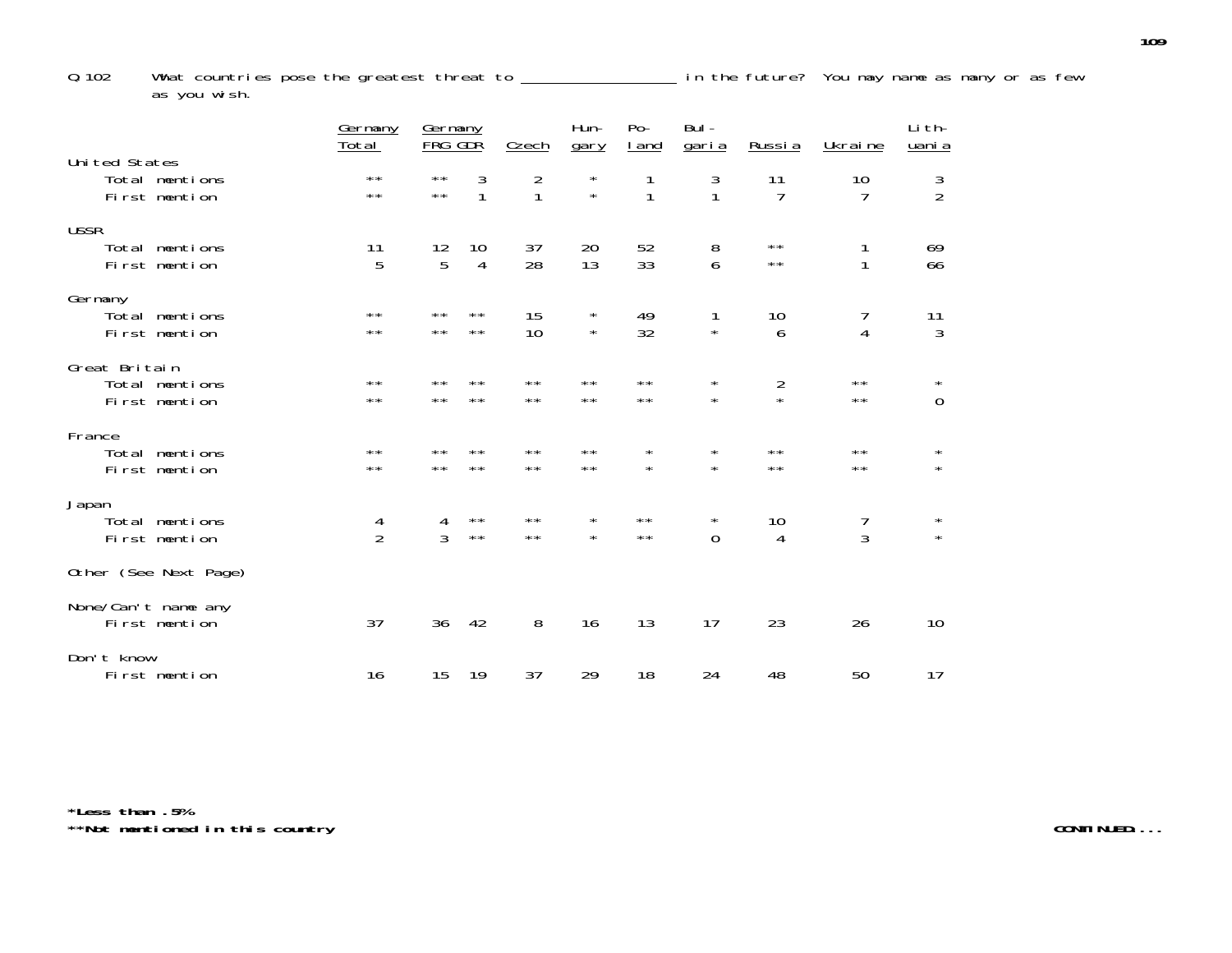Q.102 What countries pose the greatest threat to **in the future**? You may name as many or as few as you wish.

|                                                  | Germany<br><u>Total</u>      | Germany<br><b>FRG GDR</b>              |                              | <b>Czech</b>                   | Hun-<br>gary                 | $Po-$<br><u>I</u> and          | Bul-<br><u>garia</u>         | Russia                       | Ukraine                      | Li th-<br>uani a       |
|--------------------------------------------------|------------------------------|----------------------------------------|------------------------------|--------------------------------|------------------------------|--------------------------------|------------------------------|------------------------------|------------------------------|------------------------|
| United States<br>Total mentions<br>First mention | $\star\star$<br>$\star\star$ | $\star\star$<br>$\star\star$           | 3<br>$\mathbf{1}$            | $\overline{2}$<br>$\mathbf{1}$ | $\star$<br>$\star$           | 1<br>1                         | 3<br>1                       | 11<br>$\overline{7}$         | 10<br>$\overline{7}$         | $\frac{3}{2}$          |
| <b>USSR</b><br>Total mentions<br>First mention   | 11<br>5                      | $\begin{array}{c} 12 \\ 5 \end{array}$ | 10<br>$\overline{4}$         | 37<br>28                       | 20<br>13                     | 52<br>33                       | 8<br>6                       | $\star\star$<br>$\star\star$ | 1<br>1                       | 69<br>66               |
| Germany<br>Total mentions<br>First mention       | $***$<br>$***$               | $***$<br>$\star\star$                  | $\star\star$<br>$***$        | 15<br>10                       | $\star$<br>$\star$           | 49<br>32                       | 1<br>$\star$                 | 10<br>6                      | 7<br>$\overline{4}$          | 11<br>$\mathfrak{Z}$   |
| Great Britain<br>Total mentions<br>First mention | $***$<br>$***$               | $* *$<br>$**$                          | $* *$<br>$\star\star$        | **<br>$***$                    | $***$<br>$***$               | $\star\star$<br>$***$          | $^\star$<br>$\star$          | $\frac{2}{x}$                | $\star\star$<br>$\star\star$ | $\star$<br>$\mathbf 0$ |
| France<br>Total mentions<br>First mention        | $\star\star$<br>$\star\star$ | $**$<br>$\star\star$                   | **<br>$\star\star$           | $\star\star$<br>$\star\star$   | $\star\star$<br>$\star\star$ | $^{\star}$<br>$\star$          | $\star$<br>$\star$           | $\star\star$<br>$\star\star$ | $\star\star$<br>$\star\star$ | $\star$<br>$\star$     |
| Japan<br>Total mentions<br>First mention         | 4<br>$\overline{2}$          | 4<br>$\overline{3}$                    | $\star\star$<br>$\star\star$ | $\star\star$<br>$\star\star$   | $\star$<br>$\star$           | $\star\,\star$<br>$\star\star$ | $^{\star}$<br>$\overline{0}$ | 10<br>$\overline{4}$         | 7<br>3                       | $\star$<br>$\star$     |
| Other (See Next Page)                            |                              |                                        |                              |                                |                              |                                |                              |                              |                              |                        |
| None/Can't name any<br>First mention             | 37                           | 36                                     | 42                           | 8                              | 16                           | 13                             | 17                           | 23                           | 26                           | 10                     |
| Don't know<br>First mention                      | 16                           | 15                                     | 19                           | 37                             | 29                           | 18                             | 24                           | 48                           | 50                           | 17                     |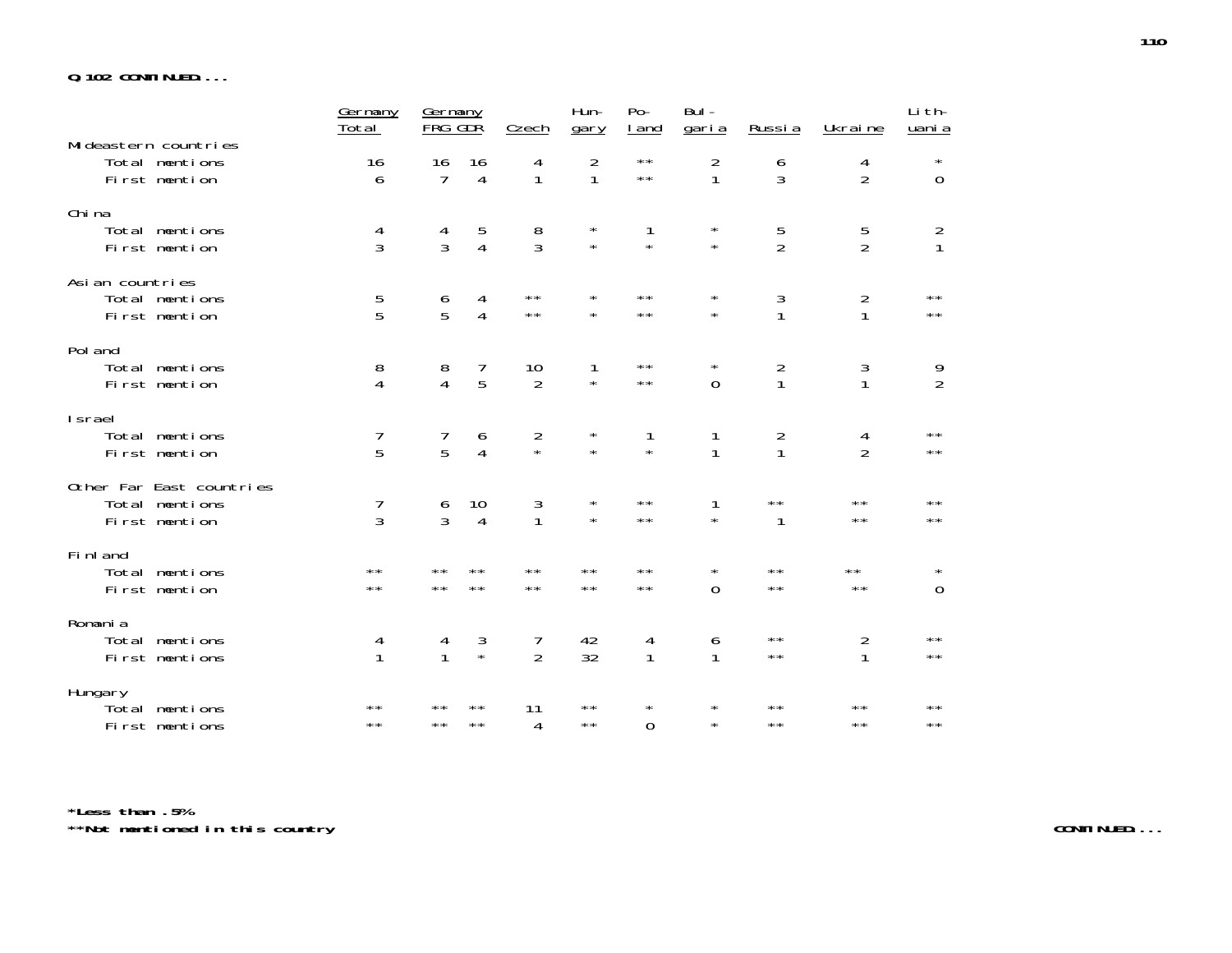#### **Q.102 CONTINUED....**

|                                                             | Germany<br>Total             | Germany<br>FRG GDR                    |                              | Czech                        | Hun-<br>gary                   | $Po-$<br><u>I</u> and          | Bul -<br><u>garia</u>        | Russia                         | Ukraine                          | Li th-<br>uani a               |
|-------------------------------------------------------------|------------------------------|---------------------------------------|------------------------------|------------------------------|--------------------------------|--------------------------------|------------------------------|--------------------------------|----------------------------------|--------------------------------|
| Mi deastern countries<br>Total mentions<br>First mention    | 16<br>6                      | 16<br>7                               | 16<br>4                      | 4<br>$\mathbf{1}$            | $\overline{2}$<br>$\mathbf{1}$ | $\star\,\star$<br>$\star\star$ | 2<br>1                       | 6<br>3                         | 4<br>$\overline{2}$              | $\star$<br>$\overline{0}$      |
| Chi na<br>Total mentions<br>First mention                   | 4<br>3                       | 4<br>$\overline{3}$                   | 5<br>$\overline{4}$          | 8<br>3                       | $^\star$<br>$\star$            | 1<br>$\star$                   | $\star$<br>$\star$           | 5<br>$\overline{2}$            | $\overline{5}$<br>$\overline{2}$ | $\frac{2}{1}$                  |
| Asian countries<br>Total mentions<br>First mention          | 5<br>5                       | 6<br>5                                | 4<br>$\overline{4}$          | $\star\star$<br>$\star\star$ | $\star$<br>$\star$             | $\star\star$<br>$\star\star$   | $\star$<br>$\star$           | 3<br>$\mathbf{1}$              | $\overline{2}$<br>$\mathbf{1}$   | $\star\star$<br>$\star\,\star$ |
| Pol and<br>Total mentions<br>First mention                  | 8<br>$\overline{4}$          | $\begin{array}{c} 8 \\ 4 \end{array}$ | 7<br>5                       | 10<br>$\overline{2}$         | 1<br>$\star$                   | $\star\star$<br>$\star\,\star$ | $\star$<br>$\overline{0}$    | $\overline{2}$<br>$\mathbf{1}$ | 3<br>1                           | $\frac{9}{2}$                  |
| <b>Israel</b><br>Total mentions<br>First mention            | 7<br>5                       | 7<br>5                                | 6<br>$\overline{4}$          | $\frac{2}{x}$                | $^\star$<br>$\star$            | 1<br>$\star$                   | 1<br>$\mathbf{1}$            | $\frac{2}{1}$                  | $\frac{4}{2}$                    | $\star\star$<br>$\star\star$   |
| Other Far East countries<br>Total mentions<br>First mention | 7<br>3                       | $\frac{6}{3}$                         | 10<br>4                      | 3<br>$\mathbf{1}$            | $\star$<br>$\star$             | $\star\star$<br>$\star\star$   | 1<br>$\star$                 | $\star\star$<br>1              | $\star\star$<br>$\star\star$     | $\star\star$<br>$\star\,\star$ |
| Fi nl and<br>Total mentions<br>First mention                | $\star\star$<br>$\star\star$ | $* *$<br>$\star\star$                 | $\star\star$<br>$\star\star$ | $\star\star$<br>$\star\star$ | $\star\star$<br>$\star\star$   | $\star\star$<br>$\star\star$   | $^{\star}$<br>$\overline{0}$ | $\star\star$<br>$\star\star$   | $\star\star$<br>$\star\star$     | $\star$<br>$\boldsymbol{0}$    |
| Romania<br>Total mentions<br>First mentions                 | 4<br>$\mathbf{1}$            | 4<br>1                                | 3<br>$\star$                 | 7<br>$\overline{2}$          | 42<br>32                       | 4<br>1                         | 6                            | $***$<br>$\star\star$          | 2<br>1                           | $\star\star$<br>$\star\star$   |
| Hungary<br>Total mentions<br>First mentions                 | $\star\star$<br>$\star\star$ | $\star\star$<br>$* *$                 | $\star\star$<br>$**$         | 11<br>4                      | $\star\star$<br>$\star\star$   | $\star$<br>$\Omega$            | $\star$<br>$\star$           | $\star\star$<br>$***$          | $\star\star$<br>$\star\star$     | $\star\star$<br>$\star\star$   |

**\*Less than .5% \*\*Not mentioned in this country CONTINUED....**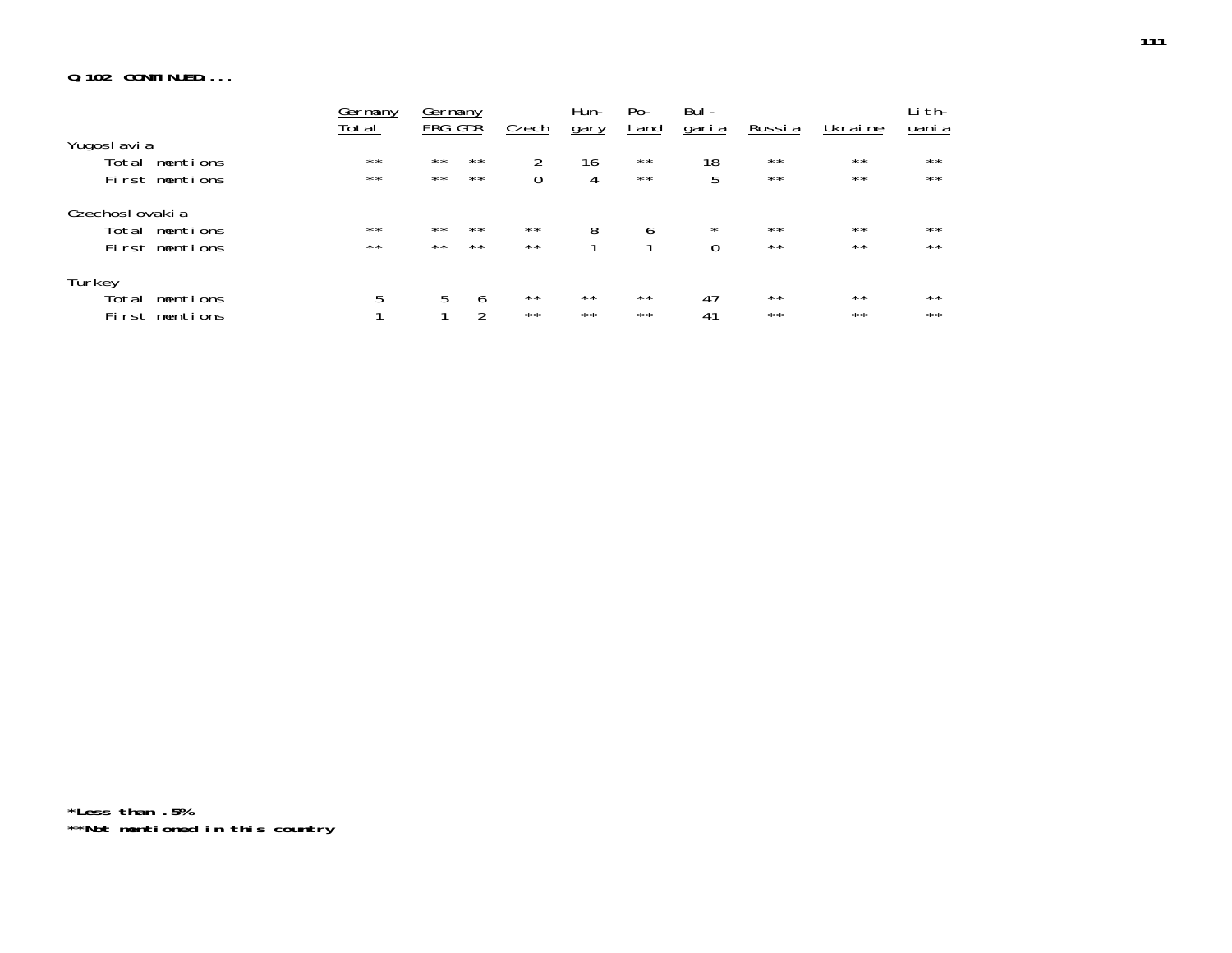# **Q.102 CONTINUED....**

|                   | Germany<br>Total | Germany<br>FRG GDR |               |              | Hun-           | Po-          | Bul -        |                | Ukraine      | Li th-<br>uani a |
|-------------------|------------------|--------------------|---------------|--------------|----------------|--------------|--------------|----------------|--------------|------------------|
| Yugoslavia        |                  |                    |               | <b>Czech</b> | gary           | <u>I</u> and | <u>garia</u> | <u>Russia</u>  |              |                  |
| Total<br>mentions | $\star\star$     | $\star\star$       | $\star\star$  | 2            | 16             | $\star\star$ | 18           | $\star\star$   | $\star\star$ | $\star\star$     |
| First mentions    | $\star\star$     | $\star\star$       | $\star\star$  |              |                | $\star\star$ | 5            | $**$           | $\star\star$ | $\star\star$     |
| Czechoslovakia    |                  |                    |               |              |                |              |              |                |              |                  |
| Total mentions    | $\star\star$     | $\star\star$       | $**$          | $\star\star$ | 8              | 6            | $^{\star}$   | $\star\star$   | $**$         | $\star\star$     |
| First mentions    | $\star\star$     | $\star\star$       | $\star\star$  | $\star\star$ |                |              | $\Omega$     | $\star\,\star$ | $\star\star$ | $\star\star$     |
| Turkey            |                  |                    |               |              |                |              |              |                |              |                  |
| Total<br>mentions | 5                | 5                  | 6             | $\star\star$ | $***$          | $\star\star$ | 47           | $***$          | $***$        | $***$            |
| First mentions    |                  |                    | $\mathcal{D}$ | $\star\star$ | $\star\,\star$ | $\star\star$ | 41           | $***$          | $***$        | $\star\star$     |

**\*Less than .5% \*\*Not mentioned in this country**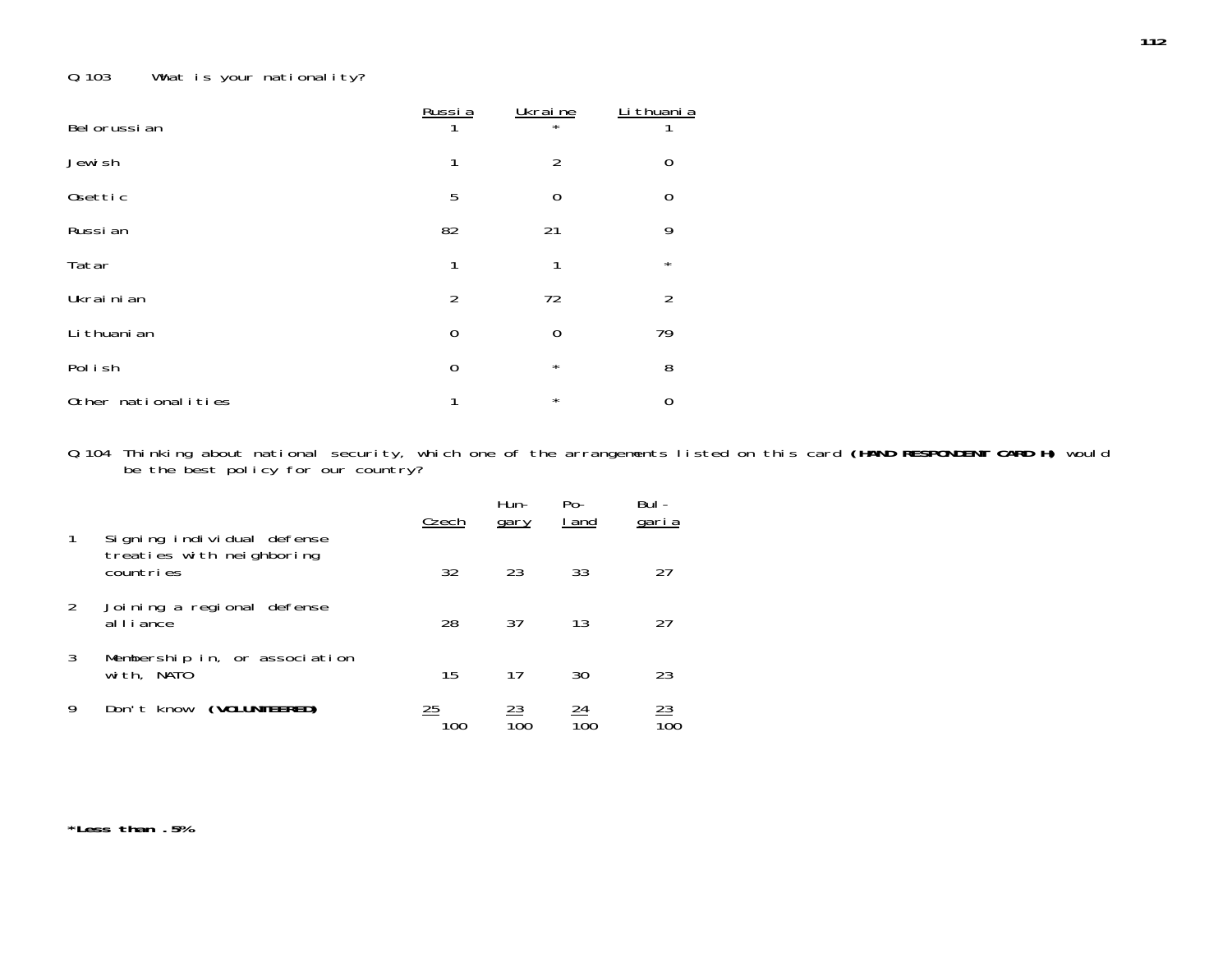# Q.103 What is your nationality?

| Bel orussi an       | Russia         | Ukraine<br>$\star$ | Li thuani a    |
|---------------------|----------------|--------------------|----------------|
| Jewish              | 1              | $\overline{2}$     | $\mathbf 0$    |
| Osettic             | 5              | $\overline{0}$     | $\mathbf 0$    |
| Russi an            | 82             | 21                 | 9              |
| Tatar               | 1              | 1                  | $\star$        |
| Ukrainian           | $\overline{2}$ | 72                 | $\overline{2}$ |
| Li thuani an        | $\mathbf 0$    | $\mathbf 0$        | 79             |
| Pol i sh            | $\overline{0}$ | $\star$            | 8              |
| Other nationalities | 1              | $\star$            | $\mathbf 0$    |

Q.104 Thinking about national security, which one of the arrangements listed on this card **(HAND RESPONDENT CARD H)** would be the best policy for our country?

|   | Signing individual defense                  | Czech          | Hun-<br>gary | $Po-$<br>I and | Bul-<br>garia |
|---|---------------------------------------------|----------------|--------------|----------------|---------------|
|   | treaties with neighboring<br>countries      | 32             | 23           | 33             | 27            |
| 2 | Joining a regional defense<br>alliance      | 28             | 37           | 13             | 27            |
| 3 | Membership in, or association<br>with, NATO | 15             | 17           | 30             | 23            |
| 9 | (VOLUNTEERED)<br>Don't know                 | $\frac{25}{2}$ | 23           | 24             | <u>23</u>     |

**\*Less than .5%**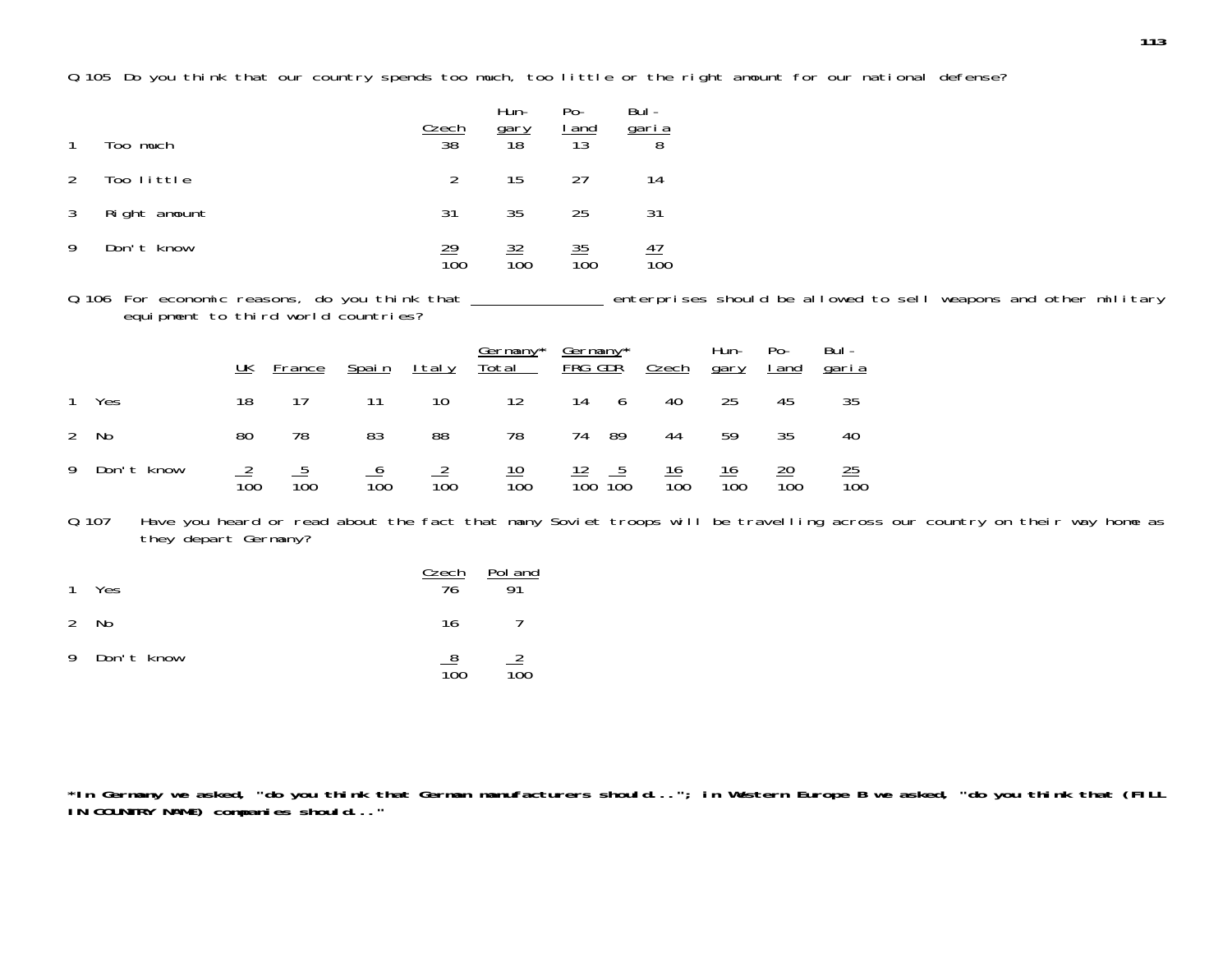Q.105 Do you think that our country spends too much, too little or the right amount for our national defense?

| $\mathbf{1}$  | Too much     | <u>Czech</u><br>$\overline{38}$ | Hun-<br>$\frac{gary}{18}$ | Po-<br>$\frac{I \text{ and}}{13}$ | Bul -<br>$\frac{\text{gari}\,a}{8}$ |
|---------------|--------------|---------------------------------|---------------------------|-----------------------------------|-------------------------------------|
| $\mathcal{P}$ | Too little   | $\mathcal{P}$                   | 15                        | 27                                | 14                                  |
| 3             | Right amount | 31                              | 35                        | 25                                | 31                                  |
|               | Don't know   | <u> 29</u><br>100               | <u>32</u><br>100          | <u>35</u><br>$\overline{10}0$     | 4 <sub>1</sub><br>$\overline{100}$  |

Q.106 For economic reasons, do you think that \_\_\_\_\_\_\_\_\_\_\_\_\_\_\_ enterprises should be allowed to sell weapons and other military equipment to third world countries?

|              | UK  | France          | <u>Spain</u>    | <u>Italy</u>    |                  |                                  | <u>Germany* Germany*</u><br>Total FRG GDR Czech | Hun-<br><u>gary</u> | $Po-$<br><u>I and</u> | Bul -<br><u>garia</u> |
|--------------|-----|-----------------|-----------------|-----------------|------------------|----------------------------------|-------------------------------------------------|---------------------|-----------------------|-----------------------|
| 1 Yes        | 18  | 17              | - 11            | 10              | 12               | 14 6                             | 40                                              | 25                  | 45                    | 35                    |
| 2 No         | 80  | 78              | 83              | 88              | 78               | 74 89                            | 44                                              | 59                  | 35                    | 40                    |
| 9 Don't know | 100 | $\frac{5}{100}$ | $\frac{6}{100}$ | $\frac{2}{100}$ | $\frac{10}{100}$ | $\frac{12}{100}$ $\frac{5}{100}$ | $\frac{16}{100}$                                | $\frac{16}{100}$    | $\frac{20}{100}$      | $\frac{25}{100}$      |

Q.107 Have you heard or read about the fact that many Soviet troops will be travelling across our country on their way home as they depart Germany?

| 1 Yes        | <u>Czech</u><br>76           | Pol and<br>Q <sub>1</sub> |
|--------------|------------------------------|---------------------------|
| 2 No         | 16                           |                           |
| 9 Don't know | <u>8</u><br>$\overline{100}$ | $\mathbb{Z}$<br>100       |

**\*In Germany we asked, "do you think that German manufacturers should..."; in Western Europe B we asked, "do you think that (FILL IN COUNTRY NAME) companies should..."**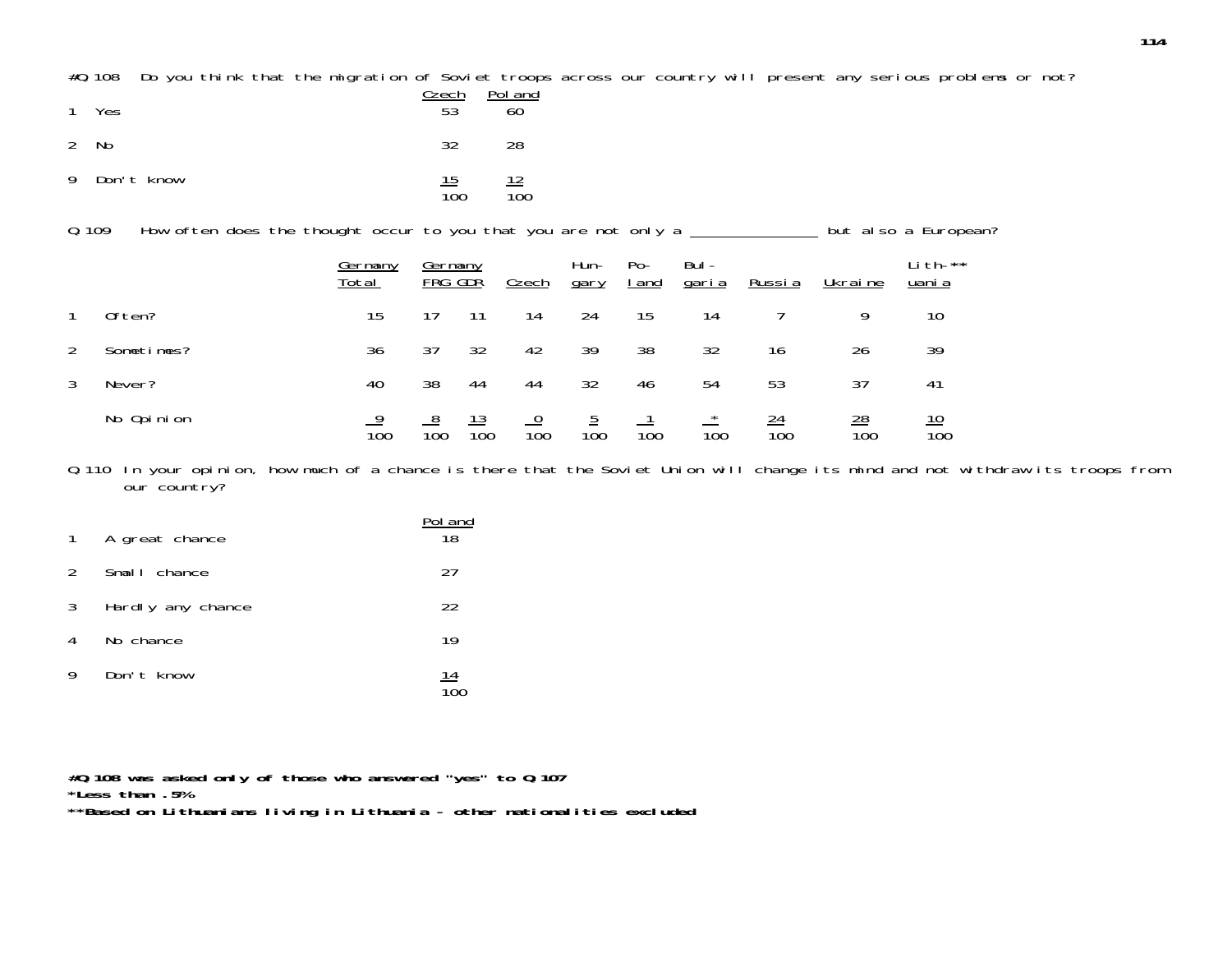#Q.108 Do you think that the migration of Soviet troops across our country will present any serious problems or not?

| 1 Yes        | Czech<br>53                    | Pol and<br>60                  |
|--------------|--------------------------------|--------------------------------|
| 2 No         | 32                             | 28                             |
| 9 Don't know | <u> 15</u><br>$\overline{100}$ | <u> 12</u><br>$\overline{10}0$ |

0.109 How often does the thought occur to you that you are not only a \_\_\_\_\_\_\_\_\_\_\_\_\_ but also a European?

|                |            | Germany<br>Total | Germany<br>FRG GDR |                   | Czech | Hun-<br>gary    | $Po-$<br><u>I</u> and | Bul -<br><u>garia</u> | Russia                  | Ukraine               | Lith-**<br>uani a              |
|----------------|------------|------------------|--------------------|-------------------|-------|-----------------|-----------------------|-----------------------|-------------------------|-----------------------|--------------------------------|
|                | Often?     | 15               | 17                 | 11                | 14    | 24              | 15                    | 14                    |                         | 9                     | 10                             |
| $\overline{2}$ | Sometimes? | 36               | 37                 | 32                | 42    | 39              | 38                    | 32                    | 16                      | 26                    | 39                             |
| 3              | Never?     | 40               | 38                 | 44                | 44    | 32              | 46                    | 54                    | 53                      | 37                    | 41                             |
|                | No Opinion | $\overline{100}$ | 100                | <u> 13</u><br>100 | 100   | $\frac{5}{100}$ | $\overline{100}$      | $\overline{100}$      | $\underline{24}$<br>100 | $\frac{28}{1}$<br>100 | <u> 10</u><br>$\overline{10}0$ |

Q.110 In your opinion, how much of a chance is there that the Soviet Union will change its mind and not withdraw its troops from our country?

|                | 1 A great chance  | Pol and<br>18 |
|----------------|-------------------|---------------|
| $\mathcal{P}$  | Small chance      | 27            |
| 3 <sup>7</sup> | Hardly any chance | 22            |
| 4              | No chance         | 19            |
| 9              | Don't know        | <u> 14</u>    |

**#Q.108 was asked only of those who answered "yes" to Q.107 \*Less than .5%**

**\*\*Based on Lithuanians living in Lithuania - other nationalities excluded**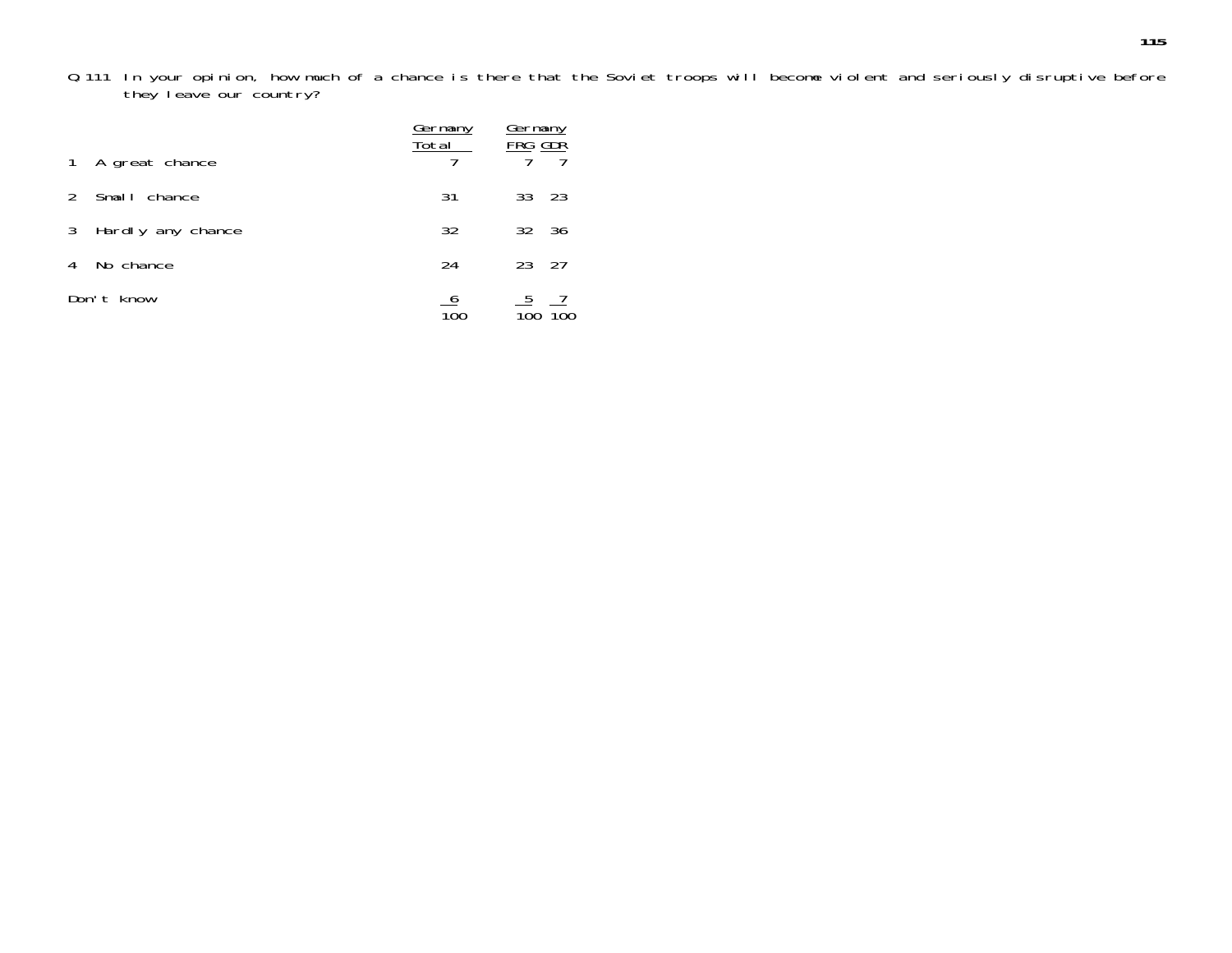Q.111 In your opinion, how much of a chance is there that the Soviet troops will become violent and seriously disruptive before they leave our country?

|               |                   | <u>Germany</u><br>Total | <u>Germany</u><br>FRG GDR |     |
|---------------|-------------------|-------------------------|---------------------------|-----|
|               | 1 A great chance  |                         |                           |     |
| $\mathcal{P}$ | Small chance      | 31                      | 33 23                     |     |
| 3             | Hardly any chance | 32                      | 32 36                     |     |
| 4             | No chance         | 24                      | 23                        | -27 |
|               | Don't know        |                         | <u>5</u>                  |     |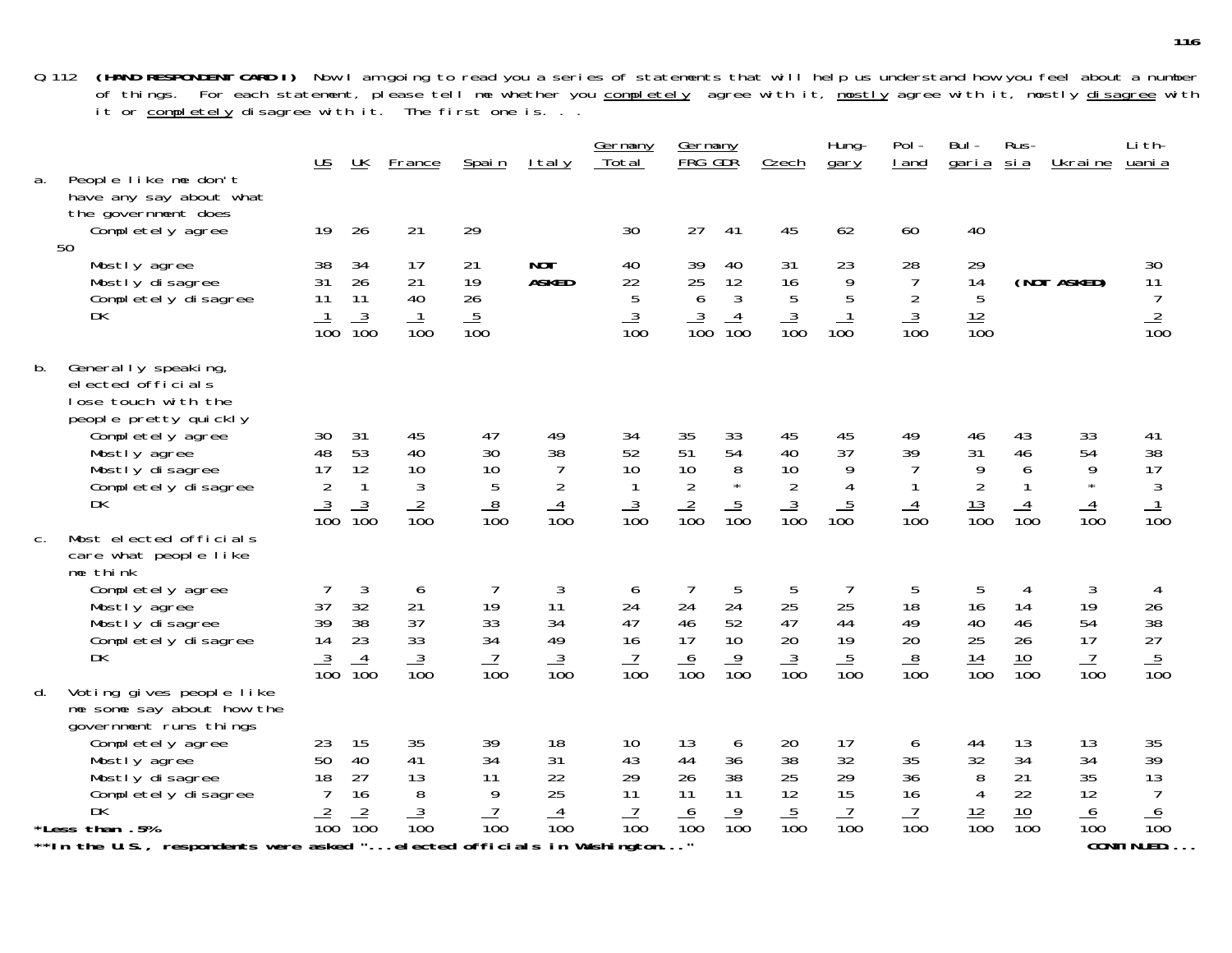Q.112 **(HAND RESPONDENT CARD I)** Now I am going to read you a series of statements that will help us understand how you feel about a number of things. For each statement, please tell me whether you <u>completely</u> agree with it, <u>mostly</u> agree with it, mostly <u>disagree</u> with it or <u>completely</u> disagree with it. The first one is. . .

| a.    | People like me don't<br>have any say about what                                                                                                                                       | <u>US</u>                                            | UK                                                  | France                                              | Spain                                                     | <u>Italy</u>                                                    | <u>Germany</u><br>Total                           | Germany<br>FRG GDR                                  |                                                  | Czech                                               | Hung-<br>gary                                                  | Pol-<br>I and                                                 | Bul-<br>garia                                                    | Rus-<br><u>sia</u>                               | Ukraine                                       | Li th-<br>uani a                                    |
|-------|---------------------------------------------------------------------------------------------------------------------------------------------------------------------------------------|------------------------------------------------------|-----------------------------------------------------|-----------------------------------------------------|-----------------------------------------------------------|-----------------------------------------------------------------|---------------------------------------------------|-----------------------------------------------------|--------------------------------------------------|-----------------------------------------------------|----------------------------------------------------------------|---------------------------------------------------------------|------------------------------------------------------------------|--------------------------------------------------|-----------------------------------------------|-----------------------------------------------------|
|       | the government does<br>Completely agree<br>50                                                                                                                                         | 19                                                   | 26                                                  | 21                                                  | 29                                                        |                                                                 | 30                                                | 27                                                  | 41                                               | 45                                                  | 62                                                             | 60                                                            | 40                                                               |                                                  |                                               |                                                     |
|       | Mostly agree<br>Mostly disagree<br>Completely disagree<br>DK                                                                                                                          | 38<br>31<br>11<br>$\overline{10}0$                   | 34<br>26<br>11<br>$\frac{3}{100}$                   | 17<br>21<br>40<br>$\frac{1}{100}$                   | 21<br>19<br>26<br>$\frac{5}{100}$                         | <b>NOT</b><br><b>ASKED</b>                                      | 40<br>22<br>$\sqrt{5}$<br>$\frac{3}{100}$         | 39<br>25<br>$\boldsymbol{6}$<br>$\frac{3}{100}$     | 40<br>12<br>$\mathfrak{Z}$<br>$\frac{4}{100}$    | 31<br>16<br>$\overline{5}$<br>$\frac{3}{100}$       | 23<br>$\begin{array}{c} 9 \\ 5 \end{array}$<br>$\frac{1}{100}$ | 28<br>$\overline{7}$<br>$\sqrt{2}$<br>$\frac{3}{100}$         | 29<br>14<br>5<br>$\frac{12}{100}$                                |                                                  | (NOT ASKED)                                   | 30<br>11<br>$\overline{7}$<br>$\frac{2}{100}$       |
| b.    | Generally speaking,<br>elected officials<br>lose touch with the<br>people pretty quickly<br>Completely agree<br>Mostly agree<br>Mostly disagree<br>Completely disagree<br><b>DK</b>   | 30<br>48<br>17<br>$\overline{2}$<br>$\frac{3}{100}$  | 31<br>53<br>12<br>$\mathbf{1}$<br>$\frac{3}{100}$   | 45<br>40<br>10<br>$\mathfrak{Z}$<br>$\frac{2}{100}$ | 47<br>30<br>10<br>$\sqrt{5}$<br>$\frac{8}{100}$           | 49<br>38<br>$\overline{7}$<br>$\overline{2}$<br>$\frac{4}{100}$ | 34<br>52<br>10<br>$\mathbf{1}$<br>$\frac{3}{100}$ | 35<br>51<br>10<br>$\overline{2}$<br>$\frac{2}{100}$ | 33<br>54<br>$\, 8$<br>$\star$<br>$\frac{5}{100}$ | 45<br>40<br>10<br>$\overline{2}$<br>$\frac{3}{100}$ | 45<br>37<br>9<br>$\overline{4}$<br>$\frac{5}{100}$             | 49<br>39<br>$\overline{7}$<br>$\mathbf{1}$<br>$\frac{4}{100}$ | 46<br>31<br>$\overline{9}$<br>$\overline{2}$<br>$\frac{13}{100}$ | 43<br>46<br>6<br>$\mathbf{1}$<br>$\frac{4}{100}$ | 33<br>54<br>9<br>$\star$<br>$\frac{4}{100}$   | 41<br>38<br>17<br>$\frac{3}{100}$                   |
| $C$ . | Most elected officials<br>care what people like<br>me think<br>Completely agree<br>Mostly agree<br>Mostly disagree<br>Completely disagree<br>DK                                       | 37<br>39<br>14<br>$\frac{3}{100}$                    | $\mathfrak{Z}$<br>32<br>38<br>23<br>$\frac{4}{100}$ | 6<br>21<br>37<br>33<br>$\frac{3}{100}$              | 7<br>19<br>33<br>34<br>$\frac{7}{100}$                    | 3<br>11<br>34<br>49<br>$\frac{3}{100}$                          | 6<br>24<br>47<br>16<br>$\frac{7}{100}$            | 24<br>46<br>17<br>$\frac{6}{100}$                   | 5<br>24<br>52<br>10<br>$\frac{9}{100}$           | 5<br>25<br>47<br>20<br>$\frac{3}{100}$              | 7<br>25<br>44<br>19<br>$\frac{5}{100}$                         | 5<br>18<br>49<br>20<br>$\frac{8}{100}$                        | 5<br>16<br>40<br>25<br>$\frac{14}{100}$                          | 14<br>46<br>26<br>$\frac{10}{100}$               | 3<br>19<br>54<br>17<br>$\frac{7}{100}$        | 4<br>26<br>38<br>27<br>$\frac{5}{100}$              |
| d.    | Voting gives people like<br>me some say about how the<br>government runs things<br>Completely agree<br>Mostly agree<br>Mostly disagree<br>Completely disagree<br>DK<br>*Less than .5% | 23<br>50<br>18<br>$\overline{7}$<br>$\overline{100}$ | 15<br>40<br>27<br>16<br>$\frac{2}{100}$             | 35<br>41<br>13<br>8<br>$\frac{3}{100}$              | 39<br>34<br>11<br>9<br>$\overline{7}$<br>$\overline{10}0$ | 18<br>31<br>22<br>25<br>$\frac{4}{100}$                         | 10<br>43<br>29<br>11<br>$\frac{7}{100}$           | 13<br>44<br>26<br>11<br>$\frac{6}{100}$             | 6<br>36<br>38<br>11<br>$\frac{9}{100}$           | 20<br>38<br>25<br>12<br>$\frac{5}{100}$             | 17<br>32<br>29<br>15<br>$\frac{7}{100}$                        | 6<br>35<br>36<br>16<br>$\overline{7}$<br>$\overline{10}0$     | 44<br>32<br>8<br>$\overline{4}$<br>$\frac{12}{100}$              | 13<br>34<br>21<br>22<br>$\frac{10}{100}$         | 13<br>34<br>35<br>12<br>6<br>$\overline{10}0$ | 35<br>39<br>13<br>$\overline{7}$<br>$\frac{6}{100}$ |
|       | ** In the U.S., respondents were asked ".                                                                                                                                             |                                                      |                                                     |                                                     |                                                           |                                                                 | elected officials in Washington.                  | $\mathbf{H}$                                        |                                                  |                                                     |                                                                |                                                               |                                                                  |                                                  |                                               | <b>CONTINUED</b>                                    |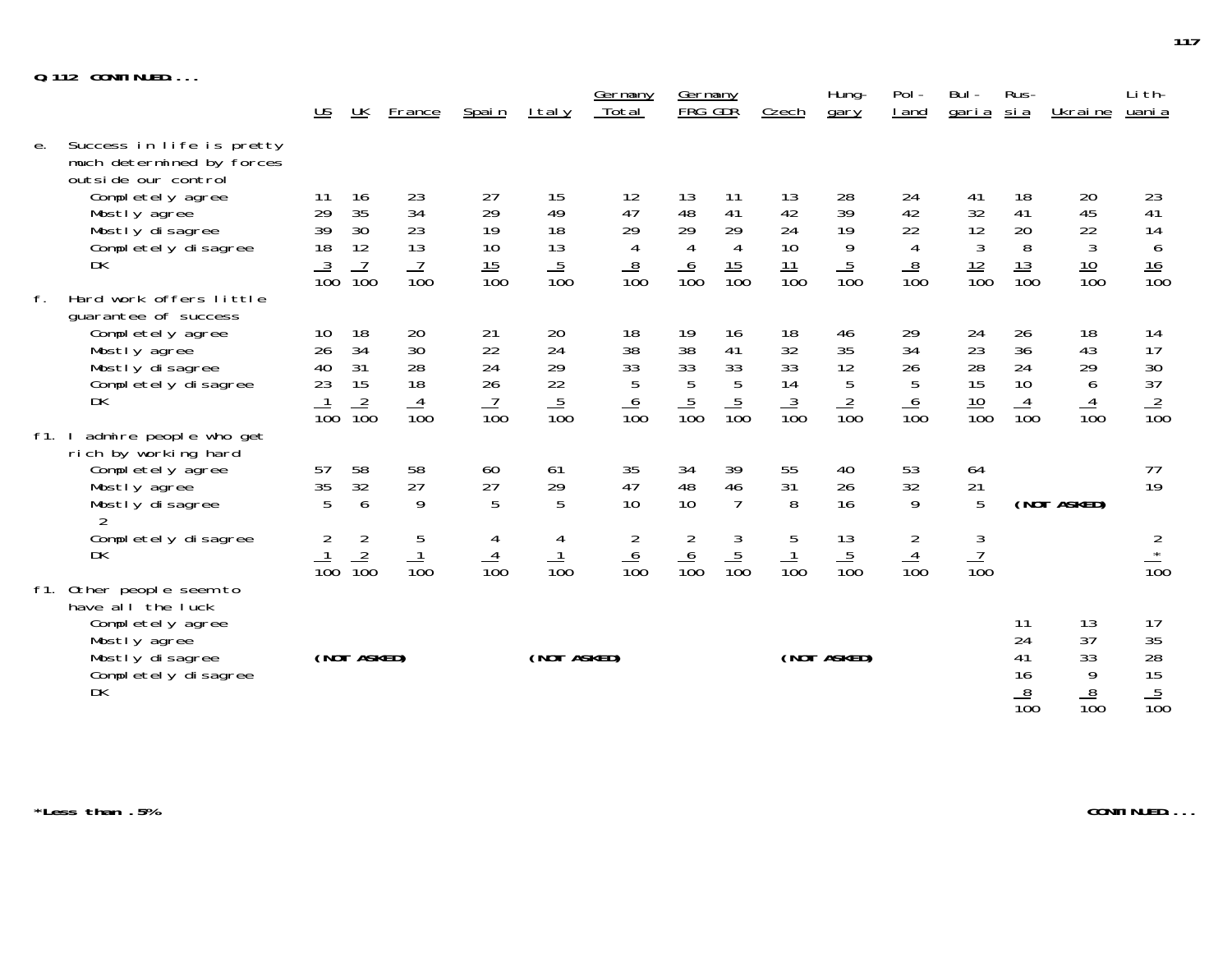| $Q.112$ CONTINUED |
|-------------------|
|-------------------|

|         |                                                                                                                                                                   | US.                                     | UK                                                         | <b>France</b>                           | Spain                                    | I tal y                                             | Germany<br>Total                                    | <u>Germany</u><br>FRG GDR              |                                                      | Czech                                    | Hung-<br>gary                          | Pol -<br>I and                                      | Bul -<br>garia                                       | Rus-<br><u>sia</u>                       | Ukraine                                 | Li th-<br>uani a                                       |
|---------|-------------------------------------------------------------------------------------------------------------------------------------------------------------------|-----------------------------------------|------------------------------------------------------------|-----------------------------------------|------------------------------------------|-----------------------------------------------------|-----------------------------------------------------|----------------------------------------|------------------------------------------------------|------------------------------------------|----------------------------------------|-----------------------------------------------------|------------------------------------------------------|------------------------------------------|-----------------------------------------|--------------------------------------------------------|
| е.      | Success in life is pretty<br>much determined by forces<br>outside our control<br>Completely agree<br>Mostly agree<br>Mostly disagree<br>Completely disagree<br>DK | 11<br>29<br>39<br>18<br>$\frac{3}{100}$ | 16<br>35<br>30<br>12<br>$\overline{7}$<br>$\overline{10}0$ | 23<br>34<br>23<br>13<br>$\frac{7}{100}$ | 27<br>29<br>19<br>10<br>$\frac{15}{100}$ | 15<br>49<br>18<br>$\frac{13}{5}$<br>$\frac{5}{100}$ | 12<br>47<br>29<br>$\overline{4}$<br>$\frac{8}{100}$ | 13<br>48<br>29<br>4<br>$\frac{6}{100}$ | 11<br>41<br>29<br>$\overline{4}$<br>$\frac{15}{100}$ | 13<br>42<br>24<br>10<br>$\frac{11}{100}$ | 28<br>39<br>19<br>9<br>$\frac{5}{100}$ | 24<br>42<br>22<br>$\overline{4}$<br>$\frac{8}{100}$ | 41<br>32<br>12<br>$\mathfrak{Z}$<br>$\frac{12}{100}$ | 18<br>41<br>20<br>8<br>$\frac{13}{100}$  | 20<br>45<br>22<br>3<br>$\frac{10}{100}$ | 23<br>41<br>14<br>$\boldsymbol{6}$<br>$\frac{16}{100}$ |
| f.      | Hard work offers little<br>quarantee of success<br>Completely agree<br>Mostly agree<br>Mostly disagree                                                            | 10<br>26<br>40                          | 18<br>34<br>31                                             | 20<br>30<br>28                          | 21<br>22<br>24                           | 20<br>24<br>29                                      | 18<br>38<br>33                                      | 19<br>38<br>33                         | 16<br>41                                             | 18<br>32<br>33                           | 46<br>35<br>12                         | 29<br>34<br>26                                      | 24<br>23<br>28                                       | 26<br>36<br>24                           | 18<br>43<br>29                          | 14<br>17<br>$\frac{30}{37}$                            |
| $f1.$ I | Completely disagree<br><b>DK</b><br>admire people who get                                                                                                         | 23<br>$\overline{10}0$                  | 15<br>$\frac{2}{100}$                                      | 18<br>$\frac{4}{100}$                   | $\frac{26}{100}$                         | $\frac{22}{100}$                                    | 5<br>$\frac{6}{100}$                                | 5<br>$\frac{5}{100}$                   | $\frac{33}{5}$<br>$\frac{5}{100}$                    | 14<br>$\frac{3}{100}$                    | $\overline{5}$<br>$\frac{2}{100}$      | 5<br>$\frac{6}{100}$                                | 15<br>$\frac{10}{100}$                               | 10<br>$\frac{4}{100}$                    | 6<br>$\frac{4}{100}$                    | $\frac{2}{100}$                                        |
|         | rich by working hard<br>Completely agree<br>Mostly agree<br>Mostly disagree                                                                                       | 57<br>35<br>5                           | 58<br>32<br>6                                              | 58<br>27<br>9                           | 60<br>27<br>5                            | 61<br>29<br>5                                       | 35<br>47<br>10 <sup>1</sup>                         | 34<br>48<br>10                         | 39<br>46<br>$\overline{7}$                           | 55<br>31<br>8                            | 40<br>26<br>16                         | 53<br>32<br>9                                       | 64<br>21<br>$\overline{5}$                           |                                          | (NOT ASKED)                             | 77<br>19                                               |
|         | Completely disagree<br>DK                                                                                                                                         | 2<br>$\frac{1}{100}$                    | $\overline{2}$<br>$\frac{2}{100}$                          | $\sqrt{5}$<br>$\frac{1}{100}$           | 4<br>$\frac{4}{100}$                     | 4<br>$\frac{1}{100}$                                | 2<br>$\frac{6}{100}$                                | $\overline{2}$<br>$\frac{6}{100}$      | $\frac{3}{100}$                                      | 5<br>$\frac{1}{100}$                     | 13<br>$\frac{5}{100}$                  | $\overline{2}$<br>$\frac{4}{100}$                   | $\mathfrak{Z}$<br>$\frac{7}{100}$                    |                                          |                                         | $\frac{2}{x}$<br>$\overline{10}0$                      |
| f1.     | Other people seem to<br>have all the luck<br>Completely agree<br>Mostly agree<br>Mostly disagree<br>Completely disagree<br>DK                                     |                                         | (NOT ASKED)                                                |                                         |                                          | (NOT ASKED)                                         |                                                     |                                        |                                                      |                                          | (NOT ASKED)                            |                                                     |                                                      | -11<br>24<br>41<br>16<br>$\frac{8}{100}$ | 13<br>37<br>33<br>9<br>$\frac{8}{100}$  | 17<br>$\frac{35}{28}$<br>$\frac{15}{100}$              |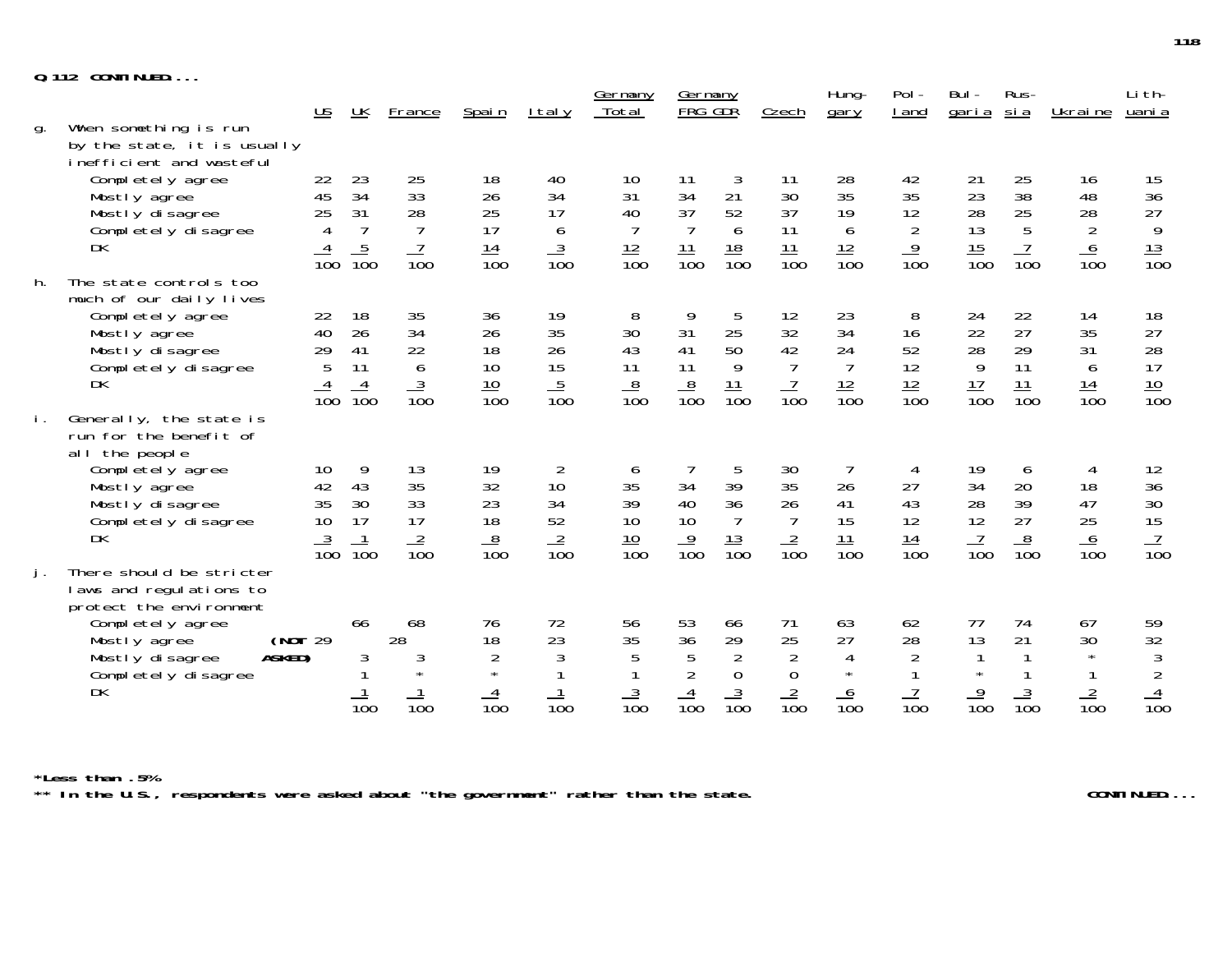|    | <b>Q.112 CONTINUED</b>                                                           |                           |                  |                  |                           |                  |                         |                    |                      |                      |                      |                  |                    |                        |                  |                  |
|----|----------------------------------------------------------------------------------|---------------------------|------------------|------------------|---------------------------|------------------|-------------------------|--------------------|----------------------|----------------------|----------------------|------------------|--------------------|------------------------|------------------|------------------|
|    |                                                                                  | $\underline{\mathsf{US}}$ | UK               | France           | Spain                     | I tal y          | <u>Germany</u><br>Total | Germany<br>FRG GDR |                      | Czech                | Hung-<br>gary        | $Pol -$<br>I and | Bul-<br>garia      | Rus-<br><u>sia</u>     | Ukraine          | Li th-<br>uani a |
| g. | When something is run<br>by the state, it is usually<br>inefficient and wasteful |                           |                  |                  |                           |                  |                         |                    |                      |                      |                      |                  |                    |                        |                  |                  |
|    | Completely agree                                                                 | 22<br>45                  | 23<br>34         | 25<br>33         | 18<br>26                  | 40<br>34         | 10<br>31                | 11<br>34           | 3<br>21              | 11<br>30             | 28<br>35             | 42<br>35         | 21<br>23           | 25<br>38               | 16<br>48         | 15<br>36         |
|    | Mostly agree<br>Mostly disagree                                                  | 25                        | 31               | 28               | 25                        | 17               | 40                      | 37                 | 52                   | 37                   | 19                   | 12               | 28                 | 25                     | 28               |                  |
|    | Completely disagree                                                              | $\overline{4}$            | $\overline{7}$   | $\overline{7}$   | 17                        | 6                | $\overline{7}$          | $\overline{7}$     | 6                    | 11                   | 6                    | $\overline{2}$   | 13                 | $5\phantom{.0}$        | $\overline{2}$   | $\frac{27}{9}$   |
|    | DK                                                                               | $\overline{10}0$          | $\frac{5}{100}$  | $\frac{7}{100}$  | $\frac{14}{100}$          | $\frac{3}{100}$  | $\frac{12}{100}$        | $\frac{11}{100}$   | $\frac{18}{100}$     | $\frac{11}{100}$     | $\frac{12}{100}$     | $\frac{9}{100}$  | $\frac{15}{100}$   | $\frac{7}{100}$        | $\frac{6}{100}$  | $\frac{13}{100}$ |
| h. | The state controls too<br>much of our daily lives                                |                           |                  |                  |                           |                  |                         |                    |                      |                      |                      |                  |                    |                        |                  |                  |
|    | Completely agree<br>Mostly agree                                                 | 22<br>40                  | 18<br>26         | 35<br>34         | 36<br>26                  | 19<br>35         | 8<br>30                 | 9<br>31            | 5<br>25              | 12<br>32             | 23<br>34             | 8<br>16          | 24<br>22           | 22<br>27               | 14<br>35         | 18<br>27         |
|    | Mostly disagree                                                                  | 29                        | 41               | 22               | 18                        | 26               | 43                      | 41                 | 50                   | 42                   | 24                   | 52               | 28                 | 29                     | 31               | 28               |
|    | Completely disagree                                                              | 5                         | 11               | $\boldsymbol{6}$ | 10                        | 15               | 11                      | 11                 | 9                    | $\overline{7}$       | $\overline{7}$       | 12               | 9                  | 11                     | 6                | 17               |
|    | <b>DK</b>                                                                        | $\overline{10}0$          | $\frac{4}{100}$  | $\frac{3}{100}$  | $\frac{10}{100}$          | $\frac{5}{100}$  | $\frac{8}{100}$         | $\frac{8}{100}$    | $\frac{11}{100}$     | $\frac{7}{100}$      | $\frac{12}{100}$     | $\frac{12}{100}$ | $\frac{17}{100}$   | 11<br>$\overline{10}0$ | $\frac{14}{100}$ | $\frac{10}{100}$ |
| İ. | Generally, the state is<br>run for the benefit of<br>all the people              |                           |                  |                  |                           |                  |                         |                    |                      |                      |                      |                  |                    |                        |                  |                  |
|    | Completely agree                                                                 | 10                        | 9                | 13               | 19                        | 2                | 6                       |                    | 5                    | 30                   |                      | 4                | 19                 | 6                      | 4                | 12               |
|    | Mostly agree                                                                     | 42                        | 43               | 35               | 32                        | 10               | 35                      | 34                 | 39                   | 35                   | 26                   | 27               | 34                 | 20                     | 18               | 36               |
|    | Mostly disagree<br>Completely disagree                                           | 35<br>10                  | 30<br>17         | 33<br>17         | 23<br>18                  | 34<br>52         | 39<br>10                | 40<br>10           | 36<br>$\overline{7}$ | 26                   | 41<br>15             | 43<br>12         | 28<br>12           | 39<br>27               | 47<br>25         | $30\,$           |
|    | <b>DK</b>                                                                        |                           |                  |                  |                           |                  |                         |                    |                      |                      | 11                   |                  |                    |                        |                  | $\frac{15}{10}$  |
|    |                                                                                  | $\frac{3}{100}$           | $\frac{1}{100}$  | $\frac{2}{100}$  | $\frac{8}{100}$           | $\frac{2}{100}$  | $\frac{10}{100}$        | $\frac{9}{100}$    | $\frac{13}{100}$     | $\frac{2}{100}$      | $\overline{10}0$     | $\frac{14}{100}$ | $\frac{7}{100}$    | $\frac{8}{100}$        | $\frac{6}{100}$  |                  |
| j. | There should be stricter                                                         |                           |                  |                  |                           |                  |                         |                    |                      |                      |                      |                  |                    |                        |                  |                  |
|    | laws and regulations to<br>protect the environment                               |                           |                  |                  |                           |                  |                         |                    |                      |                      |                      |                  |                    |                        |                  |                  |
|    | Completely agree                                                                 |                           | 66               | 68               | 76                        | 72               | 56                      | 53                 | 66                   | 71                   | 63                   | 62               | 77                 | 74                     | 67               | 59               |
|    | (NOT 29<br>Mostly agree                                                          |                           |                  | 28               | 18                        | 23<br>3          | 35<br>5                 | 36<br>5            | 29<br>$\overline{2}$ | 25<br>$\overline{2}$ | 27<br>$\overline{4}$ | 28               | 13<br>$\mathbf{1}$ | 21                     | 30<br>$\star$    | $\frac{32}{3}$   |
|    | ASKED)<br>Mostly disagree<br>Completely disagree                                 |                           | 3                | 3                | $\overline{2}$<br>$\star$ |                  |                         |                    | $\overline{0}$       | $\overline{0}$       | $\star$              | $\overline{2}$   |                    |                        |                  |                  |
|    | <b>DK</b>                                                                        |                           |                  |                  | $\frac{4}{100}$           |                  | $\frac{3}{100}$         |                    | $\frac{3}{100}$      | $\frac{2}{100}$      | 6                    | $\overline{7}$   | $\frac{9}{100}$    | $\frac{3}{100}$        |                  | $\frac{2}{100}$  |
|    |                                                                                  |                           | $\overline{10}0$ | $\overline{10}0$ |                           | $\overline{10}0$ |                         | $\overline{10}0$   |                      |                      | $\overline{10}0$     | $\overline{10}0$ |                    |                        | $\overline{10}0$ |                  |

\*Less than .5%<br>\*\* In the U.S., respondents were asked about "the government" rather than the state. CONTINUED...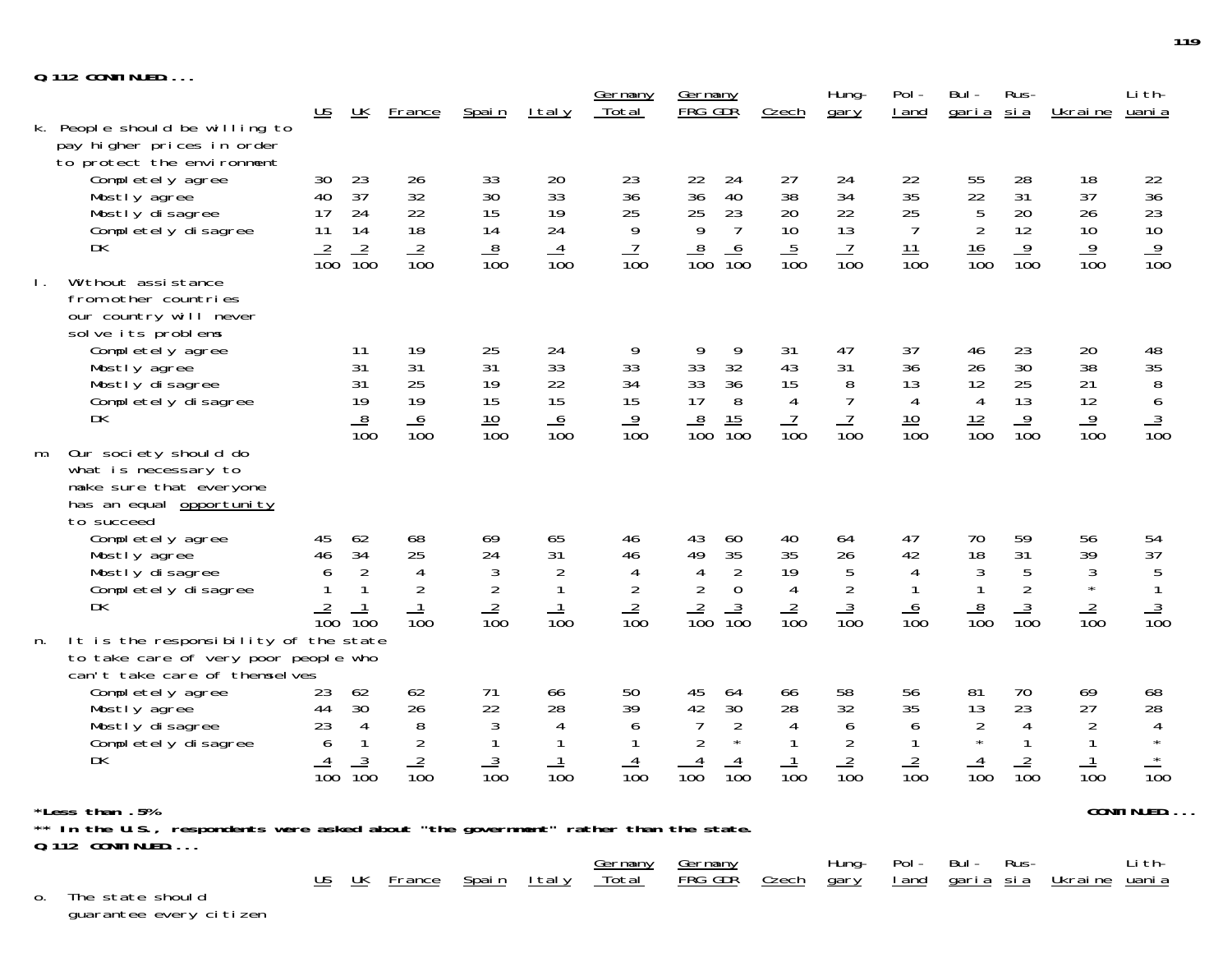| <b>Q.112 CONTINUED</b> |  |  |  |  |  |  |  |  |
|------------------------|--|--|--|--|--|--|--|--|
|------------------------|--|--|--|--|--|--|--|--|

|                |                                                                                                                    |                                        |                                |                      |                       |                                    | Germany                            | <u>Germany</u>                                            |                   | Hung-                | Pol-             | Bul-                  | Rus-                           |                                | Li th-                                                               |
|----------------|--------------------------------------------------------------------------------------------------------------------|----------------------------------------|--------------------------------|----------------------|-----------------------|------------------------------------|------------------------------------|-----------------------------------------------------------|-------------------|----------------------|------------------|-----------------------|--------------------------------|--------------------------------|----------------------------------------------------------------------|
|                |                                                                                                                    | $\underline{\mathsf{US}}$              | $\underline{\mathsf{UK}}$      | <b>France</b>        | Spain                 | <u>Italy</u>                       | Total                              | FRG GDR                                                   | Czech             | gary                 | I and            | <u>garia</u>          | <u>sia</u>                     | <u>Ukraine</u>                 | <u>uani a</u>                                                        |
|                | k. People should be willing to<br>pay higher prices in order<br>to protect the environment                         |                                        |                                |                      |                       |                                    |                                    |                                                           |                   |                      |                  |                       |                                |                                |                                                                      |
|                | Completely agree                                                                                                   | 30                                     | 23                             | 26                   | 33                    | 20                                 | 23                                 | 22<br>24                                                  | 27                | 24                   | 22               | 55                    | 28                             | 18                             | 22                                                                   |
|                | Mostly agree<br>Mostly disagree                                                                                    | 40<br>17                               | 37<br>24                       | 32<br>22             | 30<br>15              | 33<br>19                           | 36<br>25                           | 40<br>36<br>23                                            | 38<br>20          | 34<br>22             | 35<br>25         | 22                    | 31<br>20                       | 37<br>26                       | 36<br>23                                                             |
|                | Completely disagree                                                                                                | 11                                     | 14                             | 18                   | 14                    | 24                                 | 9                                  | $\begin{array}{c} 25 \\ 9 \end{array}$<br>$\overline{7}$  | 10                | 13                   | $\overline{7}$   | $\frac{5}{2}$         | 12                             | 10                             | 10                                                                   |
|                | DK                                                                                                                 | $\frac{2}{100}$                        | $\frac{2}{100}$                | $\frac{2}{100}$      | 8<br>$\overline{10}0$ | $\overline{4}$<br>$\overline{10}0$ | $\overline{1}$<br>$\overline{100}$ | $\frac{8}{100}$<br>$\frac{6}{100}$                        | $\frac{5}{100}$   | $\frac{7}{100}$      | $\frac{11}{100}$ | $\frac{16}{100}$      | $\frac{9}{100}$                | $\frac{9}{100}$                | $\frac{9}{100}$                                                      |
| $\mathbf{L}$ . | Without assistance<br>from other countries<br>our country will never<br>solve its problems                         |                                        |                                |                      |                       |                                    |                                    |                                                           |                   |                      |                  |                       |                                |                                |                                                                      |
|                | Completely agree                                                                                                   |                                        | 11                             | 19                   | 25                    | 24                                 | 9                                  | 9<br>9                                                    | 31                | 47                   | 37               | 46                    | 23                             | 20                             | 48                                                                   |
|                | Mostly agree<br>Mostly disagree                                                                                    |                                        | 31<br>31                       | 31<br>25             | 31<br>19              | 33<br>22                           | 33<br>34                           | 33<br>32<br>33<br>36                                      | 43<br>15          | 31<br>8              | 36<br>13         | 26<br>12              | 30<br>25                       | 38<br>21                       | 35                                                                   |
|                | Completely disagree                                                                                                |                                        | 19                             | 19                   | 15                    | 15                                 | 15                                 | 17<br>$8\,$                                               | $\overline{4}$    | $\overline{7}$       | $\overline{4}$   | $\overline{4}$        | 13                             | 12                             | $\begin{array}{c}\n 8 \\  6 \\  \underline{3} \\  100\n \end{array}$ |
|                | DK                                                                                                                 |                                        | $\frac{8}{100}$                | $\frac{6}{100}$      | $\frac{10}{100}$      | $\frac{6}{100}$                    | $\frac{9}{100}$                    | $\frac{8}{100}$<br>$\frac{15}{100}$                       | $\frac{7}{100}$   | $\frac{7}{100}$      | $\frac{10}{100}$ | $\frac{12}{100}$      | $\frac{9}{100}$                | $\frac{9}{100}$                |                                                                      |
| m.             | Our society should do<br>what is necessary to<br>make sure that everyone<br>has an equal opportunity<br>to succeed |                                        |                                |                      |                       |                                    |                                    |                                                           |                   |                      |                  |                       |                                |                                |                                                                      |
|                | Completely agree                                                                                                   | 45                                     | 62                             | 68                   | 69                    | 65                                 | 46                                 | 43<br>60                                                  | 40                | 64                   | 47               | 70                    | 59                             | 56                             | 54                                                                   |
|                | Mostly agree<br>Mostly disagree                                                                                    | $\begin{array}{c} 46 \\ 6 \end{array}$ | 34<br>$\overline{2}$           | 25<br>$\overline{4}$ | 24<br>$\sqrt{3}$      | 31<br>$\overline{2}$               | 46<br>4                            | $\frac{35}{2}$<br>49<br>$\overline{4}$                    | 35<br>19          | 26<br>$\overline{5}$ | 42<br>4          | 18                    | 31                             | 39<br>$\sqrt{3}$               | 37                                                                   |
|                | Completely disagree                                                                                                |                                        | 1                              | $\overline{2}$       | $\overline{2}$        |                                    | $\overline{2}$                     | $\overline{2}$<br>$\boldsymbol{0}$                        | $\overline{4}$    | $\overline{2}$       |                  | $\frac{3}{1}$         | $\frac{5}{2}$                  | $\star$                        | $\begin{array}{c} 5 \\ 1 \end{array}$                                |
|                | DK                                                                                                                 | $\frac{2}{100}$                        | $\overline{10}0$               | $\frac{1}{100}$      | $\frac{2}{100}$       | $\frac{1}{100}$                    | $\frac{2}{100}$                    | $\frac{2}{100}$<br>$\frac{3}{100}$                        | $\frac{2}{100}$   | $\frac{3}{100}$      | $\frac{6}{100}$  | $\frac{8}{100}$       | $\frac{3}{100}$                | $\frac{2}{100}$                | $\frac{3}{100}$                                                      |
| n.             | It is the responsibility of the state                                                                              |                                        |                                |                      |                       |                                    |                                    |                                                           |                   |                      |                  |                       |                                |                                |                                                                      |
|                | to take care of very poor people who<br>can't take care of themselves                                              |                                        |                                |                      |                       |                                    |                                    |                                                           |                   |                      |                  |                       |                                |                                |                                                                      |
|                | Completely agree                                                                                                   | 23                                     | 62                             | 62                   | 71                    | 66                                 | 50                                 | 45<br>64                                                  | 66                | 58                   | 56               | 81                    | 70                             | 69                             | 68                                                                   |
|                | Mostly agree                                                                                                       | 44                                     | 30                             | 26                   | 22                    | 28                                 | 39                                 | 42<br>30                                                  | 28                | 32                   | 35               | 13                    | 23                             | 27                             | 28                                                                   |
|                | Mostly disagree                                                                                                    | 23<br>$\boldsymbol{6}$                 | $\overline{4}$<br>$\mathbf{1}$ | 8                    | 3                     | 4                                  | 6                                  | $\overline{7}$<br>$\overline{2}$<br>$\sqrt{2}$<br>$\star$ | 4<br>$\mathbf{1}$ | 6                    | 6                | $\sqrt{2}$<br>$\star$ | $\overline{4}$<br>$\mathbf{1}$ | $\overline{2}$                 | 4<br>$\star$                                                         |
|                | Complétely disagree<br>DK                                                                                          | $\frac{4}{100}$                        | $\frac{3}{100}$                | $rac{2}{100}$        | $\frac{3}{100}$       |                                    | 4                                  | $\overline{4}$<br>$\frac{4}{100}$                         | $\frac{1}{100}$   | $\frac{2}{100}$      | $\frac{2}{100}$  | $\frac{4}{100}$       | $\frac{2}{100}$                | $\mathbf{1}$                   | $\star$                                                              |
|                |                                                                                                                    |                                        |                                |                      |                       | $\overline{10}0$                   | $\overline{10}0$                   | $\overline{100}$                                          |                   |                      |                  |                       |                                | $\overline{10}0$               | $\overline{10}0$                                                     |
|                | *Less than .5%                                                                                                     | CONTINUED                              |                                |                      |                       |                                    |                                    |                                                           |                   |                      |                  |                       |                                |                                |                                                                      |
|                | ** In the U.S., respondents were asked about "the government" rather than the state.<br>$Q. 112$ CONTINUED         |                                        |                                |                      |                       |                                    |                                    |                                                           |                   |                      |                  |                       |                                |                                |                                                                      |
|                |                                                                                                                    |                                        |                                |                      |                       |                                    | <u>Germany</u>                     | Germany                                                   |                   | Hung-                | $Pol -$          | Bul -                 | Rus-                           |                                | Li th-                                                               |
| 0.             | The state should                                                                                                   | $\underline{\mathsf{US}}$              | <u> UК</u>                     | <b>France</b>        | <u>Spain</u>          | <u>Italy</u>                       | <u>Total</u>                       | <b>FRG GDR</b>                                            | <u>Czech</u>      | gary                 | <u>I and</u>     |                       |                                | <u>garia sia Ukraine uania</u> |                                                                      |

guarantee every citizen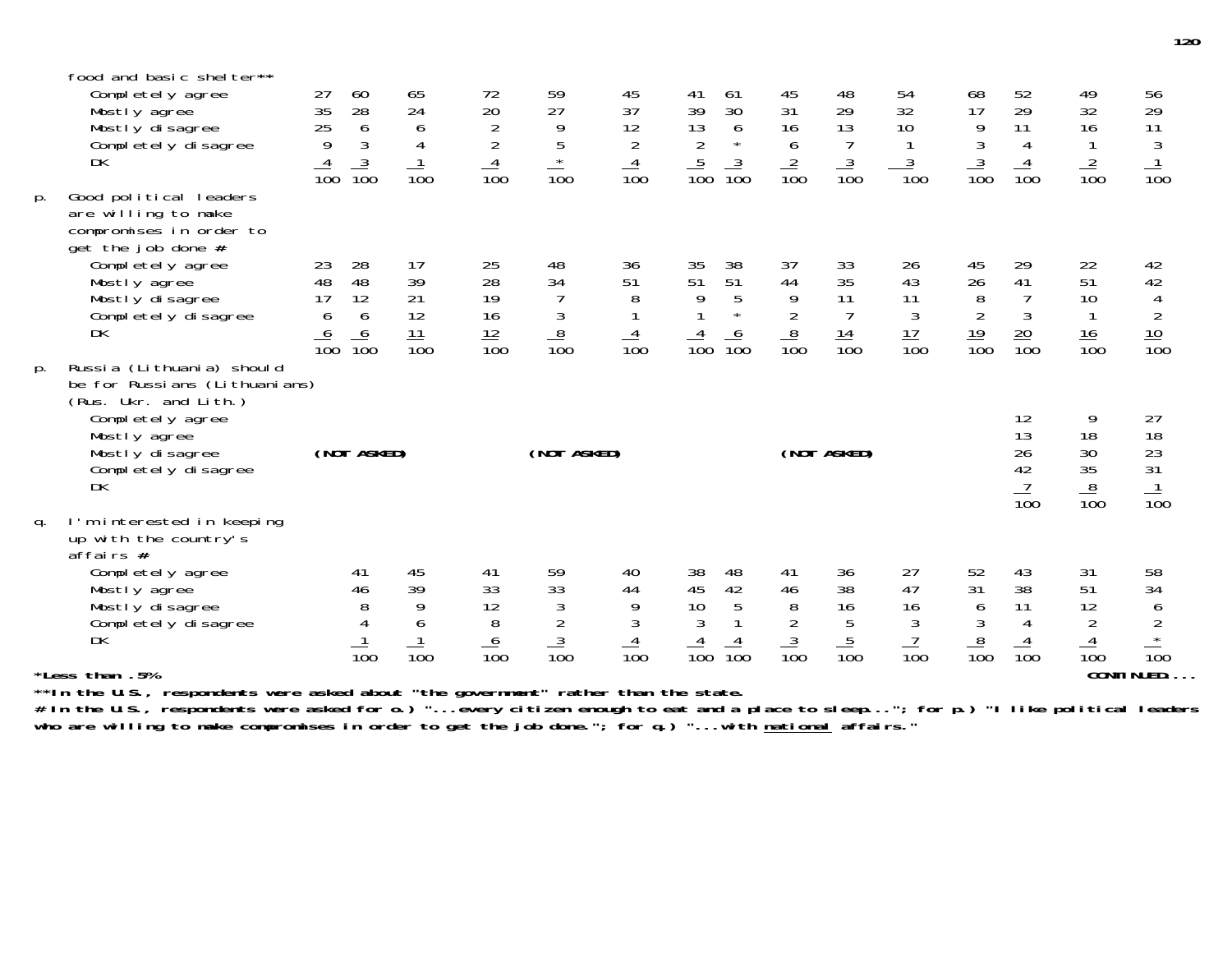|    | *Less than .5%                                                                                                                                                                                                           |                                                    |                                              |                                                    |                                                                      |                                                                                             |                                                                       |                                                                                                                                     |                                                       |                                                      |                                                      |                                                                 |                                                                                    | <b>CONTINUED</b>                                    |                                                                  |
|----|--------------------------------------------------------------------------------------------------------------------------------------------------------------------------------------------------------------------------|----------------------------------------------------|----------------------------------------------|----------------------------------------------------|----------------------------------------------------------------------|---------------------------------------------------------------------------------------------|-----------------------------------------------------------------------|-------------------------------------------------------------------------------------------------------------------------------------|-------------------------------------------------------|------------------------------------------------------|------------------------------------------------------|-----------------------------------------------------------------|------------------------------------------------------------------------------------|-----------------------------------------------------|------------------------------------------------------------------|
| q. | I'm interested in keeping<br>up with the country's<br>$a$ ffairs #<br>Completely agree<br>Mostly agree<br>Mostly disagree<br>Completely disagree<br>DK                                                                   |                                                    | 41<br>46<br>8<br>4<br>$\overline{10}0$       | 45<br>39<br>9<br>6<br>$\overline{10}0$             | 41<br>33<br>12<br>8<br>$\frac{6}{100}$                               | 59<br>33<br>$\sqrt{3}$<br>$\overline{2}$<br>$\frac{3}{100}$                                 | 40<br>44<br>9<br>$\sqrt{3}$<br>$\frac{4}{100}$                        | 38<br>48<br>42<br>45<br>10<br>5<br>3<br>$\frac{4}{100}$<br>$\overline{10}0$                                                         | 41<br>46<br>8<br>$\frac{2}{3}$ $\frac{3}{100}$        | 36<br>38<br>16<br>$\frac{5}{100}$                    | 27<br>47<br>16<br>$\mathfrak{Z}$<br>$\frac{7}{100}$  | 52<br>31<br>6<br>$\mathfrak{Z}$<br>$\frac{8}{100}$              | 43<br>38<br>11<br>4<br>$\frac{4}{100}$                                             | 31<br>51<br>12<br>$\overline{2}$<br>$\frac{4}{100}$ | 58<br>34<br>6<br>$^2_\star$<br>$\overline{10}0$                  |
| p. | be for Russians (Lithuanians)<br>(Rus. Ukr. and Lith.)<br>Completely agree<br>Mostly agree<br>Mostly disagree<br>Completely disagree<br><b>DK</b>                                                                        |                                                    | (NOT ASKED)                                  |                                                    |                                                                      | (NOT ASKED)                                                                                 |                                                                       |                                                                                                                                     |                                                       | (NOT ASKED)                                          |                                                      |                                                                 | 12<br>13<br>26<br>42<br>$\frac{7}{100}$                                            | 9<br>18<br>30<br>35 <sub>o</sub><br>$\frac{8}{100}$ | 27<br>18<br>23<br>31<br>$\frac{1}{100}$                          |
| p. | Good political leaders<br>are willing to make<br>compromises in order to<br>$get$ the job done #<br>Completely agree<br>Mostly agree<br>Mostly disagree<br>Completely disagree<br><b>DK</b><br>Russia (Lithuania) should | 23<br>48<br>17<br>6<br>$\frac{6}{100}$             | 28<br>48<br>12<br>6<br>$\frac{6}{100}$       | 17<br>39<br>21<br>12<br>$\frac{11}{100}$           | $\frac{25}{28}$<br>19<br>16<br>$\frac{12}{100}$                      | 48<br>34<br>$\begin{array}{c}\n 3 \\  \underline{8} \\  \underline{10} \\  0\n \end{array}$ | 36<br>51<br>8<br>$\frac{4}{100}$                                      | $\frac{35}{51}$<br>38<br>$\overline{51}$<br>5<br>9<br>$\star$<br>$\frac{6}{100}$<br>$\frac{4}{100}$                                 | 37<br>44<br>$\overline{9}$<br>$\frac{8}{100}$         | 33<br>35<br>11<br>$\overline{7}$<br>$\frac{14}{100}$ | 26<br>43<br>11<br>$\mathfrak{Z}$<br>$\frac{17}{100}$ | $\frac{45}{26}$<br>$\, 8$<br>$\overline{2}$<br>$\frac{19}{100}$ | $\begin{array}{c} 29 \\ 41 \end{array}$<br>$\overline{7}$<br>3<br>$\frac{20}{100}$ | 22<br>$\overline{51}$<br>10<br>$\frac{16}{100}$     | 42<br>42<br>$\overline{4}$<br>$\overline{2}$<br>$\frac{10}{100}$ |
|    | food and basic shelter**<br>Completely agree<br>Mostly agree<br>Mostly disagree<br>Completely disagree<br><b>DK</b>                                                                                                      | 27<br>$\frac{1}{35}$<br>25<br>9<br>$\frac{4}{100}$ | 60<br>28<br>$\frac{6}{3}$<br>$\frac{3}{100}$ | 65<br>24<br>6<br>$\overline{4}$<br>$\frac{1}{100}$ | 72<br>$\begin{array}{c} 20 \\ 2 \\ 2 \end{array}$<br>$\frac{4}{100}$ | 59<br>27<br>$\frac{9}{5}$<br>$\star$<br>$\overline{10}0$                                    | 45<br>37<br>$\begin{array}{c} 12 \\ 2 \end{array}$<br>$\frac{4}{100}$ | 61<br>41<br>39<br>30<br>$\begin{array}{c} 13 \\ 2 \end{array}$<br>$\boldsymbol{6}$<br>$\star$<br>$\frac{5}{100}$<br>$\frac{3}{100}$ | 45<br>31<br>16<br>$\boldsymbol{6}$<br>$\frac{2}{100}$ | 48<br>29<br>13<br>$\overline{7}$<br>$\frac{3}{100}$  | 54<br>32<br>10<br>$\frac{3}{100}$                    | 68<br>17<br>$\frac{9}{3}$<br>$\frac{3}{100}$                    | 52<br>29<br>11<br>$\overline{4}$<br>$\frac{4}{100}$                                | 49<br>32<br>16<br>$\frac{2}{100}$                   | 56<br>29<br>11<br>$\sqrt{3}$<br>$\mathbf{1}$<br>$\overline{10}0$ |

**\*\*In the U.S., respondents were asked about "the government" rather than the state.**

**# In the U.S., respondents were asked for o.) "...every citizen enough to eat and a place to sleep..."; for p.) "I like political leaders who are willing to make compromises in order to get the job done."; for q.) "...with national affairs."**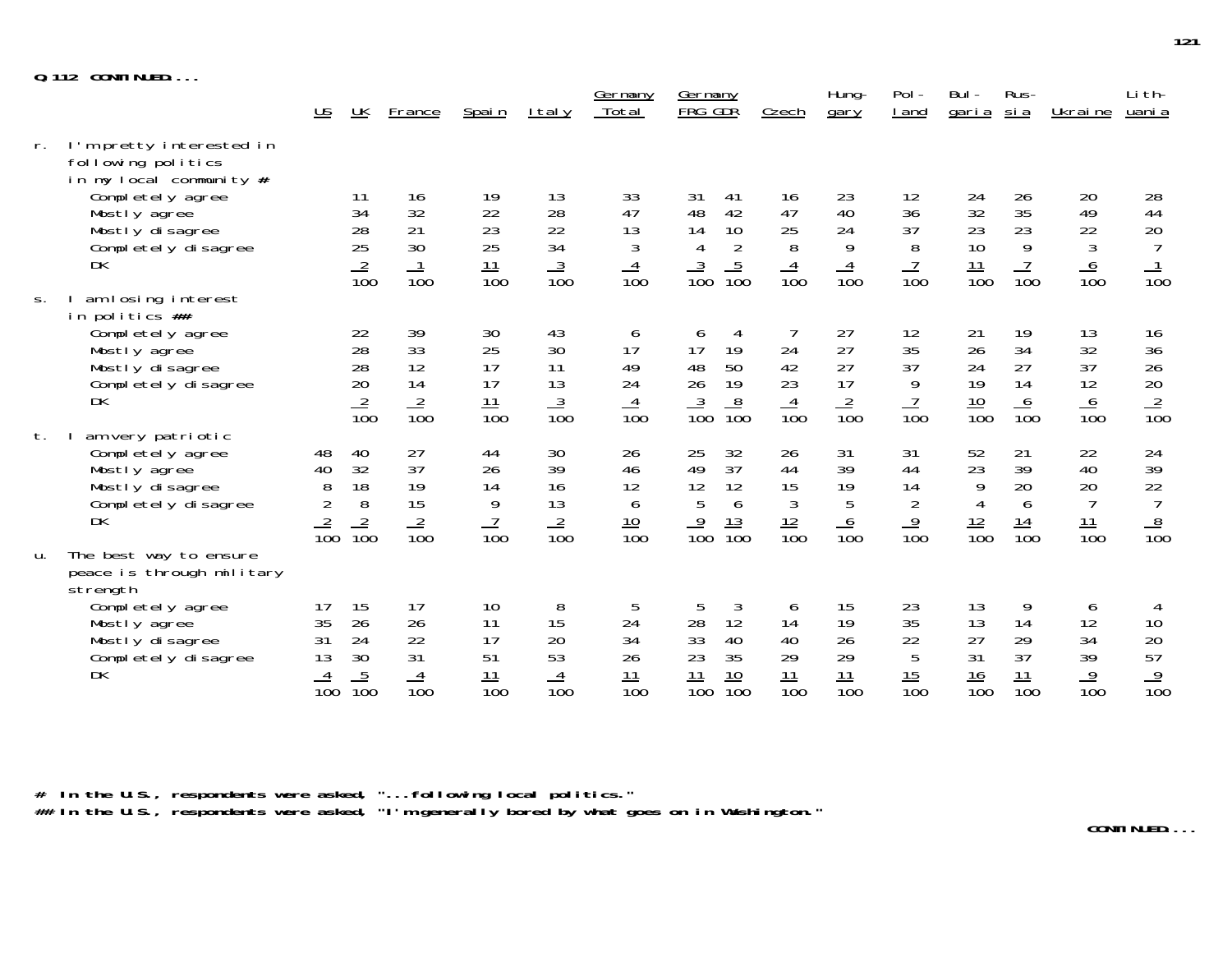|--|--|--|--|

|    |                                                                                                                                                               | <u>US</u>                                          | UK                                      | France                                  | Spain                                    | <u>I tal y</u>                          | <u>Germany</u><br>Total                 | Germany<br>FRG GDR                                                                                         | Czech                                                | Hung-<br>gary                                  | Pol-<br>I and                                       | Bul-<br><u>garia</u>                                | Rus-<br><u>si a</u>                     | Ukraine                                              | Li th-<br>uani a                                        |
|----|---------------------------------------------------------------------------------------------------------------------------------------------------------------|----------------------------------------------------|-----------------------------------------|-----------------------------------------|------------------------------------------|-----------------------------------------|-----------------------------------------|------------------------------------------------------------------------------------------------------------|------------------------------------------------------|------------------------------------------------|-----------------------------------------------------|-----------------------------------------------------|-----------------------------------------|------------------------------------------------------|---------------------------------------------------------|
| r. | I'm pretty interested in<br>following politics<br>in my local community #<br>Completely agree<br>Mostly agree<br>Mostly disagree<br>Completely disagree<br>DK |                                                    | 11<br>34<br>28<br>25<br>$\frac{2}{100}$ | 16<br>32<br>21<br>30                    | 19<br>22<br>23<br>25<br>$\frac{11}{100}$ | 13<br>28<br>22<br>34<br>$\frac{3}{100}$ | 33<br>47<br>13<br>3<br>$\frac{4}{100}$  | 31<br>41<br>42<br>48<br>10<br>14<br>$\overline{2}$<br>$\overline{4}$<br>$\frac{5}{100}$<br>$\frac{3}{100}$ | 16<br>47<br>25<br>8<br>$\frac{4}{100}$               | 23<br>40<br>24<br>9<br>$\overline{4}$          | 12<br>36<br>37<br>8<br>$\frac{7}{100}$              | 24<br>32<br>23<br>10<br>$\frac{11}{100}$            | 26<br>35<br>23<br>9<br>$\frac{7}{100}$  | 20<br>49<br>22<br>3<br>$\frac{6}{100}$               | 28<br>44<br>$20\,$<br>$\overline{7}$<br>$\frac{1}{100}$ |
| S. | am losing interest                                                                                                                                            |                                                    |                                         | $\overline{10}0$                        |                                          |                                         |                                         |                                                                                                            |                                                      | $\overline{10}0$                               |                                                     |                                                     |                                         |                                                      |                                                         |
|    | in politics ##<br>Completely agree<br>Mostly agree<br>Mostly disagree<br>Completely disagree<br><b>DK</b>                                                     |                                                    | 22<br>28<br>28<br>20<br>$\frac{2}{100}$ | 39<br>33<br>12<br>14<br>$\frac{2}{100}$ | 30<br>25<br>17<br>17<br>$\frac{11}{100}$ | 43<br>30<br>11<br>13<br>$\frac{3}{100}$ | 6<br>17<br>49<br>24<br>$\frac{4}{100}$  | 4<br>6<br>17<br>19<br>50<br>48<br>26<br>19<br>$\frac{8}{100}$<br>$\frac{3}{100}$                           | 24<br>42<br>23<br>$\frac{4}{100}$                    | 27<br>27<br>27<br>17<br>$\frac{2}{100}$        | 12<br>35<br>37<br>9<br>$\frac{7}{100}$              | 21<br>26<br>24<br>19<br>$\frac{10}{100}$            | 19<br>34<br>27<br>14<br>$\frac{6}{100}$ | 13<br>32<br>37<br>12<br>$\frac{6}{100}$              | 16<br>$\frac{36}{26}$<br>20<br>$\frac{2}{100}$          |
| t. | am very patriotic<br>Completely agree<br>Mostly agree<br>Mostly disagree<br>Completely disagree<br><b>DK</b>                                                  | 48<br>40<br>8<br>$\overline{2}$<br>$\frac{2}{100}$ | 40<br>32<br>18<br>8<br>$\frac{2}{100}$  | 27<br>37<br>19<br>15<br>$\frac{2}{100}$ | 44<br>26<br>14<br>9<br>$\frac{7}{100}$   | 30<br>39<br>16<br>13<br>$\frac{2}{100}$ | 26<br>46<br>12<br>6<br>$\frac{10}{100}$ | 25<br>32<br>37<br>49<br>12<br>12<br>5<br>6<br>$\overline{9}$<br>$\frac{13}{100}$<br>$\overline{10}0$       | 26<br>44<br>15<br>$\mathfrak{Z}$<br>$\frac{12}{100}$ | 31<br>39<br>19<br>5<br>$\frac{6}{100}$         | 31<br>44<br>14<br>$\overline{2}$<br>$\frac{9}{100}$ | 52<br>23<br>9<br>$\overline{4}$<br>$\frac{12}{100}$ | 21<br>39<br>20<br>6<br>$\frac{14}{100}$ | 22<br>40<br>20<br>$\overline{7}$<br>$\frac{11}{100}$ | 24<br>39<br>22<br>$\overline{7}$<br>$\frac{8}{100}$     |
| u. | The best way to ensure<br>peace is through military<br>strength<br>Completely agree<br>Mostly agree<br>Mostly disagree<br>Completely disagree<br>DK           | 17<br>35<br>31<br>13<br>$\frac{4}{100}$            | 15<br>26<br>24<br>30<br>$\frac{5}{100}$ | 17<br>26<br>22<br>31<br>$\frac{4}{100}$ | 10<br>11<br>17<br>51<br>$\frac{11}{100}$ | 8<br>15<br>20<br>53<br>$\frac{4}{100}$  | 5<br>24<br>34<br>26<br>$\frac{11}{100}$ | 3<br>5<br>28<br>12<br>33<br>40<br>35<br>23<br>$\frac{11}{100}$<br>$\frac{10}{100}$                         | 6<br>14<br>40<br>29<br>$\frac{11}{100}$              | 15<br>19<br>26<br>29<br>11<br>$\overline{10}0$ | 23<br>35<br>22<br>5<br>$\frac{15}{100}$             | 13<br>13<br>27<br>31<br>$\frac{16}{100}$            | 9<br>14<br>29<br>37<br>$\frac{11}{100}$ | 6<br>12<br>34<br>39<br>$\frac{9}{100}$               | 4<br>10<br>20<br>57<br>$\frac{9}{100}$                  |

**# In the U.S., respondents were asked, "...following local politics." ## In the U.S., respondents were asked, "I'm generally bored by what goes on in Washington."**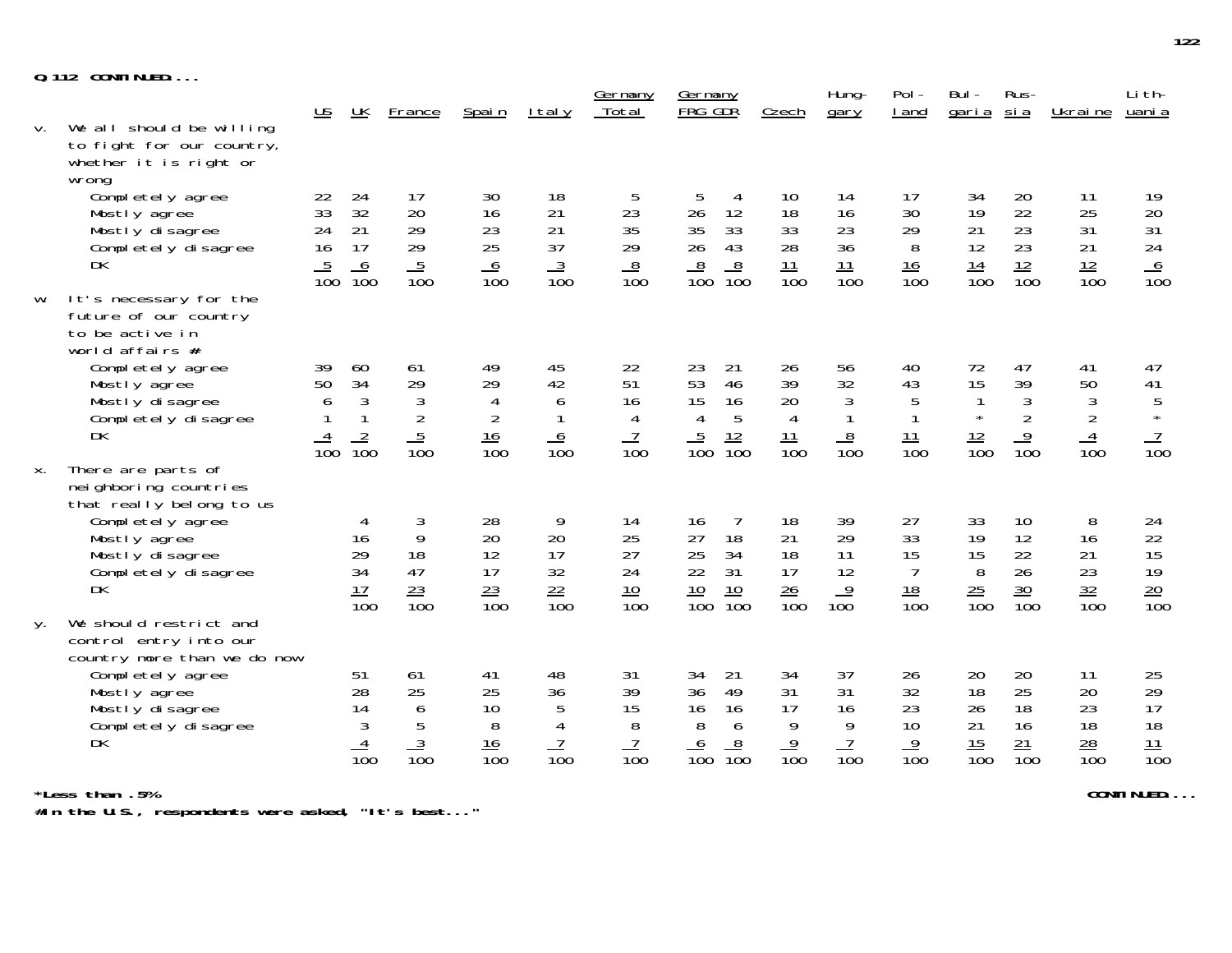| $Q.112$ CONTINUED |
|-------------------|
|-------------------|

|    | U.IIZ GUNIINUED                                                                          |                           |                                |                                  |                              |                   |                                    |                                      |                       |                                |                        |                       |                                  |                                    |                           |
|----|------------------------------------------------------------------------------------------|---------------------------|--------------------------------|----------------------------------|------------------------------|-------------------|------------------------------------|--------------------------------------|-----------------------|--------------------------------|------------------------|-----------------------|----------------------------------|------------------------------------|---------------------------|
|    |                                                                                          | $\underline{\mathsf{US}}$ | $\underline{\mathsf{UK}}$      | France                           | Spain                        | <u>Italy</u>      | Germany<br>Total                   | Germany<br>FRG GDR                   | Czech                 | Hung-<br>gary                  | Pol-<br>I and          | Bul -<br><u>garia</u> | Rus-<br><u>si a</u>              | Ukrai ne                           | Li th-<br>uani a          |
| V. | We all should be willing<br>to fight for our country,<br>whether it is right or<br>wrong |                           |                                |                                  |                              |                   |                                    |                                      |                       |                                |                        |                       |                                  |                                    |                           |
|    | Completely agree<br>Mostly agree                                                         | 22<br>33                  | 24<br>32                       | 17<br>20                         | 30<br>16                     | 18<br>21          | 5<br>23                            | 5<br>4<br>26<br>12                   | 10<br>18              | 14<br>16                       | 17<br>30               | 34<br>19              | 20<br>22                         | 11<br>25                           | 19<br>20                  |
|    | Mostly disagree<br>Completely disagree<br>DK                                             | 24<br>16                  | 21<br>17<br>6                  | 29<br>29                         | 23<br>25<br>$\boldsymbol{6}$ | 21<br>37          | 35<br>29                           | 35<br>33<br>26<br>43<br>$8\,$        | 33<br>28<br>11        | 23<br>36<br>11                 | 29<br>8<br>16          | 21<br>12              | 23<br>23                         | 31<br>21                           | 31<br>24                  |
| W. | It's necessary for the                                                                   | $\overline{10}0$          | $\overline{10}0$               | $\frac{5}{100}$                  | $\overline{10}0$             | $\frac{3}{100}$   | $\frac{8}{100}$                    | $\frac{8}{100}$<br>$\overline{10}0$  | $\overline{10}0$      | $\overline{10}0$               | $\overline{100}$       | $\frac{14}{100}$      | $\frac{12}{100}$                 | $\frac{12}{100}$                   | $\frac{6}{100}$           |
|    | future of our country<br>to be active in<br>world affairs #                              |                           |                                |                                  |                              |                   |                                    |                                      |                       |                                |                        |                       |                                  |                                    |                           |
|    | Completely agree<br>Mostly agree                                                         | 39<br>50                  | 60<br>34                       | 61<br>29                         | 49<br>29                     | 45<br>42          | 22<br>51                           | 23<br>21<br>53<br>46                 | 26<br>39              | 56<br>32                       | 40<br>43               | 72<br>15              | 47<br>39                         | 41<br>50                           | 47<br>41                  |
|    | Mostly disagree<br>Completely disagree                                                   | 6                         | $\mathfrak{Z}$<br>$\mathbf{1}$ | $\mathfrak{Z}$<br>$\overline{2}$ | 4<br>$\overline{2}$          | 6<br>$\mathbf{1}$ | 16<br>4                            | 15<br>16<br>5<br>$\overline{4}$      | 20<br>$\overline{4}$  | $\mathfrak{Z}$<br>$\mathbf{1}$ | 5<br>$\mathbf{1}$      | $\star$               | $\mathfrak{Z}$<br>$\overline{2}$ | 3<br>$\overline{2}$                | $\overline{5}$<br>$\star$ |
|    | DK                                                                                       | $\frac{4}{100}$           | $\frac{2}{100}$                | $\frac{5}{100}$                  | $\frac{16}{100}$             | $\frac{6}{100}$   | $\frac{7}{100}$                    | $\frac{5}{100}$<br>$\frac{12}{100}$  | 11<br>$\frac{1}{100}$ | $\frac{8}{100}$                | $\frac{11}{100}$       | $\frac{12}{100}$      | $\frac{9}{100}$                  | $\overline{4}$<br>$\overline{10}0$ | $\frac{7}{100}$           |
| Χ. | There are parts of<br>nei ghboring countries<br>that really belong to us                 |                           |                                |                                  |                              |                   |                                    |                                      |                       |                                |                        |                       |                                  |                                    |                           |
|    | Completely agree<br>Mostly agree                                                         |                           | 4<br>16                        | 3<br>9                           | 28<br>20                     | 9<br>20           | 14<br>25                           | $\overline{7}$<br>16<br>27<br>18     | 18<br>21              | 39<br>29                       | 27<br>33               | 33<br>19              | 10<br>12                         | 8<br>16                            | 24<br>22                  |
|    | Mostly disagree<br>Completely disagree                                                   |                           | 29<br>34                       | 18<br>47                         | 12<br>17                     | 17<br>32          | 27<br>24                           | 25<br>34<br>31<br>22                 | 18<br>17              | 11<br>12                       | 15<br>7                | 15<br>8               | 22<br>26                         | 21<br>23                           | 15<br>19                  |
|    | <b>DK</b>                                                                                |                           | 17<br>$\overline{10}0$         | $\frac{23}{100}$                 | $\frac{23}{100}$             | $\frac{22}{100}$  | $\frac{10}{100}$                   | $\frac{10}{100}$<br>$\frac{10}{100}$ | $\frac{26}{100}$      | $\overline{9}$<br>100          | 18<br>$\overline{10}0$ | $\frac{25}{100}$      | $\frac{30}{100}$                 | $\frac{32}{100}$                   | $\frac{20}{100}$          |
| у. | We should restrict and<br>control entry into our<br>country more than we do now          |                           |                                |                                  |                              |                   |                                    |                                      |                       |                                |                        |                       |                                  |                                    |                           |
|    | Completely agree<br>Mostly agree                                                         |                           | 51<br>28                       | 61<br>25                         | 41<br>25                     | 48<br>36          | 31<br>39                           | 34<br>21<br>36<br>49                 | 34<br>31              | 37<br>31                       | 26<br>32               | 20<br>18              | 20<br>25                         | 11<br>20                           | 25                        |
|    | Mostly disagree<br>Completely disagree                                                   |                           | 14<br>3                        | 6<br>5                           | 10<br>8                      | 5<br>4            | 15<br>8                            | 16<br>16<br>8<br>6                   | 17<br>9               | 16<br>9                        | 23<br>10               | 26<br>21              | 18<br>16                         | 23<br>18                           | $\frac{29}{17}$<br>18     |
|    | <b>DK</b>                                                                                |                           | $\overline{10}0$               | $\frac{3}{100}$                  | $\frac{16}{100}$             | $\frac{7}{100}$   | $\overline{1}$<br>$\overline{10}0$ | $\frac{8}{100}$<br>$\frac{6}{100}$   | $\frac{9}{100}$       | $\frac{7}{100}$                | $\frac{9}{100}$        | $\frac{15}{100}$      | $\frac{21}{100}$                 | $\frac{28}{100}$                   | $\frac{11}{100}$          |
|    |                                                                                          |                           |                                |                                  |                              |                   |                                    |                                      |                       |                                |                        |                       |                                  |                                    |                           |

**\*Less than .5% CONTINUED....**

**#In the U.S., respondents were asked, "It's best..."**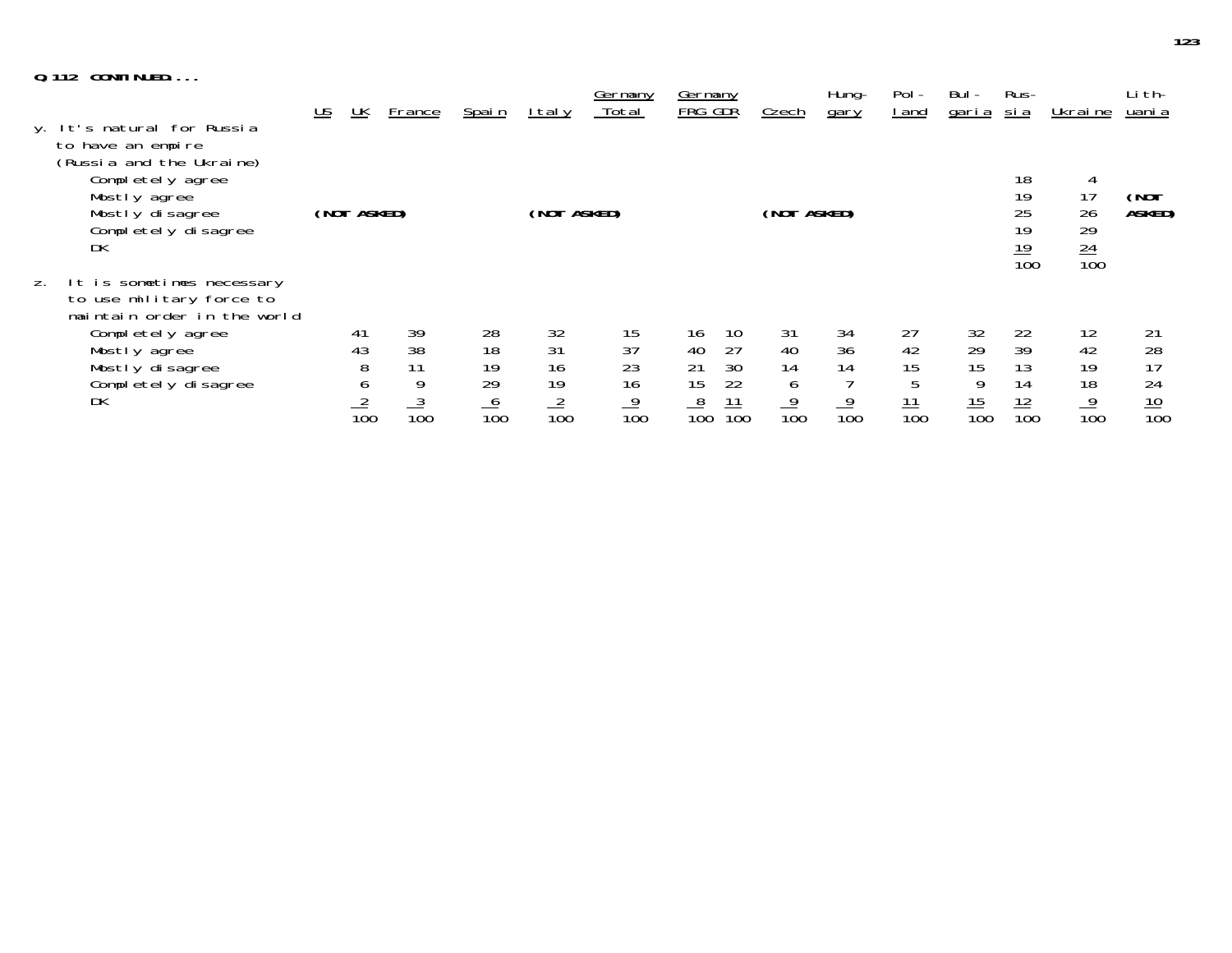|    | $Q.112$ CONTINUED                                                                                                                                                        |                           |                                                   |                                        |                                         |                                         |                                         |                                                                                     |                                        |                                    |                                         |                                         |                                          |                                         |                                          |
|----|--------------------------------------------------------------------------------------------------------------------------------------------------------------------------|---------------------------|---------------------------------------------------|----------------------------------------|-----------------------------------------|-----------------------------------------|-----------------------------------------|-------------------------------------------------------------------------------------|----------------------------------------|------------------------------------|-----------------------------------------|-----------------------------------------|------------------------------------------|-----------------------------------------|------------------------------------------|
|    | y. It's natural for Russia                                                                                                                                               | $\underline{\mathsf{US}}$ | $\underline{\mathsf{UK}}$                         | France                                 | <u>Spain</u>                            | I tal y                                 | Germany<br>Total                        | <b>Germany</b><br>FRG GDR                                                           | Czech                                  | Hung-<br>gary                      | $Pol -$<br>l and                        | Bul -<br><u>garia</u>                   | Rus-<br><u>sia</u>                       | Ukrai ne                                | Li th-<br>uani a                         |
|    | to have an empire<br>(Russia and the Ukraine)<br>Completely agree<br>Mostly agree<br>Mostly disagree<br>Completely disagree<br>DK                                        |                           | (NOT ASKED)                                       |                                        |                                         | (NOT ASKED)                             |                                         |                                                                                     | (NOT ASKED)                            |                                    |                                         |                                         | 18<br>19<br>25<br>19<br>$\frac{19}{100}$ | 4<br>17<br>26<br>29<br>$\frac{24}{100}$ | (NOT<br>ASKED)                           |
| Z. | It is sometimes necessary<br>to use military force to<br>maintain order in the world<br>Completely agree<br>Mostly agree<br>Mostly disagree<br>Completely disagree<br>DK |                           | 41<br>43<br>8<br><sub>0</sub><br>$\frac{2}{10}$ c | 39<br>38<br>11<br>9<br>$\frac{3}{100}$ | 28<br>18<br>19<br>29<br>$\frac{6}{100}$ | 32<br>31<br>16<br>19<br>$\frac{2}{100}$ | 15<br>37<br>23<br>16<br>$\frac{9}{100}$ | 16<br>10<br>27<br>40<br>21<br>30<br>15<br>22<br>$\frac{11}{100}$<br>$\frac{8}{100}$ | 31<br>40<br>14<br>6<br>$\frac{9}{100}$ | 34<br>36<br>14<br>$\overline{10}0$ | 27<br>42<br>15<br>5<br>$\frac{11}{100}$ | 32<br>29<br>15<br>9<br>$\frac{15}{100}$ | 22<br>39<br>13<br>14<br>$\frac{12}{100}$ | 12<br>42<br>19<br>18<br>$\frac{9}{100}$ | 21<br>28<br>17<br>24<br>$\frac{10}{100}$ |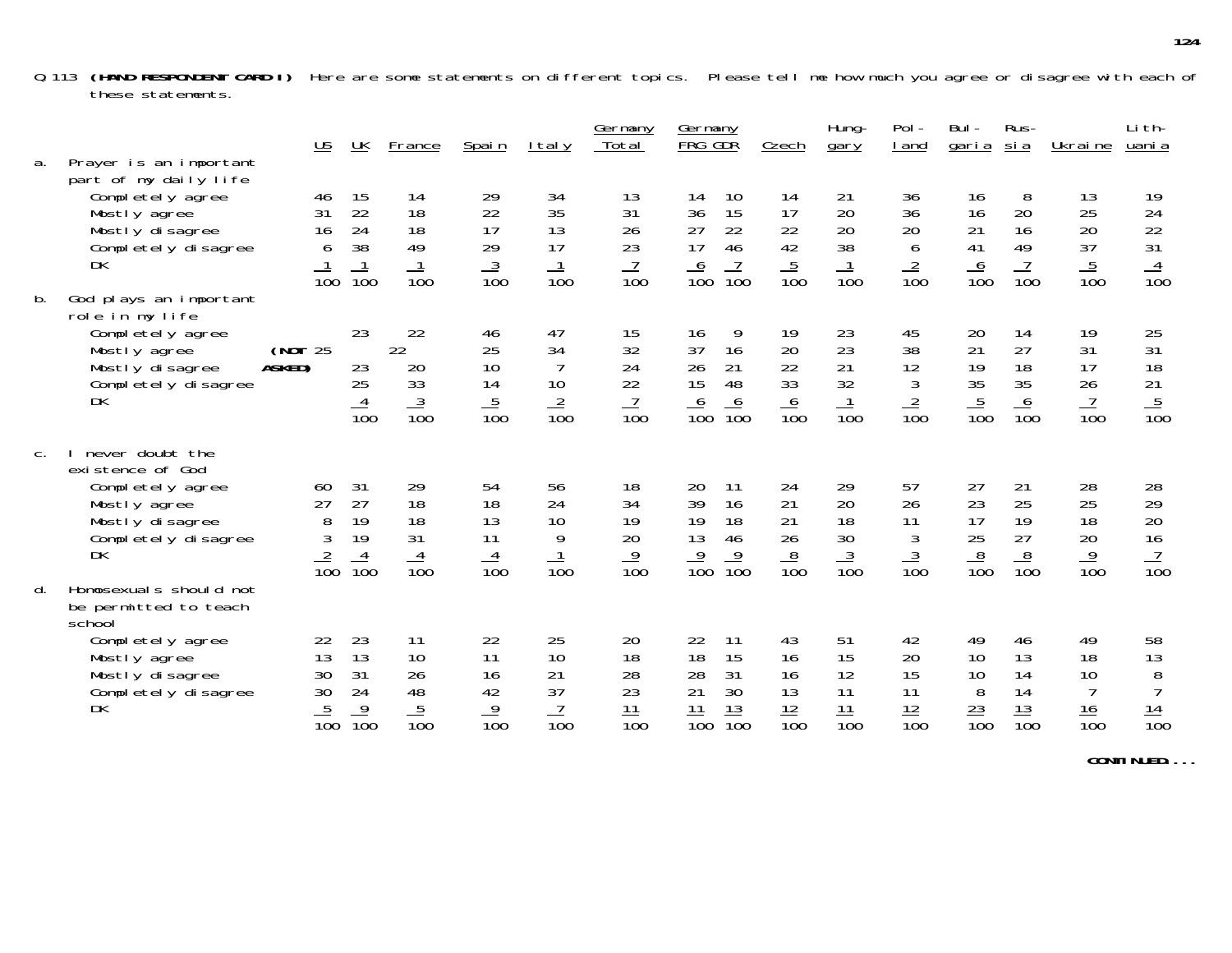Q.113 **(HAND RESPONDENT CARD I)** Here are some statements on different topics. Please tell me how much you agree or disagree with each of these statements.

| a. | Prayer is an important                                                                                                         |                   | $\underline{\mathsf{US}}$               | $\underline{\mathsf{UK}}$                            | <b>France</b>                           | Spain                                   | <u>Italy</u>                                         | Germany<br>Total                        | Germany<br>FRG GDR                                                                 | Czech                                   | Hung-<br>gary                            | Pol-<br><u>I</u> and                                | Bul-<br><u>garia</u>                    | Rus-<br><u>si a</u>                          | Ukraine                                                    | Li th-<br>uani a                              |
|----|--------------------------------------------------------------------------------------------------------------------------------|-------------------|-----------------------------------------|------------------------------------------------------|-----------------------------------------|-----------------------------------------|------------------------------------------------------|-----------------------------------------|------------------------------------------------------------------------------------|-----------------------------------------|------------------------------------------|-----------------------------------------------------|-----------------------------------------|----------------------------------------------|------------------------------------------------------------|-----------------------------------------------|
|    | part of my daily life<br>Completely agree<br>Mostly agree<br>Mostly disagree<br>Completely disagree<br>DK                      |                   | 46<br>31<br>16<br>6<br>$\overline{100}$ | 15<br>22<br>24<br>38<br>$\overline{10}0$             | 14<br>18<br>18<br>49<br>$\frac{1}{100}$ | 29<br>22<br>17<br>29<br>$\frac{3}{100}$ | 34<br>35<br>13<br>17<br>$\frac{1}{100}$              | 13<br>31<br>26<br>23<br>$\frac{7}{100}$ | 10<br>14<br>15<br>36<br>22<br>27<br>17<br>46<br>$\frac{7}{100}$<br>$\frac{6}{100}$ | 14<br>17<br>22<br>42<br>$\frac{5}{100}$ | 21<br>20<br>20<br>38<br>$\frac{1}{100}$  | 36<br>36<br>20<br>6<br>$\frac{2}{100}$              | 16<br>16<br>21<br>41<br>$\frac{6}{100}$ | 8<br>20<br>16<br>49<br>$\frac{7}{100}$       | 13<br>25<br>20<br>37<br>$\frac{5}{100}$                    | 19<br>24<br>22<br>31<br>$\frac{4}{100}$       |
| b. | God plays an important<br>role in my life<br>Completely agree<br>Mostly agree<br>Mostly disagree<br>Completely disagree<br>DK  | (NOT 25<br>ASKED) |                                         | 23<br>23<br>25<br>4<br>$\overline{10}0$              | 22<br>22<br>20<br>33<br>$\frac{3}{100}$ | 46<br>25<br>10<br>14<br>$\frac{5}{100}$ | 47<br>34<br>$\overline{7}$<br>10<br>$\frac{2}{100}$  | 15<br>32<br>24<br>22<br>$\frac{7}{100}$ | 16<br>9<br>37<br>16<br>26<br>21<br>48<br>15<br>$\frac{6}{100}$<br>$\frac{6}{100}$  | 19<br>20<br>22<br>33<br>$\frac{6}{100}$ | 23<br>23<br>21<br>32<br>$\overline{10}0$ | 45<br>38<br>12<br>$\mathfrak{Z}$<br>$\frac{2}{100}$ | 20<br>21<br>19<br>35<br>$\frac{5}{100}$ | 14<br>27<br>18<br>35<br>6<br>$\frac{1}{100}$ | 19<br>31<br>17<br>26<br>$\overline{7}$<br>$\overline{10}0$ | 25<br>31<br>18<br>21<br>$\frac{5}{100}$       |
| C. | never doubt the<br>existence of God<br>Completely agree<br>Mostly agree<br>Mostly disagree<br>Completely disagree<br><b>DK</b> |                   | 60<br>27<br>8<br>3<br>$\frac{2}{100}$   | 31<br>27<br>19<br>19<br>$\frac{4}{100}$              | 29<br>18<br>18<br>31<br>$\frac{4}{100}$ | 54<br>18<br>13<br>11<br>$\frac{4}{100}$ | 56<br>24<br>10<br>9<br>$\frac{1}{100}$               | 18<br>34<br>19<br>20<br>$\frac{9}{100}$ | 20<br>11<br>16<br>39<br>18<br>19<br>13<br>46<br>$\frac{9}{100}$<br>$\frac{9}{100}$ | 24<br>21<br>21<br>26<br>$\frac{8}{100}$ | 29<br>20<br>18<br>30<br>$\frac{3}{100}$  | 57<br>26<br>11<br>3<br>$\frac{3}{100}$              | 27<br>23<br>17<br>25<br>$\frac{8}{100}$ | 21<br>25<br>19<br>27<br>$\frac{8}{100}$      | 28<br>25<br>18<br>20<br>$\frac{9}{100}$                    | 28<br>29<br>20<br>16<br>$\frac{7}{100}$       |
| d. | Homosexuals should not<br>be permitted to teach<br>school<br>Completely agree                                                  |                   | 22                                      | 23                                                   | 11                                      | 22                                      | 25                                                   | 20                                      | 22<br>11                                                                           | 43                                      | 51                                       | 42                                                  | 49                                      | 46                                           | 49                                                         | 58                                            |
|    | Mostly agree<br>Mostly disagree<br>Completely disagree<br>DK                                                                   |                   | 13<br>30<br>30<br>$\frac{5}{100}$       | 13<br>31<br>24<br>$\overline{9}$<br>$\overline{10}0$ | 10<br>26<br>48<br>$\frac{5}{100}$       | 11<br>16<br>42<br>$\frac{9}{100}$       | 10<br>21<br>37<br>$\overline{7}$<br>$\overline{10}0$ | 18<br>28<br>23<br>$\frac{11}{100}$      | 15<br>18<br>31<br>28<br>30<br>21<br>$\frac{13}{100}$<br>$\frac{11}{100}$           | 16<br>16<br>13<br>$\frac{12}{100}$      | 15<br>12<br>11<br>$\frac{11}{100}$       | 20<br>15<br>11<br>$\frac{12}{100}$                  | 10<br>10<br>8<br>$\frac{23}{100}$       | 13<br>14<br>14<br>$\frac{13}{100}$           | 18<br>10<br>$\overline{7}$<br>16<br>$\overline{10}0$       | 13<br>8<br>$\overline{7}$<br>$\frac{14}{100}$ |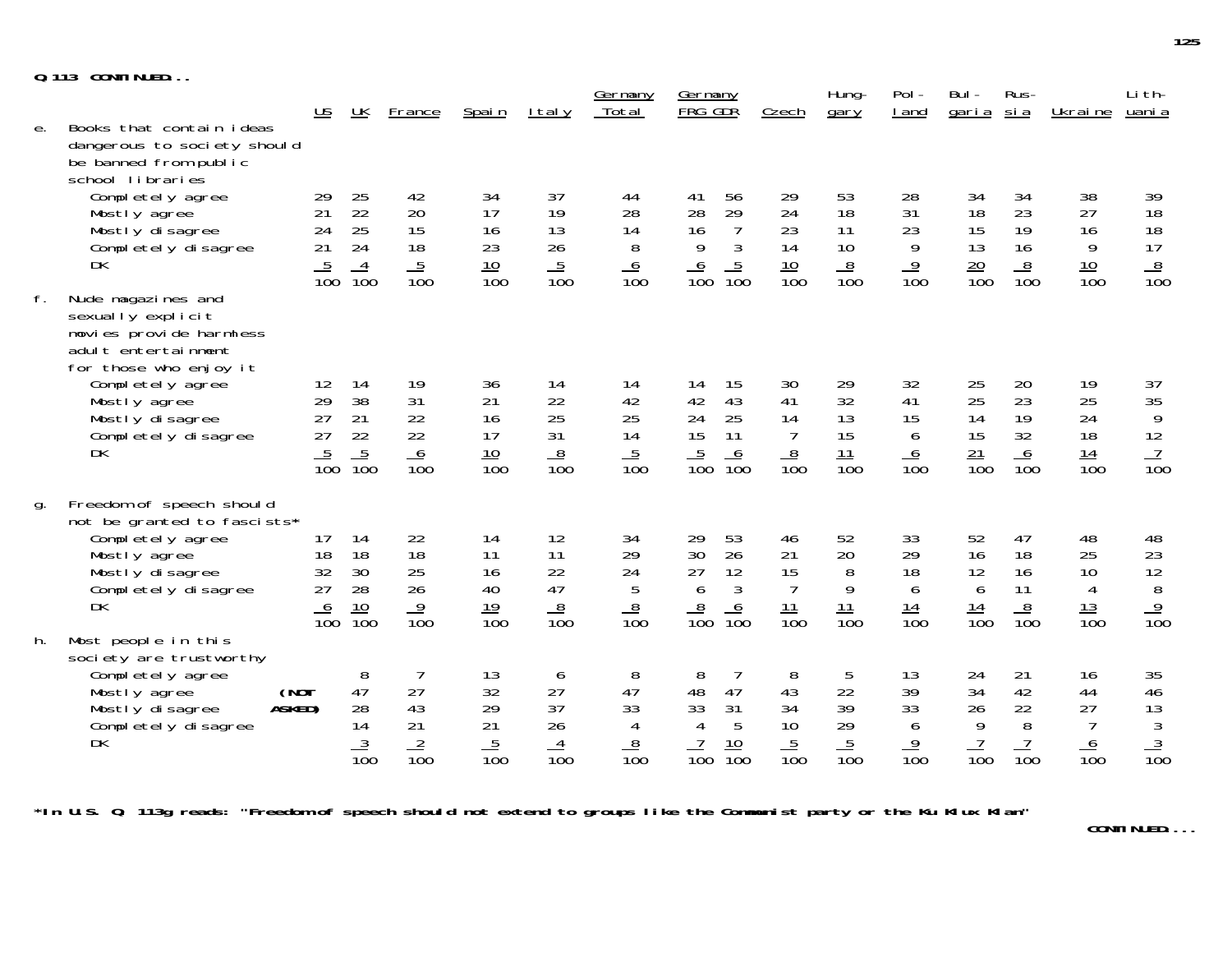|  | Q.113 CONTINUED |  |
|--|-----------------|--|
|  |                 |  |

|    | <b>VUITIINULD</b>                                                                                                                                                        |                                                            |                                                            |                                                            |                                                |                                         | <u>Germany</u>                               | Germany                                                                                                   |                                                      | Hung-                                          | Pol-                                                      | Bul-                                     | Rus-                                          |                                               | Li th-                                        |
|----|--------------------------------------------------------------------------------------------------------------------------------------------------------------------------|------------------------------------------------------------|------------------------------------------------------------|------------------------------------------------------------|------------------------------------------------|-----------------------------------------|----------------------------------------------|-----------------------------------------------------------------------------------------------------------|------------------------------------------------------|------------------------------------------------|-----------------------------------------------------------|------------------------------------------|-----------------------------------------------|-----------------------------------------------|-----------------------------------------------|
| е. | Books that contain ideas<br>dangerous to society should                                                                                                                  | $\underline{\mathsf{US}}$                                  | $\underline{\mathsf{UK}}$                                  | France                                                     | Spain                                          | <u>Italy</u>                            | Total                                        | FRG GDR                                                                                                   | Czech                                                | gary                                           | I and                                                     | <u>garia</u>                             | <u>sia</u>                                    | <u>Ukraine</u>                                | uani a                                        |
| f. | be banned from public<br>school libraries<br>Completely agree<br>Mostly agree<br>Mostly disagree<br>Completely disagree<br>DK<br>Nude magazines and<br>sexually explicit | 29<br>21<br>24<br>21<br>$\overline{5}$<br>$\overline{10}0$ | 25<br>22<br>25<br>24<br>$\overline{4}$<br>$\overline{10}0$ | 42<br>20<br>15<br>18<br>$\overline{5}$<br>$\overline{10}0$ | 34<br>17<br>16<br>23<br>10<br>$\overline{10}0$ | 37<br>19<br>13<br>26<br>$\frac{5}{100}$ | 44<br>28<br>14<br>8<br>6<br>$\overline{10}0$ | 56<br>41<br>28<br>29<br>16<br>$\overline{7}$<br>9<br>3<br>$\frac{5}{100}$<br><u>6</u><br>$\overline{10}0$ | 29<br>24<br>23<br>14<br>$\frac{10}{100}$             | 53<br>18<br>11<br>10<br>$\frac{8}{100}$        | 28<br>31<br>23<br>9<br>$\overline{9}$<br>$\overline{100}$ | 34<br>18<br>15<br>13<br>$\frac{20}{100}$ | 34<br>23<br>19<br>16<br>$\frac{8}{100}$       | 38<br>27<br>16<br>9<br>10<br>$\overline{10}0$ | 39<br>18<br>18<br>17<br>$\frac{8}{100}$       |
|    | movies provide harmless<br>adult entertainment<br>for those who enjoy it<br>Completely agree<br>Mostly agree<br>Mostly disagree<br>Completely disagree<br>DK             | 12<br>29<br>27<br>27<br>$\frac{5}{100}$                    | 14<br>38<br>21<br>22<br>$\frac{5}{100}$                    | 19<br>31<br>22<br>22<br>$\frac{6}{100}$                    | 36<br>21<br>16<br>17<br>$\frac{10}{100}$       | 14<br>22<br>25<br>31<br>$\frac{8}{100}$ | 14<br>42<br>25<br>14<br>$\frac{5}{100}$      | 15<br>14<br>43<br>42<br>24<br>25<br>15<br>11<br>$\frac{5}{100}$<br>6<br>$\overline{10}0$                  | 30<br>41<br>14<br>$\overline{7}$<br>$\frac{8}{100}$  | 29<br>32<br>13<br>15<br>11<br>$\overline{10}0$ | 32<br>41<br>15<br>6<br>6<br>$\overline{10}0$              | 25<br>25<br>14<br>15<br>$\frac{21}{100}$ | 20<br>23<br>19<br>32<br>6<br>$\overline{10}0$ | 19<br>25<br>24<br>18<br>$\frac{14}{100}$      | 37<br>$\frac{35}{9}$<br>12<br>$\frac{7}{100}$ |
| g. | Freedom of speech should<br>not be granted to fascists*<br>Completely agree<br>Mostly agree<br>Mostly disagree<br>Completely disagree<br><b>DK</b>                       | 17<br>18<br>32<br>27<br>$\frac{6}{100}$                    | 14<br>18<br>30<br>28<br>$\frac{10}{100}$                   | 22<br>18<br>25<br>26<br>$\frac{9}{100}$                    | 14<br>11<br>16<br>40<br>19<br>$\overline{100}$ | 12<br>11<br>22<br>47<br>$\frac{8}{100}$ | 34<br>29<br>24<br>5<br>$\frac{8}{100}$       | 29<br>53<br>26<br>30<br>27<br>12<br>6<br>$\mathfrak{Z}$<br>$\frac{8}{100}$<br>$\frac{6}{100}$             | 46<br>21<br>15<br>$\overline{7}$<br>$\frac{11}{100}$ | 52<br>20<br>8<br>9<br>11<br>$\overline{100}$   | 33<br>29<br>18<br>6<br>14<br>$\overline{100}$             | 52<br>16<br>12<br>6<br>$\frac{14}{100}$  | 47<br>18<br>16<br>11<br>$\frac{8}{100}$       | 48<br>25<br>10<br>4<br>$\frac{13}{100}$       | 48<br>$\frac{23}{12}$<br>$\frac{9}{100}$      |
| h. | Most people in this<br>society are trustworthy<br>Completely agree<br>(NOT<br>Mostly agree<br>ASKED)<br>Mostly disagree<br>Completely disagree<br>DK                     |                                                            | 8<br>47<br>28<br>14<br>$\frac{3}{100}$                     | 7<br>27<br>43<br>21<br>$\frac{2}{100}$                     | 13<br>32<br>29<br>21<br>$\frac{5}{100}$        | 6<br>27<br>37<br>26<br>$\frac{4}{100}$  | 8<br>47<br>33<br>4<br>$\frac{8}{100}$        | 8<br>7<br>48<br>47<br>33<br>31<br>5<br>$\overline{4}$<br>$\frac{10}{100}$<br>$\overline{100}$             | 8<br>43<br>34<br>10<br>$\frac{5}{100}$               | 5<br>22<br>39<br>29<br>$\frac{5}{100}$         | 13<br>39<br>33<br>6<br>$\frac{9}{100}$                    | 24<br>34<br>26<br>9<br>$\frac{7}{100}$   | 21<br>42<br>22<br>8<br>$\frac{7}{100}$        | 16<br>44<br>27<br>7<br>6<br>$\overline{100}$  | 35<br>$\frac{46}{13}$<br>$\frac{3}{100}$      |

**\*In U.S. Q. 113g reads: "Freedom of speech should not extend to groups like the Communist party or the Ku Klux Klan"**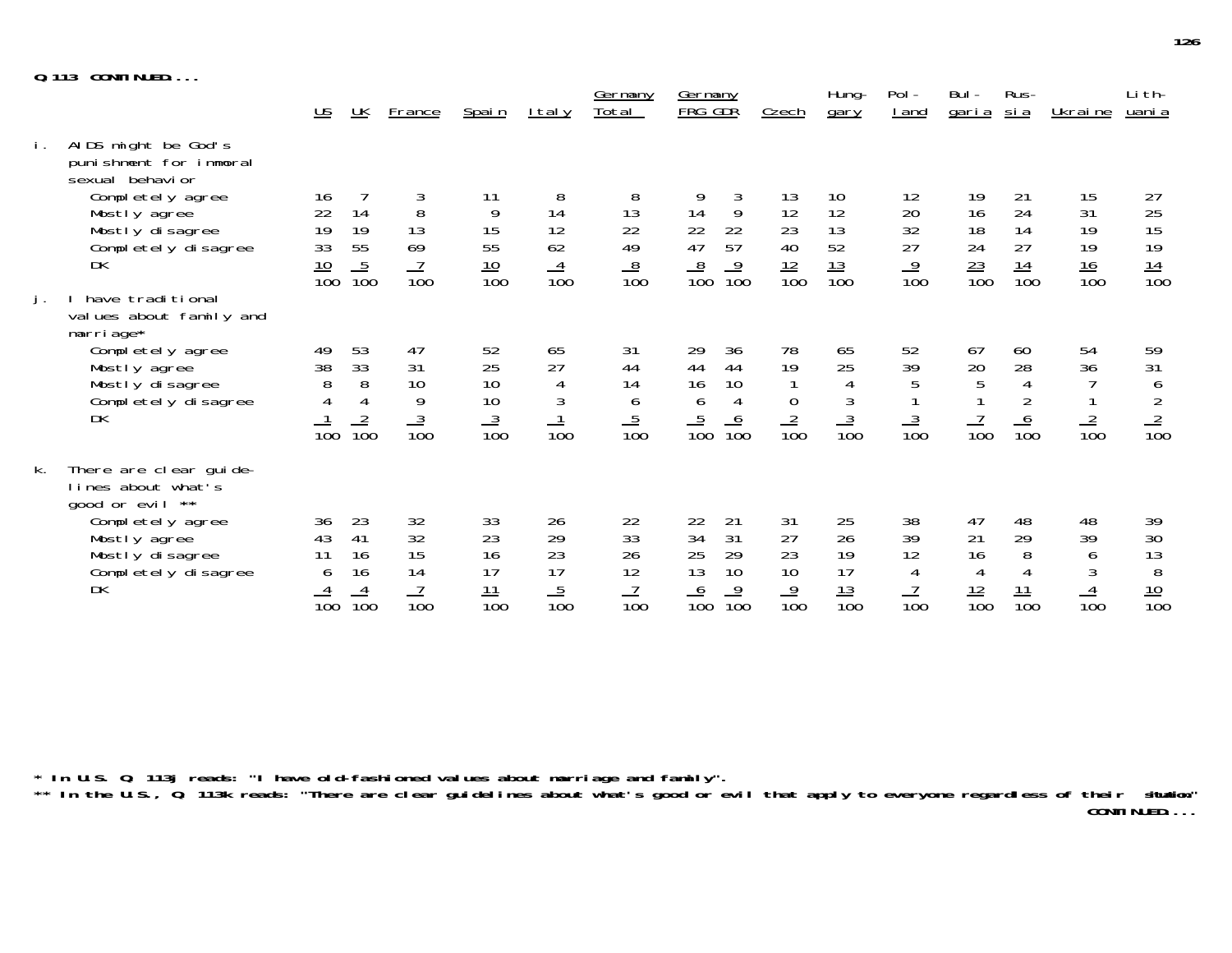|    | 0.113<br>CONTINUED                                                                                                                                   |                                                                                      |                                                    |                                         |                                          |                                         | <u>Germany</u>                                                        | <u>Germany</u>                                                                                                 |                                                 | Hung-                                                           | $Pol -$                                          | Bul -                                         | Rus-                                          |                                          | Li th-                                                          |
|----|------------------------------------------------------------------------------------------------------------------------------------------------------|--------------------------------------------------------------------------------------|----------------------------------------------------|-----------------------------------------|------------------------------------------|-----------------------------------------|-----------------------------------------------------------------------|----------------------------------------------------------------------------------------------------------------|-------------------------------------------------|-----------------------------------------------------------------|--------------------------------------------------|-----------------------------------------------|-----------------------------------------------|------------------------------------------|-----------------------------------------------------------------|
|    |                                                                                                                                                      | $\underline{\mathsf{US}}$                                                            | <u>UK</u>                                          | <b>France</b>                           | Spain                                    | $lt$ al y                               | Total                                                                 | FRG GDR                                                                                                        | Czech                                           | gary                                                            | I and                                            | <u>garia</u>                                  | <u>si a</u>                                   | Ukraine                                  | uani a                                                          |
| İ. | AIDS might be God's<br>punishment for immoral<br>sexual behavior<br>Completely agree<br>Mostly agree<br>Mostly disagree<br>Completely disagree<br>DK | 16<br>$\begin{array}{c} 22 \\ 19 \end{array}$<br>$\frac{13}{10}$<br>$\frac{10}{100}$ | 14<br>19<br>$\frac{5}{100}$                        | $\, 8$<br>13<br>$rac{69}{100}$          | 11<br>9<br>15<br>55<br>$\frac{10}{100}$  | 8<br>14<br>12<br>62<br>$\frac{4}{100}$  | 8<br>$\begin{array}{c} 13 \\ 22 \end{array}$<br>49<br>$\frac{8}{100}$ | 9<br>3<br>9<br>$\begin{array}{c} 14 \\ 22 \\ 47 \end{array}$<br>22<br>57<br>$\frac{8}{100}$<br>$\frac{9}{100}$ | 13<br>12<br>$\frac{23}{40}$<br>$\frac{12}{100}$ | 10<br>12<br>13<br>52<br>$\frac{13}{100}$                        | 12<br>$\frac{20}{32}$<br>27<br>$\frac{9}{100}$   | 19<br>16<br>18<br>$\frac{24}{\frac{23}{100}}$ | 21<br>24<br>14<br>27<br>$\frac{14}{100}$      | 15<br>31<br>19<br>19<br>$\frac{16}{100}$ | $\frac{27}{25}$<br>15<br>$\frac{19}{14}$                        |
| j. | have traditional<br>values about family and<br>marriage*<br>Completely agree<br>Mostly agree<br>Mostly disagree<br>Completely disagree<br>DK         | 49<br>38<br>$\begin{array}{c} 8 \\ 4 \end{array}$<br>$\overline{10}0$                | 53<br>33<br>8<br>$\overline{4}$<br>$\frac{2}{100}$ | 47<br>31<br>10<br>9<br>$\frac{3}{100}$  | 52<br>25<br>10<br>10<br>$\frac{3}{100}$  | 65<br>27<br>4<br>$\overline{10}0$       | 31<br>44<br>14<br>$\boldsymbol{6}$<br>$\frac{5}{100}$                 | 29<br>36<br>44<br>44<br>16<br>10<br>$\boldsymbol{6}$<br>$\overline{4}$<br>$\frac{5}{100}$<br>$\frac{6}{100}$   | 78<br>19<br>$\boldsymbol{0}$<br>$\frac{2}{100}$ | 65<br>25<br>$\overline{4}$<br>$\mathfrak{Z}$<br>$\frac{3}{100}$ | 52<br>39<br>5<br>$\mathbf{1}$<br>$\frac{3}{100}$ | 67<br>20<br>5<br>$\frac{7}{100}$              | 60<br>28<br>$\overline{4}$<br>$\frac{6}{100}$ | 54<br>36<br>$\frac{2}{100}$              | 59<br>31<br>$rac{6}{2}$<br>$rac{2}{100}$                        |
| k. | There are clear guide-<br>lines about what's<br>good or evil **<br>Completely agree<br>Mostly agree<br>Mostly disagree<br>Completely disagree<br>DK  | 36<br>43<br>11<br>6<br>$\overline{10}0$                                              | 23<br>41<br>16<br>16<br>$\frac{4}{100}$            | 32<br>32<br>15<br>14<br>$\frac{7}{100}$ | 33<br>23<br>16<br>17<br>$\frac{11}{100}$ | 26<br>29<br>23<br>17<br>$\frac{5}{100}$ | 22<br>33<br>26<br>12<br>$\frac{7}{100}$                               | 22<br>21<br>34<br>31<br>25<br>29<br>13<br>10<br>$\frac{9}{100}$<br>$\frac{6}{100}$                             | 31<br>27<br>23<br>10<br>$\frac{9}{100}$         | 25<br>26<br>19<br>17<br>$\frac{13}{100}$                        | 38<br>39<br>12<br>4<br>$\frac{7}{100}$           | 47<br>21<br>16<br>4<br>$\frac{12}{100}$       | 48<br>29<br>8<br>$\frac{11}{100}$             | 48<br>39<br>6<br>$\frac{4}{100}$         | 39<br>$\begin{array}{c} 30 \\ 13 \end{array}$<br>$\frac{8}{10}$ |

**\* In U.S. Q. 113j reads: "I have old-fashioned values about marriage and family".**

**\*\* In the U.S., Q. 113k reads: "There are clear guidelines about what's good or evil that apply to everyone regardless of their situation." CONTINUED....**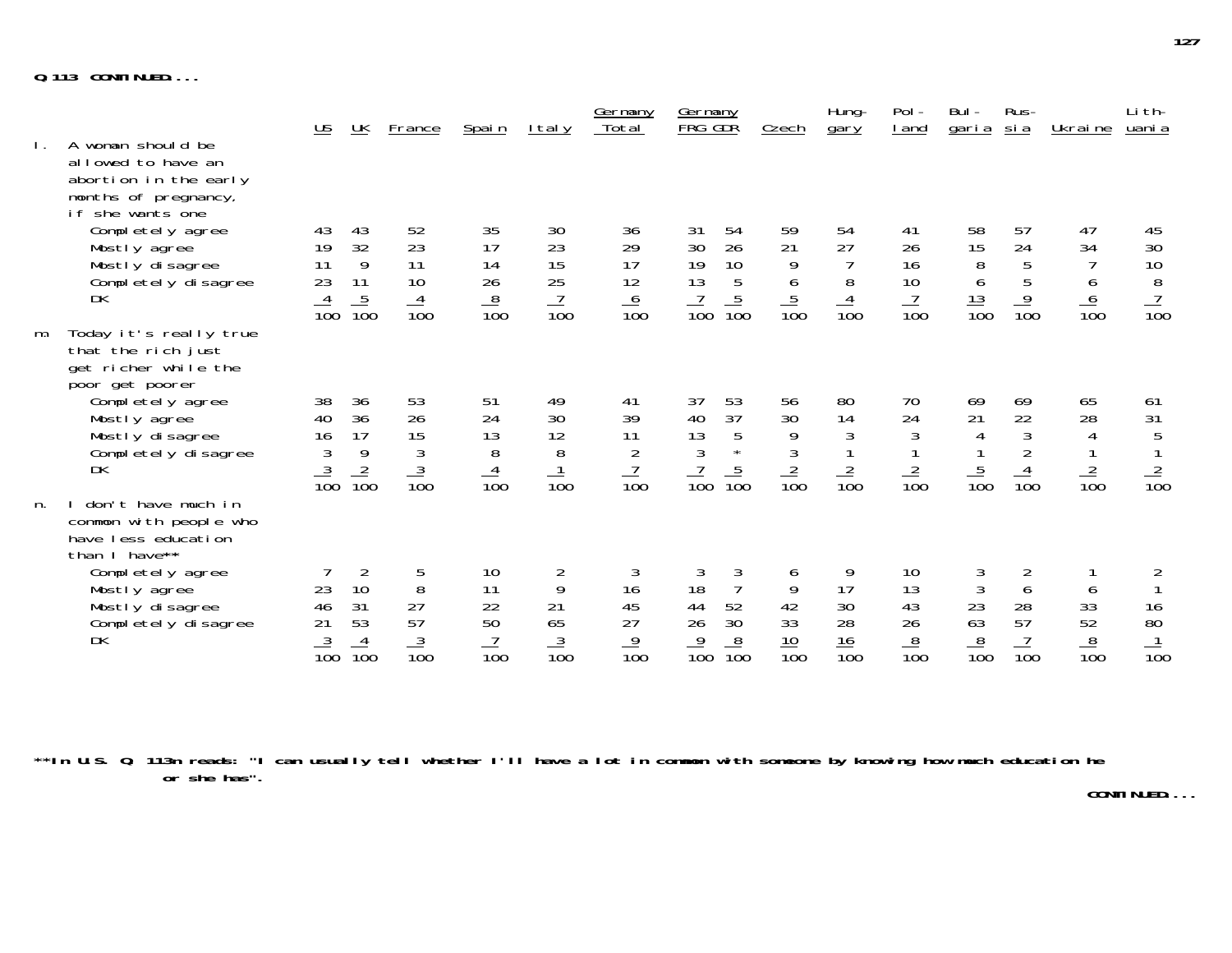|    |                                                                                                              | $\underline{\mathsf{US}}$               | <u>UК</u>                                           | <b>France</b>                           | Spain                                   | <u>Italy</u>                                       | <u>Germany</u><br>Total                             | <u>Germany</u><br>FRG GDR                                                                           | Czech                                  | Hung-<br>gary                                 | Pol -<br><u>I</u> and                         | Bul -<br><u>garia</u>                                                 | Rus-<br><u>sia</u>                | Ukraine                                       | Li th-<br>uani a                                                     |
|----|--------------------------------------------------------------------------------------------------------------|-----------------------------------------|-----------------------------------------------------|-----------------------------------------|-----------------------------------------|----------------------------------------------------|-----------------------------------------------------|-----------------------------------------------------------------------------------------------------|----------------------------------------|-----------------------------------------------|-----------------------------------------------|-----------------------------------------------------------------------|-----------------------------------|-----------------------------------------------|----------------------------------------------------------------------|
|    | A woman should be<br>allowed to have an<br>abortion in the early<br>months of pregnancy,<br>if she wants one |                                         |                                                     |                                         |                                         |                                                    |                                                     |                                                                                                     |                                        |                                               |                                               |                                                                       |                                   |                                               |                                                                      |
|    | Completely agree<br>Mostly agree<br>Mostly disagree<br>Completely disagree<br>DK                             | 43<br>19<br>11<br>23<br>$\frac{4}{100}$ | 43<br>32<br>9<br>11<br>$\frac{5}{100}$              | 52<br>23<br>11<br>10<br>$\frac{4}{100}$ | 35<br>17<br>14<br>26<br>$\frac{8}{100}$ | 30<br>23<br>15<br>25<br>$\frac{7}{100}$            | 36<br>29<br>17<br>12<br>$\frac{6}{100}$             | 31<br>54<br>30<br>26<br>19<br>10<br>13<br>5<br>$\frac{7}{100}$<br>$\frac{5}{100}$                   | 59<br>21<br>9<br>6<br>$\frac{5}{100}$  | 54<br>27<br>8<br>$\frac{4}{100}$              | 41<br>26<br>16<br>10<br>$\frac{7}{100}$       | 58<br>$\begin{array}{c} 15 \\ 8 \\ 6 \end{array}$<br>$\frac{13}{100}$ | 57<br>24<br>5<br>$\frac{9}{100}$  | 47<br>34<br>6<br>$\frac{6}{100}$              | $\frac{45}{30}$<br>$\frac{10}{8}$<br>$\frac{7}{100}$                 |
| m. | Today it's really true<br>that the rich just<br>get richer while the<br>poor get poorer                      |                                         |                                                     |                                         |                                         |                                                    |                                                     |                                                                                                     |                                        |                                               |                                               |                                                                       |                                   |                                               |                                                                      |
|    | Completely agree<br>Mostly agree<br>Mostly disagree<br>Completely disagree<br>DK                             | 38<br>40<br>16<br>3<br>$\frac{3}{100}$  | 36<br>36<br>17<br>9<br>$\frac{2}{100}$              | 53<br>26<br>15<br>3<br>$\frac{3}{100}$  | 51<br>24<br>13<br>8<br>$\frac{4}{100}$  | 49<br>30<br>12<br>8<br>$\frac{1}{100}$             | 41<br>39<br>11<br>$\overline{2}$<br>$\frac{7}{100}$ | 37<br>53<br>37<br>40<br>13<br>5<br>$\overline{3}$<br>$\star$<br>$\frac{5}{100}$<br>$\overline{10}0$ | 56<br>30<br>9<br>3<br>$\frac{2}{100}$  | 80<br>14<br>$\mathfrak{Z}$<br>$\frac{2}{100}$ | 70<br>24<br>$\mathfrak{Z}$<br>$\frac{2}{100}$ | 69<br>21<br>4<br>$\frac{5}{100}$                                      | 69<br>22<br>3<br>$\overline{10}0$ | 65<br>28<br>$\overline{4}$<br>$\frac{2}{100}$ | 61<br>31<br>$\begin{array}{c} 5 \\ 1 \end{array}$<br>$\frac{2}{100}$ |
| n. | don't have much in<br>common with people who<br>have less education<br>than I have**                         |                                         |                                                     |                                         |                                         |                                                    |                                                     |                                                                                                     |                                        |                                               |                                               |                                                                       |                                   |                                               |                                                                      |
|    | Completely agree<br>Mostly agree<br>Mostly disagree<br>Completely disagree<br>DK                             | 23<br>46<br>21<br>$\frac{3}{100}$       | $\overline{2}$<br>10<br>31<br>53<br>$\frac{4}{100}$ | 5<br>8<br>27<br>57<br>$\frac{3}{100}$   | 10<br>11<br>22<br>50<br>$\frac{7}{100}$ | $\overline{c}$<br>9<br>21<br>65<br>$\frac{3}{100}$ | 3<br>16<br>45<br>27<br>$\frac{9}{100}$              | 3<br>3<br>18<br>$\overline{7}$<br>52<br>44<br>26<br>30<br>$\frac{9}{100}$<br>$\frac{8}{100}$        | 6<br>9<br>42<br>33<br>$\frac{10}{100}$ | 17<br>30<br>28<br>$\frac{16}{100}$            | 10<br>13<br>43<br>26<br>$\frac{8}{100}$       | 3<br>3<br>23<br>63<br>$\frac{8}{100}$                                 | 6<br>28<br>57<br>$\frac{7}{100}$  | 6<br>33<br>$\frac{52}{100}$                   | $\frac{2}{1}$<br>16<br>$\frac{80}{100}$                              |

**\*\*In U.S. Q. 113n reads: "I can usually tell whether I'll have a lot in common with someone by knowing how much education he or she has".**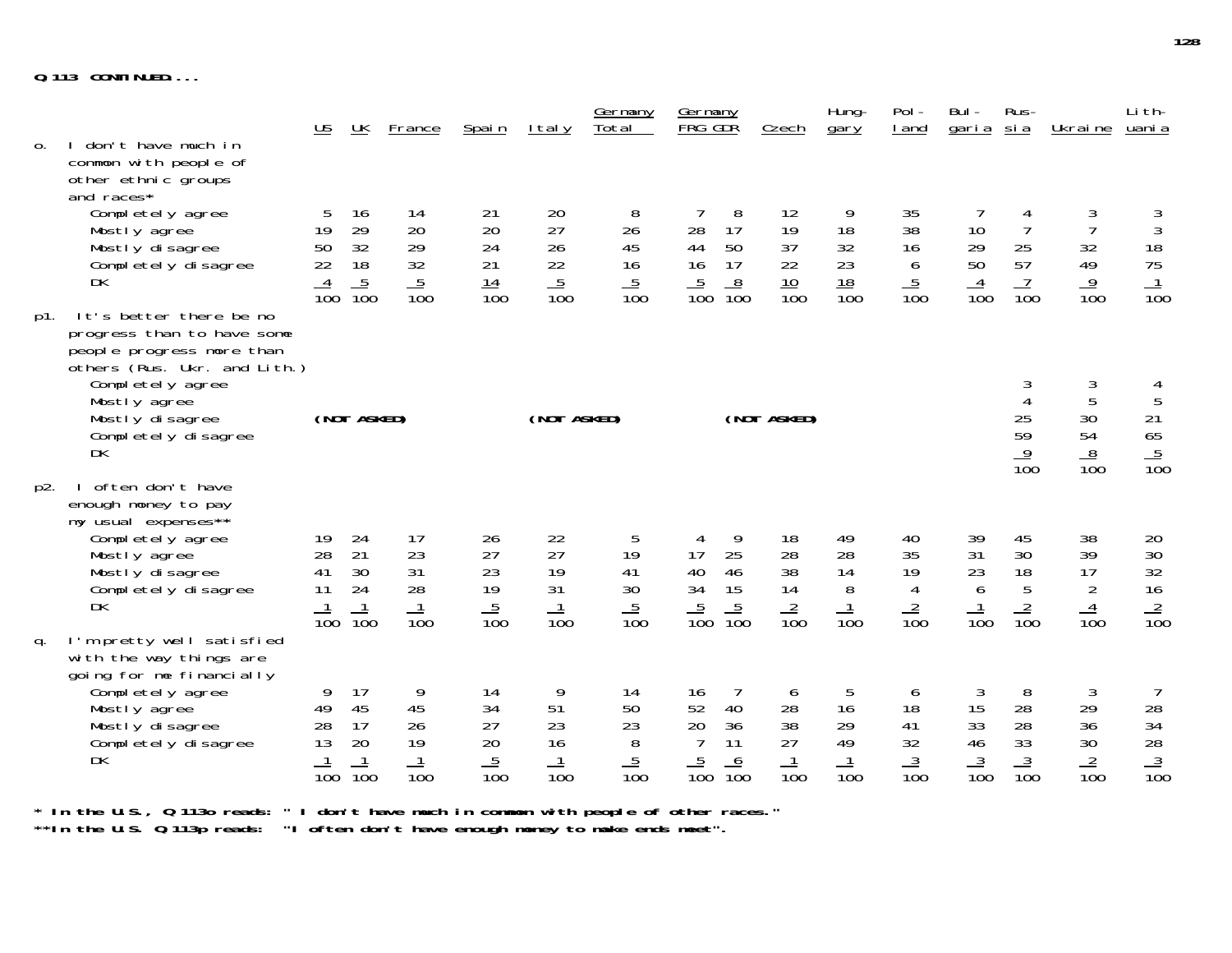|                |                                                                                                                                                                                                               | <u>US</u>                                     | <u>UK</u>                                                              | <b>France</b>                                  | Spain                                    | <u>Italy</u>                                        | <u>Germany</u><br>Total                | Germany<br><b>FRG GDR</b>                                                                            | <u>Czech</u>                             | Hung-<br>gary                                 | $Pol -$<br>I and                       | Bul -<br><u>garia sia</u>              | Rus-                                                      | <u>Ukraine</u>                                      | Li th-<br><u>uani a</u>                                     |
|----------------|---------------------------------------------------------------------------------------------------------------------------------------------------------------------------------------------------------------|-----------------------------------------------|------------------------------------------------------------------------|------------------------------------------------|------------------------------------------|-----------------------------------------------------|----------------------------------------|------------------------------------------------------------------------------------------------------|------------------------------------------|-----------------------------------------------|----------------------------------------|----------------------------------------|-----------------------------------------------------------|-----------------------------------------------------|-------------------------------------------------------------|
| $\mathbf{0}$ . | don't have much in<br>common with people of<br>other ethnic groups<br>and races*                                                                                                                              |                                               |                                                                        |                                                |                                          |                                                     |                                        |                                                                                                      |                                          |                                               |                                        |                                        |                                                           |                                                     |                                                             |
|                | Completely agree<br>Mostly agree<br>Mostly disagree<br>Completely disagree<br>DK                                                                                                                              | 5<br>19<br>$\frac{50}{22}$<br>$\frac{4}{100}$ | 16<br>29<br>$\begin{array}{c} 32 \\ 18 \end{array}$<br>$\frac{5}{100}$ | 14<br>20<br>$\frac{29}{32}$<br>$\frac{5}{100}$ | 21<br>20<br>24<br>21<br>$\frac{14}{100}$ | 20<br>27<br>26<br>$\frac{22}{5}$<br>$\frac{5}{100}$ | 8<br>26<br>45<br>16<br>$\frac{5}{100}$ | 8<br>17<br>28<br>44<br>50<br>17<br>16<br>8<br>$\overline{5}$<br>$\overline{10}0$<br>$\overline{100}$ | 12<br>19<br>37<br>22<br>$\frac{10}{100}$ | 9<br>18<br>32<br>23<br>18<br>$\overline{10}0$ | 35<br>38<br>16<br>6<br>$\frac{5}{100}$ | 10<br>29<br>50<br>$\frac{4}{100}$      | 4<br>$\overline{7}$<br>$\frac{25}{57}$<br>$\frac{7}{100}$ | 3<br>$\overline{7}$<br>32<br>49<br>$\frac{9}{100}$  | $\frac{3}{3}$<br>$\frac{18}{75}$<br>$\frac{1}{100}$         |
| p1.            | It's better there be no<br>progress than to have some<br>people progress more than<br>others (Rus. Ukr. and Lith.)<br>Completely agree<br>Mostly agree<br>Mostly disagree<br>Completely disagree<br><b>DK</b> |                                               | (NOT ASKED)                                                            |                                                |                                          | (NOT ASKED)                                         |                                        |                                                                                                      | (NOT ASKED)                              |                                               |                                        |                                        | $\mathfrak{Z}$<br>25<br>59<br>$\frac{9}{100}$             | $\mathfrak{Z}$<br>5<br>30<br>54<br>$\frac{8}{100}$  | 4<br>$\mathbf 5$<br>$\frac{21}{65}$<br>$\frac{5}{100}$      |
| p2.            | often don't have<br>enough money to pay<br>my usual expenses**<br>Completely agree<br>Mostly agree<br>Mostly disagree<br>Completely disagree<br>DK                                                            | 19<br>28<br>41<br>11<br>$\overline{10}0$      | 24<br>21<br>30<br>24<br>$\frac{1}{100}$                                | 17<br>23<br>31<br>28<br>$\frac{1}{100}$        | 26<br>27<br>23<br>19<br>$\frac{5}{100}$  | 22<br>27<br>19<br>31<br>$\frac{1}{100}$             | 5<br>19<br>41<br>30<br>$\frac{5}{100}$ | 9<br>4<br>25<br>17<br>40<br>46<br>34<br>15<br>$\frac{5}{100}$<br>$\frac{5}{100}$                     | 18<br>28<br>38<br>14<br>$\frac{2}{100}$  | 49<br>28<br>14<br>8<br>$\frac{1}{100}$        | 40<br>35<br>19<br>4<br>$\frac{2}{100}$ | 39<br>31<br>23<br>6<br>$\frac{1}{100}$ | 45<br>30<br>18<br>5<br>$\frac{2}{100}$                    | 38<br>39<br>17<br>$\overline{2}$<br>$\frac{4}{100}$ | 20<br>$\frac{30}{32}$<br>$\frac{32}{16}$<br>$\frac{2}{100}$ |
| q.             | I'm pretty well satisfied<br>with the way things are<br>going for me financially<br>Completely agree<br>Mostly agree<br>Mostly disagree<br>Completely disagree<br><b>DK</b>                                   | 9<br>49<br>28<br>13<br>$\frac{1}{100}$        | 17<br>45<br>17<br>20<br>$\frac{1}{100}$                                | 9<br>45<br>26<br>19<br>$\frac{1}{100}$         | 14<br>34<br>27<br>20<br>$\frac{5}{100}$  | 9<br>51<br>23<br>16<br>$\frac{1}{100}$              | 14<br>50<br>23<br>8<br>$\frac{5}{100}$ | 7<br>16<br>52<br>40<br>20<br>36<br>$\overline{7}$<br>11<br>$\frac{5}{100}$<br>$\frac{6}{100}$        | 6<br>28<br>38<br>27<br>$\frac{1}{100}$   | 5<br>16<br>29<br>49<br>$\frac{1}{100}$        | 6<br>18<br>41<br>32<br>$\frac{3}{100}$ | 3<br>15<br>33<br>46<br>$\frac{3}{100}$ | 8<br>28<br>28<br>33<br>$\frac{3}{100}$                    | 3<br>29<br>36<br>30<br>$\frac{2}{100}$              | $\overline{7}$<br>$\frac{28}{34}$<br>$\frac{3}{100}$        |

**\* In the U.S., Q 113o reads: " I don't have much in common with people of other races."**

**\*\*In the U.S. Q.113p reads: "I often don't have enough money to make ends meet".**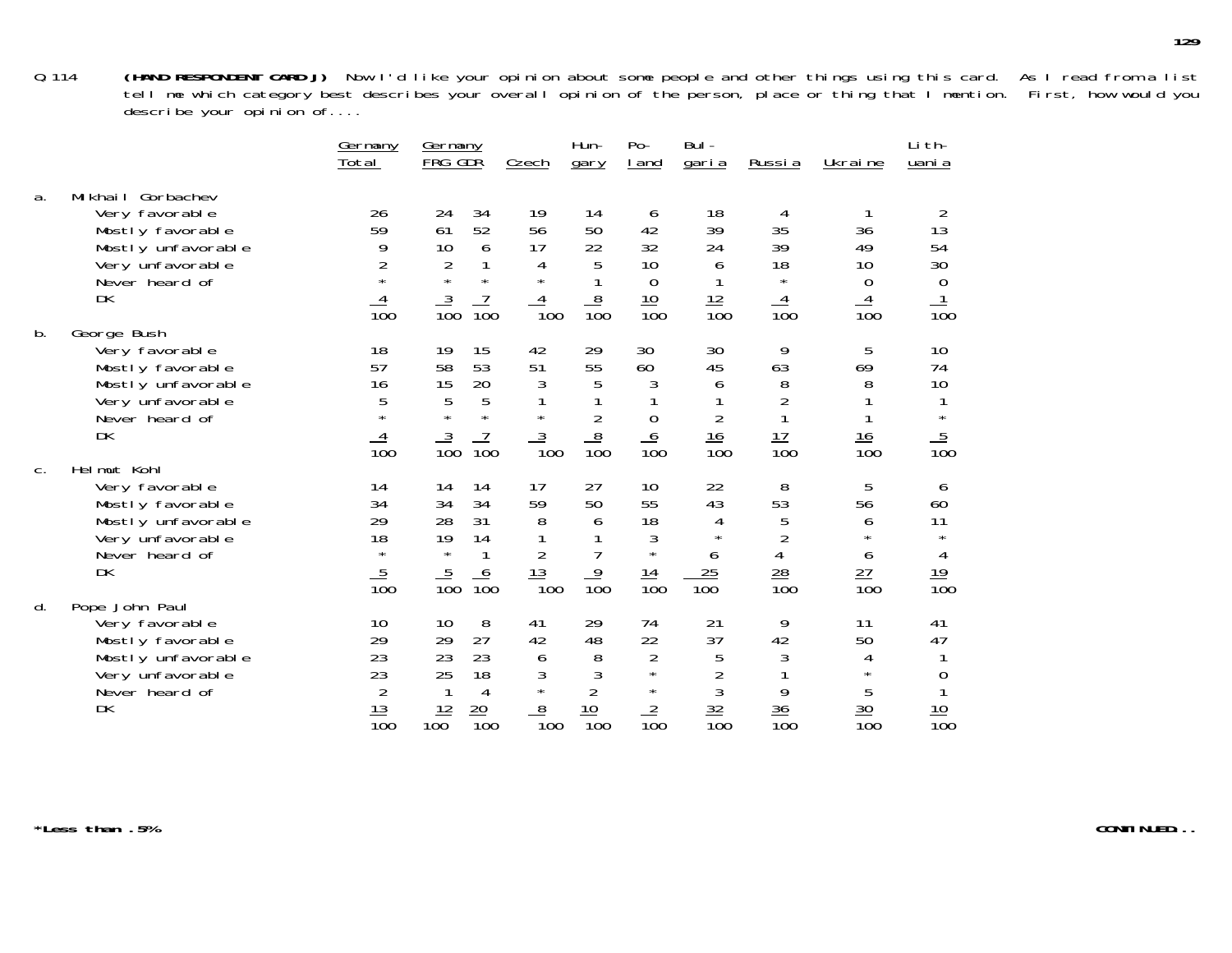|       |                                                                                                                           | <u>Germany</u><br>Total                                     | <u>Germany</u><br>FRG GDR                                                                                            | Czech                                                  | Hun-<br>gary                                       | $Po-$<br>I and                                                            | Bul-<br><u>garia</u>                                    | <u>Russia</u>                                                    | Ukraine                                                       | Li th-<br>uani a                                    |
|-------|---------------------------------------------------------------------------------------------------------------------------|-------------------------------------------------------------|----------------------------------------------------------------------------------------------------------------------|--------------------------------------------------------|----------------------------------------------------|---------------------------------------------------------------------------|---------------------------------------------------------|------------------------------------------------------------------|---------------------------------------------------------------|-----------------------------------------------------|
| a.    | Mikhail Gorbachev<br>Very favorable<br>Mostly favorable<br>Mostly unfavorable<br>Very unfavorable<br>Never heard of<br>DK | 26<br>59<br>9<br>2<br>$\overline{10}0$                      | 24<br>34<br>52<br>61<br>10<br>6<br>$\frac{2}{x}$<br>1<br>$\star$<br>$\frac{3}{100}$<br>$\overline{10}0$              | 19<br>56<br>17<br>4<br>$\star$<br>4<br>100             | 14<br>50<br>22<br>5<br>$\frac{8}{100}$             | 6<br>42<br>32<br>10<br>0<br>10<br>$\overline{100}$                        | 18<br>39<br>24<br>6<br>$\frac{12}{100}$                 | 4<br>35<br>39<br>18<br>$\star$<br>4<br>$\overline{100}$          | 36<br>49<br>10<br>0<br>$\overline{10}0$                       | 2<br>13<br>54<br>30<br>$\Omega$<br>$\overline{10}0$ |
| b.    | George Bush<br>Very favorable<br>Mostly favorable<br>Mostly unfavorable<br>Very unfavorable<br>Never heard of<br>DK       | 18<br>57<br>16<br>5<br>$\star$<br>$\overline{10}0$          | 15<br>19<br>58<br>53<br>20<br>15<br>5<br>$\overline{5}$<br>$\star$<br>$\star$<br>$\frac{3}{100}$<br>$\overline{10}0$ | 42<br>51<br>3<br>$\star$<br>$\frac{3}{100}$            | 29<br>55<br>5<br>$\overline{2}$<br>$\frac{8}{100}$ | 30<br>60<br>3<br>0<br>$\frac{6}{100}$                                     | 30<br>45<br>6<br>$\overline{2}$<br>$\frac{16}{100}$     | 9<br>63<br>8<br>$\overline{2}$<br><u> 17</u><br>$\overline{10}0$ | 5<br>69<br>8<br><u>16</u><br>100                              | 10<br>74<br>10<br>$\star$<br>$\frac{5}{100}$        |
| $C$ . | Helmut Kohl<br>Very favorable<br>Mostly favorable<br>Mostly unfavorable<br>Very unfavorable<br>Never heard of<br>DK       | 14<br>34<br>29<br>18<br>$\star$<br>5<br>$\overline{10}0$    | 14<br>14<br>34<br>34<br>28<br>31<br>19<br>14<br>$\star$<br><u>5</u><br>O<br>$\overline{10}0$<br>$\overline{10}0$     | 17<br>59<br>8<br><u> 13</u><br>$\overline{1}00$        | 27<br>50<br>6<br>$\frac{9}{100}$                   | 10<br>55<br>18<br>3<br>$\star$<br><u> 14</u><br>$\overline{10}0$          | 22<br>43<br>4<br>$\star$<br>6<br>25<br>$\overline{100}$ | 8<br>53<br>5<br>$\overline{2}$<br>4<br>$\frac{28}{100}$          | 5<br>56<br>6<br>$\star$<br>6<br><u>27</u><br>$\overline{10}0$ | 6<br>60<br>11<br>$\star$<br>4<br>$\frac{19}{100}$   |
| d.    | Pope John Paul<br>Very favorable<br>Mostly favorable<br>Mostly unfavorable<br>Very unfavorable<br>Never heard of<br>DK    | 10<br>29<br>23<br>23<br>2<br><u> 13</u><br>$\overline{10}0$ | 8<br>10<br>29<br>27<br>23<br>23<br>25<br>18<br>4<br><u> 12</u><br>$\frac{20}{100}$<br>100                            | 41<br>42<br>6<br>3<br>$\star$<br>8<br>$\overline{1}00$ | 29<br>48<br>8<br>3<br>10<br>$\overline{100}$       | 74<br>22<br>$\overline{2}$<br>$\star$<br>$\star$<br>2<br>$\overline{10}0$ | 21<br>37<br>5<br>$\overline{2}$<br>$\frac{32}{100}$     | 9<br>42<br>3<br>9<br>$\frac{36}{5}$<br>$\overline{10}0$          | 11<br>50<br>4<br>$\star$<br>5<br>30<br>$\overline{10}0$       | 41<br>47<br>0<br>10<br>$\overline{10}$ 0            |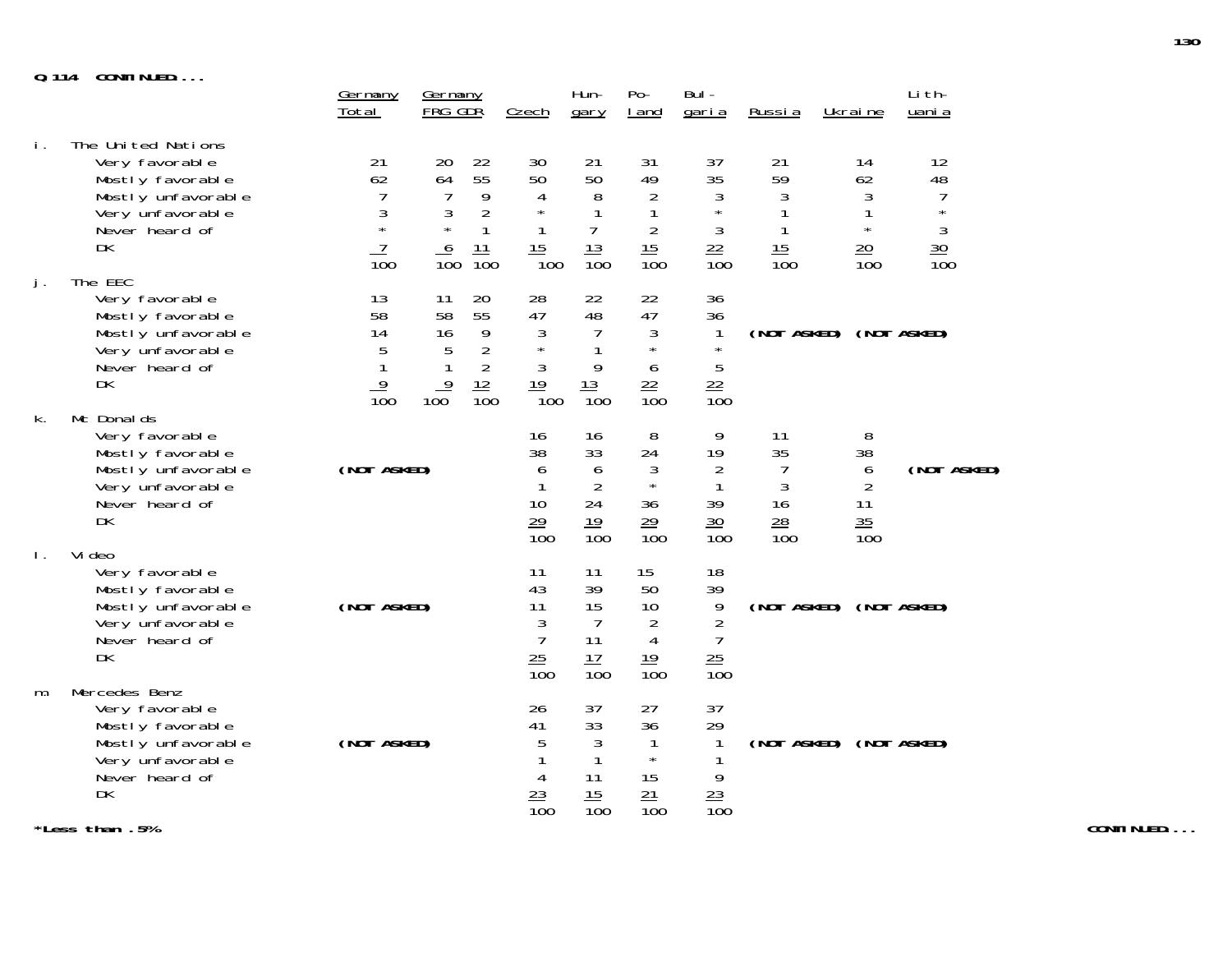**Q.114 CONTINUED....**

| <u>u. 114</u>  | <b>UUILIIULU</b>                                                                                                                      | <u>Germany</u><br>Total                           | <u>Germany</u><br>FRG GDR                                     |                                                                             | Czech                                                                           | Hun-<br>gary                                                     | $Po-$<br>I and                                                              | Bul-<br>garia                                                               | <u>Russia</u>                                 | Ukraine                                                      | Li th-<br>uani a                                                                 |
|----------------|---------------------------------------------------------------------------------------------------------------------------------------|---------------------------------------------------|---------------------------------------------------------------|-----------------------------------------------------------------------------|---------------------------------------------------------------------------------|------------------------------------------------------------------|-----------------------------------------------------------------------------|-----------------------------------------------------------------------------|-----------------------------------------------|--------------------------------------------------------------|----------------------------------------------------------------------------------|
| İ.             | The United Nations<br>Very favorable<br>Mostly favorable<br>Mostly unfavorable<br>Very unfavorable<br>Never heard of<br>DK<br>The EEC | 21<br>62<br>7<br>3<br>$\star$<br>$\overline{10}0$ | 20<br>64<br>$\overline{7}$<br>3<br>$\star$<br>$\frac{6}{100}$ | 22<br>55<br>9<br>$\overline{2}$<br>$\mathbf{1}$<br>$\frac{11}{100}$         | 30<br>50<br>$\overline{4}$<br>$\star$<br>$\mathbf{1}$<br>15<br>$\overline{1}00$ | 21<br>50<br>8<br>1<br>7<br>$\frac{13}{100}$                      | 31<br>49<br>$\overline{2}$<br>1<br>$\overline{2}$<br>15<br>$\overline{10}0$ | 37<br>35<br>$\mathfrak{Z}$<br>$\star$<br>$\mathfrak{Z}$<br>$\frac{22}{100}$ | 21<br>59<br>3<br>$\frac{15}{100}$             | 14<br>62<br>3<br>1<br>$\star$<br>$20 \,$<br>$\overline{100}$ | 12<br>48<br>$\overline{1}$<br>$\star$<br>3<br>$\frac{30}{5}$<br>$\overline{100}$ |
| j.             | Very favorable<br>Mostly favorable<br>Mostly unfavorable<br>Very unfavorable<br>Never heard of<br>DK                                  | 13<br>58<br>14<br>5<br>1<br>9<br>$\overline{10}0$ | 11<br>58<br>16<br>5<br>1<br>$\overline{9}$<br>100             | 20<br>55<br>9<br>$\overline{2}$<br>$\overline{2}$<br>12<br>$\overline{10}0$ | 28<br>47<br>3<br>$\star$<br>3<br>19<br>$\overline{1}00$                         | 22<br>48<br>7<br>9<br>13<br>$\overline{100}$                     | 22<br>47<br>3<br>$\star$<br>6<br>$\frac{22}{100}$                           | 36<br>36<br>$\mathbf{1}$<br>$\star$<br>5<br>$\frac{22}{100}$                | (NOT ASKED) (NOT ASKED)                       |                                                              |                                                                                  |
| k.             | Mc Donal ds<br>Very favorable<br>Mostly favorable<br>Mostly unfavorable<br>Very unfavorable<br>Never heard of<br>DK                   | (NOT ASKED)                                       |                                                               |                                                                             | 16<br>38<br>6<br>1<br>10<br>$\frac{29}{100}$                                    | 16<br>33<br>6<br>$\overline{2}$<br>24<br>19<br>$\overline{10}0$  | 8<br>24<br>3<br>$\star$<br>36<br>29<br>$\overline{10}0$                     | 9<br>19<br>$\overline{2}$<br>1<br>39<br>$\frac{30}{5}$<br>$\overline{100}$  | 11<br>35<br>3<br>16<br>28<br>$\overline{10}0$ | 8<br>38<br>6<br>2<br>11<br>35<br>$\overline{10}0$            | (NOT ASKED)                                                                      |
| $\mathbf{L}$ . | Vi deo<br>Very favorable<br>Mostly favorable<br>Mostly unfavorable<br>Very unfavorable<br>Never heard of<br><b>DK</b>                 | (NOT ASKED)                                       |                                                               |                                                                             | 11<br>43<br>11<br>3<br>$\overline{7}$<br>$\frac{25}{100}$                       | 11<br>39<br>15<br>$\overline{7}$<br>11<br>17<br>$\overline{100}$ | 15<br>50<br>10<br>$\overline{2}$<br>4<br>$\frac{19}{100}$                   | 18<br>39<br>9<br>$\overline{2}$<br>$\overline{7}$<br>$\frac{25}{100}$       | (NOT ASKED)                                   |                                                              | (NOT ASKED)                                                                      |
| m.             | Mercedes Benz<br>Very favorable<br>Mostly favorable<br>Mostly unfavorable<br>Very unfavorable<br>Never heard of<br>DK                 | (NOT ASKED)                                       |                                                               |                                                                             | 26<br>41<br>5<br>4<br>$\frac{23}{100}$                                          | 37<br>33<br>3<br>1<br>11<br>15<br>$\overline{10}0$               | 27<br>36<br>1<br>$\star$<br>15<br>21<br>$\overline{10}0$                    | 37<br>29<br>1<br>9<br>23<br>$\overline{10}0$                                | (NOT ASKED) (NOT ASKED)                       |                                                              |                                                                                  |

**\*Less than .5%**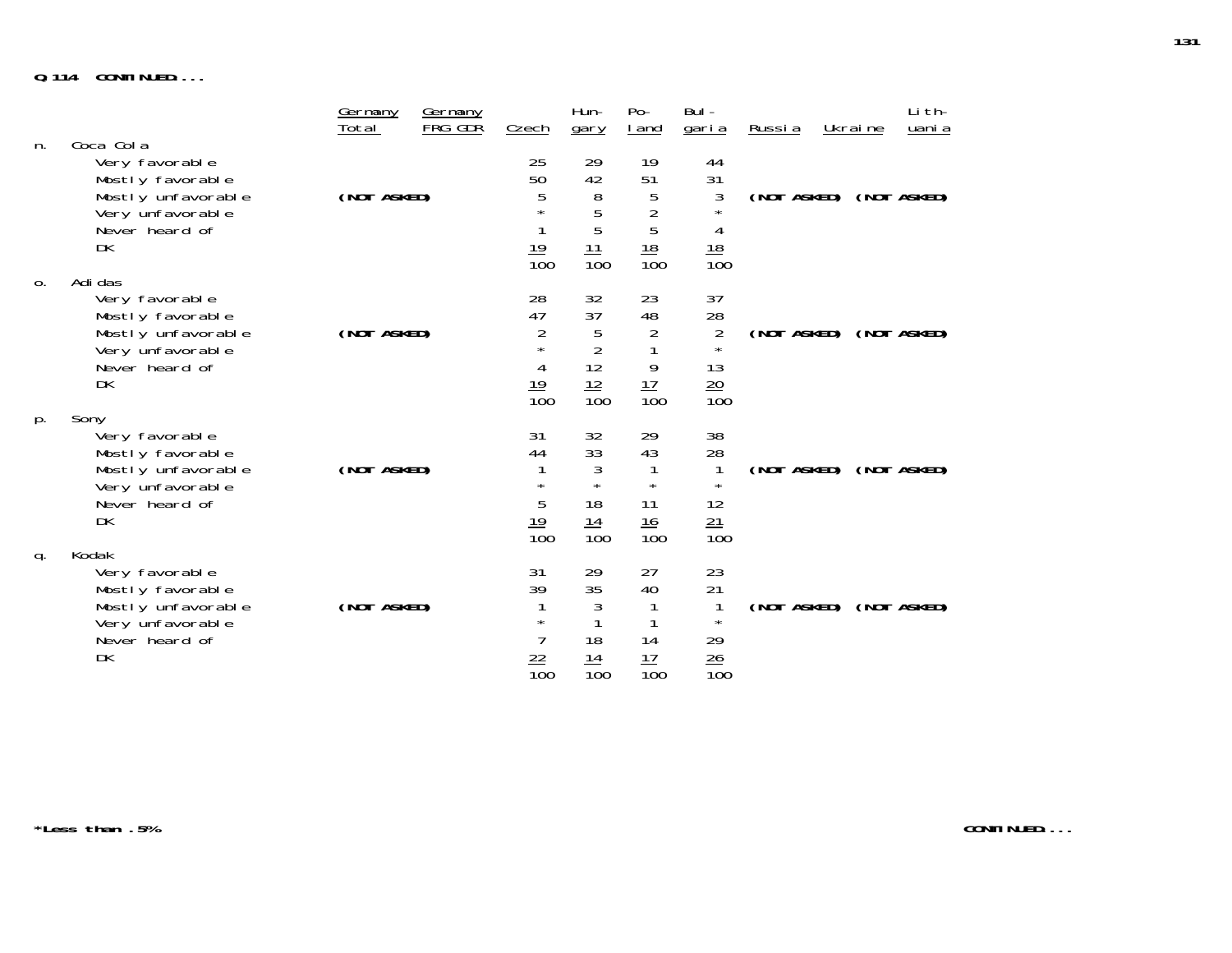# **Q.114 CONTINUED....**

| n. | Coca Cola                                                                                                       | <u>Germany</u><br>Total | <b>Germany</b><br>FRG GDR | Czech                                                     | Hun-<br>gary                                              | $Po-$<br><u>I</u> and                                    | Bul -<br><u>garia</u>                                           | <u>Russia</u> | Ukraine                 | Li th-<br>uani a |
|----|-----------------------------------------------------------------------------------------------------------------|-------------------------|---------------------------|-----------------------------------------------------------|-----------------------------------------------------------|----------------------------------------------------------|-----------------------------------------------------------------|---------------|-------------------------|------------------|
|    | Very favorable<br>Mostly favorable<br>Mostly unfavorable<br>Very unfavorable<br>Never heard of<br>DK            | (NOT ASKED)             |                           | 25<br>50<br>5<br>$\frac{19}{100}$                         | 29<br>42<br>8<br>5<br>5<br>$\frac{11}{100}$               | 19<br>51<br>5<br>$\overline{c}$<br>5<br>$\frac{18}{100}$ | 44<br>31<br>3<br>4<br>$\frac{18}{100}$                          |               | (NOT ASKED) (NOT ASKED) |                  |
| 0. | Adi das<br>Very favorable<br>Mostly favorable<br>Mostly unfavorable<br>Very unfavorable<br>Never heard of<br>DK | (NOT ASKED)             |                           | 28<br>47<br>2<br>$\star$<br>4<br>$\frac{19}{100}$         | 32<br>37<br>5<br>$\overline{2}$<br>12<br>$\frac{12}{100}$ | 23<br>48<br>2<br>9<br>$\frac{17}{100}$                   | 37<br>28<br>$\overline{2}$<br>$\star$<br>13<br>$\frac{20}{100}$ | (NOT ASKED)   |                         | (NOT ASKED)      |
| p. | Sony<br>Very favorable<br>Mostly favorable<br>Mostly unfavorable<br>Very unfavorable<br>Never heard of<br>DK    | (NOT ASKED)             |                           | 31<br>44<br>$\star$<br>5<br><u>19</u><br>$\overline{10}0$ | 32<br>33<br>3<br>$\star$<br>18<br>14<br>$\overline{10}0$  | 29<br>43<br>$\star$<br>11<br>16<br>$\overline{10}0$      | 38<br>28<br>12<br>$\frac{21}{100}$                              |               | (NOT ASKED) (NOT ASKED) |                  |
| q. | Kodak<br>Very favorable<br>Mostly favorable<br>Mostly unfavorable<br>Very unfavorable<br>Never heard of<br>DK   | (NOT ASKED)             |                           | 31<br>39<br>$\star$<br><u>22</u><br>$\overline{10}0$      | 29<br>35<br>3<br>18<br><u>14</u><br>$\overline{10}0$      | 27<br>40<br>14<br>17<br>$\overline{100}$                 | 23<br>21<br>$\star$<br>29<br>$\frac{26}{100}$                   |               | (NOT ASKED) (NOT ASKED) |                  |

**\*Less than .5%**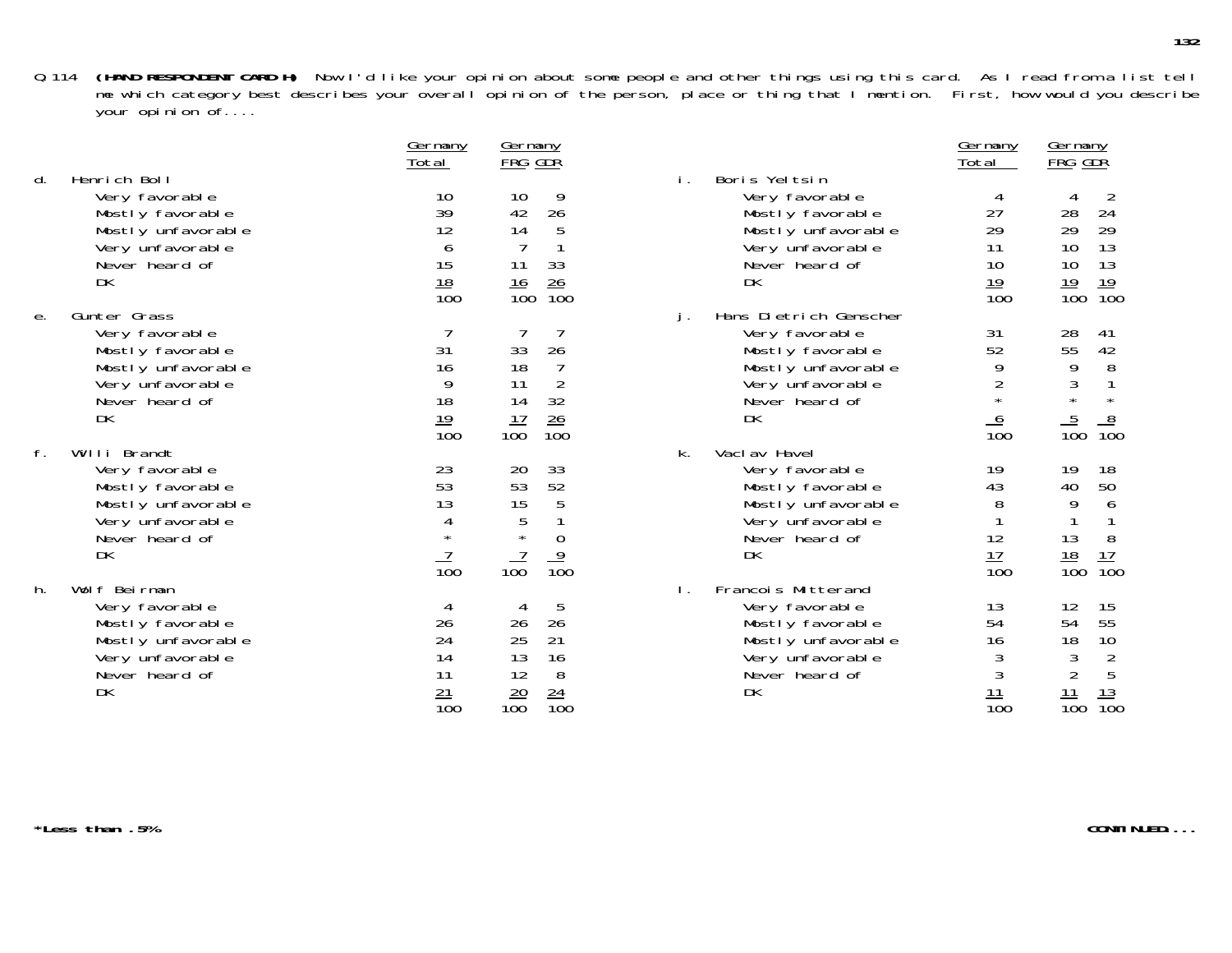|    |                    | <u>UCI IIIAI IY</u><br>Total | <u>UCI IIIaITy</u><br>FRG GDR        |                                   | <u>UCI Illaliy</u><br>Total | <b>FRG</b> GDR                      |
|----|--------------------|------------------------------|--------------------------------------|-----------------------------------|-----------------------------|-------------------------------------|
| d. | Henrich Boll       |                              |                                      | Boris Yeltsin                     |                             |                                     |
|    | Very favorable     | 10                           | 10<br>9                              | Very favorable                    | 4                           |                                     |
|    | Mostly favorable   | 39                           | 26<br>42                             | Mostly favorable                  | 27                          | 28<br>24                            |
|    | Mostly unfavorable | 12                           | 14<br>5                              | Mostly unfavorable                | 29                          | 29<br>29                            |
|    | Very unfavorable   | 6                            |                                      | Very unfavorable                  | 11                          | 10<br>13                            |
|    | Never heard of     | 15                           | 11<br>33                             | Never heard of                    | 10                          | 13<br>10                            |
|    | DK                 | $\frac{18}{100}$             | $\frac{26}{100}$<br>$\frac{16}{100}$ | DK                                | 19                          | $\frac{19}{100}$<br>$\frac{19}{10}$ |
|    |                    |                              |                                      |                                   | $\overline{10}0$            |                                     |
| е. | Gunter Grass       |                              |                                      | Hans Dietrich Genscher<br>$\cdot$ |                             |                                     |
|    | Very favorable     |                              |                                      | Very favorable                    | 31                          | 28<br>41                            |
|    | Mostly favorable   | 31                           | 33<br>26                             | Mostly favorable                  | 52                          | 55<br>42                            |
|    | Mostly unfavorable | 16                           | 18                                   | Mostly unfavorable                | 9                           | 9<br>8                              |
|    | Very unfavorable   | 9                            | $\overline{2}$<br>11                 | Very unfavorable                  | 2                           | $\mathfrak{Z}$                      |
|    | Never heard of     | 18                           | 14<br>32                             | Never heard of                    | $\star$                     | $\star$<br>$\star$                  |
|    | DK                 | $\frac{19}{100}$             | $\frac{26}{100}$<br>$\frac{17}{100}$ | DK                                |                             | $\frac{5}{100}$<br>$\frac{8}{10}$   |
|    |                    |                              |                                      |                                   | $\frac{6}{100}$             |                                     |
| f. | Willi Brandt       |                              |                                      | Vacl av Havel<br>k.               |                             |                                     |
|    | Very favorable     | 23                           | 20<br>33                             | Very favorable                    | 19                          | 18<br>19                            |
|    | Mostly favorable   | 53                           | 52<br>53                             | Mostly favorable                  | 43                          | 50<br>40                            |
|    | Mostly unfavorable | 13                           | 15<br>5                              | Mostly unfavorable                | 8                           | 9<br>6                              |
|    | Very unfavorable   | 4                            | 5                                    | Very unfavorable                  |                             |                                     |
|    | Never heard of     | $\star$                      | $\star$<br>$\overline{0}$            | Never heard of                    | 12                          | 8<br>13                             |
|    | DK                 |                              | $\frac{9}{100}$                      | DK                                | 17                          | $\frac{18}{100}$<br>$\frac{17}{10}$ |
|    |                    | $\overline{10}0$             | 100                                  |                                   | $\overline{10}0$            |                                     |
| h. | Wolf Beirman       |                              |                                      | Francois Mitterand                |                             |                                     |
|    | Very favorable     |                              | 5                                    | Very favorable                    | 13                          | 15<br>12                            |
|    | Mostly favorable   | 26                           | 26<br>26                             | Mostly favorable                  | 54                          | 55<br>54                            |
|    | Mostly unfavorable | 24                           | 21<br>25                             | Mostly unfavorable                | 16                          | 18<br>10                            |
|    | Very unfavorable   | 14                           | 13<br>16                             | Very unfavorable                  | 3                           |                                     |
|    | Never heard of     | 11                           | 12<br>8                              | Never heard of                    | 3                           | $\frac{2}{5}$<br>$\frac{3}{2}$      |
|    | DK                 | $\frac{21}{100}$             | $\frac{24}{100}$<br>$\frac{20}{100}$ | DK                                | $\frac{11}{100}$            | $\frac{11}{100}$<br>$\frac{13}{10}$ |
|    |                    |                              |                                      |                                   |                             |                                     |

| <u>Germany</u><br><u>Total</u>                             | <u>Germany</u><br><u>FRG GDR</u>                                                                                              |    |                                                                                                                                | <u>Germany</u><br>Total                                             | <u>Germany</u><br>FRG GDR                                                                                                         |
|------------------------------------------------------------|-------------------------------------------------------------------------------------------------------------------------------|----|--------------------------------------------------------------------------------------------------------------------------------|---------------------------------------------------------------------|-----------------------------------------------------------------------------------------------------------------------------------|
| 10<br>39<br>12<br>6<br>15<br>$\frac{18}{100}$              | 9<br>10<br>42<br>26<br>14<br>5<br>1<br>$\overline{7}$<br>33<br>11<br>26<br><u> 16</u><br>$\overline{10}0$<br>$\overline{100}$ | i. | Boris Yeltsin<br>Very favorable<br>Mostly favorable<br>Mostly unfavorable<br>Very unfavorable<br>Never heard of<br>DK          | 4<br>27<br>29<br>11<br>10<br>19<br>$\overline{100}$                 | 2<br>4<br>24<br>28<br>29<br>29<br>13<br>10<br>10<br>13<br>19<br>19<br>$\overline{10}0$<br>$\overline{100}$                        |
| $\overline{7}$<br>31<br>16<br>9<br>18<br><u> 19</u><br>100 | 33<br>26<br>18<br>$\overline{7}$<br>$\overline{2}$<br>11<br>32<br>14<br>17<br>26<br>100<br>100                                | j. | Hans Dietrich Genscher<br>Very favorable<br>Mostly favorable<br>Mostly unfavorable<br>Very unfavorable<br>Never heard of<br>DK | 31<br>52<br>9<br>$\overline{c}$<br>$\star$<br>6<br>$\overline{100}$ | 28<br>41<br>55<br>42<br>8<br>9<br>$\frac{3}{1}$<br>$\mathbf{1}$<br>$\star$<br>5<br>$\frac{8}{100}$<br>100                         |
| 23<br>53<br>13<br>4<br>$\star$<br>100                      | 33<br>20<br>53<br>52<br>$\frac{5}{1}$<br>15<br>5<br>$\star$<br>$\mathbf 0$<br>9<br>$\overline{10}0$<br>100                    | k. | Vacl av Havel<br>Very favorable<br>Mostly favorable<br>Mostly unfavorable<br>Very unfavorable<br>Never heard of<br>DK          | 19<br>43<br>8<br>1<br>12<br>17<br>100                               | 19<br>18<br>50<br>40<br>9<br>6<br>1<br>1<br>13<br>8<br>17<br><u> 18</u><br>$\overline{10}0$<br>100                                |
| 4<br>26<br>24<br>14<br>11<br>$\frac{21}{100}$              | 5<br>4<br>26<br>26<br>25<br>21<br>13<br>16<br>12<br>8<br>$\frac{20}{100}$<br>$\frac{24}{1}$<br>$\overline{10}0$               | Ι. | Francois Mitterand<br>Very favorable<br>Mostly favorable<br>Mostly unfavorable<br>Very unfavorable<br>Never heard of<br>DK     | 13<br>54<br>16<br>3<br>3<br>$\frac{11}{1}$<br>$\overline{10}0$      | 12<br>15<br>55<br>54<br>10<br>18<br>$\frac{3}{2}$<br>$\begin{array}{c} 2 \\ 5 \end{array}$<br>13<br>11<br>$\overline{10}0$<br>100 |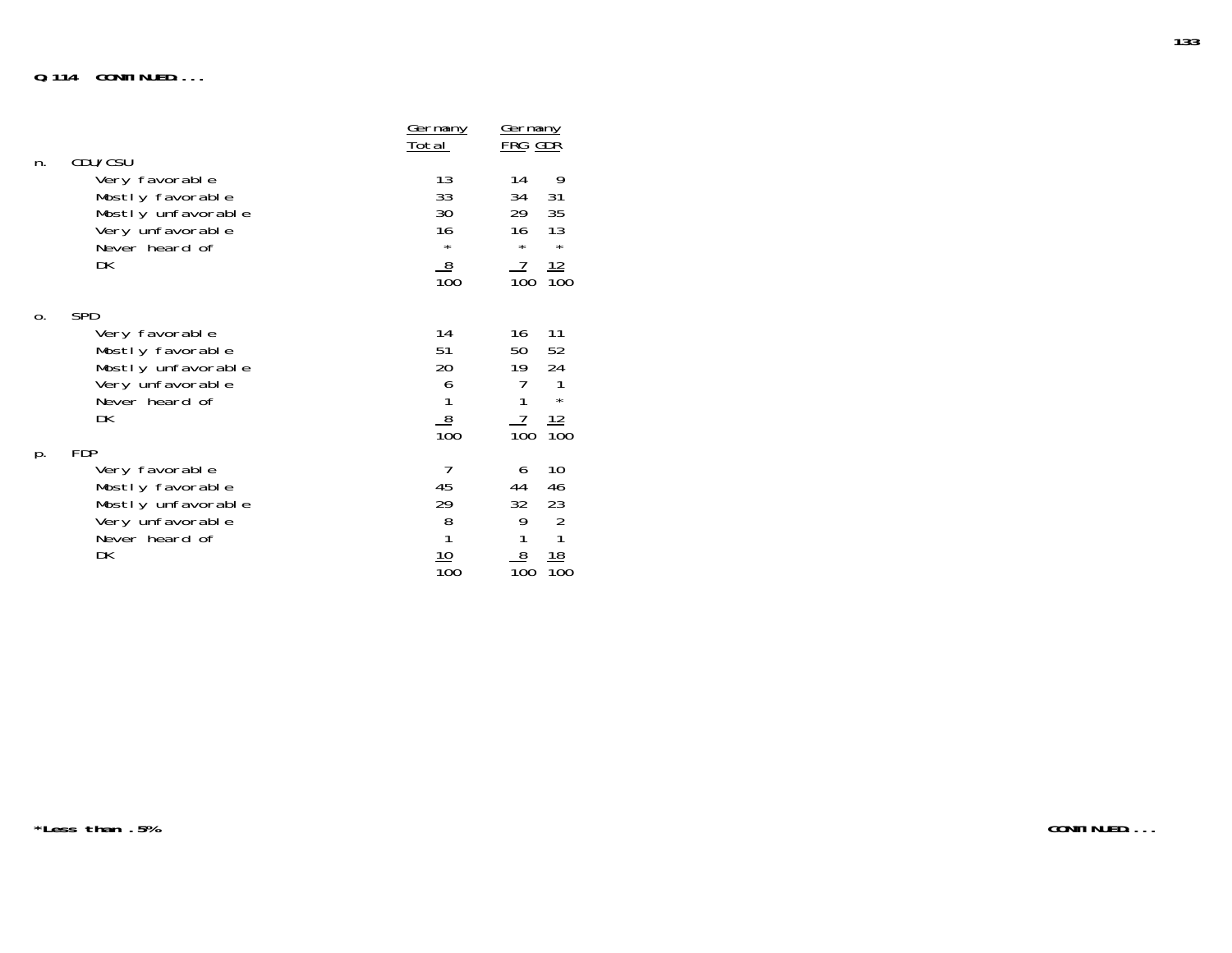|    | CDU/CSU                                                                                                            | <u>Germany</u><br>Total                                             | <u>Germany</u><br><u>FRG GDR</u>                                                                                 |
|----|--------------------------------------------------------------------------------------------------------------------|---------------------------------------------------------------------|------------------------------------------------------------------------------------------------------------------|
| n. | Very favorable<br>Mostly favorable<br>Mostly unfavorable<br>Very unfavorable<br>Never heard of<br>DK               | 13<br>33<br>30<br>16<br>$\star$<br>8<br>$\overline{10}0$            | 9<br>14<br>34<br>31<br>29<br>35<br>16<br>13<br>$\star$<br>$^\star$<br>12<br>$\overline{10}0$<br>$\overline{10}0$ |
| 0. | <b>SPD</b><br>Very favorable<br>Mostly favorable<br>Mostly unfavorable<br>Very unfavorable<br>Never heard of<br>DK | 14<br>51<br>20<br>$\frac{6}{1}$<br>$\frac{8}{100}$                  | 11<br>16<br>50<br>52<br>24<br>19<br>7<br>1<br>1<br>$\star$<br>7<br>12<br>$\overline{10}0$<br>100                 |
| p. | <b>FDP</b><br>Very favorable<br>Mostly favorable<br>Mostly unfavorable<br>Very unfavorable<br>Never heard of<br>DK | 7<br>45<br>29<br>$\begin{array}{c} 8 \\ 1 \end{array}$<br>10<br>100 | 10<br>6<br>44<br>46<br>32<br>23<br>$\overline{2}$<br>9<br>1<br>1<br>8<br><u> 18</u><br>100<br>100                |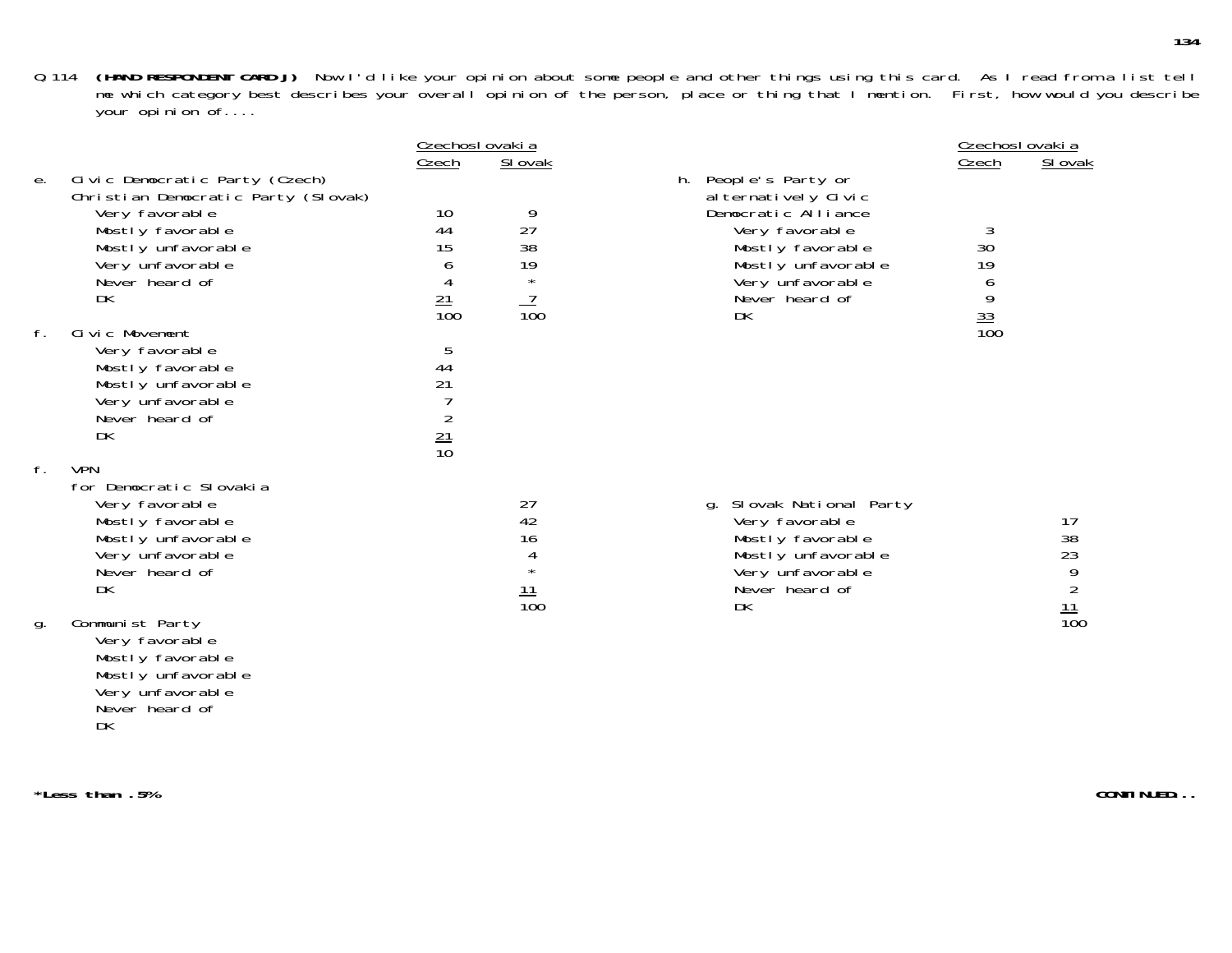|    |                                                                       | Czechosl ovaki a |                  |                                                 | Czechoslovakia   |                                    |
|----|-----------------------------------------------------------------------|------------------|------------------|-------------------------------------------------|------------------|------------------------------------|
|    |                                                                       | <u>Czech</u>     | SI ovak          |                                                 | <u>Czech</u>     | SI ovak                            |
| е. | Civic Democratic Party (Czech)<br>Christian Democratic Party (Slovak) |                  |                  | People's Party or<br>h.<br>al ternatively Civic |                  |                                    |
|    | Very favorable                                                        | 10               | 9                | Democratic Alliance                             |                  |                                    |
|    | Mostly favorable                                                      | 44               | 27               | Very favorable                                  | 3                |                                    |
|    | Mostly unfavorable                                                    | 15               | 38               | Mostly favorable                                | 30               |                                    |
|    | Very unfavorable                                                      | O                | 19               | Mostly unfavorable                              | 19               |                                    |
|    | Never heard of                                                        |                  | $\star$          | Very unfavorable                                | O                |                                    |
|    | DK                                                                    | $\frac{21}{100}$ | $\frac{1}{100}$  | Never heard of                                  | 9                |                                    |
| f. | Civic Movement                                                        |                  |                  | DK                                              | $\frac{33}{100}$ |                                    |
|    | Very favorable                                                        | 5                |                  |                                                 |                  |                                    |
|    | Mostly favorable                                                      | 44               |                  |                                                 |                  |                                    |
|    | Mostly unfavorable                                                    | 21               |                  |                                                 |                  |                                    |
|    | Very unfavorable                                                      |                  |                  |                                                 |                  |                                    |
|    | Never heard of                                                        |                  |                  |                                                 |                  |                                    |
|    | DK                                                                    | $\frac{21}{10}$  |                  |                                                 |                  |                                    |
|    |                                                                       |                  |                  |                                                 |                  |                                    |
| f. | <b>VPN</b><br>for Democratic Slovakia                                 |                  |                  |                                                 |                  |                                    |
|    | Very favorable                                                        |                  | 27               | Slovak National Party<br>q.                     |                  |                                    |
|    | Mostly favorable                                                      |                  | 42               | Very favorable                                  |                  | 17                                 |
|    | Mostly unfavorable                                                    |                  | 16               | Mostly favorable                                |                  |                                    |
|    | Very unfavorable                                                      |                  | 4                | Mostly unfavorable                              |                  | 38<br>23                           |
|    | Never heard of                                                        |                  | $\star$          | Very unfavorable                                |                  |                                    |
|    | DK                                                                    |                  | $\frac{11}{100}$ | Never heard of                                  |                  |                                    |
|    |                                                                       |                  |                  | DK                                              |                  | $\frac{15}{9}$<br>$\frac{11}{100}$ |
| g. | Communist Party<br>Very favorable                                     |                  |                  |                                                 |                  |                                    |

Very favorable Mostly favorable Mostly unfavorable Very unfavorable Never heard of DK

**\*Less than .5%**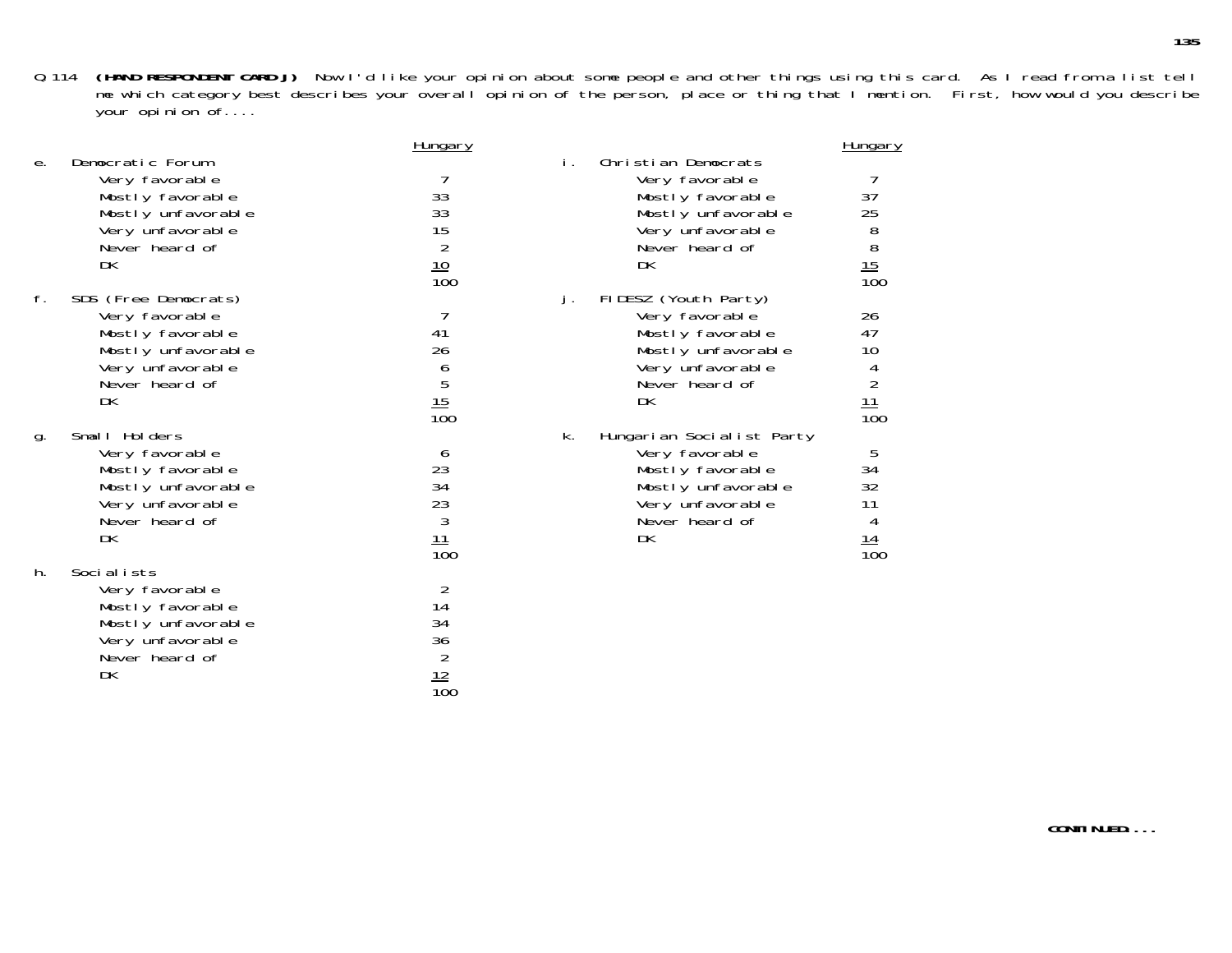|    |                      | <u>Hungary</u>                                       |    |                           | <b>Hungary</b>                                                        |
|----|----------------------|------------------------------------------------------|----|---------------------------|-----------------------------------------------------------------------|
| е. | Democratic Forum     |                                                      | İ. | Christian Democrats       |                                                                       |
|    | Very favorable       |                                                      |    | Very favorable            |                                                                       |
|    | Mostly favorable     | 33                                                   |    | Mostly favorable          | 37                                                                    |
|    | Mostly unfavorable   | 33                                                   |    | Mostly unfavorable        | 25                                                                    |
|    | Very unfavorable     | 15                                                   |    | Very unfavorable          |                                                                       |
|    | Never heard of       |                                                      |    | Never heard of            |                                                                       |
|    | DK                   |                                                      |    | DK                        |                                                                       |
|    |                      | $\frac{2}{10}$<br>$\frac{10}{100}$                   |    |                           | $\begin{array}{c}\n 8 \\  8 \\  \underline{15} \\  100\n \end{array}$ |
| f. | SDS (Free Democrats) |                                                      | j. | FIDESZ (Youth Party)      |                                                                       |
|    | Very favorable       |                                                      |    | Very favorable            | 26                                                                    |
|    | Mostly favorable     | 41                                                   |    | Mostly favorable          | 47                                                                    |
|    | Mostly unfavorable   | 26                                                   |    | Mostly unfavorable        | 10                                                                    |
|    | Very unfavorable     |                                                      |    | Very unfavorable          |                                                                       |
|    | Never heard of       |                                                      |    | Never heard of            | $\frac{4}{2}$                                                         |
|    | DK                   |                                                      |    | DK                        |                                                                       |
|    |                      | $rac{6}{5}$<br>$rac{15}{100}$                        |    |                           | $\frac{11}{100}$                                                      |
| g. | Small Holders        |                                                      | k. | Hungarian Socialist Party |                                                                       |
|    | Very favorable       | 6                                                    |    | Very favorable            | 5                                                                     |
|    | Mostly favorable     | 23                                                   |    | Mostly favorable          | 34                                                                    |
|    | Mostly unfavorable   |                                                      |    | Mostly unfavorable        | 32                                                                    |
|    | Very unfavorable     |                                                      |    | Very unfavorable          | 11                                                                    |
|    | Never heard of       |                                                      |    | Never heard of            | 4                                                                     |
|    | DK                   |                                                      |    | DK                        |                                                                       |
|    |                      | $\frac{34}{23}$<br>$\frac{3}{3}$<br>$\frac{11}{100}$ |    |                           | $\frac{14}{100}$                                                      |
| h. | Socialists           |                                                      |    |                           |                                                                       |
|    | Very favorable       | 2                                                    |    |                           |                                                                       |
|    | Mostly favorable     | 14                                                   |    |                           |                                                                       |
|    | Mostly unfavorable   | 34                                                   |    |                           |                                                                       |
|    | Very unfavorable     |                                                      |    |                           |                                                                       |
|    | Never heard of       | $\frac{36}{2}$                                       |    |                           |                                                                       |
|    | DK                   | 12                                                   |    |                           |                                                                       |

100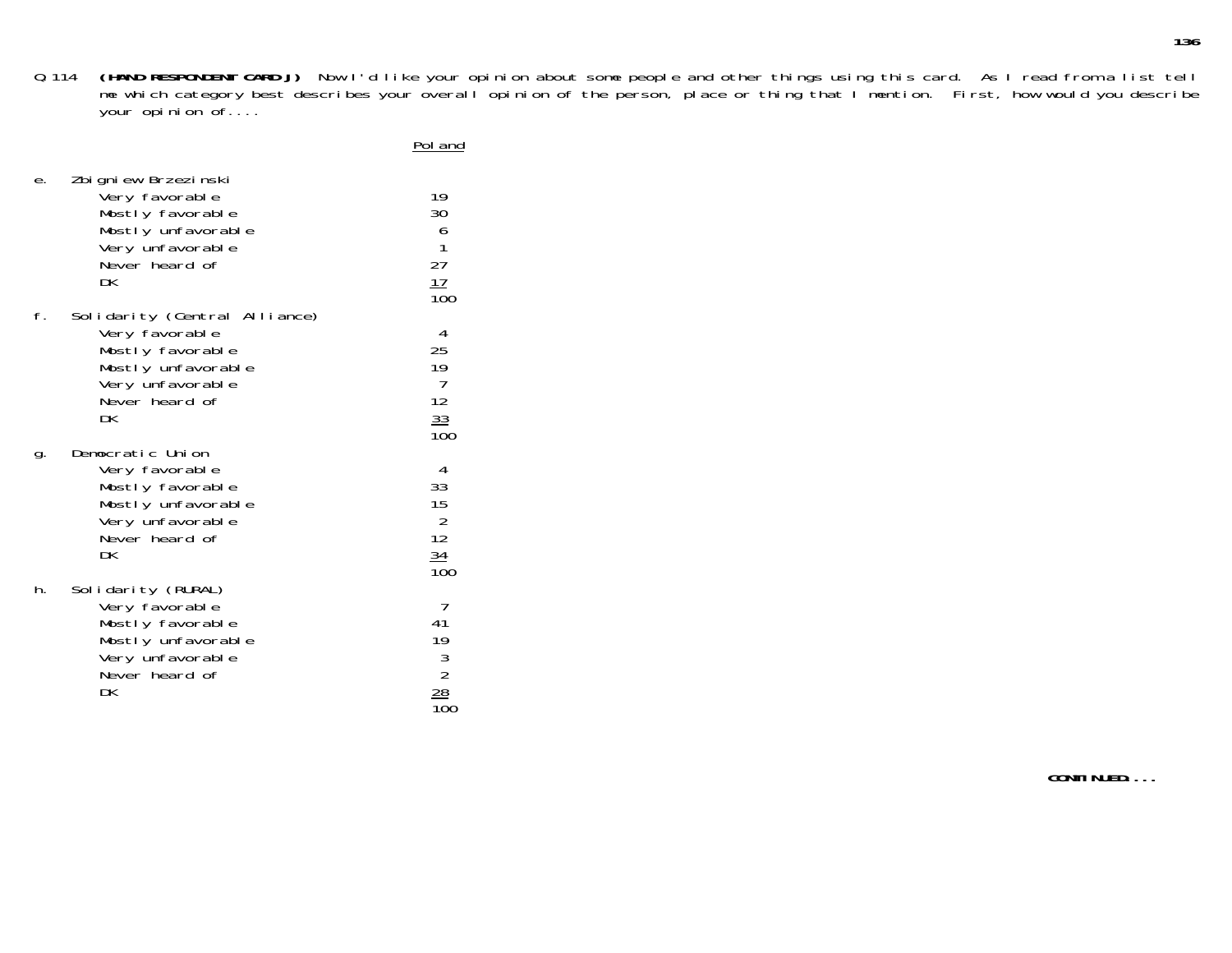Poland

| е. | Zbigniew Brzezinski<br>Very favorable<br>Mostly favorable<br>Mostly unfavorable<br>Very unfavorable<br>Never heard of<br>DK           | 19<br>30<br>6<br>1<br>27<br>$\frac{17}{100}$                                        |
|----|---------------------------------------------------------------------------------------------------------------------------------------|-------------------------------------------------------------------------------------|
| f. | Solidarity (Central Alliance)<br>Very favorable<br>Mostly favorable<br>Mostly unfavorable<br>Very unfavorable<br>Never heard of<br>DK | 4<br>25<br>19<br>7<br>12<br>33<br>100                                               |
| g. | Democratic Union<br>Very favorable<br>Mostly favorable<br>Mostly unfavorable<br>Very unfavorable<br>Never heard of<br>DK              | 4<br>33<br>15<br>$\frac{2}{12}$<br>$\frac{34}{100}$                                 |
| h. | Solidarity (RURAL)<br>Very favorable<br>Mostly favorable<br>Mostly unfavorable<br>Very unfavorable<br>Never heard of<br>DK            | 7<br>41<br>19<br>$\begin{array}{c} 3 \\ 2 \\ \hline 2 \\ \hline \end{array}$<br>100 |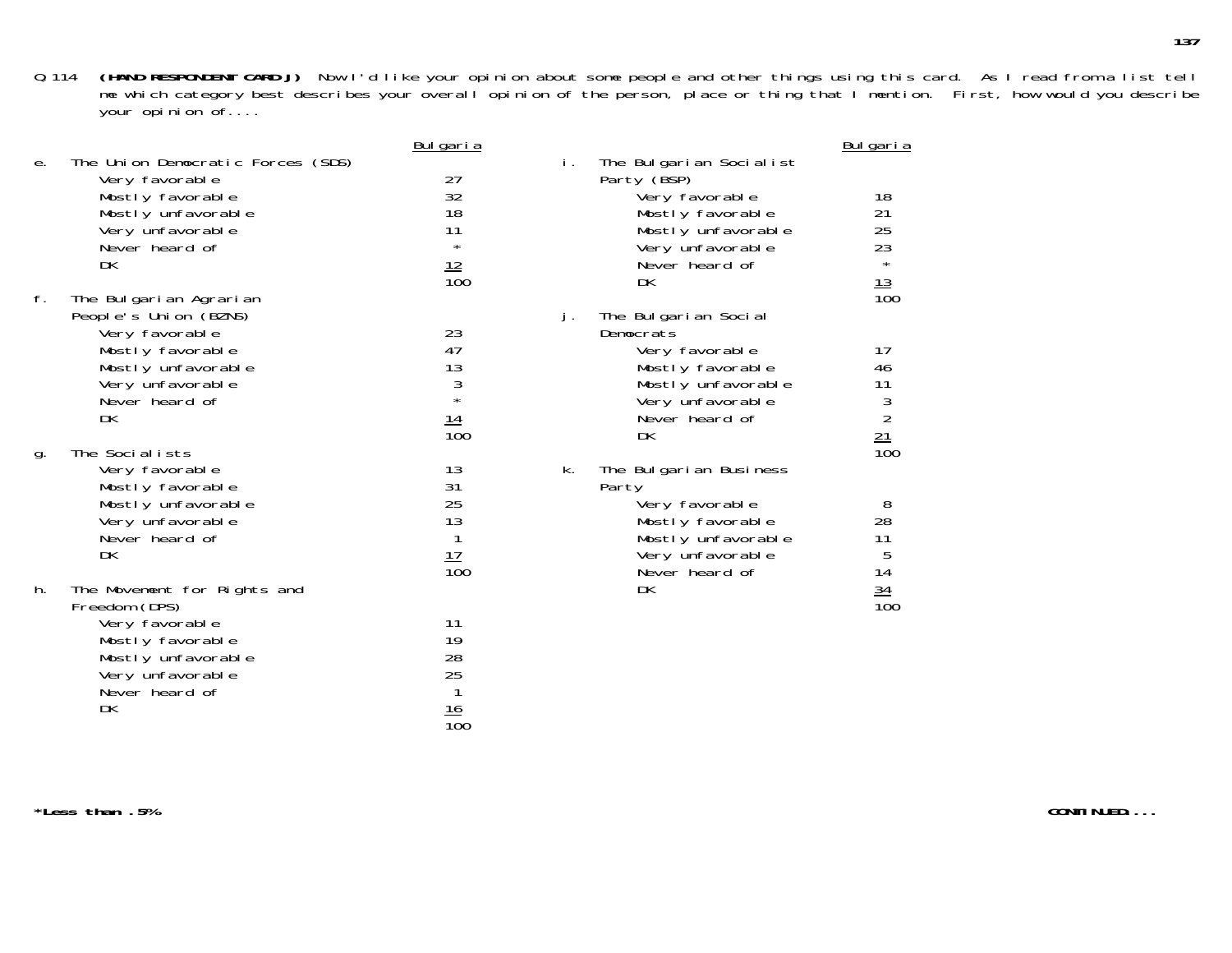|    |                                                     | <u>Bulgaria</u>  |    |                                        | <u>Bulgaria</u>                                                       |
|----|-----------------------------------------------------|------------------|----|----------------------------------------|-----------------------------------------------------------------------|
| е. | The Union Democratic Forces (SDS)<br>Very favorable | 27               | İ. | The Bulgarian Socialist<br>Party (BSP) |                                                                       |
|    | Mostly favorable                                    | 32               |    | Very favorable                         | 18                                                                    |
|    | Mostly unfavorable                                  | 18               |    | Mostly favorable                       | 21                                                                    |
|    | Very unfavorable                                    | 11               |    | Mostly unfavorable                     | 25                                                                    |
|    | Never heard of                                      | $\star$          |    | Very unfavorable                       | 23<br>$\star$                                                         |
|    | DK                                                  | $\frac{12}{100}$ |    | Never heard of                         |                                                                       |
|    |                                                     |                  |    | DK                                     | $\frac{13}{100}$                                                      |
| f. | The Bulgarian Agrarian<br>People's Union (BZNS)     |                  |    | The Bulgarian Social                   |                                                                       |
|    | Very favorable                                      | 23               | j. | Democrats                              |                                                                       |
|    | Mostly favorable                                    | 47               |    | Very favorable                         | 17                                                                    |
|    | Mostly unfavorable                                  | 13               |    | Mostly favorable                       | 46                                                                    |
|    | Very unfavorable                                    | $\frac{3}{1}$    |    | Mostly unfavorable                     | 11                                                                    |
|    | Never heard of                                      |                  |    | Very unfavorable                       |                                                                       |
|    | DK                                                  | <u> 14</u>       |    | Never heard of                         |                                                                       |
|    |                                                     | $\overline{10}0$ |    | DK                                     | $\begin{array}{c}\n 3 \\  2 \\  \underline{21} \\  100\n \end{array}$ |
| g. | The Socialists                                      |                  |    |                                        |                                                                       |
|    | Very favorable                                      | 13               | k. | The Bulgarian Business                 |                                                                       |
|    | Mostly favorable                                    | 31               |    | Party                                  |                                                                       |
|    | Mostly unfavorable                                  | 25<br>13         |    | Very favorable                         | 8<br>28                                                               |
|    | Very unfavorable<br>Never heard of                  | 1                |    | Mostly favorable<br>Mostly unfavorable | 11                                                                    |
|    | DK                                                  |                  |    | Very unfavorable                       | 5                                                                     |
|    |                                                     | $\frac{17}{100}$ |    | Never heard of                         | 14                                                                    |
| h. | The Movement for Rights and                         |                  |    | DK                                     |                                                                       |
|    | Freedom (DPS)                                       |                  |    |                                        | $\frac{34}{100}$                                                      |
|    | Very favorable                                      | 11               |    |                                        |                                                                       |
|    | Mostly favorable                                    | 19               |    |                                        |                                                                       |
|    | Mostly unfavorable                                  | 28               |    |                                        |                                                                       |
|    | Very unfavorable                                    | 25               |    |                                        |                                                                       |
|    | Never heard of                                      |                  |    |                                        |                                                                       |
|    | DK                                                  | <u> 16</u>       |    |                                        |                                                                       |
|    |                                                     | $\overline{10}0$ |    |                                        |                                                                       |

**\*Less than .5%**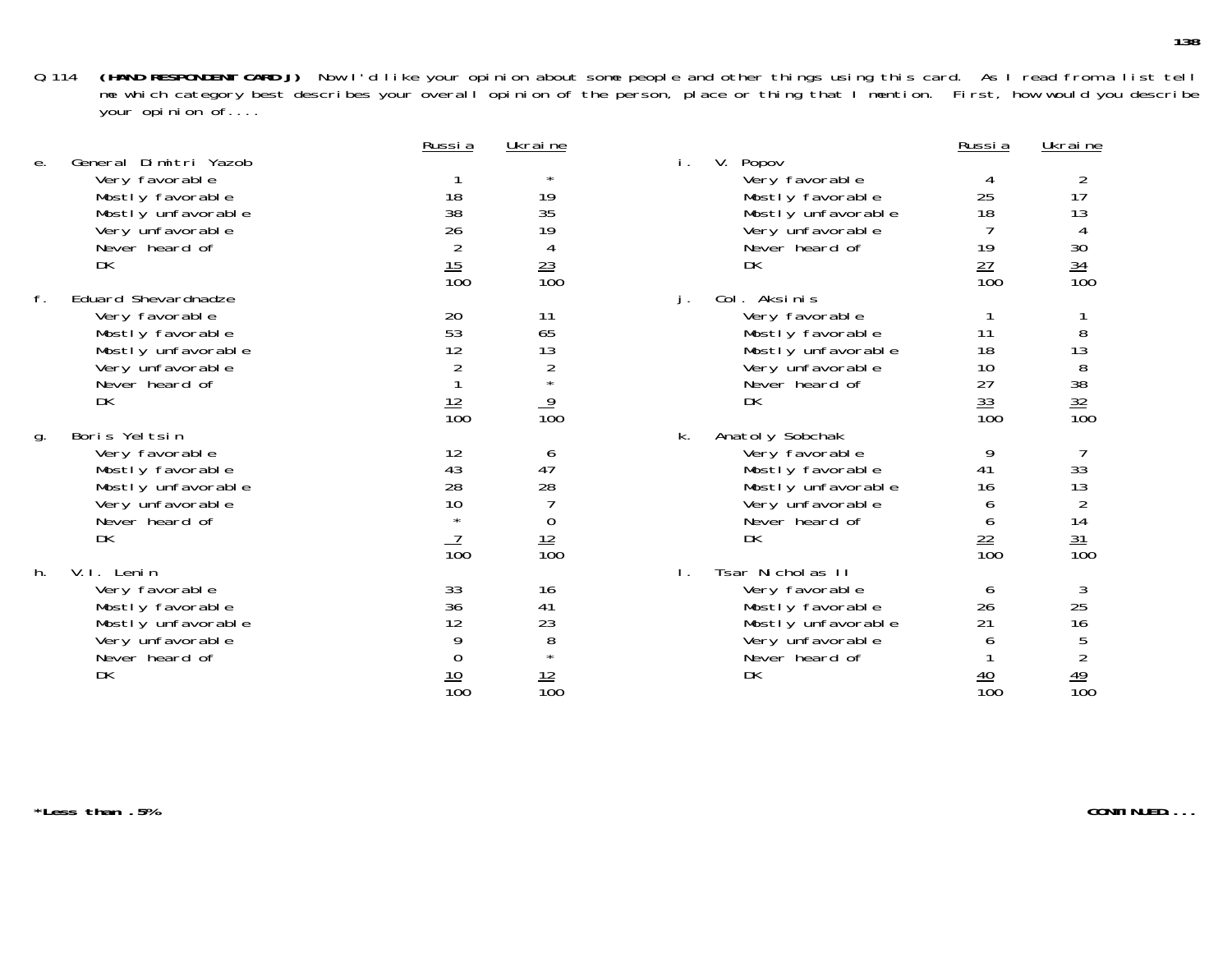|    |                       | Russia           | Ukraine          |                       | Russia           | Ukraine                             |
|----|-----------------------|------------------|------------------|-----------------------|------------------|-------------------------------------|
| е. | General Dimitri Yazob |                  |                  | V. Popov<br>Ι.        |                  |                                     |
|    | Very favorable        |                  |                  | Very favorable        |                  |                                     |
|    | Mostly favorable      | 18               | 19               | Mostly favorable      | 25               | 17                                  |
|    | Mostly unfavorable    | 38               | 35               | Mostly unfavorable    | 18               | 13                                  |
|    | Very unfavorable      | 26               | 19               | Very unfavorable      |                  |                                     |
|    | Never heard of        | $\overline{2}$   | 4                | Never heard of        | 19               |                                     |
|    | DK                    |                  |                  | DK                    |                  |                                     |
|    |                       | $\frac{15}{100}$ | $\frac{23}{100}$ |                       | $\frac{27}{100}$ | 30<br>34<br>100                     |
| f. | Eduard Shevardnadze   |                  |                  | Col. Aksinis<br>j.    |                  |                                     |
|    | Very favorable        | 20               | 11               | Very favorable        |                  |                                     |
|    | Mostly favorable      | 53               | 65               | Mostly favorable      | 11               | 8                                   |
|    | Mostly unfavorable    | 12               | 13               | Mostly unfavorable    | 18               | 13                                  |
|    | Very unfavorable      |                  | $\overline{2}$   | Very unfavorable      | 10               | 8                                   |
|    | Never heard of        |                  |                  | Never heard of        | 27               |                                     |
|    | DK                    |                  |                  | DK                    |                  |                                     |
|    |                       | $\frac{12}{100}$ | $\frac{9}{100}$  |                       | $\frac{33}{100}$ | $\frac{38}{32}$<br>$\frac{32}{100}$ |
| g. | Boris Yeltsin         |                  |                  | Anatoly Sobchak<br>k. |                  |                                     |
|    | Very favorable        | 12               | O                | Very favorable        | 9                |                                     |
|    | Mostly favorable      | 43               | 47               | Mostly favorable      | 41               | 33                                  |
|    | Mostly unfavorable    | 28               | 28               | Mostly unfavorable    | 16               | 13                                  |
|    | Very unfavorable      | 10               |                  | Very unfavorable      | O                | $\overline{2}$                      |
|    | Never heard of        |                  | $\overline{0}$   | Never heard of        | 6                |                                     |
|    | DK                    |                  |                  | DK                    |                  |                                     |
|    |                       | $\overline{100}$ | $\frac{12}{100}$ |                       | $\frac{22}{100}$ | $\frac{14}{\frac{31}{100}}$         |
| h. | V.I. Lenin            |                  |                  | Tsar Nicholas II      |                  |                                     |
|    | Very favorable        | 33               | 16               | Very favorable        | 6                | 3                                   |
|    | Mostly favorable      | 36               | 41               | Mostly favorable      | 26               | 25                                  |
|    | Mostly unfavorable    | 12               | 23               | Mostly unfavorable    | 21               | 16                                  |
|    | Very unfavorable      |                  | 8                | Very unfavorable      |                  | 5                                   |
|    | Never heard of        |                  |                  | Never heard of        |                  |                                     |
|    | DK                    |                  |                  | DK                    |                  | $\frac{49}{100}$                    |
|    |                       | $\frac{10}{100}$ | $\frac{12}{100}$ |                       | $\frac{40}{100}$ |                                     |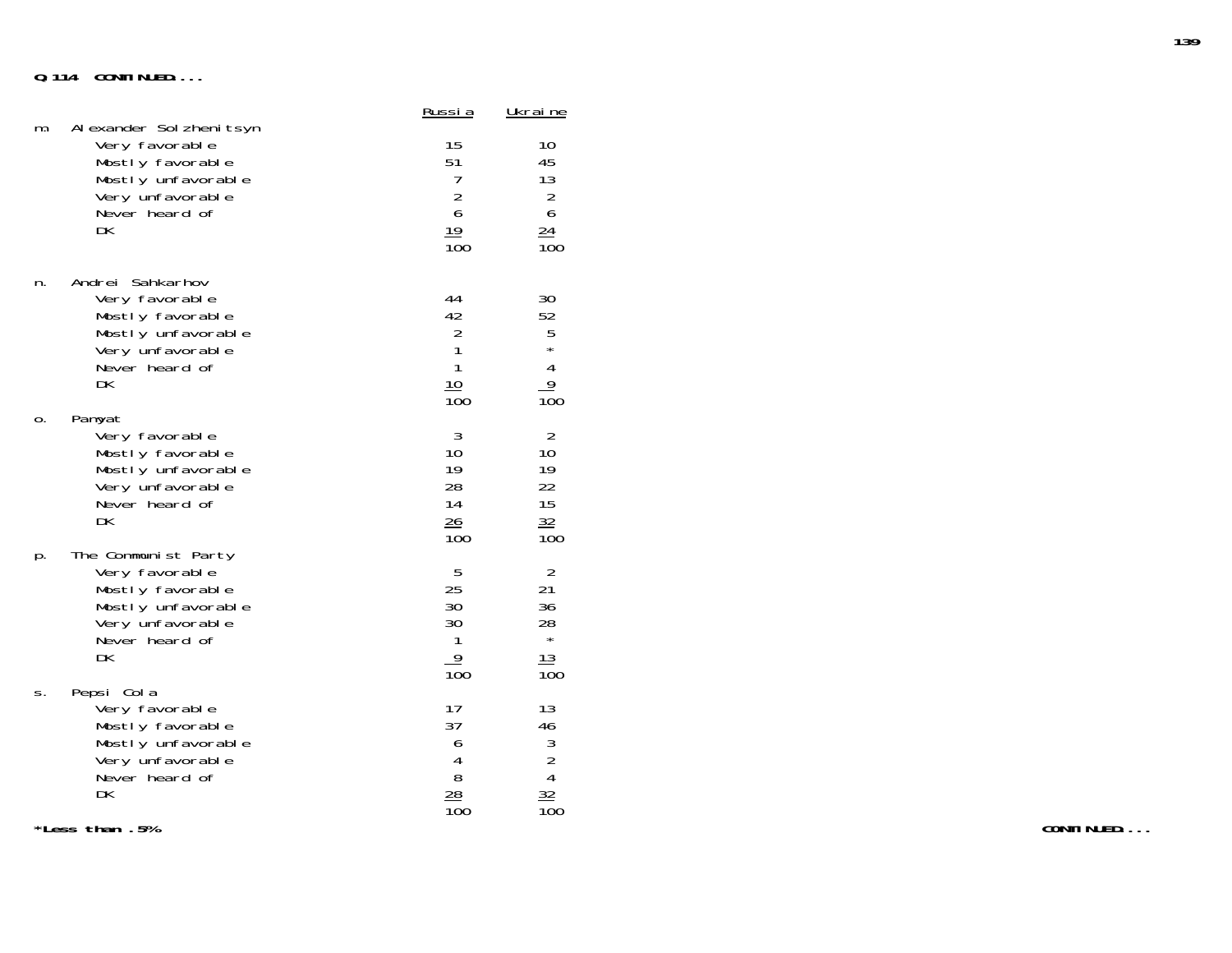## **Q.114 CONTINUED....**

| m. | Al exander Sol zheni tsyn                                                                                                 | <u>Russi a</u>                                                                   | <u>Ukrai ne</u>                                                         |
|----|---------------------------------------------------------------------------------------------------------------------------|----------------------------------------------------------------------------------|-------------------------------------------------------------------------|
|    | Very favorable                                                                                                            | 15                                                                               | 10                                                                      |
|    | Mostly favorable                                                                                                          | 51                                                                               | 45                                                                      |
|    | Mostly unfavorable                                                                                                        | 7                                                                                | 13                                                                      |
|    | Very unfavorable                                                                                                          | $\overline{c}$                                                                   | $\overline{2}$                                                          |
|    | Never heard of                                                                                                            | 6                                                                                | 6                                                                       |
|    | DK                                                                                                                        | $\frac{19}{100}$                                                                 | $\frac{24}{100}$                                                        |
| n. | Andrei Sahkarhov<br>Very favorable<br>Mostly favorable<br>Mostly unfavorable<br>Very unfavorable<br>Never heard of<br>DK. | 44<br>42<br>$\begin{array}{c} 2 \\ 1 \\ 1 \end{array}$<br>10<br>$\overline{10}0$ | 30<br>52<br>$\frac{5}{1}$<br>$\overline{\mathbf{4}}$<br>$\frac{9}{100}$ |
| 0. | Pamyat                                                                                                                    | 3                                                                                | $\overline{2}$                                                          |
|    | Very favorable                                                                                                            | 10                                                                               | 10                                                                      |
|    | Mostly favorable                                                                                                          | 19                                                                               | 19                                                                      |
|    | Mostly unfavorable                                                                                                        | 28                                                                               | 22                                                                      |
|    | Very unfavorable                                                                                                          | 14                                                                               | 15                                                                      |
|    | Never heard of                                                                                                            | 26                                                                               | 32                                                                      |
|    | DK                                                                                                                        | 100                                                                              | 100                                                                     |
| p. | The Communist Party                                                                                                       | 5                                                                                | $\overline{2}$                                                          |
|    | Very favorable                                                                                                            | 25                                                                               | 21                                                                      |
|    | Mostly favorable                                                                                                          | 30                                                                               | 36                                                                      |
|    | Mostly unfavorable                                                                                                        | 30                                                                               | 28                                                                      |
|    | Very unfavorable                                                                                                          | 1                                                                                | $\star$                                                                 |
|    | Never heard of                                                                                                            | 9                                                                                | 13                                                                      |
|    | DK                                                                                                                        | $\overline{10}0$                                                                 | 100                                                                     |
| S. | Pepsi Cola<br>Very favorable<br>Mostly favorable<br>Mostly unfavorable<br>Very unfavorable<br>Never heard of<br>DK        | 17<br>37<br>6<br>4<br>8<br><u>28</u><br>$\overline{10}0$                         | 13<br>46<br>$\frac{3}{2}$<br>$\frac{32}{100}$                           |

**\*Less than .5%**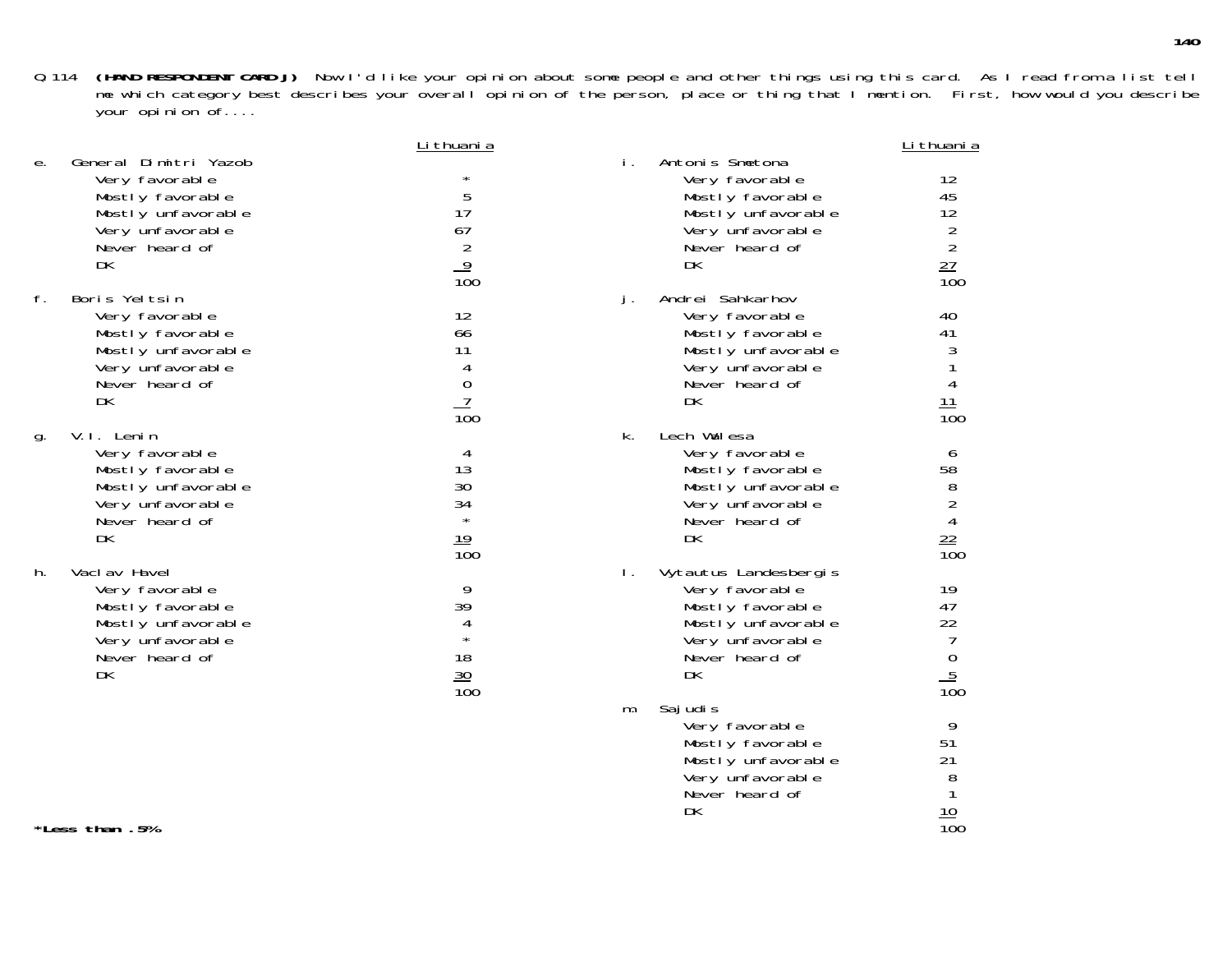> DK 10

 $\frac{10}{100}$ 

|    |                                                                                                                               | Li thuani a                                                                   |    |                                                                                                                                            | Li thuani a                                                          |
|----|-------------------------------------------------------------------------------------------------------------------------------|-------------------------------------------------------------------------------|----|--------------------------------------------------------------------------------------------------------------------------------------------|----------------------------------------------------------------------|
| е. | General Dimitri Yazob<br>Very favorable<br>Mostly favorable<br>Mostly unfavorable<br>Very unfavorable<br>Never heard of<br>DK | $\star$<br>5<br>17<br>67<br>$\overline{2}$<br>$\frac{9}{100}$                 | i. | Antonis Smetona<br>Very favorable<br>Mostly favorable<br>Mostly unfavorable<br>Very unfavorable<br>Never heard of<br>DK                    | 12<br>45<br>12<br>2<br>$\overline{2}$<br>$\frac{27}{100}$            |
| f. | Boris Yeltsin<br>Very favorable<br>Mostly favorable<br>Mostly unfavorable<br>Very unfavorable<br>Never heard of<br>DK         | 12<br>66<br>11<br>4<br>$\boldsymbol{0}$<br>$\overline{7}$<br>$\overline{10}0$ | j. | Andrei Sahkarhov<br>Very favorable<br>Mostly favorable<br>Mostly unfavorable<br>Very unfavorable<br>Never heard of<br>DK                   | 40<br>41<br>3<br>$\overline{4}$<br>11<br>$\overline{10}0$            |
| g. | V.I. Lenin<br>Very favorable<br>Mostly favorable<br>Mostly unfavorable<br>Very unfavorable<br>Never heard of<br>DK            | 4<br>13<br>30<br>34<br>$\star$<br>19<br>$\overline{100}$                      | k. | Lech Walesa<br>Very favorable<br>Mostly favorable<br>Mostly unfavorable<br>Very unfavorable<br>Never heard of<br>DK                        | 6<br>58<br>8<br>$\overline{2}$<br>$\overline{4}$<br>$\frac{22}{100}$ |
| h. | Vacl av Havel<br>Very favorable<br>Mostly favorable<br>Mostly unfavorable<br>Very unfavorable<br>Never heard of<br>DK         | 9<br>39<br>4<br>$\star$<br>18<br>$\frac{30}{100}$                             | Ι. | Vytautus Landesbergis<br>Very favorable<br>Mostly favorable<br>Mostly unfavorable<br>Very unfavorable<br>Never heard of<br>DK<br>Saj udi s | 19<br>47<br>22<br>7<br>$\boldsymbol{0}$<br>$\frac{5}{100}$           |
|    |                                                                                                                               |                                                                               | m. | Very favorable<br>Mostly favorable<br>Mostly unfavorable<br>Very unfavorable<br>Never heard of                                             | 9<br>51<br>21<br>8                                                   |

**\*Less than .5%**% and the contract of the contract of the contract of the contract of the contract of the contract of the contract of the contract of the contract of the contract of the contract of the contract of the contract of the con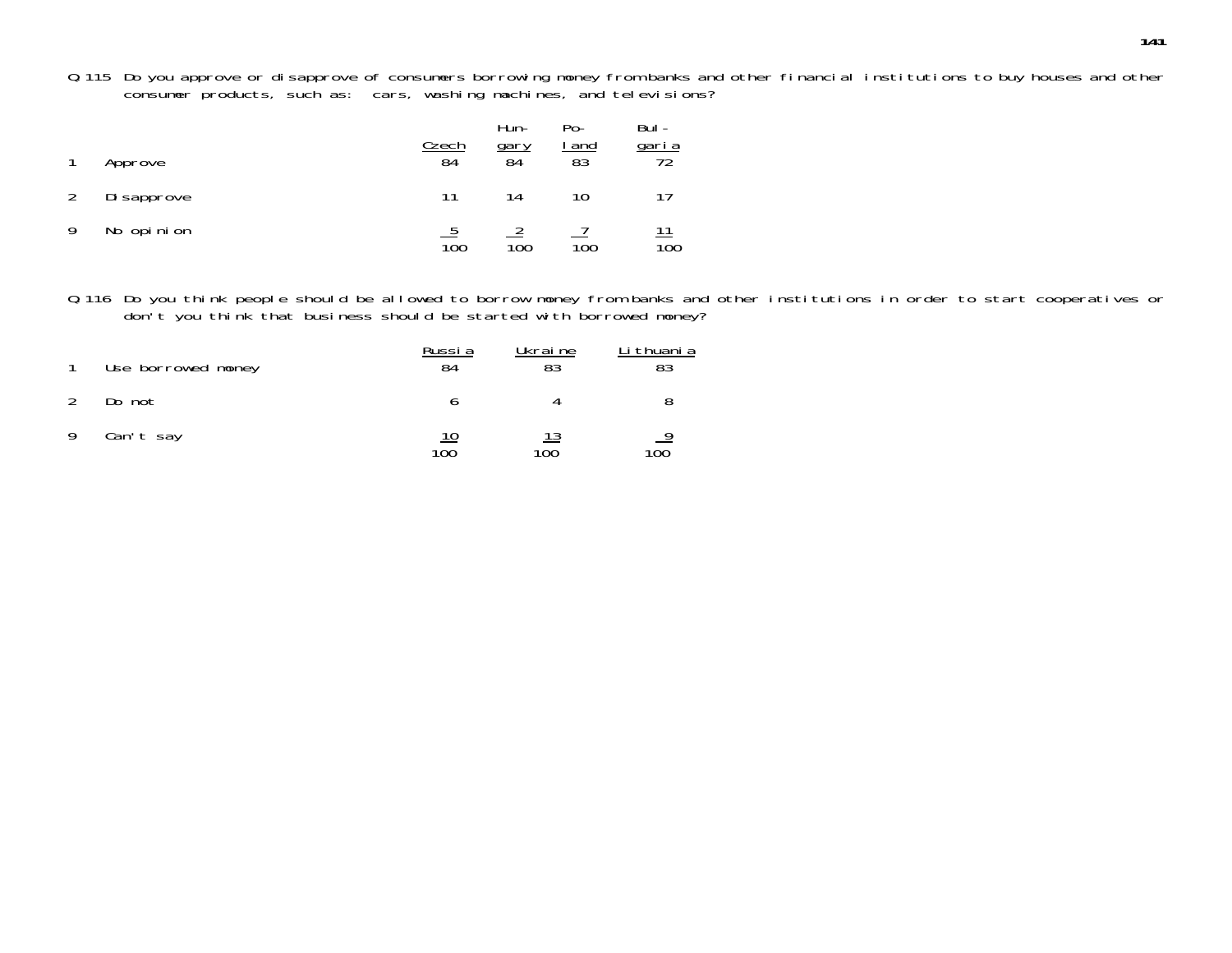Q.115 Do you approve or disapprove of consumers borrowing money from banks and other financial institutions to buy houses and other consumer products, such as: cars, washing machines, and televisions?

|   | Approve     | <u>Czech</u><br>84 | Hun-<br><u>gary</u><br>84 | Po-<br><u>and</u><br>$\overline{83}$ | Bul-<br>garia<br>72 |
|---|-------------|--------------------|---------------------------|--------------------------------------|---------------------|
|   | Di sapprove | 11                 | 14                        | 10                                   | 17                  |
| Q | No opinion  | 100                | 100                       | 100                                  | 100                 |

Q.116 Do you think people should be allowed to borrow money from banks and other institutions in order to start cooperatives or don't you think that business should be started with borrowed money?

|               | Use borrowed money | Russia<br>84 | Ukraine<br>83     | Li thuani a |
|---------------|--------------------|--------------|-------------------|-------------|
| $\mathcal{P}$ | Do not             |              |                   |             |
| 9             | Can't say          | 100          | <u> 13</u><br>100 | 100         |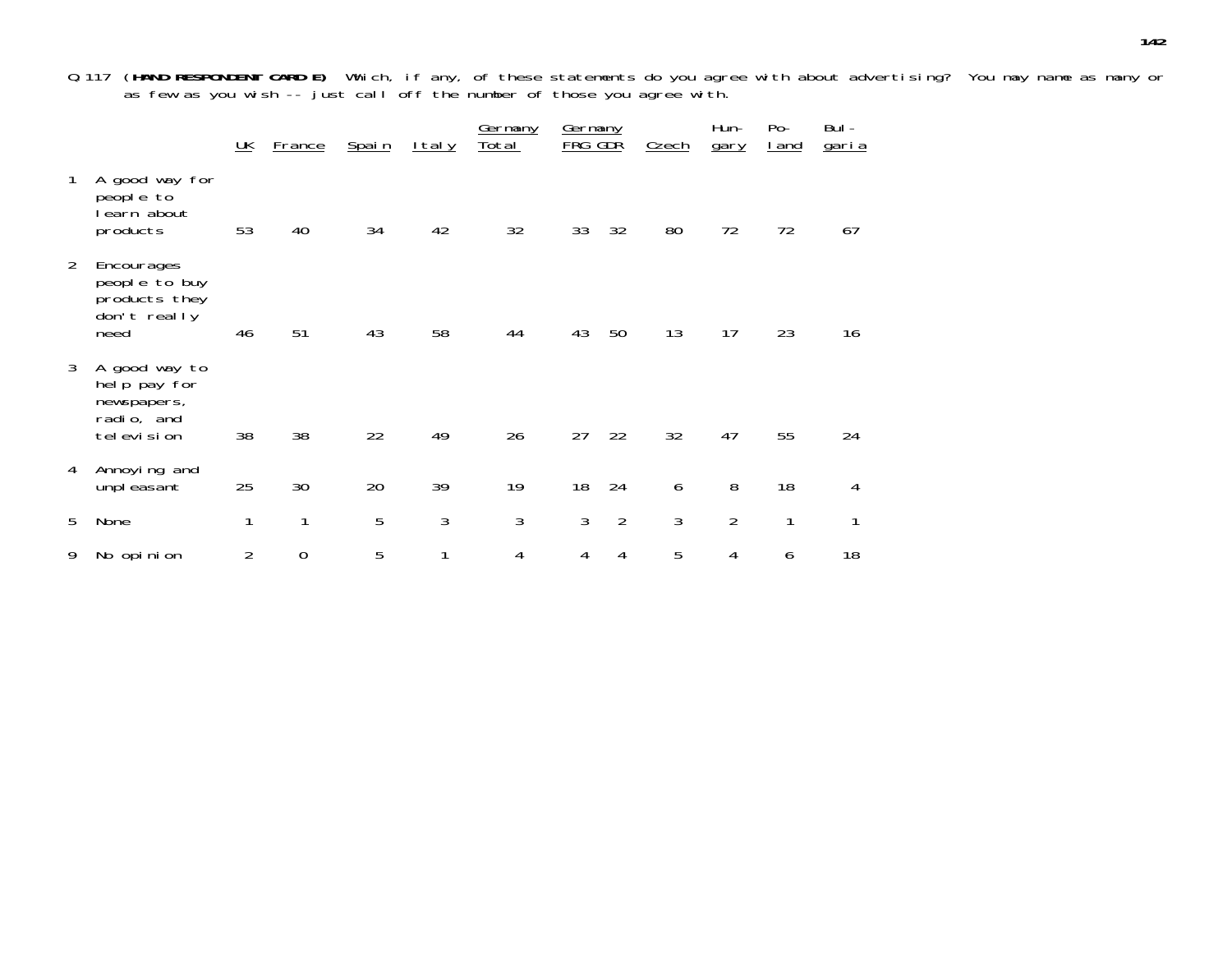Q.117 (**HAND RESPONDENT CARD E)** Which, if any, of these statements do you agree with about advertising? You may name as many or as few as you wish -- just call off the number of those you agree with.

|                |                                                                             | $\underline{\mathsf{UK}}$ | <b>France</b>    | <u>Spain</u> | <u>Italy</u> | Germany<br><u>Total</u> | Germany<br>FRG | GDŘ            | <b>Czech</b> | Hun-<br>gary   | $Po-$<br><u>I and</u> | Bul -<br><u>garia</u> |
|----------------|-----------------------------------------------------------------------------|---------------------------|------------------|--------------|--------------|-------------------------|----------------|----------------|--------------|----------------|-----------------------|-----------------------|
| 1              | A good way for<br>people to<br>earn about<br>products                       | 53                        | 40               | 34           | 42           | 32                      | 33             | 32             | 80           | 72             | 72                    | 67                    |
| $\overline{2}$ | Encourages<br>people to buy<br>products they<br>don't really<br>need        | 46                        | 51               | 43           | 58           | 44                      | 43             | 50             | 13           | 17             | 23                    | 16                    |
| 3              | A good way to<br>help pay for<br>newspapers,<br>radio, and<br>tel evi si on | 38                        | 38               | 22           | 49           | 26                      | 27             | 22             | 32           | 47             | 55                    | 24                    |
| 4              | Annoying and<br>unpleasant                                                  | 25                        | 30               | 20           | 39           | 19                      | 18             | 24             | 6            | 8              | 18                    | 4                     |
| 5              | None                                                                        | 1                         | 1                | 5            | 3            | 3                       | 3              | $\overline{2}$ | 3            | $\overline{2}$ | 1                     | 1                     |
| 9              | No opinion                                                                  | 2                         | $\boldsymbol{0}$ | 5            | 1            | 4                       | 4              | 4              | 5            | 4              | 6                     | 18                    |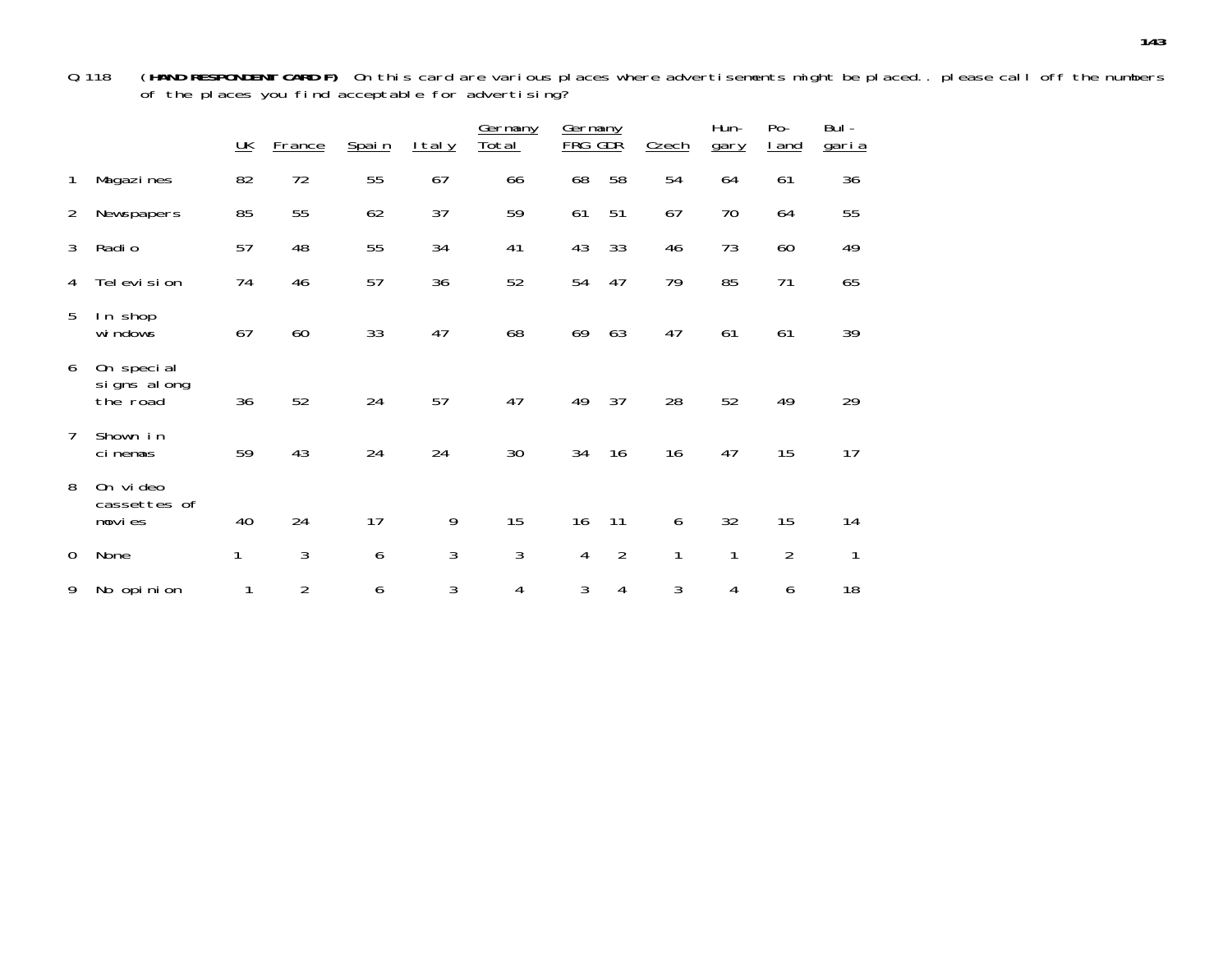Q.118 (**HAND RESPONDENT CARD F)** On this card are various places where advertisements might be placed.. please call off the numbers of the places you find acceptable for advertising?

|             |                                       | $\underline{\mathsf{UK}}$ | France         | Spain | <u>Italy</u> | Germany<br><u>Total</u> | Germany<br><b>FRG</b> | GDŘ            | Czech | Hun-<br>gary | Po-<br><u>l and</u> | Bul-<br><u>garia</u> |
|-------------|---------------------------------------|---------------------------|----------------|-------|--------------|-------------------------|-----------------------|----------------|-------|--------------|---------------------|----------------------|
| 1           | Magazi nes                            | 82                        | 72             | 55    | 67           | 66                      | 68                    | 58             | 54    | 64           | 61                  | 36                   |
| 2           | Newspapers                            | 85                        | 55             | 62    | 37           | 59                      | 61                    | 51             | 67    | 70           | 64                  | 55                   |
| 3           | Radi o                                | 57                        | 48             | 55    | 34           | 41                      | 43                    | 33             | 46    | 73           | 60                  | 49                   |
| 4           | Tel evi si on                         | 74                        | 46             | 57    | 36           | 52                      | 54                    | 47             | 79    | 85           | 71                  | 65                   |
| 5           | In shop<br>wi ndows                   | 67                        | 60             | 33    | 47           | 68                      | 69                    | 63             | 47    | 61           | 61                  | 39                   |
| 6           | On special<br>signs along<br>the road | 36                        | 52             | 24    | 57           | 47                      | 49                    | 37             | 28    | 52           | 49                  | 29                   |
| 7           | Shown in<br>cinemas                   | 59                        | 43             | 24    | 24           | 30                      | 34                    | 16             | 16    | 47           | 15                  | 17                   |
| 8           | On video<br>cassettes of<br>movies    | 40                        | 24             | 17    | 9            | 15                      | 16                    | 11             | 6     | 32           | 15                  | 14                   |
| $\mathbf 0$ | None                                  | 1                         | 3              | 6     | 3            | 3                       | 4                     | $\overline{2}$ | 1     | 1            | $\overline{2}$      | 1                    |
| 9           | No opinion                            | 1                         | $\overline{2}$ | 6     | 3            | 4                       | 3                     | 4              | 3     | 4            | 6                   | 18                   |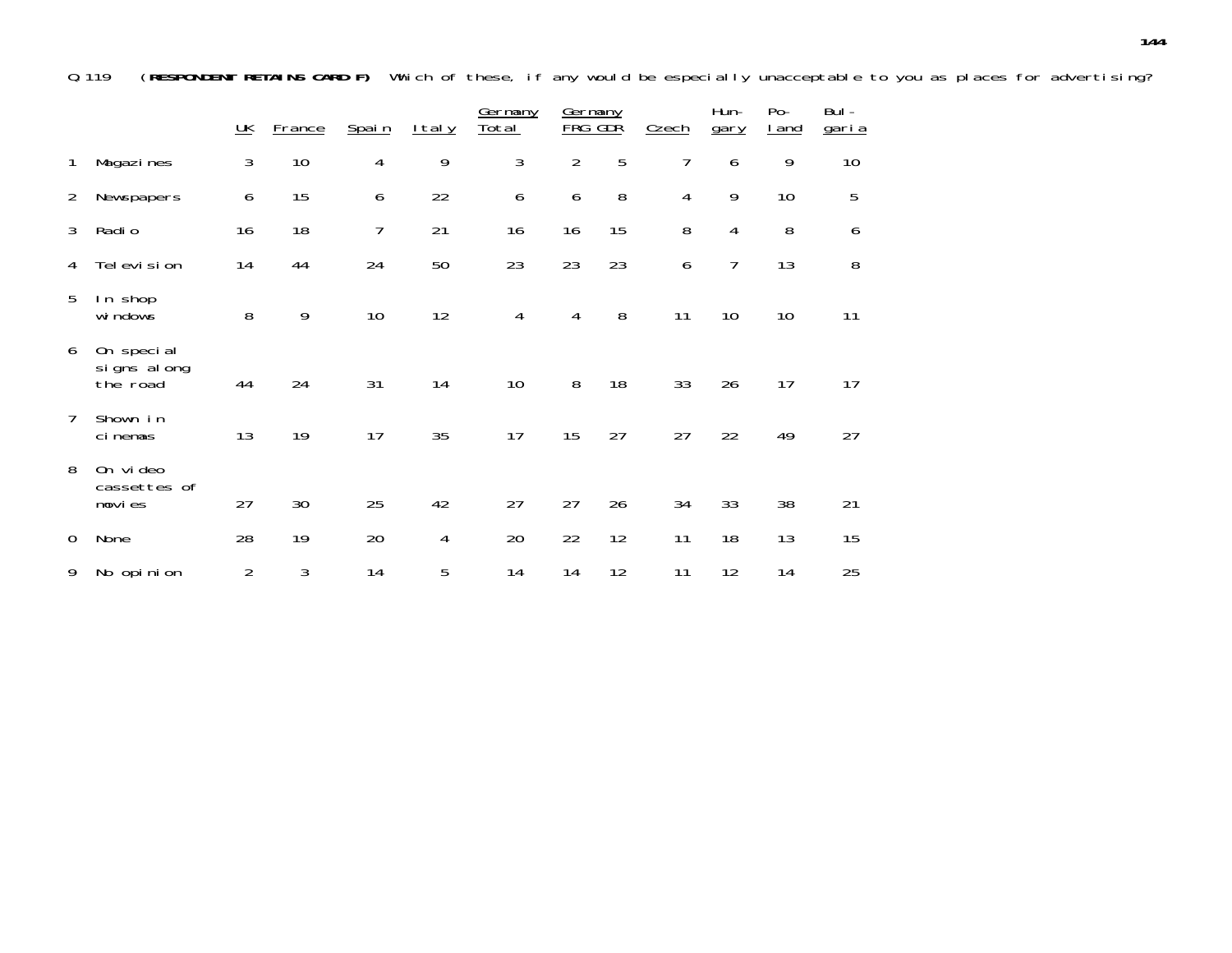Q.119 (**RESPONDENT RETAINS CARD F)** Which of these, if any would be especially unacceptable to you as places for advertising?

|                |                                       | $\underline{\mathsf{UK}}$ | <b>France</b> | Spain          | <u>Italy</u> | Germany<br><u>Total</u> | Germany<br>FRG | GDŘ | Czech          | Hun-<br>gary   | $Po-$<br><u>I and</u> | Bul-<br><u>garia</u> |
|----------------|---------------------------------------|---------------------------|---------------|----------------|--------------|-------------------------|----------------|-----|----------------|----------------|-----------------------|----------------------|
| 1              | Magazi nes                            | 3                         | 10            | $\overline{4}$ | 9            | 3                       | $\overline{2}$ | 5   | 7              | 6              | 9                     | 10                   |
| $\overline{2}$ | Newspapers                            | 6                         | 15            | 6              | 22           | 6                       | 6              | 8   | $\overline{4}$ | 9              | 10                    | 5                    |
| 3              | Radi o                                | 16                        | 18            | 7              | 21           | 16                      | 16             | 15  | 8              | 4              | 8                     | 6                    |
| 4              | Television                            | 14                        | 44            | 24             | 50           | 23                      | 23             | 23  | 6              | $\overline{7}$ | 13                    | 8                    |
| 5              | In shop<br>wi ndows                   | 8                         | 9             | 10             | 12           | 4                       | 4              | 8   | 11             | 10             | 10                    | 11                   |
| 6              | On special<br>signs along<br>the road | 44                        | 24            | 31             | 14           | 10                      | 8              | 18  | 33             | 26             | 17                    | 17                   |
| 7              | Shown in<br>ci nemas                  | 13                        | 19            | 17             | 35           | 17                      | 15             | 27  | 27             | 22             | 49                    | 27                   |
| 8              | On video<br>cassettes of<br>movies    | 27                        | 30            | 25             | 42           | 27                      | 27             | 26  | 34             | 33             | 38                    | 21                   |
| 0              | None                                  | 28                        | 19            | 20             | 4            | 20                      | 22             | 12  | 11             | 18             | 13                    | 15                   |
| 9              | No opinion                            | $\overline{2}$            | 3             | 14             | 5            | 14                      | 14             | 12  | 11             | 12             | 14                    | 25                   |